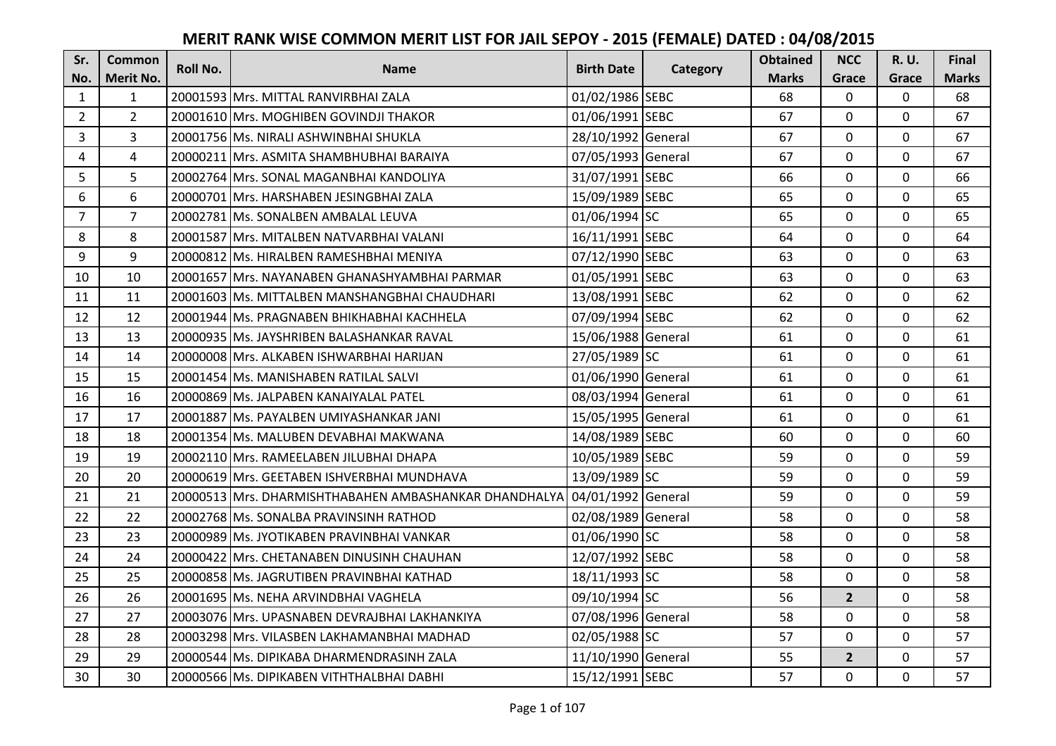| Sr.            | <b>Common</b>  | <b>Roll No.</b> | <b>Name</b>                                           | <b>Birth Date</b>  |          | <b>Obtained</b> | <b>NCC</b>     | <b>R.U.</b> | Final        |
|----------------|----------------|-----------------|-------------------------------------------------------|--------------------|----------|-----------------|----------------|-------------|--------------|
| No.            | Merit No.      |                 |                                                       |                    | Category | <b>Marks</b>    | Grace          | Grace       | <b>Marks</b> |
| $\mathbf{1}$   | $\mathbf{1}$   |                 | 20001593 Mrs. MITTAL RANVIRBHAI ZALA                  | 01/02/1986 SEBC    |          | 68              | $\mathbf{0}$   | 0           | 68           |
| $\overline{2}$ | $\overline{2}$ |                 | 20001610 Mrs. MOGHIBEN GOVINDJI THAKOR                | 01/06/1991 SEBC    |          | 67              | $\mathbf{0}$   | 0           | 67           |
| $\overline{3}$ | 3              |                 | 20001756 Ms. NIRALI ASHWINBHAI SHUKLA                 | 28/10/1992 General |          | 67              | $\Omega$       | 0           | 67           |
| 4              | $\overline{4}$ |                 | 20000211 Mrs. ASMITA SHAMBHUBHAI BARAIYA              | 07/05/1993 General |          | 67              | $\mathbf 0$    | $\Omega$    | 67           |
| 5              | 5              |                 | 20002764 Mrs. SONAL MAGANBHAI KANDOLIYA               | 31/07/1991 SEBC    |          | 66              | $\mathbf 0$    | $\mathbf 0$ | 66           |
| 6              | 6              |                 | 20000701 Mrs. HARSHABEN JESINGBHAI ZALA               | 15/09/1989 SEBC    |          | 65              | $\mathbf{0}$   | 0           | 65           |
| $\overline{7}$ | $\overline{7}$ |                 | 20002781 Ms. SONALBEN AMBALAL LEUVA                   | 01/06/1994 SC      |          | 65              | $\mathbf{0}$   | 0           | 65           |
| 8              | 8              |                 | 20001587 Mrs. MITALBEN NATVARBHAI VALANI              | 16/11/1991 SEBC    |          | 64              | $\mathbf{0}$   | $\Omega$    | 64           |
| 9              | 9              |                 | 20000812 Ms. HIRALBEN RAMESHBHAI MENIYA               | 07/12/1990 SEBC    |          | 63              | 0              | 0           | 63           |
| 10             | 10             |                 | 20001657 Mrs. NAYANABEN GHANASHYAMBHAI PARMAR         | 01/05/1991 SEBC    |          | 63              | $\mathbf{0}$   | 0           | 63           |
| 11             | 11             |                 | 20001603 Ms. MITTALBEN MANSHANGBHAI CHAUDHARI         | 13/08/1991 SEBC    |          | 62              | $\Omega$       | $\Omega$    | 62           |
| 12             | 12             |                 | 20001944 Ms. PRAGNABEN BHIKHABHAI KACHHELA            | 07/09/1994 SEBC    |          | 62              | $\mathbf 0$    | 0           | 62           |
| 13             | 13             |                 | 20000935 Ms. JAYSHRIBEN BALASHANKAR RAVAL             | 15/06/1988 General |          | 61              | $\mathbf{0}$   | $\mathbf 0$ | 61           |
| 14             | 14             |                 | 20000008 Mrs. ALKABEN ISHWARBHAI HARIJAN              | 27/05/1989 SC      |          | 61              | $\mathbf 0$    | $\Omega$    | 61           |
| 15             | 15             |                 | 20001454 Ms. MANISHABEN RATILAL SALVI                 | 01/06/1990 General |          | 61              | $\mathbf 0$    | $\mathbf 0$ | 61           |
| 16             | 16             |                 | 20000869 Ms. JALPABEN KANAIYALAL PATEL                | 08/03/1994 General |          | 61              | $\mathbf{0}$   | $\Omega$    | 61           |
| 17             | 17             |                 | 20001887 Ms. PAYALBEN UMIYASHANKAR JANI               | 15/05/1995 General |          | 61              | $\mathbf{0}$   | $\Omega$    | 61           |
| 18             | 18             |                 | 20001354 Ms. MALUBEN DEVABHAI MAKWANA                 | 14/08/1989 SEBC    |          | 60              | $\mathbf 0$    | $\Omega$    | 60           |
| 19             | 19             |                 | 20002110 Mrs. RAMEELABEN JILUBHAI DHAPA               | 10/05/1989 SEBC    |          | 59              | $\mathbf{0}$   | $\Omega$    | 59           |
| 20             | 20             |                 | 20000619 Mrs. GEETABEN ISHVERBHAI MUNDHAVA            | 13/09/1989 SC      |          | 59              | $\mathbf{0}$   | 0           | 59           |
| 21             | 21             |                 | 20000513 Mrs. DHARMISHTHABAHEN AMBASHANKAR DHANDHALYA | 04/01/1992 General |          | 59              | $\Omega$       | $\Omega$    | 59           |
| 22             | 22             |                 | 20002768 Ms. SONALBA PRAVINSINH RATHOD                | 02/08/1989 General |          | 58              | $\Omega$       | $\Omega$    | 58           |
| 23             | 23             |                 | 20000989 Ms. JYOTIKABEN PRAVINBHAI VANKAR             | 01/06/1990 SC      |          | 58              | $\mathbf 0$    | $\Omega$    | 58           |
| 24             | 24             |                 | 20000422 Mrs. CHETANABEN DINUSINH CHAUHAN             | 12/07/1992 SEBC    |          | 58              | $\mathbf 0$    | $\Omega$    | 58           |
| 25             | 25             |                 | 20000858 Ms. JAGRUTIBEN PRAVINBHAI KATHAD             | 18/11/1993 SC      |          | 58              | $\mathbf 0$    | 0           | 58           |
| 26             | 26             |                 | 20001695 Ms. NEHA ARVINDBHAI VAGHELA                  | 09/10/1994 SC      |          | 56              | $2^{1}$        | 0           | 58           |
| 27             | 27             |                 | 20003076 Mrs. UPASNABEN DEVRAJBHAI LAKHANKIYA         | 07/08/1996 General |          | 58              | $\mathbf 0$    | 0           | 58           |
| 28             | 28             |                 | 20003298 Mrs. VILASBEN LAKHAMANBHAI MADHAD            | 02/05/1988 SC      |          | 57              | $\Omega$       | $\Omega$    | 57           |
| 29             | 29             |                 | 20000544 Ms. DIPIKABA DHARMENDRASINH ZALA             | 11/10/1990 General |          | 55              | $\overline{2}$ | 0           | 57           |
| 30             | 30             |                 | 20000566 Ms. DIPIKABEN VITHTHALBHAI DABHI             | 15/12/1991 SEBC    |          | 57              | $\mathbf{0}$   | 0           | 57           |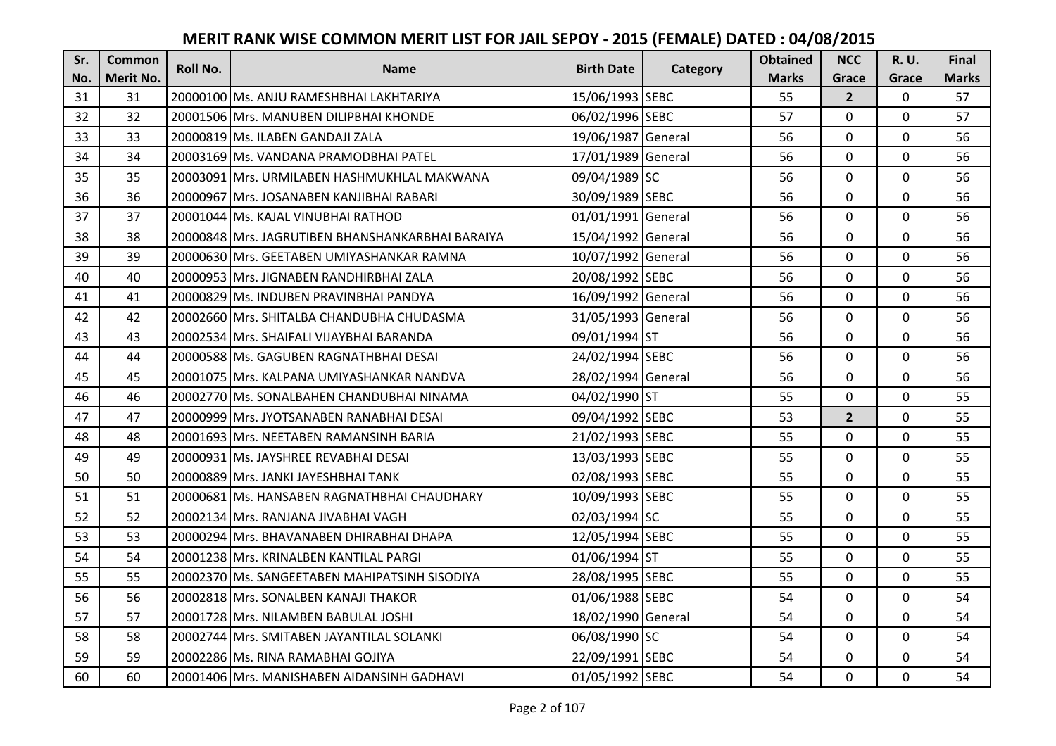| Sr. | <b>Common</b> | <b>Roll No.</b> | <b>Name</b>                                      | <b>Birth Date</b>  |          | <b>Obtained</b> | <b>NCC</b>     | <b>R.U.</b> | Final        |
|-----|---------------|-----------------|--------------------------------------------------|--------------------|----------|-----------------|----------------|-------------|--------------|
| No. | Merit No.     |                 |                                                  |                    | Category | <b>Marks</b>    | Grace          | Grace       | <b>Marks</b> |
| 31  | 31            |                 | 20000100 Ms. ANJU RAMESHBHAI LAKHTARIYA          | 15/06/1993 SEBC    |          | 55              | $\overline{2}$ | 0           | 57           |
| 32  | 32            |                 | 20001506 Mrs. MANUBEN DILIPBHAI KHONDE           | 06/02/1996 SEBC    |          | 57              | $\mathbf 0$    | $\Omega$    | 57           |
| 33  | 33            |                 | 20000819 Ms. ILABEN GANDAJI ZALA                 | 19/06/1987 General |          | 56              | $\mathbf 0$    | $\Omega$    | 56           |
| 34  | 34            |                 | 20003169 Ms. VANDANA PRAMODBHAI PATEL            | 17/01/1989 General |          | 56              | $\mathbf 0$    | 0           | 56           |
| 35  | 35            |                 | 20003091 Mrs. URMILABEN HASHMUKHLAL MAKWANA      | 09/04/1989 SC      |          | 56              | $\mathbf{0}$   | $\mathbf 0$ | 56           |
| 36  | 36            |                 | 20000967 Mrs. JOSANABEN KANJIBHAI RABARI         | 30/09/1989 SEBC    |          | 56              | $\Omega$       | $\Omega$    | 56           |
| 37  | 37            |                 | 20001044 Ms. KAJAL VINUBHAI RATHOD               | 01/01/1991 General |          | 56              | $\mathbf 0$    | 0           | 56           |
| 38  | 38            |                 | 20000848 Mrs. JAGRUTIBEN BHANSHANKARBHAI BARAIYA | 15/04/1992 General |          | 56              | $\mathbf{0}$   | $\mathbf 0$ | 56           |
| 39  | 39            |                 | 20000630 Mrs. GEETABEN UMIYASHANKAR RAMNA        | 10/07/1992 General |          | 56              | $\mathbf 0$    | 0           | 56           |
| 40  | 40            |                 | 20000953 Mrs. JIGNABEN RANDHIRBHAI ZALA          | 20/08/1992 SEBC    |          | 56              | $\mathbf{0}$   | 0           | 56           |
| 41  | 41            |                 | 20000829 Ms. INDUBEN PRAVINBHAI PANDYA           | 16/09/1992 General |          | 56              | $\Omega$       | $\Omega$    | 56           |
| 42  | 42            |                 | 20002660 Mrs. SHITALBA CHANDUBHA CHUDASMA        | 31/05/1993 General |          | 56              | $\mathbf 0$    | 0           | 56           |
| 43  | 43            |                 | 20002534 Mrs. SHAIFALI VIJAYBHAI BARANDA         | 09/01/1994 ST      |          | 56              | $\mathbf{0}$   | $\mathbf 0$ | 56           |
| 44  | 44            |                 | 20000588 Ms. GAGUBEN RAGNATHBHAI DESAI           | 24/02/1994 SEBC    |          | 56              | $\mathbf 0$    | 0           | 56           |
| 45  | 45            |                 | 20001075 Mrs. KALPANA UMIYASHANKAR NANDVA        | 28/02/1994 General |          | 56              | $\mathbf 0$    | 0           | 56           |
| 46  | 46            |                 | 20002770 Ms. SONALBAHEN CHANDUBHAI NINAMA        | 04/02/1990 ST      |          | 55              | $\mathbf{0}$   | $\Omega$    | 55           |
| 47  | 47            |                 | 20000999 Mrs. JYOTSANABEN RANABHAI DESAI         | 09/04/1992 SEBC    |          | 53              | $2^{1}$        | 0           | 55           |
| 48  | 48            |                 | 20001693 Mrs. NEETABEN RAMANSINH BARIA           | 21/02/1993 SEBC    |          | 55              | $\mathbf 0$    | $\Omega$    | 55           |
| 49  | 49            |                 | 20000931 Ms. JAYSHREE REVABHAI DESAI             | 13/03/1993 SEBC    |          | 55              | $\mathbf 0$    | 0           | 55           |
| 50  | 50            |                 | 20000889 Mrs. JANKI JAYESHBHAI TANK              | 02/08/1993 SEBC    |          | 55              | $\mathbf 0$    | 0           | 55           |
| 51  | 51            |                 | 20000681 Ms. HANSABEN RAGNATHBHAI CHAUDHARY      | 10/09/1993 SEBC    |          | 55              | $\mathbf 0$    | $\Omega$    | 55           |
| 52  | 52            |                 | 20002134 Mrs. RANJANA JIVABHAI VAGH              | 02/03/1994 SC      |          | 55              | $\Omega$       | $\Omega$    | 55           |
| 53  | 53            |                 | 20000294 Mrs. BHAVANABEN DHIRABHAI DHAPA         | 12/05/1994 SEBC    |          | 55              | $\mathbf 0$    | $\Omega$    | 55           |
| 54  | 54            |                 | 20001238 Mrs. KRINALBEN KANTILAL PARGI           | 01/06/1994 ST      |          | 55              | $\mathbf 0$    | $\mathbf 0$ | 55           |
| 55  | 55            |                 | 20002370 Ms. SANGEETABEN MAHIPATSINH SISODIYA    | 28/08/1995 SEBC    |          | 55              | $\mathbf 0$    | 0           | 55           |
| 56  | 56            |                 | 20002818 Mrs. SONALBEN KANAJI THAKOR             | 01/06/1988 SEBC    |          | 54              | $\mathbf 0$    | $\mathbf 0$ | 54           |
| 57  | 57            |                 | 20001728 Mrs. NILAMBEN BABULAL JOSHI             | 18/02/1990 General |          | 54              | $\mathbf 0$    | 0           | 54           |
| 58  | 58            |                 | 20002744 Mrs. SMITABEN JAYANTILAL SOLANKI        | 06/08/1990 SC      |          | 54              | $\Omega$       | $\Omega$    | 54           |
| 59  | 59            |                 | 20002286 Ms. RINA RAMABHAI GOJIYA                | 22/09/1991 SEBC    |          | 54              | $\mathbf 0$    | 0           | 54           |
| 60  | 60            |                 | 20001406 Mrs. MANISHABEN AIDANSINH GADHAVI       | 01/05/1992 SEBC    |          | 54              | $\mathbf{0}$   | 0           | 54           |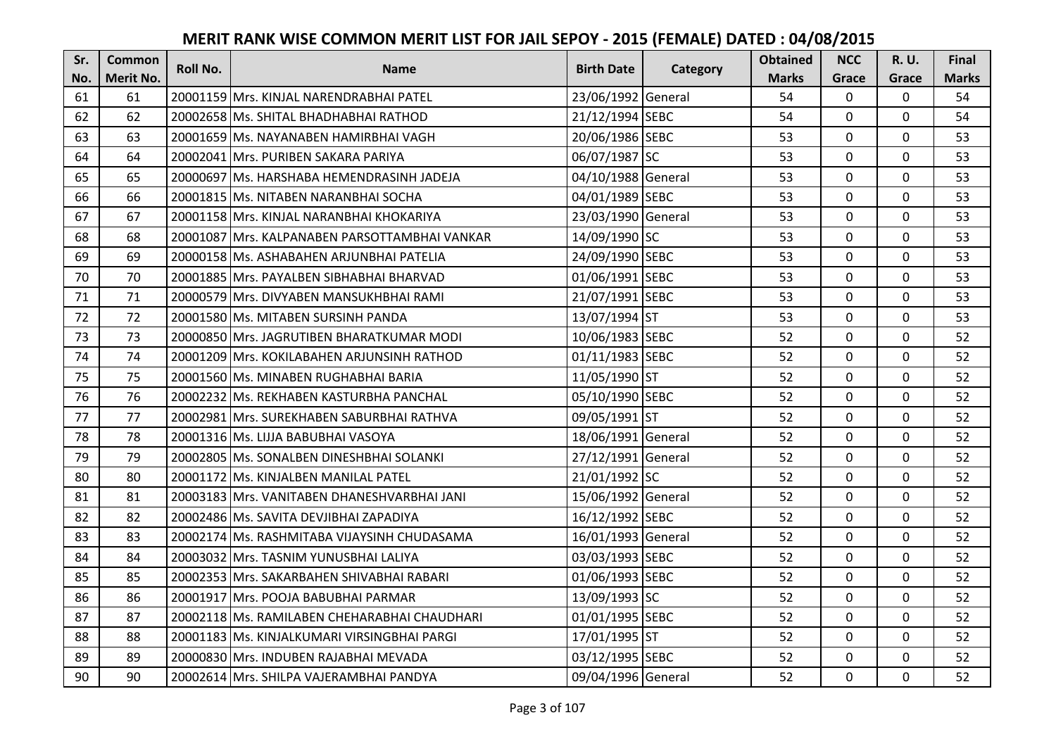| Sr. | <b>Common</b> | <b>Roll No.</b> | <b>Name</b>                                   | <b>Birth Date</b>  |          | <b>Obtained</b> | <b>NCC</b>   | <b>R.U.</b> | Final        |
|-----|---------------|-----------------|-----------------------------------------------|--------------------|----------|-----------------|--------------|-------------|--------------|
| No. | Merit No.     |                 |                                               |                    | Category | <b>Marks</b>    | Grace        | Grace       | <b>Marks</b> |
| 61  | 61            |                 | 20001159 Mrs. KINJAL NARENDRABHAI PATEL       | 23/06/1992 General |          | 54              | $\Omega$     | 0           | 54           |
| 62  | 62            |                 | 20002658 Ms. SHITAL BHADHABHAI RATHOD         | 21/12/1994 SEBC    |          | 54              | $\mathbf{0}$ | 0           | 54           |
| 63  | 63            |                 | 20001659 IMs. NAYANABEN HAMIRBHAI VAGH        | 20/06/1986 SEBC    |          | 53              | $\Omega$     | $\Omega$    | 53           |
| 64  | 64            |                 | 20002041 Mrs. PURIBEN SAKARA PARIYA           | 06/07/1987 SC      |          | 53              | $\mathbf 0$  | $\Omega$    | 53           |
| 65  | 65            |                 | 20000697 Ms. HARSHABA HEMENDRASINH JADEJA     | 04/10/1988 General |          | 53              | $\mathbf{0}$ | $\mathbf 0$ | 53           |
| 66  | 66            |                 | 20001815 Ms. NITABEN NARANBHAI SOCHA          | 04/01/1989 SEBC    |          | 53              | $\Omega$     | $\Omega$    | 53           |
| 67  | 67            |                 | 20001158 Mrs. KINJAL NARANBHAI KHOKARIYA      | 23/03/1990 General |          | 53              | $\mathbf 0$  | 0           | 53           |
| 68  | 68            |                 | 20001087 Mrs. KALPANABEN PARSOTTAMBHAI VANKAR | 14/09/1990 SC      |          | 53              | $\mathbf{0}$ | $\Omega$    | 53           |
| 69  | 69            |                 | 20000158 Ms. ASHABAHEN ARJUNBHAI PATELIA      | 24/09/1990 SEBC    |          | 53              | 0            | 0           | 53           |
| 70  | 70            |                 | 20001885 Mrs. PAYALBEN SIBHABHAI BHARVAD      | 01/06/1991 SEBC    |          | 53              | $\mathbf 0$  | 0           | 53           |
| 71  | 71            |                 | 20000579 Mrs. DIVYABEN MANSUKHBHAI RAMI       | 21/07/1991 SEBC    |          | 53              | $\Omega$     | $\Omega$    | 53           |
| 72  | 72            |                 | 20001580 Ms. MITABEN SURSINH PANDA            | 13/07/1994 ST      |          | 53              | $\mathbf 0$  | 0           | 53           |
| 73  | 73            |                 | 20000850 Mrs. JAGRUTIBEN BHARATKUMAR MODI     | 10/06/1983 SEBC    |          | 52              | $\mathbf{0}$ | $\mathbf 0$ | 52           |
| 74  | 74            |                 | 20001209 Mrs. KOKILABAHEN ARJUNSINH RATHOD    | 01/11/1983 SEBC    |          | 52              | $\mathbf 0$  | 0           | 52           |
| 75  | 75            |                 | 20001560 Ms. MINABEN RUGHABHAI BARIA          | 11/05/1990 ST      |          | 52              | $\mathbf 0$  | 0           | 52           |
| 76  | 76            |                 | 20002232 Ms. REKHABEN KASTURBHA PANCHAL       | 05/10/1990 SEBC    |          | 52              | $\mathbf{0}$ | $\Omega$    | 52           |
| 77  | 77            |                 | 20002981 Mrs. SUREKHABEN SABURBHAI RATHVA     | 09/05/1991 ST      |          | 52              | $\mathbf{0}$ | $\Omega$    | 52           |
| 78  | 78            |                 | 20001316 Ms. LIJJA BABUBHAI VASOYA            | 18/06/1991 General |          | 52              | $\mathbf 0$  | $\Omega$    | 52           |
| 79  | 79            |                 | 20002805 Ms. SONALBEN DINESHBHAI SOLANKI      | 27/12/1991 General |          | 52              | $\mathbf 0$  | $\Omega$    | 52           |
| 80  | 80            |                 | 20001172 Ms. KINJALBEN MANILAL PATEL          | 21/01/1992 SC      |          | 52              | $\mathbf{0}$ | 0           | 52           |
| 81  | 81            |                 | 20003183 Mrs. VANITABEN DHANESHVARBHAI JANI   | 15/06/1992 General |          | 52              | $\Omega$     | $\Omega$    | 52           |
| 82  | 82            |                 | 20002486 Ms. SAVITA DEVJIBHAI ZAPADIYA        | 16/12/1992 SEBC    |          | 52              | $\mathbf{0}$ | $\Omega$    | 52           |
| 83  | 83            |                 | 20002174 Ms. RASHMITABA VIJAYSINH CHUDASAMA   | 16/01/1993 General |          | 52              | $\mathbf 0$  | $\Omega$    | 52           |
| 84  | 84            |                 | 20003032 Mrs. TASNIM YUNUSBHAI LALIYA         | 03/03/1993 SEBC    |          | 52              | $\mathbf 0$  | 0           | 52           |
| 85  | 85            |                 | 20002353 Mrs. SAKARBAHEN SHIVABHAI RABARI     | 01/06/1993 SEBC    |          | 52              | $\mathbf 0$  | 0           | 52           |
| 86  | 86            |                 | 20001917 Mrs. POOJA BABUBHAI PARMAR           | 13/09/1993 SC      |          | 52              | $\mathbf 0$  | $\mathbf 0$ | 52           |
| 87  | 87            |                 | 20002118 Ms. RAMILABEN CHEHARABHAI CHAUDHARI  | 01/01/1995 SEBC    |          | 52              | $\mathbf 0$  | 0           | 52           |
| 88  | 88            |                 | 20001183 Ms. KINJALKUMARI VIRSINGBHAI PARGI   | 17/01/1995 ST      |          | 52              | $\Omega$     | 0           | 52           |
| 89  | 89            |                 | 20000830 Mrs. INDUBEN RAJABHAI MEVADA         | 03/12/1995 SEBC    |          | 52              | $\mathbf 0$  | 0           | 52           |
| 90  | 90            |                 | 20002614 Mrs. SHILPA VAJERAMBHAI PANDYA       | 09/04/1996 General |          | 52              | $\mathbf{0}$ | 0           | 52           |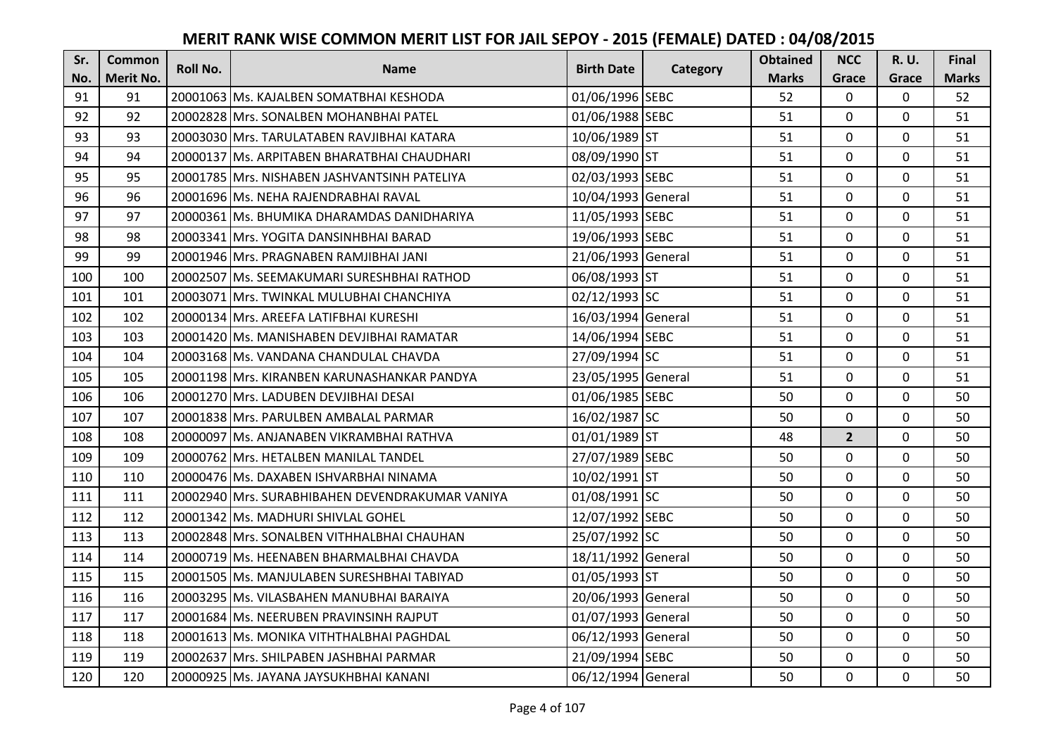| Sr. | <b>Common</b> | <b>Roll No.</b> | <b>Name</b>                                     | <b>Birth Date</b>  |          | <b>Obtained</b> | <b>NCC</b>   | <b>R.U.</b> | Final        |
|-----|---------------|-----------------|-------------------------------------------------|--------------------|----------|-----------------|--------------|-------------|--------------|
| No. | Merit No.     |                 |                                                 |                    | Category | <b>Marks</b>    | Grace        | Grace       | <b>Marks</b> |
| 91  | 91            |                 | 20001063 Ms. KAJALBEN SOMATBHAI KESHODA         | 01/06/1996 SEBC    |          | 52              | 0            | 0           | 52           |
| 92  | 92            |                 | 20002828 Mrs. SONALBEN MOHANBHAI PATEL          | 01/06/1988 SEBC    |          | 51              | $\mathbf{0}$ | 0           | 51           |
| 93  | 93            |                 | 20003030 Mrs. TARULATABEN RAVJIBHAI KATARA      | 10/06/1989 ST      |          | 51              | $\mathbf 0$  | $\Omega$    | 51           |
| 94  | 94            |                 | 20000137 Ms. ARPITABEN BHARATBHAI CHAUDHARI     | 08/09/1990 ST      |          | 51              | $\mathbf 0$  | $\Omega$    | 51           |
| 95  | 95            |                 | 20001785 Mrs. NISHABEN JASHVANTSINH PATELIYA    | 02/03/1993 SEBC    |          | 51              | $\mathbf 0$  | $\mathbf 0$ | 51           |
| 96  | 96            |                 | 20001696 Ms. NEHA RAJENDRABHAI RAVAL            | 10/04/1993 General |          | 51              | $\Omega$     | $\Omega$    | 51           |
| 97  | 97            |                 | 20000361 Ms. BHUMIKA DHARAMDAS DANIDHARIYA      | 11/05/1993 SEBC    |          | 51              | $\mathbf 0$  | $\Omega$    | 51           |
| 98  | 98            |                 | 20003341 Mrs. YOGITA DANSINHBHAI BARAD          | 19/06/1993 SEBC    |          | 51              | $\mathbf{0}$ | $\mathbf 0$ | 51           |
| 99  | 99            |                 | 20001946 Mrs. PRAGNABEN RAMJIBHAI JANI          | 21/06/1993 General |          | 51              | 0            | 0           | 51           |
| 100 | 100           |                 | 20002507 Ms. SEEMAKUMARI SURESHBHAI RATHOD      | 06/08/1993 ST      |          | 51              | $\mathbf 0$  | $\mathbf 0$ | 51           |
| 101 | 101           |                 | 20003071 Mrs. TWINKAL MULUBHAI CHANCHIYA        | 02/12/1993 SC      |          | 51              | $\Omega$     | $\Omega$    | 51           |
| 102 | 102           |                 | 20000134 Mrs. AREEFA LATIFBHAI KURESHI          | 16/03/1994 General |          | 51              | $\mathbf 0$  | 0           | 51           |
| 103 | 103           |                 | 20001420 Ms. MANISHABEN DEVJIBHAI RAMATAR       | 14/06/1994 SEBC    |          | 51              | $\mathbf{0}$ | $\mathbf 0$ | 51           |
| 104 | 104           |                 | 20003168 Ms. VANDANA CHANDULAL CHAVDA           | 27/09/1994 SC      |          | 51              | $\mathbf{0}$ | $\Omega$    | 51           |
| 105 | 105           |                 | 20001198 Mrs. KIRANBEN KARUNASHANKAR PANDYA     | 23/05/1995 General |          | 51              | $\mathbf 0$  | 0           | 51           |
| 106 | 106           |                 | 20001270 Mrs. LADUBEN DEVJIBHAI DESAI           | 01/06/1985 SEBC    |          | 50              | $\mathbf{0}$ | 0           | 50           |
| 107 | 107           |                 | 20001838 Mrs. PARULBEN AMBALAL PARMAR           | 16/02/1987 SC      |          | 50              | $\mathbf{0}$ | $\Omega$    | 50           |
| 108 | 108           |                 | 20000097 Ms. ANJANABEN VIKRAMBHAI RATHVA        | 01/01/1989 ST      |          | 48              | $2^{1}$      | 0           | 50           |
| 109 | 109           |                 | 20000762 Mrs. HETALBEN MANILAL TANDEL           | 27/07/1989 SEBC    |          | 50              | $\mathbf{0}$ | 0           | 50           |
| 110 | 110           |                 | 20000476 Ms. DAXABEN ISHVARBHAI NINAMA          | 10/02/1991 ST      |          | 50              | $\mathbf 0$  | 0           | 50           |
| 111 | 111           |                 | 20002940 Mrs. SURABHIBAHEN DEVENDRAKUMAR VANIYA | 01/08/1991 SC      |          | 50              | $\mathbf 0$  | $\Omega$    | 50           |
| 112 | 112           |                 | 20001342 Ms. MADHURI SHIVLAL GOHEL              | 12/07/1992 SEBC    |          | 50              | $\mathbf{0}$ | $\Omega$    | 50           |
| 113 | 113           |                 | 20002848 Mrs. SONALBEN VITHHALBHAI CHAUHAN      | 25/07/1992 SC      |          | 50              | $\mathbf{0}$ | $\Omega$    | 50           |
| 114 | 114           |                 | 20000719 Ms. HEENABEN BHARMALBHAI CHAVDA        | 18/11/1992 General |          | 50              | $\mathbf 0$  | $\Omega$    | 50           |
| 115 | 115           |                 | 20001505 Ms. MANJULABEN SURESHBHAI TABIYAD      | 01/05/1993 ST      |          | 50              | $\mathbf 0$  | 0           | 50           |
| 116 | 116           |                 | 20003295 Ms. VILASBAHEN MANUBHAI BARAIYA        | 20/06/1993 General |          | 50              | $\mathbf 0$  | $\Omega$    | 50           |
| 117 | 117           |                 | 20001684 Ms. NEERUBEN PRAVINSINH RAJPUT         | 01/07/1993 General |          | 50              | $\mathbf 0$  | 0           | 50           |
| 118 | 118           |                 | 20001613 Ms. MONIKA VITHTHALBHAI PAGHDAL        | 06/12/1993 General |          | 50              | $\Omega$     | $\Omega$    | 50           |
| 119 | 119           |                 | 20002637 Mrs. SHILPABEN JASHBHAI PARMAR         | 21/09/1994 SEBC    |          | 50              | $\mathbf 0$  | 0           | 50           |
| 120 | 120           |                 | 20000925 Ms. JAYANA JAYSUKHBHAI KANANI          | 06/12/1994 General |          | 50              | $\mathbf{0}$ | $\mathbf 0$ | 50           |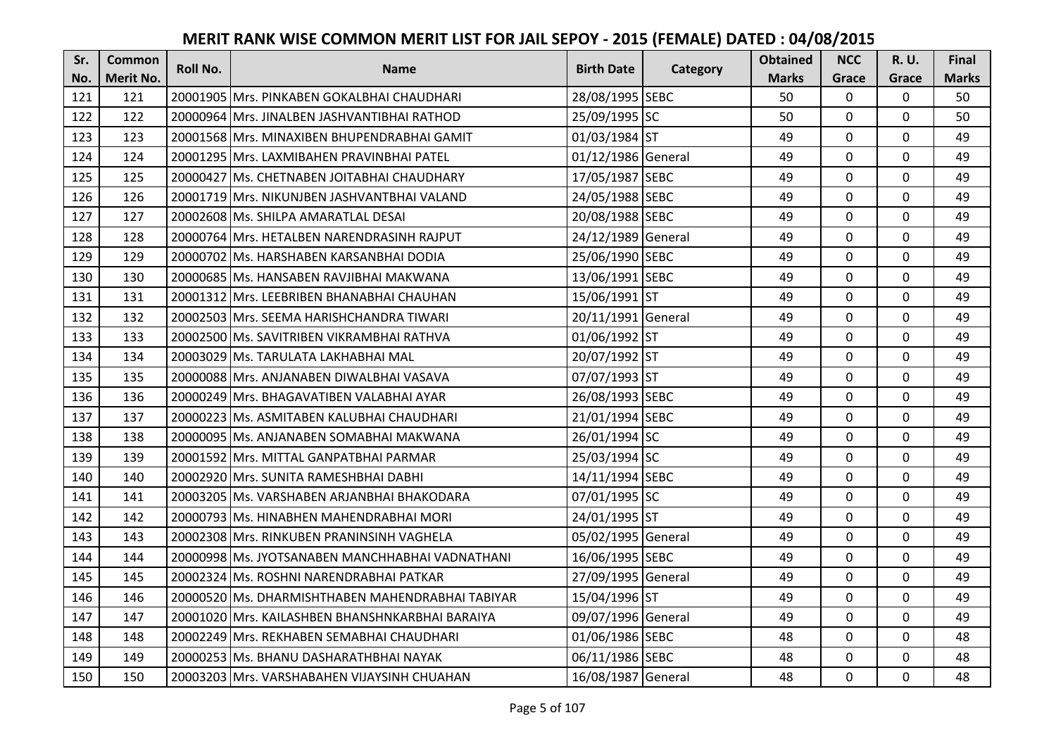| Sr. | <b>Common</b> | <b>Roll No.</b> | <b>Name</b>                                      | <b>Birth Date</b>  |          | <b>Obtained</b> | <b>NCC</b>   | R. U.       | Final        |
|-----|---------------|-----------------|--------------------------------------------------|--------------------|----------|-----------------|--------------|-------------|--------------|
| No. | Merit No.     |                 |                                                  |                    | Category | <b>Marks</b>    | Grace        | Grace       | <b>Marks</b> |
| 121 | 121           |                 | 20001905 Mrs. PINKABEN GOKALBHAI CHAUDHARI       | 28/08/1995 SEBC    |          | 50              | $\mathbf{0}$ | 0           | 50           |
| 122 | 122           |                 | 20000964 IMrs. JINALBEN JASHVANTIBHAI RATHOD     | 25/09/1995 SC      |          | 50              | $\mathbf{0}$ | $\Omega$    | 50           |
| 123 | 123           |                 | 20001568 Mrs. MINAXIBEN BHUPENDRABHAI GAMIT      | 01/03/1984 ST      |          | 49              | 0            | 0           | 49           |
| 124 | 124           |                 | 20001295 Mrs. LAXMIBAHEN PRAVINBHAI PATEL        | 01/12/1986 General |          | 49              | 0            | $\mathbf 0$ | 49           |
| 125 | 125           |                 | 20000427 Ms. CHETNABEN JOITABHAI CHAUDHARY       | 17/05/1987 SEBC    |          | 49              | $\mathbf{0}$ | $\mathbf 0$ | 49           |
| 126 | 126           |                 | 20001719 Mrs. NIKUNJBEN JASHVANTBHAI VALAND      | 24/05/1988 SEBC    |          | 49              | $\mathbf 0$  | 0           | 49           |
| 127 | 127           |                 | 20002608 Ms. SHILPA AMARATLAL DESAI              | 20/08/1988 SEBC    |          | 49              | $\mathbf{0}$ | $\mathbf 0$ | 49           |
| 128 | 128           |                 | 20000764 Mrs. HETALBEN NARENDRASINH RAJPUT       | 24/12/1989 General |          | 49              | 0            | $\mathbf 0$ | 49           |
| 129 | 129           |                 | 20000702 Ms. HARSHABEN KARSANBHAI DODIA          | 25/06/1990 SEBC    |          | 49              | 0            | 0           | 49           |
| 130 | 130           |                 | 20000685 Ms. HANSABEN RAVJIBHAI MAKWANA          | 13/06/1991 SEBC    |          | 49              | 0            | $\mathbf 0$ | 49           |
| 131 | 131           |                 | 20001312 Mrs. LEEBRIBEN BHANABHAI CHAUHAN        | 15/06/1991 ST      |          | 49              | $\Omega$     | $\mathbf 0$ | 49           |
| 132 | 132           |                 | 20002503 Mrs. SEEMA HARISHCHANDRA TIWARI         | 20/11/1991 General |          | 49              | 0            | $\mathbf 0$ | 49           |
| 133 | 133           |                 | 20002500 Ms. SAVITRIBEN VIKRAMBHAI RATHVA        | 01/06/1992 ST      |          | 49              | 0            | $\mathbf 0$ | 49           |
| 134 | 134           |                 | 20003029 Ms. TARULATA LAKHABHAI MAL              | 20/07/1992 ST      |          | 49              | $\mathbf{0}$ | 0           | 49           |
| 135 | 135           |                 | 20000088 Mrs. ANJANABEN DIWALBHAI VASAVA         | 07/07/1993 ST      |          | 49              | 0            | $\mathbf 0$ | 49           |
| 136 | 136           |                 | 20000249 Mrs. BHAGAVATIBEN VALABHAI AYAR         | 26/08/1993 SEBC    |          | 49              | 0            | $\mathbf 0$ | 49           |
| 137 | 137           |                 | 20000223 lMs. ASMITABEN KALUBHAI CHAUDHARI       | 21/01/1994 SEBC    |          | 49              | 0            | 0           | 49           |
| 138 | 138           |                 | 20000095 Ms. ANJANABEN SOMABHAI MAKWANA          | 26/01/1994 SC      |          | 49              | 0            | $\mathbf 0$ | 49           |
| 139 | 139           |                 | 20001592 IMrs. MITTAL GANPATBHAI PARMAR          | 25/03/1994 SC      |          | 49              | $\mathbf 0$  | $\Omega$    | 49           |
| 140 | 140           |                 | 20002920 Mrs. SUNITA RAMESHBHAI DABHI            | 14/11/1994 SEBC    |          | 49              | 0            | 0           | 49           |
| 141 | 141           |                 | 20003205 Ms. VARSHABEN ARJANBHAI BHAKODARA       | 07/01/1995 SC      |          | 49              | 0            | $\mathbf 0$ | 49           |
| 142 | 142           |                 | 20000793 Ms. HINABHEN MAHENDRABHAI MORI          | 24/01/1995 ST      |          | 49              | $\Omega$     | $\Omega$    | 49           |
| 143 | 143           |                 | 20002308 Mrs. RINKUBEN PRANINSINH VAGHELA        | 05/02/1995 General |          | 49              | 0            | $\mathbf 0$ | 49           |
| 144 | 144           |                 | 20000998 Ms. JYOTSANABEN MANCHHABHAI VADNATHANI  | 16/06/1995 SEBC    |          | 49              | 0            | $\mathbf 0$ | 49           |
| 145 | 145           |                 | 20002324 Ms. ROSHNI NARENDRABHAI PATKAR          | 27/09/1995 General |          | 49              | 0            | $\mathbf 0$ | 49           |
| 146 | 146           |                 | 20000520 Ms. DHARMISHTHABEN MAHENDRABHAI TABIYAR | 15/04/1996 ST      |          | 49              | 0            | $\mathbf 0$ | 49           |
| 147 | 147           |                 | 20001020 Mrs. KAILASHBEN BHANSHNKARBHAI BARAIYA  | 09/07/1996 General |          | 49              | 0            | $\mathbf 0$ | 49           |
| 148 | 148           |                 | 20002249 Mrs. REKHABEN SEMABHAI CHAUDHARI        | 01/06/1986 SEBC    |          | 48              | $\Omega$     | $\mathbf 0$ | 48           |
| 149 | 149           |                 | 20000253 Ms. BHANU DASHARATHBHAI NAYAK           | 06/11/1986 SEBC    |          | 48              | 0            | $\mathbf 0$ | 48           |
| 150 | 150           |                 | 20003203 Mrs. VARSHABAHEN VIJAYSINH CHUAHAN      | 16/08/1987 General |          | 48              | 0            | $\mathbf 0$ | 48           |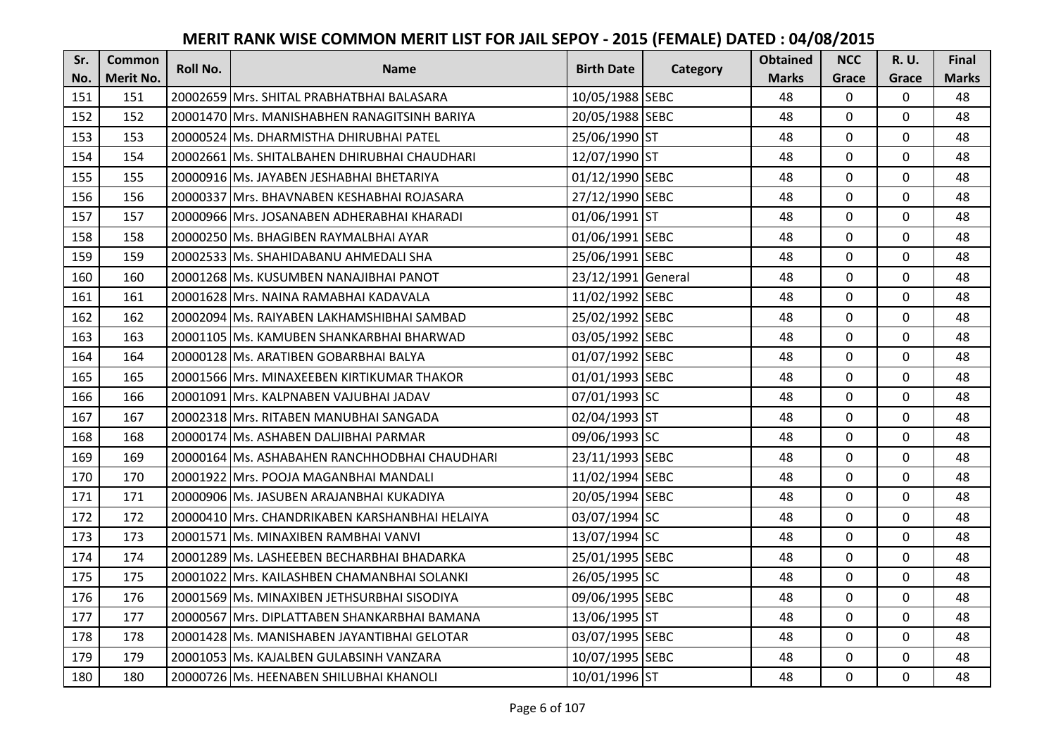| Sr. | <b>Common</b>    | <b>Roll No.</b> | <b>Name</b>                                    | <b>Birth Date</b>  | Category | <b>Obtained</b> | <b>NCC</b>     | <b>R.U.</b>  | Final        |
|-----|------------------|-----------------|------------------------------------------------|--------------------|----------|-----------------|----------------|--------------|--------------|
| No. | <b>Merit No.</b> |                 |                                                |                    |          | <b>Marks</b>    | Grace          | Grace        | <b>Marks</b> |
| 151 | 151              |                 | 20002659 Mrs. SHITAL PRABHATBHAI BALASARA      | 10/05/1988 SEBC    |          | 48              | 0              | 0            | 48           |
| 152 | 152              |                 | 20001470   Mrs. MANISHABHEN RANAGITSINH BARIYA | 20/05/1988 SEBC    |          | 48              | $\mathbf 0$    | 0            | 48           |
| 153 | 153              |                 | 20000524 Ms. DHARMISTHA DHIRUBHAI PATEL        | 25/06/1990 ST      |          | 48              | $\mathbf 0$    | $\mathbf{0}$ | 48           |
| 154 | 154              |                 | 20002661 Ms. SHITALBAHEN DHIRUBHAI CHAUDHARI   | 12/07/1990 ST      |          | 48              | $\mathbf 0$    | 0            | 48           |
| 155 | 155              |                 | 20000916 Ms. JAYABEN JESHABHAI BHETARIYA       | 01/12/1990 SEBC    |          | 48              | $\mathbf 0$    | $\mathbf 0$  | 48           |
| 156 | 156              |                 | 20000337 Mrs. BHAVNABEN KESHABHAI ROJASARA     | 27/12/1990 SEBC    |          | 48              | $\mathbf 0$    | $\mathbf{0}$ | 48           |
| 157 | 157              |                 | 20000966 Mrs. JOSANABEN ADHERABHAI KHARADI     | 01/06/1991 ST      |          | 48              | $\overline{0}$ | $\mathbf 0$  | 48           |
| 158 | 158              |                 | 20000250 Ms. BHAGIBEN RAYMALBHAI AYAR          | 01/06/1991 SEBC    |          | 48              | $\overline{0}$ | $\Omega$     | 48           |
| 159 | 159              |                 | 20002533 Ms. SHAHIDABANU AHMEDALI SHA          | 25/06/1991 SEBC    |          | 48              | 0              | $\mathbf 0$  | 48           |
| 160 | 160              |                 | 20001268 Ms. KUSUMBEN NANAJIBHAI PANOT         | 23/12/1991 General |          | 48              | $\overline{0}$ | 0            | 48           |
| 161 | 161              |                 | 20001628 Mrs. NAINA RAMABHAI KADAVALA          | 11/02/1992 SEBC    |          | 48              | $\Omega$       | 0            | 48           |
| 162 | 162              |                 | 20002094 Ms. RAIYABEN LAKHAMSHIBHAI SAMBAD     | 25/02/1992 SEBC    |          | 48              | 0              | $\mathbf 0$  | 48           |
| 163 | 163              |                 | 20001105 Ms. KAMUBEN SHANKARBHAI BHARWAD       | 03/05/1992 SEBC    |          | 48              | $\overline{0}$ | 0            | 48           |
| 164 | 164              |                 | 20000128 Ms. ARATIBEN GOBARBHAI BALYA          | 01/07/1992 SEBC    |          | 48              | $\mathbf 0$    | 0            | 48           |
| 165 | 165              |                 | 20001566 Mrs. MINAXEEBEN KIRTIKUMAR THAKOR     | 01/01/1993 SEBC    |          | 48              | $\mathbf 0$    | 0            | 48           |
| 166 | 166              |                 | 20001091 Mrs. KALPNABEN VAJUBHAI JADAV         | 07/01/1993 SC      |          | 48              | $\overline{0}$ | 0            | 48           |
| 167 | 167              |                 | 20002318   Mrs. RITABEN MANUBHAI SANGADA       | 02/04/1993 ST      |          | 48              | $\mathbf 0$    | 0            | 48           |
| 168 | 168              |                 | 20000174 Ms. ASHABEN DALJIBHAI PARMAR          | 09/06/1993 SC      |          | 48              | $\mathbf 0$    | 0            | 48           |
| 169 | 169              |                 | 20000164 Ms. ASHABAHEN RANCHHODBHAI CHAUDHARI  | 23/11/1993 SEBC    |          | 48              | $\overline{0}$ | 0            | 48           |
| 170 | 170              |                 | 20001922 Mrs. POOJA MAGANBHAI MANDALI          | 11/02/1994 SEBC    |          | 48              | $\mathbf 0$    | 0            | 48           |
| 171 | 171              |                 | 20000906 Ms. JASUBEN ARAJANBHAI KUKADIYA       | 20/05/1994 SEBC    |          | 48              | $\mathbf 0$    | 0            | 48           |
| 172 | 172              |                 | 20000410 Mrs. CHANDRIKABEN KARSHANBHAI HELAIYA | 03/07/1994 SC      |          | 48              | $\mathbf 0$    | 0            | 48           |
| 173 | 173              |                 | 20001571 Ms. MINAXIBEN RAMBHAI VANVI           | 13/07/1994 SC      |          | 48              | $\overline{0}$ | 0            | 48           |
| 174 | 174              |                 | 20001289 Ms. LASHEEBEN BECHARBHAI BHADARKA     | 25/01/1995 SEBC    |          | 48              | $\mathbf 0$    | $\mathbf 0$  | 48           |
| 175 | 175              |                 | 20001022 Mrs. KAILASHBEN CHAMANBHAI SOLANKI    | 26/05/1995 SC      |          | 48              | $\mathbf 0$    | 0            | 48           |
| 176 | 176              |                 | 20001569 Ms. MINAXIBEN JETHSURBHAI SISODIYA    | 09/06/1995 SEBC    |          | 48              | $\overline{0}$ | $\mathbf 0$  | 48           |
| 177 | 177              |                 | 20000567 Mrs. DIPLATTABEN SHANKARBHAI BAMANA   | 13/06/1995 ST      |          | 48              | $\mathbf 0$    | 0            | 48           |
| 178 | 178              |                 | 20001428 Ms. MANISHABEN JAYANTIBHAI GELOTAR    | 03/07/1995 SEBC    |          | 48              | $\mathbf 0$    | $\mathbf 0$  | 48           |
| 179 | 179              |                 | 20001053 Ms. KAJALBEN GULABSINH VANZARA        | 10/07/1995 SEBC    |          | 48              | $\mathbf 0$    | $\mathbf 0$  | 48           |
| 180 | 180              |                 | 20000726 Ms. HEENABEN SHILUBHAI KHANOLI        | 10/01/1996 ST      |          | 48              | $\overline{0}$ | 0            | 48           |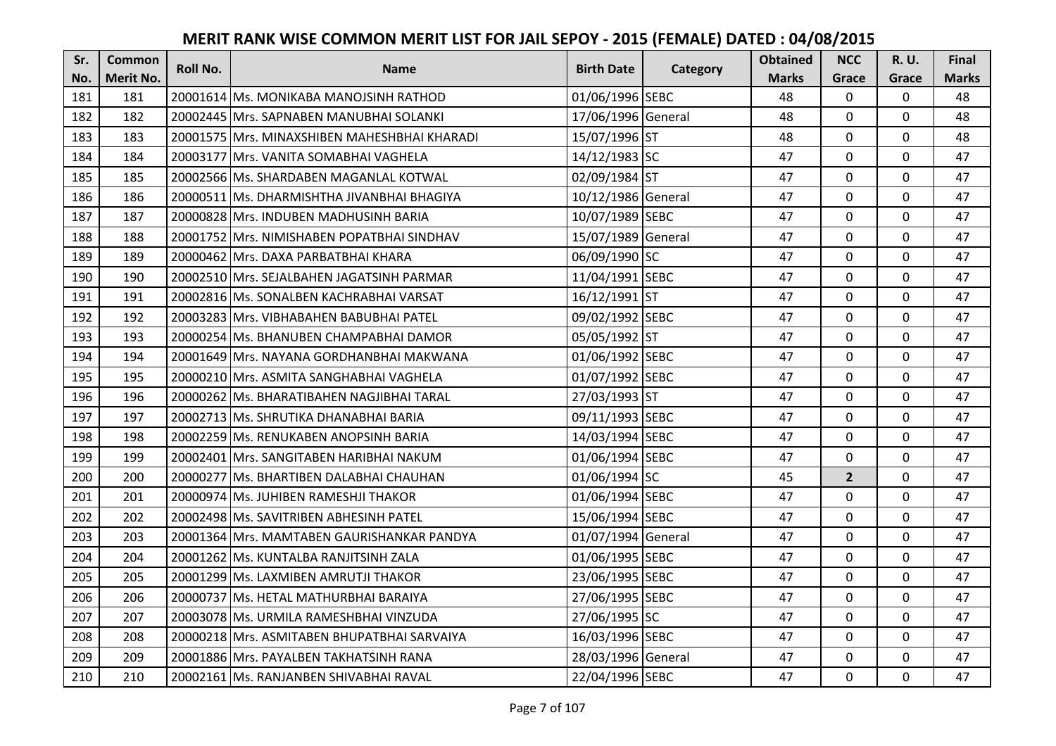| Sr. | <b>Common</b>    | Roll No. | <b>Name</b>                                  | <b>Birth Date</b>  | Category | <b>Obtained</b> | <b>NCC</b>     | R. U.        | <b>Final</b> |
|-----|------------------|----------|----------------------------------------------|--------------------|----------|-----------------|----------------|--------------|--------------|
| No. | <b>Merit No.</b> |          |                                              |                    |          | <b>Marks</b>    | Grace          | Grace        | <b>Marks</b> |
| 181 | 181              |          | 20001614 Ms. MONIKABA MANOJSINH RATHOD       | 01/06/1996 SEBC    |          | 48              | $\mathbf 0$    | $\Omega$     | 48           |
| 182 | 182              |          | 20002445 Mrs. SAPNABEN MANUBHAI SOLANKI      | 17/06/1996 General |          | 48              | $\overline{0}$ | 0            | 48           |
| 183 | 183              |          | 20001575 Mrs. MINAXSHIBEN MAHESHBHAI KHARADI | 15/07/1996 ST      |          | 48              | 0              | $\mathbf{0}$ | 48           |
| 184 | 184              |          | 20003177 Mrs. VANITA SOMABHAI VAGHELA        | 14/12/1983 SC      |          | 47              | $\overline{0}$ | $\mathbf 0$  | 47           |
| 185 | 185              |          | 20002566 Ms. SHARDABEN MAGANLAL KOTWAL       | 02/09/1984 ST      |          | 47              | $\overline{0}$ | 0            | 47           |
| 186 | 186              |          | 20000511 Ms. DHARMISHTHA JIVANBHAI BHAGIYA   | 10/12/1986 General |          | 47              | $\mathbf 0$    | $\mathbf 0$  | 47           |
| 187 | 187              |          | 20000828 Mrs. INDUBEN MADHUSINH BARIA        | 10/07/1989 SEBC    |          | 47              | $\mathbf 0$    | 0            | 47           |
| 188 | 188              |          | 20001752 Mrs. NIMISHABEN POPATBHAI SINDHAV   | 15/07/1989 General |          | 47              | $\mathbf 0$    | $\mathbf 0$  | 47           |
| 189 | 189              |          | 20000462 Mrs. DAXA PARBATBHAI KHARA          | 06/09/1990 SC      |          | 47              | 0              | 0            | 47           |
| 190 | 190              |          | 20002510 Mrs. SEJALBAHEN JAGATSINH PARMAR    | 11/04/1991 SEBC    |          | 47              | $\overline{0}$ | 0            | 47           |
| 191 | 191              |          | 20002816 Ms. SONALBEN KACHRABHAI VARSAT      | 16/12/1991 ST      |          | 47              | $\mathbf 0$    | 0            | 47           |
| 192 | 192              |          | 20003283 Mrs. VIBHABAHEN BABUBHAI PATEL      | 09/02/1992 SEBC    |          | 47              | $\mathbf 0$    | $\mathbf 0$  | 47           |
| 193 | 193              |          | 20000254 Ms. BHANUBEN CHAMPABHAI DAMOR       | 05/05/1992 ST      |          | 47              | $\overline{0}$ | $\mathbf 0$  | 47           |
| 194 | 194              |          | 20001649 Mrs. NAYANA GORDHANBHAI MAKWANA     | 01/06/1992 SEBC    |          | 47              | $\mathbf 0$    | $\Omega$     | 47           |
| 195 | 195              |          | 20000210 Mrs. ASMITA SANGHABHAI VAGHELA      | 01/07/1992 SEBC    |          | 47              | 0              | 0            | 47           |
| 196 | 196              |          | 20000262 Ms. BHARATIBAHEN NAGJIBHAI TARAL    | 27/03/1993 ST      |          | 47              | $\mathbf 0$    | 0            | 47           |
| 197 | 197              |          | 20002713 Ms. SHRUTIKA DHANABHAI BARIA        | 09/11/1993 SEBC    |          | 47              | $\mathbf 0$    | 0            | 47           |
| 198 | 198              |          | 20002259 Ms. RENUKABEN ANOPSINH BARIA        | 14/03/1994 SEBC    |          | 47              | $\mathbf 0$    | 0            | 47           |
| 199 | 199              |          | 20002401 Mrs. SANGITABEN HARIBHAI NAKUM      | 01/06/1994 SEBC    |          | 47              | $\mathbf 0$    | $\mathbf 0$  | 47           |
| 200 | 200              |          | 20000277 Ms. BHARTIBEN DALABHAI CHAUHAN      | 01/06/1994 SC      |          | 45              | $\overline{2}$ | $\mathbf 0$  | 47           |
| 201 | 201              |          | 20000974 Ms. JUHIBEN RAMESHJI THAKOR         | 01/06/1994 SEBC    |          | 47              | $\mathbf 0$    | 0            | 47           |
| 202 | 202              |          | 20002498 Ms. SAVITRIBEN ABHESINH PATEL       | 15/06/1994 SEBC    |          | 47              | $\mathbf{0}$   | $\mathbf{0}$ | 47           |
| 203 | 203              |          | 20001364 Mrs. MAMTABEN GAURISHANKAR PANDYA   | 01/07/1994 General |          | 47              | $\mathbf 0$    | 0            | 47           |
| 204 | 204              |          | 20001262 Ms. KUNTALBA RANJITSINH ZALA        | 01/06/1995 SEBC    |          | 47              | $\overline{0}$ | $\mathbf 0$  | 47           |
| 205 | 205              |          | 20001299 Ms. LAXMIBEN AMRUTJI THAKOR         | 23/06/1995 SEBC    |          | 47              | $\mathbf{0}$   | 0            | 47           |
| 206 | 206              |          | 20000737 Ms. HETAL MATHURBHAI BARAIYA        | 27/06/1995 SEBC    |          | 47              | $\mathbf{0}$   | 0            | 47           |
| 207 | 207              |          | 20003078 Ms. URMILA RAMESHBHAI VINZUDA       | 27/06/1995 SC      |          | 47              | 0              | 0            | 47           |
| 208 | 208              |          | 20000218 Mrs. ASMITABEN BHUPATBHAI SARVAIYA  | 16/03/1996 SEBC    |          | 47              | $\mathbf 0$    | $\mathbf 0$  | 47           |
| 209 | 209              |          | 20001886 Mrs. PAYALBEN TAKHATSINH RANA       | 28/03/1996 General |          | 47              | $\mathbf 0$    | $\mathbf 0$  | 47           |
| 210 | 210              |          | 20002161 Ms. RANJANBEN SHIVABHAI RAVAL       | 22/04/1996 SEBC    |          | 47              | $\mathbf 0$    | 0            | 47           |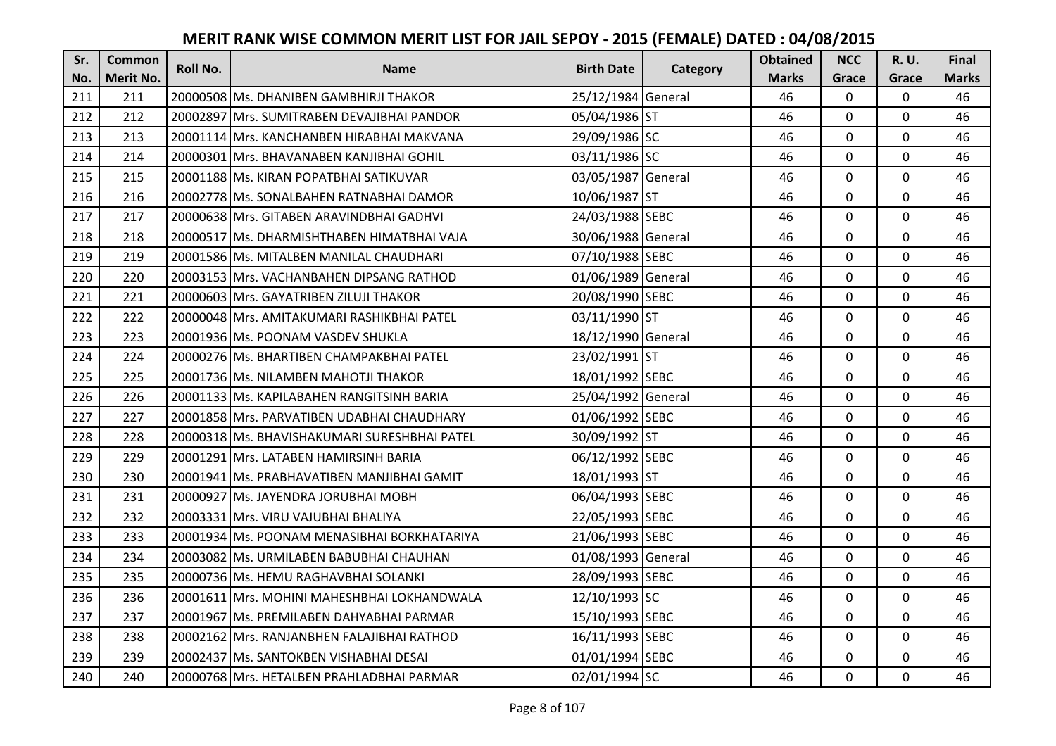| Sr.        | <b>Common</b>           | Roll No. | <b>Name</b>                                  | <b>Birth Date</b>  | <b>Category</b> | <b>Obtained</b>    | <b>NCC</b>     | <b>R.U.</b>          | <b>Final</b>       |
|------------|-------------------------|----------|----------------------------------------------|--------------------|-----------------|--------------------|----------------|----------------------|--------------------|
| No.<br>211 | <b>Merit No.</b><br>211 |          | 20000508 Ms. DHANIBEN GAMBHIRJI THAKOR       | 25/12/1984 General |                 | <b>Marks</b><br>46 | Grace<br>0     | Grace<br>$\mathbf 0$ | <b>Marks</b><br>46 |
|            |                         |          |                                              |                    |                 |                    | $\mathbf{0}$   |                      | 46                 |
| 212        | 212                     |          | 20002897 Mrs. SUMITRABEN DEVAJIBHAI PANDOR   | 05/04/1986 ST      |                 | 46                 |                | $\mathbf 0$          |                    |
| 213        | 213                     |          | 20001114 Mrs. KANCHANBEN HIRABHAI MAKVANA    | 29/09/1986 SC      |                 | 46                 | 0              | 0                    | 46                 |
| 214        | 214                     |          | 20000301 Mrs. BHAVANABEN KANJIBHAI GOHIL     | 03/11/1986 SC      |                 | 46                 | 0              | $\mathbf 0$          | 46                 |
| 215        | 215                     |          | 20001188 Ms. KIRAN POPATBHAI SATIKUVAR       | 03/05/1987 General |                 | 46                 | $\mathbf 0$    | $\mathbf{0}$         | 46                 |
| 216        | 216                     |          | 20002778 Ms. SONALBAHEN RATNABHAI DAMOR      | 10/06/1987 ST      |                 | 46                 | 0              | $\mathbf 0$          | 46                 |
| 217        | 217                     |          | 20000638 Mrs. GITABEN ARAVINDBHAI GADHVI     | 24/03/1988 SEBC    |                 | 46                 | $\mathbf 0$    | $\mathbf 0$          | 46                 |
| 218        | 218                     |          | 20000517 Ms. DHARMISHTHABEN HIMATBHAI VAJA   | 30/06/1988 General |                 | 46                 | $\overline{0}$ | $\mathbf 0$          | 46                 |
| 219        | 219                     |          | 20001586 Ms. MITALBEN MANILAL CHAUDHARI      | 07/10/1988 SEBC    |                 | 46                 | 0              | 0                    | 46                 |
| 220        | 220                     |          | 20003153 Mrs. VACHANBAHEN DIPSANG RATHOD     | 01/06/1989 General |                 | 46                 | 0              | $\mathbf 0$          | 46                 |
| 221        | 221                     |          | 20000603 Mrs. GAYATRIBEN ZILUJI THAKOR       | 20/08/1990 SEBC    |                 | 46                 | $\mathbf{0}$   | $\mathbf 0$          | 46                 |
| 222        | 222                     |          | 20000048 Mrs. AMITAKUMARI RASHIKBHAI PATEL   | 03/11/1990 ST      |                 | 46                 | $\mathbf 0$    | $\mathbf 0$          | 46                 |
| 223        | 223                     |          | 20001936 Ms. POONAM VASDEV SHUKLA            | 18/12/1990 General |                 | 46                 | $\mathbf{0}$   | $\mathbf 0$          | 46                 |
| 224        | 224                     |          | 20000276 Ms. BHARTIBEN CHAMPAKBHAI PATEL     | 23/02/1991 ST      |                 | 46                 | $\mathbf 0$    | 0                    | 46                 |
| 225        | 225                     |          | 20001736 Ms. NILAMBEN MAHOTJI THAKOR         | 18/01/1992 SEBC    |                 | 46                 | $\mathbf{0}$   | $\mathbf 0$          | 46                 |
| 226        | 226                     |          | 20001133 Ms. KAPILABAHEN RANGITSINH BARIA    | 25/04/1992 General |                 | 46                 | $\Omega$       | $\mathbf 0$          | 46                 |
| 227        | 227                     |          | 20001858 Mrs. PARVATIBEN UDABHAI CHAUDHARY   | 01/06/1992 SEBC    |                 | 46                 | 0              | $\mathbf 0$          | 46                 |
| 228        | 228                     |          | 20000318 Ms. BHAVISHAKUMARI SURESHBHAI PATEL | 30/09/1992 ST      |                 | 46                 | $\mathbf 0$    | $\mathbf 0$          | 46                 |
| 229        | 229                     |          | 20001291 Mrs. LATABEN HAMIRSINH BARIA        | 06/12/1992 SEBC    |                 | 46                 | $\mathbf{0}$   | $\mathbf 0$          | 46                 |
| 230        | 230                     |          | 20001941   Ms. PRABHAVATIBEN MANJIBHAI GAMIT | 18/01/1993 ST      |                 | 46                 | 0              | $\mathbf 0$          | 46                 |
| 231        | 231                     |          | 20000927 Ms. JAYENDRA JORUBHAI MOBH          | 06/04/1993 SEBC    |                 | 46                 | $\mathbf 0$    | $\mathbf 0$          | 46                 |
| 232        | 232                     |          | 20003331 Mrs. VIRU VAJUBHAI BHALIYA          | 22/05/1993 SEBC    |                 | 46                 | $\mathbf{0}$   | $\Omega$             | 46                 |
| 233        | 233                     |          | 20001934 Ms. POONAM MENASIBHAI BORKHATARIYA  | 21/06/1993 SEBC    |                 | 46                 | $\mathbf 0$    | $\mathbf 0$          | 46                 |
| 234        | 234                     |          | 20003082 Ms. URMILABEN BABUBHAI CHAUHAN      | 01/08/1993 General |                 | 46                 | $\mathbf 0$    | $\mathbf 0$          | 46                 |
| 235        | 235                     |          | 20000736 Ms. HEMU RAGHAVBHAI SOLANKI         | 28/09/1993 SEBC    |                 | 46                 | $\mathbf{0}$   | $\mathbf 0$          | 46                 |
| 236        | 236                     |          | 20001611 Mrs. MOHINI MAHESHBHAI LOKHANDWALA  | 12/10/1993 SC      |                 | 46                 | $\mathbf 0$    | $\mathbf 0$          | 46                 |
| 237        | 237                     |          | 20001967 Ms. PREMILABEN DAHYABHAI PARMAR     | 15/10/1993 SEBC    |                 | 46                 | 0              | $\mathbf 0$          | 46                 |
| 238        | 238                     |          | 20002162 Mrs. RANJANBHEN FALAJIBHAI RATHOD   | 16/11/1993 SEBC    |                 | 46                 | $\Omega$       | $\mathbf 0$          | 46                 |
| 239        | 239                     |          | 20002437 Ms. SANTOKBEN VISHABHAI DESAI       | 01/01/1994 SEBC    |                 | 46                 | 0              | $\mathbf 0$          | 46                 |
| 240        | 240                     |          | 20000768 Mrs. HETALBEN PRAHLADBHAI PARMAR    | 02/01/1994 SC      |                 | 46                 | 0              | $\mathbf 0$          | 46                 |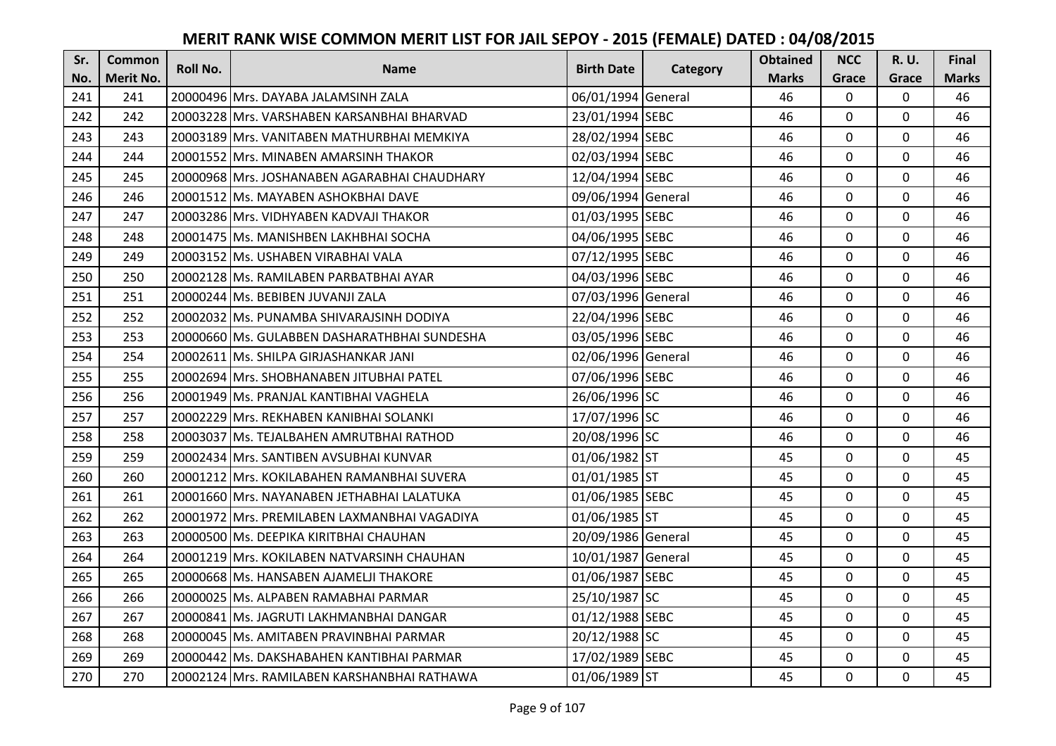| Sr. | <b>Common</b>    | <b>Roll No.</b> | <b>Name</b>                                  | <b>Birth Date</b>  |          | <b>Obtained</b> | <b>NCC</b>   | <b>R.U.</b> | Final        |
|-----|------------------|-----------------|----------------------------------------------|--------------------|----------|-----------------|--------------|-------------|--------------|
| No. | <b>Merit No.</b> |                 |                                              |                    | Category | <b>Marks</b>    | Grace        | Grace       | <b>Marks</b> |
| 241 | 241              |                 | 20000496 Mrs. DAYABA JALAMSINH ZALA          | 06/01/1994 General |          | 46              | 0            | 0           | 46           |
| 242 | 242              |                 | 20003228 Mrs. VARSHABEN KARSANBHAI BHARVAD   | 23/01/1994 SEBC    |          | 46              | $\mathbf 0$  | $\Omega$    | 46           |
| 243 | 243              |                 | 20003189 Mrs. VANITABEN MATHURBHAI MEMKIYA   | 28/02/1994 SEBC    |          | 46              | $\mathbf 0$  | $\Omega$    | 46           |
| 244 | 244              |                 | 20001552 Mrs. MINABEN AMARSINH THAKOR        | 02/03/1994 SEBC    |          | 46              | $\mathbf 0$  | 0           | 46           |
| 245 | 245              |                 | 20000968 Mrs. JOSHANABEN AGARABHAI CHAUDHARY | 12/04/1994 SEBC    |          | 46              | $\mathbf{0}$ | $\mathbf 0$ | 46           |
| 246 | 246              |                 | 20001512 Ms. MAYABEN ASHOKBHAI DAVE          | 09/06/1994 General |          | 46              | $\Omega$     | $\Omega$    | 46           |
| 247 | 247              |                 | 20003286 Mrs. VIDHYABEN KADVAJI THAKOR       | 01/03/1995 SEBC    |          | 46              | $\mathbf{0}$ | 0           | 46           |
| 248 | 248              |                 | 20001475 Ms. MANISHBEN LAKHBHAI SOCHA        | 04/06/1995 SEBC    |          | 46              | $\mathbf{0}$ | $\mathbf 0$ | 46           |
| 249 | 249              |                 | 20003152 Ms. USHABEN VIRABHAI VALA           | 07/12/1995 SEBC    |          | 46              | 0            | 0           | 46           |
| 250 | 250              |                 | 20002128 Ms. RAMILABEN PARBATBHAI AYAR       | 04/03/1996 SEBC    |          | 46              | $\mathbf{0}$ | 0           | 46           |
| 251 | 251              |                 | 20000244 Ms. BEBIBEN JUVANJI ZALA            | 07/03/1996 General |          | 46              | $\Omega$     | 0           | 46           |
| 252 | 252              |                 | 20002032 Ms. PUNAMBA SHIVARAJSINH DODIYA     | 22/04/1996 SEBC    |          | 46              | $\mathbf 0$  | 0           | 46           |
| 253 | 253              |                 | 20000660 Ms. GULABBEN DASHARATHBHAI SUNDESHA | 03/05/1996 SEBC    |          | 46              | $\mathbf{0}$ | 0           | 46           |
| 254 | 254              |                 | 20002611 Ms. SHILPA GIRJASHANKAR JANI        | 02/06/1996 General |          | 46              | $\mathbf 0$  | 0           | 46           |
| 255 | 255              |                 | 20002694 Mrs. SHOBHANABEN JITUBHAI PATEL     | 07/06/1996 SEBC    |          | 46              | $\mathbf 0$  | 0           | 46           |
| 256 | 256              |                 | 20001949 Ms. PRANJAL KANTIBHAI VAGHELA       | 26/06/1996 SC      |          | 46              | $\mathbf{0}$ | $\Omega$    | 46           |
| 257 | 257              |                 | 20002229 Mrs. REKHABEN KANIBHAI SOLANKI      | 17/07/1996 SC      |          | 46              | $\mathbf{0}$ | 0           | 46           |
| 258 | 258              |                 | 20003037 Ms. TEJALBAHEN AMRUTBHAI RATHOD     | 20/08/1996 SC      |          | 46              | $\mathbf{0}$ | 0           | 46           |
| 259 | 259              |                 | 20002434 Mrs. SANTIBEN AVSUBHAI KUNVAR       | 01/06/1982 ST      |          | 45              | $\mathbf 0$  | $\Omega$    | 45           |
| 260 | 260              |                 | 20001212 Mrs. KOKILABAHEN RAMANBHAI SUVERA   | 01/01/1985 ST      |          | 45              | $\mathbf 0$  | 0           | 45           |
| 261 | 261              |                 | 20001660 Mrs. NAYANABEN JETHABHAI LALATUKA   | 01/06/1985 SEBC    |          | 45              | $\mathbf 0$  | $\Omega$    | 45           |
| 262 | 262              |                 | 20001972 Mrs. PREMILABEN LAXMANBHAI VAGADIYA | 01/06/1985 ST      |          | 45              | $\Omega$     | $\Omega$    | 45           |
| 263 | 263              |                 | 20000500 Ms. DEEPIKA KIRITBHAI CHAUHAN       | 20/09/1986 General |          | 45              | $\mathbf 0$  | $\Omega$    | 45           |
| 264 | 264              |                 | 20001219 Mrs. KOKILABEN NATVARSINH CHAUHAN   | 10/01/1987 General |          | 45              | $\mathbf 0$  | $\mathbf 0$ | 45           |
| 265 | 265              |                 | 20000668 Ms. HANSABEN AJAMELJI THAKORE       | 01/06/1987 SEBC    |          | 45              | $\mathbf 0$  | 0           | 45           |
| 266 | 266              |                 | 20000025 Ms. ALPABEN RAMABHAI PARMAR         | 25/10/1987 SC      |          | 45              | $\mathbf 0$  | $\mathbf 0$ | 45           |
| 267 | 267              |                 | 20000841 Ms. JAGRUTI LAKHMANBHAI DANGAR      | 01/12/1988 SEBC    |          | 45              | $\mathbf 0$  | 0           | 45           |
| 268 | 268              |                 | 20000045 Ms. AMITABEN PRAVINBHAI PARMAR      | 20/12/1988 SC      |          | 45              | $\Omega$     | 0           | 45           |
| 269 | 269              |                 | 20000442 Ms. DAKSHABAHEN KANTIBHAI PARMAR    | 17/02/1989 SEBC    |          | 45              | $\mathbf 0$  | 0           | 45           |
| 270 | 270              |                 | 20002124 Mrs. RAMILABEN KARSHANBHAI RATHAWA  | 01/06/1989 ST      |          | 45              | $\mathbf{0}$ | $\mathbf 0$ | 45           |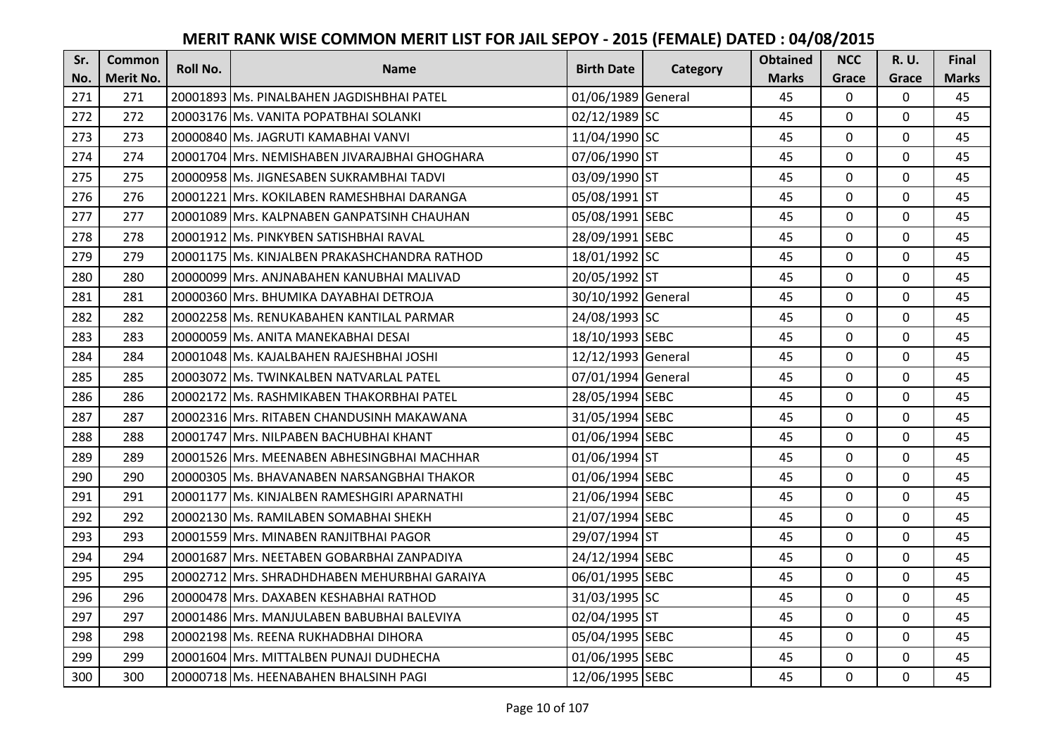| Sr. | <b>Common</b>    | <b>Roll No.</b> | <b>Name</b>                                   | <b>Birth Date</b>  |          | <b>Obtained</b> | <b>NCC</b>   | <b>R.U.</b> | Final        |
|-----|------------------|-----------------|-----------------------------------------------|--------------------|----------|-----------------|--------------|-------------|--------------|
| No. | <b>Merit No.</b> |                 |                                               |                    | Category | <b>Marks</b>    | Grace        | Grace       | <b>Marks</b> |
| 271 | 271              |                 | 20001893 Ms. PINALBAHEN JAGDISHBHAI PATEL     | 01/06/1989 General |          | 45              | 0            | 0           | 45           |
| 272 | 272              |                 | 20003176 Ms. VANITA POPATBHAI SOLANKI         | 02/12/1989 SC      |          | 45              | $\mathbf 0$  | $\Omega$    | 45           |
| 273 | 273              |                 | 20000840 Ms. JAGRUTI KAMABHAI VANVI           | 11/04/1990 SC      |          | 45              | $\mathbf 0$  | $\Omega$    | 45           |
| 274 | 274              |                 | 20001704 Mrs. NEMISHABEN JIVARAJBHAI GHOGHARA | 07/06/1990 ST      |          | 45              | $\mathbf 0$  | 0           | 45           |
| 275 | 275              |                 | 20000958 Ms. JIGNESABEN SUKRAMBHAI TADVI      | 03/09/1990 ST      |          | 45              | $\mathbf 0$  | $\mathbf 0$ | 45           |
| 276 | 276              |                 | 20001221 Mrs. KOKILABEN RAMESHBHAI DARANGA    | 05/08/1991 ST      |          | 45              | $\mathbf 0$  | $\Omega$    | 45           |
| 277 | 277              |                 | 20001089 Mrs. KALPNABEN GANPATSINH CHAUHAN    | 05/08/1991 SEBC    |          | 45              | $\mathbf 0$  | 0           | 45           |
| 278 | 278              |                 | 20001912 Ms. PINKYBEN SATISHBHAI RAVAL        | 28/09/1991 SEBC    |          | 45              | $\mathbf 0$  | 0           | 45           |
| 279 | 279              |                 | 20001175 lMs. KINJALBEN PRAKASHCHANDRA RATHOD | 18/01/1992 SC      |          | 45              | $\mathbf 0$  | 0           | 45           |
| 280 | 280              |                 | 20000099 Mrs. ANJNABAHEN KANUBHAI MALIVAD     | 20/05/1992 ST      |          | 45              | $\mathbf{0}$ | $\mathbf 0$ | 45           |
| 281 | 281              |                 | 20000360 Mrs. BHUMIKA DAYABHAI DETROJA        | 30/10/1992 General |          | 45              | $\Omega$     | $\Omega$    | 45           |
| 282 | 282              |                 | 20002258 Ms. RENUKABAHEN KANTILAL PARMAR      | 24/08/1993 SC      |          | 45              | $\mathbf 0$  | 0           | 45           |
| 283 | 283              |                 | 20000059 Ms. ANITA MANEKABHAI DESAI           | 18/10/1993 SEBC    |          | 45              | $\mathbf{0}$ | $\mathbf 0$ | 45           |
| 284 | 284              |                 | 20001048 Ms. KAJALBAHEN RAJESHBHAI JOSHI      | 12/12/1993 General |          | 45              | $\mathbf 0$  | 0           | 45           |
| 285 | 285              |                 | 20003072 Ms. TWINKALBEN NATVARLAL PATEL       | 07/01/1994 General |          | 45              | $\mathbf 0$  | 0           | 45           |
| 286 | 286              |                 | 20002172 Ms. RASHMIKABEN THAKORBHAI PATEL     | 28/05/1994 SEBC    |          | 45              | $\mathbf{0}$ | $\Omega$    | 45           |
| 287 | 287              |                 | 20002316 Mrs. RITABEN CHANDUSINH MAKAWANA     | 31/05/1994 SEBC    |          | 45              | $\mathbf{0}$ | $\Omega$    | 45           |
| 288 | 288              |                 | 20001747 Mrs. NILPABEN BACHUBHAI KHANT        | 01/06/1994 SEBC    |          | 45              | $\mathbf 0$  | $\Omega$    | 45           |
| 289 | 289              |                 | 20001526 Mrs. MEENABEN ABHESINGBHAI MACHHAR   | 01/06/1994 ST      |          | 45              | $\mathbf 0$  | $\Omega$    | 45           |
| 290 | 290              |                 | 20000305 Ms. BHAVANABEN NARSANGBHAI THAKOR    | 01/06/1994 SEBC    |          | 45              | $\mathbf 0$  | 0           | 45           |
| 291 | 291              |                 | 20001177 Ms. KINJALBEN RAMESHGIRI APARNATHI   | 21/06/1994 SEBC    |          | 45              | $\mathbf 0$  | $\Omega$    | 45           |
| 292 | 292              |                 | 20002130 Ms. RAMILABEN SOMABHAI SHEKH         | 21/07/1994 SEBC    |          | 45              | $\Omega$     | $\Omega$    | 45           |
| 293 | 293              |                 | 20001559 Mrs. MINABEN RANJITBHAI PAGOR        | 29/07/1994 ST      |          | 45              | $\mathbf 0$  | $\mathbf 0$ | 45           |
| 294 | 294              |                 | 20001687 Mrs. NEETABEN GOBARBHAI ZANPADIYA    | 24/12/1994 SEBC    |          | 45              | $\mathbf 0$  | $\mathbf 0$ | 45           |
| 295 | 295              |                 | 20002712 Mrs. SHRADHDHABEN MEHURBHAI GARAIYA  | 06/01/1995 SEBC    |          | 45              | $\mathbf 0$  | 0           | 45           |
| 296 | 296              |                 | 20000478 Mrs. DAXABEN KESHABHAI RATHOD        | 31/03/1995 SC      |          | 45              | $\mathbf 0$  | $\mathbf 0$ | 45           |
| 297 | 297              |                 | 20001486 Mrs. MANJULABEN BABUBHAI BALEVIYA    | 02/04/1995 ST      |          | 45              | $\mathbf 0$  | 0           | 45           |
| 298 | 298              |                 | 20002198 Ms. REENA RUKHADBHAI DIHORA          | 05/04/1995 SEBC    |          | 45              | $\Omega$     | 0           | 45           |
| 299 | 299              |                 | 20001604 Mrs. MITTALBEN PUNAJI DUDHECHA       | 01/06/1995 SEBC    |          | 45              | $\mathbf 0$  | 0           | 45           |
| 300 | 300              |                 | 20000718 Ms. HEENABAHEN BHALSINH PAGI         | 12/06/1995 SEBC    |          | 45              | $\mathbf{0}$ | $\mathbf 0$ | 45           |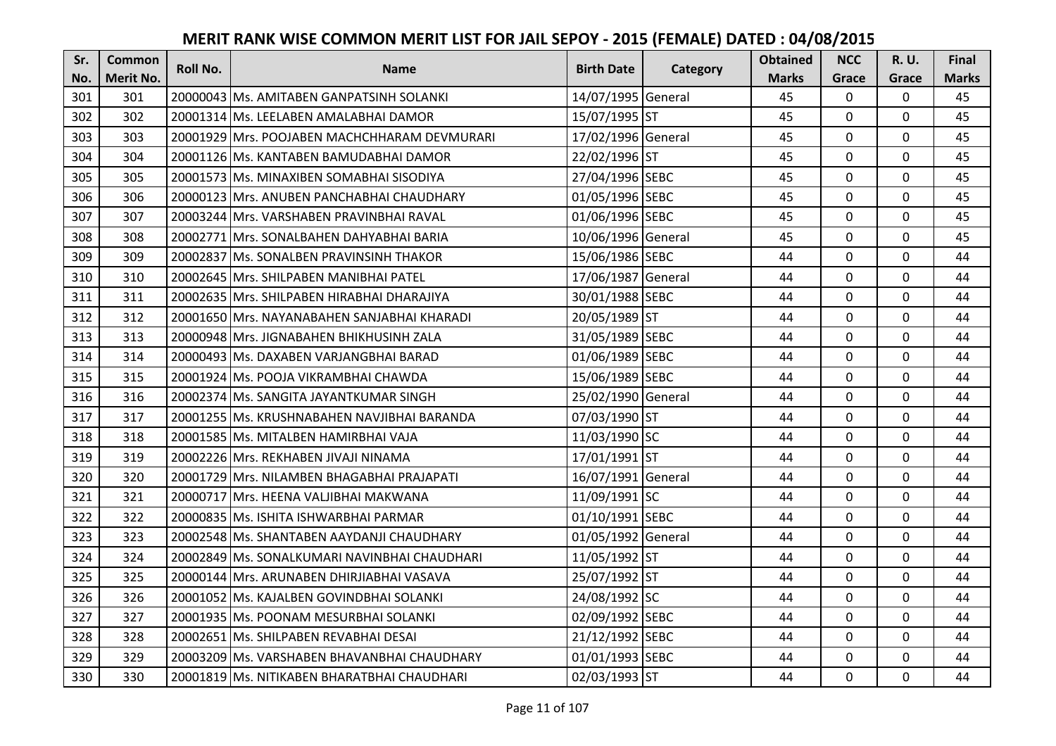| Sr. | <b>Common</b>    | <b>Roll No.</b> | <b>Name</b>                                  | <b>Birth Date</b>  | Category | <b>Obtained</b> | <b>NCC</b>   | R. U.       | <b>Final</b> |
|-----|------------------|-----------------|----------------------------------------------|--------------------|----------|-----------------|--------------|-------------|--------------|
| No. | <b>Merit No.</b> |                 |                                              |                    |          | <b>Marks</b>    | Grace        | Grace       | <b>Marks</b> |
| 301 | 301              |                 | 20000043 Ms. AMITABEN GANPATSINH SOLANKI     | 14/07/1995 General |          | 45              | 0            | 0           | 45           |
| 302 | 302              |                 | 20001314 Ms. LEELABEN AMALABHAI DAMOR        | 15/07/1995 ST      |          | 45              | $\mathbf{0}$ | $\mathbf 0$ | 45           |
| 303 | 303              |                 | 20001929 Mrs. POOJABEN MACHCHHARAM DEVMURARI | 17/02/1996 General |          | 45              | 0            | 0           | 45           |
| 304 | 304              |                 | 20001126 Ms. KANTABEN BAMUDABHAI DAMOR       | 22/02/1996 ST      |          | 45              | 0            | $\mathbf 0$ | 45           |
| 305 | 305              |                 | 20001573 Ms. MINAXIBEN SOMABHAI SISODIYA     | 27/04/1996 SEBC    |          | 45              | $\mathbf{0}$ | $\mathbf 0$ | 45           |
| 306 | 306              |                 | 20000123 Mrs. ANUBEN PANCHABHAI CHAUDHARY    | 01/05/1996 SEBC    |          | 45              | 0            | $\mathbf 0$ | 45           |
| 307 | 307              |                 | 20003244 Mrs. VARSHABEN PRAVINBHAI RAVAL     | 01/06/1996 SEBC    |          | 45              | $\mathbf 0$  | $\mathbf 0$ | 45           |
| 308 | 308              |                 | 20002771 Mrs. SONALBAHEN DAHYABHAI BARIA     | 10/06/1996 General |          | 45              | 0            | $\mathbf 0$ | 45           |
| 309 | 309              |                 | 20002837 Ms. SONALBEN PRAVINSINH THAKOR      | 15/06/1986 SEBC    |          | 44              | 0            | 0           | 44           |
| 310 | 310              |                 | 20002645 Mrs. SHILPABEN MANIBHAI PATEL       | 17/06/1987 General |          | 44              | 0            | $\mathbf 0$ | 44           |
| 311 | 311              |                 | 20002635 Mrs. SHILPABEN HIRABHAI DHARAJIYA   | 30/01/1988 SEBC    |          | 44              | 0            | 0           | 44           |
| 312 | 312              |                 | 20001650 Mrs. NAYANABAHEN SANJABHAI KHARADI  | 20/05/1989 ST      |          | 44              | 0            | $\mathbf 0$ | 44           |
| 313 | 313              |                 | 20000948 Mrs. JIGNABAHEN BHIKHUSINH ZALA     | 31/05/1989 SEBC    |          | 44              | 0            | $\mathbf 0$ | 44           |
| 314 | 314              |                 | 20000493 Ms. DAXABEN VARJANGBHAI BARAD       | 01/06/1989 SEBC    |          | 44              | 0            | 0           | 44           |
| 315 | 315              |                 | 20001924 Ms. POOJA VIKRAMBHAI CHAWDA         | 15/06/1989 SEBC    |          | 44              | 0            | $\mathbf 0$ | 44           |
| 316 | 316              |                 | 20002374 Ms. SANGITA JAYANTKUMAR SINGH       | 25/02/1990 General |          | 44              | $\Omega$     | $\mathbf 0$ | 44           |
| 317 | 317              |                 | 20001255 Ms. KRUSHNABAHEN NAVJIBHAI BARANDA  | 07/03/1990 ST      |          | 44              | 0            | $\mathbf 0$ | 44           |
| 318 | 318              |                 | 20001585 Ms. MITALBEN HAMIRBHAI VAJA         | 11/03/1990 SC      |          | 44              | $\mathbf 0$  | $\mathbf 0$ | 44           |
| 319 | 319              |                 | 20002226 Mrs. REKHABEN JIVAJI NINAMA         | 17/01/1991 ST      |          | 44              | $\mathbf 0$  | $\mathbf 0$ | 44           |
| 320 | 320              |                 | 20001729 Mrs. NILAMBEN BHAGABHAI PRAJAPATI   | 16/07/1991 General |          | 44              | 0            | $\mathbf 0$ | 44           |
| 321 | 321              |                 | 20000717 Mrs. HEENA VALJIBHAI MAKWANA        | 11/09/1991 SC      |          | 44              | 0            | $\mathbf 0$ | 44           |
| 322 | 322              |                 | 20000835 Ms. ISHITA ISHWARBHAI PARMAR        | 01/10/1991 SEBC    |          | 44              | $\mathbf{0}$ | $\Omega$    | 44           |
| 323 | 323              |                 | 20002548 Ms. SHANTABEN AAYDANJI CHAUDHARY    | 01/05/1992 General |          | 44              | 0            | $\mathbf 0$ | 44           |
| 324 | 324              |                 | 20002849 Ms. SONALKUMARI NAVINBHAI CHAUDHARI | 11/05/1992 ST      |          | 44              | 0            | $\mathbf 0$ | 44           |
| 325 | 325              |                 | 20000144 Mrs. ARUNABEN DHIRJIABHAI VASAVA    | 25/07/1992 ST      |          | 44              | 0            | $\mathbf 0$ | 44           |
| 326 | 326              |                 | 20001052 Ms. KAJALBEN GOVINDBHAI SOLANKI     | 24/08/1992 SC      |          | 44              | 0            | $\mathbf 0$ | 44           |
| 327 | 327              |                 | 20001935 Ms. POONAM MESURBHAI SOLANKI        | 02/09/1992 SEBC    |          | 44              | $\mathbf 0$  | $\mathbf 0$ | 44           |
| 328 | 328              |                 | 20002651 Ms. SHILPABEN REVABHAI DESAI        | 21/12/1992 SEBC    |          | 44              | $\mathbf 0$  | $\mathbf 0$ | 44           |
| 329 | 329              |                 | 20003209 Ms. VARSHABEN BHAVANBHAI CHAUDHARY  | 01/01/1993 SEBC    |          | 44              | 0            | $\mathbf 0$ | 44           |
| 330 | 330              |                 | 20001819 Ms. NITIKABEN BHARATBHAI CHAUDHARI  | 02/03/1993 ST      |          | 44              | 0            | $\mathbf 0$ | 44           |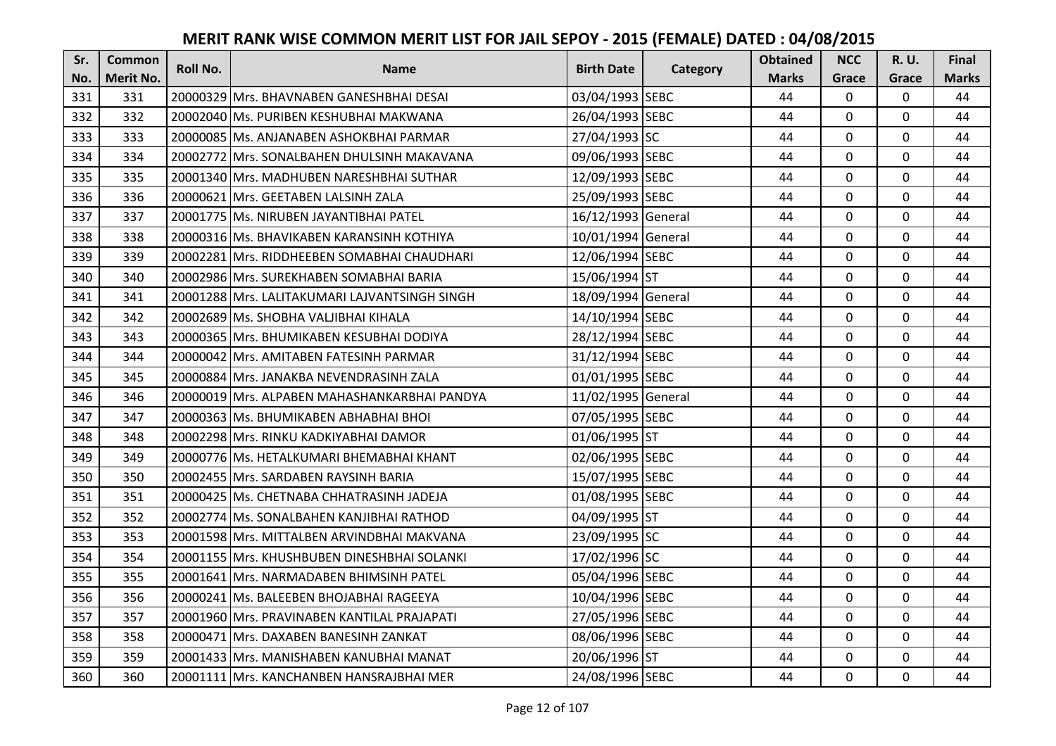| Sr. | <b>Common</b>    | <b>Roll No.</b> | <b>Name</b>                                   | <b>Birth Date</b>  | Category | <b>Obtained</b> | <b>NCC</b>     | <b>R.U.</b>  | Final        |
|-----|------------------|-----------------|-----------------------------------------------|--------------------|----------|-----------------|----------------|--------------|--------------|
| No. | <b>Merit No.</b> |                 |                                               |                    |          | <b>Marks</b>    | Grace          | Grace        | <b>Marks</b> |
| 331 | 331              |                 | 20000329 Mrs. BHAVNABEN GANESHBHAI DESAI      | 03/04/1993 SEBC    |          | 44              | $\mathbf{0}$   | $\mathbf 0$  | 44           |
| 332 | 332              |                 | 20002040 Ms. PURIBEN KESHUBHAI MAKWANA        | 26/04/1993 SEBC    |          | 44              | 0              | $\mathbf 0$  | 44           |
| 333 | 333              |                 | 20000085 Ms. ANJANABEN ASHOKBHAI PARMAR       | 27/04/1993 SC      |          | 44              | 0              | 0            | 44           |
| 334 | 334              |                 | 20002772 Mrs. SONALBAHEN DHULSINH MAKAVANA    | 09/06/1993 SEBC    |          | 44              | 0              | $\mathbf 0$  | 44           |
| 335 | 335              |                 | 20001340 Mrs. MADHUBEN NARESHBHAI SUTHAR      | 12/09/1993 SEBC    |          | 44              | $\mathbf{0}$   | $\mathbf{0}$ | 44           |
| 336 | 336              |                 | 20000621 Mrs. GEETABEN LALSINH ZALA           | 25/09/1993 SEBC    |          | 44              | $\mathbf 0$    | $\mathbf 0$  | 44           |
| 337 | 337              |                 | 20001775 Ms. NIRUBEN JAYANTIBHAI PATEL        | 16/12/1993 General |          | 44              | 0              | $\mathbf 0$  | 44           |
| 338 | 338              |                 | 20000316 Ms. BHAVIKABEN KARANSINH KOTHIYA     | 10/01/1994 General |          | 44              | 0              | $\mathbf 0$  | 44           |
| 339 | 339              |                 | 20002281 Mrs. RIDDHEEBEN SOMABHAI CHAUDHARI   | 12/06/1994 SEBC    |          | 44              | 0              | 0            | 44           |
| 340 | 340              |                 | 20002986 Mrs. SUREKHABEN SOMABHAI BARIA       | 15/06/1994 ST      |          | 44              | 0              | $\mathbf 0$  | 44           |
| 341 | 341              |                 | 20001288 Mrs. LALITAKUMARI LAJVANTSINGH SINGH | 18/09/1994 General |          | 44              | 0              | $\mathbf 0$  | 44           |
| 342 | 342              |                 | 20002689 Ms. SHOBHA VALJIBHAI KIHALA          | 14/10/1994 SEBC    |          | 44              | $\mathbf{0}$   | $\mathbf 0$  | 44           |
| 343 | 343              |                 | 20000365 Mrs. BHUMIKABEN KESUBHAI DODIYA      | 28/12/1994 SEBC    |          | 44              | $\mathbf{0}$   | $\mathbf 0$  | 44           |
| 344 | 344              |                 | 20000042 Mrs. AMITABEN FATESINH PARMAR        | 31/12/1994 SEBC    |          | 44              | $\mathbf{0}$   | 0            | 44           |
| 345 | 345              |                 | 20000884 Mrs. JANAKBA NEVENDRASINH ZALA       | 01/01/1995 SEBC    |          | 44              | 0              | $\mathbf 0$  | 44           |
| 346 | 346              |                 | 20000019 Mrs. ALPABEN MAHASHANKARBHAI PANDYA  | 11/02/1995 General |          | 44              | $\Omega$       | $\mathbf 0$  | 44           |
| 347 | 347              |                 | 20000363 Ms. BHUMIKABEN ABHABHAI BHOI         | 07/05/1995 SEBC    |          | 44              | 0              | $\mathbf 0$  | 44           |
| 348 | 348              |                 | 20002298 Mrs. RINKU KADKIYABHAI DAMOR         | 01/06/1995 ST      |          | 44              | 0              | $\mathbf 0$  | 44           |
| 349 | 349              |                 | 20000776 Ms. HETALKUMARI BHEMABHAI KHANT      | 02/06/1995 SEBC    |          | 44              | $\overline{0}$ | $\mathbf 0$  | 44           |
| 350 | 350              |                 | 20002455 Mrs. SARDABEN RAYSINH BARIA          | 15/07/1995 SEBC    |          | 44              | 0              | $\mathbf 0$  | 44           |
| 351 | 351              |                 | 20000425 Ms. CHETNABA CHHATRASINH JADEJA      | 01/08/1995 SEBC    |          | 44              | $\mathbf 0$    | $\mathbf 0$  | 44           |
| 352 | 352              |                 | 20002774 Ms. SONALBAHEN KANJIBHAI RATHOD      | 04/09/1995 ST      |          | 44              | $\mathbf{0}$   | $\Omega$     | 44           |
| 353 | 353              |                 | 20001598 Mrs. MITTALBEN ARVINDBHAI MAKVANA    | 23/09/1995 SC      |          | 44              | $\mathbf 0$    | $\mathbf 0$  | 44           |
| 354 | 354              |                 | 20001155 Mrs. KHUSHBUBEN DINESHBHAI SOLANKI   | 17/02/1996 SC      |          | 44              | $\mathbf{0}$   | $\mathbf 0$  | 44           |
| 355 | 355              |                 | 20001641 Mrs. NARMADABEN BHIMSINH PATEL       | 05/04/1996 SEBC    |          | 44              | $\mathbf{0}$   | $\mathbf 0$  | 44           |
| 356 | 356              |                 | 20000241 Ms. BALEEBEN BHOJABHAI RAGEEYA       | 10/04/1996 SEBC    |          | 44              | 0              | $\mathbf 0$  | 44           |
| 357 | 357              |                 | 20001960 Mrs. PRAVINABEN KANTILAL PRAJAPATI   | 27/05/1996 SEBC    |          | 44              | 0              | $\mathbf 0$  | 44           |
| 358 | 358              |                 | 20000471 Mrs. DAXABEN BANESINH ZANKAT         | 08/06/1996 SEBC    |          | 44              | $\Omega$       | $\mathbf 0$  | 44           |
| 359 | 359              |                 | 20001433 Mrs. MANISHABEN KANUBHAI MANAT       | 20/06/1996 ST      |          | 44              | 0              | $\mathbf 0$  | 44           |
| 360 | 360              |                 | 20001111 Mrs. KANCHANBEN HANSRAJBHAI MER      | 24/08/1996 SEBC    |          | 44              | $\overline{0}$ | $\mathbf 0$  | 44           |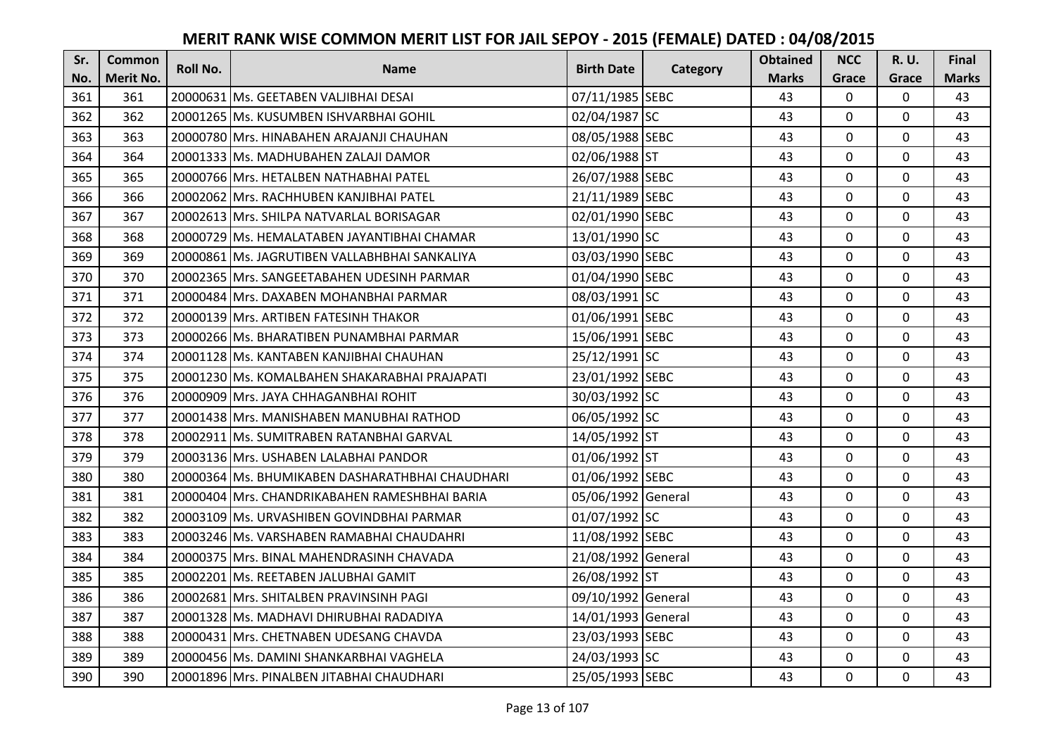| Sr. | <b>Common</b> | <b>Roll No.</b> | <b>Name</b>                                     | <b>Birth Date</b>  | Category | <b>Obtained</b> | <b>NCC</b>     | R. U.       | Final        |
|-----|---------------|-----------------|-------------------------------------------------|--------------------|----------|-----------------|----------------|-------------|--------------|
| No. | Merit No.     |                 |                                                 |                    |          | <b>Marks</b>    | Grace          | Grace       | <b>Marks</b> |
| 361 | 361           |                 | 20000631 Ms. GEETABEN VALJIBHAI DESAI           | 07/11/1985 SEBC    |          | 43              | $\mathbf 0$    | 0           | 43           |
| 362 | 362           |                 | 20001265 Ms. KUSUMBEN ISHVARBHAI GOHIL          | 02/04/1987 SC      |          | 43              | $\mathbf{0}$   | 0           | 43           |
| 363 | 363           |                 | 20000780 Mrs. HINABAHEN ARAJANJI CHAUHAN        | 08/05/1988 SEBC    |          | 43              | $\mathbf 0$    | 0           | 43           |
| 364 | 364           |                 | 20001333 Ms. MADHUBAHEN ZALAJI DAMOR            | 02/06/1988 ST      |          | 43              | $\mathbf{0}$   | $\mathbf 0$ | 43           |
| 365 | 365           |                 | 20000766 Mrs. HETALBEN NATHABHAI PATEL          | 26/07/1988 SEBC    |          | 43              | $\mathbf{0}$   | $\mathbf 0$ | 43           |
| 366 | 366           |                 | 20002062 Mrs. RACHHUBEN KANJIBHAI PATEL         | 21/11/1989 SEBC    |          | 43              | $\mathbf 0$    | 0           | 43           |
| 367 | 367           |                 | 20002613 Mrs. SHILPA NATVARLAL BORISAGAR        | 02/01/1990 SEBC    |          | 43              | $\mathbf{0}$   | $\mathbf 0$ | 43           |
| 368 | 368           |                 | 20000729 Ms. HEMALATABEN JAYANTIBHAI CHAMAR     | 13/01/1990 SC      |          | 43              | $\mathbf 0$    | $\mathbf 0$ | 43           |
| 369 | 369           |                 | 20000861 Ms. JAGRUTIBEN VALLABHBHAI SANKALIYA   | 03/03/1990 SEBC    |          | 43              | $\mathbf 0$    | $\mathbf 0$ | 43           |
| 370 | 370           |                 | 20002365 Mrs. SANGEETABAHEN UDESINH PARMAR      | 01/04/1990 SEBC    |          | 43              | $\overline{0}$ | $\mathbf 0$ | 43           |
| 371 | 371           |                 | 20000484 Mrs. DAXABEN MOHANBHAI PARMAR          | 08/03/1991 SC      |          | 43              | $\Omega$       | $\mathbf 0$ | 43           |
| 372 | 372           |                 | 20000139 Mrs. ARTIBEN FATESINH THAKOR           | 01/06/1991 SEBC    |          | 43              | $\mathbf 0$    | $\mathbf 0$ | 43           |
| 373 | 373           |                 | 20000266 Ms. BHARATIBEN PUNAMBHAI PARMAR        | 15/06/1991 SEBC    |          | 43              | $\overline{0}$ | $\mathbf 0$ | 43           |
| 374 | 374           |                 | 20001128 Ms. KANTABEN KANJIBHAI CHAUHAN         | 25/12/1991 SC      |          | 43              | $\mathbf 0$    | $\mathbf 0$ | 43           |
| 375 | 375           |                 | 20001230 Ms. KOMALBAHEN SHAKARABHAI PRAJAPATI   | 23/01/1992 SEBC    |          | 43              | 0              | $\mathbf 0$ | 43           |
| 376 | 376           |                 | 20000909 Mrs. JAYA CHHAGANBHAI ROHIT            | 30/03/1992 SC      |          | 43              | $\mathbf 0$    | $\mathbf 0$ | 43           |
| 377 | 377           |                 | 20001438 Mrs. MANISHABEN MANUBHAI RATHOD        | 06/05/1992 SC      |          | 43              | $\mathbf 0$    | 0           | 43           |
| 378 | 378           |                 | 20002911 Ms. SUMITRABEN RATANBHAI GARVAL        | 14/05/1992 ST      |          | 43              | $\mathbf 0$    | $\mathbf 0$ | 43           |
| 379 | 379           |                 | 20003136 Mrs. USHABEN LALABHAI PANDOR           | 01/06/1992 ST      |          | 43              | $\mathbf 0$    | $\mathbf 0$ | 43           |
| 380 | 380           |                 | 20000364 Ms. BHUMIKABEN DASHARATHBHAI CHAUDHARI | 01/06/1992 SEBC    |          | 43              | $\mathbf 0$    | $\mathbf 0$ | 43           |
| 381 | 381           |                 | 20000404 Mrs. CHANDRIKABAHEN RAMESHBHAI BARIA   | 05/06/1992 General |          | 43              | $\mathbf 0$    | $\mathbf 0$ | 43           |
| 382 | 382           |                 | 20003109 Ms. URVASHIBEN GOVINDBHAI PARMAR       | 01/07/1992 SC      |          | 43              | $\mathbf 0$    | $\Omega$    | 43           |
| 383 | 383           |                 | 20003246 Ms. VARSHABEN RAMABHAI CHAUDAHRI       | 11/08/1992 SEBC    |          | 43              | $\overline{0}$ | $\mathbf 0$ | 43           |
| 384 | 384           |                 | 20000375 Mrs. BINAL MAHENDRASINH CHAVADA        | 21/08/1992 General |          | 43              | $\mathbf 0$    | $\mathbf 0$ | 43           |
| 385 | 385           |                 | 20002201 Ms. REETABEN JALUBHAI GAMIT            | 26/08/1992 ST      |          | 43              | $\mathbf 0$    | $\mathbf 0$ | 43           |
| 386 | 386           |                 | 20002681 Mrs. SHITALBEN PRAVINSINH PAGI         | 09/10/1992 General |          | 43              | $\overline{0}$ | $\mathbf 0$ | 43           |
| 387 | 387           |                 | 20001328 Ms. MADHAVI DHIRUBHAI RADADIYA         | 14/01/1993 General |          | 43              | $\mathbf 0$    | $\mathbf 0$ | 43           |
| 388 | 388           |                 | 20000431 Mrs. CHETNABEN UDESANG CHAVDA          | 23/03/1993 SEBC    |          | 43              | $\Omega$       | $\mathbf 0$ | 43           |
| 389 | 389           |                 | 20000456 Ms. DAMINI SHANKARBHAI VAGHELA         | 24/03/1993 SC      |          | 43              | 0              | $\mathbf 0$ | 43           |
| 390 | 390           |                 | 20001896 Mrs. PINALBEN JITABHAI CHAUDHARI       | 25/05/1993 SEBC    |          | 43              | $\overline{0}$ | $\mathbf 0$ | 43           |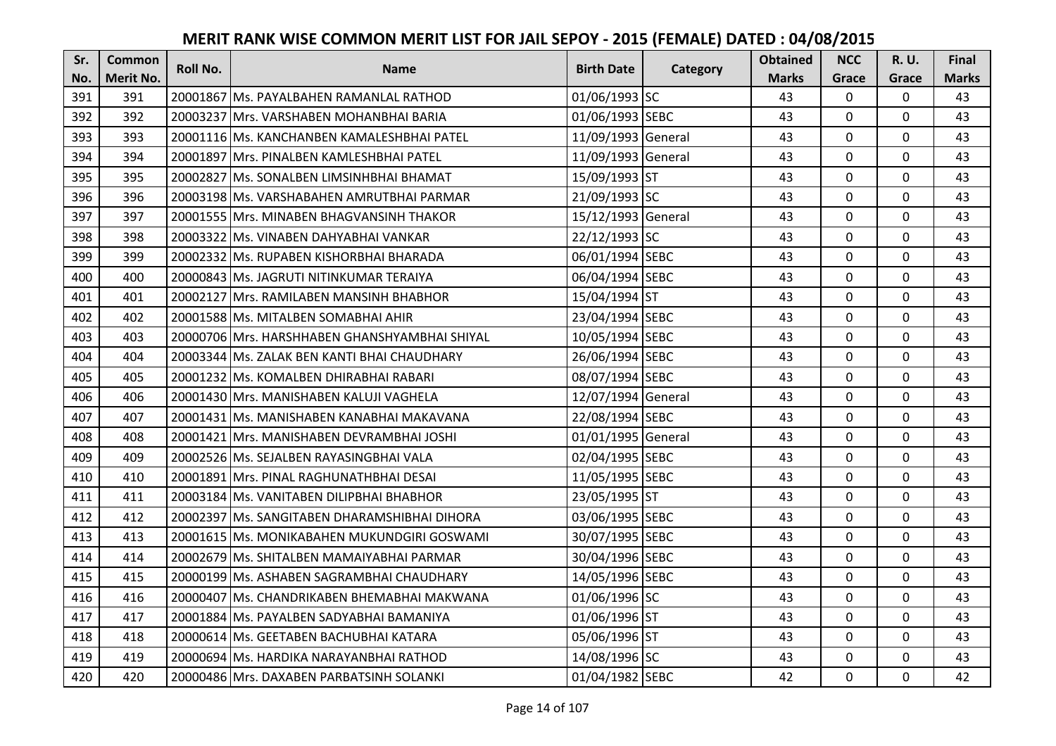| Sr. | <b>Common</b>    | <b>Roll No.</b> | <b>Name</b>                                   | <b>Birth Date</b>  |          | <b>Obtained</b> | <b>NCC</b>     | <b>R.U.</b>  | <b>Final</b> |
|-----|------------------|-----------------|-----------------------------------------------|--------------------|----------|-----------------|----------------|--------------|--------------|
| No. | <b>Merit No.</b> |                 |                                               |                    | Category | <b>Marks</b>    | Grace          | Grace        | <b>Marks</b> |
| 391 | 391              |                 | 20001867 Ms. PAYALBAHEN RAMANLAL RATHOD       | 01/06/1993 SC      |          | 43              | $\mathbf 0$    | 0            | 43           |
| 392 | 392              |                 | 20003237 IMrs. VARSHABEN MOHANBHAI BARIA      | 01/06/1993 SEBC    |          | 43              | $\mathbf 0$    | $\mathbf 0$  | 43           |
| 393 | 393              |                 | 20001116 lMs. KANCHANBEN KAMALESHBHAI PATEL   | 11/09/1993 General |          | 43              | $\Omega$       | 0            | 43           |
| 394 | 394              |                 | 20001897 Mrs. PINALBEN KAMLESHBHAI PATEL      | 11/09/1993 General |          | 43              | $\mathbf 0$    | $\mathbf 0$  | 43           |
| 395 | 395              |                 | 20002827 Ms. SONALBEN LIMSINHBHAI BHAMAT      | 15/09/1993 ST      |          | 43              | $\mathbf{0}$   | $\mathbf 0$  | 43           |
| 396 | 396              |                 | 20003198 Ms. VARSHABAHEN AMRUTBHAI PARMAR     | 21/09/1993 SC      |          | 43              | $\mathbf 0$    | 0            | 43           |
| 397 | 397              |                 | 20001555 Mrs. MINABEN BHAGVANSINH THAKOR      | 15/12/1993 General |          | 43              | $\mathbf 0$    | $\mathbf 0$  | 43           |
| 398 | 398              |                 | 20003322 Ms. VINABEN DAHYABHAI VANKAR         | 22/12/1993 SC      |          | 43              | $\overline{0}$ | $\mathbf 0$  | 43           |
| 399 | 399              |                 | 20002332 Ms. RUPABEN KISHORBHAI BHARADA       | 06/01/1994 SEBC    |          | 43              | 0              | $\mathbf 0$  | 43           |
| 400 | 400              |                 | 20000843 Ms. JAGRUTI NITINKUMAR TERAIYA       | 06/04/1994 SEBC    |          | 43              | $\overline{0}$ | $\mathbf{0}$ | 43           |
| 401 | 401              |                 | 20002127 Mrs. RAMILABEN MANSINH BHABHOR       | 15/04/1994 ST      |          | 43              | $\Omega$       | $\mathbf 0$  | 43           |
| 402 | 402              |                 | 20001588 Ms. MITALBEN SOMABHAI AHIR           | 23/04/1994 SEBC    |          | 43              | 0              | $\mathbf 0$  | 43           |
| 403 | 403              |                 | 20000706 Mrs. HARSHHABEN GHANSHYAMBHAI SHIYAL | 10/05/1994 SEBC    |          | 43              | 0              | $\mathbf 0$  | 43           |
| 404 | 404              |                 | 20003344 Ms. ZALAK BEN KANTI BHAI CHAUDHARY   | 26/06/1994 SEBC    |          | 43              | $\mathbf 0$    | 0            | 43           |
| 405 | 405              |                 | 20001232 Ms. KOMALBEN DHIRABHAI RABARI        | 08/07/1994 SEBC    |          | 43              | 0              | $\mathbf 0$  | 43           |
| 406 | 406              |                 | 20001430 Mrs. MANISHABEN KALUJI VAGHELA       | 12/07/1994 General |          | 43              | $\overline{0}$ | $\mathbf 0$  | 43           |
| 407 | 407              |                 | 20001431 lMs. MANISHABEN KANABHAI MAKAVANA    | 22/08/1994 SEBC    |          | 43              | 0              | $\mathbf 0$  | 43           |
| 408 | 408              |                 | 20001421 Mrs. MANISHABEN DEVRAMBHAI JOSHI     | 01/01/1995 General |          | 43              | 0              | $\mathbf 0$  | 43           |
| 409 | 409              |                 | 20002526 Ms. SEJALBEN RAYASINGBHAI VALA       | 02/04/1995 SEBC    |          | 43              | $\mathbf{0}$   | $\Omega$     | 43           |
| 410 | 410              |                 | 20001891 Mrs. PINAL RAGHUNATHBHAI DESAI       | 11/05/1995 SEBC    |          | 43              | 0              | 0            | 43           |
| 411 | 411              |                 | 20003184 Ms. VANITABEN DILIPBHAI BHABHOR      | 23/05/1995 ST      |          | 43              | $\mathbf{0}$   | $\mathbf 0$  | 43           |
| 412 | 412              |                 | 20002397 Ms. SANGITABEN DHARAMSHIBHAI DIHORA  | 03/06/1995 SEBC    |          | 43              | $\Omega$       | $\Omega$     | 43           |
| 413 | 413              |                 | 20001615 Ms. MONIKABAHEN MUKUNDGIRI GOSWAMI   | 30/07/1995 SEBC    |          | 43              | 0              | $\mathbf 0$  | 43           |
| 414 | 414              |                 | 20002679 Ms. SHITALBEN MAMAIYABHAI PARMAR     | 30/04/1996 SEBC    |          | 43              | 0              | $\mathbf 0$  | 43           |
| 415 | 415              |                 | 20000199 Ms. ASHABEN SAGRAMBHAI CHAUDHARY     | 14/05/1996 SEBC    |          | 43              | $\mathbf 0$    | $\mathbf 0$  | 43           |
| 416 | 416              |                 | 20000407 Ms. CHANDRIKABEN BHEMABHAI MAKWANA   | 01/06/1996 SC      |          | 43              | 0              | $\mathbf 0$  | 43           |
| 417 | 417              |                 | 20001884 Ms. PAYALBEN SADYABHAI BAMANIYA      | 01/06/1996 ST      |          | 43              | 0              | $\mathbf 0$  | 43           |
| 418 | 418              |                 | 20000614 Ms. GEETABEN BACHUBHAI KATARA        | 05/06/1996 ST      |          | 43              | $\Omega$       | $\mathbf 0$  | 43           |
| 419 | 419              |                 | 20000694   Ms. HARDIKA NARAYANBHAI RATHOD     | 14/08/1996 SC      |          | 43              | 0              | $\mathbf 0$  | 43           |
| 420 | 420              |                 | 20000486 Mrs. DAXABEN PARBATSINH SOLANKI      | 01/04/1982 SEBC    |          | 42              | 0              | $\mathbf 0$  | 42           |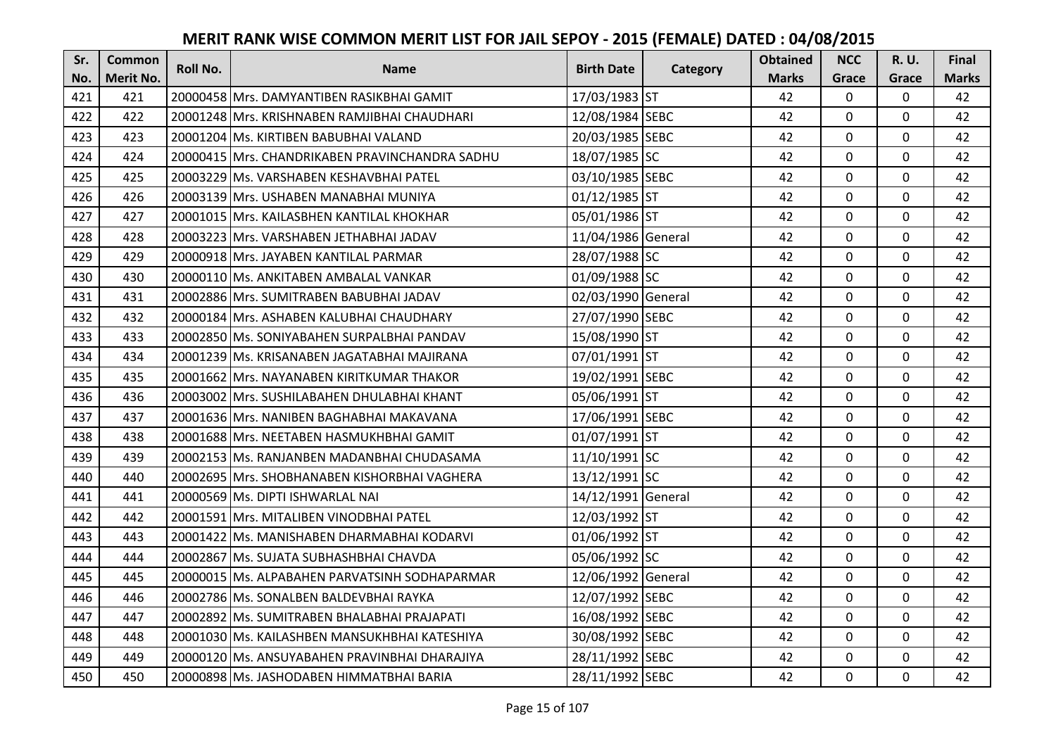| Sr. | <b>Common</b>    | <b>Roll No.</b> | <b>Name</b>                                    | <b>Birth Date</b>  |          | <b>Obtained</b> | <b>NCC</b>   | <b>R.U.</b> | Final        |
|-----|------------------|-----------------|------------------------------------------------|--------------------|----------|-----------------|--------------|-------------|--------------|
| No. | <b>Merit No.</b> |                 |                                                |                    | Category | <b>Marks</b>    | Grace        | Grace       | <b>Marks</b> |
| 421 | 421              |                 | 20000458 Mrs. DAMYANTIBEN RASIKBHAI GAMIT      | 17/03/1983 ST      |          | 42              | 0            | 0           | 42           |
| 422 | 422              |                 | 20001248 Mrs. KRISHNABEN RAMJIBHAI CHAUDHARI   | 12/08/1984 SEBC    |          | 42              | $\mathbf 0$  | $\Omega$    | 42           |
| 423 | 423              |                 | 20001204 Ms. KIRTIBEN BABUBHAI VALAND          | 20/03/1985 SEBC    |          | 42              | $\mathbf 0$  | $\Omega$    | 42           |
| 424 | 424              |                 | 20000415 Mrs. CHANDRIKABEN PRAVINCHANDRA SADHU | 18/07/1985 SC      |          | 42              | $\mathbf 0$  | 0           | 42           |
| 425 | 425              |                 | 20003229 Ms. VARSHABEN KESHAVBHAI PATEL        | 03/10/1985 SEBC    |          | 42              | $\mathbf 0$  | 0           | 42           |
| 426 | 426              |                 | 20003139 Mrs. USHABEN MANABHAI MUNIYA          | 01/12/1985 ST      |          | 42              | $\Omega$     | $\Omega$    | 42           |
| 427 | 427              |                 | 20001015 Mrs. KAILASBHEN KANTILAL KHOKHAR      | 05/01/1986 ST      |          | 42              | $\mathbf 0$  | $\Omega$    | 42           |
| 428 | 428              |                 | 20003223 Mrs. VARSHABEN JETHABHAI JADAV        | 11/04/1986 General |          | 42              | $\mathbf{0}$ | $\mathbf 0$ | 42           |
| 429 | 429              |                 | 20000918 Mrs. JAYABEN KANTILAL PARMAR          | 28/07/1988 SC      |          | 42              | 0            | 0           | 42           |
| 430 | 430              |                 | 20000110 Ms. ANKITABEN AMBALAL VANKAR          | 01/09/1988 SC      |          | 42              | $\mathbf{0}$ | 0           | 42           |
| 431 | 431              |                 | 20002886 Mrs. SUMITRABEN BABUBHAI JADAV        | 02/03/1990 General |          | 42              | $\Omega$     | $\Omega$    | 42           |
| 432 | 432              |                 | 20000184 Mrs. ASHABEN KALUBHAI CHAUDHARY       | 27/07/1990 SEBC    |          | 42              | $\mathbf 0$  | 0           | 42           |
| 433 | 433              |                 | 20002850 Ms. SONIYABAHEN SURPALBHAI PANDAV     | 15/08/1990 ST      |          | 42              | $\mathbf{0}$ | $\mathbf 0$ | 42           |
| 434 | 434              |                 | 20001239   Ms. KRISANABEN JAGATABHAI MAJIRANA  | 07/01/1991 ST      |          | 42              | $\mathbf 0$  | 0           | 42           |
| 435 | 435              |                 | 20001662 Mrs. NAYANABEN KIRITKUMAR THAKOR      | 19/02/1991 SEBC    |          | 42              | $\mathbf 0$  | 0           | 42           |
| 436 | 436              |                 | 20003002 Mrs. SUSHILABAHEN DHULABHAI KHANT     | 05/06/1991 ST      |          | 42              | $\mathbf{0}$ | $\Omega$    | 42           |
| 437 | 437              |                 | 20001636 Mrs. NANIBEN BAGHABHAI MAKAVANA       | 17/06/1991 SEBC    |          | 42              | $\mathbf{0}$ | $\Omega$    | 42           |
| 438 | 438              |                 | 20001688 Mrs. NEETABEN HASMUKHBHAI GAMIT       | 01/07/1991 ST      |          | 42              | $\mathbf 0$  | $\Omega$    | 42           |
| 439 | 439              |                 | 20002153 Ms. RANJANBEN MADANBHAI CHUDASAMA     | 11/10/1991 SC      |          | 42              | $\mathbf 0$  | $\Omega$    | 42           |
| 440 | 440              |                 | 20002695 Mrs. SHOBHANABEN KISHORBHAI VAGHERA   | 13/12/1991 SC      |          | 42              | $\mathbf 0$  | 0           | 42           |
| 441 | 441              |                 | 20000569 Ms. DIPTI ISHWARLAL NAI               | 14/12/1991 General |          | 42              | $\mathbf 0$  | $\Omega$    | 42           |
| 442 | 442              |                 | 20001591 Mrs. MITALIBEN VINODBHAI PATEL        | 12/03/1992 ST      |          | 42              | $\Omega$     | $\Omega$    | 42           |
| 443 | 443              |                 | 20001422 Ms. MANISHABEN DHARMABHAI KODARVI     | 01/06/1992 ST      |          | 42              | $\mathbf 0$  | $\Omega$    | 42           |
| 444 | 444              |                 | 20002867 Ms. SUJATA SUBHASHBHAI CHAVDA         | 05/06/1992 SC      |          | 42              | $\mathbf 0$  | 0           | 42           |
| 445 | 445              |                 | 20000015 Ms. ALPABAHEN PARVATSINH SODHAPARMAR  | 12/06/1992 General |          | 42              | $\mathbf 0$  | 0           | 42           |
| 446 | 446              |                 | 20002786 Ms. SONALBEN BALDEVBHAI RAYKA         | 12/07/1992 SEBC    |          | 42              | $\mathbf 0$  | 0           | 42           |
| 447 | 447              |                 | 20002892 Ms. SUMITRABEN BHALABHAI PRAJAPATI    | 16/08/1992 SEBC    |          | 42              | $\mathbf 0$  | 0           | 42           |
| 448 | 448              |                 | 20001030 Ms. KAILASHBEN MANSUKHBHAI KATESHIYA  | 30/08/1992 SEBC    |          | 42              | $\Omega$     | 0           | 42           |
| 449 | 449              |                 | 20000120 Ms. ANSUYABAHEN PRAVINBHAI DHARAJIYA  | 28/11/1992 SEBC    |          | 42              | $\mathbf 0$  | 0           | 42           |
| 450 | 450              |                 | 20000898 Ms. JASHODABEN HIMMATBHAI BARIA       | 28/11/1992 SEBC    |          | 42              | $\mathbf{0}$ | 0           | 42           |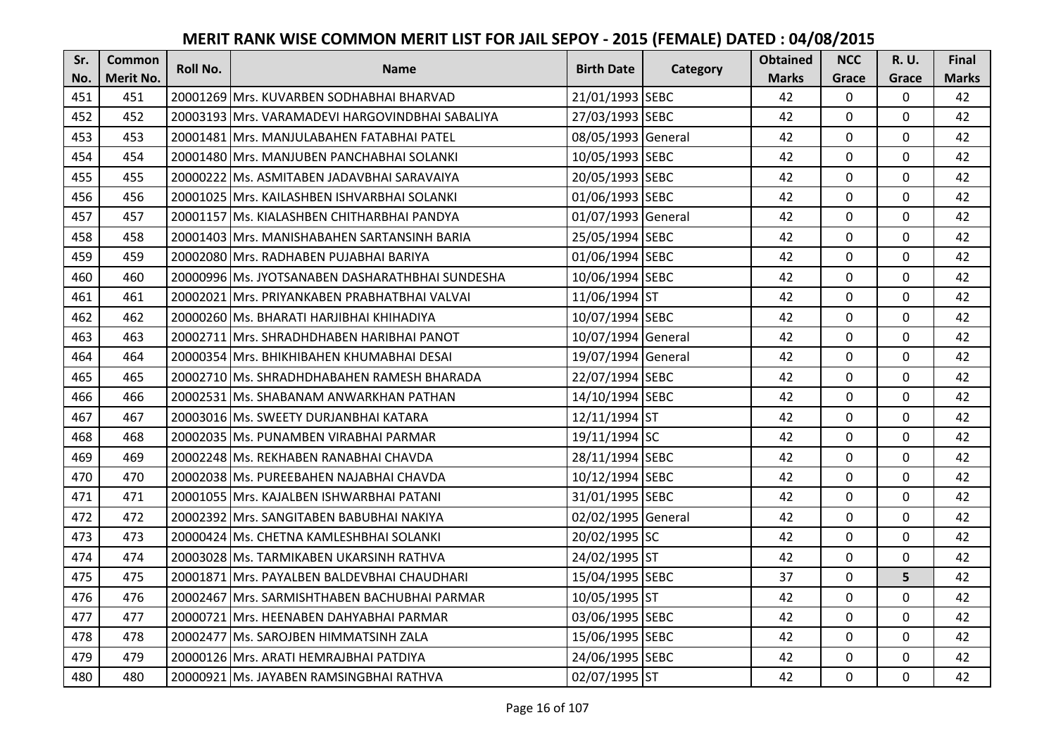| Sr. | <b>Common</b>    | <b>Roll No.</b> | <b>Name</b>                                     | <b>Birth Date</b>  | Category | <b>Obtained</b> | <b>NCC</b>   | <b>R.U.</b>  | <b>Final</b> |
|-----|------------------|-----------------|-------------------------------------------------|--------------------|----------|-----------------|--------------|--------------|--------------|
| No. | <b>Merit No.</b> |                 |                                                 |                    |          | <b>Marks</b>    | Grace        | Grace        | <b>Marks</b> |
| 451 | 451              |                 | 20001269 Mrs. KUVARBEN SODHABHAI BHARVAD        | 21/01/1993 SEBC    |          | 42              | $\mathbf 0$  | 0            | 42           |
| 452 | 452              |                 | 20003193 Mrs. VARAMADEVI HARGOVINDBHAI SABALIYA | 27/03/1993 SEBC    |          | 42              | $\mathbf{0}$ | $\mathbf 0$  | 42           |
| 453 | 453              |                 | 20001481 IMrs. MANJULABAHEN FATABHAI PATEL      | 08/05/1993 General |          | 42              | 0            | 0            | 42           |
| 454 | 454              |                 | 20001480 Mrs. MANJUBEN PANCHABHAI SOLANKI       | 10/05/1993 SEBC    |          | 42              | 0            | $\mathbf 0$  | 42           |
| 455 | 455              |                 | 20000222 Ms. ASMITABEN JADAVBHAI SARAVAIYA      | 20/05/1993 SEBC    |          | 42              | $\mathbf{0}$ | $\mathbf 0$  | 42           |
| 456 | 456              |                 | 20001025 Mrs. KAILASHBEN ISHVARBHAI SOLANKI     | 01/06/1993 SEBC    |          | 42              | $\mathbf{0}$ | 0            | 42           |
| 457 | 457              |                 | 20001157 Ms. KIALASHBEN CHITHARBHAI PANDYA      | 01/07/1993 General |          | 42              | $\mathbf 0$  | $\mathbf 0$  | 42           |
| 458 | 458              |                 | 20001403 Mrs. MANISHABAHEN SARTANSINH BARIA     | 25/05/1994 SEBC    |          | 42              | 0            | $\mathbf 0$  | 42           |
| 459 | 459              |                 | 20002080 Mrs. RADHABEN PUJABHAI BARIYA          | 01/06/1994 SEBC    |          | 42              | 0            | $\mathbf 0$  | 42           |
| 460 | 460              |                 | 20000996 Ms. JYOTSANABEN DASHARATHBHAI SUNDESHA | 10/06/1994 SEBC    |          | 42              | 0            | $\mathbf{0}$ | 42           |
| 461 | 461              |                 | 20002021   Mrs. PRIYANKABEN PRABHATBHAI VALVAI  | 11/06/1994 ST      |          | 42              | $\Omega$     | $\mathbf 0$  | 42           |
| 462 | 462              |                 | 20000260 Ms. BHARATI HARJIBHAI KHIHADIYA        | 10/07/1994 SEBC    |          | 42              | 0            | $\mathbf 0$  | 42           |
| 463 | 463              |                 | 20002711 Mrs. SHRADHDHABEN HARIBHAI PANOT       | 10/07/1994 General |          | 42              | 0            | $\mathbf 0$  | 42           |
| 464 | 464              |                 | 20000354 Mrs. BHIKHIBAHEN KHUMABHAI DESAI       | 19/07/1994 General |          | 42              | 0            | 0            | 42           |
| 465 | 465              |                 | 20002710 Ms. SHRADHDHABAHEN RAMESH BHARADA      | 22/07/1994 SEBC    |          | 42              | 0            | $\mathbf 0$  | 42           |
| 466 | 466              |                 | 20002531 Ms. SHABANAM ANWARKHAN PATHAN          | 14/10/1994 SEBC    |          | 42              | 0            | $\mathbf 0$  | 42           |
| 467 | 467              |                 | 20003016 Ms. SWEETY DURJANBHAI KATARA           | 12/11/1994 ST      |          | 42              | $\mathbf{0}$ | 0            | 42           |
| 468 | 468              |                 | 20002035 Ms. PUNAMBEN VIRABHAI PARMAR           | 19/11/1994 SC      |          | 42              | 0            | $\mathbf 0$  | 42           |
| 469 | 469              |                 | 20002248 Ms. REKHABEN RANABHAI CHAVDA           | 28/11/1994 SEBC    |          | 42              | $\mathbf 0$  | $\Omega$     | 42           |
| 470 | 470              |                 | 20002038 Ms. PUREEBAHEN NAJABHAI CHAVDA         | 10/12/1994 SEBC    |          | 42              | 0            | 0            | 42           |
| 471 | 471              |                 | 20001055 Mrs. KAJALBEN ISHWARBHAI PATANI        | 31/01/1995 SEBC    |          | 42              | 0            | $\mathbf 0$  | 42           |
| 472 | 472              |                 | 20002392 Mrs. SANGITABEN BABUBHAI NAKIYA        | 02/02/1995 General |          | 42              | $\Omega$     | $\Omega$     | 42           |
| 473 | 473              |                 | 20000424 Ms. CHETNA KAMLESHBHAI SOLANKI         | 20/02/1995 SC      |          | 42              | 0            | $\mathbf 0$  | 42           |
| 474 | 474              |                 | 20003028 Ms. TARMIKABEN UKARSINH RATHVA         | 24/02/1995 ST      |          | 42              | 0            | $\mathbf 0$  | 42           |
| 475 | 475              |                 | 20001871 Mrs. PAYALBEN BALDEVBHAI CHAUDHARI     | 15/04/1995 SEBC    |          | 37              | $\mathbf 0$  | 5            | 42           |
| 476 | 476              |                 | 20002467 Mrs. SARMISHTHABEN BACHUBHAI PARMAR    | 10/05/1995 ST      |          | 42              | 0            | $\mathbf 0$  | 42           |
| 477 | 477              |                 | 20000721 Mrs. HEENABEN DAHYABHAI PARMAR         | 03/06/1995 SEBC    |          | 42              | 0            | $\mathbf 0$  | 42           |
| 478 | 478              |                 | 20002477 Ms. SAROJBEN HIMMATSINH ZALA           | 15/06/1995 SEBC    |          | 42              | $\Omega$     | $\mathbf 0$  | 42           |
| 479 | 479              |                 | 20000126 Mrs. ARATI HEMRAJBHAI PATDIYA          | 24/06/1995 SEBC    |          | 42              | 0            | $\mathbf 0$  | 42           |
| 480 | 480              |                 | 20000921 Ms. JAYABEN RAMSINGBHAI RATHVA         | 02/07/1995 ST      |          | 42              | 0            | $\mathbf 0$  | 42           |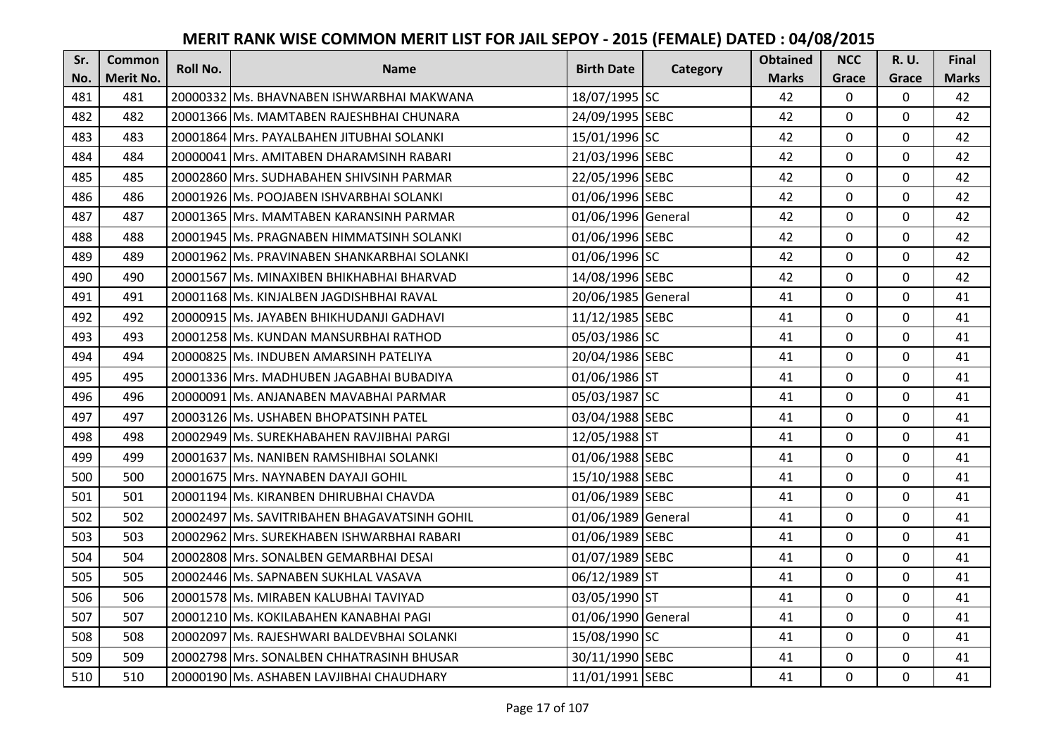| Sr. | <b>Common</b> | <b>Roll No.</b> | <b>Name</b>                                  | <b>Birth Date</b>  | Category | <b>Obtained</b> | <b>NCC</b>   | <b>R.U.</b>  | <b>Final</b> |
|-----|---------------|-----------------|----------------------------------------------|--------------------|----------|-----------------|--------------|--------------|--------------|
| No. | Merit No.     |                 |                                              |                    |          | <b>Marks</b>    | Grace        | Grace        | <b>Marks</b> |
| 481 | 481           |                 | 20000332 Ms. BHAVNABEN ISHWARBHAI MAKWANA    | 18/07/1995 SC      |          | 42              | 0            | 0            | 42           |
| 482 | 482           |                 | 20001366 Ms. MAMTABEN RAJESHBHAI CHUNARA     | 24/09/1995 SEBC    |          | 42              | 0            | $\mathbf 0$  | 42           |
| 483 | 483           |                 | 20001864 Mrs. PAYALBAHEN JITUBHAI SOLANKI    | 15/01/1996 SC      |          | 42              | 0            | 0            | 42           |
| 484 | 484           |                 | 20000041 Mrs. AMITABEN DHARAMSINH RABARI     | 21/03/1996 SEBC    |          | 42              | 0            | $\mathbf 0$  | 42           |
| 485 | 485           |                 | 20002860 Mrs. SUDHABAHEN SHIVSINH PARMAR     | 22/05/1996 SEBC    |          | 42              | $\mathbf{0}$ | $\mathbf 0$  | 42           |
| 486 | 486           |                 | 20001926 Ms. POOJABEN ISHVARBHAI SOLANKI     | 01/06/1996 SEBC    |          | 42              | $\mathbf{0}$ | 0            | 42           |
| 487 | 487           |                 | 20001365 Mrs. MAMTABEN KARANSINH PARMAR      | 01/06/1996 General |          | 42              | $\mathbf 0$  | $\mathbf 0$  | 42           |
| 488 | 488           |                 | 20001945 Ms. PRAGNABEN HIMMATSINH SOLANKI    | 01/06/1996 SEBC    |          | 42              | 0            | $\mathbf 0$  | 42           |
| 489 | 489           |                 | 20001962 Ms. PRAVINABEN SHANKARBHAI SOLANKI  | 01/06/1996 SC      |          | 42              | 0            | $\mathbf 0$  | 42           |
| 490 | 490           |                 | 20001567 Ms. MINAXIBEN BHIKHABHAI BHARVAD    | 14/08/1996 SEBC    |          | 42              | 0            | $\mathbf{0}$ | 42           |
| 491 | 491           |                 | 20001168 Ms. KINJALBEN JAGDISHBHAI RAVAL     | 20/06/1985 General |          | 41              | $\Omega$     | $\mathbf 0$  | 41           |
| 492 | 492           |                 | 20000915 Ms. JAYABEN BHIKHUDANJI GADHAVI     | 11/12/1985 SEBC    |          | 41              | 0            | $\mathbf 0$  | 41           |
| 493 | 493           |                 | 20001258 Ms. KUNDAN MANSURBHAI RATHOD        | 05/03/1986 SC      |          | 41              | 0            | $\mathbf 0$  | 41           |
| 494 | 494           |                 | 20000825 Ms. INDUBEN AMARSINH PATELIYA       | 20/04/1986 SEBC    |          | 41              | $\mathbf{0}$ | 0            | 41           |
| 495 | 495           |                 | 20001336 Mrs. MADHUBEN JAGABHAI BUBADIYA     | 01/06/1986 ST      |          | 41              | 0            | $\mathbf 0$  | 41           |
| 496 | 496           |                 | 20000091 Ms. ANJANABEN MAVABHAI PARMAR       | 05/03/1987 SC      |          | 41              | 0            | $\mathbf 0$  | 41           |
| 497 | 497           |                 | 20003126 Ms. USHABEN BHOPATSINH PATEL        | 03/04/1988 SEBC    |          | 41              | $\mathbf{0}$ | $\mathbf 0$  | 41           |
| 498 | 498           |                 | 20002949 Ms. SUREKHABAHEN RAVJIBHAI PARGI    | 12/05/1988 ST      |          | 41              | 0            | $\mathbf 0$  | 41           |
| 499 | 499           |                 | 20001637 Ms. NANIBEN RAMSHIBHAI SOLANKI      | 01/06/1988 SEBC    |          | 41              | $\mathbf 0$  | $\Omega$     | 41           |
| 500 | 500           |                 | 20001675 Mrs. NAYNABEN DAYAJI GOHIL          | 15/10/1988 SEBC    |          | 41              | 0            | 0            | 41           |
| 501 | 501           |                 | 20001194 Ms. KIRANBEN DHIRUBHAI CHAVDA       | 01/06/1989 SEBC    |          | 41              | 0            | $\mathbf 0$  | 41           |
| 502 | 502           |                 | 20002497 Ms. SAVITRIBAHEN BHAGAVATSINH GOHIL | 01/06/1989 General |          | 41              | $\mathbf{0}$ | $\Omega$     | 41           |
| 503 | 503           |                 | 20002962 Mrs. SUREKHABEN ISHWARBHAI RABARI   | 01/06/1989 SEBC    |          | 41              | 0            | $\mathbf 0$  | 41           |
| 504 | 504           |                 | 20002808 Mrs. SONALBEN GEMARBHAI DESAI       | 01/07/1989 SEBC    |          | 41              | $\mathbf{0}$ | $\mathbf 0$  | 41           |
| 505 | 505           |                 | 20002446 Ms. SAPNABEN SUKHLAL VASAVA         | 06/12/1989 ST      |          | 41              | $\mathbf 0$  | $\mathbf 0$  | 41           |
| 506 | 506           |                 | 20001578 Ms. MIRABEN KALUBHAI TAVIYAD        | 03/05/1990 ST      |          | 41              | 0            | $\mathbf 0$  | 41           |
| 507 | 507           |                 | 20001210 Ms. KOKILABAHEN KANABHAI PAGI       | 01/06/1990 General |          | 41              | 0            | $\mathbf 0$  | 41           |
| 508 | 508           |                 | 20002097 Ms. RAJESHWARI BALDEVBHAI SOLANKI   | 15/08/1990 SC      |          | 41              | $\mathbf 0$  | $\mathbf 0$  | 41           |
| 509 | 509           |                 | 20002798 Mrs. SONALBEN CHHATRASINH BHUSAR    | 30/11/1990 SEBC    |          | 41              | 0            | $\mathbf 0$  | 41           |
| 510 | 510           |                 | 20000190 Ms. ASHABEN LAVJIBHAI CHAUDHARY     | 11/01/1991 SEBC    |          | 41              | 0            | $\mathbf 0$  | 41           |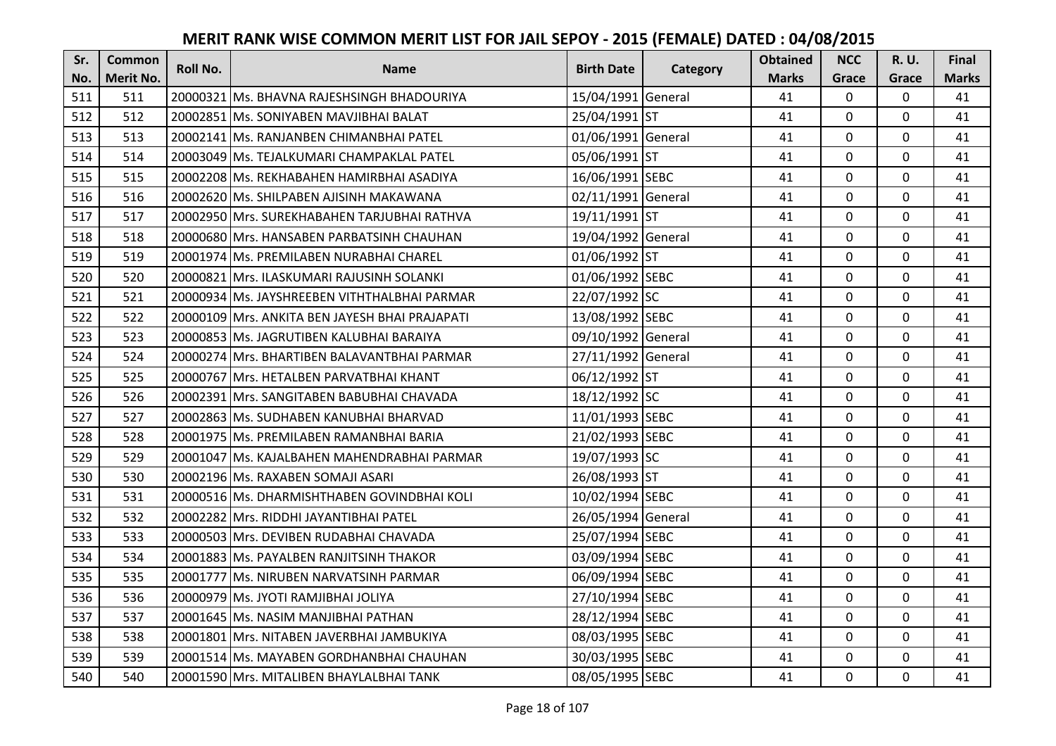| Sr. | <b>Common</b>    | <b>Roll No.</b> | <b>Name</b>                                    | <b>Birth Date</b>  | <b>Category</b> | <b>Obtained</b> | <b>NCC</b>   | R. U.       | Final        |
|-----|------------------|-----------------|------------------------------------------------|--------------------|-----------------|-----------------|--------------|-------------|--------------|
| No. | <b>Merit No.</b> |                 |                                                |                    |                 | <b>Marks</b>    | Grace        | Grace       | <b>Marks</b> |
| 511 | 511              |                 | 20000321 Ms. BHAVNA RAJESHSINGH BHADOURIYA     | 15/04/1991 General |                 | 41              | $\mathbf 0$  | 0           | 41           |
| 512 | 512              |                 | 20002851 Ms. SONIYABEN MAVJIBHAI BALAT         | 25/04/1991 ST      |                 | 41              | $\mathbf{0}$ | $\mathbf 0$ | 41           |
| 513 | 513              |                 | 20002141 IMs. RANJANBEN CHIMANBHAI PATEL       | 01/06/1991 General |                 | 41              | $\Omega$     | $\Omega$    | 41           |
| 514 | 514              |                 | 20003049 Ms. TEJALKUMARI CHAMPAKLAL PATEL      | 05/06/1991 ST      |                 | 41              | $\mathbf{0}$ | 0           | 41           |
| 515 | 515              |                 | 20002208 Ms. REKHABAHEN HAMIRBHAI ASADIYA      | 16/06/1991 SEBC    |                 | 41              | $\mathbf{0}$ | $\mathbf 0$ | 41           |
| 516 | 516              |                 | 20002620 Ms. SHILPABEN AJISINH MAKAWANA        | 02/11/1991 General |                 | 41              | $\mathbf 0$  | 0           | 41           |
| 517 | 517              |                 | 20002950 Mrs. SUREKHABAHEN TARJUBHAI RATHVA    | 19/11/1991 ST      |                 | 41              | $\mathbf 0$  | 0           | 41           |
| 518 | 518              |                 | 20000680 Mrs. HANSABEN PARBATSINH CHAUHAN      | 19/04/1992 General |                 | 41              | $\mathbf{0}$ | $\mathbf 0$ | 41           |
| 519 | 519              |                 | 20001974 Ms. PREMILABEN NURABHAI CHAREL        | 01/06/1992 ST      |                 | 41              | 0            | 0           | 41           |
| 520 | 520              |                 | 20000821 Mrs. ILASKUMARI RAJUSINH SOLANKI      | 01/06/1992 SEBC    |                 | 41              | $\mathbf{0}$ | 0           | 41           |
| 521 | 521              |                 | 20000934 Ms. JAYSHREEBEN VITHTHALBHAI PARMAR   | 22/07/1992 SC      |                 | 41              | $\mathbf 0$  | 0           | 41           |
| 522 | 522              |                 | 20000109 Mrs. ANKITA BEN JAYESH BHAI PRAJAPATI | 13/08/1992 SEBC    |                 | 41              | $\mathbf 0$  | $\Omega$    | 41           |
| 523 | 523              |                 | 20000853 Ms. JAGRUTIBEN KALUBHAI BARAIYA       | 09/10/1992 General |                 | 41              | $\mathbf 0$  | $\Omega$    | 41           |
| 524 | 524              |                 | 20000274 Mrs. BHARTIBEN BALAVANTBHAI PARMAR    | 27/11/1992 General |                 | 41              | $\mathbf 0$  | $\Omega$    | 41           |
| 525 | 525              |                 | 20000767 Mrs. HETALBEN PARVATBHAI KHANT        | 06/12/1992 ST      |                 | 41              | $\mathbf 0$  | $\Omega$    | 41           |
| 526 | 526              |                 | 20002391 Mrs. SANGITABEN BABUBHAI CHAVADA      | 18/12/1992 SC      |                 | 41              | $\Omega$     | 0           | 41           |
| 527 | 527              |                 | 20002863 Ms. SUDHABEN KANUBHAI BHARVAD         | 11/01/1993 SEBC    |                 | 41              | $\mathbf 0$  | 0           | 41           |
| 528 | 528              |                 | 20001975 Ms. PREMILABEN RAMANBHAI BARIA        | 21/02/1993 SEBC    |                 | 41              | $\mathbf 0$  | $\mathbf 0$ | 41           |
| 529 | 529              |                 | 20001047 Ms. KAJALBAHEN MAHENDRABHAI PARMAR    | 19/07/1993 SC      |                 | 41              | $\mathbf{0}$ | $\Omega$    | 41           |
| 530 | 530              |                 | 20002196 Ms. RAXABEN SOMAJI ASARI              | 26/08/1993 ST      |                 | 41              | 0            | 0           | 41           |
| 531 | 531              |                 | 20000516 Ms. DHARMISHTHABEN GOVINDBHAI KOLI    | 10/02/1994 SEBC    |                 | 41              | 0            | 0           | 41           |
| 532 | 532              |                 | 20002282 Mrs. RIDDHI JAYANTIBHAI PATEL         | 26/05/1994 General |                 | 41              | $\Omega$     | $\Omega$    | 41           |
| 533 | 533              |                 | 20000503 Mrs. DEVIBEN RUDABHAI CHAVADA         | 25/07/1994 SEBC    |                 | 41              | $\mathbf 0$  | 0           | 41           |
| 534 | 534              |                 | 20001883 Ms. PAYALBEN RANJITSINH THAKOR        | 03/09/1994 SEBC    |                 | 41              | $\mathbf 0$  | $\mathbf 0$ | 41           |
| 535 | 535              |                 | 20001777 Ms. NIRUBEN NARVATSINH PARMAR         | 06/09/1994 SEBC    |                 | 41              | $\mathbf 0$  | $\Omega$    | 41           |
| 536 | 536              |                 | 20000979 Ms. JYOTI RAMJIBHAI JOLIYA            | 27/10/1994 SEBC    |                 | 41              | $\mathbf 0$  | 0           | 41           |
| 537 | 537              |                 | 20001645 Ms. NASIM MANJIBHAI PATHAN            | 28/12/1994 SEBC    |                 | 41              | $\mathbf 0$  | 0           | 41           |
| 538 | 538              |                 | 20001801 Mrs. NITABEN JAVERBHAI JAMBUKIYA      | 08/03/1995 SEBC    |                 | 41              | $\Omega$     | 0           | 41           |
| 539 | 539              |                 | 20001514 Ms. MAYABEN GORDHANBHAI CHAUHAN       | 30/03/1995 SEBC    |                 | 41              | $\mathbf 0$  | 0           | 41           |
| 540 | 540              |                 | 20001590 Mrs. MITALIBEN BHAYLALBHAI TANK       | 08/05/1995 SEBC    |                 | 41              | $\mathbf{0}$ | 0           | 41           |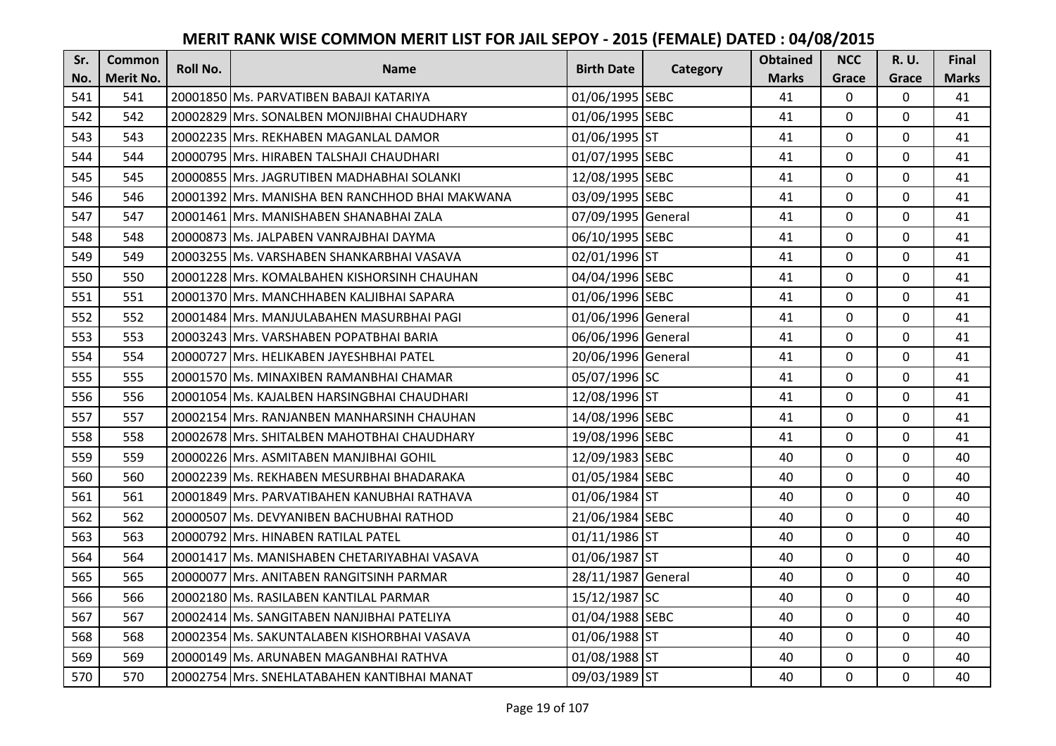| Sr. | <b>Common</b> | <b>Roll No.</b> | <b>Name</b>                                     | <b>Birth Date</b>  | Category | <b>Obtained</b> | <b>NCC</b>     | R. U.       | Final        |
|-----|---------------|-----------------|-------------------------------------------------|--------------------|----------|-----------------|----------------|-------------|--------------|
| No. | Merit No.     |                 |                                                 |                    |          | <b>Marks</b>    | Grace          | Grace       | <b>Marks</b> |
| 541 | 541           |                 | 20001850 Ms. PARVATIBEN BABAJI KATARIYA         | 01/06/1995 SEBC    |          | 41              | $\mathbf 0$    | 0           | 41           |
| 542 | 542           |                 | 20002829 Mrs. SONALBEN MONJIBHAI CHAUDHARY      | 01/06/1995 SEBC    |          | 41              | $\mathbf{0}$   | 0           | 41           |
| 543 | 543           |                 | 20002235 IMrs. REKHABEN MAGANLAL DAMOR          | 01/06/1995 ST      |          | 41              | $\mathbf 0$    | 0           | 41           |
| 544 | 544           |                 | 20000795 Mrs. HIRABEN TALSHAJI CHAUDHARI        | 01/07/1995 SEBC    |          | 41              | $\mathbf{0}$   | $\mathbf 0$ | 41           |
| 545 | 545           |                 | 20000855 Mrs. JAGRUTIBEN MADHABHAI SOLANKI      | 12/08/1995 SEBC    |          | 41              | $\mathbf 0$    | $\mathbf 0$ | 41           |
| 546 | 546           |                 | 20001392 Mrs. MANISHA BEN RANCHHOD BHAI MAKWANA | 03/09/1995 SEBC    |          | 41              | $\mathbf 0$    | 0           | 41           |
| 547 | 547           |                 | 20001461 Mrs. MANISHABEN SHANABHAI ZALA         | 07/09/1995 General |          | 41              | $\mathbf 0$    | $\mathbf 0$ | 41           |
| 548 | 548           |                 | 20000873 Ms. JALPABEN VANRAJBHAI DAYMA          | 06/10/1995 SEBC    |          | 41              | $\mathbf 0$    | $\mathbf 0$ | 41           |
| 549 | 549           |                 | 20003255   Ms. VARSHABEN SHANKARBHAI VASAVA     | 02/01/1996 ST      |          | 41              | $\mathbf 0$    | $\mathbf 0$ | 41           |
| 550 | 550           |                 | 20001228 Mrs. KOMALBAHEN KISHORSINH CHAUHAN     | 04/04/1996 SEBC    |          | 41              | 0              | $\mathbf 0$ | 41           |
| 551 | 551           |                 | 20001370 Mrs. MANCHHABEN KALJIBHAI SAPARA       | 01/06/1996 SEBC    |          | 41              | $\Omega$       | $\mathbf 0$ | 41           |
| 552 | 552           |                 | 20001484 Mrs. MANJULABAHEN MASURBHAI PAGI       | 01/06/1996 General |          | 41              | $\mathbf 0$    | $\mathbf 0$ | 41           |
| 553 | 553           |                 | 20003243 Mrs. VARSHABEN POPATBHAI BARIA         | 06/06/1996 General |          | 41              | 0              | $\mathbf 0$ | 41           |
| 554 | 554           |                 | 20000727 Mrs. HELIKABEN JAYESHBHAI PATEL        | 20/06/1996 General |          | 41              | $\mathbf{0}$   | $\mathbf 0$ | 41           |
| 555 | 555           |                 | 20001570 Ms. MINAXIBEN RAMANBHAI CHAMAR         | 05/07/1996 SC      |          | 41              | 0              | $\mathbf 0$ | 41           |
| 556 | 556           |                 | 20001054 Ms. KAJALBEN HARSINGBHAI CHAUDHARI     | 12/08/1996 ST      |          | 41              | $\mathbf 0$    | $\mathbf 0$ | 41           |
| 557 | 557           |                 | 20002154 Mrs. RANJANBEN MANHARSINH CHAUHAN      | 14/08/1996 SEBC    |          | 41              | $\mathbf 0$    | 0           | 41           |
| 558 | 558           |                 | 20002678 Mrs. SHITALBEN MAHOTBHAI CHAUDHARY     | 19/08/1996 SEBC    |          | 41              | $\mathbf{0}$   | $\mathbf 0$ | 41           |
| 559 | 559           |                 | 20000226 Mrs. ASMITABEN MANJIBHAI GOHIL         | 12/09/1983 SEBC    |          | 40              | $\mathbf{0}$   | $\mathbf 0$ | 40           |
| 560 | 560           |                 | 20002239 Ms. REKHABEN MESURBHAI BHADARAKA       | 01/05/1984 SEBC    |          | 40              | 0              | $\mathbf 0$ | 40           |
| 561 | 561           |                 | 20001849 Mrs. PARVATIBAHEN KANUBHAI RATHAVA     | 01/06/1984 ST      |          | 40              | $\mathbf 0$    | $\mathbf 0$ | 40           |
| 562 | 562           |                 | 20000507 Ms. DEVYANIBEN BACHUBHAI RATHOD        | 21/06/1984 SEBC    |          | 40              | $\mathbf{0}$   | $\Omega$    | 40           |
| 563 | 563           |                 | 20000792 Mrs. HINABEN RATILAL PATEL             | 01/11/1986 ST      |          | 40              | 0              | $\mathbf 0$ | 40           |
| 564 | 564           |                 | 20001417 Ms. MANISHABEN CHETARIYABHAI VASAVA    | 01/06/1987 ST      |          | 40              | $\mathbf{0}$   | $\mathbf 0$ | 40           |
| 565 | 565           |                 | 20000077 Mrs. ANITABEN RANGITSINH PARMAR        | 28/11/1987 General |          | 40              | $\mathbf 0$    | $\mathbf 0$ | 40           |
| 566 | 566           |                 | 20002180 Ms. RASILABEN KANTILAL PARMAR          | 15/12/1987 SC      |          | 40              | 0              | $\mathbf 0$ | 40           |
| 567 | 567           |                 | 20002414 Ms. SANGITABEN NANJIBHAI PATELIYA      | 01/04/1988 SEBC    |          | 40              | $\mathbf 0$    | $\mathbf 0$ | 40           |
| 568 | 568           |                 | 20002354 Ms. SAKUNTALABEN KISHORBHAI VASAVA     | 01/06/1988 ST      |          | 40              | $\Omega$       | $\mathbf 0$ | 40           |
| 569 | 569           |                 | 20000149 Ms. ARUNABEN MAGANBHAI RATHVA          | 01/08/1988 ST      |          | 40              | 0              | $\mathbf 0$ | 40           |
| 570 | 570           |                 | 20002754 Mrs. SNEHLATABAHEN KANTIBHAI MANAT     | 09/03/1989 ST      |          | 40              | $\overline{0}$ | $\mathbf 0$ | 40           |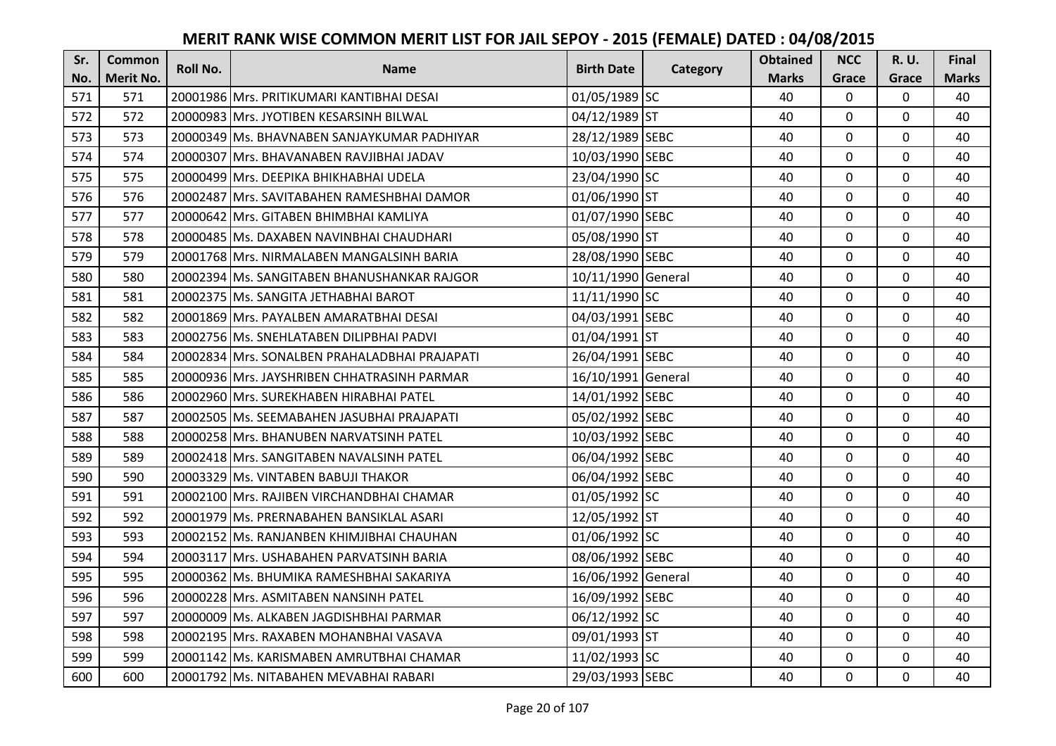| Sr. | <b>Common</b>    | <b>Roll No.</b> | <b>Name</b>                                   | <b>Birth Date</b>  | Category | <b>Obtained</b> | <b>NCC</b>     | <b>R.U.</b>  | Final        |
|-----|------------------|-----------------|-----------------------------------------------|--------------------|----------|-----------------|----------------|--------------|--------------|
| No. | <b>Merit No.</b> |                 |                                               |                    |          | <b>Marks</b>    | Grace          | Grace        | <b>Marks</b> |
| 571 | 571              |                 | 20001986 Mrs. PRITIKUMARI KANTIBHAI DESAI     | 01/05/1989 SC      |          | 40              | $\mathbf 0$    | 0            | 40           |
| 572 | 572              |                 | 20000983 Mrs. JYOTIBEN KESARSINH BILWAL       | 04/12/1989 ST      |          | 40              | $\mathbf 0$    | $\mathbf{0}$ | 40           |
| 573 | 573              |                 | 20000349 Ms. BHAVNABEN SANJAYKUMAR PADHIYAR   | 28/12/1989 SEBC    |          | 40              | $\mathbf 0$    | $\mathbf{0}$ | 40           |
| 574 | 574              |                 | 20000307 Mrs. BHAVANABEN RAVJIBHAI JADAV      | 10/03/1990 SEBC    |          | 40              | $\mathbf 0$    | 0            | 40           |
| 575 | 575              |                 | 20000499 Mrs. DEEPIKA BHIKHABHAI UDELA        | 23/04/1990 SC      |          | 40              | $\overline{0}$ | 0            | 40           |
| 576 | 576              |                 | 20002487 Mrs. SAVITABAHEN RAMESHBHAI DAMOR    | 01/06/1990 ST      |          | 40              | $\mathbf 0$    | 0            | 40           |
| 577 | 577              |                 | 20000642 Mrs. GITABEN BHIMBHAI KAMLIYA        | 01/07/1990 SEBC    |          | 40              | $\overline{0}$ | $\mathbf 0$  | 40           |
| 578 | 578              |                 | 20000485 Ms. DAXABEN NAVINBHAI CHAUDHARI      | 05/08/1990 ST      |          | 40              | $\overline{0}$ | 0            | 40           |
| 579 | 579              |                 | 20001768 Mrs. NIRMALABEN MANGALSINH BARIA     | 28/08/1990 SEBC    |          | 40              | $\mathbf 0$    | $\mathbf 0$  | 40           |
| 580 | 580              |                 | 20002394 Ms. SANGITABEN BHANUSHANKAR RAJGOR   | 10/11/1990 General |          | 40              | $\overline{0}$ | 0            | 40           |
| 581 | 581              |                 | 20002375   Ms. SANGITA JETHABHAI BAROT        | 11/11/1990 SC      |          | 40              | $\Omega$       | 0            | 40           |
| 582 | 582              |                 | 20001869 Mrs. PAYALBEN AMARATBHAI DESAI       | 04/03/1991 SEBC    |          | 40              | 0              | $\mathbf 0$  | 40           |
| 583 | 583              |                 | 20002756 Ms. SNEHLATABEN DILIPBHAI PADVI      | 01/04/1991 ST      |          | 40              | $\mathbf 0$    | $\mathbf 0$  | 40           |
| 584 | 584              |                 | 20002834 Mrs. SONALBEN PRAHALADBHAI PRAJAPATI | 26/04/1991 SEBC    |          | 40              | $\mathbf 0$    | 0            | 40           |
| 585 | 585              |                 | 20000936 Mrs. JAYSHRIBEN CHHATRASINH PARMAR   | 16/10/1991 General |          | 40              | $\mathbf 0$    | 0            | 40           |
| 586 | 586              |                 | 20002960 Mrs. SUREKHABEN HIRABHAI PATEL       | 14/01/1992 SEBC    |          | 40              | $\overline{0}$ | 0            | 40           |
| 587 | 587              |                 | 20002505 lMs. SEEMABAHEN JASUBHAI PRAJAPATI   | 05/02/1992 SEBC    |          | 40              | $\mathbf 0$    | 0            | 40           |
| 588 | 588              |                 | 20000258 Mrs. BHANUBEN NARVATSINH PATEL       | 10/03/1992 SEBC    |          | 40              | $\mathbf 0$    | 0            | 40           |
| 589 | 589              |                 | 20002418 Mrs. SANGITABEN NAVALSINH PATEL      | 06/04/1992 SEBC    |          | 40              | $\overline{0}$ | 0            | 40           |
| 590 | 590              |                 | 20003329 Ms. VINTABEN BABUJI THAKOR           | 06/04/1992 SEBC    |          | 40              | 0              | 0            | 40           |
| 591 | 591              |                 | 20002100 Mrs. RAJIBEN VIRCHANDBHAI CHAMAR     | 01/05/1992 SC      |          | 40              | $\mathbf 0$    | 0            | 40           |
| 592 | 592              |                 | 20001979 Ms. PRERNABAHEN BANSIKLAL ASARI      | 12/05/1992 ST      |          | 40              | $\mathbf 0$    | 0            | 40           |
| 593 | 593              |                 | 20002152 Ms. RANJANBEN KHIMJIBHAI CHAUHAN     | 01/06/1992 SC      |          | 40              | $\overline{0}$ | 0            | 40           |
| 594 | 594              |                 | 20003117 Mrs. USHABAHEN PARVATSINH BARIA      | 08/06/1992 SEBC    |          | 40              | $\overline{0}$ | 0            | 40           |
| 595 | 595              |                 | 20000362 Ms. BHUMIKA RAMESHBHAI SAKARIYA      | 16/06/1992 General |          | 40              | $\mathbf 0$    | 0            | 40           |
| 596 | 596              |                 | 20000228 Mrs. ASMITABEN NANSINH PATEL         | 16/09/1992 SEBC    |          | 40              | $\overline{0}$ | $\mathbf 0$  | 40           |
| 597 | 597              |                 | 20000009 Ms. ALKABEN JAGDISHBHAI PARMAR       | 06/12/1992 SC      |          | 40              | $\mathbf 0$    | 0            | 40           |
| 598 | 598              |                 | 20002195 Mrs. RAXABEN MOHANBHAI VASAVA        | 09/01/1993 ST      |          | 40              | $\mathbf 0$    | $\mathbf 0$  | 40           |
| 599 | 599              |                 | 20001142 Ms. KARISMABEN AMRUTBHAI CHAMAR      | 11/02/1993 SC      |          | 40              | $\mathbf 0$    | $\mathbf 0$  | 40           |
| 600 | 600              |                 | 20001792 Ms. NITABAHEN MEVABHAI RABARI        | 29/03/1993 SEBC    |          | 40              | $\mathbf 0$    | 0            | 40           |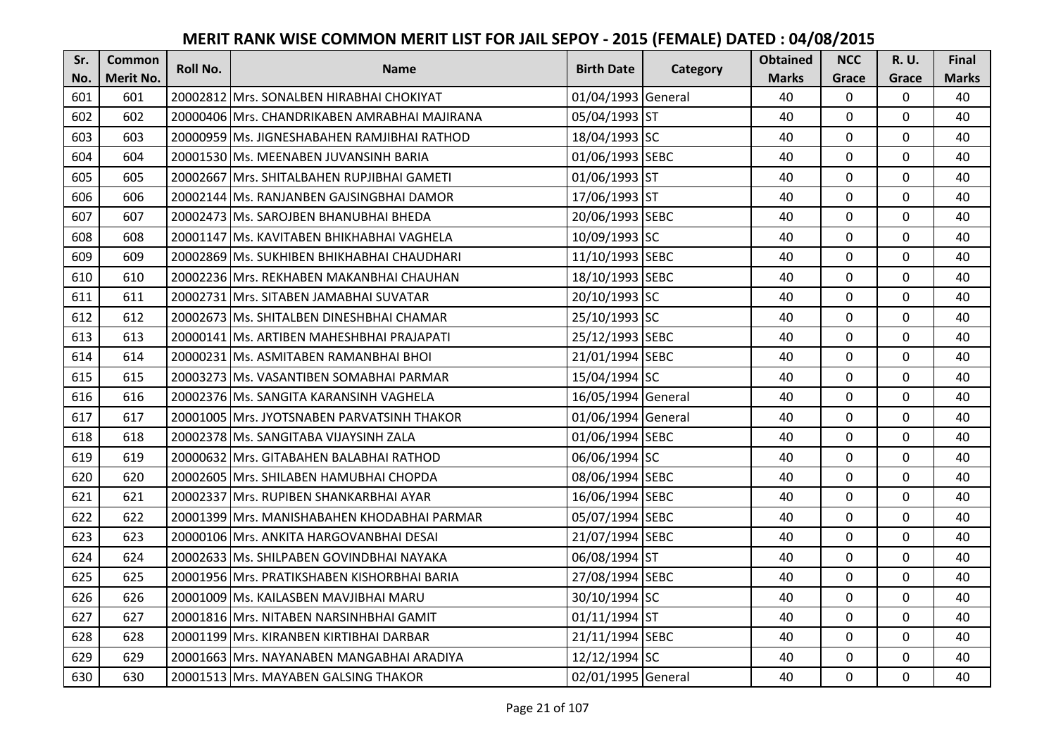| Sr. | <b>Common</b> | <b>Roll No.</b> | <b>Name</b>                                  | <b>Birth Date</b>  | Category | <b>Obtained</b> | <b>NCC</b>     | R. U.          | Final        |
|-----|---------------|-----------------|----------------------------------------------|--------------------|----------|-----------------|----------------|----------------|--------------|
| No. | Merit No.     |                 |                                              |                    |          | <b>Marks</b>    | Grace          | Grace          | <b>Marks</b> |
| 601 | 601           |                 | 20002812 Mrs. SONALBEN HIRABHAI CHOKIYAT     | 01/04/1993 General |          | 40              | $\mathbf 0$    | 0              | 40           |
| 602 | 602           |                 | 20000406 Mrs. CHANDRIKABEN AMRABHAI MAJIRANA | 05/04/1993 ST      |          | 40              | $\mathbf 0$    | $\mathbf 0$    | 40           |
| 603 | 603           |                 | 20000959 IMs. JIGNESHABAHEN RAMJIBHAI RATHOD | 18/04/1993 SC      |          | 40              | $\mathbf{0}$   | 0              | 40           |
| 604 | 604           |                 | 20001530 Ms. MEENABEN JUVANSINH BARIA        | 01/06/1993 SEBC    |          | 40              | $\mathbf 0$    | $\mathbf 0$    | 40           |
| 605 | 605           |                 | 20002667 Mrs. SHITALBAHEN RUPJIBHAI GAMETI   | 01/06/1993 ST      |          | 40              | $\mathbf{0}$   | $\mathbf 0$    | 40           |
| 606 | 606           |                 | 20002144 Ms. RANJANBEN GAJSINGBHAI DAMOR     | 17/06/1993 ST      |          | 40              | $\mathbf 0$    | 0              | 40           |
| 607 | 607           |                 | 20002473 Ms. SAROJBEN BHANUBHAI BHEDA        | 20/06/1993 SEBC    |          | 40              | $\mathbf{0}$   | $\mathbf 0$    | 40           |
| 608 | 608           |                 | 20001147 Ms. KAVITABEN BHIKHABHAI VAGHELA    | 10/09/1993 SC      |          | 40              | $\mathbf 0$    | $\mathbf 0$    | 40           |
| 609 | 609           |                 | 20002869 Ms. SUKHIBEN BHIKHABHAI CHAUDHARI   | 11/10/1993 SEBC    |          | 40              | $\mathbf 0$    | $\mathbf 0$    | 40           |
| 610 | 610           |                 | 20002236 Mrs. REKHABEN MAKANBHAI CHAUHAN     | 18/10/1993 SEBC    |          | 40              | $\overline{0}$ | $\overline{0}$ | 40           |
| 611 | 611           |                 | 20002731 Mrs. SITABEN JAMABHAI SUVATAR       | 20/10/1993 SC      |          | 40              | $\Omega$       | $\mathbf 0$    | 40           |
| 612 | 612           |                 | 20002673 Ms. SHITALBEN DINESHBHAI CHAMAR     | 25/10/1993 SC      |          | 40              | $\mathbf 0$    | $\mathbf 0$    | 40           |
| 613 | 613           |                 | 20000141 Ms. ARTIBEN MAHESHBHAI PRAJAPATI    | 25/12/1993 SEBC    |          | 40              | 0              | $\mathbf 0$    | 40           |
| 614 | 614           |                 | 20000231 Ms. ASMITABEN RAMANBHAI BHOI        | 21/01/1994 SEBC    |          | 40              | $\mathbf{0}$   | $\mathbf 0$    | 40           |
| 615 | 615           |                 | 20003273 Ms. VASANTIBEN SOMABHAI PARMAR      | 15/04/1994 SC      |          | 40              | $\mathbf 0$    | $\mathbf 0$    | 40           |
| 616 | 616           |                 | 20002376 Ms. SANGITA KARANSINH VAGHELA       | 16/05/1994 General |          | 40              | $\mathbf 0$    | $\mathbf 0$    | 40           |
| 617 | 617           |                 | 20001005 Mrs. JYOTSNABEN PARVATSINH THAKOR   | 01/06/1994 General |          | 40              | $\mathbf 0$    | 0              | 40           |
| 618 | 618           |                 | 20002378 Ms. SANGITABA VIJAYSINH ZALA        | 01/06/1994 SEBC    |          | 40              | $\mathbf{0}$   | $\mathbf 0$    | 40           |
| 619 | 619           |                 | 20000632 Mrs. GITABAHEN BALABHAI RATHOD      | 06/06/1994 SC      |          | 40              | $\mathbf{0}$   | $\mathbf 0$    | 40           |
| 620 | 620           |                 | 20002605 Mrs. SHILABEN HAMUBHAI CHOPDA       | 08/06/1994 SEBC    |          | 40              | $\mathbf{0}$   | $\mathbf 0$    | 40           |
| 621 | 621           |                 | 20002337 Mrs. RUPIBEN SHANKARBHAI AYAR       | 16/06/1994 SEBC    |          | 40              | $\mathbf 0$    | $\mathbf 0$    | 40           |
| 622 | 622           |                 | 20001399 Mrs. MANISHABAHEN KHODABHAI PARMAR  | 05/07/1994 SEBC    |          | 40              | $\mathbf 0$    | $\Omega$       | 40           |
| 623 | 623           |                 | 20000106 Mrs. ANKITA HARGOVANBHAI DESAI      | 21/07/1994 SEBC    |          | 40              | 0              | $\mathbf 0$    | 40           |
| 624 | 624           |                 | 20002633 Ms. SHILPABEN GOVINDBHAI NAYAKA     | 06/08/1994 ST      |          | 40              | $\mathbf 0$    | $\mathbf 0$    | 40           |
| 625 | 625           |                 | 20001956 Mrs. PRATIKSHABEN KISHORBHAI BARIA  | 27/08/1994 SEBC    |          | 40              | $\mathbf 0$    | $\mathbf 0$    | 40           |
| 626 | 626           |                 | 20001009 Ms. KAILASBEN MAVJIBHAI MARU        | 30/10/1994 SC      |          | 40              | 0              | $\mathbf 0$    | 40           |
| 627 | 627           |                 | 20001816 Mrs. NITABEN NARSINHBHAI GAMIT      | 01/11/1994 ST      |          | 40              | $\mathbf 0$    | $\mathbf 0$    | 40           |
| 628 | 628           |                 | 20001199 Mrs. KIRANBEN KIRTIBHAI DARBAR      | 21/11/1994 SEBC    |          | 40              | $\Omega$       | $\mathbf 0$    | 40           |
| 629 | 629           |                 | 20001663 Mrs. NAYANABEN MANGABHAI ARADIYA    | 12/12/1994 SC      |          | 40              | 0              | $\mathbf 0$    | 40           |
| 630 | 630           |                 | 20001513 Mrs. MAYABEN GALSING THAKOR         | 02/01/1995 General |          | 40              | 0              | $\mathbf 0$    | 40           |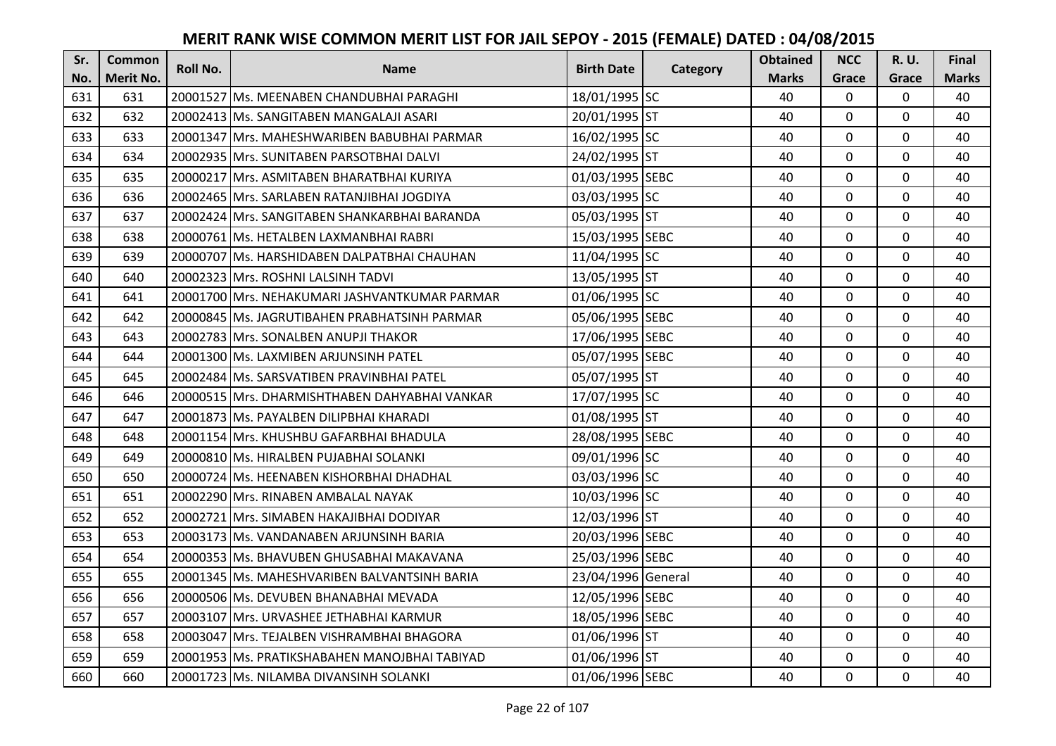| Sr. | <b>Common</b> | <b>Roll No.</b> | <b>Name</b>                                   | <b>Birth Date</b>  |          | <b>Obtained</b> | <b>NCC</b>   | R. U.       | Final        |
|-----|---------------|-----------------|-----------------------------------------------|--------------------|----------|-----------------|--------------|-------------|--------------|
| No. | Merit No.     |                 |                                               |                    | Category | <b>Marks</b>    | Grace        | Grace       | <b>Marks</b> |
| 631 | 631           |                 | 20001527 Ms. MEENABEN CHANDUBHAI PARAGHI      | 18/01/1995 SC      |          | 40              | $\mathbf 0$  | 0           | 40           |
| 632 | 632           |                 | 20002413 Ms. SANGITABEN MANGALAJI ASARI       | 20/01/1995 ST      |          | 40              | $\mathbf 0$  | $\Omega$    | 40           |
| 633 | 633           |                 | 20001347 IMrs. MAHESHWARIBEN BABUBHAI PARMAR  | 16/02/1995 SC      |          | 40              | $\mathbf 0$  | 0           | 40           |
| 634 | 634           |                 | 20002935 Mrs. SUNITABEN PARSOTBHAI DALVI      | 24/02/1995 ST      |          | 40              | $\mathbf{0}$ | $\mathbf 0$ | 40           |
| 635 | 635           |                 | 20000217 Mrs. ASMITABEN BHARATBHAI KURIYA     | 01/03/1995 SEBC    |          | 40              | $\mathbf 0$  | $\mathbf 0$ | 40           |
| 636 | 636           |                 | 20002465 Mrs. SARLABEN RATANJIBHAI JOGDIYA    | 03/03/1995 SC      |          | 40              | $\mathbf 0$  | 0           | 40           |
| 637 | 637           |                 | 20002424 Mrs. SANGITABEN SHANKARBHAI BARANDA  | 05/03/1995 ST      |          | 40              | $\mathbf 0$  | $\mathbf 0$ | 40           |
| 638 | 638           |                 | 20000761 Ms. HETALBEN LAXMANBHAI RABRI        | 15/03/1995 SEBC    |          | 40              | $\mathbf{0}$ | $\mathbf 0$ | 40           |
| 639 | 639           |                 | 20000707 Ms. HARSHIDABEN DALPATBHAI CHAUHAN   | 11/04/1995 SC      |          | 40              | $\mathbf 0$  | $\mathbf 0$ | 40           |
| 640 | 640           |                 | 20002323 Mrs. ROSHNI LALSINH TADVI            | 13/05/1995 ST      |          | 40              | 0            | $\mathbf 0$ | 40           |
| 641 | 641           |                 | 20001700 Mrs. NEHAKUMARI JASHVANTKUMAR PARMAR | 01/06/1995 SC      |          | 40              | $\Omega$     | $\mathbf 0$ | 40           |
| 642 | 642           |                 | 20000845 Ms. JAGRUTIBAHEN PRABHATSINH PARMAR  | 05/06/1995 SEBC    |          | 40              | $\mathbf 0$  | $\mathbf 0$ | 40           |
| 643 | 643           |                 | 20002783 Mrs. SONALBEN ANUPJI THAKOR          | 17/06/1995 SEBC    |          | 40              | 0            | $\mathbf 0$ | 40           |
| 644 | 644           |                 | 20001300 Ms. LAXMIBEN ARJUNSINH PATEL         | 05/07/1995 SEBC    |          | 40              | $\mathbf{0}$ | $\mathbf 0$ | 40           |
| 645 | 645           |                 | 20002484 Ms. SARSVATIBEN PRAVINBHAI PATEL     | 05/07/1995 ST      |          | 40              | $\mathbf 0$  | $\mathbf 0$ | 40           |
| 646 | 646           |                 | 20000515 Mrs. DHARMISHTHABEN DAHYABHAI VANKAR | 17/07/1995 SC      |          | 40              | $\mathbf 0$  | $\mathbf 0$ | 40           |
| 647 | 647           |                 | 20001873 Ms. PAYALBEN DILIPBHAI KHARADI       | 01/08/1995 ST      |          | 40              | $\mathbf 0$  | 0           | 40           |
| 648 | 648           |                 | 20001154 Mrs. KHUSHBU GAFARBHAI BHADULA       | 28/08/1995 SEBC    |          | 40              | $\mathbf 0$  | $\mathbf 0$ | 40           |
| 649 | 649           |                 | 20000810 Ms. HIRALBEN PUJABHAI SOLANKI        | 09/01/1996 SC      |          | 40              | $\mathbf 0$  | $\mathbf 0$ | 40           |
| 650 | 650           |                 | 20000724 Ms. HEENABEN KISHORBHAI DHADHAL      | 03/03/1996 SC      |          | 40              | $\mathbf{0}$ | $\mathbf 0$ | 40           |
| 651 | 651           |                 | 20002290 Mrs. RINABEN AMBALAL NAYAK           | 10/03/1996 SC      |          | 40              | $\mathbf 0$  | $\mathbf 0$ | 40           |
| 652 | 652           |                 | 20002721 Mrs. SIMABEN HAKAJIBHAI DODIYAR      | 12/03/1996 ST      |          | 40              | $\mathbf 0$  | $\Omega$    | 40           |
| 653 | 653           |                 | 20003173 Ms. VANDANABEN ARJUNSINH BARIA       | 20/03/1996 SEBC    |          | 40              | 0            | $\mathbf 0$ | 40           |
| 654 | 654           |                 | 20000353 Ms. BHAVUBEN GHUSABHAI MAKAVANA      | 25/03/1996 SEBC    |          | 40              | $\mathbf 0$  | $\mathbf 0$ | 40           |
| 655 | 655           |                 | 20001345 Ms. MAHESHVARIBEN BALVANTSINH BARIA  | 23/04/1996 General |          | 40              | $\mathbf 0$  | $\mathbf 0$ | 40           |
| 656 | 656           |                 | 20000506 Ms. DEVUBEN BHANABHAI MEVADA         | 12/05/1996 SEBC    |          | 40              | 0            | $\mathbf 0$ | 40           |
| 657 | 657           |                 | 20003107 Mrs. URVASHEE JETHABHAI KARMUR       | 18/05/1996 SEBC    |          | 40              | $\mathbf 0$  | $\mathbf 0$ | 40           |
| 658 | 658           |                 | 20003047 Mrs. TEJALBEN VISHRAMBHAI BHAGORA    | 01/06/1996 ST      |          | 40              | $\Omega$     | $\mathbf 0$ | 40           |
| 659 | 659           |                 | 20001953 Ms. PRATIKSHABAHEN MANOJBHAI TABIYAD | 01/06/1996 ST      |          | 40              | 0            | $\mathbf 0$ | 40           |
| 660 | 660           |                 | 20001723 Ms. NILAMBA DIVANSINH SOLANKI        | 01/06/1996 SEBC    |          | 40              | $\mathbf{0}$ | $\mathbf 0$ | 40           |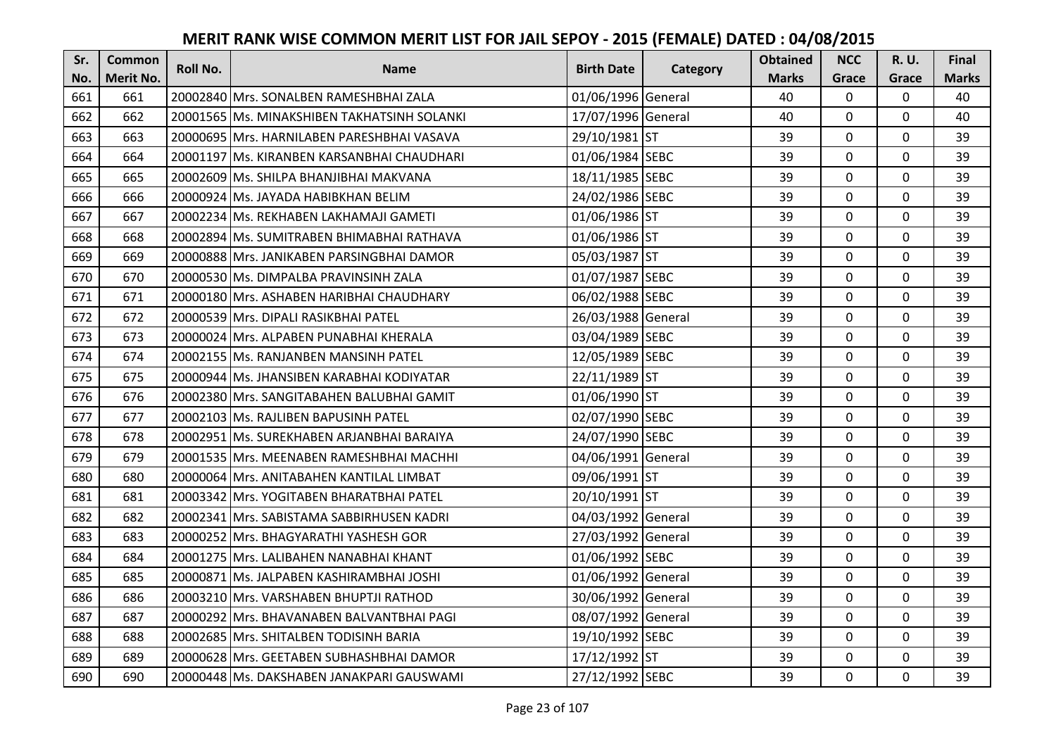| Sr. | Common    | Roll No. | <b>Name</b>                                 | <b>Birth Date</b>  | Category | <b>Obtained</b> | <b>NCC</b>   | <b>R.U.</b> | Final        |
|-----|-----------|----------|---------------------------------------------|--------------------|----------|-----------------|--------------|-------------|--------------|
| No. | Merit No. |          |                                             |                    |          | <b>Marks</b>    | Grace        | Grace       | <b>Marks</b> |
| 661 | 661       |          | 20002840 Mrs. SONALBEN RAMESHBHAI ZALA      | 01/06/1996 General |          | 40              | $\Omega$     | 0           | 40           |
| 662 | 662       |          | 20001565 Ms. MINAKSHIBEN TAKHATSINH SOLANKI | 17/07/1996 General |          | 40              | $\mathbf 0$  | $\Omega$    | 40           |
| 663 | 663       |          | 20000695 Mrs. HARNILABEN PARESHBHAI VASAVA  | 29/10/1981 ST      |          | 39              | $\mathbf{0}$ | $\Omega$    | 39           |
| 664 | 664       |          | 20001197 Ms. KIRANBEN KARSANBHAI CHAUDHARI  | 01/06/1984 SEBC    |          | 39              | $\mathbf 0$  | $\Omega$    | 39           |
| 665 | 665       |          | 20002609 Ms. SHILPA BHANJIBHAI MAKVANA      | 18/11/1985 SEBC    |          | 39              | $\mathbf 0$  | $\mathbf 0$ | 39           |
| 666 | 666       |          | 20000924 Ms. JAYADA HABIBKHAN BELIM         | 24/02/1986 SEBC    |          | 39              | $\mathbf{0}$ | $\Omega$    | 39           |
| 667 | 667       |          | 20002234 Ms. REKHABEN LAKHAMAJI GAMETI      | 01/06/1986 ST      |          | 39              | $\mathbf 0$  | $\Omega$    | 39           |
| 668 | 668       |          | 20002894 Ms. SUMITRABEN BHIMABHAI RATHAVA   | 01/06/1986 ST      |          | 39              | $\mathbf{0}$ | $\Omega$    | 39           |
| 669 | 669       |          | 20000888 Mrs. JANIKABEN PARSINGBHAI DAMOR   | 05/03/1987 ST      |          | 39              | 0            | 0           | 39           |
| 670 | 670       |          | 20000530 Ms. DIMPALBA PRAVINSINH ZALA       | 01/07/1987 SEBC    |          | 39              | $\mathbf{0}$ | $\mathbf 0$ | 39           |
| 671 | 671       |          | 20000180 Mrs. ASHABEN HARIBHAI CHAUDHARY    | 06/02/1988 SEBC    |          | 39              | $\Omega$     | 0           | 39           |
| 672 | 672       |          | 20000539 Mrs. DIPALI RASIKBHAI PATEL        | 26/03/1988 General |          | 39              | 0            | 0           | 39           |
| 673 | 673       |          | 20000024 Mrs. ALPABEN PUNABHAI KHERALA      | 03/04/1989 SEBC    |          | 39              | $\mathbf{0}$ | $\mathbf 0$ | 39           |
| 674 | 674       |          | 20002155 Ms. RANJANBEN MANSINH PATEL        | 12/05/1989 SEBC    |          | 39              | $\mathbf 0$  | $\Omega$    | 39           |
| 675 | 675       |          | 20000944 Ms. JHANSIBEN KARABHAI KODIYATAR   | 22/11/1989 ST      |          | 39              | $\mathbf 0$  | 0           | 39           |
| 676 | 676       |          | 20002380 IMrs. SANGITABAHEN BALUBHAI GAMIT  | 01/06/1990 ST      |          | 39              | $\mathbf{0}$ | $\Omega$    | 39           |
| 677 | 677       |          | 20002103 Ms. RAJLIBEN BAPUSINH PATEL        | 02/07/1990 SEBC    |          | 39              | $\mathbf{0}$ | 0           | 39           |
| 678 | 678       |          | 20002951 Ms. SUREKHABEN ARJANBHAI BARAIYA   | 24/07/1990 SEBC    |          | 39              | $\Omega$     | $\Omega$    | 39           |
| 679 | 679       |          | 20001535 Mrs. MEENABEN RAMESHBHAI MACHHI    | 04/06/1991 General |          | 39              | $\mathbf 0$  | $\Omega$    | 39           |
| 680 | 680       |          | 20000064 Mrs. ANITABAHEN KANTILAL LIMBAT    | 09/06/1991 ST      |          | 39              | $\mathbf 0$  | 0           | 39           |
| 681 | 681       |          | 20003342 Mrs. YOGITABEN BHARATBHAI PATEL    | 20/10/1991 ST      |          | 39              | $\mathbf{0}$ | $\Omega$    | 39           |
| 682 | 682       |          | 20002341 Mrs. SABISTAMA SABBIRHUSEN KADRI   | 04/03/1992 General |          | 39              | $\Omega$     | $\Omega$    | 39           |
| 683 | 683       |          | 20000252 Mrs. BHAGYARATHI YASHESH GOR       | 27/03/1992 General |          | 39              | $\mathbf{0}$ | $\Omega$    | 39           |
| 684 | 684       |          | 20001275 Mrs. LALIBAHEN NANABHAI KHANT      | 01/06/1992 SEBC    |          | 39              | $\mathbf 0$  | $\mathbf 0$ | 39           |
| 685 | 685       |          | 20000871 Ms. JALPABEN KASHIRAMBHAI JOSHI    | 01/06/1992 General |          | 39              | $\mathbf 0$  | 0           | 39           |
| 686 | 686       |          | 20003210 Mrs. VARSHABEN BHUPTJI RATHOD      | 30/06/1992 General |          | 39              | $\mathbf 0$  | $\mathbf 0$ | 39           |
| 687 | 687       |          | 20000292 Mrs. BHAVANABEN BALVANTBHAI PAGI   | 08/07/1992 General |          | 39              | $\mathbf 0$  | 0           | 39           |
| 688 | 688       |          | 20002685 Mrs. SHITALBEN TODISINH BARIA      | 19/10/1992 SEBC    |          | 39              | $\Omega$     | $\Omega$    | 39           |
| 689 | 689       |          | 20000628 Mrs. GEETABEN SUBHASHBHAI DAMOR    | 17/12/1992 ST      |          | 39              | $\mathbf 0$  | 0           | 39           |
| 690 | 690       |          | 20000448 Ms. DAKSHABEN JANAKPARI GAUSWAMI   | 27/12/1992 SEBC    |          | 39              | $\mathbf{0}$ | $\mathbf 0$ | 39           |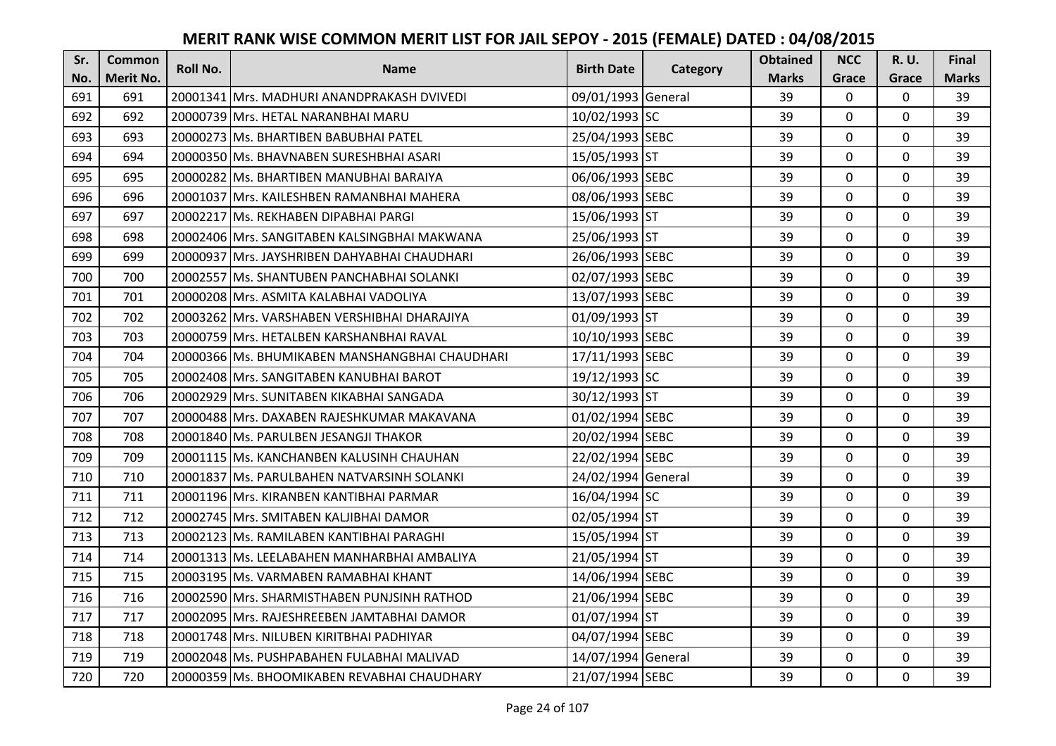| Sr. | <b>Common</b>    | <b>Roll No.</b> | <b>Name</b>                                      | <b>Birth Date</b>  | Category | <b>Obtained</b> | <b>NCC</b>   | <b>R.U.</b> | Final        |
|-----|------------------|-----------------|--------------------------------------------------|--------------------|----------|-----------------|--------------|-------------|--------------|
| No. | <b>Merit No.</b> |                 |                                                  |                    |          | <b>Marks</b>    | Grace        | Grace       | <b>Marks</b> |
| 691 | 691              |                 | 20001341 Mrs. MADHURI ANANDPRAKASH DVIVEDI       | 09/01/1993 General |          | 39              | 0            | 0           | 39           |
| 692 | 692              |                 | 20000739 Mrs. HETAL NARANBHAI MARU               | 10/02/1993 SC      |          | 39              | $\mathbf 0$  | $\Omega$    | 39           |
| 693 | 693              |                 | 20000273 Ms. BHARTIBEN BABUBHAI PATEL            | 25/04/1993 SEBC    |          | 39              | $\Omega$     | $\Omega$    | 39           |
| 694 | 694              |                 | 20000350 Ms. BHAVNABEN SURESHBHAI ASARI          | 15/05/1993 ST      |          | 39              | $\Omega$     | 0           | 39           |
| 695 | 695              |                 | 20000282 Ms. BHARTIBEN MANUBHAI BARAIYA          | 06/06/1993 SEBC    |          | 39              | $\mathbf{0}$ | $\mathbf 0$ | 39           |
| 696 | 696              |                 | 20001037 Mrs. KAILESHBEN RAMANBHAI MAHERA        | 08/06/1993 SEBC    |          | 39              | $\Omega$     | $\Omega$    | 39           |
| 697 | 697              |                 | 20002217 Ms. REKHABEN DIPABHAI PARGI             | 15/06/1993 ST      |          | 39              | $\mathbf 0$  | $\Omega$    | 39           |
| 698 | 698              |                 | 20002406   Mrs. SANGITABEN KALSINGBHAI MAKWANA   | 25/06/1993 ST      |          | 39              | $\mathbf 0$  | $\Omega$    | 39           |
| 699 | 699              |                 | 20000937 Mrs. JAYSHRIBEN DAHYABHAI CHAUDHARI     | 26/06/1993 SEBC    |          | 39              | 0            | 0           | 39           |
| 700 | 700              |                 | 20002557 Ms. SHANTUBEN PANCHABHAI SOLANKI        | 02/07/1993 SEBC    |          | 39              | $\mathbf{0}$ | $\mathbf 0$ | 39           |
| 701 | 701              |                 | 20000208 Mrs. ASMITA KALABHAI VADOLIYA           | 13/07/1993 SEBC    |          | 39              | $\Omega$     | $\Omega$    | 39           |
| 702 | 702              |                 | 20003262 Mrs. VARSHABEN VERSHIBHAI DHARAJIYA     | 01/09/1993 ST      |          | 39              | $\mathbf 0$  | $\Omega$    | 39           |
| 703 | 703              |                 | 20000759 Mrs. HETALBEN KARSHANBHAI RAVAL         | 10/10/1993 SEBC    |          | 39              | $\mathbf{0}$ | $\mathbf 0$ | 39           |
| 704 | 704              |                 | 20000366   Ms. BHUMIKABEN MANSHANGBHAI CHAUDHARI | 17/11/1993 SEBC    |          | 39              | $\mathbf 0$  | 0           | 39           |
| 705 | 705              |                 | 20002408 Mrs. SANGITABEN KANUBHAI BAROT          | 19/12/1993 SC      |          | 39              | $\mathbf 0$  | 0           | 39           |
| 706 | 706              |                 | 20002929 Mrs. SUNITABEN KIKABHAI SANGADA         | 30/12/1993 ST      |          | 39              | $\mathbf{0}$ | $\Omega$    | 39           |
| 707 | 707              |                 | 20000488 Mrs. DAXABEN RAJESHKUMAR MAKAVANA       | 01/02/1994 SEBC    |          | 39              | $\mathbf{0}$ | $\Omega$    | 39           |
| 708 | 708              |                 | 20001840 Ms. PARULBEN JESANGJI THAKOR            | 20/02/1994 SEBC    |          | 39              | $\mathbf 0$  | $\Omega$    | 39           |
| 709 | 709              |                 | 20001115 IMs. KANCHANBEN KALUSINH CHAUHAN        | 22/02/1994 SEBC    |          | 39              | $\mathbf 0$  | $\Omega$    | 39           |
| 710 | 710              |                 | 20001837 Ms. PARULBAHEN NATVARSINH SOLANKI       | 24/02/1994 General |          | 39              | $\mathbf 0$  | 0           | 39           |
| 711 | 711              |                 | 20001196 Mrs. KIRANBEN KANTIBHAI PARMAR          | 16/04/1994 SC      |          | 39              | $\mathbf 0$  | $\Omega$    | 39           |
| 712 | 712              |                 | 20002745 Mrs. SMITABEN KALJIBHAI DAMOR           | 02/05/1994 ST      |          | 39              | $\Omega$     | $\Omega$    | 39           |
| 713 | 713              |                 | 20002123 Ms. RAMILABEN KANTIBHAI PARAGHI         | 15/05/1994 ST      |          | 39              | $\mathbf 0$  | $\Omega$    | 39           |
| 714 | 714              |                 | 20001313 Ms. LEELABAHEN MANHARBHAI AMBALIYA      | 21/05/1994 ST      |          | 39              | $\mathbf{0}$ | $\mathbf 0$ | 39           |
| 715 | 715              |                 | 20003195 Ms. VARMABEN RAMABHAI KHANT             | 14/06/1994 SEBC    |          | 39              | $\mathbf 0$  | 0           | 39           |
| 716 | 716              |                 | 20002590 Mrs. SHARMISTHABEN PUNJSINH RATHOD      | 21/06/1994 SEBC    |          | 39              | $\mathbf{0}$ | $\Omega$    | 39           |
| 717 | 717              |                 | 20002095 Mrs. RAJESHREEBEN JAMTABHAI DAMOR       | 01/07/1994 ST      |          | 39              | $\mathbf 0$  | 0           | 39           |
| 718 | 718              |                 | 20001748 Mrs. NILUBEN KIRITBHAI PADHIYAR         | 04/07/1994 SEBC    |          | 39              | $\Omega$     | $\Omega$    | 39           |
| 719 | 719              |                 | 20002048 Ms. PUSHPABAHEN FULABHAI MALIVAD        | 14/07/1994 General |          | 39              | $\mathbf 0$  | 0           | 39           |
| 720 | 720              |                 | 20000359 Ms. BHOOMIKABEN REVABHAI CHAUDHARY      | 21/07/1994 SEBC    |          | 39              | $\mathbf{0}$ | $\mathbf 0$ | 39           |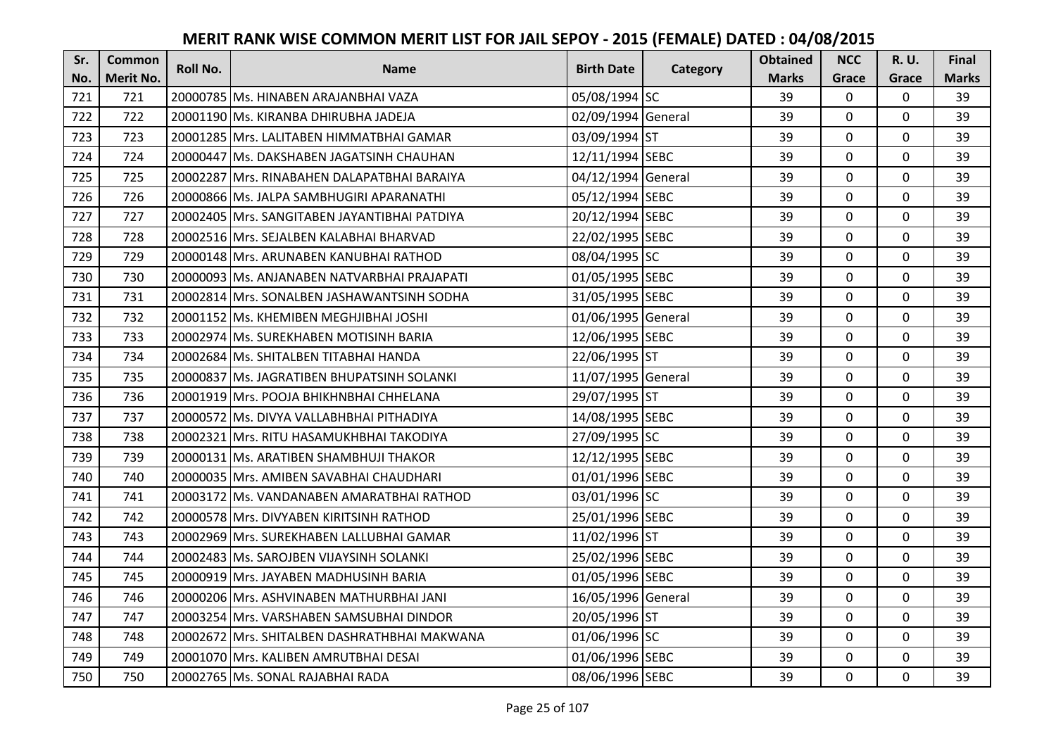| Sr. | <b>Common</b> | <b>Roll No.</b> | <b>Name</b>                                  | <b>Birth Date</b>  |          | <b>Obtained</b> | <b>NCC</b>   | <b>R.U.</b> | Final        |
|-----|---------------|-----------------|----------------------------------------------|--------------------|----------|-----------------|--------------|-------------|--------------|
| No. | Merit No.     |                 |                                              |                    | Category | <b>Marks</b>    | Grace        | Grace       | <b>Marks</b> |
| 721 | 721           |                 | 20000785 Ms. HINABEN ARAJANBHAI VAZA         | 05/08/1994 SC      |          | 39              | 0            | 0           | 39           |
| 722 | 722           |                 | 20001190 Ms. KIRANBA DHIRUBHA JADEJA         | 02/09/1994 General |          | 39              | $\mathbf 0$  | $\Omega$    | 39           |
| 723 | 723           |                 | 20001285 Mrs. LALITABEN HIMMATBHAI GAMAR     | 03/09/1994 ST      |          | 39              | $\Omega$     | $\Omega$    | 39           |
| 724 | 724           |                 | 20000447 Ms. DAKSHABEN JAGATSINH CHAUHAN     | 12/11/1994 SEBC    |          | 39              | $\mathbf 0$  | $\Omega$    | 39           |
| 725 | 725           |                 | 20002287 Mrs. RINABAHEN DALAPATBHAI BARAIYA  | 04/12/1994 General |          | 39              | $\mathbf{0}$ | $\mathbf 0$ | 39           |
| 726 | 726           |                 | 20000866 Ms. JALPA SAMBHUGIRI APARANATHI     | 05/12/1994 SEBC    |          | 39              | $\Omega$     | $\Omega$    | 39           |
| 727 | 727           |                 | 20002405 Mrs. SANGITABEN JAYANTIBHAI PATDIYA | 20/12/1994 SEBC    |          | 39              | $\mathbf 0$  | $\Omega$    | 39           |
| 728 | 728           |                 | 20002516 Mrs. SEJALBEN KALABHAI BHARVAD      | 22/02/1995 SEBC    |          | 39              | $\mathbf{0}$ | $\Omega$    | 39           |
| 729 | 729           |                 | 20000148 Mrs. ARUNABEN KANUBHAI RATHOD       | 08/04/1995 SC      |          | 39              | 0            | 0           | 39           |
| 730 | 730           |                 | 20000093 Ms. ANJANABEN NATVARBHAI PRAJAPATI  | 01/05/1995 SEBC    |          | 39              | $\mathbf{0}$ | $\mathbf 0$ | 39           |
| 731 | 731           |                 | 20002814 Mrs. SONALBEN JASHAWANTSINH SODHA   | 31/05/1995 SEBC    |          | 39              | $\Omega$     | $\Omega$    | 39           |
| 732 | 732           |                 | 20001152 Ms. KHEMIBEN MEGHJIBHAI JOSHI       | 01/06/1995 General |          | 39              | $\mathbf 0$  | 0           | 39           |
| 733 | 733           |                 | 20002974 Ms. SUREKHABEN MOTISINH BARIA       | 12/06/1995 SEBC    |          | 39              | $\mathbf{0}$ | $\mathbf 0$ | 39           |
| 734 | 734           |                 | 20002684 Ms. SHITALBEN TITABHAI HANDA        | 22/06/1995 ST      |          | 39              | $\mathbf{0}$ | 0           | 39           |
| 735 | 735           |                 | 20000837 Ms. JAGRATIBEN BHUPATSINH SOLANKI   | 11/07/1995 General |          | 39              | $\mathbf 0$  | 0           | 39           |
| 736 | 736           |                 | 20001919 Mrs. POOJA BHIKHNBHAI CHHELANA      | 29/07/1995 ST      |          | 39              | $\mathbf{0}$ | $\Omega$    | 39           |
| 737 | 737           |                 | 20000572 Ms. DIVYA VALLABHBHAI PITHADIYA     | 14/08/1995 SEBC    |          | 39              | $\mathbf{0}$ | 0           | 39           |
| 738 | 738           |                 | 20002321 Mrs. RITU HASAMUKHBHAI TAKODIYA     | 27/09/1995 SC      |          | 39              | $\mathbf 0$  | $\Omega$    | 39           |
| 739 | 739           |                 | 20000131 Ms. ARATIBEN SHAMBHUJI THAKOR       | 12/12/1995 SEBC    |          | 39              | $\mathbf{0}$ | $\Omega$    | 39           |
| 740 | 740           |                 | 20000035 Mrs. AMIBEN SAVABHAI CHAUDHARI      | 01/01/1996 SEBC    |          | 39              | $\mathbf 0$  | 0           | 39           |
| 741 | 741           |                 | 20003172 Ms. VANDANABEN AMARATBHAI RATHOD    | 03/01/1996 SC      |          | 39              | $\mathbf 0$  | $\Omega$    | 39           |
| 742 | 742           |                 | 20000578 Mrs. DIVYABEN KIRITSINH RATHOD      | 25/01/1996 SEBC    |          | 39              | $\Omega$     | $\Omega$    | 39           |
| 743 | 743           |                 | 20002969 Mrs. SUREKHABEN LALLUBHAI GAMAR     | 11/02/1996 ST      |          | 39              | $\mathbf 0$  | $\Omega$    | 39           |
| 744 | 744           |                 | 20002483 Ms. SAROJBEN VIJAYSINH SOLANKI      | 25/02/1996 SEBC    |          | 39              | $\mathbf{0}$ | $\mathbf 0$ | 39           |
| 745 | 745           |                 | 20000919 Mrs. JAYABEN MADHUSINH BARIA        | 01/05/1996 SEBC    |          | 39              | $\mathbf 0$  | 0           | 39           |
| 746 | 746           |                 | 20000206 Mrs. ASHVINABEN MATHURBHAI JANI     | 16/05/1996 General |          | 39              | $\mathbf 0$  | $\Omega$    | 39           |
| 747 | 747           |                 | 20003254 Mrs. VARSHABEN SAMSUBHAI DINDOR     | 20/05/1996 ST      |          | 39              | $\mathbf 0$  | 0           | 39           |
| 748 | 748           |                 | 20002672 Mrs. SHITALBEN DASHRATHBHAI MAKWANA | 01/06/1996 SC      |          | 39              | $\Omega$     | $\Omega$    | 39           |
| 749 | 749           |                 | 20001070 Mrs. KALIBEN AMRUTBHAI DESAI        | 01/06/1996 SEBC    |          | 39              | $\mathbf 0$  | 0           | 39           |
| 750 | 750           |                 | 20002765 Ms. SONAL RAJABHAI RADA             | 08/06/1996 SEBC    |          | 39              | $\mathbf{0}$ | $\mathbf 0$ | 39           |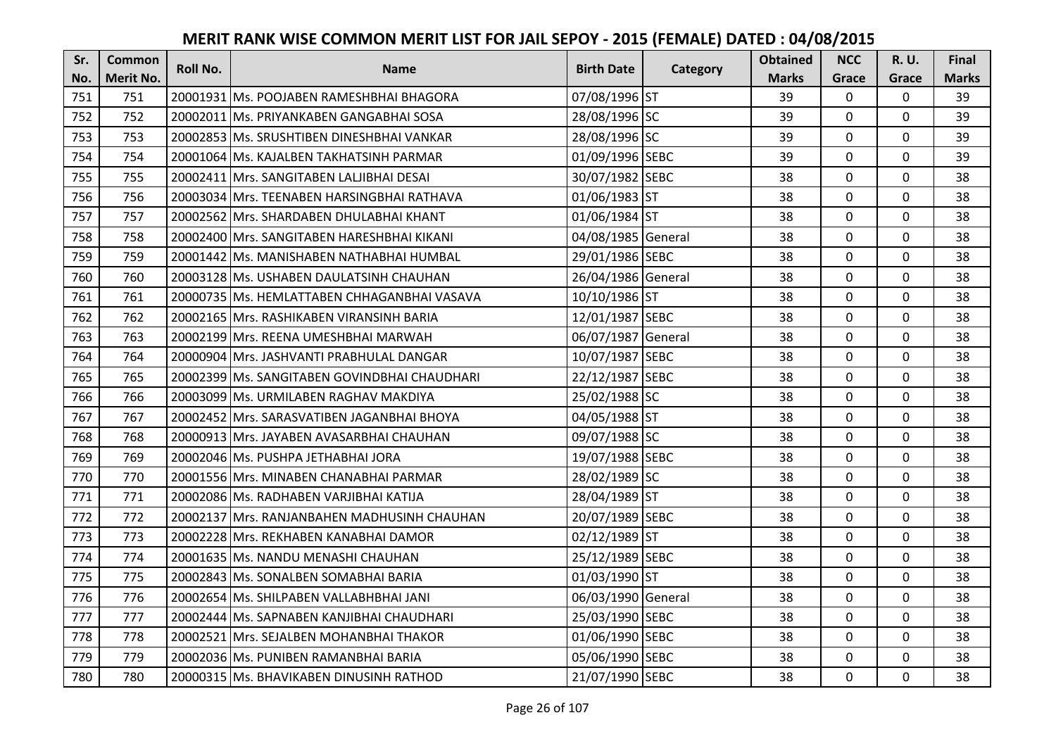| Sr. | <b>Common</b> | <b>Roll No.</b> | <b>Name</b>                                   | <b>Birth Date</b>  |          | <b>Obtained</b> | <b>NCC</b>   | <b>R.U.</b> | Final        |
|-----|---------------|-----------------|-----------------------------------------------|--------------------|----------|-----------------|--------------|-------------|--------------|
| No. | Merit No.     |                 |                                               |                    | Category | <b>Marks</b>    | Grace        | Grace       | <b>Marks</b> |
| 751 | 751           |                 | 20001931 Ms. POOJABEN RAMESHBHAI BHAGORA      | 07/08/1996 ST      |          | 39              | 0            | 0           | 39           |
| 752 | 752           |                 | 20002011 Ms. PRIYANKABEN GANGABHAI SOSA       | 28/08/1996 SC      |          | 39              | $\mathbf 0$  | $\Omega$    | 39           |
| 753 | 753           |                 | 20002853 Ms. SRUSHTIBEN DINESHBHAI VANKAR     | 28/08/1996 SC      |          | 39              | $\mathbf{0}$ | 0           | 39           |
| 754 | 754           |                 | 20001064 Ms. KAJALBEN TAKHATSINH PARMAR       | 01/09/1996 SEBC    |          | 39              | $\mathbf 0$  | 0           | 39           |
| 755 | 755           |                 | 20002411 Mrs. SANGITABEN LALJIBHAI DESAI      | 30/07/1982 SEBC    |          | 38              | $\mathbf{0}$ | $\mathbf 0$ | 38           |
| 756 | 756           |                 | 20003034 Mrs. TEENABEN HARSINGBHAI RATHAVA    | 01/06/1983 ST      |          | 38              | $\mathbf 0$  | $\Omega$    | 38           |
| 757 | 757           |                 | 20002562 Mrs. SHARDABEN DHULABHAI KHANT       | 01/06/1984 ST      |          | 38              | $\mathbf 0$  | 0           | 38           |
| 758 | 758           |                 | 20002400 Mrs. SANGITABEN HARESHBHAI KIKANI    | 04/08/1985 General |          | 38              | $\mathbf{0}$ | $\mathbf 0$ | 38           |
| 759 | 759           |                 | 20001442 Ms. MANISHABEN NATHABHAI HUMBAL      | 29/01/1986 SEBC    |          | 38              | $\mathbf 0$  | 0           | 38           |
| 760 | 760           |                 | 20003128 Ms. USHABEN DAULATSINH CHAUHAN       | 26/04/1986 General |          | 38              | $\mathbf{0}$ | $\mathbf 0$ | 38           |
| 761 | 761           |                 | 20000735   Ms. HEMLATTABEN CHHAGANBHAI VASAVA | 10/10/1986 ST      |          | 38              | $\Omega$     | 0           | 38           |
| 762 | 762           |                 | 20002165 Mrs. RASHIKABEN VIRANSINH BARIA      | 12/01/1987 SEBC    |          | 38              | $\mathbf 0$  | 0           | 38           |
| 763 | 763           |                 | 20002199 Mrs. REENA UMESHBHAI MARWAH          | 06/07/1987 General |          | 38              | $\mathbf{0}$ | $\mathbf 0$ | 38           |
| 764 | 764           |                 | 20000904 Mrs. JASHVANTI PRABHULAL DANGAR      | 10/07/1987 SEBC    |          | 38              | $\mathbf 0$  | 0           | 38           |
| 765 | 765           |                 | 20002399 Ms. SANGITABEN GOVINDBHAI CHAUDHARI  | 22/12/1987 SEBC    |          | 38              | $\mathbf 0$  | 0           | 38           |
| 766 | 766           |                 | 20003099 Ms. URMILABEN RAGHAV MAKDIYA         | 25/02/1988 SC      |          | 38              | $\mathbf{0}$ | $\Omega$    | 38           |
| 767 | 767           |                 | 20002452 Mrs. SARASVATIBEN JAGANBHAI BHOYA    | 04/05/1988 ST      |          | 38              | $\mathbf{0}$ | 0           | 38           |
| 768 | 768           |                 | 20000913 Mrs. JAYABEN AVASARBHAI CHAUHAN      | 09/07/1988 SC      |          | 38              | $\mathbf 0$  | $\Omega$    | 38           |
| 769 | 769           |                 | 20002046 Ms. PUSHPA JETHABHAI JORA            | 19/07/1988 SEBC    |          | 38              | $\mathbf{0}$ | $\Omega$    | 38           |
| 770 | 770           |                 | 20001556 Mrs. MINABEN CHANABHAI PARMAR        | 28/02/1989 SC      |          | 38              | $\mathbf 0$  | 0           | 38           |
| 771 | 771           |                 | 20002086 Ms. RADHABEN VARJIBHAI KATIJA        | 28/04/1989 ST      |          | 38              | $\mathbf 0$  | $\Omega$    | 38           |
| 772 | 772           |                 | 20002137 Mrs. RANJANBAHEN MADHUSINH CHAUHAN   | 20/07/1989 SEBC    |          | 38              | $\mathbf 0$  | $\Omega$    | 38           |
| 773 | 773           |                 | 20002228 Mrs. REKHABEN KANABHAI DAMOR         | 02/12/1989 ST      |          | 38              | $\mathbf 0$  | $\Omega$    | 38           |
| 774 | 774           |                 | 20001635 Ms. NANDU MENASHI CHAUHAN            | 25/12/1989 SEBC    |          | 38              | $\mathbf 0$  | $\mathbf 0$ | 38           |
| 775 | 775           |                 | 20002843 Ms. SONALBEN SOMABHAI BARIA          | 01/03/1990 ST      |          | 38              | $\mathbf 0$  | 0           | 38           |
| 776 | 776           |                 | 20002654 Ms. SHILPABEN VALLABHBHAI JANI       | 06/03/1990 General |          | 38              | $\mathbf 0$  | 0           | 38           |
| 777 | 777           |                 | 20002444 Ms. SAPNABEN KANJIBHAI CHAUDHARI     | 25/03/1990 SEBC    |          | 38              | $\mathbf 0$  | 0           | 38           |
| 778 | 778           |                 | 20002521 Mrs. SEJALBEN MOHANBHAI THAKOR       | 01/06/1990 SEBC    |          | 38              | $\Omega$     | 0           | 38           |
| 779 | 779           |                 | 20002036 Ms. PUNIBEN RAMANBHAI BARIA          | 05/06/1990 SEBC    |          | 38              | $\mathbf 0$  | 0           | 38           |
| 780 | 780           |                 | 20000315 Ms. BHAVIKABEN DINUSINH RATHOD       | 21/07/1990 SEBC    |          | 38              | $\mathbf{0}$ | $\mathbf 0$ | 38           |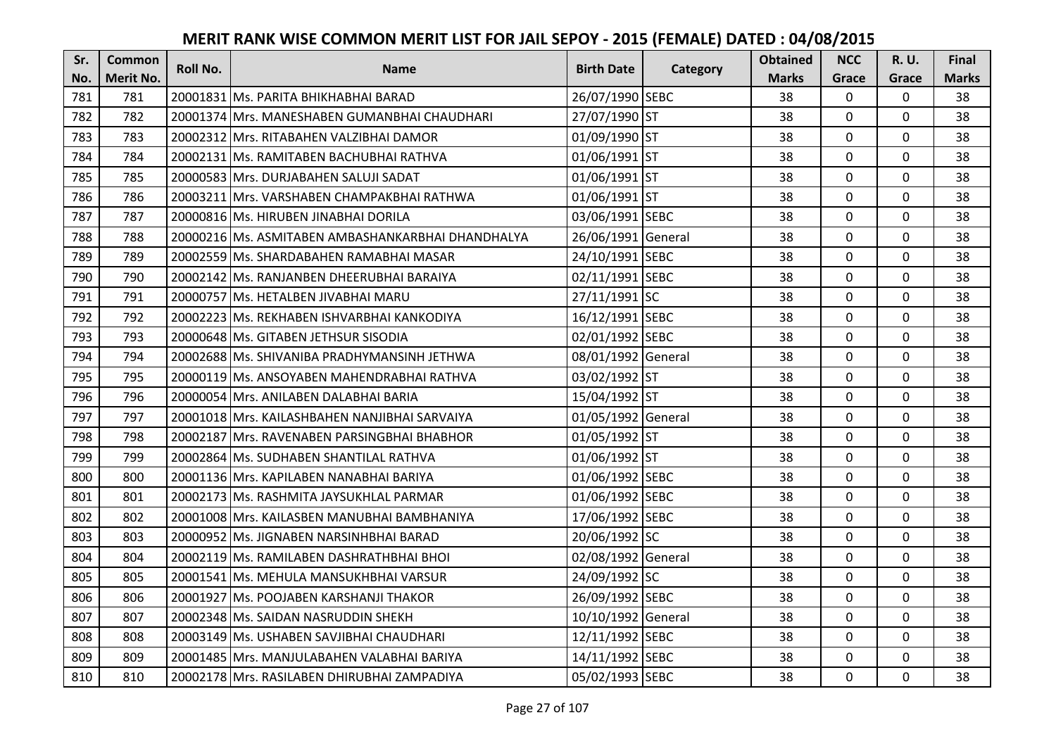| Sr. | <b>Common</b>    | <b>Roll No.</b> | <b>Name</b>                                       | <b>Birth Date</b>  |          | <b>Obtained</b> | <b>NCC</b>   | <b>R.U.</b> | Final        |
|-----|------------------|-----------------|---------------------------------------------------|--------------------|----------|-----------------|--------------|-------------|--------------|
| No. | <b>Merit No.</b> |                 |                                                   |                    | Category | <b>Marks</b>    | Grace        | Grace       | <b>Marks</b> |
| 781 | 781              |                 | 20001831 Ms. PARITA BHIKHABHAI BARAD              | 26/07/1990 SEBC    |          | 38              | 0            | 0           | 38           |
| 782 | 782              |                 | 20001374 IMrs. MANESHABEN GUMANBHAI CHAUDHARI     | 27/07/1990 ST      |          | 38              | $\mathbf 0$  | $\Omega$    | 38           |
| 783 | 783              |                 | 20002312 IMrs. RITABAHEN VALZIBHAI DAMOR          | 01/09/1990 ST      |          | 38              | $\Omega$     | $\Omega$    | 38           |
| 784 | 784              |                 | 20002131 Ms. RAMITABEN BACHUBHAI RATHVA           | 01/06/1991 ST      |          | 38              | $\Omega$     | 0           | 38           |
| 785 | 785              |                 | 20000583 Mrs. DURJABAHEN SALUJI SADAT             | 01/06/1991 ST      |          | 38              | $\mathbf{0}$ | $\mathbf 0$ | 38           |
| 786 | 786              |                 | 20003211 Mrs. VARSHABEN CHAMPAKBHAI RATHWA        | 01/06/1991 ST      |          | 38              | $\Omega$     | $\Omega$    | 38           |
| 787 | 787              |                 | 20000816 Ms. HIRUBEN JINABHAI DORILA              | 03/06/1991 SEBC    |          | 38              | $\mathbf{0}$ | $\Omega$    | 38           |
| 788 | 788              |                 | 20000216 Ms. ASMITABEN AMBASHANKARBHAI DHANDHALYA | 26/06/1991 General |          | 38              | $\mathbf 0$  | $\Omega$    | 38           |
| 789 | 789              |                 | 20002559 Ms. SHARDABAHEN RAMABHAI MASAR           | 24/10/1991 SEBC    |          | 38              | 0            | 0           | 38           |
| 790 | 790              |                 | 20002142 Ms. RANJANBEN DHEERUBHAI BARAIYA         | 02/11/1991 SEBC    |          | 38              | $\mathbf{0}$ | $\mathbf 0$ | 38           |
| 791 | 791              |                 | 20000757 Ms. HETALBEN JIVABHAI MARU               | 27/11/1991 SC      |          | 38              | $\Omega$     | $\Omega$    | 38           |
| 792 | 792              |                 | 20002223 Ms. REKHABEN ISHVARBHAI KANKODIYA        | 16/12/1991 SEBC    |          | 38              | $\mathbf 0$  | 0           | 38           |
| 793 | 793              |                 | 20000648 Ms. GITABEN JETHSUR SISODIA              | 02/01/1992 SEBC    |          | 38              | $\mathbf{0}$ | $\mathbf 0$ | 38           |
| 794 | 794              |                 | 20002688 Ms. SHIVANIBA PRADHYMANSINH JETHWA       | 08/01/1992 General |          | 38              | $\mathbf 0$  | 0           | 38           |
| 795 | 795              |                 | 20000119 Ms. ANSOYABEN MAHENDRABHAI RATHVA        | 03/02/1992 ST      |          | 38              | $\mathbf 0$  | 0           | 38           |
| 796 | 796              |                 | 20000054 Mrs. ANILABEN DALABHAI BARIA             | 15/04/1992 ST      |          | 38              | $\mathbf{0}$ | $\Omega$    | 38           |
| 797 | 797              |                 | 20001018 Mrs. KAILASHBAHEN NANJIBHAI SARVAIYA     | 01/05/1992 General |          | 38              | $\mathbf{0}$ | $\Omega$    | 38           |
| 798 | 798              |                 | 20002187 Mrs. RAVENABEN PARSINGBHAI BHABHOR       | 01/05/1992 ST      |          | 38              | $\mathbf 0$  | $\Omega$    | 38           |
| 799 | 799              |                 | 20002864 Ms. SUDHABEN SHANTILAL RATHVA            | 01/06/1992 ST      |          | 38              | $\mathbf{0}$ | 0           | 38           |
| 800 | 800              |                 | 20001136 Mrs. KAPILABEN NANABHAI BARIYA           | 01/06/1992 SEBC    |          | 38              | $\mathbf 0$  | 0           | 38           |
| 801 | 801              |                 | 20002173 Ms. RASHMITA JAYSUKHLAL PARMAR           | 01/06/1992 SEBC    |          | 38              | $\Omega$     | $\Omega$    | 38           |
| 802 | 802              |                 | 20001008 Mrs. KAILASBEN MANUBHAI BAMBHANIYA       | 17/06/1992 SEBC    |          | 38              | $\Omega$     | $\Omega$    | 38           |
| 803 | 803              |                 | 20000952 Ms. JIGNABEN NARSINHBHAI BARAD           | 20/06/1992 SC      |          | 38              | $\mathbf 0$  | $\Omega$    | 38           |
| 804 | 804              |                 | 20002119 Ms. RAMILABEN DASHRATHBHAI BHOI          | 02/08/1992 General |          | 38              | $\mathbf 0$  | $\mathbf 0$ | 38           |
| 805 | 805              |                 | 20001541 Ms. MEHULA MANSUKHBHAI VARSUR            | 24/09/1992 SC      |          | 38              | $\mathbf 0$  | 0           | 38           |
| 806 | 806              |                 | 20001927 Ms. POOJABEN KARSHANJI THAKOR            | 26/09/1992 SEBC    |          | 38              | $\mathbf 0$  | $\Omega$    | 38           |
| 807 | 807              |                 | 20002348 Ms. SAIDAN NASRUDDIN SHEKH               | 10/10/1992 General |          | 38              | $\mathbf 0$  | 0           | 38           |
| 808 | 808              |                 | 20003149 Ms. USHABEN SAVJIBHAI CHAUDHARI          | 12/11/1992 SEBC    |          | 38              | $\Omega$     | 0           | 38           |
| 809 | 809              |                 | 20001485 Mrs. MANJULABAHEN VALABHAI BARIYA        | 14/11/1992 SEBC    |          | 38              | $\mathbf 0$  | 0           | 38           |
| 810 | 810              |                 | 20002178 Mrs. RASILABEN DHIRUBHAI ZAMPADIYA       | 05/02/1993 SEBC    |          | 38              | $\mathbf{0}$ | $\mathbf 0$ | 38           |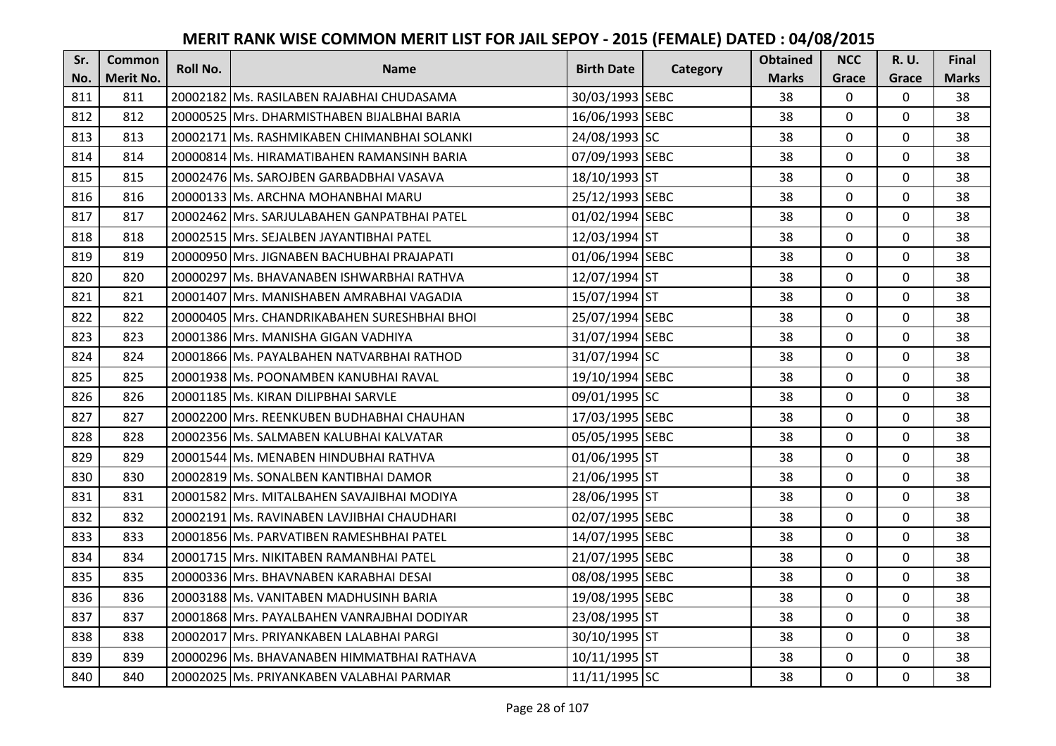| Sr. | Common    | <b>Roll No.</b> | <b>Name</b>                                  | <b>Birth Date</b> | Category | <b>Obtained</b> | <b>NCC</b>   | R. U.       | Final        |
|-----|-----------|-----------------|----------------------------------------------|-------------------|----------|-----------------|--------------|-------------|--------------|
| No. | Merit No. |                 |                                              |                   |          | <b>Marks</b>    | Grace        | Grace       | <b>Marks</b> |
| 811 | 811       |                 | 20002182 Ms. RASILABEN RAJABHAI CHUDASAMA    | 30/03/1993 SEBC   |          | 38              | $\mathbf 0$  | $\mathbf 0$ | 38           |
| 812 | 812       |                 | 20000525 IMrs. DHARMISTHABEN BIJALBHAI BARIA | 16/06/1993 SEBC   |          | 38              | $\mathbf{0}$ | $\mathbf 0$ | 38           |
| 813 | 813       |                 | 20002171 lMs. RASHMIKABEN CHIMANBHAI SOLANKI | 24/08/1993 SC     |          | 38              | 0            | $\mathbf 0$ | 38           |
| 814 | 814       |                 | 20000814 Ms. HIRAMATIBAHEN RAMANSINH BARIA   | 07/09/1993 SEBC   |          | 38              | 0            | 0           | 38           |
| 815 | 815       |                 | 20002476 IMs. SAROJBEN GARBADBHAI VASAVA     | 18/10/1993 ST     |          | 38              | $\mathbf{0}$ | $\mathbf 0$ | 38           |
| 816 | 816       |                 | 20000133 IMs. ARCHNA MOHANBHAI MARU          | 25/12/1993 SEBC   |          | 38              | 0            | 0           | 38           |
| 817 | 817       |                 | 20002462 Mrs. SARJULABAHEN GANPATBHAI PATEL  | 01/02/1994 SEBC   |          | 38              | $\mathbf 0$  | 0           | 38           |
| 818 | 818       |                 | 20002515 Mrs. SEJALBEN JAYANTIBHAI PATEL     | 12/03/1994 ST     |          | 38              | $\mathbf{0}$ | $\mathbf 0$ | 38           |
| 819 | 819       |                 | 20000950 Mrs. JIGNABEN BACHUBHAI PRAJAPATI   | 01/06/1994 SEBC   |          | 38              | 0            | 0           | 38           |
| 820 | 820       |                 | 20000297 Ms. BHAVANABEN ISHWARBHAI RATHVA    | 12/07/1994 ST     |          | 38              | 0            | $\mathbf 0$ | 38           |
| 821 | 821       |                 | 20001407 Mrs. MANISHABEN AMRABHAI VAGADIA    | 15/07/1994 ST     |          | 38              | 0            | $\mathbf 0$ | 38           |
| 822 | 822       |                 | 20000405 Mrs. CHANDRIKABAHEN SURESHBHAI BHOI | 25/07/1994 SEBC   |          | 38              | $\mathbf{0}$ | 0           | 38           |
| 823 | 823       |                 | 20001386 Mrs. MANISHA GIGAN VADHIYA          | 31/07/1994 SEBC   |          | 38              | 0            | $\mathbf 0$ | 38           |
| 824 | 824       |                 | 20001866 Ms. PAYALBAHEN NATVARBHAI RATHOD    | 31/07/1994 SC     |          | 38              | $\mathbf{0}$ | 0           | 38           |
| 825 | 825       |                 | 20001938 Ms. POONAMBEN KANUBHAI RAVAL        | 19/10/1994 SEBC   |          | 38              | 0            | 0           | 38           |
| 826 | 826       |                 | 20001185 Ms. KIRAN DILIPBHAI SARVLE          | 09/01/1995 SC     |          | 38              | $\mathbf{0}$ | $\mathbf 0$ | 38           |
| 827 | 827       |                 | 20002200 Mrs. REENKUBEN BUDHABHAI CHAUHAN    | 17/03/1995 SEBC   |          | 38              | 0            | $\mathbf 0$ | 38           |
| 828 | 828       |                 | 20002356 Ms. SALMABEN KALUBHAI KALVATAR      | 05/05/1995 SEBC   |          | 38              | $\mathbf{0}$ | $\mathbf 0$ | 38           |
| 829 | 829       |                 | 20001544 Ms. MENABEN HINDUBHAI RATHVA        | 01/06/1995 ST     |          | 38              | 0            | $\mathbf 0$ | 38           |
| 830 | 830       |                 | 20002819 Ms. SONALBEN KANTIBHAI DAMOR        | 21/06/1995 ST     |          | 38              | $\mathbf{0}$ | 0           | 38           |
| 831 | 831       |                 | 20001582 Mrs. MITALBAHEN SAVAJIBHAI MODIYA   | 28/06/1995 ST     |          | 38              | $\mathbf{0}$ | $\mathbf 0$ | 38           |
| 832 | 832       |                 | 20002191 Ms. RAVINABEN LAVJIBHAI CHAUDHARI   | 02/07/1995 SEBC   |          | 38              | $\Omega$     | 0           | 38           |
| 833 | 833       |                 | 20001856 Ms. PARVATIBEN RAMESHBHAI PATEL     | 14/07/1995 SEBC   |          | 38              | $\mathbf 0$  | $\mathbf 0$ | 38           |
| 834 | 834       |                 | 20001715 Mrs. NIKITABEN RAMANBHAI PATEL      | 21/07/1995 SEBC   |          | 38              | 0            | $\mathbf 0$ | 38           |
| 835 | 835       |                 | 20000336 Mrs. BHAVNABEN KARABHAI DESAI       | 08/08/1995 SEBC   |          | 38              | $\mathbf 0$  | $\mathbf 0$ | 38           |
| 836 | 836       |                 | 20003188 Ms. VANITABEN MADHUSINH BARIA       | 19/08/1995 SEBC   |          | 38              | 0            | $\mathbf 0$ | 38           |
| 837 | 837       |                 | 20001868 Mrs. PAYALBAHEN VANRAJBHAI DODIYAR  | 23/08/1995 ST     |          | 38              | $\mathbf 0$  | $\mathbf 0$ | 38           |
| 838 | 838       |                 | 20002017 Mrs. PRIYANKABEN LALABHAI PARGI     | 30/10/1995 ST     |          | 38              | $\mathbf 0$  | $\mathbf 0$ | 38           |
| 839 | 839       |                 | 20000296 IMs. BHAVANABEN HIMMATBHAI RATHAVA  | 10/11/1995 ST     |          | 38              | 0            | $\mathbf 0$ | 38           |
| 840 | 840       |                 | 20002025 Ms. PRIYANKABEN VALABHAI PARMAR     | 11/11/1995 SC     |          | 38              | 0            | $\mathbf 0$ | 38           |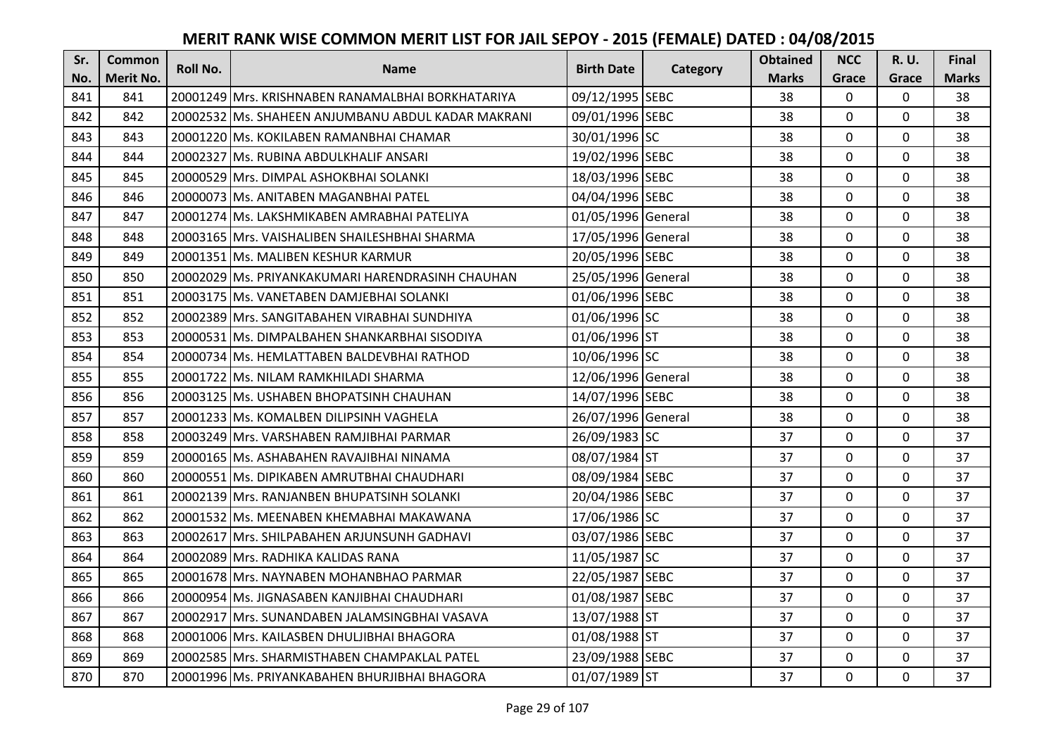| Sr. | Common    | <b>Roll No.</b> | <b>Name</b>                                        | <b>Birth Date</b>  |          | <b>Obtained</b> | <b>NCC</b>     | R. U.    | Final        |
|-----|-----------|-----------------|----------------------------------------------------|--------------------|----------|-----------------|----------------|----------|--------------|
| No. | Merit No. |                 |                                                    |                    | Category | <b>Marks</b>    | Grace          | Grace    | <b>Marks</b> |
| 841 | 841       |                 | 20001249 Mrs. KRISHNABEN RANAMALBHAI BORKHATARIYA  | 09/12/1995 SEBC    |          | 38              | $\mathbf 0$    | 0        | 38           |
| 842 | 842       |                 | 20002532 Ms. SHAHEEN ANJUMBANU ABDUL KADAR MAKRANI | 09/01/1996 SEBC    |          | 38              | $\mathbf 0$    | 0        | 38           |
| 843 | 843       |                 | 20001220 IMs. KOKILABEN RAMANBHAI CHAMAR           | 30/01/1996 SC      |          | 38              | $\mathbf{0}$   | 0        | 38           |
| 844 | 844       |                 | 20002327 Ms. RUBINA ABDULKHALIF ANSARI             | 19/02/1996 SEBC    |          | 38              | $\mathbf 0$    | 0        | 38           |
| 845 | 845       |                 | 20000529 Mrs. DIMPAL ASHOKBHAI SOLANKI             | 18/03/1996 SEBC    |          | 38              | $\mathbf{0}$   | 0        | 38           |
| 846 | 846       |                 | 20000073 Ms. ANITABEN MAGANBHAI PATEL              | 04/04/1996 SEBC    |          | 38              | $\mathbf{0}$   | 0        | 38           |
| 847 | 847       |                 | 20001274 Ms. LAKSHMIKABEN AMRABHAI PATELIYA        | 01/05/1996 General |          | 38              | $\mathbf 0$    | 0        | 38           |
| 848 | 848       |                 | 20003165   Mrs. VAISHALIBEN SHAILESHBHAI SHARMA    | 17/05/1996 General |          | 38              | $\mathbf{0}$   | 0        | 38           |
| 849 | 849       |                 | 20001351 Ms. MALIBEN KESHUR KARMUR                 | 20/05/1996 SEBC    |          | 38              | 0              | 0        | 38           |
| 850 | 850       |                 | 20002029 Ms. PRIYANKAKUMARI HARENDRASINH CHAUHAN   | 25/05/1996 General |          | 38              | $\mathbf 0$    | 0        | 38           |
| 851 | 851       |                 | 20003175 Ms. VANETABEN DAMJEBHAI SOLANKI           | 01/06/1996 SEBC    |          | 38              | $\Omega$       | $\Omega$ | 38           |
| 852 | 852       |                 | 20002389 Mrs. SANGITABAHEN VIRABHAI SUNDHIYA       | 01/06/1996 SC      |          | 38              | $\mathbf 0$    | 0        | 38           |
| 853 | 853       |                 | 20000531 Ms. DIMPALBAHEN SHANKARBHAI SISODIYA      | 01/06/1996 ST      |          | 38              | $\mathbf{0}$   | 0        | 38           |
| 854 | 854       |                 | 20000734 Ms. HEMLATTABEN BALDEVBHAI RATHOD         | 10/06/1996 SC      |          | 38              | $\mathbf 0$    | 0        | 38           |
| 855 | 855       |                 | 20001722 Ms. NILAM RAMKHILADI SHARMA               | 12/06/1996 General |          | 38              | $\mathbf 0$    | 0        | 38           |
| 856 | 856       |                 | 20003125 Ms. USHABEN BHOPATSINH CHAUHAN            | 14/07/1996 SEBC    |          | 38              | $\overline{0}$ | 0        | 38           |
| 857 | 857       |                 | 20001233 IMs. KOMALBEN DILIPSINH VAGHELA           | 26/07/1996 General |          | 38              | $\mathbf{0}$   | 0        | 38           |
| 858 | 858       |                 | 20003249 Mrs. VARSHABEN RAMJIBHAI PARMAR           | 26/09/1983 SC      |          | 37              | $\mathbf{0}$   | 0        | 37           |
| 859 | 859       |                 | 20000165 IMs. ASHABAHEN RAVAJIBHAI NINAMA          | 08/07/1984 ST      |          | 37              | $\mathbf 0$    | 0        | 37           |
| 860 | 860       |                 | 20000551 lMs. DIPIKABEN AMRUTBHAI CHAUDHARI        | 08/09/1984 SEBC    |          | 37              | $\mathbf 0$    | 0        | 37           |
| 861 | 861       |                 | 20002139 Mrs. RANJANBEN BHUPATSINH SOLANKI         | 20/04/1986 SEBC    |          | 37              | 0              | 0        | 37           |
| 862 | 862       |                 | 20001532 Ms. MEENABEN KHEMABHAI MAKAWANA           | 17/06/1986 SC      |          | 37              | $\mathbf{0}$   | 0        | 37           |
| 863 | 863       |                 | 20002617 Mrs. SHILPABAHEN ARJUNSUNH GADHAVI        | 03/07/1986 SEBC    |          | 37              | $\mathbf 0$    | 0        | 37           |
| 864 | 864       |                 | 20002089 Mrs. RADHIKA KALIDAS RANA                 | 11/05/1987 SC      |          | 37              | $\mathbf 0$    | 0        | 37           |
| 865 | 865       |                 | 20001678 Mrs. NAYNABEN MOHANBHAO PARMAR            | 22/05/1987 SEBC    |          | 37              | $\mathbf 0$    | 0        | 37           |
| 866 | 866       |                 | 20000954 Ms. JIGNASABEN KANJIBHAI CHAUDHARI        | 01/08/1987 SEBC    |          | 37              | $\mathbf 0$    | 0        | 37           |
| 867 | 867       |                 | 20002917 Mrs. SUNANDABEN JALAMSINGBHAI VASAVA      | 13/07/1988 ST      |          | 37              | $\mathbf 0$    | 0        | 37           |
| 868 | 868       |                 | 20001006 Mrs. KAILASBEN DHULJIBHAI BHAGORA         | 01/08/1988 ST      |          | 37              | $\Omega$       | $\Omega$ | 37           |
| 869 | 869       |                 | 20002585  Mrs. SHARMISTHABEN CHAMPAKLAL PATEL      | 23/09/1988 SEBC    |          | 37              | $\mathbf 0$    | 0        | 37           |
| 870 | 870       |                 | 20001996 Ms. PRIYANKABAHEN BHURJIBHAI BHAGORA      | 01/07/1989 ST      |          | 37              | $\mathbf 0$    | 0        | 37           |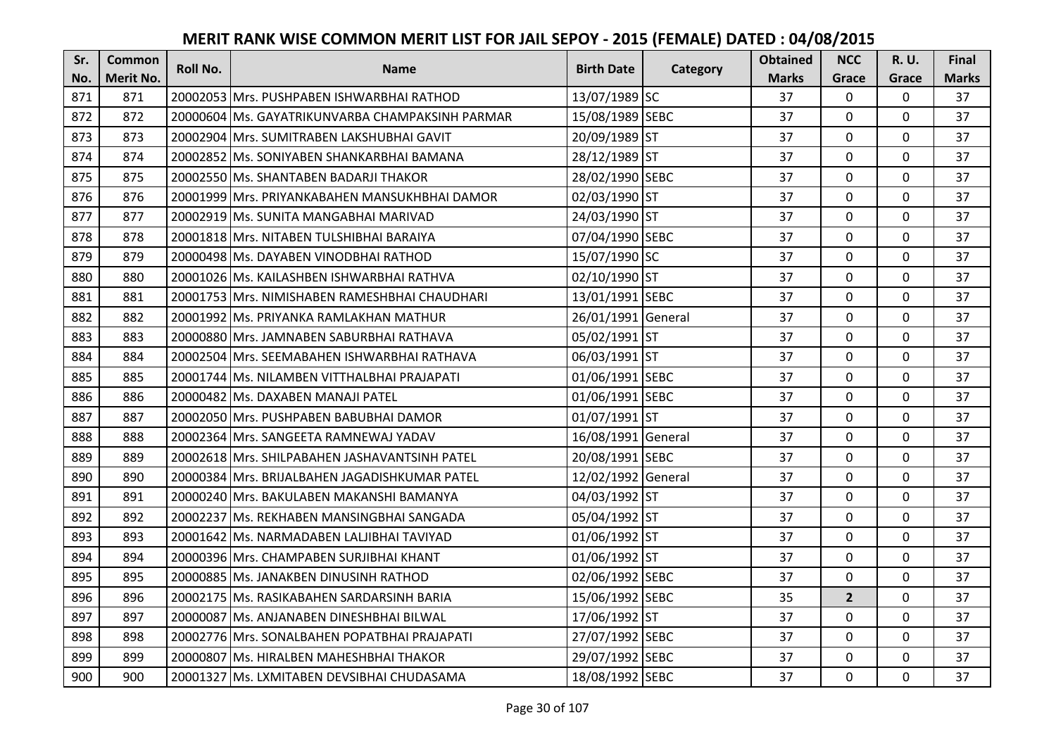| Sr. | <b>Common</b> | <b>Roll No.</b> | <b>Name</b>                                     | <b>Birth Date</b>  | <b>Category</b> | <b>Obtained</b> | <b>NCC</b>   | <b>R.U.</b> | Final        |
|-----|---------------|-----------------|-------------------------------------------------|--------------------|-----------------|-----------------|--------------|-------------|--------------|
| No. | Merit No.     |                 |                                                 |                    |                 | <b>Marks</b>    | Grace        | Grace       | <b>Marks</b> |
| 871 | 871           |                 | 20002053 Mrs. PUSHPABEN ISHWARBHAI RATHOD       | 13/07/1989 SC      |                 | 37              | $\Omega$     | 0           | 37           |
| 872 | 872           |                 | 20000604 Ms. GAYATRIKUNVARBA CHAMPAKSINH PARMAR | 15/08/1989 SEBC    |                 | 37              | $\mathbf 0$  | $\Omega$    | 37           |
| 873 | 873           |                 | 20002904 lMrs. SUMITRABEN LAKSHUBHAI GAVIT      | 20/09/1989 ST      |                 | 37              | $\Omega$     | $\Omega$    | 37           |
| 874 | 874           |                 | 20002852 Ms. SONIYABEN SHANKARBHAI BAMANA       | 28/12/1989 ST      |                 | 37              | $\mathbf 0$  | $\Omega$    | 37           |
| 875 | 875           |                 | 20002550 Ms. SHANTABEN BADARJI THAKOR           | 28/02/1990 SEBC    |                 | 37              | $\mathbf 0$  | $\mathbf 0$ | 37           |
| 876 | 876           |                 | 20001999 Mrs. PRIYANKABAHEN MANSUKHBHAI DAMOR   | 02/03/1990 ST      |                 | 37              | $\Omega$     | $\Omega$    | 37           |
| 877 | 877           |                 | 20002919 Ms. SUNITA MANGABHAI MARIVAD           | 24/03/1990 ST      |                 | 37              | $\mathbf 0$  | $\Omega$    | 37           |
| 878 | 878           |                 | 20001818 Mrs. NITABEN TULSHIBHAI BARAIYA        | 07/04/1990 SEBC    |                 | 37              | $\mathbf{0}$ | $\Omega$    | 37           |
| 879 | 879           |                 | 20000498 Ms. DAYABEN VINODBHAI RATHOD           | 15/07/1990 SC      |                 | 37              | 0            | 0           | 37           |
| 880 | 880           |                 | 20001026 Ms. KAILASHBEN ISHWARBHAI RATHVA       | 02/10/1990 ST      |                 | 37              | $\mathbf 0$  | $\mathbf 0$ | 37           |
| 881 | 881           |                 | 20001753 Mrs. NIMISHABEN RAMESHBHAI CHAUDHARI   | 13/01/1991 SEBC    |                 | 37              | $\Omega$     | $\Omega$    | 37           |
| 882 | 882           |                 | 20001992 Ms. PRIYANKA RAMLAKHAN MATHUR          | 26/01/1991 General |                 | 37              | $\mathbf 0$  | $\Omega$    | 37           |
| 883 | 883           |                 | 20000880 Mrs. JAMNABEN SABURBHAI RATHAVA        | 05/02/1991 ST      |                 | 37              | $\mathbf{0}$ | $\mathbf 0$ | 37           |
| 884 | 884           |                 | 20002504 Mrs. SEEMABAHEN ISHWARBHAI RATHAVA     | 06/03/1991 ST      |                 | 37              | $\mathbf{0}$ | $\Omega$    | 37           |
| 885 | 885           |                 | 20001744 Ms. NILAMBEN VITTHALBHAI PRAJAPATI     | 01/06/1991 SEBC    |                 | 37              | $\mathbf 0$  | $\mathbf 0$ | 37           |
| 886 | 886           |                 | 20000482 Ms. DAXABEN MANAJI PATEL               | 01/06/1991 SEBC    |                 | 37              | $\mathbf{0}$ | $\Omega$    | 37           |
| 887 | 887           |                 | 20002050 Mrs. PUSHPABEN BABUBHAI DAMOR          | 01/07/1991 ST      |                 | 37              | $\mathbf{0}$ | $\Omega$    | 37           |
| 888 | 888           |                 | 20002364 Mrs. SANGEETA RAMNEWAJ YADAV           | 16/08/1991 General |                 | 37              | $\mathbf 0$  | $\Omega$    | 37           |
| 889 | 889           |                 | 20002618 Mrs. SHILPABAHEN JASHAVANTSINH PATEL   | 20/08/1991 SEBC    |                 | 37              | $\mathbf{0}$ | $\Omega$    | 37           |
| 890 | 890           |                 | 20000384 Mrs. BRIJALBAHEN JAGADISHKUMAR PATEL   | 12/02/1992 General |                 | 37              | $\mathbf 0$  | 0           | 37           |
| 891 | 891           |                 | 20000240 Mrs. BAKULABEN MAKANSHI BAMANYA        | 04/03/1992 ST      |                 | 37              | $\Omega$     | $\Omega$    | 37           |
| 892 | 892           |                 | 20002237 Ms. REKHABEN MANSINGBHAI SANGADA       | 05/04/1992 ST      |                 | 37              | $\Omega$     | $\Omega$    | 37           |
| 893 | 893           |                 | 20001642 Ms. NARMADABEN LALJIBHAI TAVIYAD       | 01/06/1992 ST      |                 | 37              | $\mathbf{0}$ | $\Omega$    | 37           |
| 894 | 894           |                 | 20000396 Mrs. CHAMPABEN SURJIBHAI KHANT         | 01/06/1992 ST      |                 | 37              | $\mathbf 0$  | $\Omega$    | 37           |
| 895 | 895           |                 | 20000885 Ms. JANAKBEN DINUSINH RATHOD           | 02/06/1992 SEBC    |                 | 37              | $\mathbf 0$  | 0           | 37           |
| 896 | 896           |                 | 20002175 Ms. RASIKABAHEN SARDARSINH BARIA       | 15/06/1992 SEBC    |                 | 35              | $2^{\circ}$  | $\mathbf 0$ | 37           |
| 897 | 897           |                 | 20000087 Ms. ANJANABEN DINESHBHAI BILWAL        | 17/06/1992 ST      |                 | 37              | $\mathbf 0$  | 0           | 37           |
| 898 | 898           |                 | 20002776 Mrs. SONALBAHEN POPATBHAI PRAJAPATI    | 27/07/1992 SEBC    |                 | 37              | $\Omega$     | $\Omega$    | 37           |
| 899 | 899           |                 | 20000807   Ms. HIRALBEN MAHESHBHAI THAKOR       | 29/07/1992 SEBC    |                 | 37              | $\mathbf 0$  | 0           | 37           |
| 900 | 900           |                 | 20001327 Ms. LXMITABEN DEVSIBHAI CHUDASAMA      | 18/08/1992 SEBC    |                 | 37              | $\mathbf{0}$ | $\mathbf 0$ | 37           |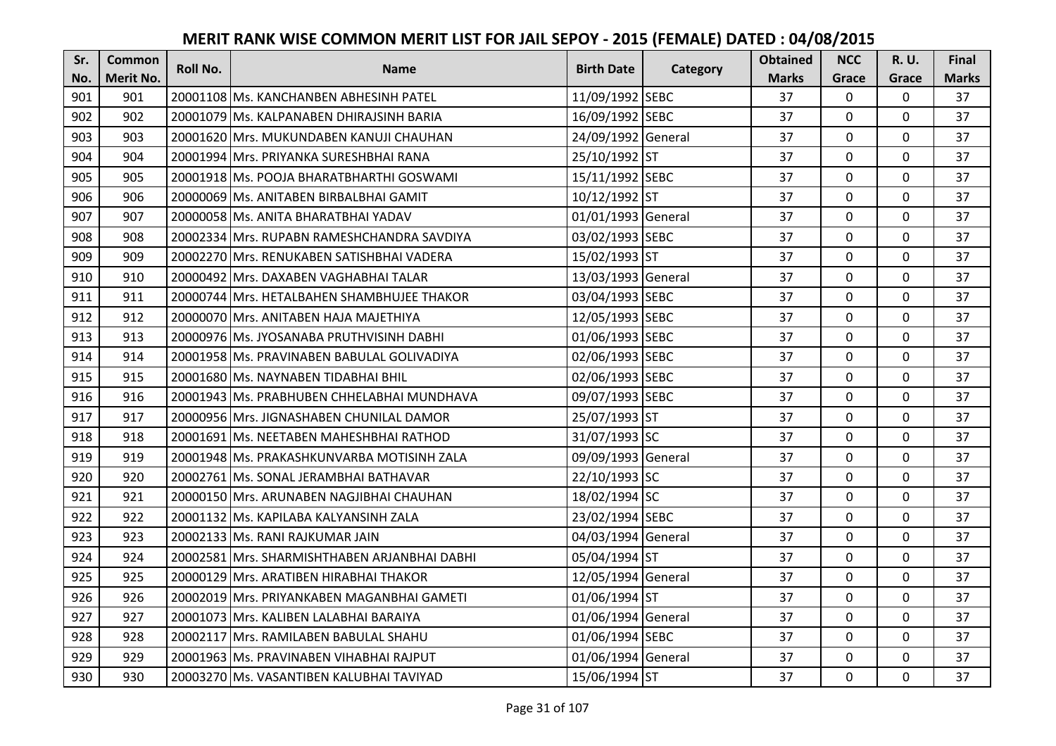| Sr. | <b>Common</b> | <b>Roll No.</b> | <b>Name</b>                                  | <b>Birth Date</b>  |          | <b>Obtained</b> | <b>NCC</b>   | <b>R.U.</b> | Final        |
|-----|---------------|-----------------|----------------------------------------------|--------------------|----------|-----------------|--------------|-------------|--------------|
| No. | Merit No.     |                 |                                              |                    | Category | <b>Marks</b>    | Grace        | Grace       | <b>Marks</b> |
| 901 | 901           |                 | 20001108 Ms. KANCHANBEN ABHESINH PATEL       | 11/09/1992 SEBC    |          | 37              | $\Omega$     | 0           | 37           |
| 902 | 902           |                 | 20001079 Ms. KALPANABEN DHIRAJSINH BARIA     | 16/09/1992 SEBC    |          | 37              | $\mathbf 0$  | $\Omega$    | 37           |
| 903 | 903           |                 | 20001620 lMrs. MUKUNDABEN KANUJI CHAUHAN     | 24/09/1992 General |          | 37              | $\mathbf 0$  | $\Omega$    | 37           |
| 904 | 904           |                 | 20001994 Mrs. PRIYANKA SURESHBHAI RANA       | 25/10/1992 ST      |          | 37              | $\mathbf 0$  | $\Omega$    | 37           |
| 905 | 905           |                 | 20001918 Ms. POOJA BHARATBHARTHI GOSWAMI     | 15/11/1992 SEBC    |          | 37              | $\mathbf{0}$ | $\mathbf 0$ | 37           |
| 906 | 906           |                 | 20000069 Ms. ANITABEN BIRBALBHAI GAMIT       | 10/12/1992 ST      |          | 37              | $\Omega$     | $\Omega$    | 37           |
| 907 | 907           |                 | 20000058 Ms. ANITA BHARATBHAI YADAV          | 01/01/1993 General |          | 37              | $\mathbf 0$  | 0           | 37           |
| 908 | 908           |                 | 20002334 Mrs. RUPABN RAMESHCHANDRA SAVDIYA   | 03/02/1993 SEBC    |          | 37              | $\mathbf{0}$ | $\mathbf 0$ | 37           |
| 909 | 909           |                 | 20002270 Mrs. RENUKABEN SATISHBHAI VADERA    | 15/02/1993 ST      |          | 37              | 0            | 0           | 37           |
| 910 | 910           |                 | 20000492 Mrs. DAXABEN VAGHABHAI TALAR        | 13/03/1993 General |          | 37              | $\mathbf{0}$ | $\mathbf 0$ | 37           |
| 911 | 911           |                 | 20000744 Mrs. HETALBAHEN SHAMBHUJEE THAKOR   | 03/04/1993 SEBC    |          | 37              | $\Omega$     | $\Omega$    | 37           |
| 912 | 912           |                 | 20000070 Mrs. ANITABEN HAJA MAJETHIYA        | 12/05/1993 SEBC    |          | 37              | $\mathbf 0$  | $\Omega$    | 37           |
| 913 | 913           |                 | 20000976 Ms. JYOSANABA PRUTHVISINH DABHI     | 01/06/1993 SEBC    |          | 37              | $\mathbf{0}$ | $\mathbf 0$ | 37           |
| 914 | 914           |                 | 20001958 Ms. PRAVINABEN BABULAL GOLIVADIYA   | 02/06/1993 SEBC    |          | 37              | $\mathbf{0}$ | $\Omega$    | 37           |
| 915 | 915           |                 | 20001680 Ms. NAYNABEN TIDABHAI BHIL          | 02/06/1993 SEBC    |          | 37              | $\mathbf 0$  | $\mathbf 0$ | 37           |
| 916 | 916           |                 | 20001943 Ms. PRABHUBEN CHHELABHAI MUNDHAVA   | 09/07/1993 SEBC    |          | 37              | $\mathbf{0}$ | $\Omega$    | 37           |
| 917 | 917           |                 | 20000956 Mrs. JIGNASHABEN CHUNILAL DAMOR     | 25/07/1993 ST      |          | 37              | $\mathbf{0}$ | $\Omega$    | 37           |
| 918 | 918           |                 | 20001691 Ms. NEETABEN MAHESHBHAI RATHOD      | 31/07/1993 SC      |          | 37              | $\mathbf{0}$ | 0           | 37           |
| 919 | 919           |                 | 20001948 Ms. PRAKASHKUNVARBA MOTISINH ZALA   | 09/09/1993 General |          | 37              | $\mathbf 0$  | $\Omega$    | 37           |
| 920 | 920           |                 | 20002761 Ms. SONAL JERAMBHAI BATHAVAR        | 22/10/1993 SC      |          | 37              | $\mathbf{0}$ | 0           | 37           |
| 921 | 921           |                 | 20000150 Mrs. ARUNABEN NAGJIBHAI CHAUHAN     | 18/02/1994 SC      |          | 37              | $\Omega$     | $\Omega$    | 37           |
| 922 | 922           |                 | 20001132 Ms. KAPILABA KALYANSINH ZALA        | 23/02/1994 SEBC    |          | 37              | $\Omega$     | $\Omega$    | 37           |
| 923 | 923           |                 | 20002133 Ms. RANI RAJKUMAR JAIN              | 04/03/1994 General |          | 37              | $\mathbf 0$  | $\Omega$    | 37           |
| 924 | 924           |                 | 20002581 Mrs. SHARMISHTHABEN ARJANBHAI DABHI | 05/04/1994 ST      |          | 37              | $\mathbf 0$  | $\Omega$    | 37           |
| 925 | 925           |                 | 20000129 Mrs. ARATIBEN HIRABHAI THAKOR       | 12/05/1994 General |          | 37              | $\mathbf 0$  | 0           | 37           |
| 926 | 926           |                 | 20002019 Mrs. PRIYANKABEN MAGANBHAI GAMETI   | 01/06/1994 ST      |          | 37              | $\mathbf 0$  | $\Omega$    | 37           |
| 927 | 927           |                 | 20001073 Mrs. KALIBEN LALABHAI BARAIYA       | 01/06/1994 General |          | 37              | $\mathbf 0$  | 0           | 37           |
| 928 | 928           |                 | 20002117 Mrs. RAMILABEN BABULAL SHAHU        | 01/06/1994 SEBC    |          | 37              | $\Omega$     | $\Omega$    | 37           |
| 929 | 929           |                 | 20001963 Ms. PRAVINABEN VIHABHAI RAJPUT      | 01/06/1994 General |          | 37              | $\mathbf 0$  | 0           | 37           |
| 930 | 930           |                 | 20003270 Ms. VASANTIBEN KALUBHAI TAVIYAD     | 15/06/1994 ST      |          | 37              | $\mathbf{0}$ | $\mathbf 0$ | 37           |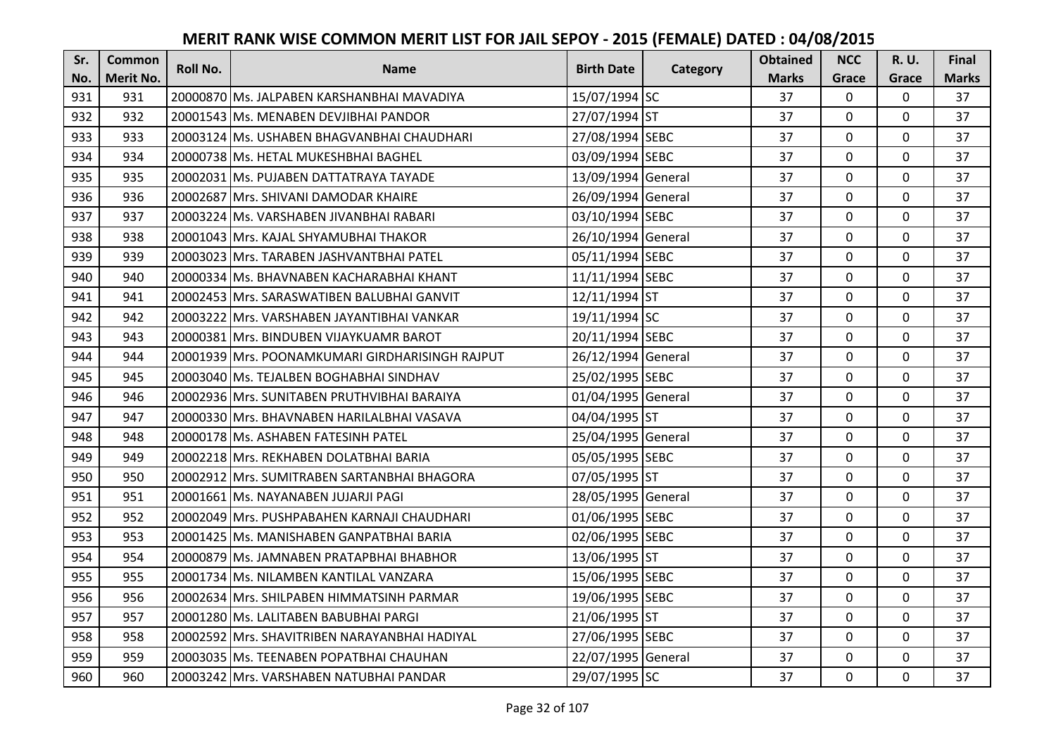| Sr. | Common    | <b>Roll No.</b> | <b>Name</b>                                       | <b>Birth Date</b>  | Category | <b>Obtained</b> | <b>NCC</b>   | <b>R.U.</b> | Final        |
|-----|-----------|-----------------|---------------------------------------------------|--------------------|----------|-----------------|--------------|-------------|--------------|
| No. | Merit No. |                 |                                                   |                    |          | <b>Marks</b>    | Grace        | Grace       | <b>Marks</b> |
| 931 | 931       |                 | 20000870 Ms. JALPABEN KARSHANBHAI MAVADIYA        | 15/07/1994 SC      |          | 37              | $\mathbf 0$  | $\mathbf 0$ | 37           |
| 932 | 932       |                 | 20001543 Ms. MENABEN DEVJIBHAI PANDOR             | 27/07/1994 ST      |          | 37              | $\mathbf{0}$ | $\mathbf 0$ | 37           |
| 933 | 933       |                 | 20003124 IMs. USHABEN BHAGVANBHAI CHAUDHARI       | 27/08/1994 SEBC    |          | 37              | $\mathbf 0$  | 0           | 37           |
| 934 | 934       |                 | 20000738 Ms. HETAL MUKESHBHAI BAGHEL              | 03/09/1994 SEBC    |          | 37              | $\mathbf{0}$ | 0           | 37           |
| 935 | 935       |                 | 20002031 Ms. PUJABEN DATTATRAYA TAYADE            | 13/09/1994 General |          | 37              | $\mathbf{0}$ | $\mathbf 0$ | 37           |
| 936 | 936       |                 | 20002687 Mrs. SHIVANI DAMODAR KHAIRE              | 26/09/1994 General |          | 37              | $\Omega$     | $\Omega$    | 37           |
| 937 | 937       |                 | 20003224 Ms. VARSHABEN JIVANBHAI RABARI           | 03/10/1994 SEBC    |          | 37              | $\mathbf{0}$ | $\Omega$    | 37           |
| 938 | 938       |                 | 20001043 Mrs. KAJAL SHYAMUBHAI THAKOR             | 26/10/1994 General |          | 37              | $\mathbf 0$  | $\Omega$    | 37           |
| 939 | 939       |                 | 20003023 Mrs. TARABEN JASHVANTBHAI PATEL          | 05/11/1994 SEBC    |          | 37              | $\mathbf{0}$ | $\Omega$    | 37           |
| 940 | 940       |                 | 20000334 Ms. BHAVNABEN KACHARABHAI KHANT          | 11/11/1994 SEBC    |          | 37              | $\Omega$     | $\Omega$    | 37           |
| 941 | 941       |                 | 20002453 IMrs. SARASWATIBEN BALUBHAI GANVIT       | 12/11/1994 ST      |          | 37              | $\mathbf{0}$ | $\mathbf 0$ | 37           |
| 942 | 942       |                 | 20003222 Mrs. VARSHABEN JAYANTIBHAI VANKAR        | 19/11/1994 SC      |          | 37              | $\Omega$     | $\Omega$    | 37           |
| 943 | 943       |                 | 20000381 Mrs. BINDUBEN VIJAYKUAMR BAROT           | 20/11/1994 SEBC    |          | 37              | $\mathbf 0$  | $\Omega$    | 37           |
| 944 | 944       |                 | 20001939   Mrs. POONAMKUMARI GIRDHARISINGH RAJPUT | 26/12/1994 General |          | 37              | $\mathbf 0$  | $\Omega$    | 37           |
| 945 | 945       |                 | 20003040 Ms. TEJALBEN BOGHABHAI SINDHAV           | 25/02/1995 SEBC    |          | 37              | $\Omega$     | 0           | 37           |
| 946 | 946       |                 | 20002936 Mrs. SUNITABEN PRUTHVIBHAI BARAIYA       | 01/04/1995 General |          | 37              | $\mathbf 0$  | $\Omega$    | 37           |
| 947 | 947       |                 | 20000330 Mrs. BHAVNABEN HARILALBHAI VASAVA        | 04/04/1995 ST      |          | 37              | $\Omega$     | $\mathbf 0$ | 37           |
| 948 | 948       |                 | 20000178 Ms. ASHABEN FATESINH PATEL               | 25/04/1995 General |          | 37              | $\mathbf{0}$ | 0           | 37           |
| 949 | 949       |                 | 20002218 Mrs. REKHABEN DOLATBHAI BARIA            | 05/05/1995 SEBC    |          | 37              | $\Omega$     | $\Omega$    | 37           |
| 950 | 950       |                 | 20002912 Mrs. SUMITRABEN SARTANBHAI BHAGORA       | 07/05/1995 ST      |          | 37              | $\mathbf 0$  | $\Omega$    | 37           |
| 951 | 951       |                 | 20001661 Ms. NAYANABEN JUJARJI PAGI               | 28/05/1995 General |          | 37              | $\Omega$     | $\Omega$    | 37           |
| 952 | 952       |                 | 20002049 Mrs. PUSHPABAHEN KARNAJI CHAUDHARI       | 01/06/1995 SEBC    |          | 37              | $\Omega$     | $\Omega$    | 37           |
| 953 | 953       |                 | 20001425 Ms. MANISHABEN GANPATBHAI BARIA          | 02/06/1995 SEBC    |          | 37              | $\mathbf 0$  | 0           | 37           |
| 954 | 954       |                 | 20000879 Ms. JAMNABEN PRATAPBHAI BHABHOR          | 13/06/1995 ST      |          | 37              | $\Omega$     | $\Omega$    | 37           |
| 955 | 955       |                 | 20001734 Ms. NILAMBEN KANTILAL VANZARA            | 15/06/1995 SEBC    |          | 37              | $\mathbf 0$  | $\Omega$    | 37           |
| 956 | 956       |                 | 20002634 Mrs. SHILPABEN HIMMATSINH PARMAR         | 19/06/1995 SEBC    |          | 37              | $\mathbf 0$  | 0           | 37           |
| 957 | 957       |                 | 20001280 Ms. LALITABEN BABUBHAI PARGI             | 21/06/1995 ST      |          | 37              | $\mathbf 0$  | $\mathbf 0$ | 37           |
| 958 | 958       |                 | 20002592 Mrs. SHAVITRIBEN NARAYANBHAI HADIYAL     | 27/06/1995 SEBC    |          | 37              | $\mathbf{0}$ | $\mathbf 0$ | 37           |
| 959 | 959       |                 | 20003035 IMs. TEENABEN POPATBHAI CHAUHAN          | 22/07/1995 General |          | 37              | $\mathbf 0$  | 0           | 37           |
| 960 | 960       |                 | 20003242 Mrs. VARSHABEN NATUBHAI PANDAR           | 29/07/1995 SC      |          | 37              | $\mathbf{0}$ | $\mathbf 0$ | 37           |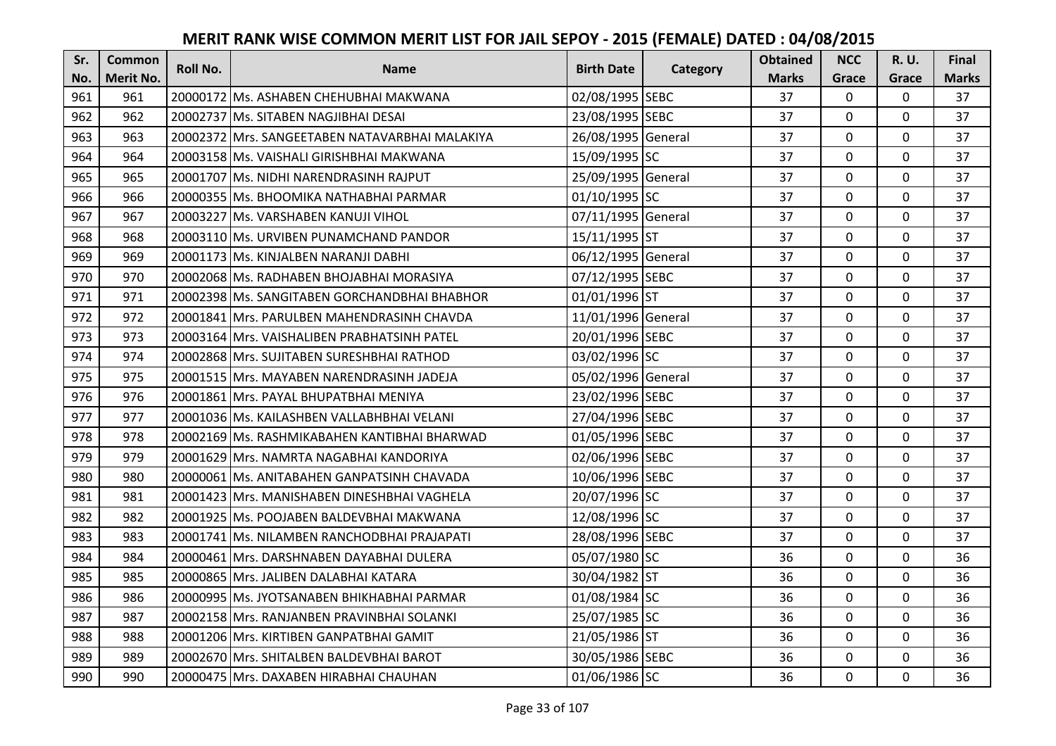| Sr. | Common    | <b>Roll No.</b> | <b>Name</b>                                    | <b>Birth Date</b>  |          | <b>Obtained</b> | <b>NCC</b>   | <b>R.U.</b> | Final        |
|-----|-----------|-----------------|------------------------------------------------|--------------------|----------|-----------------|--------------|-------------|--------------|
| No. | Merit No. |                 |                                                |                    | Category | <b>Marks</b>    | Grace        | Grace       | <b>Marks</b> |
| 961 | 961       |                 | 20000172 Ms. ASHABEN CHEHUBHAI MAKWANA         | 02/08/1995 SEBC    |          | 37              | $\Omega$     | 0           | 37           |
| 962 | 962       |                 | 20002737 Ms. SITABEN NAGJIBHAI DESAI           | 23/08/1995 SEBC    |          | 37              | $\mathbf{0}$ | 0           | 37           |
| 963 | 963       |                 | 20002372 Mrs. SANGEETABEN NATAVARBHAI MALAKIYA | 26/08/1995 General |          | 37              | $\Omega$     | 0           | 37           |
| 964 | 964       |                 | 20003158 Ms. VAISHALI GIRISHBHAI MAKWANA       | 15/09/1995 SC      |          | 37              | $\mathbf 0$  | $\Omega$    | 37           |
| 965 | 965       |                 | 20001707 Ms. NIDHI NARENDRASINH RAJPUT         | 25/09/1995 General |          | 37              | $\mathbf 0$  | $\mathbf 0$ | 37           |
| 966 | 966       |                 | 20000355 Ms. BHOOMIKA NATHABHAI PARMAR         | 01/10/1995 SC      |          | 37              | $\Omega$     | $\Omega$    | 37           |
| 967 | 967       |                 | 20003227 Ms. VARSHABEN KANUJI VIHOL            | 07/11/1995 General |          | 37              | $\mathbf 0$  | $\Omega$    | 37           |
| 968 | 968       |                 | 20003110 Ms. URVIBEN PUNAMCHAND PANDOR         | 15/11/1995 ST      |          | 37              | $\mathbf 0$  | $\mathbf 0$ | 37           |
| 969 | 969       |                 | 20001173 Ms. KINJALBEN NARANJI DABHI           | 06/12/1995 General |          | 37              | 0            | 0           | 37           |
| 970 | 970       |                 | 20002068 Ms. RADHABEN BHOJABHAI MORASIYA       | 07/12/1995 SEBC    |          | 37              | $\mathbf 0$  | $\mathbf 0$ | 37           |
| 971 | 971       |                 | 20002398 Ms. SANGITABEN GORCHANDBHAI BHABHOR   | 01/01/1996 ST      |          | 37              | $\Omega$     | $\Omega$    | 37           |
| 972 | 972       |                 | 20001841 Mrs. PARULBEN MAHENDRASINH CHAVDA     | 11/01/1996 General |          | 37              | 0            | $\Omega$    | 37           |
| 973 | 973       |                 | 20003164 Mrs. VAISHALIBEN PRABHATSINH PATEL    | 20/01/1996 SEBC    |          | 37              | $\mathbf{0}$ | 0           | 37           |
| 974 | 974       |                 | 20002868 Mrs. SUJITABEN SURESHBHAI RATHOD      | 03/02/1996 SC      |          | 37              | $\mathbf{0}$ | 0           | 37           |
| 975 | 975       |                 | 20001515 Mrs. MAYABEN NARENDRASINH JADEJA      | 05/02/1996 General |          | 37              | $\mathbf 0$  | $\mathbf 0$ | 37           |
| 976 | 976       |                 | 20001861 Mrs. PAYAL BHUPATBHAI MENIYA          | 23/02/1996 SEBC    |          | 37              | $\mathbf{0}$ | $\Omega$    | 37           |
| 977 | 977       |                 | 20001036 Ms. KAILASHBEN VALLABHBHAI VELANI     | 27/04/1996 SEBC    |          | 37              | $\mathbf{0}$ | 0           | 37           |
| 978 | 978       |                 | 20002169 Ms. RASHMIKABAHEN KANTIBHAI BHARWAD   | 01/05/1996 SEBC    |          | 37              | $\Omega$     | $\Omega$    | 37           |
| 979 | 979       |                 | 20001629 Mrs. NAMRTA NAGABHAI KANDORIYA        | 02/06/1996 SEBC    |          | 37              | $\mathbf 0$  | $\Omega$    | 37           |
| 980 | 980       |                 | 20000061 Ms. ANITABAHEN GANPATSINH CHAVADA     | 10/06/1996 SEBC    |          | 37              | $\mathbf 0$  | $\Omega$    | 37           |
| 981 | 981       |                 | 20001423 Mrs. MANISHABEN DINESHBHAI VAGHELA    | 20/07/1996 SC      |          | 37              | $\mathbf{0}$ | $\Omega$    | 37           |
| 982 | 982       |                 | 20001925 Ms. POOJABEN BALDEVBHAI MAKWANA       | 12/08/1996 SC      |          | 37              | $\Omega$     | $\Omega$    | 37           |
| 983 | 983       |                 | 20001741 Ms. NILAMBEN RANCHODBHAI PRAJAPATI    | 28/08/1996 SEBC    |          | 37              | $\mathbf 0$  | $\Omega$    | 37           |
| 984 | 984       |                 | 20000461 Mrs. DARSHNABEN DAYABHAI DULERA       | 05/07/1980 SC      |          | 36              | $\mathbf{0}$ | $\mathbf 0$ | 36           |
| 985 | 985       |                 | 20000865 Mrs. JALIBEN DALABHAI KATARA          | 30/04/1982 ST      |          | 36              | $\mathbf 0$  | 0           | 36           |
| 986 | 986       |                 | 20000995 Ms. JYOTSANABEN BHIKHABHAI PARMAR     | 01/08/1984 SC      |          | 36              | $\mathbf 0$  | $\Omega$    | 36           |
| 987 | 987       |                 | 20002158 Mrs. RANJANBEN PRAVINBHAI SOLANKI     | 25/07/1985 SC      |          | 36              | $\mathbf 0$  | 0           | 36           |
| 988 | 988       |                 | 20001206 Mrs. KIRTIBEN GANPATBHAI GAMIT        | 21/05/1986 ST      |          | 36              | $\Omega$     | $\Omega$    | 36           |
| 989 | 989       |                 | 20002670 Mrs. SHITALBEN BALDEVBHAI BAROT       | 30/05/1986 SEBC    |          | 36              | $\mathbf 0$  | 0           | 36           |
| 990 | 990       |                 | 20000475 Mrs. DAXABEN HIRABHAI CHAUHAN         | 01/06/1986 SC      |          | 36              | $\mathbf{0}$ | $\mathbf 0$ | 36           |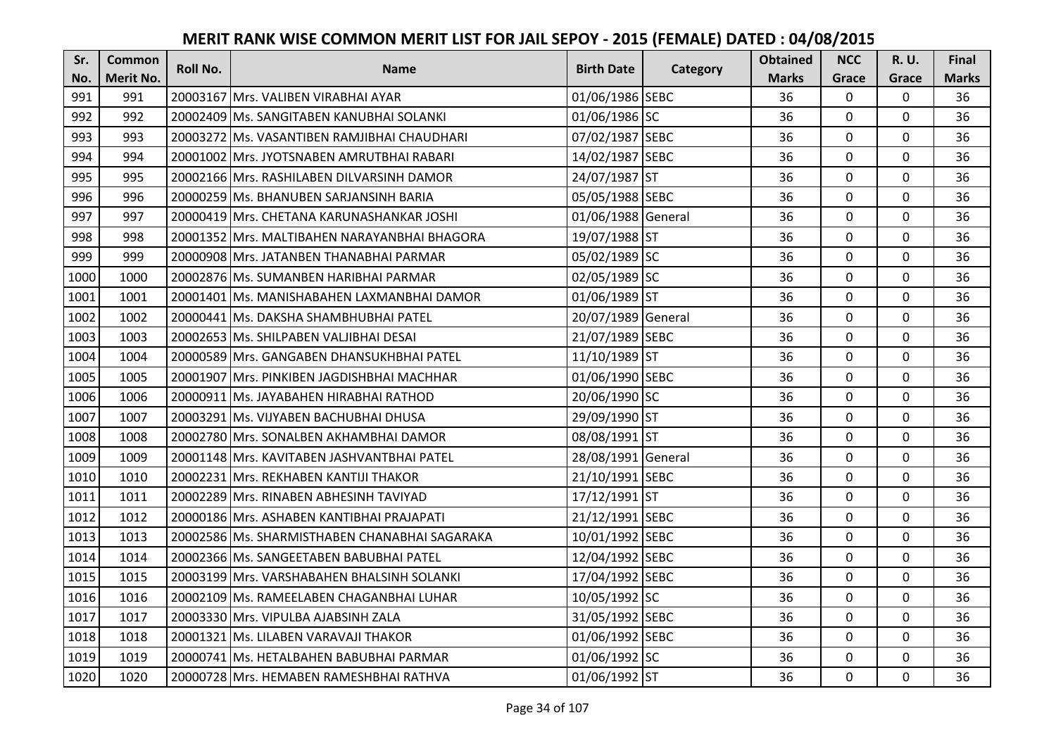| Sr.  | <b>Common</b> | <b>Roll No.</b> | <b>Name</b>                                   | <b>Birth Date</b>  | Category | <b>Obtained</b> | <b>NCC</b>   | R. U.       | <b>Final</b> |
|------|---------------|-----------------|-----------------------------------------------|--------------------|----------|-----------------|--------------|-------------|--------------|
| No.  | Merit No.     |                 |                                               |                    |          | <b>Marks</b>    | Grace        | Grace       | <b>Marks</b> |
| 991  | 991           |                 | 20003167 Mrs. VALIBEN VIRABHAI AYAR           | 01/06/1986 SEBC    |          | 36              | $\mathbf{0}$ | 0           | 36           |
| 992  | 992           |                 | 20002409 Ms. SANGITABEN KANUBHAI SOLANKI      | 01/06/1986 SC      |          | 36              | $\mathbf 0$  | $\Omega$    | 36           |
| 993  | 993           |                 | 20003272 Ms. VASANTIBEN RAMJIBHAI CHAUDHARI   | 07/02/1987 SEBC    |          | 36              | 0            | $\Omega$    | 36           |
| 994  | 994           |                 | 20001002 Mrs. JYOTSNABEN AMRUTBHAI RABARI     | 14/02/1987 SEBC    |          | 36              | $\mathbf 0$  | $\mathbf 0$ | 36           |
| 995  | 995           |                 | 20002166 Mrs. RASHILABEN DILVARSINH DAMOR     | 24/07/1987 ST      |          | 36              | $\mathbf{0}$ | 0           | 36           |
| 996  | 996           |                 | 20000259 Ms. BHANUBEN SARJANSINH BARIA        | 05/05/1988 SEBC    |          | 36              | $\mathbf 0$  | 0           | 36           |
| 997  | 997           |                 | 20000419 Mrs. CHETANA KARUNASHANKAR JOSHI     | 01/06/1988 General |          | 36              | $\mathbf 0$  | 0           | 36           |
| 998  | 998           |                 | 20001352 Mrs. MALTIBAHEN NARAYANBHAI BHAGORA  | 19/07/1988 ST      |          | 36              | $\mathbf{0}$ | $\mathbf 0$ | 36           |
| 999  | 999           |                 | 20000908 Mrs. JATANBEN THANABHAI PARMAR       | 05/02/1989 SC      |          | 36              | 0            | 0           | 36           |
| 1000 | 1000          |                 | 20002876 Ms. SUMANBEN HARIBHAI PARMAR         | 02/05/1989 SC      |          | 36              | $\mathbf{0}$ | $\Omega$    | 36           |
| 1001 | 1001          |                 | 20001401 Ms. MANISHABAHEN LAXMANBHAI DAMOR    | 01/06/1989 ST      |          | 36              | $\mathbf 0$  | $\Omega$    | 36           |
| 1002 | 1002          |                 | 20000441 Ms. DAKSHA SHAMBHUBHAI PATEL         | 20/07/1989 General |          | 36              | $\mathbf 0$  | $\Omega$    | 36           |
| 1003 | 1003          |                 | 20002653 Ms. SHILPABEN VALJIBHAI DESAI        | 21/07/1989 SEBC    |          | 36              | $\mathbf 0$  | 0           | 36           |
| 1004 | 1004          |                 | 20000589 Mrs. GANGABEN DHANSUKHBHAI PATEL     | 11/10/1989 ST      |          | 36              | $\Omega$     | $\Omega$    | 36           |
| 1005 | 1005          |                 | 20001907 Mrs. PINKIBEN JAGDISHBHAI MACHHAR    | 01/06/1990 SEBC    |          | 36              | $\Omega$     | $\Omega$    | 36           |
| 1006 | 1006          |                 | 20000911 Ms. JAYABAHEN HIRABHAI RATHOD        | 20/06/1990 SC      |          | 36              | $\Omega$     | $\Omega$    | 36           |
| 1007 | 1007          |                 | 20003291 Ms. VIJYABEN BACHUBHAI DHUSA         | 29/09/1990 ST      |          | 36              | $\mathbf 0$  | 0           | 36           |
| 1008 | 1008          |                 | 20002780 Mrs. SONALBEN AKHAMBHAI DAMOR        | 08/08/1991 ST      |          | 36              | $\mathbf 0$  | $\mathbf 0$ | 36           |
| 1009 | 1009          |                 | 20001148 Mrs. KAVITABEN JASHVANTBHAI PATEL    | 28/08/1991 General |          | 36              | $\mathbf 0$  | $\Omega$    | 36           |
| 1010 | 1010          |                 | 20002231 Mrs. REKHABEN KANTIJI THAKOR         | 21/10/1991 SEBC    |          | 36              | $\mathbf 0$  | 0           | 36           |
| 1011 | 1011          |                 | 20002289 Mrs. RINABEN ABHESINH TAVIYAD        | 17/12/1991 ST      |          | 36              | 0            | $\Omega$    | 36           |
| 1012 | 1012          |                 | 20000186 Mrs. ASHABEN KANTIBHAI PRAJAPATI     | 21/12/1991 SEBC    |          | 36              | $\Omega$     | $\Omega$    | 36           |
| 1013 | 1013          |                 | 20002586 Ms. SHARMISTHABEN CHANABHAI SAGARAKA | 10/01/1992 SEBC    |          | 36              | $\mathbf 0$  | $\Omega$    | 36           |
| 1014 | 1014          |                 | 20002366 Ms. SANGEETABEN BABUBHAI PATEL       | 12/04/1992 SEBC    |          | 36              | $\mathbf 0$  | $\Omega$    | 36           |
| 1015 | 1015          |                 | 20003199 Mrs. VARSHABAHEN BHALSINH SOLANKI    | 17/04/1992 SEBC    |          | 36              | $\mathbf 0$  | $\Omega$    | 36           |
| 1016 | 1016          |                 | 20002109 Ms. RAMEELABEN CHAGANBHAI LUHAR      | 10/05/1992 SC      |          | 36              | $\mathbf 0$  | 0           | 36           |
| 1017 | 1017          |                 | 20003330 Mrs. VIPULBA AJABSINH ZALA           | 31/05/1992 SEBC    |          | 36              | $\mathbf 0$  | 0           | 36           |
| 1018 | 1018          |                 | 20001321 Ms. LILABEN VARAVAJI THAKOR          | 01/06/1992 SEBC    |          | 36              | $\Omega$     | 0           | 36           |
| 1019 | 1019          |                 | 20000741 Ms. HETALBAHEN BABUBHAI PARMAR       | 01/06/1992 SC      |          | 36              | $\mathbf 0$  | 0           | 36           |
| 1020 | 1020          |                 | 20000728 Mrs. HEMABEN RAMESHBHAI RATHVA       | 01/06/1992 ST      |          | 36              | $\mathbf{0}$ | $\mathbf 0$ | 36           |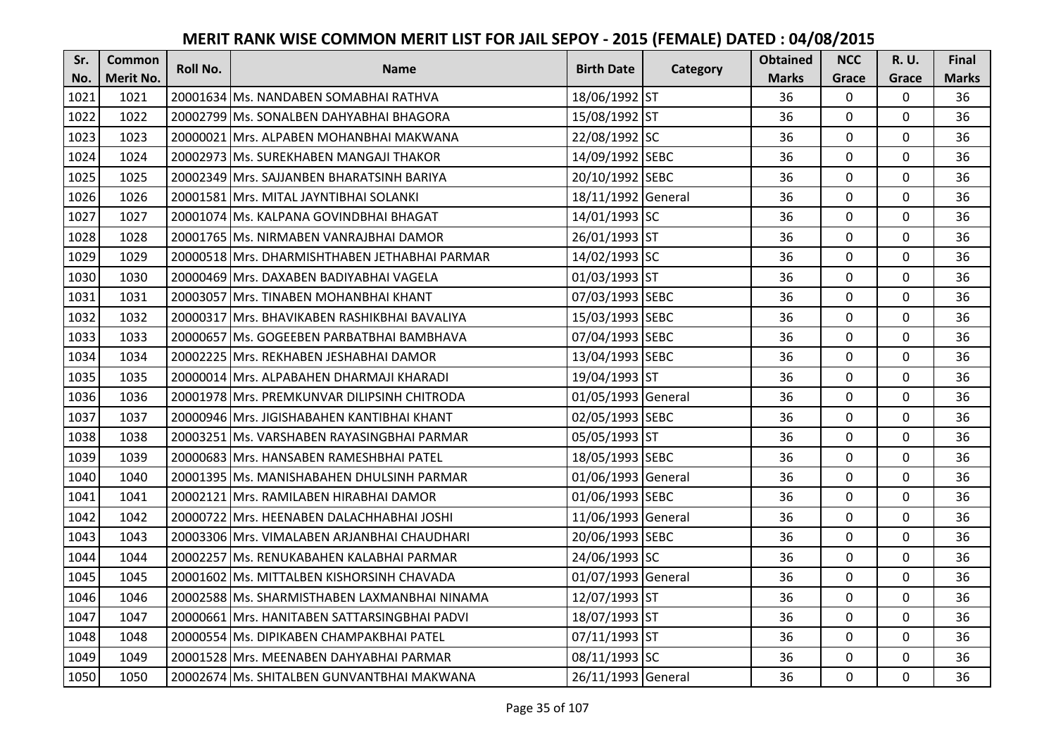| Sr.  | <b>Common</b>    | <b>Roll No.</b> | <b>Name</b>                                   | <b>Birth Date</b>  | Category | <b>Obtained</b> | <b>NCC</b>   | <b>R.U.</b> | Final        |
|------|------------------|-----------------|-----------------------------------------------|--------------------|----------|-----------------|--------------|-------------|--------------|
| No.  | <b>Merit No.</b> |                 |                                               |                    |          | <b>Marks</b>    | Grace        | Grace       | <b>Marks</b> |
| 1021 | 1021             |                 | 20001634 Ms. NANDABEN SOMABHAI RATHVA         | 18/06/1992 ST      |          | 36              | $\mathbf 0$  | 0           | 36           |
| 1022 | 1022             |                 | 20002799 IMs. SONALBEN DAHYABHAI BHAGORA      | 15/08/1992 ST      |          | 36              | $\mathbf 0$  | $\Omega$    | 36           |
| 1023 | 1023             |                 | 20000021 lMrs. ALPABEN MOHANBHAI MAKWANA      | 22/08/1992 SC      |          | 36              | $\mathbf 0$  | 0           | 36           |
| 1024 | 1024             |                 | 20002973 Ms. SUREKHABEN MANGAJI THAKOR        | 14/09/1992 SEBC    |          | 36              | $\mathbf 0$  | 0           | 36           |
| 1025 | 1025             |                 | 20002349 Mrs. SAJJANBEN BHARATSINH BARIYA     | 20/10/1992 SEBC    |          | 36              | $\mathbf{0}$ | $\mathbf 0$ | 36           |
| 1026 | 1026             |                 | 20001581 Mrs. MITAL JAYNTIBHAI SOLANKI        | 18/11/1992 General |          | 36              | $\mathbf 0$  | $\Omega$    | 36           |
| 1027 | 1027             |                 | 20001074 Ms. KALPANA GOVINDBHAI BHAGAT        | 14/01/1993 SC      |          | 36              | $\mathbf 0$  | 0           | 36           |
| 1028 | 1028             |                 | 20001765 Ms. NIRMABEN VANRAJBHAI DAMOR        | 26/01/1993 ST      |          | 36              | $\mathbf{0}$ | $\mathbf 0$ | 36           |
| 1029 | 1029             |                 | 20000518 Mrs. DHARMISHTHABEN JETHABHAI PARMAR | 14/02/1993 SC      |          | 36              | $\mathbf 0$  | 0           | 36           |
| 1030 | 1030             |                 | 20000469 Mrs. DAXABEN BADIYABHAI VAGELA       | 01/03/1993 ST      |          | 36              | $\mathbf{0}$ | 0           | 36           |
| 1031 | 1031             |                 | 20003057 Mrs. TINABEN MOHANBHAI KHANT         | 07/03/1993 SEBC    |          | 36              | $\Omega$     | 0           | 36           |
| 1032 | 1032             |                 | 20000317 Mrs. BHAVIKABEN RASHIKBHAI BAVALIYA  | 15/03/1993 SEBC    |          | 36              | $\mathbf 0$  | 0           | 36           |
| 1033 | 1033             |                 | 20000657 Ms. GOGEEBEN PARBATBHAI BAMBHAVA     | 07/04/1993 SEBC    |          | 36              | 0            | $\mathbf 0$ | 36           |
| 1034 | 1034             |                 | 20002225 Mrs. REKHABEN JESHABHAI DAMOR        | 13/04/1993 SEBC    |          | 36              | $\mathbf{0}$ | 0           | 36           |
| 1035 | 1035             |                 | 20000014 Mrs. ALPABAHEN DHARMAJI KHARADI      | 19/04/1993 ST      |          | 36              | $\mathbf 0$  | 0           | 36           |
| 1036 | 1036             |                 | 20001978 Mrs. PREMKUNVAR DILIPSINH CHITRODA   | 01/05/1993 General |          | 36              | $\mathbf{0}$ | $\Omega$    | 36           |
| 1037 | 1037             |                 | 20000946 lMrs. JIGISHABAHEN KANTIBHAI KHANT   | 02/05/1993 SEBC    |          | 36              | $\mathbf{0}$ | 0           | 36           |
| 1038 | 1038             |                 | 20003251 Ms. VARSHABEN RAYASINGBHAI PARMAR    | 05/05/1993 ST      |          | 36              | $\mathbf 0$  | $\Omega$    | 36           |
| 1039 | 1039             |                 | 20000683 IMrs. HANSABEN RAMESHBHAI PATEL      | 18/05/1993 SEBC    |          | 36              | $\mathbf{0}$ | $\Omega$    | 36           |
| 1040 | 1040             |                 | 20001395 Ms. MANISHABAHEN DHULSINH PARMAR     | 01/06/1993 General |          | 36              | $\mathbf 0$  | 0           | 36           |
| 1041 | 1041             |                 | 20002121 Mrs. RAMILABEN HIRABHAI DAMOR        | 01/06/1993 SEBC    |          | 36              | $\mathbf 0$  | $\Omega$    | 36           |
| 1042 | 1042             |                 | 20000722 Mrs. HEENABEN DALACHHABHAI JOSHI     | 11/06/1993 General |          | 36              | $\mathbf 0$  | $\Omega$    | 36           |
| 1043 | 1043             |                 | 20003306 Mrs. VIMALABEN ARJANBHAI CHAUDHARI   | 20/06/1993 SEBC    |          | 36              | $\mathbf 0$  | 0           | 36           |
| 1044 | 1044             |                 | 20002257 Ms. RENUKABAHEN KALABHAI PARMAR      | 24/06/1993 SC      |          | 36              | $\mathbf 0$  | $\mathbf 0$ | 36           |
| 1045 | 1045             |                 | 20001602 Ms. MITTALBEN KISHORSINH CHAVADA     | 01/07/1993 General |          | 36              | $\mathbf 0$  | 0           | 36           |
| 1046 | 1046             |                 | 20002588 Ms. SHARMISTHABEN LAXMANBHAI NINAMA  | 12/07/1993 ST      |          | 36              | $\mathbf{0}$ | 0           | 36           |
| 1047 | 1047             |                 | 20000661 Mrs. HANITABEN SATTARSINGBHAI PADVI  | 18/07/1993 ST      |          | 36              | $\mathbf 0$  | 0           | 36           |
| 1048 | 1048             |                 | 20000554 Ms. DIPIKABEN CHAMPAKBHAI PATEL      | 07/11/1993 ST      |          | 36              | $\Omega$     | 0           | 36           |
| 1049 | 1049             |                 | 20001528 Mrs. MEENABEN DAHYABHAI PARMAR       | 08/11/1993 SC      |          | 36              | 0            | 0           | 36           |
| 1050 | 1050             |                 | 20002674 Ms. SHITALBEN GUNVANTBHAI MAKWANA    | 26/11/1993 General |          | 36              | $\mathbf{0}$ | 0           | 36           |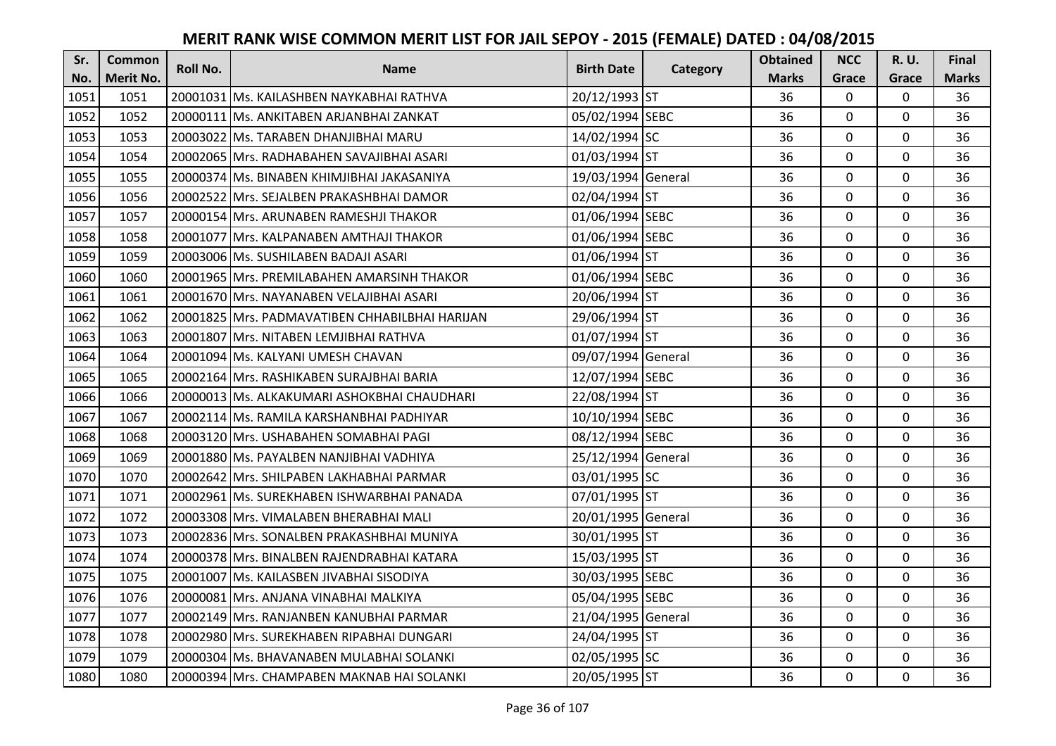| Sr.  | <b>Common</b>    | <b>Roll No.</b> | <b>Name</b>                                    | <b>Birth Date</b>  | Category | <b>Obtained</b> | <b>NCC</b>   | <b>R.U.</b> | Final        |
|------|------------------|-----------------|------------------------------------------------|--------------------|----------|-----------------|--------------|-------------|--------------|
| No.  | <b>Merit No.</b> |                 |                                                |                    |          | <b>Marks</b>    | Grace        | Grace       | <b>Marks</b> |
| 1051 | 1051             |                 | 20001031 Ms. KAILASHBEN NAYKABHAI RATHVA       | 20/12/1993 ST      |          | 36              | $\mathbf 0$  | 0           | 36           |
| 1052 | 1052             |                 | 20000111 Ms. ANKITABEN ARJANBHAI ZANKAT        | 05/02/1994 SEBC    |          | 36              | $\mathbf 0$  | $\Omega$    | 36           |
| 1053 | 1053             |                 | 20003022 Ms. TARABEN DHANJIBHAI MARU           | 14/02/1994 SC      |          | 36              | $\mathbf 0$  | 0           | 36           |
| 1054 | 1054             |                 | 20002065 Mrs. RADHABAHEN SAVAJIBHAI ASARI      | 01/03/1994 ST      |          | 36              | $\mathbf 0$  | 0           | 36           |
| 1055 | 1055             |                 | 20000374 Ms. BINABEN KHIMJIBHAI JAKASANIYA     | 19/03/1994 General |          | 36              | $\mathbf{0}$ | $\mathbf 0$ | 36           |
| 1056 | 1056             |                 | 20002522 Mrs. SEJALBEN PRAKASHBHAI DAMOR       | 02/04/1994 ST      |          | 36              | $\mathbf 0$  | $\Omega$    | 36           |
| 1057 | 1057             |                 | 20000154 Mrs. ARUNABEN RAMESHJI THAKOR         | 01/06/1994 SEBC    |          | 36              | $\mathbf{0}$ | 0           | 36           |
| 1058 | 1058             |                 | 20001077 Mrs. KALPANABEN AMTHAJI THAKOR        | 01/06/1994 SEBC    |          | 36              | $\mathbf{0}$ | $\mathbf 0$ | 36           |
| 1059 | 1059             |                 | 20003006 Ms. SUSHILABEN BADAJI ASARI           | 01/06/1994 ST      |          | 36              | $\mathbf 0$  | 0           | 36           |
| 1060 | 1060             |                 | 20001965 Mrs. PREMILABAHEN AMARSINH THAKOR     | 01/06/1994 SEBC    |          | 36              | $\mathbf{0}$ | 0           | 36           |
| 1061 | 1061             |                 | 20001670 Mrs. NAYANABEN VELAJIBHAI ASARI       | 20/06/1994 ST      |          | 36              | $\Omega$     | 0           | 36           |
| 1062 | 1062             |                 | 20001825 Mrs. PADMAVATIBEN CHHABILBHAI HARIJAN | 29/06/1994 ST      |          | 36              | $\mathbf 0$  | 0           | 36           |
| 1063 | 1063             |                 | 20001807 Mrs. NITABEN LEMJIBHAI RATHVA         | 01/07/1994 ST      |          | 36              | $\mathbf{0}$ | 0           | 36           |
| 1064 | 1064             |                 | 20001094 Ms. KALYANI UMESH CHAVAN              | 09/07/1994 General |          | 36              | $\mathbf 0$  | 0           | 36           |
| 1065 | 1065             |                 | 20002164 Mrs. RASHIKABEN SURAJBHAI BARIA       | 12/07/1994 SEBC    |          | 36              | $\mathbf 0$  | 0           | 36           |
| 1066 | 1066             |                 | 20000013 Ms. ALKAKUMARI ASHOKBHAI CHAUDHARI    | 22/08/1994 ST      |          | 36              | $\mathbf{0}$ | $\Omega$    | 36           |
| 1067 | 1067             |                 | 20002114 Ms. RAMILA KARSHANBHAI PADHIYAR       | 10/10/1994 SEBC    |          | 36              | $\mathbf{0}$ | 0           | 36           |
| 1068 | 1068             |                 | 20003120 Mrs. USHABAHEN SOMABHAI PAGI          | 08/12/1994 SEBC    |          | 36              | $\mathbf 0$  | $\Omega$    | 36           |
| 1069 | 1069             |                 | 20001880 Ms. PAYALBEN NANJIBHAI VADHIYA        | 25/12/1994 General |          | 36              | $\mathbf 0$  | $\Omega$    | 36           |
| 1070 | 1070             |                 | 20002642 Mrs. SHILPABEN LAKHABHAI PARMAR       | 03/01/1995 SC      |          | 36              | $\mathbf 0$  | 0           | 36           |
| 1071 | 1071             |                 | 20002961 Ms. SUREKHABEN ISHWARBHAI PANADA      | 07/01/1995 ST      |          | 36              | $\mathbf 0$  | $\Omega$    | 36           |
| 1072 | 1072             |                 | 20003308 Mrs. VIMALABEN BHERABHAI MALI         | 20/01/1995 General |          | 36              | $\mathbf 0$  | $\Omega$    | 36           |
| 1073 | 1073             |                 | 20002836 Mrs. SONALBEN PRAKASHBHAI MUNIYA      | 30/01/1995 ST      |          | 36              | $\mathbf{0}$ | 0           | 36           |
| 1074 | 1074             |                 | 20000378 Mrs. BINALBEN RAJENDRABHAI KATARA     | 15/03/1995 ST      |          | 36              | $\mathbf 0$  | $\mathbf 0$ | 36           |
| 1075 | 1075             |                 | 20001007 Ms. KAILASBEN JIVABHAI SISODIYA       | 30/03/1995 SEBC    |          | 36              | $\mathbf 0$  | 0           | 36           |
| 1076 | 1076             |                 | 20000081 Mrs. ANJANA VINABHAI MALKIYA          | 05/04/1995 SEBC    |          | 36              | $\mathbf{0}$ | 0           | 36           |
| 1077 | 1077             |                 | 20002149 Mrs. RANJANBEN KANUBHAI PARMAR        | 21/04/1995 General |          | 36              | $\mathbf 0$  | 0           | 36           |
| 1078 | 1078             |                 | 20002980 Mrs. SUREKHABEN RIPABHAI DUNGARI      | 24/04/1995 ST      |          | 36              | $\Omega$     | 0           | 36           |
| 1079 | 1079             |                 | 20000304 Ms. BHAVANABEN MULABHAI SOLANKI       | 02/05/1995 SC      |          | 36              | 0            | 0           | 36           |
| 1080 | 1080             |                 | 20000394 Mrs. CHAMPABEN MAKNAB HAI SOLANKI     | 20/05/1995 ST      |          | 36              | $\mathbf{0}$ | 0           | 36           |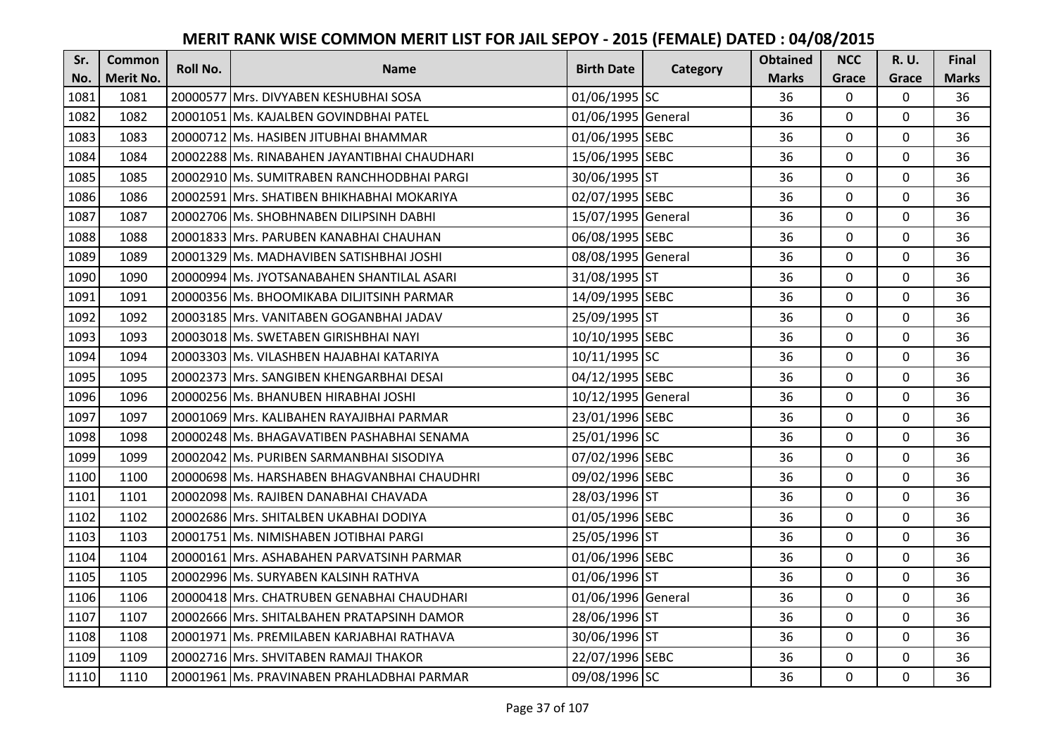| Sr.  | <b>Common</b>    | <b>Roll No.</b> | <b>Name</b>                                  | <b>Birth Date</b>  |          | <b>Obtained</b> | <b>NCC</b>   | <b>R.U.</b> | Final        |
|------|------------------|-----------------|----------------------------------------------|--------------------|----------|-----------------|--------------|-------------|--------------|
| No.  | <b>Merit No.</b> |                 |                                              |                    | Category | <b>Marks</b>    | Grace        | Grace       | <b>Marks</b> |
| 1081 | 1081             |                 | 20000577 Mrs. DIVYABEN KESHUBHAI SOSA        | 01/06/1995 SC      |          | 36              | $\Omega$     | 0           | 36           |
| 1082 | 1082             |                 | 20001051 Ms. KAJALBEN GOVINDBHAI PATEL       | 01/06/1995 General |          | 36              | $\mathbf 0$  | $\Omega$    | 36           |
| 1083 | 1083             |                 | 20000712 Ms. HASIBEN JITUBHAI BHAMMAR        | 01/06/1995 SEBC    |          | 36              | $\mathbf 0$  | 0           | 36           |
| 1084 | 1084             |                 | 20002288 Ms. RINABAHEN JAYANTIBHAI CHAUDHARI | 15/06/1995 SEBC    |          | 36              | $\mathbf 0$  | 0           | 36           |
| 1085 | 1085             |                 | 20002910 Ms. SUMITRABEN RANCHHODBHAI PARGI   | 30/06/1995 ST      |          | 36              | $\mathbf 0$  | $\mathbf 0$ | 36           |
| 1086 | 1086             |                 | 20002591 Mrs. SHATIBEN BHIKHABHAI MOKARIYA   | 02/07/1995 SEBC    |          | 36              | $\Omega$     | $\Omega$    | 36           |
| 1087 | 1087             |                 | 20002706 Ms. SHOBHNABEN DILIPSINH DABHI      | 15/07/1995 General |          | 36              | $\mathbf 0$  | $\Omega$    | 36           |
| 1088 | 1088             |                 | 20001833 Mrs. PARUBEN KANABHAI CHAUHAN       | 06/08/1995 SEBC    |          | 36              | $\mathbf 0$  | $\Omega$    | 36           |
| 1089 | 1089             |                 | 20001329 Ms. MADHAVIBEN SATISHBHAI JOSHI     | 08/08/1995 General |          | 36              | 0            | 0           | 36           |
| 1090 | 1090             |                 | 20000994 Ms. JYOTSANABAHEN SHANTILAL ASARI   | 31/08/1995 ST      |          | 36              | $\mathbf 0$  | $\mathbf 0$ | 36           |
| 1091 | 1091             |                 | 20000356 Ms. BHOOMIKABA DILJITSINH PARMAR    | 14/09/1995 SEBC    |          | 36              | $\Omega$     | $\Omega$    | 36           |
| 1092 | 1092             |                 | 20003185 Mrs. VANITABEN GOGANBHAI JADAV      | 25/09/1995 ST      |          | 36              | $\mathbf 0$  | 0           | 36           |
| 1093 | 1093             |                 | 20003018 Ms. SWETABEN GIRISHBHAI NAYI        | 10/10/1995 SEBC    |          | 36              | $\mathbf{0}$ | $\mathbf 0$ | 36           |
| 1094 | 1094             |                 | 20003303 Ms. VILASHBEN HAJABHAI KATARIYA     | 10/11/1995 SC      |          | 36              | $\mathbf 0$  | 0           | 36           |
| 1095 | 1095             |                 | 20002373 Mrs. SANGIBEN KHENGARBHAI DESAI     | 04/12/1995 SEBC    |          | 36              | $\mathbf 0$  | 0           | 36           |
| 1096 | 1096             |                 | 20000256 Ms. BHANUBEN HIRABHAI JOSHI         | 10/12/1995 General |          | 36              | $\mathbf{0}$ | $\Omega$    | 36           |
| 1097 | 1097             |                 | 20001069 Mrs. KALIBAHEN RAYAJIBHAI PARMAR    | 23/01/1996 SEBC    |          | 36              | $\mathbf{0}$ | $\Omega$    | 36           |
| 1098 | 1098             |                 | 20000248 Ms. BHAGAVATIBEN PASHABHAI SENAMA   | 25/01/1996 SC      |          | 36              | $\mathbf 0$  | $\Omega$    | 36           |
| 1099 | 1099             |                 | 20002042 IMs. PURIBEN SARMANBHAI SISODIYA    | 07/02/1996 SEBC    |          | 36              | $\mathbf{0}$ | $\Omega$    | 36           |
| 1100 | 1100             |                 | 20000698 Ms. HARSHABEN BHAGVANBHAI CHAUDHRI  | 09/02/1996 SEBC    |          | 36              | $\mathbf 0$  | 0           | 36           |
| 1101 | 1101             |                 | 20002098 Ms. RAJIBEN DANABHAI CHAVADA        | 28/03/1996 ST      |          | 36              | $\mathbf 0$  | $\Omega$    | 36           |
| 1102 | 1102             |                 | 20002686 Mrs. SHITALBEN UKABHAI DODIYA       | 01/05/1996 SEBC    |          | 36              | $\Omega$     | $\Omega$    | 36           |
| 1103 | 1103             |                 | 20001751 Ms. NIMISHABEN JOTIBHAI PARGI       | 25/05/1996 ST      |          | 36              | $\mathbf 0$  | $\Omega$    | 36           |
| 1104 | 1104             |                 | 20000161 Mrs. ASHABAHEN PARVATSINH PARMAR    | 01/06/1996 SEBC    |          | 36              | $\mathbf 0$  | $\mathbf 0$ | 36           |
| 1105 | 1105             |                 | 20002996 Ms. SURYABEN KALSINH RATHVA         | 01/06/1996 ST      |          | 36              | $\mathbf 0$  | 0           | 36           |
| 1106 | 1106             |                 | 20000418 Mrs. CHATRUBEN GENABHAI CHAUDHARI   | 01/06/1996 General |          | 36              | $\mathbf 0$  | $\Omega$    | 36           |
| 1107 | 1107             |                 | 20002666 Mrs. SHITALBAHEN PRATAPSINH DAMOR   | 28/06/1996 ST      |          | 36              | $\mathbf 0$  | 0           | 36           |
| 1108 | 1108             |                 | 20001971 Ms. PREMILABEN KARJABHAI RATHAVA    | 30/06/1996 ST      |          | 36              | $\Omega$     | 0           | 36           |
| 1109 | 1109             |                 | 20002716 Mrs. SHVITABEN RAMAJI THAKOR        | 22/07/1996 SEBC    |          | 36              | $\mathbf 0$  | 0           | 36           |
| 1110 | 1110             |                 | 20001961 Ms. PRAVINABEN PRAHLADBHAI PARMAR   | 09/08/1996 SC      |          | 36              | $\mathbf{0}$ | $\mathbf 0$ | 36           |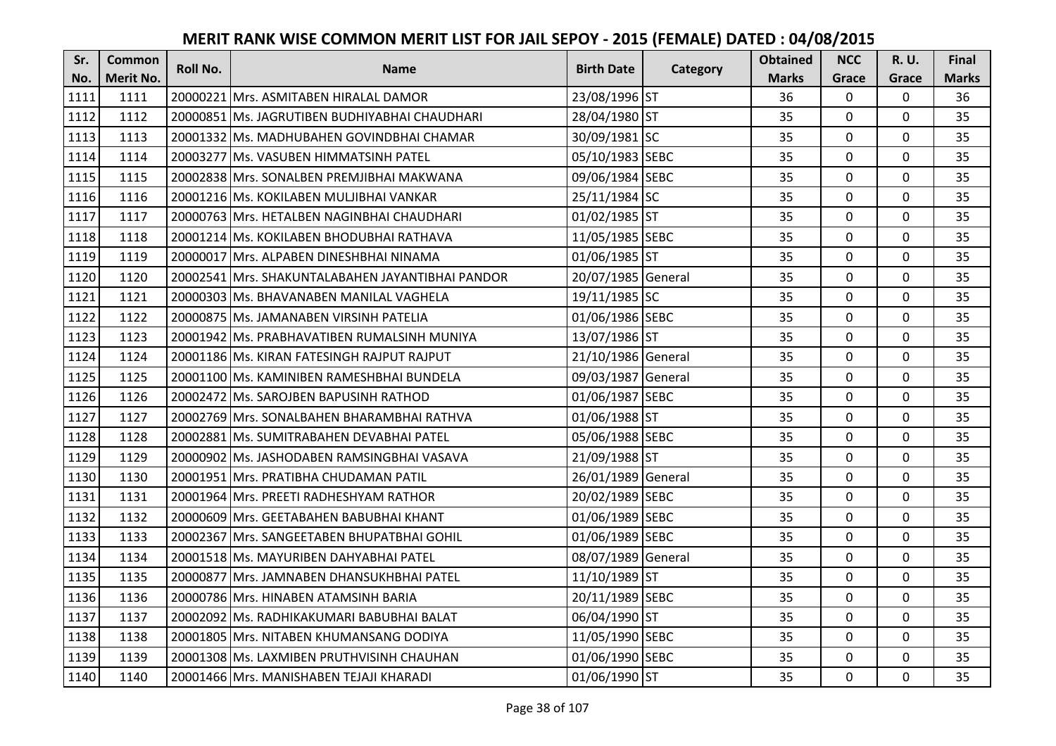| Sr.  | <b>Common</b>    | <b>Roll No.</b> | <b>Name</b>                                      | <b>Birth Date</b>  | Category | <b>Obtained</b> | <b>NCC</b>   | <b>R.U.</b> | Final        |
|------|------------------|-----------------|--------------------------------------------------|--------------------|----------|-----------------|--------------|-------------|--------------|
| No.  | <b>Merit No.</b> |                 |                                                  |                    |          | <b>Marks</b>    | Grace        | Grace       | <b>Marks</b> |
| 1111 | 1111             |                 | 20000221 Mrs. ASMITABEN HIRALAL DAMOR            | 23/08/1996 ST      |          | 36              | 0            | 0           | 36           |
| 1112 | 1112             |                 | 20000851 Ms. JAGRUTIBEN BUDHIYABHAI CHAUDHARI    | 28/04/1980 ST      |          | 35              | $\mathbf 0$  | $\Omega$    | 35           |
| 1113 | 1113             |                 | 20001332 lMs. MADHUBAHEN GOVINDBHAI CHAMAR       | 30/09/1981 SC      |          | 35              | $\mathbf 0$  | $\Omega$    | 35           |
| 1114 | 1114             |                 | 20003277 Ms. VASUBEN HIMMATSINH PATEL            | 05/10/1983 SEBC    |          | 35              | $\mathbf 0$  | 0           | 35           |
| 1115 | 1115             |                 | 20002838 IMrs. SONALBEN PREMJIBHAI MAKWANA       | 09/06/1984 SEBC    |          | 35              | $\mathbf{0}$ | $\mathbf 0$ | 35           |
| 1116 | 1116             |                 | 20001216 Ms. KOKILABEN MULJIBHAI VANKAR          | 25/11/1984 SC      |          | 35              | $\Omega$     | $\Omega$    | 35           |
| 1117 | 1117             |                 | 20000763 Mrs. HETALBEN NAGINBHAI CHAUDHARI       | 01/02/1985 ST      |          | 35              | $\mathbf 0$  | 0           | 35           |
| 1118 | 1118             |                 | 20001214 Ms. KOKILABEN BHODUBHAI RATHAVA         | 11/05/1985 SEBC    |          | 35              | $\mathbf 0$  | $\mathbf 0$ | 35           |
| 1119 | 1119             |                 | 20000017 Mrs. ALPABEN DINESHBHAI NINAMA          | 01/06/1985 ST      |          | 35              | $\mathbf 0$  | 0           | 35           |
| 1120 | 1120             |                 | 20002541 Mrs. SHAKUNTALABAHEN JAYANTIBHAI PANDOR | 20/07/1985 General |          | 35              | $\mathbf{0}$ | 0           | 35           |
| 1121 | 1121             |                 | 20000303 Ms. BHAVANABEN MANILAL VAGHELA          | 19/11/1985 SC      |          | 35              | $\Omega$     | 0           | 35           |
| 1122 | 1122             |                 | 20000875 Ms. JAMANABEN VIRSINH PATELIA           | 01/06/1986 SEBC    |          | 35              | $\mathbf 0$  | 0           | 35           |
| 1123 | 1123             |                 | 20001942 Ms. PRABHAVATIBEN RUMALSINH MUNIYA      | 13/07/1986 ST      |          | 35              | 0            | $\mathbf 0$ | 35           |
| 1124 | 1124             |                 | 20001186 Ms. KIRAN FATESINGH RAJPUT RAJPUT       | 21/10/1986 General |          | 35              | $\mathbf 0$  | 0           | 35           |
| 1125 | 1125             |                 | 20001100 Ms. KAMINIBEN RAMESHBHAI BUNDELA        | 09/03/1987 General |          | 35              | $\mathbf 0$  | 0           | 35           |
| 1126 | 1126             |                 | 20002472 Ms. SAROJBEN BAPUSINH RATHOD            | 01/06/1987 SEBC    |          | 35              | $\mathbf{0}$ | $\Omega$    | 35           |
| 1127 | 1127             |                 | 20002769 lMrs. SONALBAHEN BHARAMBHAI RATHVA      | 01/06/1988 ST      |          | 35              | $\mathbf{0}$ | 0           | 35           |
| 1128 | 1128             |                 | 20002881 Ms. SUMITRABAHEN DEVABHAI PATEL         | 05/06/1988 SEBC    |          | 35              | $\mathbf 0$  | $\Omega$    | 35           |
| 1129 | 1129             |                 | 20000902 IMs. JASHODABEN RAMSINGBHAI VASAVA      | 21/09/1988 ST      |          | 35              | $\mathbf 0$  | $\Omega$    | 35           |
| 1130 | 1130             |                 | 20001951 Mrs. PRATIBHA CHUDAMAN PATIL            | 26/01/1989 General |          | 35              | $\mathbf 0$  | 0           | 35           |
| 1131 | 1131             |                 | 20001964 Mrs. PREETI RADHESHYAM RATHOR           | 20/02/1989 SEBC    |          | 35              | 0            | $\Omega$    | 35           |
| 1132 | 1132             |                 | 20000609 Mrs. GEETABAHEN BABUBHAI KHANT          | 01/06/1989 SEBC    |          | 35              | $\mathbf 0$  | $\Omega$    | 35           |
| 1133 | 1133             |                 | 20002367 Mrs. SANGEETABEN BHUPATBHAI GOHIL       | 01/06/1989 SEBC    |          | 35              | $\mathbf 0$  | $\Omega$    | 35           |
| 1134 | 1134             |                 | 20001518 Ms. MAYURIBEN DAHYABHAI PATEL           | 08/07/1989 General |          | 35              | $\mathbf 0$  | $\mathbf 0$ | 35           |
| 1135 | 1135             |                 | 20000877 Mrs. JAMNABEN DHANSUKHBHAI PATEL        | 11/10/1989 ST      |          | 35              | $\mathbf 0$  | 0           | 35           |
| 1136 | 1136             |                 | 20000786 Mrs. HINABEN ATAMSINH BARIA             | 20/11/1989 SEBC    |          | 35              | $\mathbf 0$  | 0           | 35           |
| 1137 | 1137             |                 | 20002092 Ms. RADHIKAKUMARI BABUBHAI BALAT        | 06/04/1990 ST      |          | 35              | $\mathbf 0$  | 0           | 35           |
| 1138 | 1138             |                 | 20001805 Mrs. NITABEN KHUMANSANG DODIYA          | 11/05/1990 SEBC    |          | 35              | $\Omega$     | 0           | 35           |
| 1139 | 1139             |                 | 20001308 Ms. LAXMIBEN PRUTHVISINH CHAUHAN        | 01/06/1990 SEBC    |          | 35              | $\mathbf 0$  | 0           | 35           |
| 1140 | 1140             |                 | 20001466 Mrs. MANISHABEN TEJAJI KHARADI          | 01/06/1990 ST      |          | 35              | $\mathbf{0}$ | 0           | 35           |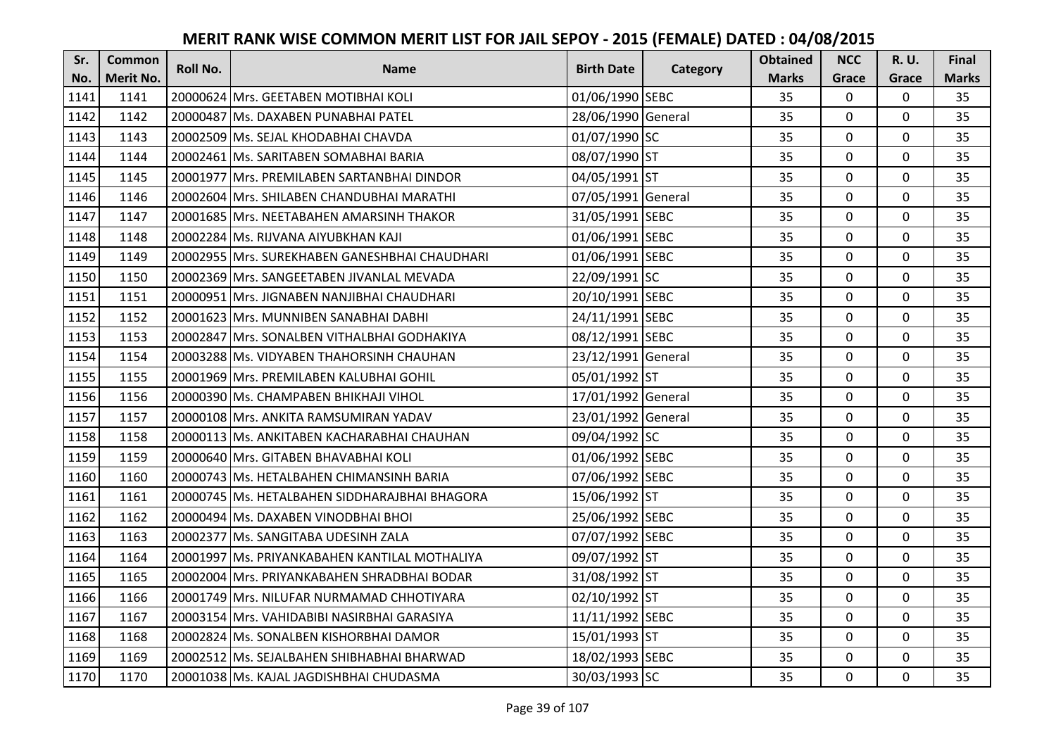| Sr.  | <b>Common</b>    | Roll No. | <b>Name</b>                                   | <b>Birth Date</b>  | <b>Category</b> | <b>Obtained</b> | <b>NCC</b>   | <b>R.U.</b> | Final        |
|------|------------------|----------|-----------------------------------------------|--------------------|-----------------|-----------------|--------------|-------------|--------------|
| No.  | <b>Merit No.</b> |          |                                               |                    |                 | <b>Marks</b>    | Grace        | Grace       | <b>Marks</b> |
| 1141 | 1141             |          | 20000624 Mrs. GEETABEN MOTIBHAI KOLI          | 01/06/1990 SEBC    |                 | 35              | $\mathbf 0$  | 0           | 35           |
| 1142 | 1142             |          | 20000487 Ms. DAXABEN PUNABHAI PATEL           | 28/06/1990 General |                 | 35              | $\mathbf{0}$ | $\mathbf 0$ | 35           |
| 1143 | 1143             |          | 20002509 Ms. SEJAL KHODABHAI CHAVDA           | 01/07/1990 SC      |                 | 35              | 0            | $\Omega$    | 35           |
| 1144 | 1144             |          | 20002461 Ms. SARITABEN SOMABHAI BARIA         | 08/07/1990 ST      |                 | 35              | $\mathbf 0$  | $\mathbf 0$ | 35           |
| 1145 | 1145             |          | 20001977 Mrs. PREMILABEN SARTANBHAI DINDOR    | 04/05/1991 ST      |                 | 35              | $\mathbf{0}$ | $\mathbf 0$ | 35           |
| 1146 | 1146             |          | 20002604 Mrs. SHILABEN CHANDUBHAI MARATHI     | 07/05/1991 General |                 | 35              | $\mathbf 0$  | 0           | 35           |
| 1147 | 1147             |          | 20001685 Mrs. NEETABAHEN AMARSINH THAKOR      | 31/05/1991 SEBC    |                 | 35              | $\mathbf 0$  | 0           | 35           |
| 1148 | 1148             |          | 20002284 Ms. RIJVANA AIYUBKHAN KAJI           | 01/06/1991 SEBC    |                 | 35              | $\mathbf 0$  | 0           | 35           |
| 1149 | 1149             |          | 20002955 Mrs. SUREKHABEN GANESHBHAI CHAUDHARI | 01/06/1991 SEBC    |                 | 35              | 0            | 0           | 35           |
| 1150 | 1150             |          | 20002369 Mrs. SANGEETABEN JIVANLAL MEVADA     | 22/09/1991 SC      |                 | 35              | $\mathbf{0}$ | 0           | 35           |
| 1151 | 1151             |          | 20000951 lMrs. JIGNABEN NANJIBHAI CHAUDHARI   | 20/10/1991 SEBC    |                 | 35              | $\mathbf 0$  | 0           | 35           |
| 1152 | 1152             |          | 20001623 Mrs. MUNNIBEN SANABHAI DABHI         | 24/11/1991 SEBC    |                 | 35              | $\mathbf 0$  | 0           | 35           |
| 1153 | 1153             |          | 20002847 Mrs. SONALBEN VITHALBHAI GODHAKIYA   | 08/12/1991 SEBC    |                 | 35              | $\mathbf 0$  | $\Omega$    | 35           |
| 1154 | 1154             |          | 20003288 Ms. VIDYABEN THAHORSINH CHAUHAN      | 23/12/1991 General |                 | 35              | $\mathbf 0$  | $\Omega$    | 35           |
| 1155 | 1155             |          | 20001969 Mrs. PREMILABEN KALUBHAI GOHIL       | 05/01/1992 ST      |                 | 35              | $\mathbf 0$  | $\Omega$    | 35           |
| 1156 | 1156             |          | 20000390 Ms. CHAMPABEN BHIKHAJI VIHOL         | 17/01/1992 General |                 | 35              | $\Omega$     | $\Omega$    | 35           |
| 1157 | 1157             |          | 20000108 Mrs. ANKITA RAMSUMIRAN YADAV         | 23/01/1992 General |                 | 35              | $\mathbf 0$  | 0           | 35           |
| 1158 | 1158             |          | 20000113 Ms. ANKITABEN KACHARABHAI CHAUHAN    | 09/04/1992 SC      |                 | 35              | $\mathbf 0$  | 0           | 35           |
| 1159 | 1159             |          | 20000640 Mrs. GITABEN BHAVABHAI KOLI          | 01/06/1992 SEBC    |                 | 35              | $\mathbf 0$  | $\Omega$    | 35           |
| 1160 | 1160             |          | 20000743 Ms. HETALBAHEN CHIMANSINH BARIA      | 07/06/1992 SEBC    |                 | 35              | 0            | 0           | 35           |
| 1161 | 1161             |          | 20000745 Ms. HETALBAHEN SIDDHARAJBHAI BHAGORA | 15/06/1992 ST      |                 | 35              | 0            | 0           | 35           |
| 1162 | 1162             |          | 20000494 Ms. DAXABEN VINODBHAI BHOI           | 25/06/1992 SEBC    |                 | 35              | $\Omega$     | $\Omega$    | 35           |
| 1163 | 1163             |          | 20002377 Ms. SANGITABA UDESINH ZALA           | 07/07/1992 SEBC    |                 | 35              | $\mathbf 0$  | 0           | 35           |
| 1164 | 1164             |          | 20001997 Ms. PRIYANKABAHEN KANTILAL MOTHALIYA | 09/07/1992 ST      |                 | 35              | $\mathbf 0$  | $\Omega$    | 35           |
| 1165 | 1165             |          | 20002004 Mrs. PRIYANKABAHEN SHRADBHAI BODAR   | 31/08/1992 ST      |                 | 35              | $\mathbf 0$  | $\Omega$    | 35           |
| 1166 | 1166             |          | 20001749 Mrs. NILUFAR NURMAMAD CHHOTIYARA     | 02/10/1992 ST      |                 | 35              | $\mathbf 0$  | 0           | 35           |
| 1167 | 1167             |          | 20003154 Mrs. VAHIDABIBI NASIRBHAI GARASIYA   | 11/11/1992 SEBC    |                 | 35              | $\mathbf 0$  | 0           | 35           |
| 1168 | 1168             |          | 20002824 Ms. SONALBEN KISHORBHAI DAMOR        | 15/01/1993 ST      |                 | 35              | $\Omega$     | 0           | 35           |
| 1169 | 1169             |          | 20002512 Ms. SEJALBAHEN SHIBHABHAI BHARWAD    | 18/02/1993 SEBC    |                 | 35              | $\mathbf 0$  | 0           | 35           |
| 1170 | 1170             |          | 20001038 Ms. KAJAL JAGDISHBHAI CHUDASMA       | 30/03/1993 SC      |                 | 35              | $\mathbf{0}$ | 0           | 35           |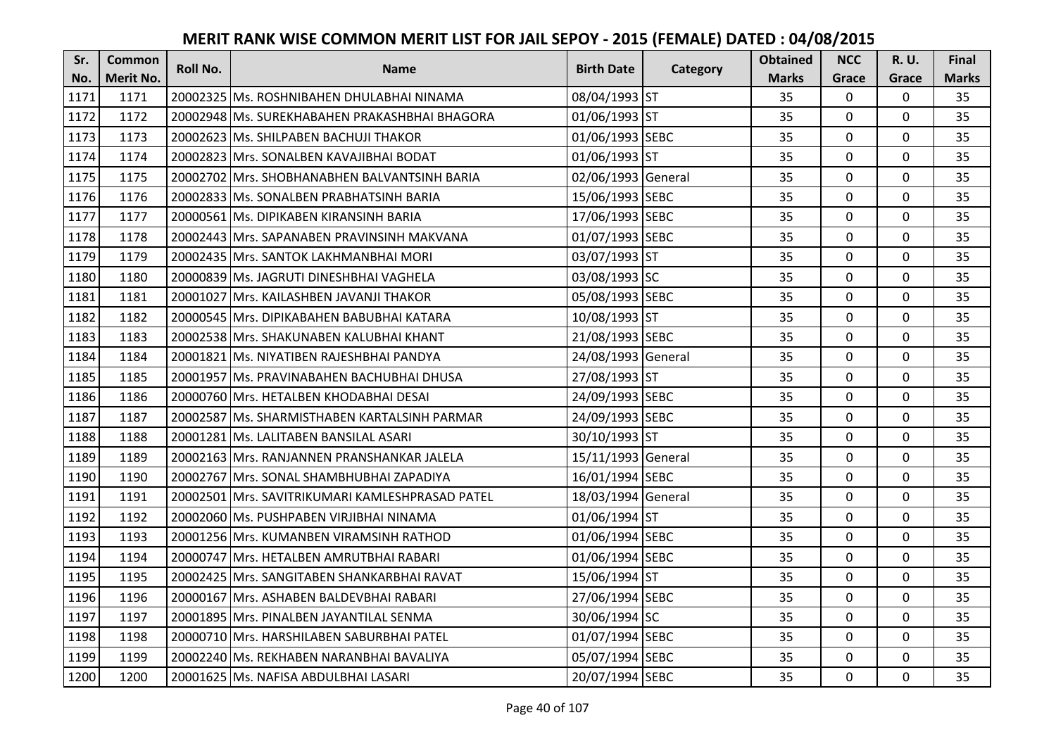| Sr.  | <b>Common</b>    | <b>Roll No.</b> | <b>Name</b>                                     | <b>Birth Date</b>  | Category | <b>Obtained</b> | <b>NCC</b>   | <b>R.U.</b> | Final        |
|------|------------------|-----------------|-------------------------------------------------|--------------------|----------|-----------------|--------------|-------------|--------------|
| No.  | <b>Merit No.</b> |                 |                                                 |                    |          | <b>Marks</b>    | Grace        | Grace       | <b>Marks</b> |
| 1171 | 1171             |                 | 20002325 Ms. ROSHNIBAHEN DHULABHAI NINAMA       | 08/04/1993 ST      |          | 35              | 0            | 0           | 35           |
| 1172 | 1172             |                 | 20002948 Ms. SUREKHABAHEN PRAKASHBHAI BHAGORA   | 01/06/1993 ST      |          | 35              | $\mathbf 0$  | $\Omega$    | 35           |
| 1173 | 1173             |                 | 20002623 Ms. SHILPABEN BACHUJI THAKOR           | 01/06/1993 SEBC    |          | 35              | $\mathbf 0$  | $\Omega$    | 35           |
| 1174 | 1174             |                 | 20002823 Mrs. SONALBEN KAVAJIBHAI BODAT         | 01/06/1993 ST      |          | 35              | $\mathbf 0$  | 0           | 35           |
| 1175 | 1175             |                 | 20002702 Mrs. SHOBHANABHEN BALVANTSINH BARIA    | 02/06/1993 General |          | 35              | $\mathbf{0}$ | $\mathbf 0$ | 35           |
| 1176 | 1176             |                 | 20002833 Ms. SONALBEN PRABHATSINH BARIA         | 15/06/1993 SEBC    |          | 35              | $\mathbf 0$  | $\Omega$    | 35           |
| 1177 | 1177             |                 | 20000561 Ms. DIPIKABEN KIRANSINH BARIA          | 17/06/1993 SEBC    |          | 35              | $\mathbf 0$  | 0           | 35           |
| 1178 | 1178             |                 | 20002443 Mrs. SAPANABEN PRAVINSINH MAKVANA      | 01/07/1993 SEBC    |          | 35              | $\mathbf{0}$ | $\mathbf 0$ | 35           |
| 1179 | 1179             |                 | 20002435 Mrs. SANTOK LAKHMANBHAI MORI           | 03/07/1993 ST      |          | 35              | $\mathbf 0$  | 0           | 35           |
| 1180 | 1180             |                 | 20000839 Ms. JAGRUTI DINESHBHAI VAGHELA         | 03/08/1993 SC      |          | 35              | $\mathbf{0}$ | 0           | 35           |
| 1181 | 1181             |                 | 20001027 Mrs. KAILASHBEN JAVANJI THAKOR         | 05/08/1993 SEBC    |          | 35              | $\Omega$     | 0           | 35           |
| 1182 | 1182             |                 | 20000545 Mrs. DIPIKABAHEN BABUBHAI KATARA       | 10/08/1993 ST      |          | 35              | $\mathbf 0$  | 0           | 35           |
| 1183 | 1183             |                 | 20002538 Mrs. SHAKUNABEN KALUBHAI KHANT         | 21/08/1993 SEBC    |          | 35              | 0            | $\mathbf 0$ | 35           |
| 1184 | 1184             |                 | 20001821 Ms. NIYATIBEN RAJESHBHAI PANDYA        | 24/08/1993 General |          | 35              | $\mathbf 0$  | 0           | 35           |
| 1185 | 1185             |                 | 20001957 Ms. PRAVINABAHEN BACHUBHAI DHUSA       | 27/08/1993 ST      |          | 35              | $\mathbf 0$  | 0           | 35           |
| 1186 | 1186             |                 | 20000760 Mrs. HETALBEN KHODABHAI DESAI          | 24/09/1993 SEBC    |          | 35              | $\mathbf{0}$ | 0           | 35           |
| 1187 | 1187             |                 | 20002587 Ms. SHARMISTHABEN KARTALSINH PARMAR    | 24/09/1993 SEBC    |          | 35              | $\mathbf{0}$ | 0           | 35           |
| 1188 | 1188             |                 | 20001281 Ms. LALITABEN BANSILAL ASARI           | 30/10/1993 ST      |          | 35              | $\mathbf 0$  | 0           | 35           |
| 1189 | 1189             |                 | 20002163 IMrs. RANJANNEN PRANSHANKAR JALELA     | 15/11/1993 General |          | 35              | $\mathbf 0$  | $\Omega$    | 35           |
| 1190 | 1190             |                 | 20002767 Mrs. SONAL SHAMBHUBHAI ZAPADIYA        | 16/01/1994 SEBC    |          | 35              | $\mathbf 0$  | 0           | 35           |
| 1191 | 1191             |                 | 20002501 Mrs. SAVITRIKUMARI KAMLESHPRASAD PATEL | 18/03/1994 General |          | 35              | $\mathbf 0$  | $\Omega$    | 35           |
| 1192 | 1192             |                 | 20002060 Ms. PUSHPABEN VIRJIBHAI NINAMA         | 01/06/1994 ST      |          | 35              | $\mathbf 0$  | $\Omega$    | 35           |
| 1193 | 1193             |                 | 20001256 Mrs. KUMANBEN VIRAMSINH RATHOD         | 01/06/1994 SEBC    |          | 35              | $\mathbf 0$  | $\Omega$    | 35           |
| 1194 | 1194             |                 | 20000747 Mrs. HETALBEN AMRUTBHAI RABARI         | 01/06/1994 SEBC    |          | 35              | $\mathbf 0$  | $\mathbf 0$ | 35           |
| 1195 | 1195             |                 | 20002425 Mrs. SANGITABEN SHANKARBHAI RAVAT      | 15/06/1994 ST      |          | 35              | $\mathbf 0$  | 0           | 35           |
| 1196 | 1196             |                 | 20000167 Mrs. ASHABEN BALDEVBHAI RABARI         | 27/06/1994 SEBC    |          | 35              | $\mathbf 0$  | 0           | 35           |
| 1197 | 1197             |                 | 20001895 Mrs. PINALBEN JAYANTILAL SENMA         | 30/06/1994 SC      |          | 35              | $\mathbf 0$  | 0           | 35           |
| 1198 | 1198             |                 | 20000710 Mrs. HARSHILABEN SABURBHAI PATEL       | 01/07/1994 SEBC    |          | 35              | $\Omega$     | 0           | 35           |
| 1199 | 1199             |                 | 20002240 Ms. REKHABEN NARANBHAI BAVALIYA        | 05/07/1994 SEBC    |          | 35              | $\mathbf 0$  | 0           | 35           |
| 1200 | 1200             |                 | 20001625 Ms. NAFISA ABDULBHAI LASARI            | 20/07/1994 SEBC    |          | 35              | $\mathbf{0}$ | 0           | 35           |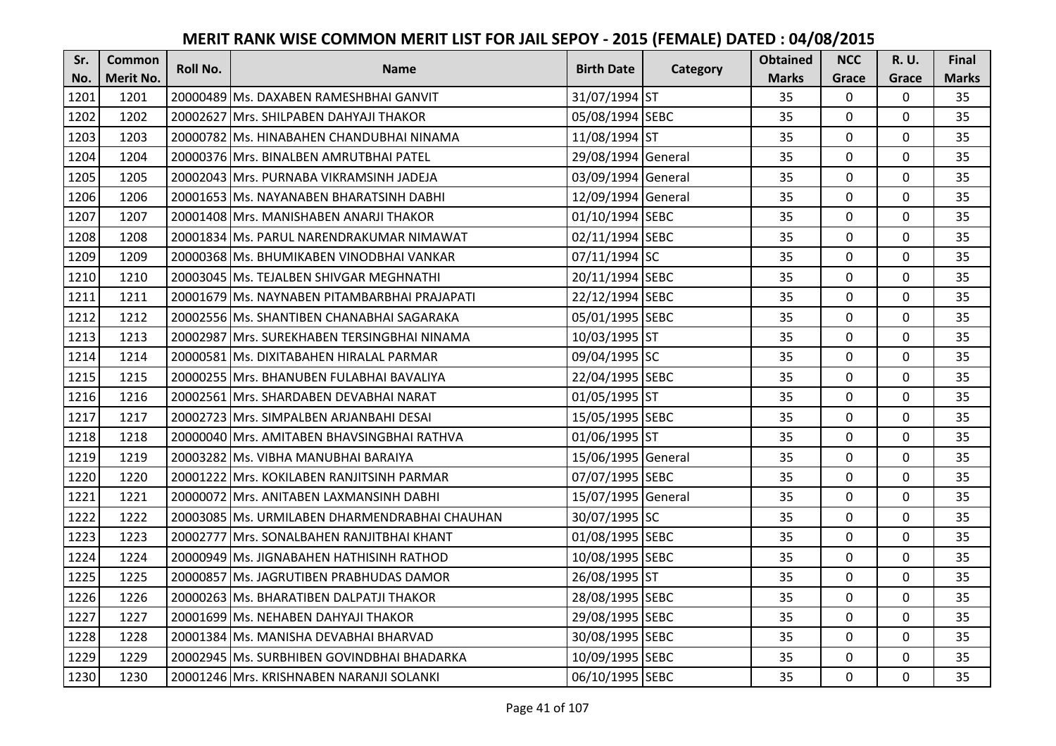| Sr.  | <b>Common</b>    | Roll No. | <b>Name</b>                                   | <b>Birth Date</b>  | Category | <b>Obtained</b> | <b>NCC</b>   | <b>R.U.</b> | Final        |
|------|------------------|----------|-----------------------------------------------|--------------------|----------|-----------------|--------------|-------------|--------------|
| No.  | <b>Merit No.</b> |          |                                               |                    |          | <b>Marks</b>    | Grace        | Grace       | <b>Marks</b> |
| 1201 | 1201             |          | 20000489 Ms. DAXABEN RAMESHBHAI GANVIT        | 31/07/1994 ST      |          | 35              | 0            | 0           | 35           |
| 1202 | 1202             |          | 20002627 Mrs. SHILPABEN DAHYAJI THAKOR        | 05/08/1994 SEBC    |          | 35              | $\mathbf 0$  | $\Omega$    | 35           |
| 1203 | 1203             |          | 20000782 lMs. HINABAHEN CHANDUBHAI NINAMA     | 11/08/1994 ST      |          | 35              | $\mathbf 0$  | $\Omega$    | 35           |
| 1204 | 1204             |          | 20000376 Mrs. BINALBEN AMRUTBHAI PATEL        | 29/08/1994 General |          | 35              | $\mathbf 0$  | 0           | 35           |
| 1205 | 1205             |          | 20002043 IMrs. PURNABA VIKRAMSINH JADEJA      | 03/09/1994 General |          | 35              | $\mathbf{0}$ | $\mathbf 0$ | 35           |
| 1206 | 1206             |          | 20001653 Ms. NAYANABEN BHARATSINH DABHI       | 12/09/1994 General |          | 35              | $\mathbf 0$  | $\Omega$    | 35           |
| 1207 | 1207             |          | 20001408 Mrs. MANISHABEN ANARJI THAKOR        | 01/10/1994 SEBC    |          | 35              | $\mathbf 0$  | 0           | 35           |
| 1208 | 1208             |          | 20001834 Ms. PARUL NARENDRAKUMAR NIMAWAT      | 02/11/1994 SEBC    |          | 35              | $\mathbf 0$  | $\mathbf 0$ | 35           |
| 1209 | 1209             |          | 20000368 Ms. BHUMIKABEN VINODBHAI VANKAR      | 07/11/1994 SC      |          | 35              | $\mathbf 0$  | 0           | 35           |
| 1210 | 1210             |          | 20003045 Ms. TEJALBEN SHIVGAR MEGHNATHI       | 20/11/1994 SEBC    |          | 35              | $\mathbf{0}$ | $\mathbf 0$ | 35           |
| 1211 | 1211             |          | 20001679 Ms. NAYNABEN PITAMBARBHAI PRAJAPATI  | 22/12/1994 SEBC    |          | 35              | $\Omega$     | 0           | 35           |
| 1212 | 1212             |          | 20002556 Ms. SHANTIBEN CHANABHAI SAGARAKA     | 05/01/1995 SEBC    |          | 35              | $\mathbf 0$  | 0           | 35           |
| 1213 | 1213             |          | 20002987 Mrs. SUREKHABEN TERSINGBHAI NINAMA   | 10/03/1995 ST      |          | 35              | 0            | $\mathbf 0$ | 35           |
| 1214 | 1214             |          | 20000581 Ms. DIXITABAHEN HIRALAL PARMAR       | 09/04/1995 SC      |          | 35              | $\mathbf 0$  | 0           | 35           |
| 1215 | 1215             |          | 20000255 Mrs. BHANUBEN FULABHAI BAVALIYA      | 22/04/1995 SEBC    |          | 35              | $\mathbf 0$  | 0           | 35           |
| 1216 | 1216             |          | 20002561 Mrs. SHARDABEN DEVABHAI NARAT        | 01/05/1995 ST      |          | 35              | $\mathbf{0}$ | $\Omega$    | 35           |
| 1217 | 1217             |          | 20002723 Mrs. SIMPALBEN ARJANBAHI DESAI       | 15/05/1995 SEBC    |          | 35              | $\mathbf{0}$ | 0           | 35           |
| 1218 | 1218             |          | 20000040 Mrs. AMITABEN BHAVSINGBHAI RATHVA    | 01/06/1995 ST      |          | 35              | $\mathbf 0$  | $\Omega$    | 35           |
| 1219 | 1219             |          | 20003282 IMs. VIBHA MANUBHAI BARAIYA          | 15/06/1995 General |          | 35              | $\mathbf 0$  | $\Omega$    | 35           |
| 1220 | 1220             |          | 20001222 Mrs. KOKILABEN RANJITSINH PARMAR     | 07/07/1995 SEBC    |          | 35              | $\mathbf 0$  | 0           | 35           |
| 1221 | 1221             |          | 20000072 Mrs. ANITABEN LAXMANSINH DABHI       | 15/07/1995 General |          | 35              | $\mathbf 0$  | $\Omega$    | 35           |
| 1222 | 1222             |          | 20003085 Ms. URMILABEN DHARMENDRABHAI CHAUHAN | 30/07/1995 SC      |          | 35              | $\mathbf 0$  | $\Omega$    | 35           |
| 1223 | 1223             |          | 20002777 Mrs. SONALBAHEN RANJITBHAI KHANT     | 01/08/1995 SEBC    |          | 35              | $\mathbf 0$  | $\Omega$    | 35           |
| 1224 | 1224             |          | 20000949 Ms. JIGNABAHEN HATHISINH RATHOD      | 10/08/1995 SEBC    |          | 35              | $\mathbf 0$  | $\mathbf 0$ | 35           |
| 1225 | 1225             |          | 20000857 Ms. JAGRUTIBEN PRABHUDAS DAMOR       | 26/08/1995 ST      |          | 35              | $\mathbf 0$  | 0           | 35           |
| 1226 | 1226             |          | 20000263 Ms. BHARATIBEN DALPATJI THAKOR       | 28/08/1995 SEBC    |          | 35              | $\mathbf 0$  | 0           | 35           |
| 1227 | 1227             |          | 20001699 Ms. NEHABEN DAHYAJI THAKOR           | 29/08/1995 SEBC    |          | 35              | $\mathbf 0$  | 0           | 35           |
| 1228 | 1228             |          | 20001384 Ms. MANISHA DEVABHAI BHARVAD         | 30/08/1995 SEBC    |          | 35              | $\Omega$     | 0           | 35           |
| 1229 | 1229             |          | 20002945 Ms. SURBHIBEN GOVINDBHAI BHADARKA    | 10/09/1995 SEBC    |          | 35              | $\mathbf 0$  | 0           | 35           |
| 1230 | 1230             |          | 20001246 Mrs. KRISHNABEN NARANJI SOLANKI      | 06/10/1995 SEBC    |          | 35              | $\mathbf{0}$ | 0           | 35           |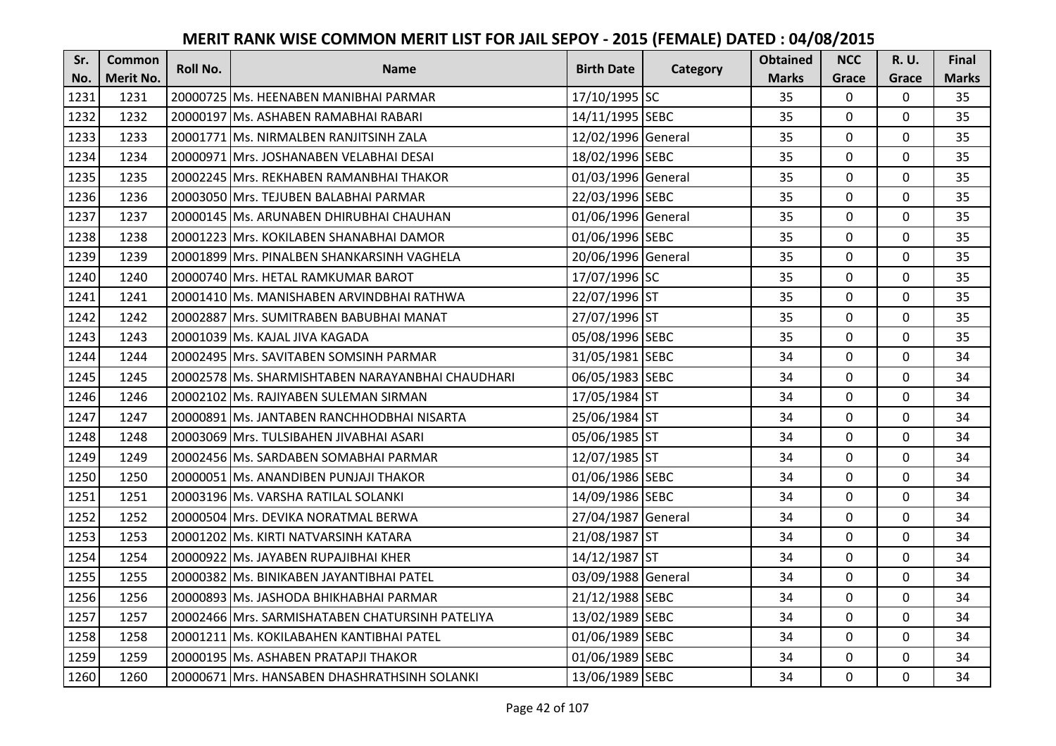| Sr.  | <b>Common</b>    | <b>Roll No.</b> | <b>Name</b>                                      | <b>Birth Date</b>  |          | <b>Obtained</b> | <b>NCC</b>   | <b>R.U.</b> | Final        |
|------|------------------|-----------------|--------------------------------------------------|--------------------|----------|-----------------|--------------|-------------|--------------|
| No.  | <b>Merit No.</b> |                 |                                                  |                    | Category | <b>Marks</b>    | Grace        | Grace       | <b>Marks</b> |
| 1231 | 1231             |                 | 20000725 Ms. HEENABEN MANIBHAI PARMAR            | 17/10/1995 SC      |          | 35              | $\mathbf 0$  | 0           | 35           |
| 1232 | 1232             |                 | 20000197 Ms. ASHABEN RAMABHAI RABARI             | 14/11/1995 SEBC    |          | 35              | $\mathbf 0$  | $\Omega$    | 35           |
| 1233 | 1233             |                 | 20001771 Ms. NIRMALBEN RANJITSINH ZALA           | 12/02/1996 General |          | 35              | $\mathbf 0$  | 0           | 35           |
| 1234 | 1234             |                 | 20000971 Mrs. JOSHANABEN VELABHAI DESAI          | 18/02/1996 SEBC    |          | 35              | $\mathbf{0}$ | 0           | 35           |
| 1235 | 1235             |                 | 20002245 Mrs. REKHABEN RAMANBHAI THAKOR          | 01/03/1996 General |          | 35              | $\mathbf{0}$ | $\mathbf 0$ | 35           |
| 1236 | 1236             |                 | 20003050 Mrs. TEJUBEN BALABHAI PARMAR            | 22/03/1996 SEBC    |          | 35              | $\mathbf 0$  | $\Omega$    | 35           |
| 1237 | 1237             |                 | 20000145 Ms. ARUNABEN DHIRUBHAI CHAUHAN          | 01/06/1996 General |          | 35              | $\mathbf 0$  | 0           | 35           |
| 1238 | 1238             |                 | 20001223 Mrs. KOKILABEN SHANABHAI DAMOR          | 01/06/1996 SEBC    |          | 35              | $\mathbf{0}$ | $\mathbf 0$ | 35           |
| 1239 | 1239             |                 | 20001899 Mrs. PINALBEN SHANKARSINH VAGHELA       | 20/06/1996 General |          | 35              | $\mathbf 0$  | 0           | 35           |
| 1240 | 1240             |                 | 20000740 Mrs. HETAL RAMKUMAR BAROT               | 17/07/1996 SC      |          | 35              | $\mathbf{0}$ | $\mathbf 0$ | 35           |
| 1241 | 1241             |                 | 20001410 Ms. MANISHABEN ARVINDBHAI RATHWA        | 22/07/1996 ST      |          | 35              | $\Omega$     | 0           | 35           |
| 1242 | 1242             |                 | 20002887 Mrs. SUMITRABEN BABUBHAI MANAT          | 27/07/1996 ST      |          | 35              | $\mathbf 0$  | 0           | 35           |
| 1243 | 1243             |                 | 20001039 Ms. KAJAL JIVA KAGADA                   | 05/08/1996 SEBC    |          | 35              | 0            | 0           | 35           |
| 1244 | 1244             |                 | 20002495 Mrs. SAVITABEN SOMSINH PARMAR           | 31/05/1981 SEBC    |          | 34              | $\mathbf{0}$ | 0           | 34           |
| 1245 | 1245             |                 | 20002578 Ms. SHARMISHTABEN NARAYANBHAI CHAUDHARI | 06/05/1983 SEBC    |          | 34              | $\mathbf 0$  | 0           | 34           |
| 1246 | 1246             |                 | 20002102 Ms. RAJIYABEN SULEMAN SIRMAN            | 17/05/1984 ST      |          | 34              | $\mathbf{0}$ | $\Omega$    | 34           |
| 1247 | 1247             |                 | 20000891 Ms. JANTABEN RANCHHODBHAI NISARTA       | 25/06/1984 ST      |          | 34              | $\mathbf{0}$ | 0           | 34           |
| 1248 | 1248             |                 | 20003069 Mrs. TULSIBAHEN JIVABHAI ASARI          | 05/06/1985 ST      |          | 34              | $\mathbf{0}$ | $\Omega$    | 34           |
| 1249 | 1249             |                 | 20002456 Ms. SARDABEN SOMABHAI PARMAR            | 12/07/1985 ST      |          | 34              | $\mathbf 0$  | $\Omega$    | 34           |
| 1250 | 1250             |                 | 20000051 Ms. ANANDIBEN PUNJAJI THAKOR            | 01/06/1986 SEBC    |          | 34              | $\mathbf 0$  | 0           | 34           |
| 1251 | 1251             |                 | 20003196 Ms. VARSHA RATILAL SOLANKI              | 14/09/1986 SEBC    |          | 34              | $\mathbf 0$  | 0           | 34           |
| 1252 | 1252             |                 | 20000504 Mrs. DEVIKA NORATMAL BERWA              | 27/04/1987 General |          | 34              | $\mathbf 0$  | $\Omega$    | 34           |
| 1253 | 1253             |                 | 20001202 Ms. KIRTI NATVARSINH KATARA             | 21/08/1987 ST      |          | 34              | $\mathbf 0$  | 0           | 34           |
| 1254 | 1254             |                 | 20000922 Ms. JAYABEN RUPAJIBHAI KHER             | 14/12/1987 ST      |          | 34              | $\mathbf 0$  | $\mathbf 0$ | 34           |
| 1255 | 1255             |                 | 20000382 Ms. BINIKABEN JAYANTIBHAI PATEL         | 03/09/1988 General |          | 34              | $\mathbf 0$  | 0           | 34           |
| 1256 | 1256             |                 | 20000893 Ms. JASHODA BHIKHABHAI PARMAR           | 21/12/1988 SEBC    |          | 34              | $\mathbf{0}$ | 0           | 34           |
| 1257 | 1257             |                 | 20002466 Mrs. SARMISHATABEN CHATURSINH PATELIYA  | 13/02/1989 SEBC    |          | 34              | $\mathbf 0$  | 0           | 34           |
| 1258 | 1258             |                 | 20001211 Ms. KOKILABAHEN KANTIBHAI PATEL         | 01/06/1989 SEBC    |          | 34              | $\Omega$     | 0           | 34           |
| 1259 | 1259             |                 | 20000195 Ms. ASHABEN PRATAPJI THAKOR             | 01/06/1989 SEBC    |          | 34              | $\mathbf 0$  | 0           | 34           |
| 1260 | 1260             |                 | 20000671 Mrs. HANSABEN DHASHRATHSINH SOLANKI     | 13/06/1989 SEBC    |          | 34              | $\mathbf{0}$ | 0           | 34           |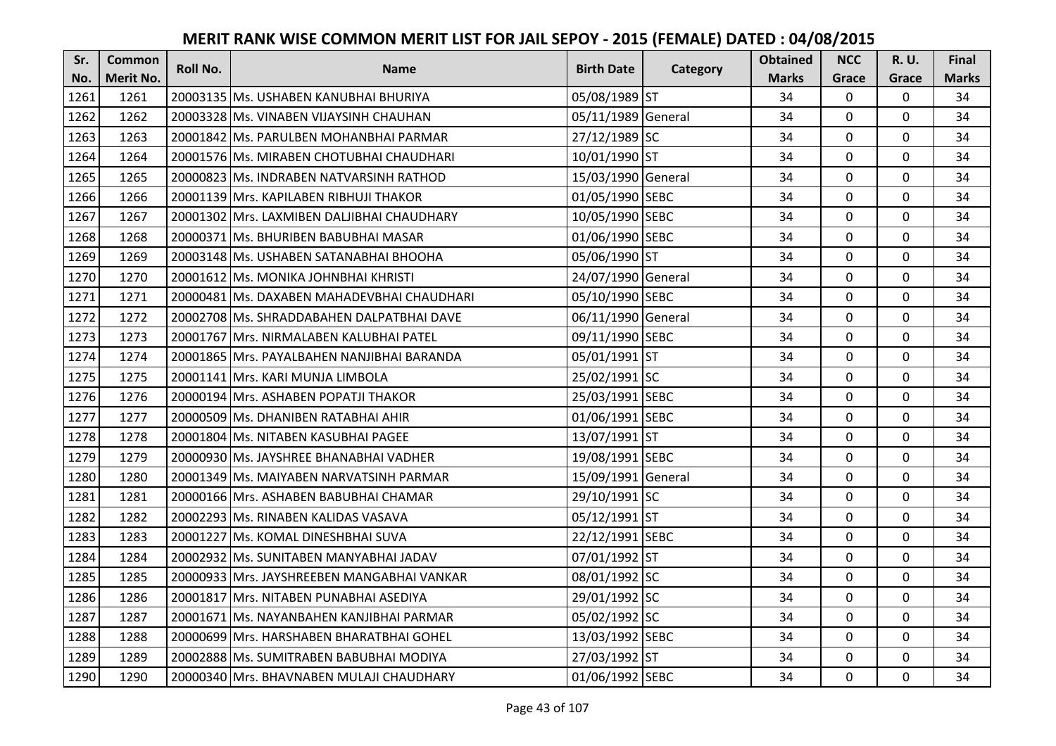| Sr.  | <b>Common</b> | <b>Roll No.</b> | <b>Name</b>                                | <b>Birth Date</b>  |          | <b>Obtained</b> | <b>NCC</b>   | <b>R.U.</b> | Final        |
|------|---------------|-----------------|--------------------------------------------|--------------------|----------|-----------------|--------------|-------------|--------------|
| No.  | Merit No.     |                 |                                            |                    | Category | <b>Marks</b>    | Grace        | Grace       | <b>Marks</b> |
| 1261 | 1261          |                 | 20003135 Ms. USHABEN KANUBHAI BHURIYA      | 05/08/1989 ST      |          | 34              | 0            | 0           | 34           |
| 1262 | 1262          |                 | 20003328 Ms. VINABEN VIJAYSINH CHAUHAN     | 05/11/1989 General |          | 34              | $\mathbf 0$  | $\Omega$    | 34           |
| 1263 | 1263          |                 | 20001842 Ms. PARULBEN MOHANBHAI PARMAR     | 27/12/1989 SC      |          | 34              | $\mathbf 0$  | $\Omega$    | 34           |
| 1264 | 1264          |                 | 20001576 Ms. MIRABEN CHOTUBHAI CHAUDHARI   | 10/01/1990 ST      |          | 34              | $\mathbf 0$  | 0           | 34           |
| 1265 | 1265          |                 | 20000823 Ms. INDRABEN NATVARSINH RATHOD    | 15/03/1990 General |          | 34              | $\mathbf{0}$ | $\mathbf 0$ | 34           |
| 1266 | 1266          |                 | 20001139 Mrs. KAPILABEN RIBHUJI THAKOR     | 01/05/1990 SEBC    |          | 34              | $\mathbf 0$  | $\Omega$    | 34           |
| 1267 | 1267          |                 | 20001302 Mrs. LAXMIBEN DALJIBHAI CHAUDHARY | 10/05/1990 SEBC    |          | 34              | $\mathbf 0$  | 0           | 34           |
| 1268 | 1268          |                 | 20000371 Ms. BHURIBEN BABUBHAI MASAR       | 01/06/1990 SEBC    |          | 34              | $\mathbf{0}$ | $\mathbf 0$ | 34           |
| 1269 | 1269          |                 | 20003148   Ms. USHABEN SATANABHAI BHOOHA   | 05/06/1990 ST      |          | 34              | $\mathbf 0$  | 0           | 34           |
| 1270 | 1270          |                 | 20001612 Ms. MONIKA JOHNBHAI KHRISTI       | 24/07/1990 General |          | 34              | $\mathbf{0}$ | 0           | 34           |
| 1271 | 1271          |                 | 20000481 Ms. DAXABEN MAHADEVBHAI CHAUDHARI | 05/10/1990 SEBC    |          | 34              | $\Omega$     | 0           | 34           |
| 1272 | 1272          |                 | 20002708 Ms. SHRADDABAHEN DALPATBHAI DAVE  | 06/11/1990 General |          | 34              | $\mathbf 0$  | 0           | 34           |
| 1273 | 1273          |                 | 20001767 Mrs. NIRMALABEN KALUBHAI PATEL    | 09/11/1990 SEBC    |          | 34              | $\mathbf{0}$ | $\mathbf 0$ | 34           |
| 1274 | 1274          |                 | 20001865 Mrs. PAYALBAHEN NANJIBHAI BARANDA | 05/01/1991 ST      |          | 34              | $\mathbf 0$  | 0           | 34           |
| 1275 | 1275          |                 | 20001141 Mrs. KARI MUNJA LIMBOLA           | 25/02/1991 SC      |          | 34              | $\mathbf 0$  | 0           | 34           |
| 1276 | 1276          |                 | 20000194 Mrs. ASHABEN POPATJI THAKOR       | 25/03/1991 SEBC    |          | 34              | $\mathbf{0}$ | $\Omega$    | 34           |
| 1277 | 1277          |                 | 20000509 Ms. DHANIBEN RATABHAI AHIR        | 01/06/1991 SEBC    |          | 34              | $\mathbf{0}$ | 0           | 34           |
| 1278 | 1278          |                 | 20001804 Ms. NITABEN KASUBHAI PAGEE        | 13/07/1991 ST      |          | 34              | $\mathbf 0$  | $\Omega$    | 34           |
| 1279 | 1279          |                 | 20000930 Ms. JAYSHREE BHANABHAI VADHER     | 19/08/1991 SEBC    |          | 34              | $\mathbf 0$  | 0           | 34           |
| 1280 | 1280          |                 | 20001349 Ms. MAIYABEN NARVATSINH PARMAR    | 15/09/1991 General |          | 34              | $\mathbf 0$  | 0           | 34           |
| 1281 | 1281          |                 | 20000166 Mrs. ASHABEN BABUBHAI CHAMAR      | 29/10/1991 SC      |          | 34              | $\mathbf 0$  | $\Omega$    | 34           |
| 1282 | 1282          |                 | 20002293 Ms. RINABEN KALIDAS VASAVA        | 05/12/1991 ST      |          | 34              | $\Omega$     | $\Omega$    | 34           |
| 1283 | 1283          |                 | 20001227 Ms. KOMAL DINESHBHAI SUVA         | 22/12/1991 SEBC    |          | 34              | $\mathbf 0$  | 0           | 34           |
| 1284 | 1284          |                 | 20002932 Ms. SUNITABEN MANYABHAI JADAV     | 07/01/1992 ST      |          | 34              | $\mathbf 0$  | $\mathbf 0$ | 34           |
| 1285 | 1285          |                 | 20000933 Mrs. JAYSHREEBEN MANGABHAI VANKAR | 08/01/1992 SC      |          | 34              | $\mathbf 0$  | 0           | 34           |
| 1286 | 1286          |                 | 20001817 Mrs. NITABEN PUNABHAI ASEDIYA     | 29/01/1992 SC      |          | 34              | $\mathbf 0$  | 0           | 34           |
| 1287 | 1287          |                 | 20001671 Ms. NAYANBAHEN KANJIBHAI PARMAR   | 05/02/1992 SC      |          | 34              | $\mathbf 0$  | 0           | 34           |
| 1288 | 1288          |                 | 20000699 Mrs. HARSHABEN BHARATBHAI GOHEL   | 13/03/1992 SEBC    |          | 34              | $\Omega$     | 0           | 34           |
| 1289 | 1289          |                 | 20002888   Ms. SUMITRABEN BABUBHAI MODIYA  | 27/03/1992 ST      |          | 34              | $\mathbf 0$  | 0           | 34           |
| 1290 | 1290          |                 | 20000340 Mrs. BHAVNABEN MULAJI CHAUDHARY   | 01/06/1992 SEBC    |          | 34              | $\mathbf{0}$ | 0           | 34           |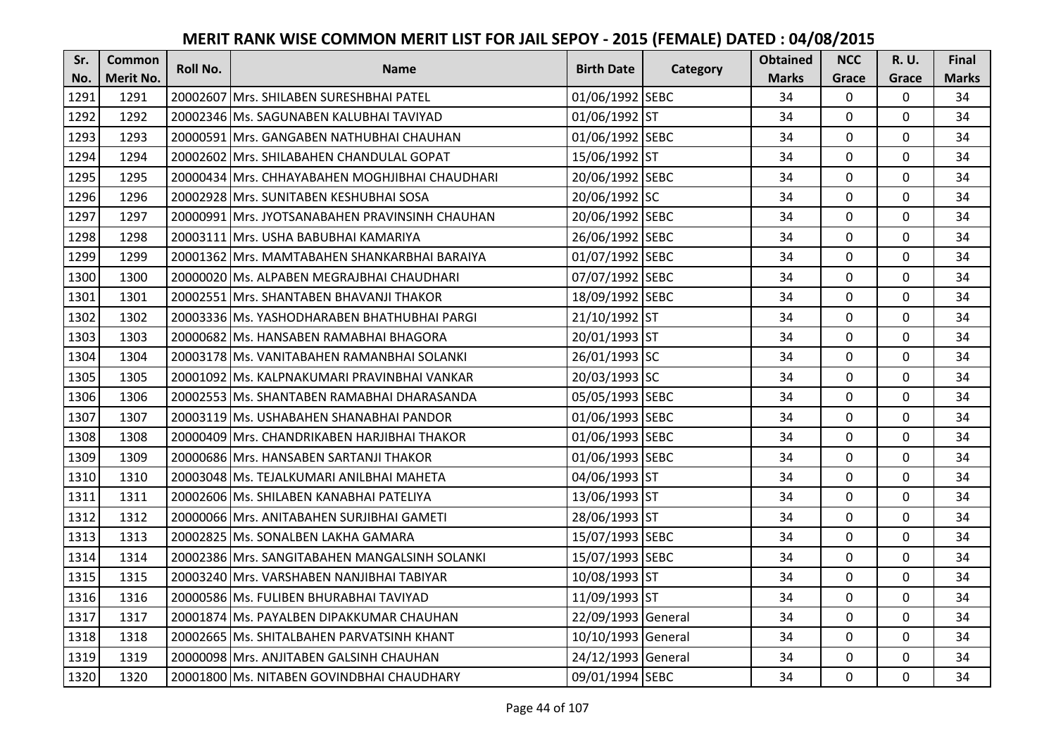| Sr.  | <b>Common</b>    | <b>Roll No.</b> | <b>Name</b>                                     | <b>Birth Date</b>  | Category | <b>Obtained</b> | <b>NCC</b>   | <b>R.U.</b> | Final        |
|------|------------------|-----------------|-------------------------------------------------|--------------------|----------|-----------------|--------------|-------------|--------------|
| No.  | <b>Merit No.</b> |                 |                                                 |                    |          | <b>Marks</b>    | Grace        | Grace       | <b>Marks</b> |
| 1291 | 1291             |                 | 20002607 Mrs. SHILABEN SURESHBHAI PATEL         | 01/06/1992 SEBC    |          | 34              | 0            | 0           | 34           |
| 1292 | 1292             |                 | 20002346 IMs. SAGUNABEN KALUBHAI TAVIYAD        | 01/06/1992 ST      |          | 34              | $\mathbf 0$  | $\Omega$    | 34           |
| 1293 | 1293             |                 | 20000591 lMrs. GANGABEN NATHUBHAI CHAUHAN       | 01/06/1992 SEBC    |          | 34              | $\mathbf 0$  | $\Omega$    | 34           |
| 1294 | 1294             |                 | 20002602 Mrs. SHILABAHEN CHANDULAL GOPAT        | 15/06/1992 ST      |          | 34              | $\mathbf{0}$ | 0           | 34           |
| 1295 | 1295             |                 | 20000434 IMrs. CHHAYABAHEN MOGHJIBHAI CHAUDHARI | 20/06/1992 SEBC    |          | 34              | $\mathbf{0}$ | $\mathbf 0$ | 34           |
| 1296 | 1296             |                 | 20002928 Mrs. SUNITABEN KESHUBHAI SOSA          | 20/06/1992 SC      |          | 34              | $\Omega$     | $\Omega$    | 34           |
| 1297 | 1297             |                 | 20000991 Mrs. JYOTSANABAHEN PRAVINSINH CHAUHAN  | 20/06/1992 SEBC    |          | 34              | $\mathbf 0$  | 0           | 34           |
| 1298 | 1298             |                 | 20003111 Mrs. USHA BABUBHAI KAMARIYA            | 26/06/1992 SEBC    |          | 34              | $\mathbf 0$  | $\mathbf 0$ | 34           |
| 1299 | 1299             |                 | 20001362 Mrs. MAMTABAHEN SHANKARBHAI BARAIYA    | 01/07/1992 SEBC    |          | 34              | $\mathbf 0$  | 0           | 34           |
| 1300 | 1300             |                 | 20000020 Ms. ALPABEN MEGRAJBHAI CHAUDHARI       | 07/07/1992 SEBC    |          | 34              | $\mathbf{0}$ | 0           | 34           |
| 1301 | 1301             |                 | 20002551 Mrs. SHANTABEN BHAVANJI THAKOR         | 18/09/1992 SEBC    |          | 34              | $\Omega$     | 0           | 34           |
| 1302 | 1302             |                 | 20003336 Ms. YASHODHARABEN BHATHUBHAI PARGI     | 21/10/1992 ST      |          | 34              | $\mathbf 0$  | 0           | 34           |
| 1303 | 1303             |                 | 20000682 Ms. HANSABEN RAMABHAI BHAGORA          | 20/01/1993 ST      |          | 34              | 0            | $\mathbf 0$ | 34           |
| 1304 | 1304             |                 | 20003178   Ms. VANITABAHEN RAMANBHAI SOLANKI    | 26/01/1993 SC      |          | 34              | $\mathbf 0$  | 0           | 34           |
| 1305 | 1305             |                 | 20001092 lMs. KALPNAKUMARI PRAVINBHAI VANKAR    | 20/03/1993 SC      |          | 34              | $\mathbf 0$  | 0           | 34           |
| 1306 | 1306             |                 | 20002553 Ms. SHANTABEN RAMABHAI DHARASANDA      | 05/05/1993 SEBC    |          | 34              | $\mathbf{0}$ | $\Omega$    | 34           |
| 1307 | 1307             |                 | 20003119 lMs. USHABAHEN SHANABHAI PANDOR        | 01/06/1993 SEBC    |          | 34              | $\mathbf{0}$ | 0           | 34           |
| 1308 | 1308             |                 | 20000409 Mrs. CHANDRIKABEN HARJIBHAI THAKOR     | 01/06/1993 SEBC    |          | 34              | $\mathbf 0$  | $\Omega$    | 34           |
| 1309 | 1309             |                 | 20000686 Mrs. HANSABEN SARTANJI THAKOR          | 01/06/1993 SEBC    |          | 34              | $\mathbf 0$  | $\Omega$    | 34           |
| 1310 | 1310             |                 | 20003048 Ms. TEJALKUMARI ANILBHAI MAHETA        | 04/06/1993 ST      |          | 34              | $\mathbf 0$  | 0           | 34           |
| 1311 | 1311             |                 | 20002606 Ms. SHILABEN KANABHAI PATELIYA         | 13/06/1993 ST      |          | 34              | $\mathbf 0$  | $\Omega$    | 34           |
| 1312 | 1312             |                 | 20000066 Mrs. ANITABAHEN SURJIBHAI GAMETI       | 28/06/1993 ST      |          | 34              | $\mathbf 0$  | $\Omega$    | 34           |
| 1313 | 1313             |                 | 20002825 Ms. SONALBEN LAKHA GAMARA              | 15/07/1993 SEBC    |          | 34              | $\mathbf 0$  | 0           | 34           |
| 1314 | 1314             |                 | 20002386 Mrs. SANGITABAHEN MANGALSINH SOLANKI   | 15/07/1993 SEBC    |          | 34              | $\mathbf 0$  | $\mathbf 0$ | 34           |
| 1315 | 1315             |                 | 20003240 Mrs. VARSHABEN NANJIBHAI TABIYAR       | 10/08/1993 ST      |          | 34              | $\mathbf 0$  | 0           | 34           |
| 1316 | 1316             |                 | 20000586 Ms. FULIBEN BHURABHAI TAVIYAD          | 11/09/1993 ST      |          | 34              | $\mathbf{0}$ | 0           | 34           |
| 1317 | 1317             |                 | 20001874 Ms. PAYALBEN DIPAKKUMAR CHAUHAN        | 22/09/1993 General |          | 34              | $\mathbf 0$  | 0           | 34           |
| 1318 | 1318             |                 | 20002665 Ms. SHITALBAHEN PARVATSINH KHANT       | 10/10/1993 General |          | 34              | $\Omega$     | 0           | 34           |
| 1319 | 1319             |                 | 20000098 Mrs. ANJITABEN GALSINH CHAUHAN         | 24/12/1993 General |          | 34              | $\mathbf 0$  | 0           | 34           |
| 1320 | 1320             |                 | 20001800 Ms. NITABEN GOVINDBHAI CHAUDHARY       | 09/01/1994 SEBC    |          | 34              | $\mathbf{0}$ | 0           | 34           |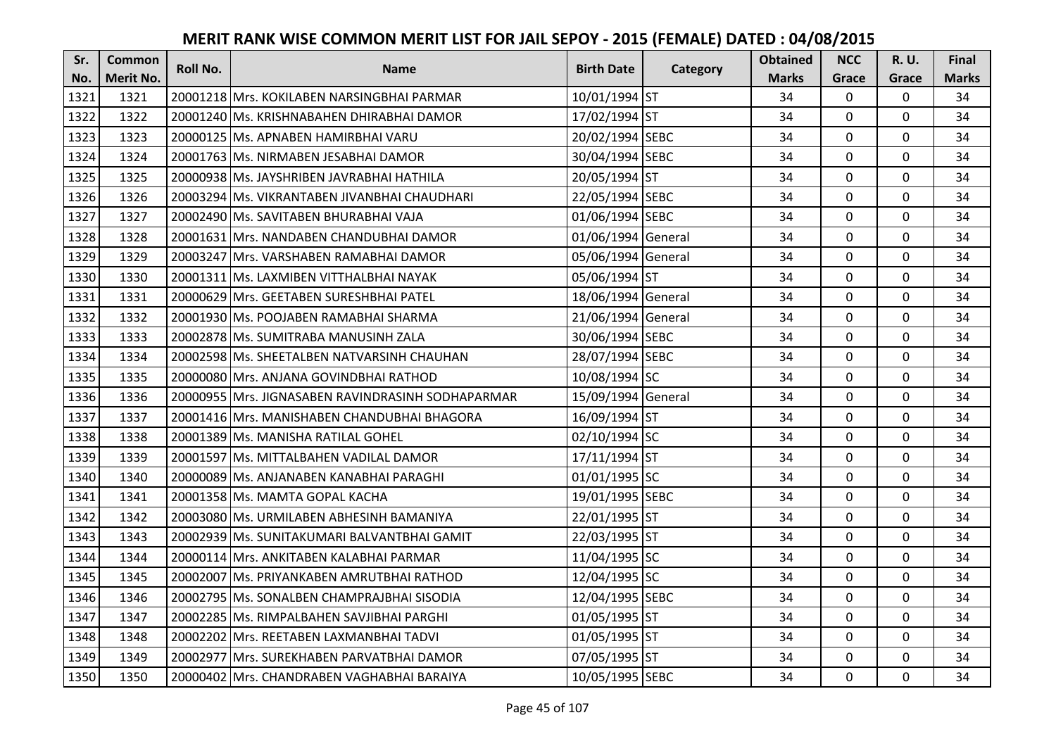| Sr.  | <b>Common</b>    | <b>Roll No.</b> | <b>Name</b>                                       | <b>Birth Date</b>  | Category | <b>Obtained</b> | <b>NCC</b>   | <b>R.U.</b> | Final        |
|------|------------------|-----------------|---------------------------------------------------|--------------------|----------|-----------------|--------------|-------------|--------------|
| No.  | <b>Merit No.</b> |                 |                                                   |                    |          | <b>Marks</b>    | Grace        | Grace       | <b>Marks</b> |
| 1321 | 1321             |                 | 20001218 Mrs. KOKILABEN NARSINGBHAI PARMAR        | 10/01/1994 ST      |          | 34              | $\mathbf 0$  | 0           | 34           |
| 1322 | 1322             |                 | 20001240 Ms. KRISHNABAHEN DHIRABHAI DAMOR         | 17/02/1994 ST      |          | 34              | $\mathbf 0$  | $\Omega$    | 34           |
| 1323 | 1323             |                 | 20000125 lMs. APNABEN HAMIRBHAI VARU              | 20/02/1994 SEBC    |          | 34              | $\mathbf 0$  | 0           | 34           |
| 1324 | 1324             |                 | 20001763 Ms. NIRMABEN JESABHAI DAMOR              | 30/04/1994 SEBC    |          | 34              | $\mathbf{0}$ | 0           | 34           |
| 1325 | 1325             |                 | 20000938 Ms. JAYSHRIBEN JAVRABHAI HATHILA         | 20/05/1994 ST      |          | 34              | $\mathbf{0}$ | $\mathbf 0$ | 34           |
| 1326 | 1326             |                 | 20003294 Ms. VIKRANTABEN JIVANBHAI CHAUDHARI      | 22/05/1994 SEBC    |          | 34              | $\mathbf 0$  | $\Omega$    | 34           |
| 1327 | 1327             |                 | 20002490 Ms. SAVITABEN BHURABHAI VAJA             | 01/06/1994 SEBC    |          | 34              | $\mathbf 0$  | 0           | 34           |
| 1328 | 1328             |                 | 20001631 Mrs. NANDABEN CHANDUBHAI DAMOR           | 01/06/1994 General |          | 34              | $\mathbf{0}$ | $\mathbf 0$ | 34           |
| 1329 | 1329             |                 | 20003247 Mrs. VARSHABEN RAMABHAI DAMOR            | 05/06/1994 General |          | 34              | $\mathbf 0$  | 0           | 34           |
| 1330 | 1330             |                 | 20001311 Ms. LAXMIBEN VITTHALBHAI NAYAK           | 05/06/1994 ST      |          | 34              | $\mathbf{0}$ | 0           | 34           |
| 1331 | 1331             |                 | 20000629 Mrs. GEETABEN SURESHBHAI PATEL           | 18/06/1994 General |          | 34              | $\Omega$     | 0           | 34           |
| 1332 | 1332             |                 | 20001930 Ms. POOJABEN RAMABHAI SHARMA             | 21/06/1994 General |          | 34              | $\mathbf 0$  | 0           | 34           |
| 1333 | 1333             |                 | 20002878 Ms. SUMITRABA MANUSINH ZALA              | 30/06/1994 SEBC    |          | 34              | 0            | 0           | 34           |
| 1334 | 1334             |                 | 20002598 Ms. SHEETALBEN NATVARSINH CHAUHAN        | 28/07/1994 SEBC    |          | 34              | $\mathbf{0}$ | 0           | 34           |
| 1335 | 1335             |                 | 20000080 Mrs. ANJANA GOVINDBHAI RATHOD            | 10/08/1994 SC      |          | 34              | $\mathbf 0$  | 0           | 34           |
| 1336 | 1336             |                 | 20000955 Mrs. JIGNASABEN RAVINDRASINH SODHAPARMAR | 15/09/1994 General |          | 34              | $\mathbf{0}$ | $\Omega$    | 34           |
| 1337 | 1337             |                 | 20001416 lMrs. MANISHABEN CHANDUBHAI BHAGORA      | 16/09/1994 ST      |          | 34              | $\mathbf{0}$ | 0           | 34           |
| 1338 | 1338             |                 | 20001389 Ms. MANISHA RATILAL GOHEL                | 02/10/1994 SC      |          | 34              | $\mathbf{0}$ | 0           | 34           |
| 1339 | 1339             |                 | 20001597 Ms. MITTALBAHEN VADILAL DAMOR            | 17/11/1994 ST      |          | 34              | $\mathbf{0}$ | 0           | 34           |
| 1340 | 1340             |                 | 20000089 IMs. ANJANABEN KANABHAI PARAGHI          | 01/01/1995 SC      |          | 34              | $\mathbf 0$  | 0           | 34           |
| 1341 | 1341             |                 | 20001358 Ms. MAMTA GOPAL KACHA                    | 19/01/1995 SEBC    |          | 34              | $\mathbf 0$  | $\Omega$    | 34           |
| 1342 | 1342             |                 | 20003080 Ms. URMILABEN ABHESINH BAMANIYA          | 22/01/1995 ST      |          | 34              | $\mathbf 0$  | $\Omega$    | 34           |
| 1343 | 1343             |                 | 20002939 Ms. SUNITAKUMARI BALVANTBHAI GAMIT       | 22/03/1995 ST      |          | 34              | $\mathbf 0$  | 0           | 34           |
| 1344 | 1344             |                 | 20000114 Mrs. ANKITABEN KALABHAI PARMAR           | 11/04/1995 SC      |          | 34              | $\mathbf 0$  | $\mathbf 0$ | 34           |
| 1345 | 1345             |                 | 20002007 Ms. PRIYANKABEN AMRUTBHAI RATHOD         | 12/04/1995 SC      |          | 34              | $\mathbf 0$  | 0           | 34           |
| 1346 | 1346             |                 | 20002795 Ms. SONALBEN CHAMPRAJBHAI SISODIA        | 12/04/1995 SEBC    |          | 34              | $\mathbf{0}$ | 0           | 34           |
| 1347 | 1347             |                 | 20002285   Ms. RIMPALBAHEN SAVJIBHAI PARGHI       | 01/05/1995 ST      |          | 34              | $\mathbf 0$  | 0           | 34           |
| 1348 | 1348             |                 | 20002202 Mrs. REETABEN LAXMANBHAI TADVI           | 01/05/1995 ST      |          | 34              | $\Omega$     | 0           | 34           |
| 1349 | 1349             |                 | 20002977 Mrs. SUREKHABEN PARVATBHAI DAMOR         | 07/05/1995 ST      |          | 34              | $\mathbf 0$  | 0           | 34           |
| 1350 | 1350             |                 | 20000402 Mrs. CHANDRABEN VAGHABHAI BARAIYA        | 10/05/1995 SEBC    |          | 34              | $\mathbf{0}$ | 0           | 34           |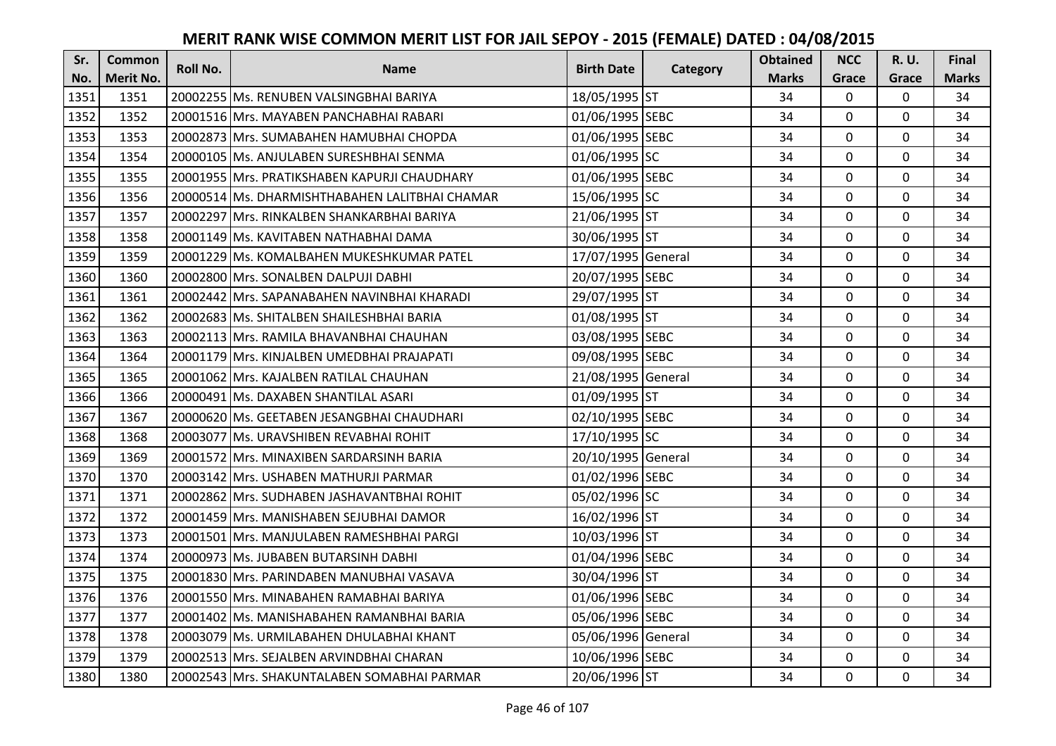| Sr.  | <b>Common</b>    | Roll No. | <b>Name</b>                                    | <b>Birth Date</b>  | Category | <b>Obtained</b> | <b>NCC</b>   | R. U.        | <b>Final</b> |
|------|------------------|----------|------------------------------------------------|--------------------|----------|-----------------|--------------|--------------|--------------|
| No.  | <b>Merit No.</b> |          |                                                |                    |          | <b>Marks</b>    | Grace        | Grace        | <b>Marks</b> |
| 1351 | 1351             |          | 20002255 Ms. RENUBEN VALSINGBHAI BARIYA        | 18/05/1995 ST      |          | 34              | 0            | 0            | 34           |
| 1352 | 1352             |          | 20001516 Mrs. MAYABEN PANCHABHAI RABARI        | 01/06/1995 SEBC    |          | 34              | 0            | $\mathbf 0$  | 34           |
| 1353 | 1353             |          | 20002873 IMrs. SUMABAHEN HAMUBHAI CHOPDA       | 01/06/1995 SEBC    |          | 34              | 0            | 0            | 34           |
| 1354 | 1354             |          | 20000105 Ms. ANJULABEN SURESHBHAI SENMA        | 01/06/1995 SC      |          | 34              | 0            | $\mathbf 0$  | 34           |
| 1355 | 1355             |          | 20001955 Mrs. PRATIKSHABEN KAPURJI CHAUDHARY   | 01/06/1995 SEBC    |          | 34              | 0            | $\mathbf 0$  | 34           |
| 1356 | 1356             |          | 20000514 Ms. DHARMISHTHABAHEN LALITBHAI CHAMAR | 15/06/1995 SC      |          | 34              | 0            | 0            | 34           |
| 1357 | 1357             |          | 20002297 Mrs. RINKALBEN SHANKARBHAI BARIYA     | 21/06/1995 ST      |          | 34              | 0            | $\mathbf 0$  | 34           |
| 1358 | 1358             |          | 20001149 Ms. KAVITABEN NATHABHAI DAMA          | 30/06/1995 ST      |          | 34              | 0            | $\mathbf 0$  | 34           |
| 1359 | 1359             |          | 20001229 Ms. KOMALBAHEN MUKESHKUMAR PATEL      | 17/07/1995 General |          | 34              | 0            | $\mathbf 0$  | 34           |
| 1360 | 1360             |          | 20002800 Mrs. SONALBEN DALPUJI DABHI           | 20/07/1995 SEBC    |          | 34              | 0            | $\mathbf{0}$ | 34           |
| 1361 | 1361             |          | 20002442 Mrs. SAPANABAHEN NAVINBHAI KHARADI    | 29/07/1995 ST      |          | 34              | $\Omega$     | $\mathbf 0$  | 34           |
| 1362 | 1362             |          | 20002683 Ms. SHITALBEN SHAILESHBHAI BARIA      | 01/08/1995 ST      |          | 34              | 0            | $\mathbf 0$  | 34           |
| 1363 | 1363             |          | 20002113 Mrs. RAMILA BHAVANBHAI CHAUHAN        | 03/08/1995 SEBC    |          | 34              | 0            | $\mathbf 0$  | 34           |
| 1364 | 1364             |          | 20001179 Mrs. KINJALBEN UMEDBHAI PRAJAPATI     | 09/08/1995 SEBC    |          | 34              | 0            | 0            | 34           |
| 1365 | 1365             |          | 20001062 Mrs. KAJALBEN RATILAL CHAUHAN         | 21/08/1995 General |          | 34              | 0            | $\mathbf 0$  | 34           |
| 1366 | 1366             |          | 20000491 Ms. DAXABEN SHANTILAL ASARI           | 01/09/1995 ST      |          | 34              | 0            | $\mathbf 0$  | 34           |
| 1367 | 1367             |          | 20000620 Ms. GEETABEN JESANGBHAI CHAUDHARI     | 02/10/1995 SEBC    |          | 34              | 0            | $\mathbf 0$  | 34           |
| 1368 | 1368             |          | 20003077 Ms. URAVSHIBEN REVABHAI ROHIT         | 17/10/1995 SC      |          | 34              | $\mathbf{0}$ | $\mathbf 0$  | 34           |
| 1369 | 1369             |          | 20001572 IMrs. MINAXIBEN SARDARSINH BARIA      | 20/10/1995 General |          | 34              | 0            | $\Omega$     | 34           |
| 1370 | 1370             |          | 20003142 Mrs. USHABEN MATHURJI PARMAR          | 01/02/1996 SEBC    |          | 34              | 0            | 0            | 34           |
| 1371 | 1371             |          | 20002862 Mrs. SUDHABEN JASHAVANTBHAI ROHIT     | 05/02/1996 SC      |          | 34              | 0            | $\mathbf 0$  | 34           |
| 1372 | 1372             |          | 20001459 Mrs. MANISHABEN SEJUBHAI DAMOR        | 16/02/1996 ST      |          | 34              | $\Omega$     | $\Omega$     | 34           |
| 1373 | 1373             |          | 20001501 Mrs. MANJULABEN RAMESHBHAI PARGI      | 10/03/1996 ST      |          | 34              | 0            | $\mathbf 0$  | 34           |
| 1374 | 1374             |          | 20000973 Ms. JUBABEN BUTARSINH DABHI           | 01/04/1996 SEBC    |          | 34              | 0            | $\mathbf 0$  | 34           |
| 1375 | 1375             |          | 20001830 Mrs. PARINDABEN MANUBHAI VASAVA       | 30/04/1996 ST      |          | 34              | 0            | $\mathbf 0$  | 34           |
| 1376 | 1376             |          | 20001550 Mrs. MINABAHEN RAMABHAI BARIYA        | 01/06/1996 SEBC    |          | 34              | 0            | $\mathbf 0$  | 34           |
| 1377 | 1377             |          | 20001402 Ms. MANISHABAHEN RAMANBHAI BARIA      | 05/06/1996 SEBC    |          | 34              | 0            | $\mathbf 0$  | 34           |
| 1378 | 1378             |          | 20003079 Ms. URMILABAHEN DHULABHAI KHANT       | 05/06/1996 General |          | 34              | $\Omega$     | $\mathbf 0$  | 34           |
| 1379 | 1379             |          | 20002513 Mrs. SEJALBEN ARVINDBHAI CHARAN       | 10/06/1996 SEBC    |          | 34              | 0            | $\mathbf 0$  | 34           |
| 1380 | 1380             |          | 20002543 Mrs. SHAKUNTALABEN SOMABHAI PARMAR    | 20/06/1996 ST      |          | 34              | 0            | $\mathbf 0$  | 34           |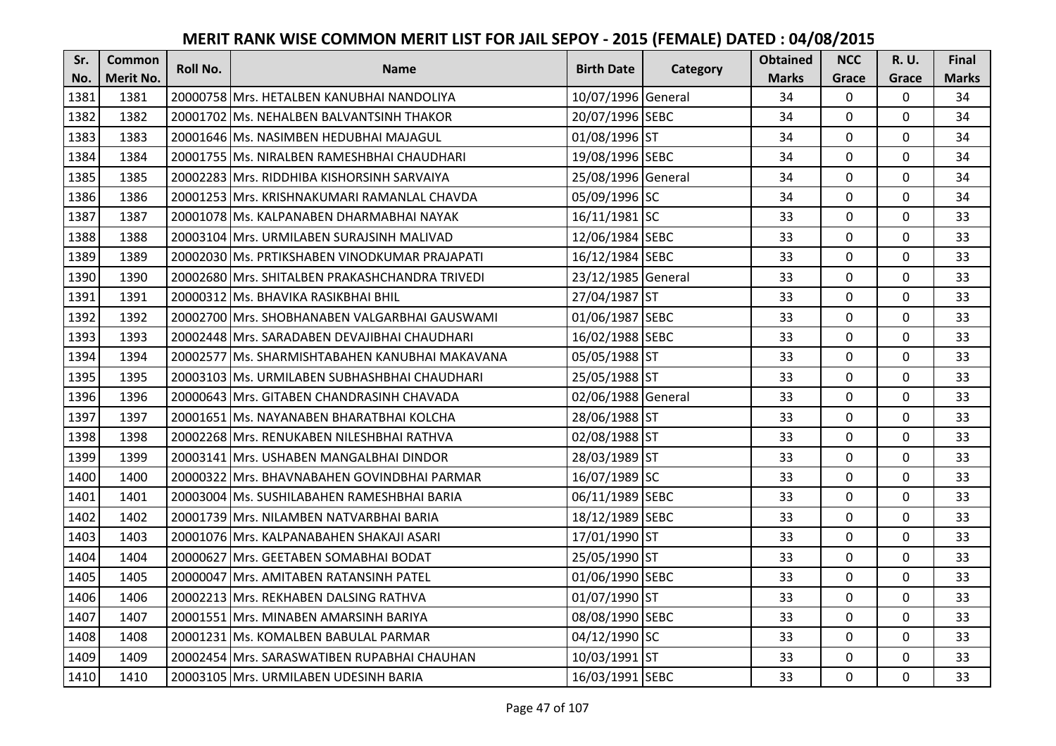| Sr.  | <b>Common</b>    | <b>Roll No.</b> | <b>Name</b>                                      | <b>Birth Date</b>  | Category | <b>Obtained</b> | <b>NCC</b>   | <b>R.U.</b> | Final        |
|------|------------------|-----------------|--------------------------------------------------|--------------------|----------|-----------------|--------------|-------------|--------------|
| No.  | <b>Merit No.</b> |                 |                                                  |                    |          | <b>Marks</b>    | Grace        | Grace       | <b>Marks</b> |
| 1381 | 1381             |                 | 20000758 Mrs. HETALBEN KANUBHAI NANDOLIYA        | 10/07/1996 General |          | 34              | 0            | 0           | 34           |
| 1382 | 1382             |                 | 20001702 IMs. NEHALBEN BALVANTSINH THAKOR        | 20/07/1996 SEBC    |          | 34              | $\mathbf{0}$ | $\Omega$    | 34           |
| 1383 | 1383             |                 | 20001646 Ms. NASIMBEN HEDUBHAI MAJAGUL           | 01/08/1996 ST      |          | 34              | $\mathbf 0$  | $\Omega$    | 34           |
| 1384 | 1384             |                 | 20001755 Ms. NIRALBEN RAMESHBHAI CHAUDHARI       | 19/08/1996 SEBC    |          | 34              | $\mathbf{0}$ | 0           | 34           |
| 1385 | 1385             |                 | 20002283 IMrs. RIDDHIBA KISHORSINH SARVAIYA      | 25/08/1996 General |          | 34              | $\mathbf{0}$ | $\mathbf 0$ | 34           |
| 1386 | 1386             |                 | 20001253 Mrs. KRISHNAKUMARI RAMANLAL CHAVDA      | 05/09/1996 SC      |          | 34              | $\Omega$     | $\Omega$    | 34           |
| 1387 | 1387             |                 | 20001078 Ms. KALPANABEN DHARMABHAI NAYAK         | 16/11/1981 SC      |          | 33              | $\mathbf 0$  | 0           | 33           |
| 1388 | 1388             |                 | 20003104 Mrs. URMILABEN SURAJSINH MALIVAD        | 12/06/1984 SEBC    |          | 33              | $\mathbf{0}$ | $\Omega$    | 33           |
| 1389 | 1389             |                 | 20002030 Ms. PRTIKSHABEN VINODKUMAR PRAJAPATI    | 16/12/1984 SEBC    |          | 33              | $\mathbf 0$  | 0           | 33           |
| 1390 | 1390             |                 | 20002680 Mrs. SHITALBEN PRAKASHCHANDRA TRIVEDI   | 23/12/1985 General |          | 33              | $\mathbf{0}$ | 0           | 33           |
| 1391 | 1391             |                 | 20000312 Ms. BHAVIKA RASIKBHAI BHIL              | 27/04/1987 ST      |          | 33              | $\Omega$     | 0           | 33           |
| 1392 | 1392             |                 | 20002700 Mrs. SHOBHANABEN VALGARBHAI GAUSWAMI    | 01/06/1987 SEBC    |          | 33              | $\mathbf 0$  | 0           | 33           |
| 1393 | 1393             |                 | 20002448 Mrs. SARADABEN DEVAJIBHAI CHAUDHARI     | 16/02/1988 SEBC    |          | 33              | 0            | $\mathbf 0$ | 33           |
| 1394 | 1394             |                 | 20002577   Ms. SHARMISHTABAHEN KANUBHAI MAKAVANA | 05/05/1988 ST      |          | 33              | $\mathbf 0$  | 0           | 33           |
| 1395 | 1395             |                 | 20003103 IMs. URMILABEN SUBHASHBHAI CHAUDHARI    | 25/05/1988 ST      |          | 33              | $\mathbf 0$  | 0           | 33           |
| 1396 | 1396             |                 | 20000643 IMrs. GITABEN CHANDRASINH CHAVADA       | 02/06/1988 General |          | 33              | $\mathbf{0}$ | $\Omega$    | 33           |
| 1397 | 1397             |                 | 20001651 lMs. NAYANABEN BHARATBHAI KOLCHA        | 28/06/1988 ST      |          | 33              | $\mathbf{0}$ | 0           | 33           |
| 1398 | 1398             |                 | 20002268 Mrs. RENUKABEN NILESHBHAI RATHVA        | 02/08/1988 ST      |          | 33              | $\mathbf 0$  | $\Omega$    | 33           |
| 1399 | 1399             |                 | 20003141 IMrs. USHABEN MANGALBHAI DINDOR         | 28/03/1989 ST      |          | 33              | $\mathbf 0$  | $\Omega$    | 33           |
| 1400 | 1400             |                 | 20000322 Mrs. BHAVNABAHEN GOVINDBHAI PARMAR      | 16/07/1989 SC      |          | 33              | $\mathbf 0$  | 0           | 33           |
| 1401 | 1401             |                 | 20003004 Ms. SUSHILABAHEN RAMESHBHAI BARIA       | 06/11/1989 SEBC    |          | 33              | 0            | $\Omega$    | 33           |
| 1402 | 1402             |                 | 20001739 Mrs. NILAMBEN NATVARBHAI BARIA          | 18/12/1989 SEBC    |          | 33              | $\mathbf 0$  | $\Omega$    | 33           |
| 1403 | 1403             |                 | 20001076 Mrs. KALPANABAHEN SHAKAJI ASARI         | 17/01/1990 ST      |          | 33              | $\mathbf 0$  | $\Omega$    | 33           |
| 1404 | 1404             |                 | 20000627 Mrs. GEETABEN SOMABHAI BODAT            | 25/05/1990 ST      |          | 33              | $\mathbf{0}$ | $\mathbf 0$ | 33           |
| 1405 | 1405             |                 | 20000047 Mrs. AMITABEN RATANSINH PATEL           | 01/06/1990 SEBC    |          | 33              | $\mathbf 0$  | 0           | 33           |
| 1406 | 1406             |                 | 20002213 Mrs. REKHABEN DALSING RATHVA            | 01/07/1990 ST      |          | 33              | $\mathbf{0}$ | 0           | 33           |
| 1407 | 1407             |                 | 20001551 Mrs. MINABEN AMARSINH BARIYA            | 08/08/1990 SEBC    |          | 33              | $\mathbf 0$  | 0           | 33           |
| 1408 | 1408             |                 | 20001231 Ms. KOMALBEN BABULAL PARMAR             | 04/12/1990 SC      |          | 33              | $\Omega$     | 0           | 33           |
| 1409 | 1409             |                 | 20002454   Mrs. SARASWATIBEN RUPABHAI CHAUHAN    | 10/03/1991 ST      |          | 33              | 0            | 0           | 33           |
| 1410 | 1410             |                 | 20003105 Mrs. URMILABEN UDESINH BARIA            | 16/03/1991 SEBC    |          | 33              | $\mathbf{0}$ | 0           | 33           |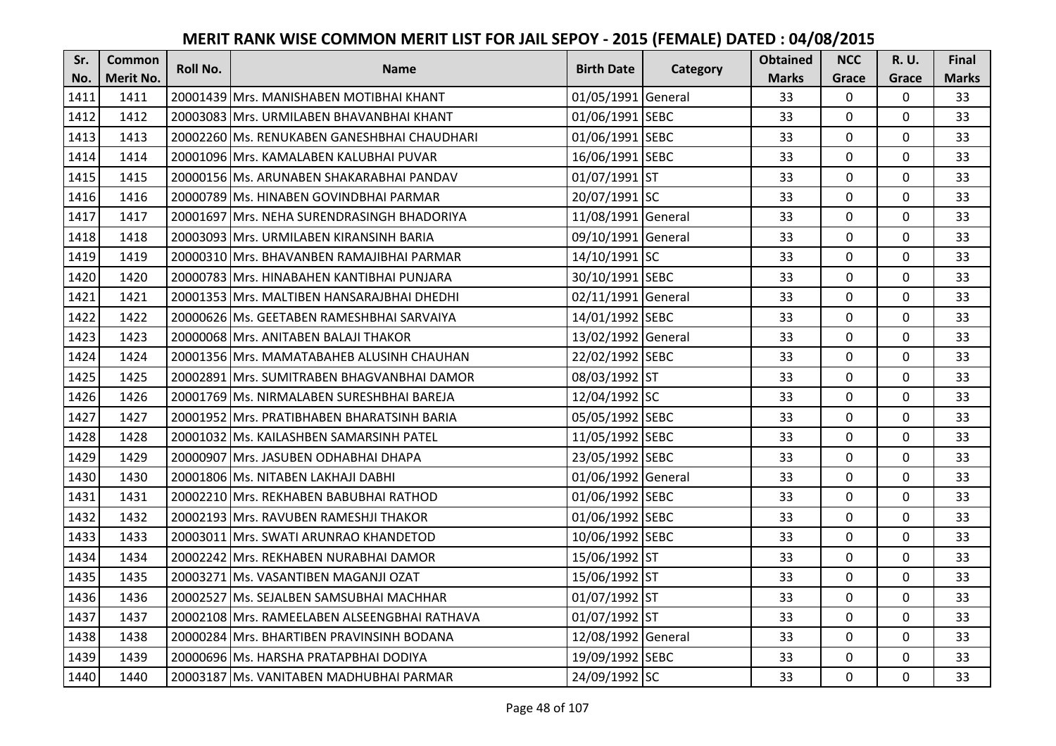| Sr.  | <b>Common</b>    | <b>Roll No.</b> | <b>Name</b>                                  | <b>Birth Date</b>  | Category | <b>Obtained</b> | <b>NCC</b>   | <b>R.U.</b> | Final        |
|------|------------------|-----------------|----------------------------------------------|--------------------|----------|-----------------|--------------|-------------|--------------|
| No.  | <b>Merit No.</b> |                 |                                              |                    |          | <b>Marks</b>    | Grace        | Grace       | <b>Marks</b> |
| 1411 | 1411             |                 | 20001439 Mrs. MANISHABEN MOTIBHAI KHANT      | 01/05/1991 General |          | 33              | 0            | 0           | 33           |
| 1412 | 1412             |                 | 20003083 IMrs. URMILABEN BHAVANBHAI KHANT    | 01/06/1991 SEBC    |          | 33              | $\mathbf 0$  | $\Omega$    | 33           |
| 1413 | 1413             |                 | 20002260 Ms. RENUKABEN GANESHBHAI CHAUDHARI  | 01/06/1991 SEBC    |          | 33              | $\mathbf 0$  | 0           | 33           |
| 1414 | 1414             |                 | 20001096 Mrs. KAMALABEN KALUBHAI PUVAR       | 16/06/1991 SEBC    |          | 33              | $\mathbf 0$  | 0           | 33           |
| 1415 | 1415             |                 | 20000156 Ms. ARUNABEN SHAKARABHAI PANDAV     | 01/07/1991 ST      |          | 33              | $\mathbf{0}$ | $\mathbf 0$ | 33           |
| 1416 | 1416             |                 | 20000789 Ms. HINABEN GOVINDBHAI PARMAR       | 20/07/1991 SC      |          | 33              | $\mathbf 0$  | $\Omega$    | 33           |
| 1417 | 1417             |                 | 20001697 Mrs. NEHA SURENDRASINGH BHADORIYA   | 11/08/1991 General |          | 33              | $\mathbf 0$  | 0           | 33           |
| 1418 | 1418             |                 | 20003093 Mrs. URMILABEN KIRANSINH BARIA      | 09/10/1991 General |          | 33              | $\mathbf{0}$ | $\mathbf 0$ | 33           |
| 1419 | 1419             |                 | 20000310 Mrs. BHAVANBEN RAMAJIBHAI PARMAR    | 14/10/1991 SC      |          | 33              | $\mathbf 0$  | 0           | 33           |
| 1420 | 1420             |                 | 20000783 Mrs. HINABAHEN KANTIBHAI PUNJARA    | 30/10/1991 SEBC    |          | 33              | $\mathbf{0}$ | $\mathbf 0$ | 33           |
| 1421 | 1421             |                 | 20001353 Mrs. MALTIBEN HANSARAJBHAI DHEDHI   | 02/11/1991 General |          | 33              | $\Omega$     | 0           | 33           |
| 1422 | 1422             |                 | 20000626 Ms. GEETABEN RAMESHBHAI SARVAIYA    | 14/01/1992 SEBC    |          | 33              | $\mathbf 0$  | 0           | 33           |
| 1423 | 1423             |                 | 20000068 Mrs. ANITABEN BALAJI THAKOR         | 13/02/1992 General |          | 33              | 0            | 0           | 33           |
| 1424 | 1424             |                 | 20001356 Mrs. MAMATABAHEB ALUSINH CHAUHAN    | 22/02/1992 SEBC    |          | 33              | $\mathbf 0$  | 0           | 33           |
| 1425 | 1425             |                 | 20002891 Mrs. SUMITRABEN BHAGVANBHAI DAMOR   | 08/03/1992 ST      |          | 33              | $\mathbf 0$  | 0           | 33           |
| 1426 | 1426             |                 | 20001769 Ms. NIRMALABEN SURESHBHAI BAREJA    | 12/04/1992 SC      |          | 33              | $\mathbf{0}$ | $\Omega$    | 33           |
| 1427 | 1427             |                 | 20001952  Mrs. PRATIBHABEN BHARATSINH BARIA  | 05/05/1992 SEBC    |          | 33              | $\mathbf{0}$ | 0           | 33           |
| 1428 | 1428             |                 | 20001032 Ms. KAILASHBEN SAMARSINH PATEL      | 11/05/1992 SEBC    |          | 33              | $\mathbf 0$  | $\Omega$    | 33           |
| 1429 | 1429             |                 | 20000907 Mrs. JASUBEN ODHABHAI DHAPA         | 23/05/1992 SEBC    |          | 33              | $\mathbf 0$  | $\Omega$    | 33           |
| 1430 | 1430             |                 | 20001806 Ms. NITABEN LAKHAJI DABHI           | 01/06/1992 General |          | 33              | $\mathbf 0$  | 0           | 33           |
| 1431 | 1431             |                 | 20002210 Mrs. REKHABEN BABUBHAI RATHOD       | 01/06/1992 SEBC    |          | 33              | $\mathbf 0$  | $\Omega$    | 33           |
| 1432 | 1432             |                 | 20002193 Mrs. RAVUBEN RAMESHJI THAKOR        | 01/06/1992 SEBC    |          | 33              | $\Omega$     | $\Omega$    | 33           |
| 1433 | 1433             |                 | 20003011 Mrs. SWATI ARUNRAO KHANDETOD        | 10/06/1992 SEBC    |          | 33              | $\mathbf 0$  | 0           | 33           |
| 1434 | 1434             |                 | 20002242 Mrs. REKHABEN NURABHAI DAMOR        | 15/06/1992 ST      |          | 33              | $\mathbf 0$  | $\mathbf 0$ | 33           |
| 1435 | 1435             |                 | 20003271 Ms. VASANTIBEN MAGANJI OZAT         | 15/06/1992 ST      |          | 33              | $\mathbf 0$  | 0           | 33           |
| 1436 | 1436             |                 | 20002527 Ms. SEJALBEN SAMSUBHAI MACHHAR      | 01/07/1992 ST      |          | 33              | $\mathbf 0$  | $\mathbf 0$ | 33           |
| 1437 | 1437             |                 | 20002108 Mrs. RAMEELABEN ALSEENGBHAI RATHAVA | 01/07/1992 ST      |          | 33              | $\mathbf 0$  | 0           | 33           |
| 1438 | 1438             |                 | 20000284 Mrs. BHARTIBEN PRAVINSINH BODANA    | 12/08/1992 General |          | 33              | $\Omega$     | 0           | 33           |
| 1439 | 1439             |                 | 20000696 Ms. HARSHA PRATAPBHAI DODIYA        | 19/09/1992 SEBC    |          | 33              | $\mathbf 0$  | 0           | 33           |
| 1440 | 1440             |                 | 20003187 Ms. VANITABEN MADHUBHAI PARMAR      | 24/09/1992 SC      |          | 33              | $\mathbf{0}$ | 0           | 33           |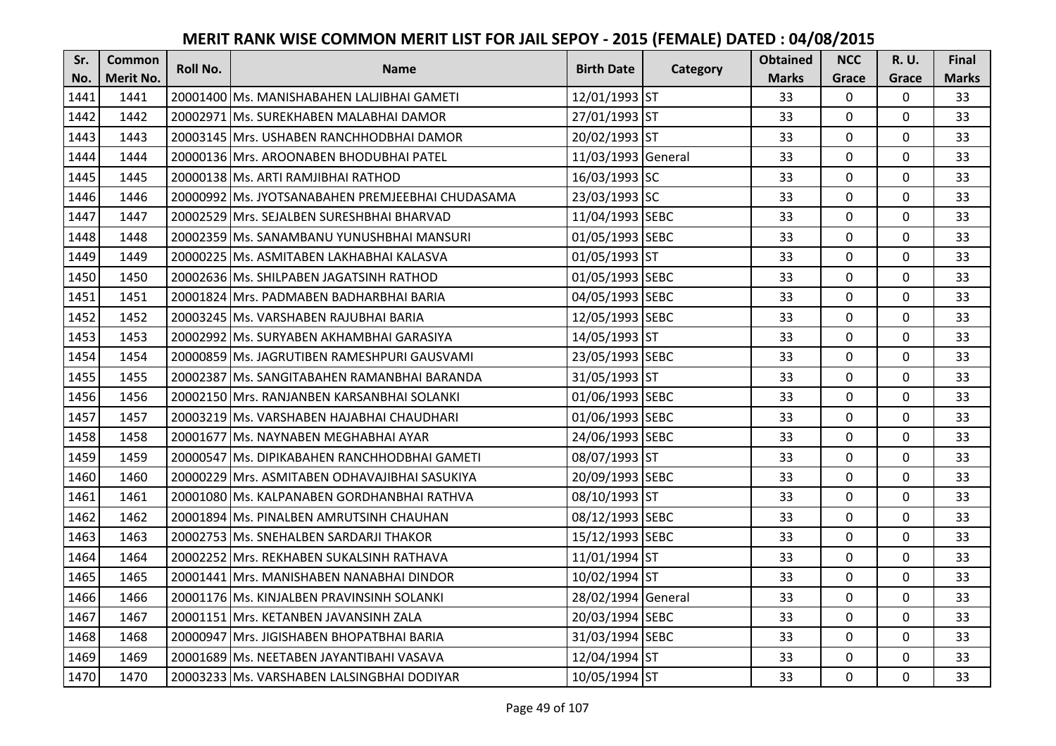| Sr.  | <b>Common</b>    | <b>Roll No.</b> | <b>Name</b>                                      | <b>Birth Date</b>  | Category | <b>Obtained</b> | <b>NCC</b>   | <b>R.U.</b> | Final        |
|------|------------------|-----------------|--------------------------------------------------|--------------------|----------|-----------------|--------------|-------------|--------------|
| No.  | <b>Merit No.</b> |                 |                                                  |                    |          | <b>Marks</b>    | Grace        | Grace       | <b>Marks</b> |
| 1441 | 1441             |                 | 20001400 Ms. MANISHABAHEN LALJIBHAI GAMETI       | 12/01/1993 ST      |          | 33              | 0            | 0           | 33           |
| 1442 | 1442             |                 | 20002971 IMs. SUREKHABEN MALABHAI DAMOR          | 27/01/1993 ST      |          | 33              | $\mathbf 0$  | $\Omega$    | 33           |
| 1443 | 1443             |                 | 20003145 lMrs. USHABEN RANCHHODBHAI DAMOR        | 20/02/1993 ST      |          | 33              | $\mathbf 0$  | $\Omega$    | 33           |
| 1444 | 1444             |                 | 20000136 Mrs. AROONABEN BHODUBHAI PATEL          | 11/03/1993 General |          | 33              | $\mathbf 0$  | 0           | 33           |
| 1445 | 1445             |                 | 20000138 Ms. ARTI RAMJIBHAI RATHOD               | 16/03/1993 SC      |          | 33              | $\mathbf 0$  | $\mathbf 0$ | 33           |
| 1446 | 1446             |                 | 20000992 Ms. JYOTSANABAHEN PREMJEEBHAI CHUDASAMA | 23/03/1993 SC      |          | 33              | $\mathbf 0$  | $\Omega$    | 33           |
| 1447 | 1447             |                 | 20002529 Mrs. SEJALBEN SURESHBHAI BHARVAD        | 11/04/1993 SEBC    |          | 33              | $\mathbf{0}$ | $\Omega$    | 33           |
| 1448 | 1448             |                 | 20002359 Ms. SANAMBANU YUNUSHBHAI MANSURI        | 01/05/1993 SEBC    |          | 33              | $\mathbf 0$  | $\Omega$    | 33           |
| 1449 | 1449             |                 | 20000225 Ms. ASMITABEN LAKHABHAI KALASVA         | 01/05/1993 ST      |          | 33              | $\mathbf 0$  | 0           | 33           |
| 1450 | 1450             |                 | 20002636 Ms. SHILPABEN JAGATSINH RATHOD          | 01/05/1993 SEBC    |          | 33              | $\mathbf{0}$ | $\mathbf 0$ | 33           |
| 1451 | 1451             |                 | 20001824 Mrs. PADMABEN BADHARBHAI BARIA          | 04/05/1993 SEBC    |          | 33              | $\Omega$     | 0           | 33           |
| 1452 | 1452             |                 | 20003245 Ms. VARSHABEN RAJUBHAI BARIA            | 12/05/1993 SEBC    |          | 33              | $\mathbf 0$  | 0           | 33           |
| 1453 | 1453             |                 | 20002992 Ms. SURYABEN AKHAMBHAI GARASIYA         | 14/05/1993 ST      |          | 33              | 0            | $\mathbf 0$ | 33           |
| 1454 | 1454             |                 | 20000859 Ms. JAGRUTIBEN RAMESHPURI GAUSVAMI      | 23/05/1993 SEBC    |          | 33              | $\mathbf 0$  | 0           | 33           |
| 1455 | 1455             |                 | 20002387 Ms. SANGITABAHEN RAMANBHAI BARANDA      | 31/05/1993 ST      |          | 33              | $\mathbf 0$  | 0           | 33           |
| 1456 | 1456             |                 | 20002150 IMrs. RANJANBEN KARSANBHAI SOLANKI      | 01/06/1993 SEBC    |          | 33              | $\mathbf{0}$ | $\Omega$    | 33           |
| 1457 | 1457             |                 | 20003219 Ms. VARSHABEN HAJABHAI CHAUDHARI        | 01/06/1993 SEBC    |          | 33              | $\mathbf{0}$ | 0           | 33           |
| 1458 | 1458             |                 | 20001677 Ms. NAYNABEN MEGHABHAI AYAR             | 24/06/1993 SEBC    |          | 33              | $\mathbf 0$  | $\Omega$    | 33           |
| 1459 | 1459             |                 | 20000547 IMs. DIPIKABAHEN RANCHHODBHAI GAMETI    | 08/07/1993 ST      |          | 33              | $\mathbf 0$  | $\Omega$    | 33           |
| 1460 | 1460             |                 | 20000229 Mrs. ASMITABEN ODHAVAJIBHAI SASUKIYA    | 20/09/1993 SEBC    |          | 33              | $\mathbf 0$  | 0           | 33           |
| 1461 | 1461             |                 | 20001080 Ms. KALPANABEN GORDHANBHAI RATHVA       | 08/10/1993 ST      |          | 33              | $\mathbf 0$  | $\Omega$    | 33           |
| 1462 | 1462             |                 | 20001894 Ms. PINALBEN AMRUTSINH CHAUHAN          | 08/12/1993 SEBC    |          | 33              | $\mathbf 0$  | $\Omega$    | 33           |
| 1463 | 1463             |                 | 20002753 Ms. SNEHALBEN SARDARJI THAKOR           | 15/12/1993 SEBC    |          | 33              | $\mathbf{0}$ | 0           | 33           |
| 1464 | 1464             |                 | 20002252 Mrs. REKHABEN SUKALSINH RATHAVA         | 11/01/1994 ST      |          | 33              | $\mathbf 0$  | $\mathbf 0$ | 33           |
| 1465 | 1465             |                 | 20001441 Mrs. MANISHABEN NANABHAI DINDOR         | 10/02/1994 ST      |          | 33              | $\mathbf 0$  | 0           | 33           |
| 1466 | 1466             |                 | 20001176 Ms. KINJALBEN PRAVINSINH SOLANKI        | 28/02/1994 General |          | 33              | $\mathbf 0$  | 0           | 33           |
| 1467 | 1467             |                 | 20001151 Mrs. KETANBEN JAVANSINH ZALA            | 20/03/1994 SEBC    |          | 33              | $\mathbf 0$  | 0           | 33           |
| 1468 | 1468             |                 | 20000947 Mrs. JIGISHABEN BHOPATBHAI BARIA        | 31/03/1994 SEBC    |          | 33              | $\Omega$     | 0           | 33           |
| 1469 | 1469             |                 | 20001689 Ms. NEETABEN JAYANTIBAHI VASAVA         | 12/04/1994 ST      |          | 33              | $\mathbf 0$  | 0           | 33           |
| 1470 | 1470             |                 | 20003233 Ms. VARSHABEN LALSINGBHAI DODIYAR       | 10/05/1994 ST      |          | 33              | $\mathbf{0}$ | 0           | 33           |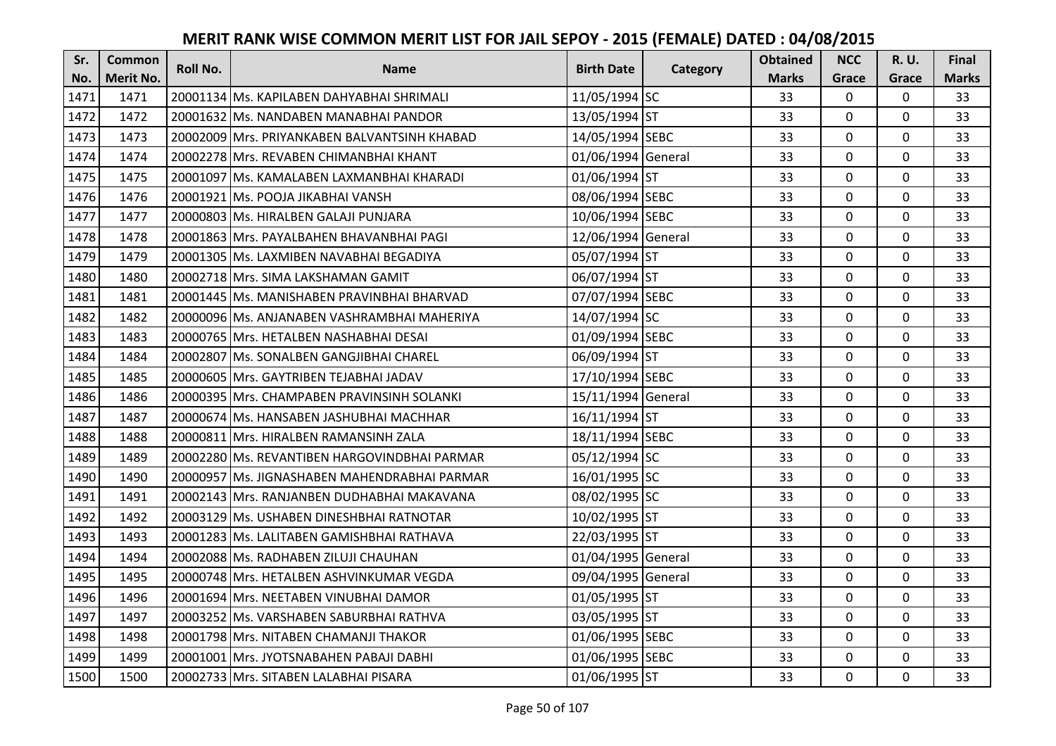| Sr.  | <b>Common</b>    | Roll No. | <b>Name</b>                                   | <b>Birth Date</b>  | Category | <b>Obtained</b> | <b>NCC</b>   | <b>R.U.</b> | Final        |
|------|------------------|----------|-----------------------------------------------|--------------------|----------|-----------------|--------------|-------------|--------------|
| No.  | <b>Merit No.</b> |          |                                               |                    |          | <b>Marks</b>    | Grace        | Grace       | <b>Marks</b> |
| 1471 | 1471             |          | 20001134 Ms. KAPILABEN DAHYABHAI SHRIMALI     | 11/05/1994 SC      |          | 33              | $\mathbf 0$  | 0           | 33           |
| 1472 | 1472             |          | 20001632 IMs. NANDABEN MANABHAI PANDOR        | 13/05/1994 ST      |          | 33              | $\mathbf{0}$ | $\mathbf 0$ | 33           |
| 1473 | 1473             |          | 20002009 lMrs. PRIYANKABEN BALVANTSINH KHABAD | 14/05/1994 SEBC    |          | 33              | 0            | 0           | 33           |
| 1474 | 1474             |          | 20002278 Mrs. REVABEN CHIMANBHAI KHANT        | 01/06/1994 General |          | 33              | 0            | 0           | 33           |
| 1475 | 1475             |          | 20001097 lMs. KAMALABEN LAXMANBHAI KHARADI    | 01/06/1994 ST      |          | 33              | $\mathbf{0}$ | $\mathbf 0$ | 33           |
| 1476 | 1476             |          | 20001921 Ms. POOJA JIKABHAI VANSH             | 08/06/1994 SEBC    |          | 33              | $\mathbf{0}$ | $\Omega$    | 33           |
| 1477 | 1477             |          | 20000803 Ms. HIRALBEN GALAJI PUNJARA          | 10/06/1994 SEBC    |          | 33              | $\mathbf 0$  | 0           | 33           |
| 1478 | 1478             |          | 20001863 IMrs. PAYALBAHEN BHAVANBHAI PAGI     | 12/06/1994 General |          | 33              | $\mathbf 0$  | $\Omega$    | 33           |
| 1479 | 1479             |          | 20001305 Ms. LAXMIBEN NAVABHAI BEGADIYA       | 05/07/1994 ST      |          | 33              | 0            | $\Omega$    | 33           |
| 1480 | 1480             |          | 20002718 Mrs. SIMA LAKSHAMAN GAMIT            | 06/07/1994 ST      |          | 33              | $\mathbf 0$  | 0           | 33           |
| 1481 | 1481             |          | 20001445 Ms. MANISHABEN PRAVINBHAI BHARVAD    | 07/07/1994 SEBC    |          | 33              | $\mathbf{0}$ | $\mathbf 0$ | 33           |
| 1482 | 1482             |          | 20000096 Ms. ANJANABEN VASHRAMBHAI MAHERIYA   | 14/07/1994 SC      |          | 33              | 0            | $\Omega$    | 33           |
| 1483 | 1483             |          | 20000765 Mrs. HETALBEN NASHABHAI DESAI        | 01/09/1994 SEBC    |          | 33              | $\mathbf 0$  | 0           | 33           |
| 1484 | 1484             |          | 20002807 IMs. SONALBEN GANGJIBHAI CHAREL      | 06/09/1994 ST      |          | 33              | $\mathbf 0$  | $\Omega$    | 33           |
| 1485 | 1485             |          | 20000605 Mrs. GAYTRIBEN TEJABHAI JADAV        | 17/10/1994 SEBC    |          | 33              | $\Omega$     | $\Omega$    | 33           |
| 1486 | 1486             |          | 20000395 Mrs. CHAMPABEN PRAVINSINH SOLANKI    | 15/11/1994 General |          | 33              | $\mathbf 0$  | $\mathbf 0$ | 33           |
| 1487 | 1487             |          | 20000674 Ms. HANSABEN JASHUBHAI MACHHAR       | 16/11/1994 ST      |          | 33              | $\mathbf{0}$ | $\mathbf 0$ | 33           |
| 1488 | 1488             |          | 20000811 Mrs. HIRALBEN RAMANSINH ZALA         | 18/11/1994 SEBC    |          | 33              | $\mathbf 0$  | $\mathbf 0$ | 33           |
| 1489 | 1489             |          | 20002280 Ms. REVANTIBEN HARGOVINDBHAI PARMAR  | 05/12/1994 SC      |          | 33              | $\mathbf 0$  | $\Omega$    | 33           |
| 1490 | 1490             |          | 20000957 Ms. JIGNASHABEN MAHENDRABHAI PARMAR  | 16/01/1995 SC      |          | 33              | $\mathbf 0$  | 0           | 33           |
| 1491 | 1491             |          | 20002143 Mrs. RANJANBEN DUDHABHAI MAKAVANA    | 08/02/1995 SC      |          | 33              | $\mathbf 0$  | $\mathbf 0$ | 33           |
| 1492 | 1492             |          | 20003129 Ms. USHABEN DINESHBHAI RATNOTAR      | 10/02/1995 ST      |          | 33              | $\Omega$     | $\Omega$    | 33           |
| 1493 | 1493             |          | 20001283 Ms. LALITABEN GAMISHBHAI RATHAVA     | 22/03/1995 ST      |          | 33              | $\mathbf 0$  | 0           | 33           |
| 1494 | 1494             |          | 20002088 Ms. RADHABEN ZILUJI CHAUHAN          | 01/04/1995 General |          | 33              | $\mathbf 0$  | 0           | 33           |
| 1495 | 1495             |          | 20000748 Mrs. HETALBEN ASHVINKUMAR VEGDA      | 09/04/1995 General |          | 33              | $\mathbf 0$  | 0           | 33           |
| 1496 | 1496             |          | 20001694 Mrs. NEETABEN VINUBHAI DAMOR         | 01/05/1995 ST      |          | 33              | $\mathbf 0$  | 0           | 33           |
| 1497 | 1497             |          | 20003252 Ms. VARSHABEN SABURBHAI RATHVA       | 03/05/1995 ST      |          | 33              | $\mathbf 0$  | 0           | 33           |
| 1498 | 1498             |          | 20001798 Mrs. NITABEN CHAMANJI THAKOR         | 01/06/1995 SEBC    |          | 33              | $\mathbf{0}$ | $\mathbf 0$ | 33           |
| 1499 | 1499             |          | 20001001 IMrs. JYOTSNABAHEN PABAJI DABHI      | 01/06/1995 SEBC    |          | 33              | 0            | 0           | 33           |
| 1500 | 1500             |          | 20002733 Mrs. SITABEN LALABHAI PISARA         | 01/06/1995 ST      |          | 33              | $\mathbf{0}$ | 0           | 33           |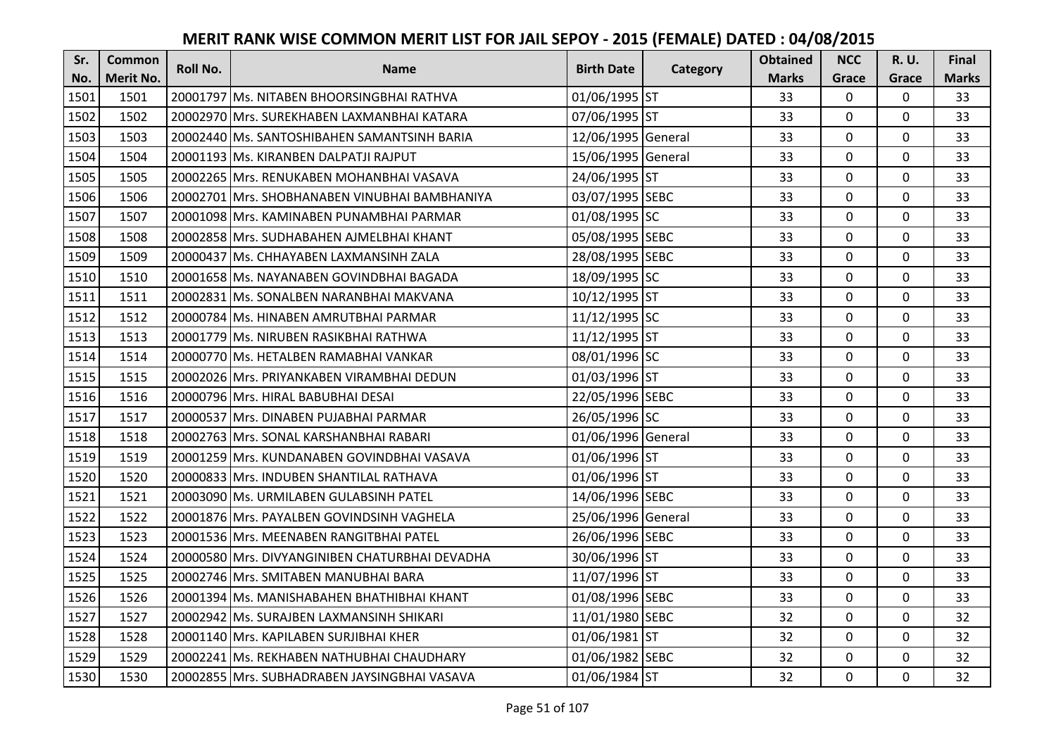| Sr.  | <b>Common</b>    | <b>Roll No.</b> | <b>Name</b>                                     | <b>Birth Date</b>  | Category | <b>Obtained</b> | <b>NCC</b>   | <b>R.U.</b> | Final        |
|------|------------------|-----------------|-------------------------------------------------|--------------------|----------|-----------------|--------------|-------------|--------------|
| No.  | <b>Merit No.</b> |                 |                                                 |                    |          | <b>Marks</b>    | Grace        | Grace       | <b>Marks</b> |
| 1501 | 1501             |                 | 20001797 Ms. NITABEN BHOORSINGBHAI RATHVA       | 01/06/1995 ST      |          | 33              | 0            | 0           | 33           |
| 1502 | 1502             |                 | 20002970 Mrs. SUREKHABEN LAXMANBHAI KATARA      | 07/06/1995 ST      |          | 33              | $\mathbf 0$  | $\Omega$    | 33           |
| 1503 | 1503             |                 | 20002440 lMs. SANTOSHIBAHEN SAMANTSINH BARIA    | 12/06/1995 General |          | 33              | $\Omega$     | $\Omega$    | 33           |
| 1504 | 1504             |                 | 20001193 Ms. KIRANBEN DALPATJI RAJPUT           | 15/06/1995 General |          | 33              | $\mathbf 0$  | 0           | 33           |
| 1505 | 1505             |                 | 20002265 Mrs. RENUKABEN MOHANBHAI VASAVA        | 24/06/1995 ST      |          | 33              | $\mathbf{0}$ | $\mathbf 0$ | 33           |
| 1506 | 1506             |                 | 20002701   Mrs. SHOBHANABEN VINUBHAI BAMBHANIYA | 03/07/1995 SEBC    |          | 33              | $\mathbf 0$  | $\Omega$    | 33           |
| 1507 | 1507             |                 | 20001098 Mrs. KAMINABEN PUNAMBHAI PARMAR        | 01/08/1995 SC      |          | 33              | $\mathbf 0$  | 0           | 33           |
| 1508 | 1508             |                 | 20002858 Mrs. SUDHABAHEN AJMELBHAI KHANT        | 05/08/1995 SEBC    |          | 33              | $\mathbf 0$  | $\mathbf 0$ | 33           |
| 1509 | 1509             |                 | 20000437 Ms. CHHAYABEN LAXMANSINH ZALA          | 28/08/1995 SEBC    |          | 33              | 0            | 0           | 33           |
| 1510 | 1510             |                 | 20001658 Ms. NAYANABEN GOVINDBHAI BAGADA        | 18/09/1995 SC      |          | 33              | $\mathbf{0}$ | 0           | 33           |
| 1511 | 1511             |                 | 20002831 Ms. SONALBEN NARANBHAI MAKVANA         | 10/12/1995 ST      |          | 33              | $\Omega$     | 0           | 33           |
| 1512 | 1512             |                 | 20000784 Ms. HINABEN AMRUTBHAI PARMAR           | 11/12/1995 SC      |          | 33              | $\mathbf 0$  | 0           | 33           |
| 1513 | 1513             |                 | 20001779 Ms. NIRUBEN RASIKBHAI RATHWA           | 11/12/1995 ST      |          | 33              | 0            | $\mathbf 0$ | 33           |
| 1514 | 1514             |                 | 20000770 Ms. HETALBEN RAMABHAI VANKAR           | 08/01/1996 SC      |          | 33              | $\mathbf 0$  | 0           | 33           |
| 1515 | 1515             |                 | 20002026 IMrs. PRIYANKABEN VIRAMBHAI DEDUN      | 01/03/1996 ST      |          | 33              | $\mathbf 0$  | 0           | 33           |
| 1516 | 1516             |                 | 20000796 Mrs. HIRAL BABUBHAI DESAI              | 22/05/1996 SEBC    |          | 33              | $\mathbf{0}$ | $\Omega$    | 33           |
| 1517 | 1517             |                 | 20000537 Mrs. DINABEN PUJABHAI PARMAR           | 26/05/1996 SC      |          | 33              | $\mathbf{0}$ | 0           | 33           |
| 1518 | 1518             |                 | 20002763 Mrs. SONAL KARSHANBHAI RABARI          | 01/06/1996 General |          | 33              | $\mathbf 0$  | $\Omega$    | 33           |
| 1519 | 1519             |                 | 20001259 IMrs. KUNDANABEN GOVINDBHAI VASAVA     | 01/06/1996 ST      |          | 33              | $\mathbf 0$  | $\Omega$    | 33           |
| 1520 | 1520             |                 | 20000833 Mrs. INDUBEN SHANTILAL RATHAVA         | 01/06/1996 ST      |          | 33              | $\mathbf 0$  | 0           | 33           |
| 1521 | 1521             |                 | 20003090 Ms. URMILABEN GULABSINH PATEL          | 14/06/1996 SEBC    |          | 33              | 0            | $\Omega$    | 33           |
| 1522 | 1522             |                 | 20001876 Mrs. PAYALBEN GOVINDSINH VAGHELA       | 25/06/1996 General |          | 33              | $\mathbf 0$  | $\Omega$    | 33           |
| 1523 | 1523             |                 | 20001536 Mrs. MEENABEN RANGITBHAI PATEL         | 26/06/1996 SEBC    |          | 33              | $\mathbf 0$  | $\Omega$    | 33           |
| 1524 | 1524             |                 | 20000580 Mrs. DIVYANGINIBEN CHATURBHAI DEVADHA  | 30/06/1996 ST      |          | 33              | $\mathbf 0$  | $\mathbf 0$ | 33           |
| 1525 | 1525             |                 | 20002746 Mrs. SMITABEN MANUBHAI BARA            | 11/07/1996 ST      |          | 33              | $\mathbf 0$  | 0           | 33           |
| 1526 | 1526             |                 | 20001394 Ms. MANISHABAHEN BHATHIBHAI KHANT      | 01/08/1996 SEBC    |          | 33              | $\mathbf 0$  | 0           | 33           |
| 1527 | 1527             |                 | 20002942 Ms. SURAJBEN LAXMANSINH SHIKARI        | 11/01/1980 SEBC    |          | 32              | $\mathbf 0$  | 0           | 32           |
| 1528 | 1528             |                 | 20001140 Mrs. KAPILABEN SURJIBHAI KHER          | 01/06/1981 ST      |          | 32              | $\Omega$     | 0           | 32           |
| 1529 | 1529             |                 | 20002241 Ms. REKHABEN NATHUBHAI CHAUDHARY       | 01/06/1982 SEBC    |          | 32              | $\mathbf 0$  | 0           | 32           |
| 1530 | 1530             |                 | 20002855 Mrs. SUBHADRABEN JAYSINGBHAI VASAVA    | 01/06/1984 ST      |          | 32              | $\mathbf{0}$ | 0           | 32           |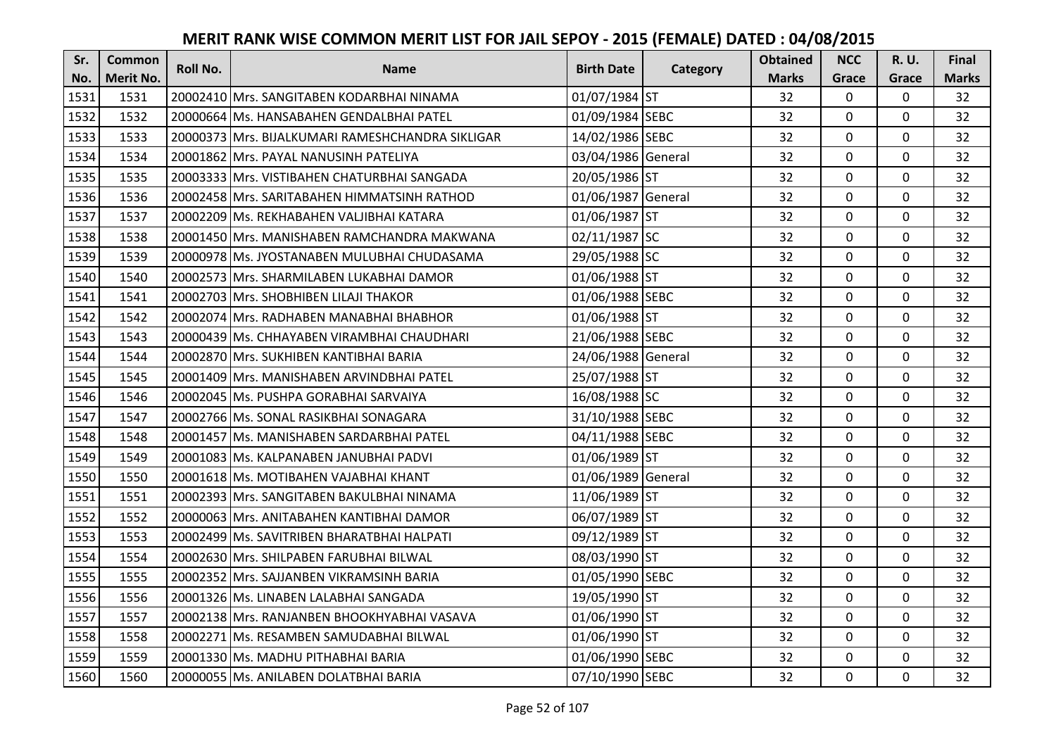| Sr.  | <b>Common</b>    | Roll No. | <b>Name</b>                                       | <b>Birth Date</b>  | Category | <b>Obtained</b> | <b>NCC</b>   | <b>R.U.</b> | Final        |
|------|------------------|----------|---------------------------------------------------|--------------------|----------|-----------------|--------------|-------------|--------------|
| No.  | <b>Merit No.</b> |          |                                                   |                    |          | <b>Marks</b>    | Grace        | Grace       | <b>Marks</b> |
| 1531 | 1531             |          | 20002410 Mrs. SANGITABEN KODARBHAI NINAMA         | 01/07/1984 ST      |          | 32              | 0            | 0           | 32           |
| 1532 | 1532             |          | 20000664 IMs. HANSABAHEN GENDALBHAI PATEL         | 01/09/1984 SEBC    |          | 32              | $\mathbf 0$  | $\Omega$    | 32           |
| 1533 | 1533             |          | 20000373 IMrs. BIJALKUMARI RAMESHCHANDRA SIKLIGAR | 14/02/1986 SEBC    |          | 32              | $\mathbf 0$  | $\Omega$    | 32           |
| 1534 | 1534             |          | 20001862 Mrs. PAYAL NANUSINH PATELIYA             | 03/04/1986 General |          | 32              | $\mathbf 0$  | 0           | 32           |
| 1535 | 1535             |          | 20003333 Mrs. VISTIBAHEN CHATURBHAI SANGADA       | 20/05/1986 ST      |          | 32              | $\mathbf{0}$ | $\mathbf 0$ | 32           |
| 1536 | 1536             |          | 20002458 Mrs. SARITABAHEN HIMMATSINH RATHOD       | 01/06/1987 General |          | 32              | $\mathbf 0$  | $\Omega$    | 32           |
| 1537 | 1537             |          | 20002209 Ms. REKHABAHEN VALJIBHAI KATARA          | 01/06/1987 ST      |          | 32              | $\mathbf 0$  | 0           | 32           |
| 1538 | 1538             |          | 20001450 Mrs. MANISHABEN RAMCHANDRA MAKWANA       | 02/11/1987 SC      |          | 32              | $\mathbf{0}$ | $\mathbf 0$ | 32           |
| 1539 | 1539             |          | 20000978 Ms. JYOSTANABEN MULUBHAI CHUDASAMA       | 29/05/1988 SC      |          | 32              | $\mathbf 0$  | 0           | 32           |
| 1540 | 1540             |          | 20002573 Mrs. SHARMILABEN LUKABHAI DAMOR          | 01/06/1988 ST      |          | 32              | $\mathbf{0}$ | 0           | 32           |
| 1541 | 1541             |          | 20002703 Mrs. SHOBHIBEN LILAJI THAKOR             | 01/06/1988 SEBC    |          | 32              | $\Omega$     | $\Omega$    | 32           |
| 1542 | 1542             |          | 20002074 Mrs. RADHABEN MANABHAI BHABHOR           | 01/06/1988 ST      |          | 32              | $\mathbf 0$  | 0           | 32           |
| 1543 | 1543             |          | 20000439 Ms. CHHAYABEN VIRAMBHAI CHAUDHARI        | 21/06/1988 SEBC    |          | 32              | $\mathbf{0}$ | 0           | 32           |
| 1544 | 1544             |          | 20002870 Mrs. SUKHIBEN KANTIBHAI BARIA            | 24/06/1988 General |          | 32              | $\mathbf 0$  | 0           | 32           |
| 1545 | 1545             |          | 20001409 Mrs. MANISHABEN ARVINDBHAI PATEL         | 25/07/1988 ST      |          | 32              | $\mathbf 0$  | 0           | 32           |
| 1546 | 1546             |          | 20002045 Ms. PUSHPA GORABHAI SARVAIYA             | 16/08/1988 SC      |          | 32              | $\mathbf{0}$ | $\Omega$    | 32           |
| 1547 | 1547             |          | 20002766 Ms. SONAL RASIKBHAI SONAGARA             | 31/10/1988 SEBC    |          | 32              | $\mathbf{0}$ | 0           | 32           |
| 1548 | 1548             |          | 20001457 Ms. MANISHABEN SARDARBHAI PATEL          | 04/11/1988 SEBC    |          | 32              | $\mathbf 0$  | $\Omega$    | 32           |
| 1549 | 1549             |          | 20001083 IMs. KALPANABEN JANUBHAI PADVI           | 01/06/1989 ST      |          | 32              | $\mathbf 0$  | $\Omega$    | 32           |
| 1550 | 1550             |          | 20001618 Ms. MOTIBAHEN VAJABHAI KHANT             | 01/06/1989 General |          | 32              | $\mathbf 0$  | 0           | 32           |
| 1551 | 1551             |          | 20002393 Mrs. SANGITABEN BAKULBHAI NINAMA         | 11/06/1989 ST      |          | 32              | $\mathbf 0$  | $\Omega$    | 32           |
| 1552 | 1552             |          | 20000063 Mrs. ANITABAHEN KANTIBHAI DAMOR          | 06/07/1989 ST      |          | 32              | $\mathbf 0$  | $\Omega$    | 32           |
| 1553 | 1553             |          | 20002499 Ms. SAVITRIBEN BHARATBHAI HALPATI        | 09/12/1989 ST      |          | 32              | $\mathbf 0$  | 0           | 32           |
| 1554 | 1554             |          | 20002630 Mrs. SHILPABEN FARUBHAI BILWAL           | 08/03/1990 ST      |          | 32              | $\mathbf 0$  | $\mathbf 0$ | 32           |
| 1555 | 1555             |          | 20002352 Mrs. SAJJANBEN VIKRAMSINH BARIA          | 01/05/1990 SEBC    |          | 32              | $\mathbf 0$  | 0           | 32           |
| 1556 | 1556             |          | 20001326 Ms. LINABEN LALABHAI SANGADA             | 19/05/1990 ST      |          | 32              | $\mathbf 0$  | 0           | 32           |
| 1557 | 1557             |          | 20002138 Mrs. RANJANBEN BHOOKHYABHAI VASAVA       | 01/06/1990 ST      |          | 32              | $\mathbf 0$  | 0           | 32           |
| 1558 | 1558             |          | 20002271 Ms. RESAMBEN SAMUDABHAI BILWAL           | 01/06/1990 ST      |          | 32              | $\Omega$     | 0           | 32           |
| 1559 | 1559             |          | 20001330 Ms. MADHU PITHABHAI BARIA                | 01/06/1990 SEBC    |          | 32              | $\mathbf 0$  | 0           | 32           |
| 1560 | 1560             |          | 20000055 Ms. ANILABEN DOLATBHAI BARIA             | 07/10/1990 SEBC    |          | 32              | $\mathbf{0}$ | 0           | 32           |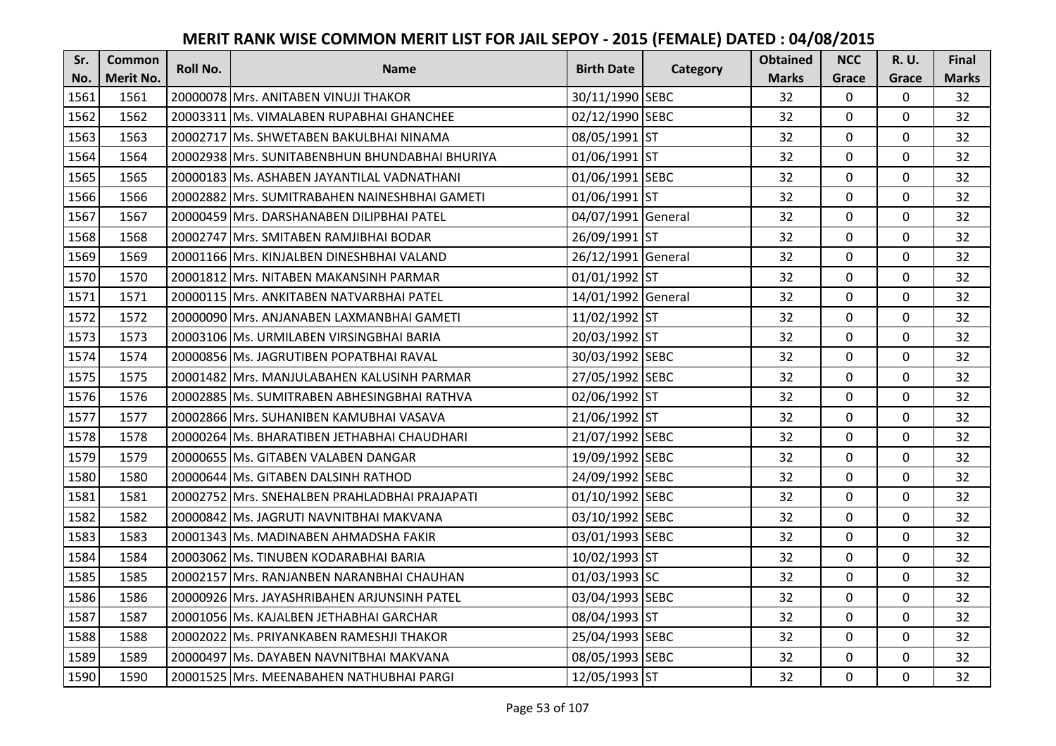| Sr.  | <b>Common</b>    | Roll No. | <b>Name</b>                                    | <b>Birth Date</b>  | Category | <b>Obtained</b> | <b>NCC</b>   | <b>R.U.</b> | Final        |
|------|------------------|----------|------------------------------------------------|--------------------|----------|-----------------|--------------|-------------|--------------|
| No.  | <b>Merit No.</b> |          |                                                |                    |          | <b>Marks</b>    | Grace        | Grace       | <b>Marks</b> |
| 1561 | 1561             |          | 20000078 Mrs. ANITABEN VINUJI THAKOR           | 30/11/1990 SEBC    |          | 32              | $\mathbf 0$  | 0           | 32           |
| 1562 | 1562             |          | 20003311 Ms. VIMALABEN RUPABHAI GHANCHEE       | 02/12/1990 SEBC    |          | 32              | $\mathbf 0$  | $\Omega$    | 32           |
| 1563 | 1563             |          | 20002717 lMs. SHWETABEN BAKULBHAI NINAMA       | 08/05/1991 ST      |          | 32              | $\mathbf 0$  | 0           | 32           |
| 1564 | 1564             |          | 20002938 Mrs. SUNITABENBHUN BHUNDABHAI BHURIYA | 01/06/1991 ST      |          | 32              | $\mathbf 0$  | 0           | 32           |
| 1565 | 1565             |          | 20000183 Ms. ASHABEN JAYANTILAL VADNATHANI     | 01/06/1991 SEBC    |          | 32              | $\mathbf{0}$ | $\mathbf 0$ | 32           |
| 1566 | 1566             |          | 20002882 Mrs. SUMITRABAHEN NAINESHBHAI GAMETI  | 01/06/1991 ST      |          | 32              | $\mathbf 0$  | $\Omega$    | 32           |
| 1567 | 1567             |          | 20000459 Mrs. DARSHANABEN DILIPBHAI PATEL      | 04/07/1991 General |          | 32              | $\mathbf 0$  | 0           | 32           |
| 1568 | 1568             |          | 20002747 Mrs. SMITABEN RAMJIBHAI BODAR         | 26/09/1991 ST      |          | 32              | $\mathbf{0}$ | $\mathbf 0$ | 32           |
| 1569 | 1569             |          | 20001166 Mrs. KINJALBEN DINESHBHAI VALAND      | 26/12/1991 General |          | 32              | $\mathbf 0$  | 0           | 32           |
| 1570 | 1570             |          | 20001812 Mrs. NITABEN MAKANSINH PARMAR         | 01/01/1992 ST      |          | 32              | $\mathbf{0}$ | 0           | 32           |
| 1571 | 1571             |          | 20000115 Mrs. ANKITABEN NATVARBHAI PATEL       | 14/01/1992 General |          | 32              | $\Omega$     | 0           | 32           |
| 1572 | 1572             |          | 20000090 Mrs. ANJANABEN LAXMANBHAI GAMETI      | 11/02/1992 ST      |          | 32              | $\mathbf 0$  | 0           | 32           |
| 1573 | 1573             |          | 20003106 Ms. URMILABEN VIRSINGBHAI BARIA       | 20/03/1992 ST      |          | 32              | 0            | 0           | 32           |
| 1574 | 1574             |          | 20000856 Ms. JAGRUTIBEN POPATBHAI RAVAL        | 30/03/1992 SEBC    |          | 32              | $\mathbf 0$  | 0           | 32           |
| 1575 | 1575             |          | 20001482 Mrs. MANJULABAHEN KALUSINH PARMAR     | 27/05/1992 SEBC    |          | 32              | $\mathbf 0$  | 0           | 32           |
| 1576 | 1576             |          | 20002885 Ms. SUMITRABEN ABHESINGBHAI RATHVA    | 02/06/1992 ST      |          | 32              | $\mathbf{0}$ | $\Omega$    | 32           |
| 1577 | 1577             |          | 20002866 Mrs. SUHANIBEN KAMUBHAI VASAVA        | 21/06/1992 ST      |          | 32              | $\mathbf{0}$ | 0           | 32           |
| 1578 | 1578             |          | 20000264 Ms. BHARATIBEN JETHABHAI CHAUDHARI    | 21/07/1992 SEBC    |          | 32              | $\mathbf 0$  | $\Omega$    | 32           |
| 1579 | 1579             |          | 20000655 IMs. GITABEN VALABEN DANGAR           | 19/09/1992 SEBC    |          | 32              | $\mathbf 0$  | $\Omega$    | 32           |
| 1580 | 1580             |          | 20000644 Ms. GITABEN DALSINH RATHOD            | 24/09/1992 SEBC    |          | 32              | $\mathbf 0$  | 0           | 32           |
| 1581 | 1581             |          | 20002752 Mrs. SNEHALBEN PRAHLADBHAI PRAJAPATI  | 01/10/1992 SEBC    |          | 32              | $\mathbf 0$  | $\Omega$    | 32           |
| 1582 | 1582             |          | 20000842 Ms. JAGRUTI NAVNITBHAI MAKVANA        | 03/10/1992 SEBC    |          | 32              | $\mathbf 0$  | $\Omega$    | 32           |
| 1583 | 1583             |          | 20001343 Ms. MADINABEN AHMADSHA FAKIR          | 03/01/1993 SEBC    |          | 32              | $\mathbf 0$  | 0           | 32           |
| 1584 | 1584             |          | 20003062 Ms. TINUBEN KODARABHAI BARIA          | 10/02/1993 ST      |          | 32              | $\mathbf 0$  | $\mathbf 0$ | 32           |
| 1585 | 1585             |          | 20002157 Mrs. RANJANBEN NARANBHAI CHAUHAN      | 01/03/1993 SC      |          | 32              | $\mathbf 0$  | 0           | 32           |
| 1586 | 1586             |          | 20000926 Mrs. JAYASHRIBAHEN ARJUNSINH PATEL    | 03/04/1993 SEBC    |          | 32              | $\mathbf{0}$ | 0           | 32           |
| 1587 | 1587             |          | 20001056 Ms. KAJALBEN JETHABHAI GARCHAR        | 08/04/1993 ST      |          | 32              | $\mathbf 0$  | 0           | 32           |
| 1588 | 1588             |          | 20002022 Ms. PRIYANKABEN RAMESHJI THAKOR       | 25/04/1993 SEBC    |          | 32              | $\Omega$     | 0           | 32           |
| 1589 | 1589             |          | 20000497 Ms. DAYABEN NAVNITBHAI MAKVANA        | 08/05/1993 SEBC    |          | 32              | $\mathbf 0$  | 0           | 32           |
| 1590 | 1590             |          | 20001525 Mrs. MEENABAHEN NATHUBHAI PARGI       | 12/05/1993 ST      |          | 32              | $\mathbf{0}$ | 0           | 32           |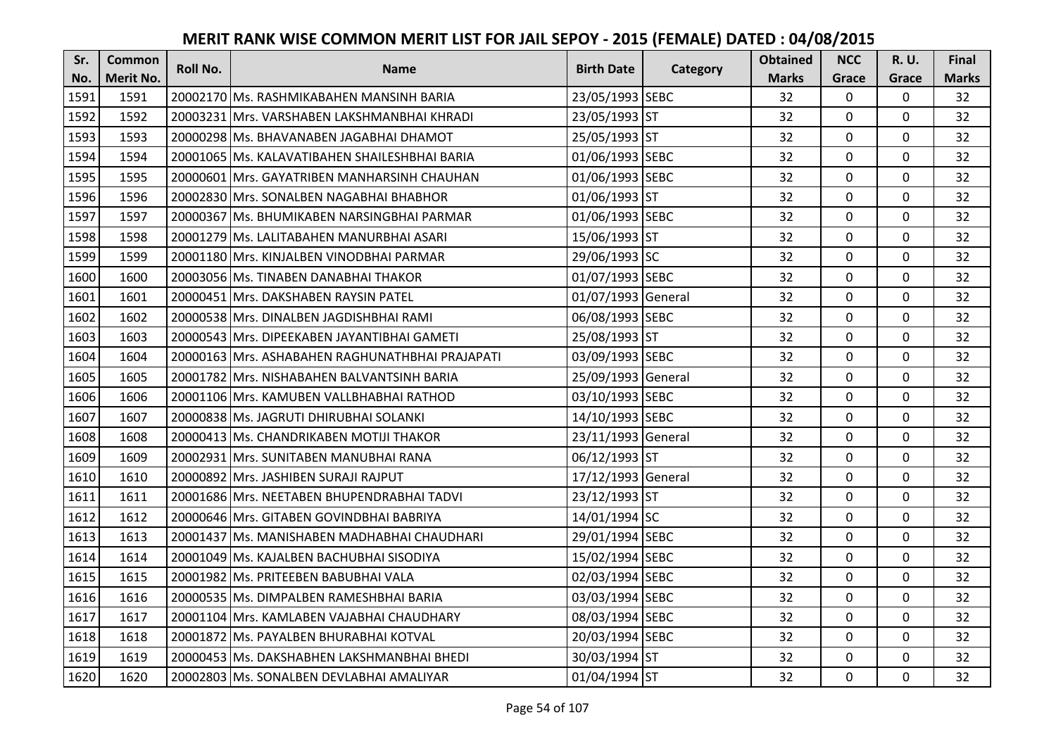| Sr.  | <b>Common</b>    | <b>Roll No.</b> | <b>Name</b>                                     | <b>Birth Date</b>  | Category | <b>Obtained</b> | <b>NCC</b>   | <b>R.U.</b> | Final        |
|------|------------------|-----------------|-------------------------------------------------|--------------------|----------|-----------------|--------------|-------------|--------------|
| No.  | <b>Merit No.</b> |                 |                                                 |                    |          | <b>Marks</b>    | Grace        | Grace       | <b>Marks</b> |
| 1591 | 1591             |                 | 20002170 Ms. RASHMIKABAHEN MANSINH BARIA        | 23/05/1993 SEBC    |          | 32              | 0            | 0           | 32           |
| 1592 | 1592             |                 | 20003231 IMrs. VARSHABEN LAKSHMANBHAI KHRADI    | 23/05/1993 ST      |          | 32              | $\mathbf 0$  | $\Omega$    | 32           |
| 1593 | 1593             |                 | 20000298 lMs. BHAVANABEN JAGABHAI DHAMOT        | 25/05/1993 ST      |          | 32              | $\mathbf 0$  | $\Omega$    | 32           |
| 1594 | 1594             |                 | 20001065 Ms. KALAVATIBAHEN SHAILESHBHAI BARIA   | 01/06/1993 SEBC    |          | 32              | $\mathbf{0}$ | 0           | 32           |
| 1595 | 1595             |                 | 20000601 Mrs. GAYATRIBEN MANHARSINH CHAUHAN     | 01/06/1993 SEBC    |          | 32              | $\mathbf{0}$ | $\mathbf 0$ | 32           |
| 1596 | 1596             |                 | 20002830 Mrs. SONALBEN NAGABHAI BHABHOR         | 01/06/1993 ST      |          | 32              | $\mathbf 0$  | $\Omega$    | 32           |
| 1597 | 1597             |                 | 20000367 Ms. BHUMIKABEN NARSINGBHAI PARMAR      | 01/06/1993 SEBC    |          | 32              | $\mathbf 0$  | 0           | 32           |
| 1598 | 1598             |                 | 20001279 Ms. LALITABAHEN MANURBHAI ASARI        | 15/06/1993 ST      |          | 32              | $\mathbf{0}$ | $\mathbf 0$ | 32           |
| 1599 | 1599             |                 | 20001180 Mrs. KINJALBEN VINODBHAI PARMAR        | 29/06/1993 SC      |          | 32              | $\mathbf 0$  | 0           | 32           |
| 1600 | 1600             |                 | 20003056 Ms. TINABEN DANABHAI THAKOR            | 01/07/1993 SEBC    |          | 32              | $\mathbf{0}$ | 0           | 32           |
| 1601 | 1601             |                 | 20000451 Mrs. DAKSHABEN RAYSIN PATEL            | 01/07/1993 General |          | 32              | $\Omega$     | 0           | 32           |
| 1602 | 1602             |                 | 20000538 Mrs. DINALBEN JAGDISHBHAI RAMI         | 06/08/1993 SEBC    |          | 32              | $\mathbf 0$  | 0           | 32           |
| 1603 | 1603             |                 | 20000543 Mrs. DIPEEKABEN JAYANTIBHAI GAMETI     | 25/08/1993 ST      |          | 32              | 0            | 0           | 32           |
| 1604 | 1604             |                 | 20000163 Mrs. ASHABAHEN RAGHUNATHBHAI PRAJAPATI | 03/09/1993 SEBC    |          | 32              | $\mathbf 0$  | 0           | 32           |
| 1605 | 1605             |                 | 20001782 IMrs. NISHABAHEN BALVANTSINH BARIA     | 25/09/1993 General |          | 32              | $\mathbf 0$  | 0           | 32           |
| 1606 | 1606             |                 | 20001106 Mrs. KAMUBEN VALLBHABHAI RATHOD        | 03/10/1993 SEBC    |          | 32              | $\mathbf{0}$ | $\Omega$    | 32           |
| 1607 | 1607             |                 | 20000838 Ms. JAGRUTI DHIRUBHAI SOLANKI          | 14/10/1993 SEBC    |          | 32              | $\mathbf{0}$ | 0           | 32           |
| 1608 | 1608             |                 | 20000413 Ms. CHANDRIKABEN MOTIJI THAKOR         | 23/11/1993 General |          | 32              | $\mathbf 0$  | $\Omega$    | 32           |
| 1609 | 1609             |                 | 20002931 IMrs. SUNITABEN MANUBHAI RANA          | 06/12/1993 ST      |          | 32              | $\mathbf 0$  | $\Omega$    | 32           |
| 1610 | 1610             |                 | 20000892 Mrs. JASHIBEN SURAJI RAJPUT            | 17/12/1993 General |          | 32              | $\mathbf 0$  | 0           | 32           |
| 1611 | 1611             |                 | 20001686 Mrs. NEETABEN BHUPENDRABHAI TADVI      | 23/12/1993 ST      |          | 32              | $\mathbf 0$  | $\Omega$    | 32           |
| 1612 | 1612             |                 | 20000646 Mrs. GITABEN GOVINDBHAI BABRIYA        | 14/01/1994 SC      |          | 32              | $\mathbf 0$  | $\Omega$    | 32           |
| 1613 | 1613             |                 | 20001437 Ms. MANISHABEN MADHABHAI CHAUDHARI     | 29/01/1994 SEBC    |          | 32              | $\mathbf 0$  | 0           | 32           |
| 1614 | 1614             |                 | 20001049 Ms. KAJALBEN BACHUBHAI SISODIYA        | 15/02/1994 SEBC    |          | 32              | $\mathbf{0}$ | $\mathbf 0$ | 32           |
| 1615 | 1615             |                 | 20001982 Ms. PRITEEBEN BABUBHAI VALA            | 02/03/1994 SEBC    |          | 32              | $\mathbf 0$  | 0           | 32           |
| 1616 | 1616             |                 | 20000535 Ms. DIMPALBEN RAMESHBHAI BARIA         | 03/03/1994 SEBC    |          | 32              | $\mathbf{0}$ | 0           | 32           |
| 1617 | 1617             |                 | 20001104 Mrs. KAMLABEN VAJABHAI CHAUDHARY       | 08/03/1994 SEBC    |          | 32              | $\mathbf 0$  | 0           | 32           |
| 1618 | 1618             |                 | 20001872 Ms. PAYALBEN BHURABHAI KOTVAL          | 20/03/1994 SEBC    |          | 32              | $\Omega$     | 0           | 32           |
| 1619 | 1619             |                 | 20000453 Ms. DAKSHABHEN LAKSHMANBHAI BHEDI      | 30/03/1994 ST      |          | 32              | $\mathbf 0$  | 0           | 32           |
| 1620 | 1620             |                 | 20002803 Ms. SONALBEN DEVLABHAI AMALIYAR        | 01/04/1994 ST      |          | 32              | $\mathbf{0}$ | 0           | 32           |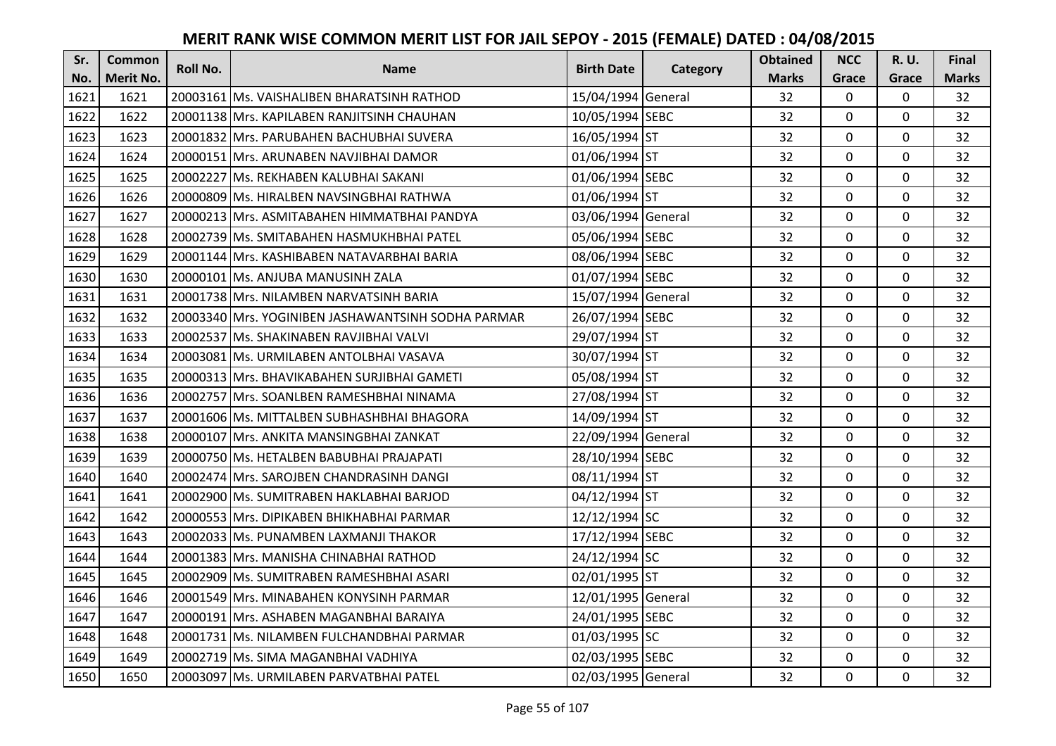| Sr.  | <b>Common</b>    | <b>Roll No.</b> | <b>Name</b>                                        | <b>Birth Date</b>  | Category | <b>Obtained</b> | <b>NCC</b>   | <b>R.U.</b> | Final        |
|------|------------------|-----------------|----------------------------------------------------|--------------------|----------|-----------------|--------------|-------------|--------------|
| No.  | <b>Merit No.</b> |                 |                                                    |                    |          | <b>Marks</b>    | Grace        | Grace       | <b>Marks</b> |
| 1621 | 1621             |                 | 20003161 Ms. VAISHALIBEN BHARATSINH RATHOD         | 15/04/1994 General |          | 32              | 0            | 0           | 32           |
| 1622 | 1622             |                 | 20001138 Mrs. KAPILABEN RANJITSINH CHAUHAN         | 10/05/1994 SEBC    |          | 32              | $\mathbf 0$  | $\Omega$    | 32           |
| 1623 | 1623             |                 | 20001832  Mrs. PARUBAHEN BACHUBHAI SUVERA          | 16/05/1994 ST      |          | 32              | $\mathbf 0$  | 0           | 32           |
| 1624 | 1624             |                 | 20000151 Mrs. ARUNABEN NAVJIBHAI DAMOR             | 01/06/1994 ST      |          | 32              | $\mathbf 0$  | 0           | 32           |
| 1625 | 1625             |                 | 20002227 Ms. REKHABEN KALUBHAI SAKANI              | 01/06/1994 SEBC    |          | 32              | $\mathbf{0}$ | $\mathbf 0$ | 32           |
| 1626 | 1626             |                 | 20000809 Ms. HIRALBEN NAVSINGBHAI RATHWA           | 01/06/1994 ST      |          | 32              | $\mathbf 0$  | $\Omega$    | 32           |
| 1627 | 1627             |                 | 20000213 Mrs. ASMITABAHEN HIMMATBHAI PANDYA        | 03/06/1994 General |          | 32              | $\mathbf 0$  | 0           | 32           |
| 1628 | 1628             |                 | 20002739 Ms. SMITABAHEN HASMUKHBHAI PATEL          | 05/06/1994 SEBC    |          | 32              | $\mathbf{0}$ | $\mathbf 0$ | 32           |
| 1629 | 1629             |                 | 20001144 Mrs. KASHIBABEN NATAVARBHAI BARIA         | 08/06/1994 SEBC    |          | 32              | $\mathbf 0$  | 0           | 32           |
| 1630 | 1630             |                 | 20000101 Ms. ANJUBA MANUSINH ZALA                  | 01/07/1994 SEBC    |          | 32              | $\mathbf{0}$ | 0           | 32           |
| 1631 | 1631             |                 | 20001738 Mrs. NILAMBEN NARVATSINH BARIA            | 15/07/1994 General |          | 32              | $\mathbf 0$  | 0           | 32           |
| 1632 | 1632             |                 | 20003340 Mrs. YOGINIBEN JASHAWANTSINH SODHA PARMAR | 26/07/1994 SEBC    |          | 32              | $\mathbf 0$  | 0           | 32           |
| 1633 | 1633             |                 | 20002537 Ms. SHAKINABEN RAVJIBHAI VALVI            | 29/07/1994 ST      |          | 32              | $\mathbf{0}$ | 0           | 32           |
| 1634 | 1634             |                 | 20003081 Ms. URMILABEN ANTOLBHAI VASAVA            | 30/07/1994 ST      |          | 32              | $\mathbf{0}$ | 0           | 32           |
| 1635 | 1635             |                 | 20000313 Mrs. BHAVIKABAHEN SURJIBHAI GAMETI        | 05/08/1994 ST      |          | 32              | $\mathbf 0$  | 0           | 32           |
| 1636 | 1636             |                 | 20002757 Mrs. SOANLBEN RAMESHBHAI NINAMA           | 27/08/1994 ST      |          | 32              | $\mathbf{0}$ | $\Omega$    | 32           |
| 1637 | 1637             |                 | 20001606 lMs. MITTALBEN SUBHASHBHAI BHAGORA        | 14/09/1994 ST      |          | 32              | $\mathbf{0}$ | 0           | 32           |
| 1638 | 1638             |                 | 20000107 Mrs. ANKITA MANSINGBHAI ZANKAT            | 22/09/1994 General |          | 32              | $\mathbf 0$  | $\Omega$    | 32           |
| 1639 | 1639             |                 | 20000750 IMs. HETALBEN BABUBHAI PRAJAPATI          | 28/10/1994 SEBC    |          | 32              | $\mathbf 0$  | $\Omega$    | 32           |
| 1640 | 1640             |                 | 20002474 Mrs. SAROJBEN CHANDRASINH DANGI           | 08/11/1994 ST      |          | 32              | $\mathbf 0$  | 0           | 32           |
| 1641 | 1641             |                 | 20002900 Ms. SUMITRABEN HAKLABHAI BARJOD           | 04/12/1994 ST      |          | 32              | $\mathbf 0$  | $\Omega$    | 32           |
| 1642 | 1642             |                 | 20000553 Mrs. DIPIKABEN BHIKHABHAI PARMAR          | 12/12/1994 SC      |          | 32              | $\mathbf 0$  | $\Omega$    | 32           |
| 1643 | 1643             |                 | 20002033 Ms. PUNAMBEN LAXMANJI THAKOR              | 17/12/1994 SEBC    |          | 32              | $\mathbf 0$  | 0           | 32           |
| 1644 | 1644             |                 | 20001383 Mrs. MANISHA CHINABHAI RATHOD             | 24/12/1994 SC      |          | 32              | $\mathbf 0$  | $\mathbf 0$ | 32           |
| 1645 | 1645             |                 | 20002909 Ms. SUMITRABEN RAMESHBHAI ASARI           | 02/01/1995 ST      |          | 32              | $\mathbf 0$  | 0           | 32           |
| 1646 | 1646             |                 | 20001549 Mrs. MINABAHEN KONYSINH PARMAR            | 12/01/1995 General |          | 32              | $\mathbf{0}$ | 0           | 32           |
| 1647 | 1647             |                 | 20000191 Mrs. ASHABEN MAGANBHAI BARAIYA            | 24/01/1995 SEBC    |          | 32              | $\mathbf 0$  | 0           | 32           |
| 1648 | 1648             |                 | 20001731 Ms. NILAMBEN FULCHANDBHAI PARMAR          | 01/03/1995 SC      |          | 32              | $\Omega$     | 0           | 32           |
| 1649 | 1649             |                 | 20002719 Ms. SIMA MAGANBHAI VADHIYA                | 02/03/1995 SEBC    |          | 32              | $\mathbf 0$  | 0           | 32           |
| 1650 | 1650             |                 | 20003097 Ms. URMILABEN PARVATBHAI PATEL            | 02/03/1995 General |          | 32              | $\mathbf{0}$ | 0           | 32           |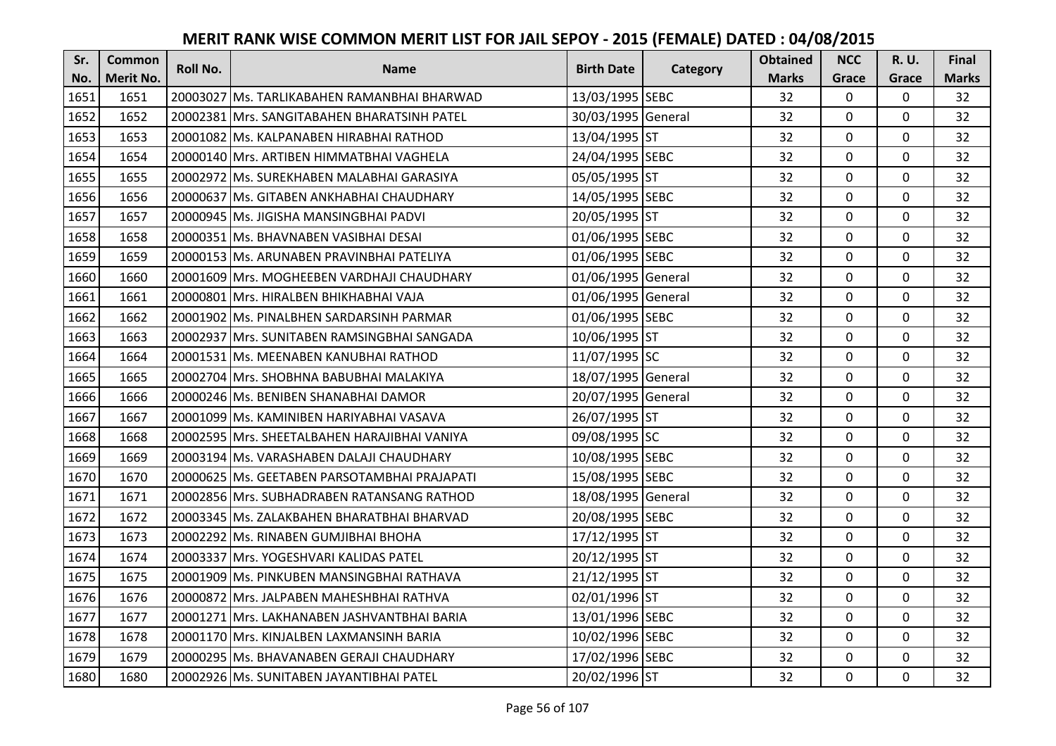| Sr.  | <b>Common</b>    | <b>Roll No.</b> | <b>Name</b>                                  | <b>Birth Date</b>  | Category | <b>Obtained</b> | <b>NCC</b>   | <b>R.U.</b> | Final        |
|------|------------------|-----------------|----------------------------------------------|--------------------|----------|-----------------|--------------|-------------|--------------|
| No.  | <b>Merit No.</b> |                 |                                              |                    |          | <b>Marks</b>    | Grace        | Grace       | <b>Marks</b> |
| 1651 | 1651             |                 | 20003027 Ms. TARLIKABAHEN RAMANBHAI BHARWAD  | 13/03/1995 SEBC    |          | 32              | 0            | 0           | 32           |
| 1652 | 1652             |                 | 20002381 IMrs. SANGITABAHEN BHARATSINH PATEL | 30/03/1995 General |          | 32              | $\mathbf 0$  | $\Omega$    | 32           |
| 1653 | 1653             |                 | 20001082 lMs. KALPANABEN HIRABHAI RATHOD     | 13/04/1995 ST      |          | 32              | $\mathbf 0$  | $\Omega$    | 32           |
| 1654 | 1654             |                 | 20000140 Mrs. ARTIBEN HIMMATBHAI VAGHELA     | 24/04/1995 SEBC    |          | 32              | $\mathbf{0}$ | 0           | 32           |
| 1655 | 1655             |                 | 20002972 IMs. SUREKHABEN MALABHAI GARASIYA   | 05/05/1995 ST      |          | 32              | $\mathbf{0}$ | $\mathbf 0$ | 32           |
| 1656 | 1656             |                 | 20000637 Ms. GITABEN ANKHABHAI CHAUDHARY     | 14/05/1995 SEBC    |          | 32              | $\mathbf 0$  | $\Omega$    | 32           |
| 1657 | 1657             |                 | 20000945 Ms. JIGISHA MANSINGBHAI PADVI       | 20/05/1995 ST      |          | 32              | $\mathbf 0$  | 0           | 32           |
| 1658 | 1658             |                 | 20000351 Ms. BHAVNABEN VASIBHAI DESAI        | 01/06/1995 SEBC    |          | 32              | $\mathbf 0$  | $\Omega$    | 32           |
| 1659 | 1659             |                 | 20000153 Ms. ARUNABEN PRAVINBHAI PATELIYA    | 01/06/1995 SEBC    |          | 32              | $\mathbf 0$  | 0           | 32           |
| 1660 | 1660             |                 | 20001609 Mrs. MOGHEEBEN VARDHAJI CHAUDHARY   | 01/06/1995 General |          | 32              | $\mathbf{0}$ | 0           | 32           |
| 1661 | 1661             |                 | 20000801 Mrs. HIRALBEN BHIKHABHAI VAJA       | 01/06/1995 General |          | 32              | $\Omega$     | 0           | 32           |
| 1662 | 1662             |                 | 20001902 Ms. PINALBHEN SARDARSINH PARMAR     | 01/06/1995 SEBC    |          | 32              | $\mathbf 0$  | 0           | 32           |
| 1663 | 1663             |                 | 20002937 Mrs. SUNITABEN RAMSINGBHAI SANGADA  | 10/06/1995 ST      |          | 32              | 0            | $\mathbf 0$ | 32           |
| 1664 | 1664             |                 | 20001531 Ms. MEENABEN KANUBHAI RATHOD        | 11/07/1995 SC      |          | 32              | $\mathbf 0$  | 0           | 32           |
| 1665 | 1665             |                 | 20002704 Mrs. SHOBHNA BABUBHAI MALAKIYA      | 18/07/1995 General |          | 32              | $\mathbf 0$  | 0           | 32           |
| 1666 | 1666             |                 | 20000246 Ms. BENIBEN SHANABHAI DAMOR         | 20/07/1995 General |          | 32              | $\mathbf{0}$ | $\Omega$    | 32           |
| 1667 | 1667             |                 | 20001099 lMs. KAMINIBEN HARIYABHAI VASAVA    | 26/07/1995 ST      |          | 32              | $\mathbf{0}$ | 0           | 32           |
| 1668 | 1668             |                 | 20002595 Mrs. SHEETALBAHEN HARAJIBHAI VANIYA | 09/08/1995 SC      |          | 32              | $\mathbf 0$  | $\Omega$    | 32           |
| 1669 | 1669             |                 | 20003194 IMs. VARASHABEN DALAJI CHAUDHARY    | 10/08/1995 SEBC    |          | 32              | $\mathbf 0$  | $\Omega$    | 32           |
| 1670 | 1670             |                 | 20000625 Ms. GEETABEN PARSOTAMBHAI PRAJAPATI | 15/08/1995 SEBC    |          | 32              | $\mathbf 0$  | 0           | 32           |
| 1671 | 1671             |                 | 20002856 Mrs. SUBHADRABEN RATANSANG RATHOD   | 18/08/1995 General |          | 32              | $\mathbf 0$  | $\Omega$    | 32           |
| 1672 | 1672             |                 | 20003345 Ms. ZALAKBAHEN BHARATBHAI BHARVAD   | 20/08/1995 SEBC    |          | 32              | $\mathbf 0$  | $\Omega$    | 32           |
| 1673 | 1673             |                 | 20002292 Ms. RINABEN GUMJIBHAI BHOHA         | 17/12/1995 ST      |          | 32              | $\mathbf 0$  | $\Omega$    | 32           |
| 1674 | 1674             |                 | 20003337 Mrs. YOGESHVARI KALIDAS PATEL       | 20/12/1995 ST      |          | 32              | $\mathbf{0}$ | 0           | 32           |
| 1675 | 1675             |                 | 20001909 Ms. PINKUBEN MANSINGBHAI RATHAVA    | 21/12/1995 ST      |          | 32              | $\mathbf 0$  | 0           | 32           |
| 1676 | 1676             |                 | 20000872 Mrs. JALPABEN MAHESHBHAI RATHVA     | 02/01/1996 ST      |          | 32              | $\mathbf 0$  | 0           | 32           |
| 1677 | 1677             |                 | 20001271 Mrs. LAKHANABEN JASHVANTBHAI BARIA  | 13/01/1996 SEBC    |          | 32              | $\mathbf 0$  | 0           | 32           |
| 1678 | 1678             |                 | 20001170 Mrs. KINJALBEN LAXMANSINH BARIA     | 10/02/1996 SEBC    |          | 32              | $\Omega$     | 0           | 32           |
| 1679 | 1679             |                 | 20000295 Ms. BHAVANABEN GERAJI CHAUDHARY     | 17/02/1996 SEBC    |          | 32              | $\mathbf 0$  | 0           | 32           |
| 1680 | 1680             |                 | 20002926 Ms. SUNITABEN JAYANTIBHAI PATEL     | 20/02/1996 ST      |          | 32              | $\mathbf{0}$ | 0           | 32           |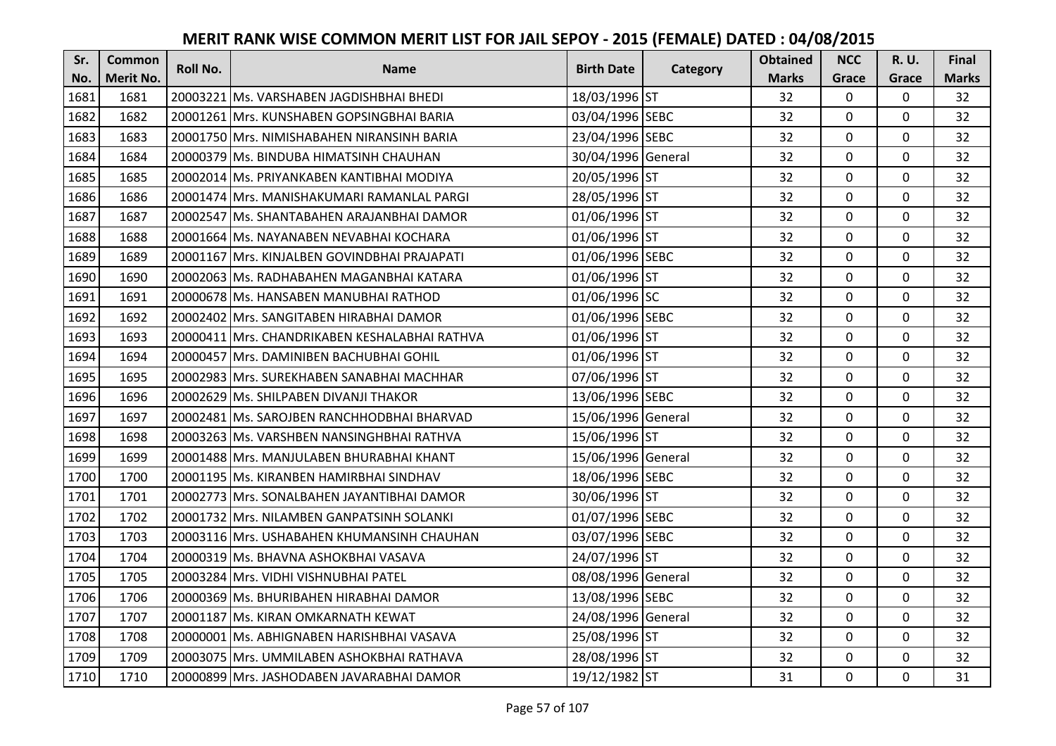| Sr.  | <b>Common</b> | <b>Roll No.</b> | <b>Name</b>                                   | <b>Birth Date</b>  |          | <b>Obtained</b> | <b>NCC</b>   | <b>R.U.</b> | Final        |
|------|---------------|-----------------|-----------------------------------------------|--------------------|----------|-----------------|--------------|-------------|--------------|
| No.  | Merit No.     |                 |                                               |                    | Category | <b>Marks</b>    | Grace        | Grace       | <b>Marks</b> |
| 1681 | 1681          |                 | 20003221 Ms. VARSHABEN JAGDISHBHAI BHEDI      | 18/03/1996 ST      |          | 32              | 0            | 0           | 32           |
| 1682 | 1682          |                 | 20001261 IMrs. KUNSHABEN GOPSINGBHAI BARIA    | 03/04/1996 SEBC    |          | 32              | $\mathbf 0$  | $\Omega$    | 32           |
| 1683 | 1683          |                 | 20001750 IMrs. NIMISHABAHEN NIRANSINH BARIA   | 23/04/1996 SEBC    |          | 32              | $\mathbf 0$  | $\Omega$    | 32           |
| 1684 | 1684          |                 | 20000379 Ms. BINDUBA HIMATSINH CHAUHAN        | 30/04/1996 General |          | 32              | $\mathbf 0$  | 0           | 32           |
| 1685 | 1685          |                 | 20002014 Ms. PRIYANKABEN KANTIBHAI MODIYA     | 20/05/1996 ST      |          | 32              | $\mathbf{0}$ | $\mathbf 0$ | 32           |
| 1686 | 1686          |                 | 20001474 Mrs. MANISHAKUMARI RAMANLAL PARGI    | 28/05/1996 ST      |          | 32              | $\Omega$     | $\Omega$    | 32           |
| 1687 | 1687          |                 | 20002547 Ms. SHANTABAHEN ARAJANBHAI DAMOR     | 01/06/1996 ST      |          | 32              | $\mathbf 0$  | 0           | 32           |
| 1688 | 1688          |                 | 20001664 Ms. NAYANABEN NEVABHAI KOCHARA       | 01/06/1996 ST      |          | 32              | $\mathbf{0}$ | $\mathbf 0$ | 32           |
| 1689 | 1689          |                 | 20001167 Mrs. KINJALBEN GOVINDBHAI PRAJAPATI  | 01/06/1996 SEBC    |          | 32              | 0            | 0           | 32           |
| 1690 | 1690          |                 | 20002063 Ms. RADHABAHEN MAGANBHAI KATARA      | 01/06/1996 ST      |          | 32              | $\mathbf{0}$ | $\mathbf 0$ | 32           |
| 1691 | 1691          |                 | 20000678 Ms. HANSABEN MANUBHAI RATHOD         | 01/06/1996 SC      |          | 32              | $\Omega$     | $\Omega$    | 32           |
| 1692 | 1692          |                 | 20002402 Mrs. SANGITABEN HIRABHAI DAMOR       | 01/06/1996 SEBC    |          | 32              | $\mathbf 0$  | 0           | 32           |
| 1693 | 1693          |                 | 20000411 Mrs. CHANDRIKABEN KESHALABHAI RATHVA | 01/06/1996 ST      |          | 32              | $\mathbf{0}$ | $\mathbf 0$ | 32           |
| 1694 | 1694          |                 | 20000457 Mrs. DAMINIBEN BACHUBHAI GOHIL       | 01/06/1996 ST      |          | 32              | $\mathbf 0$  | 0           | 32           |
| 1695 | 1695          |                 | 20002983 Mrs. SUREKHABEN SANABHAI MACHHAR     | 07/06/1996 ST      |          | 32              | $\mathbf 0$  | 0           | 32           |
| 1696 | 1696          |                 | 20002629 Ms. SHILPABEN DIVANJI THAKOR         | 13/06/1996 SEBC    |          | 32              | $\mathbf{0}$ | $\Omega$    | 32           |
| 1697 | 1697          |                 | 20002481 Ms. SAROJBEN RANCHHODBHAI BHARVAD    | 15/06/1996 General |          | 32              | $\mathbf{0}$ | 0           | 32           |
| 1698 | 1698          |                 | 20003263 Ms. VARSHBEN NANSINGHBHAI RATHVA     | 15/06/1996 ST      |          | 32              | $\mathbf 0$  | $\Omega$    | 32           |
| 1699 | 1699          |                 | 20001488 Mrs. MANJULABEN BHURABHAI KHANT      | 15/06/1996 General |          | 32              | $\mathbf 0$  | $\Omega$    | 32           |
| 1700 | 1700          |                 | 20001195 Ms. KIRANBEN HAMIRBHAI SINDHAV       | 18/06/1996 SEBC    |          | 32              | $\mathbf 0$  | 0           | 32           |
| 1701 | 1701          |                 | 20002773 Mrs. SONALBAHEN JAYANTIBHAI DAMOR    | 30/06/1996 ST      |          | 32              | $\mathbf 0$  | $\Omega$    | 32           |
| 1702 | 1702          |                 | 20001732 Mrs. NILAMBEN GANPATSINH SOLANKI     | 01/07/1996 SEBC    |          | 32              | $\mathbf 0$  | $\Omega$    | 32           |
| 1703 | 1703          |                 | 20003116 Mrs. USHABAHEN KHUMANSINH CHAUHAN    | 03/07/1996 SEBC    |          | 32              | $\mathbf 0$  | $\Omega$    | 32           |
| 1704 | 1704          |                 | 20000319 Ms. BHAVNA ASHOKBHAI VASAVA          | 24/07/1996 ST      |          | 32              | $\mathbf 0$  | $\mathbf 0$ | 32           |
| 1705 | 1705          |                 | 20003284 Mrs. VIDHI VISHNUBHAI PATEL          | 08/08/1996 General |          | 32              | $\mathbf 0$  | 0           | 32           |
| 1706 | 1706          |                 | 20000369 Ms. BHURIBAHEN HIRABHAI DAMOR        | 13/08/1996 SEBC    |          | 32              | $\mathbf 0$  | $\mathbf 0$ | 32           |
| 1707 | 1707          |                 | 20001187 Ms. KIRAN OMKARNATH KEWAT            | 24/08/1996 General |          | 32              | $\mathbf 0$  | 0           | 32           |
| 1708 | 1708          |                 | 20000001 Ms. ABHIGNABEN HARISHBHAI VASAVA     | 25/08/1996 ST      |          | 32              | $\Omega$     | 0           | 32           |
| 1709 | 1709          |                 | 20003075   Mrs. UMMILABEN ASHOKBHAI RATHAVA   | 28/08/1996 ST      |          | 32              | $\mathbf 0$  | 0           | 32           |
| 1710 | 1710          |                 | 20000899 Mrs. JASHODABEN JAVARABHAI DAMOR     | 19/12/1982 ST      |          | 31              | $\mathbf{0}$ | 0           | 31           |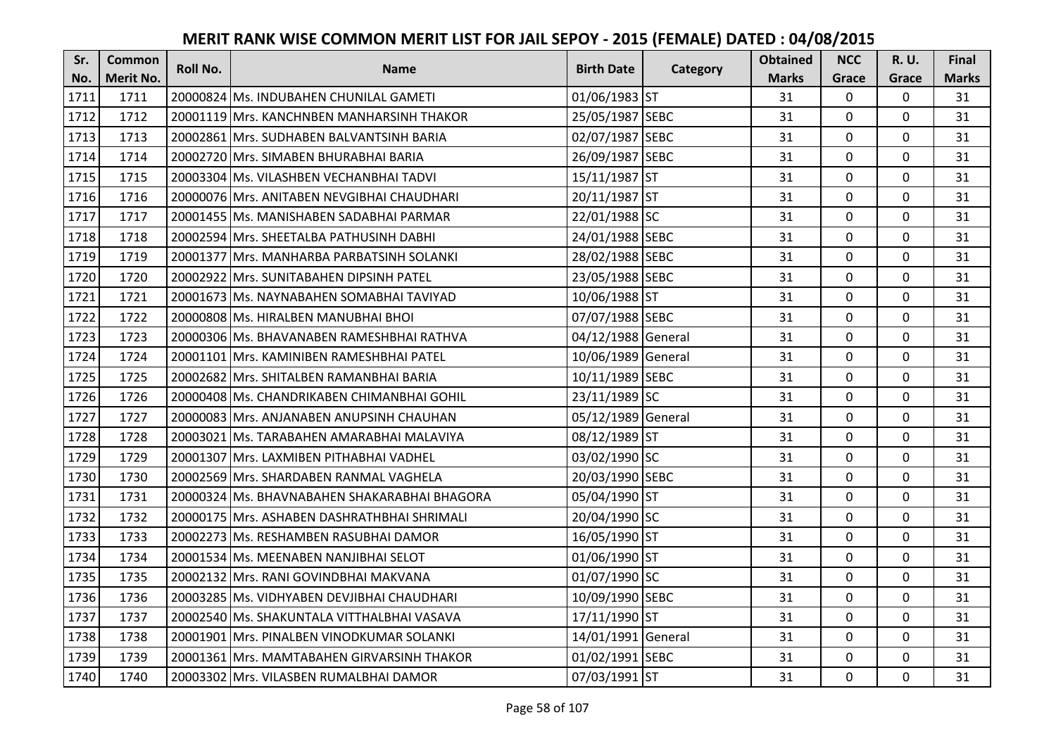| Sr.  | <b>Common</b>    | Roll No. | <b>Name</b>                                  | <b>Birth Date</b>  | Category | <b>Obtained</b> | <b>NCC</b>   | <b>R.U.</b> | Final        |
|------|------------------|----------|----------------------------------------------|--------------------|----------|-----------------|--------------|-------------|--------------|
| No.  | <b>Merit No.</b> |          |                                              |                    |          | <b>Marks</b>    | Grace        | Grace       | <b>Marks</b> |
| 1711 | 1711             |          | 20000824 Ms. INDUBAHEN CHUNILAL GAMETI       | 01/06/1983 ST      |          | 31              | 0            | 0           | 31           |
| 1712 | 1712             |          | 20001119 Mrs. KANCHNBEN MANHARSINH THAKOR    | 25/05/1987 SEBC    |          | 31              | $\mathbf 0$  | $\Omega$    | 31           |
| 1713 | 1713             |          | 20002861 IMrs. SUDHABEN BALVANTSINH BARIA    | 02/07/1987 SEBC    |          | 31              | 0            | 0           | 31           |
| 1714 | 1714             |          | 20002720 Mrs. SIMABEN BHURABHAI BARIA        | 26/09/1987 SEBC    |          | 31              | $\mathbf 0$  | 0           | 31           |
| 1715 | 1715             |          | 20003304 Ms. VILASHBEN VECHANBHAI TADVI      | 15/11/1987 ST      |          | 31              | $\mathbf{0}$ | 0           | 31           |
| 1716 | 1716             |          | 20000076 Mrs. ANITABEN NEVGIBHAI CHAUDHARI   | 20/11/1987 ST      |          | 31              | $\mathbf 0$  | $\Omega$    | 31           |
| 1717 | 1717             |          | 20001455 Ms. MANISHABEN SADABHAI PARMAR      | 22/01/1988 SC      |          | 31              | $\mathbf{0}$ | 0           | 31           |
| 1718 | 1718             |          | 20002594 Mrs. SHEETALBA PATHUSINH DABHI      | 24/01/1988 SEBC    |          | 31              | $\mathbf{0}$ | 0           | 31           |
| 1719 | 1719             |          | 20001377 Mrs. MANHARBA PARBATSINH SOLANKI    | 28/02/1988 SEBC    |          | 31              | $\mathbf 0$  | 0           | 31           |
| 1720 | 1720             |          | 20002922 Mrs. SUNITABAHEN DIPSINH PATEL      | 23/05/1988 SEBC    |          | 31              | $\mathbf{0}$ | 0           | 31           |
| 1721 | 1721             |          | 20001673 Ms. NAYNABAHEN SOMABHAI TAVIYAD     | 10/06/1988 ST      |          | 31              | $\mathbf 0$  | 0           | 31           |
| 1722 | 1722             |          | 20000808 Ms. HIRALBEN MANUBHAI BHOI          | 07/07/1988 SEBC    |          | 31              | $\mathbf 0$  | 0           | 31           |
| 1723 | 1723             |          | 20000306 Ms. BHAVANABEN RAMESHBHAI RATHVA    | 04/12/1988 General |          | 31              | 0            | 0           | 31           |
| 1724 | 1724             |          | 20001101 Mrs. KAMINIBEN RAMESHBHAI PATEL     | 10/06/1989 General |          | 31              | $\mathbf 0$  | 0           | 31           |
| 1725 | 1725             |          | 20002682 Mrs. SHITALBEN RAMANBHAI BARIA      | 10/11/1989 SEBC    |          | 31              | $\mathbf 0$  | 0           | 31           |
| 1726 | 1726             |          | 20000408 Ms. CHANDRIKABEN CHIMANBHAI GOHIL   | 23/11/1989 SC      |          | 31              | $\mathbf{0}$ | $\Omega$    | 31           |
| 1727 | 1727             |          | 20000083 IMrs. ANJANABEN ANUPSINH CHAUHAN    | 05/12/1989 General |          | 31              | $\mathbf 0$  | 0           | 31           |
| 1728 | 1728             |          | 20003021 Ms. TARABAHEN AMARABHAI MALAVIYA    | 08/12/1989 ST      |          | 31              | $\mathbf 0$  | $\Omega$    | 31           |
| 1729 | 1729             |          | 20001307 Mrs. LAXMIBEN PITHABHAI VADHEL      | 03/02/1990 SC      |          | 31              | $\mathbf{0}$ | 0           | 31           |
| 1730 | 1730             |          | 20002569 Mrs. SHARDABEN RANMAL VAGHELA       | 20/03/1990 SEBC    |          | 31              | $\mathbf 0$  | 0           | 31           |
| 1731 | 1731             |          | 20000324 Ms. BHAVNABAHEN SHAKARABHAI BHAGORA | 05/04/1990 ST      |          | 31              | $\mathbf 0$  | $\mathbf 0$ | 31           |
| 1732 | 1732             |          | 20000175 Mrs. ASHABEN DASHRATHBHAI SHRIMALI  | 20/04/1990 SC      |          | 31              | $\mathbf{0}$ | $\Omega$    | 31           |
| 1733 | 1733             |          | 20002273 Ms. RESHAMBEN RASUBHAI DAMOR        | 16/05/1990 ST      |          | 31              | $\mathbf{0}$ | 0           | 31           |
| 1734 | 1734             |          | 20001534 Ms. MEENABEN NANJIBHAI SELOT        | 01/06/1990 ST      |          | 31              | $\mathbf{0}$ | $\mathbf 0$ | 31           |
| 1735 | 1735             |          | 20002132 Mrs. RANI GOVINDBHAI MAKVANA        | 01/07/1990 SC      |          | 31              | $\mathbf 0$  | 0           | 31           |
| 1736 | 1736             |          | 20003285 Ms. VIDHYABEN DEVJIBHAI CHAUDHARI   | 10/09/1990 SEBC    |          | 31              | $\mathbf{0}$ | 0           | 31           |
| 1737 | 1737             |          | 20002540 Ms. SHAKUNTALA VITTHALBHAI VASAVA   | 17/11/1990 ST      |          | 31              | $\mathbf 0$  | 0           | 31           |
| 1738 | 1738             |          | 20001901 Mrs. PINALBEN VINODKUMAR SOLANKI    | 14/01/1991 General |          | 31              | $\mathbf 0$  | 0           | 31           |
| 1739 | 1739             |          | 20001361 Mrs. MAMTABAHEN GIRVARSINH THAKOR   | 01/02/1991 SEBC    |          | 31              | 0            | 0           | 31           |
| 1740 | 1740             |          | 20003302 Mrs. VILASBEN RUMALBHAI DAMOR       | 07/03/1991 ST      |          | 31              | $\mathbf{0}$ | 0           | 31           |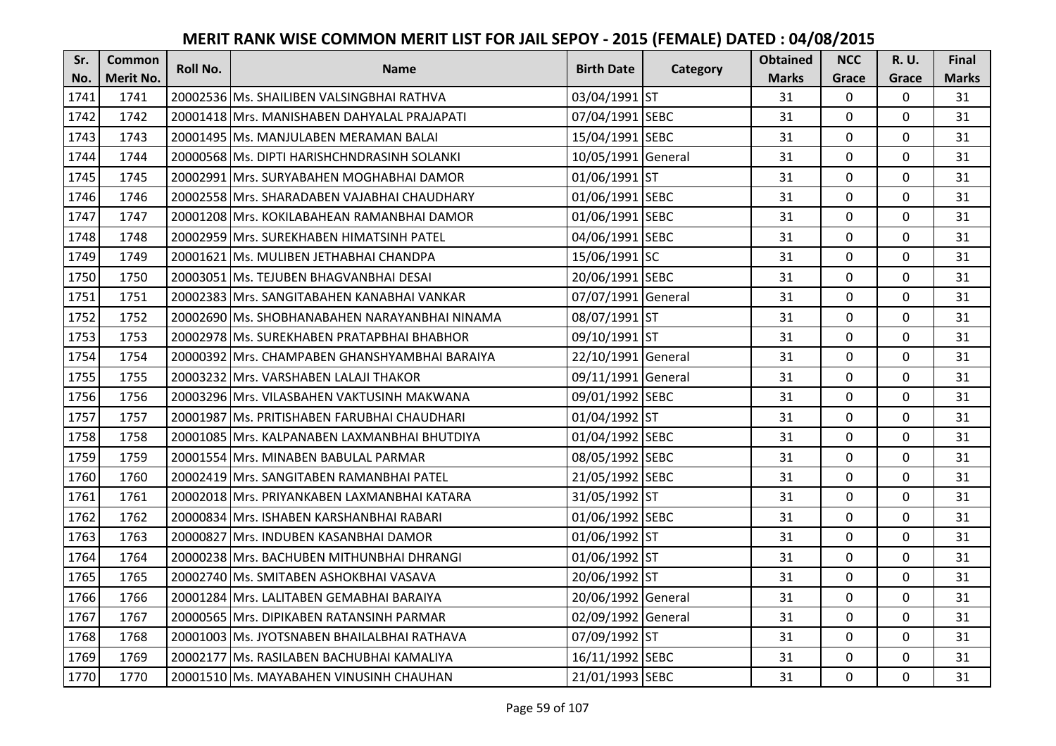| Sr.  | <b>Common</b>    | Roll No. | <b>Name</b>                                   | <b>Birth Date</b>  | Category | <b>Obtained</b> | <b>NCC</b>   | <b>R.U.</b> | Final        |
|------|------------------|----------|-----------------------------------------------|--------------------|----------|-----------------|--------------|-------------|--------------|
| No.  | <b>Merit No.</b> |          |                                               |                    |          | <b>Marks</b>    | Grace        | Grace       | <b>Marks</b> |
| 1741 | 1741             |          | 20002536 Ms. SHAILIBEN VALSINGBHAI RATHVA     | 03/04/1991 ST      |          | 31              | 0            | 0           | 31           |
| 1742 | 1742             |          | 20001418 Mrs. MANISHABEN DAHYALAL PRAJAPATI   | 07/04/1991 SEBC    |          | 31              | $\mathbf 0$  | $\Omega$    | 31           |
| 1743 | 1743             |          | 20001495 lMs. MANJULABEN MERAMAN BALAI        | 15/04/1991 SEBC    |          | 31              | $\mathbf 0$  | $\Omega$    | 31           |
| 1744 | 1744             |          | 20000568 Ms. DIPTI HARISHCHNDRASINH SOLANKI   | 10/05/1991 General |          | 31              | $\mathbf 0$  | 0           | 31           |
| 1745 | 1745             |          | 20002991 Mrs. SURYABAHEN MOGHABHAI DAMOR      | 01/06/1991 ST      |          | 31              | $\mathbf{0}$ | $\mathbf 0$ | 31           |
| 1746 | 1746             |          | 20002558 Mrs. SHARADABEN VAJABHAI CHAUDHARY   | 01/06/1991 SEBC    |          | 31              | $\mathbf 0$  | $\Omega$    | 31           |
| 1747 | 1747             |          | 20001208 Mrs. KOKILABAHEAN RAMANBHAI DAMOR    | 01/06/1991 SEBC    |          | 31              | $\mathbf 0$  | 0           | 31           |
| 1748 | 1748             |          | 20002959 Mrs. SUREKHABEN HIMATSINH PATEL      | 04/06/1991 SEBC    |          | 31              | $\mathbf 0$  | $\mathbf 0$ | 31           |
| 1749 | 1749             |          | 20001621 Ms. MULIBEN JETHABHAI CHANDPA        | 15/06/1991 SC      |          | 31              | $\mathbf 0$  | 0           | 31           |
| 1750 | 1750             |          | 20003051 Ms. TEJUBEN BHAGVANBHAI DESAI        | 20/06/1991 SEBC    |          | 31              | $\mathbf{0}$ | 0           | 31           |
| 1751 | 1751             |          | 20002383 Mrs. SANGITABAHEN KANABHAI VANKAR    | 07/07/1991 General |          | 31              | $\Omega$     | 0           | 31           |
| 1752 | 1752             |          | 20002690 Ms. SHOBHANABAHEN NARAYANBHAI NINAMA | 08/07/1991 ST      |          | 31              | $\mathbf 0$  | 0           | 31           |
| 1753 | 1753             |          | 20002978 Ms. SUREKHABEN PRATAPBHAI BHABHOR    | 09/10/1991 ST      |          | 31              | 0            | $\mathbf 0$ | 31           |
| 1754 | 1754             |          | 20000392 Mrs. CHAMPABEN GHANSHYAMBHAI BARAIYA | 22/10/1991 General |          | 31              | $\mathbf 0$  | 0           | 31           |
| 1755 | 1755             |          | 20003232 Mrs. VARSHABEN LALAJI THAKOR         | 09/11/1991 General |          | 31              | $\mathbf 0$  | 0           | 31           |
| 1756 | 1756             |          | 20003296 Mrs. VILASBAHEN VAKTUSINH MAKWANA    | 09/01/1992 SEBC    |          | 31              | $\mathbf{0}$ | $\Omega$    | 31           |
| 1757 | 1757             |          | 20001987 Ms. PRITISHABEN FARUBHAI CHAUDHARI   | 01/04/1992 ST      |          | 31              | $\mathbf{0}$ | 0           | 31           |
| 1758 | 1758             |          | 20001085 Mrs. KALPANABEN LAXMANBHAI BHUTDIYA  | 01/04/1992 SEBC    |          | 31              | $\mathbf 0$  | $\Omega$    | 31           |
| 1759 | 1759             |          | 20001554 Mrs. MINABEN BABULAL PARMAR          | 08/05/1992 SEBC    |          | 31              | $\mathbf 0$  | $\Omega$    | 31           |
| 1760 | 1760             |          | 20002419 lMrs. SANGITABEN RAMANBHAI PATEL     | 21/05/1992 SEBC    |          | 31              | $\mathbf 0$  | 0           | 31           |
| 1761 | 1761             |          | 20002018 Mrs. PRIYANKABEN LAXMANBHAI KATARA   | 31/05/1992 ST      |          | 31              | $\mathbf 0$  | $\Omega$    | 31           |
| 1762 | 1762             |          | 20000834 Mrs. ISHABEN KARSHANBHAI RABARI      | 01/06/1992 SEBC    |          | 31              | $\mathbf 0$  | $\Omega$    | 31           |
| 1763 | 1763             |          | 20000827 Mrs. INDUBEN KASANBHAI DAMOR         | 01/06/1992 ST      |          | 31              | $\mathbf 0$  | $\Omega$    | 31           |
| 1764 | 1764             |          | 20000238 Mrs. BACHUBEN MITHUNBHAI DHRANGI     | 01/06/1992 ST      |          | 31              | $\mathbf 0$  | $\mathbf 0$ | 31           |
| 1765 | 1765             |          | 20002740 Ms. SMITABEN ASHOKBHAI VASAVA        | 20/06/1992 ST      |          | 31              | $\mathbf 0$  | 0           | 31           |
| 1766 | 1766             |          | 20001284 Mrs. LALITABEN GEMABHAI BARAIYA      | 20/06/1992 General |          | 31              | $\mathbf{0}$ | 0           | 31           |
| 1767 | 1767             |          | 20000565 Mrs. DIPIKABEN RATANSINH PARMAR      | 02/09/1992 General |          | 31              | $\mathbf 0$  | 0           | 31           |
| 1768 | 1768             |          | 20001003 Ms. JYOTSNABEN BHAILALBHAI RATHAVA   | 07/09/1992 ST      |          | 31              | $\Omega$     | 0           | 31           |
| 1769 | 1769             |          | 20002177 Ms. RASILABEN BACHUBHAI KAMALIYA     | 16/11/1992 SEBC    |          | 31              | $\mathbf 0$  | 0           | 31           |
| 1770 | 1770             |          | 20001510 Ms. MAYABAHEN VINUSINH CHAUHAN       | 21/01/1993 SEBC    |          | 31              | $\mathbf{0}$ | 0           | 31           |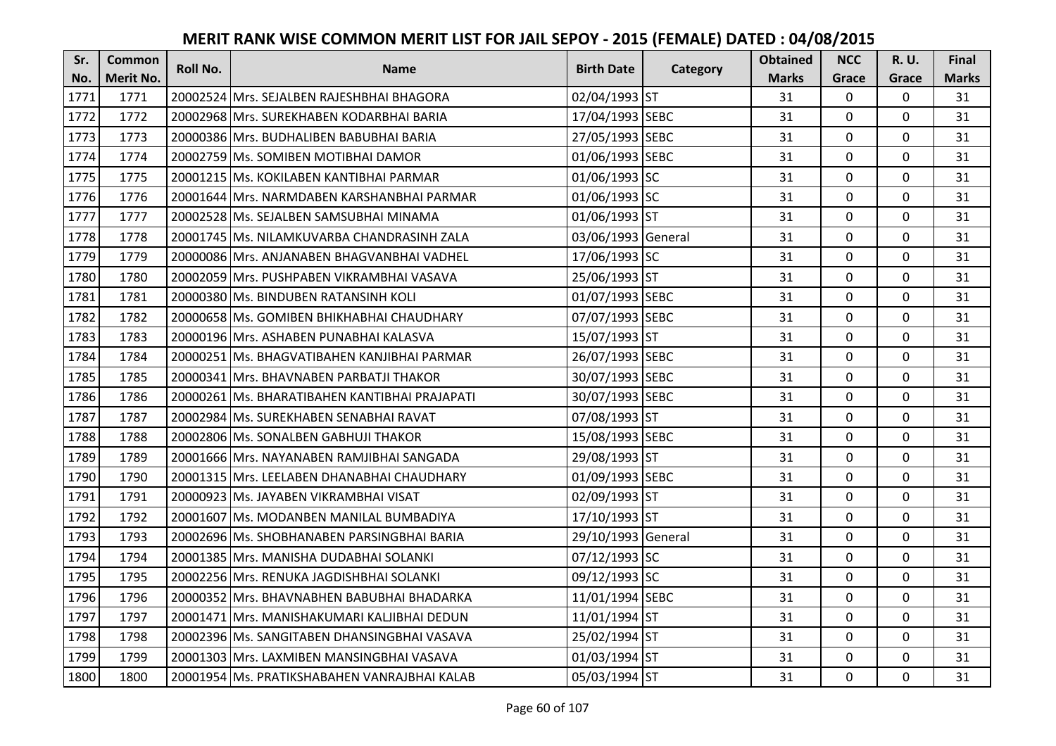| Sr.  | <b>Common</b>    | Roll No. | <b>Name</b>                                   | <b>Birth Date</b>  | Category | <b>Obtained</b> | <b>NCC</b>   | <b>R.U.</b> | Final        |
|------|------------------|----------|-----------------------------------------------|--------------------|----------|-----------------|--------------|-------------|--------------|
| No.  | <b>Merit No.</b> |          |                                               |                    |          | <b>Marks</b>    | Grace        | Grace       | <b>Marks</b> |
| 1771 | 1771             |          | 20002524 Mrs. SEJALBEN RAJESHBHAI BHAGORA     | 02/04/1993 ST      |          | 31              | 0            | 0           | 31           |
| 1772 | 1772             |          | 20002968 Mrs. SUREKHABEN KODARBHAI BARIA      | 17/04/1993 SEBC    |          | 31              | $\mathbf 0$  | $\Omega$    | 31           |
| 1773 | 1773             |          | 20000386 Mrs. BUDHALIBEN BABUBHAI BARIA       | 27/05/1993 SEBC    |          | 31              | $\mathbf 0$  | $\Omega$    | 31           |
| 1774 | 1774             |          | 20002759 Ms. SOMIBEN MOTIBHAI DAMOR           | 01/06/1993 SEBC    |          | 31              | $\mathbf{0}$ | 0           | 31           |
| 1775 | 1775             |          | 20001215 Ms. KOKILABEN KANTIBHAI PARMAR       | 01/06/1993 SC      |          | 31              | $\mathbf{0}$ | $\mathbf 0$ | 31           |
| 1776 | 1776             |          | 20001644 Mrs. NARMDABEN KARSHANBHAI PARMAR    | 01/06/1993 SC      |          | 31              | $\mathbf 0$  | $\Omega$    | 31           |
| 1777 | 1777             |          | 20002528 Ms. SEJALBEN SAMSUBHAI MINAMA        | 01/06/1993 ST      |          | 31              | $\mathbf{0}$ | 0           | 31           |
| 1778 | 1778             |          | 20001745 Ms. NILAMKUVARBA CHANDRASINH ZALA    | 03/06/1993 General |          | 31              | $\mathbf{0}$ | $\mathbf 0$ | 31           |
| 1779 | 1779             |          | 20000086 Mrs. ANJANABEN BHAGVANBHAI VADHEL    | 17/06/1993 SC      |          | 31              | $\mathbf 0$  | 0           | 31           |
| 1780 | 1780             |          | 20002059 Mrs. PUSHPABEN VIKRAMBHAI VASAVA     | 25/06/1993 ST      |          | 31              | $\mathbf{0}$ | 0           | 31           |
| 1781 | 1781             |          | 20000380 Ms. BINDUBEN RATANSINH KOLI          | 01/07/1993 SEBC    |          | 31              | $\Omega$     | 0           | 31           |
| 1782 | 1782             |          | 20000658 Ms. GOMIBEN BHIKHABHAI CHAUDHARY     | 07/07/1993 SEBC    |          | 31              | $\mathbf 0$  | 0           | 31           |
| 1783 | 1783             |          | 20000196 Mrs. ASHABEN PUNABHAI KALASVA        | 15/07/1993 ST      |          | 31              | 0            | 0           | 31           |
| 1784 | 1784             |          | 20000251 Ms. BHAGVATIBAHEN KANJIBHAI PARMAR   | 26/07/1993 SEBC    |          | 31              | $\mathbf 0$  | 0           | 31           |
| 1785 | 1785             |          | 20000341 Mrs. BHAVNABEN PARBATJI THAKOR       | 30/07/1993 SEBC    |          | 31              | $\mathbf 0$  | 0           | 31           |
| 1786 | 1786             |          | 20000261 Ms. BHARATIBAHEN KANTIBHAI PRAJAPATI | 30/07/1993 SEBC    |          | 31              | $\mathbf{0}$ | $\Omega$    | 31           |
| 1787 | 1787             |          | 20002984 Ms. SUREKHABEN SENABHAI RAVAT        | 07/08/1993 ST      |          | 31              | $\mathbf{0}$ | 0           | 31           |
| 1788 | 1788             |          | 20002806 Ms. SONALBEN GABHUJI THAKOR          | 15/08/1993 SEBC    |          | 31              | $\mathbf 0$  | $\Omega$    | 31           |
| 1789 | 1789             |          | 20001666 IMrs. NAYANABEN RAMJIBHAI SANGADA    | 29/08/1993 ST      |          | 31              | $\mathbf 0$  | $\Omega$    | 31           |
| 1790 | 1790             |          | 20001315 Mrs. LEELABEN DHANABHAI CHAUDHARY    | 01/09/1993 SEBC    |          | 31              | $\mathbf 0$  | 0           | 31           |
| 1791 | 1791             |          | 20000923 Ms. JAYABEN VIKRAMBHAI VISAT         | 02/09/1993 ST      |          | 31              | $\mathbf 0$  | $\Omega$    | 31           |
| 1792 | 1792             |          | 20001607 Ms. MODANBEN MANILAL BUMBADIYA       | 17/10/1993 ST      |          | 31              | $\mathbf 0$  | $\Omega$    | 31           |
| 1793 | 1793             |          | 20002696 Ms. SHOBHANABEN PARSINGBHAI BARIA    | 29/10/1993 General |          | 31              | $\mathbf 0$  | 0           | 31           |
| 1794 | 1794             |          | 20001385 Mrs. MANISHA DUDABHAI SOLANKI        | 07/12/1993 SC      |          | 31              | $\mathbf 0$  | $\mathbf 0$ | 31           |
| 1795 | 1795             |          | 20002256 Mrs. RENUKA JAGDISHBHAI SOLANKI      | 09/12/1993 SC      |          | 31              | $\mathbf 0$  | 0           | 31           |
| 1796 | 1796             |          | 20000352 Mrs. BHAVNABHEN BABUBHAI BHADARKA    | 11/01/1994 SEBC    |          | 31              | $\mathbf{0}$ | 0           | 31           |
| 1797 | 1797             |          | 20001471 Mrs. MANISHAKUMARI KALJIBHAI DEDUN   | 11/01/1994 ST      |          | 31              | $\mathbf 0$  | 0           | 31           |
| 1798 | 1798             |          | 20002396 Ms. SANGITABEN DHANSINGBHAI VASAVA   | 25/02/1994 ST      |          | 31              | $\Omega$     | 0           | 31           |
| 1799 | 1799             |          | 20001303 Mrs. LAXMIBEN MANSINGBHAI VASAVA     | 01/03/1994 ST      |          | 31              | $\mathbf 0$  | 0           | 31           |
| 1800 | 1800             |          | 20001954 Ms. PRATIKSHABAHEN VANRAJBHAI KALAB  | 05/03/1994 ST      |          | 31              | $\mathbf{0}$ | 0           | 31           |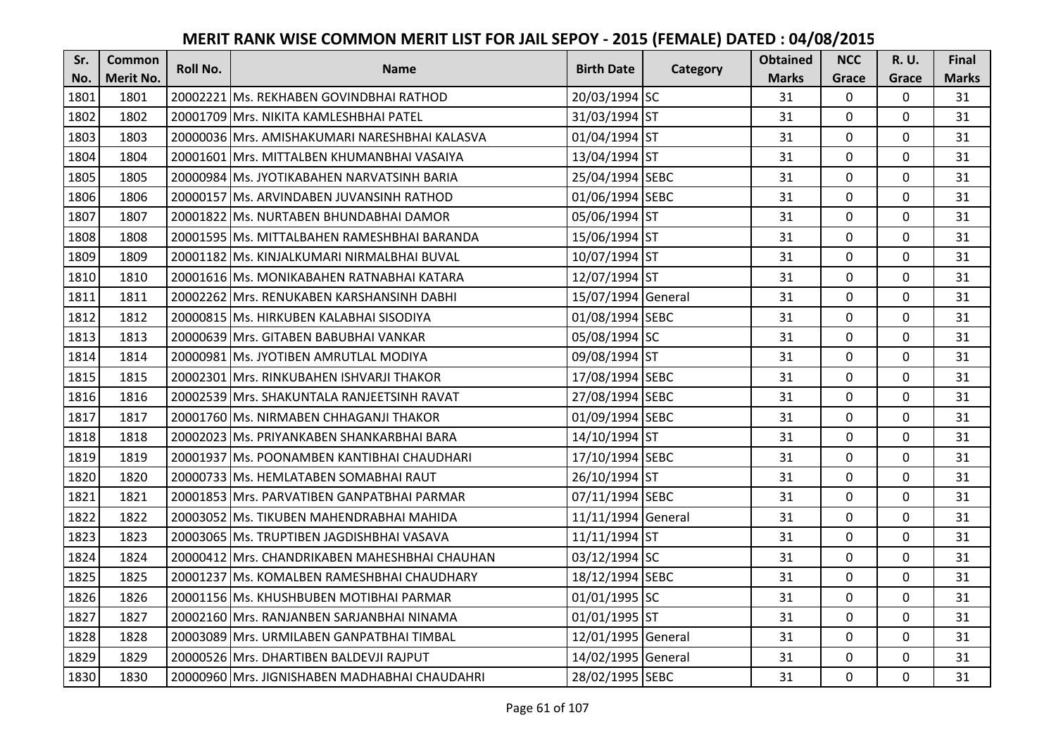| Sr.  | <b>Common</b>    | <b>Roll No.</b> | <b>Name</b>                                    | <b>Birth Date</b>  | Category | <b>Obtained</b> | <b>NCC</b>   | <b>R.U.</b> | Final        |
|------|------------------|-----------------|------------------------------------------------|--------------------|----------|-----------------|--------------|-------------|--------------|
| No.  | <b>Merit No.</b> |                 |                                                |                    |          | <b>Marks</b>    | Grace        | Grace       | <b>Marks</b> |
| 1801 | 1801             |                 | 20002221 Ms. REKHABEN GOVINDBHAI RATHOD        | 20/03/1994 SC      |          | 31              | 0            | 0           | 31           |
| 1802 | 1802             |                 | 20001709 IMrs. NIKITA KAMLESHBHAI PATEL        | 31/03/1994 ST      |          | 31              | $\mathbf{0}$ | $\Omega$    | 31           |
| 1803 | 1803             |                 | 20000036 lMrs. AMISHAKUMARI NARESHBHAI KALASVA | 01/04/1994 ST      |          | 31              | $\mathbf 0$  | 0           | 31           |
| 1804 | 1804             |                 | 20001601 Mrs. MITTALBEN KHUMANBHAI VASAIYA     | 13/04/1994 ST      |          | 31              | $\mathbf 0$  | 0           | 31           |
| 1805 | 1805             |                 | 20000984 Ms. JYOTIKABAHEN NARVATSINH BARIA     | 25/04/1994 SEBC    |          | 31              | $\mathbf{0}$ | $\mathbf 0$ | 31           |
| 1806 | 1806             |                 | 20000157 Ms. ARVINDABEN JUVANSINH RATHOD       | 01/06/1994 SEBC    |          | 31              | $\mathbf 0$  | $\Omega$    | 31           |
| 1807 | 1807             |                 | 20001822 Ms. NURTABEN BHUNDABHAI DAMOR         | 05/06/1994 ST      |          | 31              | $\mathbf 0$  | 0           | 31           |
| 1808 | 1808             |                 | 20001595 Ms. MITTALBAHEN RAMESHBHAI BARANDA    | 15/06/1994 ST      |          | 31              | $\mathbf{0}$ | $\mathbf 0$ | 31           |
| 1809 | 1809             |                 | 20001182 Ms. KINJALKUMARI NIRMALBHAI BUVAL     | 10/07/1994 ST      |          | 31              | $\mathbf 0$  | 0           | 31           |
| 1810 | 1810             |                 | 20001616 Ms. MONIKABAHEN RATNABHAI KATARA      | 12/07/1994 ST      |          | 31              | $\mathbf{0}$ | $\mathbf 0$ | 31           |
| 1811 | 1811             |                 | 20002262 Mrs. RENUKABEN KARSHANSINH DABHI      | 15/07/1994 General |          | 31              | $\Omega$     | 0           | 31           |
| 1812 | 1812             |                 | 20000815 Ms. HIRKUBEN KALABHAI SISODIYA        | 01/08/1994 SEBC    |          | 31              | $\mathbf 0$  | 0           | 31           |
| 1813 | 1813             |                 | 20000639 Mrs. GITABEN BABUBHAI VANKAR          | 05/08/1994 SC      |          | 31              | 0            | 0           | 31           |
| 1814 | 1814             |                 | 20000981 Ms. JYOTIBEN AMRUTLAL MODIYA          | 09/08/1994 ST      |          | 31              | $\mathbf{0}$ | 0           | 31           |
| 1815 | 1815             |                 | 20002301 Mrs. RINKUBAHEN ISHVARJI THAKOR       | 17/08/1994 SEBC    |          | 31              | $\mathbf 0$  | 0           | 31           |
| 1816 | 1816             |                 | 20002539 Mrs. SHAKUNTALA RANJEETSINH RAVAT     | 27/08/1994 SEBC    |          | 31              | $\mathbf{0}$ | $\Omega$    | 31           |
| 1817 | 1817             |                 | 20001760 Ms. NIRMABEN CHHAGANJI THAKOR         | 01/09/1994 SEBC    |          | 31              | $\mathbf{0}$ | 0           | 31           |
| 1818 | 1818             |                 | 20002023 Ms. PRIYANKABEN SHANKARBHAI BARA      | 14/10/1994 ST      |          | 31              | $\mathbf 0$  | $\Omega$    | 31           |
| 1819 | 1819             |                 | 20001937 IMs. POONAMBEN KANTIBHAI CHAUDHARI    | 17/10/1994 SEBC    |          | 31              | $\mathbf 0$  | $\Omega$    | 31           |
| 1820 | 1820             |                 | 20000733 Ms. HEMLATABEN SOMABHAI RAUT          | 26/10/1994 ST      |          | 31              | $\mathbf 0$  | 0           | 31           |
| 1821 | 1821             |                 | 20001853 Mrs. PARVATIBEN GANPATBHAI PARMAR     | 07/11/1994 SEBC    |          | 31              | $\mathbf 0$  | $\Omega$    | 31           |
| 1822 | 1822             |                 | 20003052 Ms. TIKUBEN MAHENDRABHAI MAHIDA       | 11/11/1994 General |          | 31              | $\mathbf 0$  | $\Omega$    | 31           |
| 1823 | 1823             |                 | 20003065 Ms. TRUPTIBEN JAGDISHBHAI VASAVA      | 11/11/1994 ST      |          | 31              | $\mathbf{0}$ | 0           | 31           |
| 1824 | 1824             |                 | 20000412 Mrs. CHANDRIKABEN MAHESHBHAI CHAUHAN  | 03/12/1994 SC      |          | 31              | $\mathbf 0$  | $\mathbf 0$ | 31           |
| 1825 | 1825             |                 | 20001237 Ms. KOMALBEN RAMESHBHAI CHAUDHARY     | 18/12/1994 SEBC    |          | 31              | $\mathbf 0$  | 0           | 31           |
| 1826 | 1826             |                 | 20001156 Ms. KHUSHBUBEN MOTIBHAI PARMAR        | 01/01/1995 SC      |          | 31              | $\mathbf{0}$ | 0           | 31           |
| 1827 | 1827             |                 | 20002160 Mrs. RANJANBEN SARJANBHAI NINAMA      | 01/01/1995 ST      |          | 31              | $\mathbf 0$  | 0           | 31           |
| 1828 | 1828             |                 | 20003089 Mrs. URMILABEN GANPATBHAI TIMBAL      | 12/01/1995 General |          | 31              | $\mathbf 0$  | 0           | 31           |
| 1829 | 1829             |                 | 20000526 Mrs. DHARTIBEN BALDEVJI RAJPUT        | 14/02/1995 General |          | 31              | $\mathbf 0$  | 0           | 31           |
| 1830 | 1830             |                 | 20000960 Mrs. JIGNISHABEN MADHABHAI CHAUDAHRI  | 28/02/1995 SEBC    |          | 31              | $\mathbf 0$  | 0           | 31           |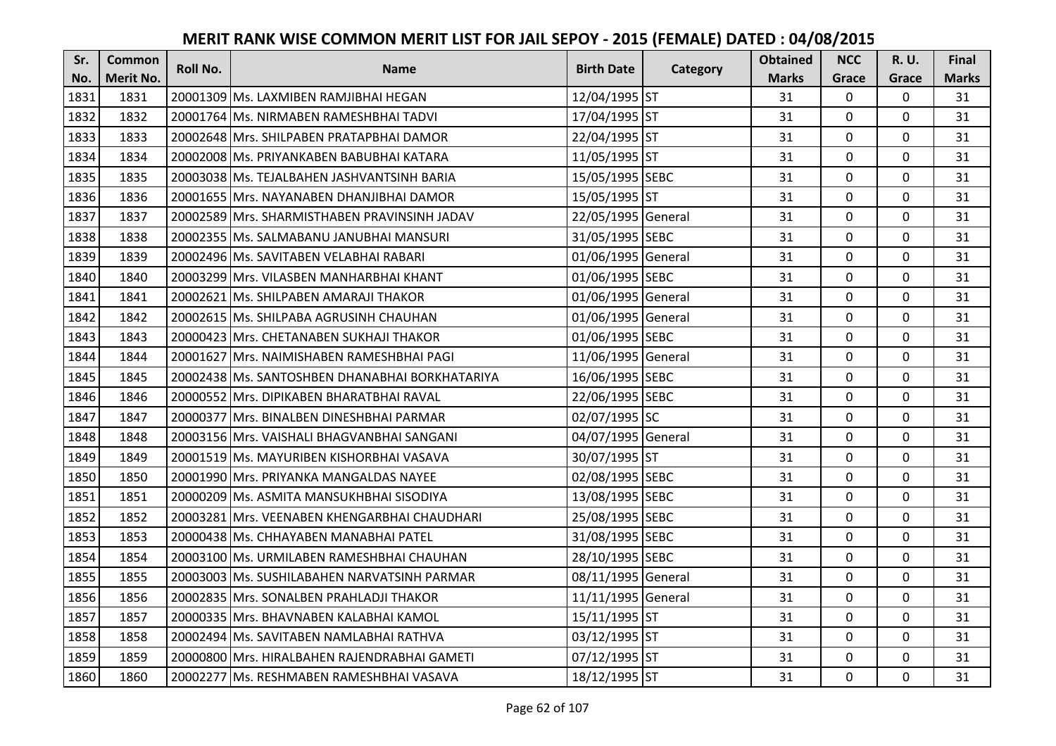| Sr.  | <b>Common</b>    | <b>Roll No.</b> | <b>Name</b>                                    | <b>Birth Date</b>  |          | <b>Obtained</b> | <b>NCC</b>   | <b>R.U.</b> | Final        |
|------|------------------|-----------------|------------------------------------------------|--------------------|----------|-----------------|--------------|-------------|--------------|
| No.  | <b>Merit No.</b> |                 |                                                |                    | Category | <b>Marks</b>    | Grace        | Grace       | <b>Marks</b> |
| 1831 | 1831             |                 | 20001309 Ms. LAXMIBEN RAMJIBHAI HEGAN          | 12/04/1995 ST      |          | 31              | 0            | 0           | 31           |
| 1832 | 1832             |                 | 20001764 Ms. NIRMABEN RAMESHBHAI TADVI         | 17/04/1995 ST      |          | 31              | $\mathbf{0}$ | 0           | 31           |
| 1833 | 1833             |                 | 20002648 Mrs. SHILPABEN PRATAPBHAI DAMOR       | 22/04/1995 ST      |          | 31              | $\mathbf{0}$ | 0           | 31           |
| 1834 | 1834             |                 | 20002008 Ms. PRIYANKABEN BABUBHAI KATARA       | 11/05/1995 ST      |          | 31              | $\mathbf 0$  | 0           | 31           |
| 1835 | 1835             |                 | 20003038 Ms. TEJALBAHEN JASHVANTSINH BARIA     | 15/05/1995 SEBC    |          | 31              | $\mathbf{0}$ | 0           | 31           |
| 1836 | 1836             |                 | 20001655 Mrs. NAYANABEN DHANJIBHAI DAMOR       | 15/05/1995 ST      |          | 31              | $\mathbf{0}$ | 0           | 31           |
| 1837 | 1837             |                 | 20002589 Mrs. SHARMISTHABEN PRAVINSINH JADAV   | 22/05/1995 General |          | 31              | $\mathbf 0$  | 0           | 31           |
| 1838 | 1838             |                 | 20002355   Ms. SALMABANU JANUBHAI MANSURI      | 31/05/1995 SEBC    |          | 31              | $\mathbf 0$  | 0           | 31           |
| 1839 | 1839             |                 | 20002496 Ms. SAVITABEN VELABHAI RABARI         | 01/06/1995 General |          | 31              | $\mathbf 0$  | 0           | 31           |
| 1840 | 1840             |                 | 20003299 Mrs. VILASBEN MANHARBHAI KHANT        | 01/06/1995 SEBC    |          | 31              | $\mathbf 0$  | 0           | 31           |
| 1841 | 1841             |                 | 20002621 Ms. SHILPABEN AMARAJI THAKOR          | 01/06/1995 General |          | 31              | $\Omega$     | 0           | 31           |
| 1842 | 1842             |                 | 20002615 Ms. SHILPABA AGRUSINH CHAUHAN         | 01/06/1995 General |          | 31              | $\mathbf 0$  | $\Omega$    | 31           |
| 1843 | 1843             |                 | 20000423 Mrs. CHETANABEN SUKHAJI THAKOR        | 01/06/1995 SEBC    |          | 31              | $\mathbf 0$  | 0           | 31           |
| 1844 | 1844             |                 | 20001627 Mrs. NAIMISHABEN RAMESHBHAI PAGI      | 11/06/1995 General |          | 31              | $\mathbf 0$  | 0           | 31           |
| 1845 | 1845             |                 | 20002438 Ms. SANTOSHBEN DHANABHAI BORKHATARIYA | 16/06/1995 SEBC    |          | 31              | 0            | 0           | 31           |
| 1846 | 1846             |                 | 20000552 Mrs. DIPIKABEN BHARATBHAI RAVAL       | 22/06/1995 SEBC    |          | 31              | $\mathbf 0$  | 0           | 31           |
| 1847 | 1847             |                 | 20000377 Mrs. BINALBEN DINESHBHAI PARMAR       | 02/07/1995 SC      |          | 31              | $\mathbf{0}$ | 0           | 31           |
| 1848 | 1848             |                 | 20003156 Mrs. VAISHALI BHAGVANBHAI SANGANI     | 04/07/1995 General |          | 31              | $\mathbf{0}$ | 0           | 31           |
| 1849 | 1849             |                 | 20001519 Ms. MAYURIBEN KISHORBHAI VASAVA       | 30/07/1995 ST      |          | 31              | $\mathbf{0}$ | 0           | 31           |
| 1850 | 1850             |                 | 20001990 Mrs. PRIYANKA MANGALDAS NAYEE         | 02/08/1995 SEBC    |          | 31              | $\mathbf 0$  | 0           | 31           |
| 1851 | 1851             |                 | 20000209 Ms. ASMITA MANSUKHBHAI SISODIYA       | 13/08/1995 SEBC    |          | 31              | $\mathbf 0$  | 0           | 31           |
| 1852 | 1852             |                 | 20003281 Mrs. VEENABEN KHENGARBHAI CHAUDHARI   | 25/08/1995 SEBC    |          | 31              | $\mathbf 0$  | 0           | 31           |
| 1853 | 1853             |                 | 20000438 Ms. CHHAYABEN MANABHAI PATEL          | 31/08/1995 SEBC    |          | 31              | $\mathbf 0$  | 0           | 31           |
| 1854 | 1854             |                 | 20003100 Ms. URMILABEN RAMESHBHAI CHAUHAN      | 28/10/1995 SEBC    |          | 31              | $\mathbf 0$  | 0           | 31           |
| 1855 | 1855             |                 | 20003003 Ms. SUSHILABAHEN NARVATSINH PARMAR    | 08/11/1995 General |          | 31              | $\mathbf 0$  | 0           | 31           |
| 1856 | 1856             |                 | 20002835 Mrs. SONALBEN PRAHLADJI THAKOR        | 11/11/1995 General |          | 31              | $\mathbf 0$  | 0           | 31           |
| 1857 | 1857             |                 | 20000335 Mrs. BHAVNABEN KALABHAI KAMOL         | 15/11/1995 ST      |          | 31              | $\mathbf 0$  | 0           | 31           |
| 1858 | 1858             |                 | 20002494 Ms. SAVITABEN NAMLABHAI RATHVA        | 03/12/1995 ST      |          | 31              | $\Omega$     | $\Omega$    | 31           |
| 1859 | 1859             |                 | 20000800 Mrs. HIRALBAHEN RAJENDRABHAI GAMETI   | 07/12/1995 ST      |          | 31              | $\mathbf 0$  | 0           | 31           |
| 1860 | 1860             |                 | 20002277 Ms. RESHMABEN RAMESHBHAI VASAVA       | 18/12/1995 ST      |          | 31              | $\mathbf{0}$ | 0           | 31           |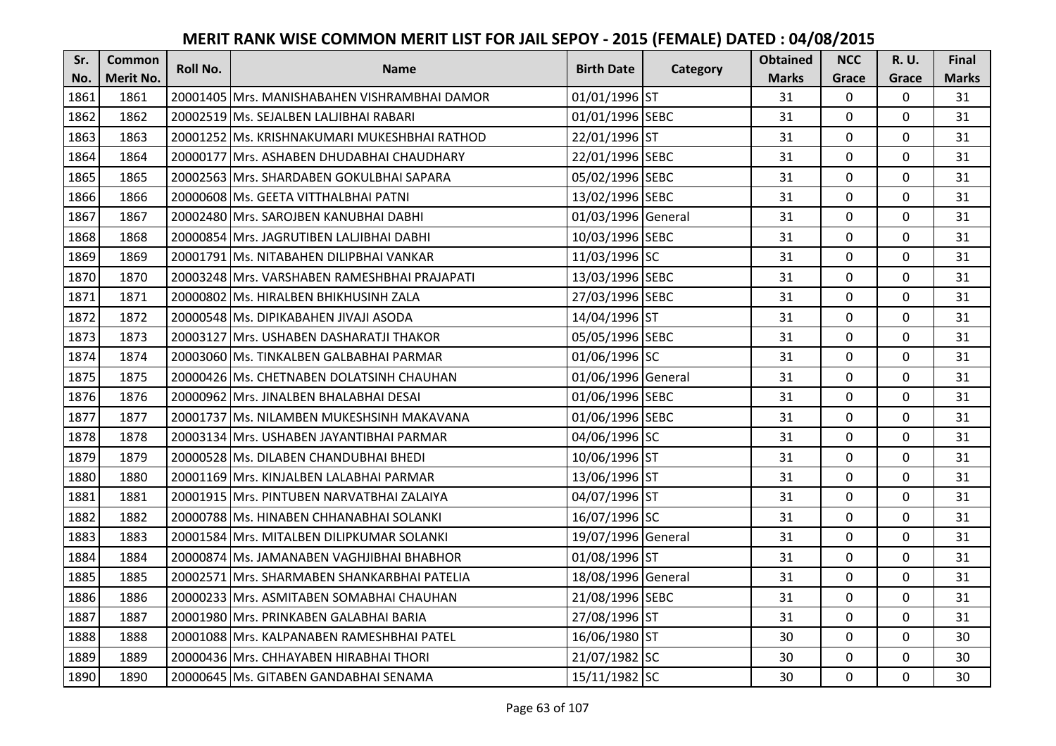| Sr.  | Common    | Roll No. | <b>Name</b>                                   | <b>Birth Date</b>  | Category | <b>Obtained</b> | <b>NCC</b>   | <b>R.U.</b> | Final        |
|------|-----------|----------|-----------------------------------------------|--------------------|----------|-----------------|--------------|-------------|--------------|
| No.  | Merit No. |          |                                               |                    |          | <b>Marks</b>    | Grace        | Grace       | <b>Marks</b> |
| 1861 | 1861      |          | 20001405 Mrs. MANISHABAHEN VISHRAMBHAI DAMOR  | 01/01/1996 ST      |          | 31              | $\mathbf 0$  | 0           | 31           |
| 1862 | 1862      |          | 20002519 Ms. SEJALBEN LALJIBHAI RABARI        | 01/01/1996 SEBC    |          | 31              | $\mathbf{0}$ | 0           | 31           |
| 1863 | 1863      |          | 20001252 lMs. KRISHNAKUMARI MUKESHBHAI RATHOD | 22/01/1996 ST      |          | 31              | $\mathbf 0$  | 0           | 31           |
| 1864 | 1864      |          | 20000177 Mrs. ASHABEN DHUDABHAI CHAUDHARY     | 22/01/1996 SEBC    |          | 31              | 0            | 0           | 31           |
| 1865 | 1865      |          | 20002563 IMrs. SHARDABEN GOKULBHAI SAPARA     | 05/02/1996 SEBC    |          | 31              | $\mathbf{0}$ | $\mathbf 0$ | 31           |
| 1866 | 1866      |          | 20000608 IMs. GEETA VITTHALBHAI PATNI         | 13/02/1996 SEBC    |          | 31              | 0            | 0           | 31           |
| 1867 | 1867      |          | 20002480 Mrs. SAROJBEN KANUBHAI DABHI         | 01/03/1996 General |          | 31              | $\mathbf 0$  | $\Omega$    | 31           |
| 1868 | 1868      |          | 20000854 Mrs. JAGRUTIBEN LALJIBHAI DABHI      | 10/03/1996 SEBC    |          | 31              | $\mathbf 0$  | $\Omega$    | 31           |
| 1869 | 1869      |          | 20001791 Ms. NITABAHEN DILIPBHAI VANKAR       | 11/03/1996 SC      |          | 31              | 0            | $\Omega$    | 31           |
| 1870 | 1870      |          | 20003248 Mrs. VARSHABEN RAMESHBHAI PRAJAPATI  | 13/03/1996 SEBC    |          | 31              | $\mathbf 0$  | 0           | 31           |
| 1871 | 1871      |          | 20000802 Ms. HIRALBEN BHIKHUSINH ZALA         | 27/03/1996 SEBC    |          | 31              | $\mathbf{0}$ | $\mathbf 0$ | 31           |
| 1872 | 1872      |          | 20000548 Ms. DIPIKABAHEN JIVAJI ASODA         | 14/04/1996 ST      |          | 31              | 0            | $\Omega$    | 31           |
| 1873 | 1873      |          | 20003127 Mrs. USHABEN DASHARATJI THAKOR       | 05/05/1996 SEBC    |          | 31              | $\mathbf{0}$ | $\mathbf 0$ | 31           |
| 1874 | 1874      |          | 20003060 IMs. TINKALBEN GALBABHAI PARMAR      | 01/06/1996 SC      |          | 31              | $\mathbf 0$  | $\Omega$    | 31           |
| 1875 | 1875      |          | 20000426 Ms. CHETNABEN DOLATSINH CHAUHAN      | 01/06/1996 General |          | 31              | $\Omega$     | $\Omega$    | 31           |
| 1876 | 1876      |          | 20000962 Mrs. JINALBEN BHALABHAI DESAI        | 01/06/1996 SEBC    |          | 31              | $\mathbf{0}$ | $\mathbf 0$ | 31           |
| 1877 | 1877      |          | 20001737 Ms. NILAMBEN MUKESHSINH MAKAVANA     | 01/06/1996 SEBC    |          | 31              | $\mathbf 0$  | $\mathbf 0$ | 31           |
| 1878 | 1878      |          | 20003134 Mrs. USHABEN JAYANTIBHAI PARMAR      | 04/06/1996 SC      |          | 31              | $\mathbf 0$  | $\Omega$    | 31           |
| 1879 | 1879      |          | 20000528 Ms. DILABEN CHANDUBHAI BHEDI         | 10/06/1996 ST      |          | 31              | $\mathbf{0}$ | $\Omega$    | 31           |
| 1880 | 1880      |          | 20001169 Mrs. KINJALBEN LALABHAI PARMAR       | 13/06/1996 ST      |          | 31              | $\mathbf 0$  | 0           | 31           |
| 1881 | 1881      |          | 20001915 Mrs. PINTUBEN NARVATBHAI ZALAIYA     | 04/07/1996 ST      |          | 31              | $\mathbf 0$  | $\Omega$    | 31           |
| 1882 | 1882      |          | 20000788 Ms. HINABEN CHHANABHAI SOLANKI       | 16/07/1996 SC      |          | 31              | $\Omega$     | $\Omega$    | 31           |
| 1883 | 1883      |          | 20001584 Mrs. MITALBEN DILIPKUMAR SOLANKI     | 19/07/1996 General |          | 31              | $\mathbf 0$  | 0           | 31           |
| 1884 | 1884      |          | 20000874 Ms. JAMANABEN VAGHJIBHAI BHABHOR     | 01/08/1996 ST      |          | 31              | $\mathbf 0$  | $\Omega$    | 31           |
| 1885 | 1885      |          | 20002571 Mrs. SHARMABEN SHANKARBHAI PATELIA   | 18/08/1996 General |          | 31              | $\mathbf 0$  | 0           | 31           |
| 1886 | 1886      |          | 20000233 Mrs. ASMITABEN SOMABHAI CHAUHAN      | 21/08/1996 SEBC    |          | 31              | $\mathbf 0$  | 0           | 31           |
| 1887 | 1887      |          | 20001980 Mrs. PRINKABEN GALABHAI BARIA        | 27/08/1996 ST      |          | 31              | $\mathbf 0$  | 0           | 31           |
| 1888 | 1888      |          | 20001088 Mrs. KALPANABEN RAMESHBHAI PATEL     | 16/06/1980 ST      |          | 30              | $\mathbf{0}$ | $\mathbf 0$ | 30           |
| 1889 | 1889      |          | 20000436   Mrs. CHHAYABEN HIRABHAI THORI      | 21/07/1982 SC      |          | 30              | $\mathbf 0$  | 0           | 30           |
| 1890 | 1890      |          | 20000645 Ms. GITABEN GANDABHAI SENAMA         | 15/11/1982 SC      |          | 30              | $\mathbf{0}$ | $\mathbf 0$ | 30           |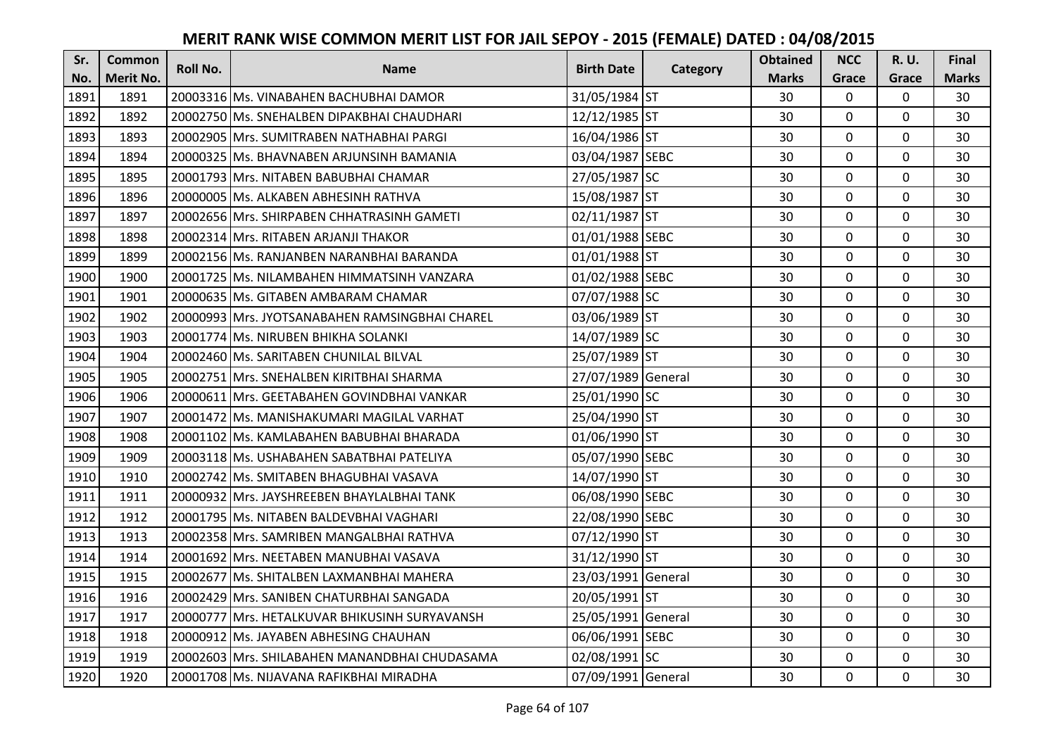| Sr.  | <b>Common</b>    | <b>Roll No.</b> | <b>Name</b>                                    | <b>Birth Date</b>  | Category | <b>Obtained</b> | <b>NCC</b>   | <b>R.U.</b> | Final        |
|------|------------------|-----------------|------------------------------------------------|--------------------|----------|-----------------|--------------|-------------|--------------|
| No.  | <b>Merit No.</b> |                 |                                                |                    |          | <b>Marks</b>    | Grace        | Grace       | <b>Marks</b> |
| 1891 | 1891             |                 | 20003316 Ms. VINABAHEN BACHUBHAI DAMOR         | 31/05/1984 ST      |          | 30              | 0            | 0           | 30           |
| 1892 | 1892             |                 | 20002750 IMs. SNEHALBEN DIPAKBHAI CHAUDHARI    | 12/12/1985 ST      |          | 30              | $\mathbf 0$  | $\Omega$    | 30           |
| 1893 | 1893             |                 | 20002905 IMrs. SUMITRABEN NATHABHAI PARGI      | 16/04/1986 ST      |          | 30              | $\mathbf 0$  | $\Omega$    | 30           |
| 1894 | 1894             |                 | 20000325 Ms. BHAVNABEN ARJUNSINH BAMANIA       | 03/04/1987 SEBC    |          | 30              | $\mathbf 0$  | 0           | 30           |
| 1895 | 1895             |                 | 20001793 Mrs. NITABEN BABUBHAI CHAMAR          | 27/05/1987 SC      |          | 30              | $\mathbf{0}$ | $\mathbf 0$ | 30           |
| 1896 | 1896             |                 | 20000005 Ms. ALKABEN ABHESINH RATHVA           | 15/08/1987 ST      |          | 30              | $\Omega$     | $\Omega$    | 30           |
| 1897 | 1897             |                 | 20002656 Mrs. SHIRPABEN CHHATRASINH GAMETI     | 02/11/1987 ST      |          | 30              | $\mathbf 0$  | 0           | 30           |
| 1898 | 1898             |                 | 20002314 Mrs. RITABEN ARJANJI THAKOR           | 01/01/1988 SEBC    |          | 30              | $\mathbf{0}$ | $\mathbf 0$ | 30           |
| 1899 | 1899             |                 | 20002156 Ms. RANJANBEN NARANBHAI BARANDA       | 01/01/1988 ST      |          | 30              | $\mathbf 0$  | 0           | 30           |
| 1900 | 1900             |                 | 20001725 Ms. NILAMBAHEN HIMMATSINH VANZARA     | 01/02/1988 SEBC    |          | 30              | $\mathbf{0}$ | 0           | 30           |
| 1901 | 1901             |                 | 20000635 Ms. GITABEN AMBARAM CHAMAR            | 07/07/1988 SC      |          | 30              | $\Omega$     | 0           | 30           |
| 1902 | 1902             |                 | 20000993 Mrs. JYOTSANABAHEN RAMSINGBHAI CHAREL | 03/06/1989 ST      |          | 30              | $\mathbf 0$  | 0           | 30           |
| 1903 | 1903             |                 | 20001774 Ms. NIRUBEN BHIKHA SOLANKI            | 14/07/1989 SC      |          | 30              | 0            | $\mathbf 0$ | 30           |
| 1904 | 1904             |                 | 20002460 Ms. SARITABEN CHUNILAL BILVAL         | 25/07/1989 ST      |          | 30              | $\mathbf{0}$ | 0           | 30           |
| 1905 | 1905             |                 | 20002751 Mrs. SNEHALBEN KIRITBHAI SHARMA       | 27/07/1989 General |          | 30              | $\mathbf 0$  | 0           | 30           |
| 1906 | 1906             |                 | 20000611 Mrs. GEETABAHEN GOVINDBHAI VANKAR     | 25/01/1990 SC      |          | 30              | $\mathbf{0}$ | $\Omega$    | 30           |
| 1907 | 1907             |                 | 20001472 lMs. MANISHAKUMARI MAGILAL VARHAT     | 25/04/1990 ST      |          | 30              | $\mathbf{0}$ | 0           | 30           |
| 1908 | 1908             |                 | 20001102 Ms. KAMLABAHEN BABUBHAI BHARADA       | 01/06/1990 ST      |          | 30              | $\mathbf 0$  | $\Omega$    | 30           |
| 1909 | 1909             |                 | 20003118 IMs. USHABAHEN SABATBHAI PATELIYA     | 05/07/1990 SEBC    |          | 30              | $\mathbf{0}$ | $\Omega$    | 30           |
| 1910 | 1910             |                 | 20002742 Ms. SMITABEN BHAGUBHAI VASAVA         | 14/07/1990 ST      |          | 30              | $\mathbf{0}$ | 0           | 30           |
| 1911 | 1911             |                 | 20000932 Mrs. JAYSHREEBEN BHAYLALBHAI TANK     | 06/08/1990 SEBC    |          | 30              | $\mathbf 0$  | $\Omega$    | 30           |
| 1912 | 1912             |                 | 20001795 Ms. NITABEN BALDEVBHAI VAGHARI        | 22/08/1990 SEBC    |          | 30              | $\mathbf{0}$ | $\Omega$    | 30           |
| 1913 | 1913             |                 | 20002358 Mrs. SAMRIBEN MANGALBHAI RATHVA       | 07/12/1990 ST      |          | 30              | $\mathbf 0$  | $\Omega$    | 30           |
| 1914 | 1914             |                 | 20001692 Mrs. NEETABEN MANUBHAI VASAVA         | 31/12/1990 ST      |          | 30              | $\mathbf 0$  | $\mathbf 0$ | 30           |
| 1915 | 1915             |                 | 20002677 Ms. SHITALBEN LAXMANBHAI MAHERA       | 23/03/1991 General |          | 30              | $\mathbf 0$  | 0           | 30           |
| 1916 | 1916             |                 | 20002429 Mrs. SANIBEN CHATURBHAI SANGADA       | 20/05/1991 ST      |          | 30              | $\mathbf{0}$ | 0           | 30           |
| 1917 | 1917             | 20000777        | Mrs. HETALKUVAR BHIKUSINH SURYAVANSH           | 25/05/1991 General |          | 30              | $\mathbf 0$  | 0           | 30           |
| 1918 | 1918             |                 | 20000912 Ms. JAYABEN ABHESING CHAUHAN          | 06/06/1991 SEBC    |          | 30              | $\Omega$     | 0           | 30           |
| 1919 | 1919             |                 | 20002603 Mrs. SHILABAHEN MANANDBHAI CHUDASAMA  | 02/08/1991 SC      |          | 30              | 0            | 0           | 30           |
| 1920 | 1920             |                 | 20001708 Ms. NIJAVANA RAFIKBHAI MIRADHA        | 07/09/1991 General |          | 30              | $\mathbf{0}$ | 0           | 30           |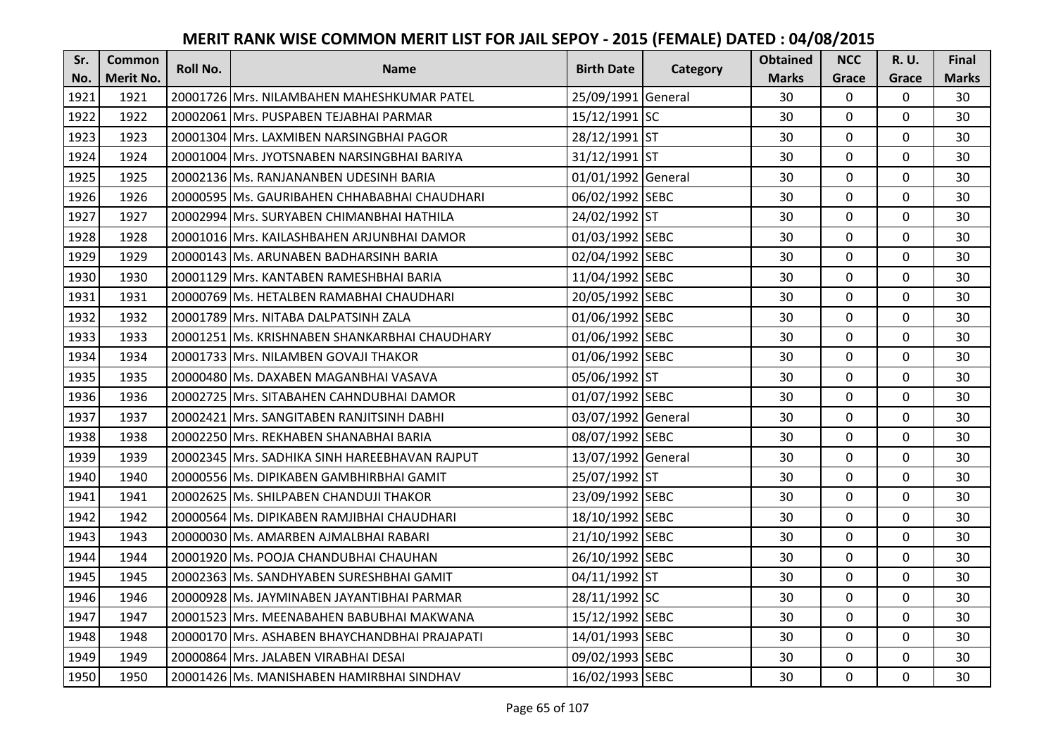| Sr.  | <b>Common</b>    | <b>Roll No.</b> | <b>Name</b>                                   | <b>Birth Date</b>  | Category | <b>Obtained</b> | <b>NCC</b>   | <b>R.U.</b> | Final        |
|------|------------------|-----------------|-----------------------------------------------|--------------------|----------|-----------------|--------------|-------------|--------------|
| No.  | <b>Merit No.</b> |                 |                                               |                    |          | <b>Marks</b>    | Grace        | Grace       | <b>Marks</b> |
| 1921 | 1921             |                 | 20001726 Mrs. NILAMBAHEN MAHESHKUMAR PATEL    | 25/09/1991 General |          | 30              | 0            | 0           | 30           |
| 1922 | 1922             |                 | 20002061 IMrs. PUSPABEN TEJABHAI PARMAR       | 15/12/1991 SC      |          | 30              | $\mathbf 0$  | $\Omega$    | 30           |
| 1923 | 1923             |                 | 20001304 lMrs. LAXMIBEN NARSINGBHAI PAGOR     | 28/12/1991 ST      |          | 30              | $\mathbf 0$  | $\Omega$    | 30           |
| 1924 | 1924             |                 | 20001004 Mrs. JYOTSNABEN NARSINGBHAI BARIYA   | 31/12/1991 ST      |          | 30              | $\mathbf 0$  | 0           | 30           |
| 1925 | 1925             |                 | 20002136 IMs. RANJANANBEN UDESINH BARIA       | 01/01/1992 General |          | 30              | $\mathbf{0}$ | $\mathbf 0$ | 30           |
| 1926 | 1926             |                 | 20000595 Ms. GAURIBAHEN CHHABABHAI CHAUDHARI  | 06/02/1992 SEBC    |          | 30              | $\mathbf 0$  | $\Omega$    | 30           |
| 1927 | 1927             |                 | 20002994 Mrs. SURYABEN CHIMANBHAI HATHILA     | 24/02/1992 ST      |          | 30              | $\mathbf 0$  | 0           | 30           |
| 1928 | 1928             |                 | 20001016 Mrs. KAILASHBAHEN ARJUNBHAI DAMOR    | 01/03/1992 SEBC    |          | 30              | $\mathbf 0$  | $\Omega$    | 30           |
| 1929 | 1929             |                 | 20000143 Ms. ARUNABEN BADHARSINH BARIA        | 02/04/1992 SEBC    |          | 30              | $\mathbf 0$  | 0           | 30           |
| 1930 | 1930             |                 | 20001129 Mrs. KANTABEN RAMESHBHAI BARIA       | 11/04/1992 SEBC    |          | 30              | $\mathbf{0}$ | 0           | 30           |
| 1931 | 1931             |                 | 20000769 Ms. HETALBEN RAMABHAI CHAUDHARI      | 20/05/1992 SEBC    |          | 30              | $\Omega$     | 0           | 30           |
| 1932 | 1932             |                 | 20001789 Mrs. NITABA DALPATSINH ZALA          | 01/06/1992 SEBC    |          | 30              | $\mathbf 0$  | 0           | 30           |
| 1933 | 1933             |                 | 20001251 Ms. KRISHNABEN SHANKARBHAI CHAUDHARY | 01/06/1992 SEBC    |          | 30              | 0            | $\mathbf 0$ | 30           |
| 1934 | 1934             |                 | 20001733 Mrs. NILAMBEN GOVAJI THAKOR          | 01/06/1992 SEBC    |          | 30              | $\mathbf 0$  | 0           | 30           |
| 1935 | 1935             |                 | 20000480 Ms. DAXABEN MAGANBHAI VASAVA         | 05/06/1992 ST      |          | 30              | $\mathbf 0$  | 0           | 30           |
| 1936 | 1936             |                 | 20002725 Mrs. SITABAHEN CAHNDUBHAI DAMOR      | 01/07/1992 SEBC    |          | 30              | $\mathbf{0}$ | $\Omega$    | 30           |
| 1937 | 1937             |                 | 20002421 lMrs. SANGITABEN RANJITSINH DABHI    | 03/07/1992 General |          | 30              | $\mathbf{0}$ | 0           | 30           |
| 1938 | 1938             |                 | 20002250 Mrs. REKHABEN SHANABHAI BARIA        | 08/07/1992 SEBC    |          | 30              | $\mathbf 0$  | $\Omega$    | 30           |
| 1939 | 1939             |                 | 20002345 Mrs. SADHIKA SINH HAREEBHAVAN RAJPUT | 13/07/1992 General |          | 30              | $\mathbf 0$  | $\Omega$    | 30           |
| 1940 | 1940             |                 | 20000556 IMs. DIPIKABEN GAMBHIRBHAI GAMIT     | 25/07/1992 ST      |          | 30              | $\mathbf 0$  | 0           | 30           |
| 1941 | 1941             |                 | 20002625 Ms. SHILPABEN CHANDUJI THAKOR        | 23/09/1992 SEBC    |          | 30              | $\Omega$     | $\Omega$    | 30           |
| 1942 | 1942             |                 | 20000564 Ms. DIPIKABEN RAMJIBHAI CHAUDHARI    | 18/10/1992 SEBC    |          | 30              | $\mathbf 0$  | $\Omega$    | 30           |
| 1943 | 1943             |                 | 20000030 Ms. AMARBEN AJMALBHAI RABARI         | 21/10/1992 SEBC    |          | 30              | $\mathbf 0$  | $\Omega$    | 30           |
| 1944 | 1944             |                 | 20001920 Ms. POOJA CHANDUBHAI CHAUHAN         | 26/10/1992 SEBC    |          | 30              | $\mathbf 0$  | $\mathbf 0$ | 30           |
| 1945 | 1945             |                 | 20002363 Ms. SANDHYABEN SURESHBHAI GAMIT      | 04/11/1992 ST      |          | 30              | $\mathbf 0$  | 0           | 30           |
| 1946 | 1946             |                 | 20000928 Ms. JAYMINABEN JAYANTIBHAI PARMAR    | 28/11/1992 SC      |          | 30              | $\mathbf 0$  | 0           | 30           |
| 1947 | 1947             |                 | 20001523 Mrs. MEENABAHEN BABUBHAI MAKWANA     | 15/12/1992 SEBC    |          | 30              | $\mathbf 0$  | 0           | 30           |
| 1948 | 1948             |                 | 20000170 Mrs. ASHABEN BHAYCHANDBHAI PRAJAPATI | 14/01/1993 SEBC    |          | 30              | $\Omega$     | 0           | 30           |
| 1949 | 1949             |                 | 20000864 Mrs. JALABEN VIRABHAI DESAI          | 09/02/1993 SEBC    |          | 30              | $\mathbf 0$  | 0           | 30           |
| 1950 | 1950             |                 | 20001426 Ms. MANISHABEN HAMIRBHAI SINDHAV     | 16/02/1993 SEBC    |          | 30              | $\mathbf{0}$ | 0           | 30           |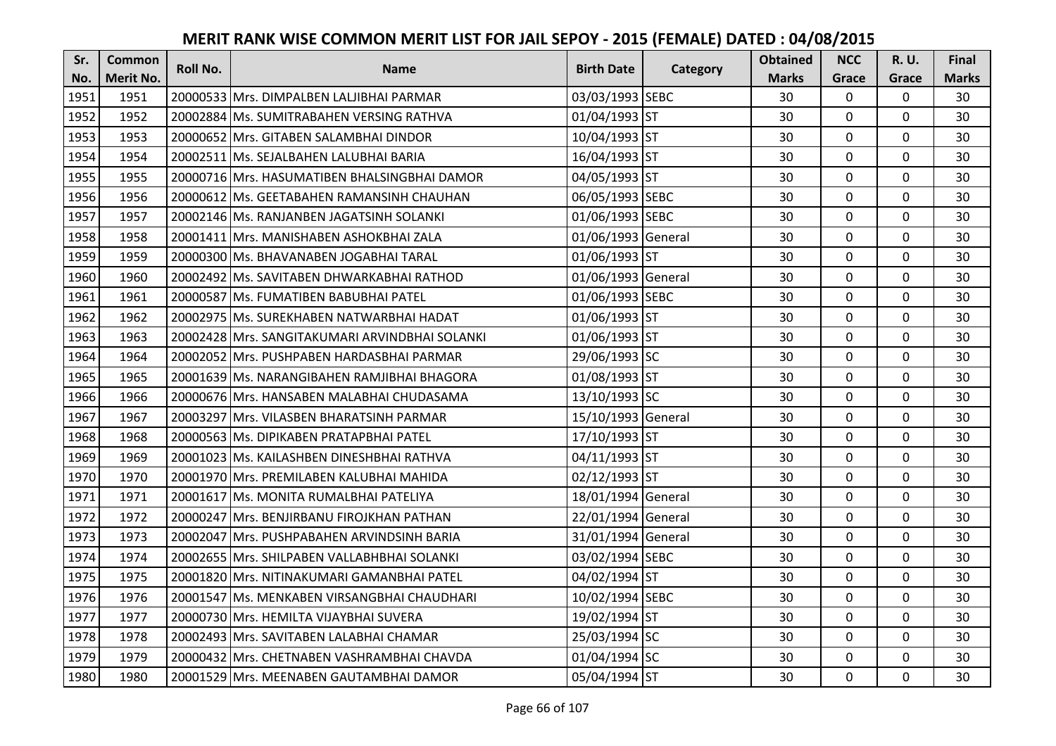| Sr.  | <b>Common</b>    | Roll No. | <b>Name</b>                                    | <b>Birth Date</b>  | Category | <b>Obtained</b> | <b>NCC</b>     | <b>R.U.</b>  | <b>Final</b> |
|------|------------------|----------|------------------------------------------------|--------------------|----------|-----------------|----------------|--------------|--------------|
| No.  | <b>Merit No.</b> |          |                                                |                    |          | <b>Marks</b>    | Grace          | Grace        | <b>Marks</b> |
| 1951 | 1951             |          | 20000533 Mrs. DIMPALBEN LALJIBHAI PARMAR       | 03/03/1993 SEBC    |          | 30              | 0              | 0            | 30           |
| 1952 | 1952             |          | 20002884 Ms. SUMITRABAHEN VERSING RATHVA       | 01/04/1993 ST      |          | 30              | 0              | $\mathbf 0$  | 30           |
| 1953 | 1953             |          | 20000652 IMrs. GITABEN SALAMBHAI DINDOR        | 10/04/1993 ST      |          | 30              | 0              | 0            | 30           |
| 1954 | 1954             |          | 20002511 Ms. SEJALBAHEN LALUBHAI BARIA         | 16/04/1993 ST      |          | 30              | 0              | $\mathbf 0$  | 30           |
| 1955 | 1955             |          | 20000716 Mrs. HASUMATIBEN BHALSINGBHAI DAMOR   | 04/05/1993 ST      |          | 30              | $\overline{0}$ | $\mathbf 0$  | 30           |
| 1956 | 1956             |          | 20000612 Ms. GEETABAHEN RAMANSINH CHAUHAN      | 06/05/1993 SEBC    |          | 30              | 0              | 0            | 30           |
| 1957 | 1957             |          | 20002146 Ms. RANJANBEN JAGATSINH SOLANKI       | 01/06/1993 SEBC    |          | 30              | 0              | $\mathbf 0$  | 30           |
| 1958 | 1958             |          | 20001411 Mrs. MANISHABEN ASHOKBHAI ZALA        | 01/06/1993 General |          | 30              | $\overline{0}$ | $\mathbf 0$  | 30           |
| 1959 | 1959             |          | 20000300 Ms. BHAVANABEN JOGABHAI TARAL         | 01/06/1993 ST      |          | 30              | 0              | $\mathbf 0$  | 30           |
| 1960 | 1960             |          | 20002492 Ms. SAVITABEN DHWARKABHAI RATHOD      | 01/06/1993 General |          | 30              | $\overline{0}$ | $\mathbf{0}$ | 30           |
| 1961 | 1961             |          | 20000587 Ms. FUMATIBEN BABUBHAI PATEL          | 01/06/1993 SEBC    |          | 30              | $\Omega$       | $\mathbf 0$  | 30           |
| 1962 | 1962             |          | 20002975 Ms. SUREKHABEN NATWARBHAI HADAT       | 01/06/1993 ST      |          | 30              | 0              | $\mathbf 0$  | 30           |
| 1963 | 1963             |          | 20002428 Mrs. SANGITAKUMARI ARVINDBHAI SOLANKI | 01/06/1993 ST      |          | 30              | $\overline{0}$ | $\mathbf 0$  | 30           |
| 1964 | 1964             |          | 20002052 Mrs. PUSHPABEN HARDASBHAI PARMAR      | 29/06/1993 SC      |          | 30              | 0              | 0            | 30           |
| 1965 | 1965             |          | 20001639 Ms. NARANGIBAHEN RAMJIBHAI BHAGORA    | 01/08/1993 ST      |          | 30              | 0              | $\mathbf 0$  | 30           |
| 1966 | 1966             |          | 20000676 Mrs. HANSABEN MALABHAI CHUDASAMA      | 13/10/1993 SC      |          | 30              | $\overline{0}$ | $\Omega$     | 30           |
| 1967 | 1967             |          | 20003297 IMrs. VILASBEN BHARATSINH PARMAR      | 15/10/1993 General |          | 30              | $\overline{0}$ | $\mathbf 0$  | 30           |
| 1968 | 1968             |          | 20000563 Ms. DIPIKABEN PRATAPBHAI PATEL        | 17/10/1993 ST      |          | 30              | 0              | $\mathbf 0$  | 30           |
| 1969 | 1969             |          | 20001023 IMs. KAILASHBEN DINESHBHAI RATHVA     | 04/11/1993 ST      |          | 30              | $\mathbf{0}$   | $\Omega$     | 30           |
| 1970 | 1970             |          | 20001970 Mrs. PREMILABEN KALUBHAI MAHIDA       | 02/12/1993 ST      |          | 30              | 0              | 0            | 30           |
| 1971 | 1971             |          | 20001617 Ms. MONITA RUMALBHAI PATELIYA         | 18/01/1994 General |          | 30              | 0              | $\mathbf 0$  | 30           |
| 1972 | 1972             |          | 20000247 Mrs. BENJIRBANU FIROJKHAN PATHAN      | 22/01/1994 General |          | 30              | $\Omega$       | $\Omega$     | 30           |
| 1973 | 1973             |          | 20002047 Mrs. PUSHPABAHEN ARVINDSINH BARIA     | 31/01/1994 General |          | 30              | $\overline{0}$ | $\mathbf 0$  | 30           |
| 1974 | 1974             |          | 20002655 Mrs. SHILPABEN VALLABHBHAI SOLANKI    | 03/02/1994 SEBC    |          | 30              | 0              | $\mathbf 0$  | 30           |
| 1975 | 1975             |          | 20001820 Mrs. NITINAKUMARI GAMANBHAI PATEL     | 04/02/1994 ST      |          | 30              | 0              | $\mathbf 0$  | 30           |
| 1976 | 1976             |          | 20001547 Ms. MENKABEN VIRSANGBHAI CHAUDHARI    | 10/02/1994 SEBC    |          | 30              | $\overline{0}$ | $\mathbf 0$  | 30           |
| 1977 | 1977             |          | 20000730 Mrs. HEMILTA VIJAYBHAI SUVERA         | 19/02/1994 ST      |          | 30              | 0              | $\mathbf 0$  | 30           |
| 1978 | 1978             |          | 20002493 Mrs. SAVITABEN LALABHAI CHAMAR        | 25/03/1994 SC      |          | 30              | $\Omega$       | $\mathbf 0$  | 30           |
| 1979 | 1979             |          | 20000432 Mrs. CHETNABEN VASHRAMBHAI CHAVDA     | 01/04/1994 SC      |          | 30              | 0              | $\mathbf 0$  | 30           |
| 1980 | 1980             |          | 20001529 Mrs. MEENABEN GAUTAMBHAI DAMOR        | 05/04/1994 ST      |          | 30              | $\overline{0}$ | $\mathbf 0$  | 30           |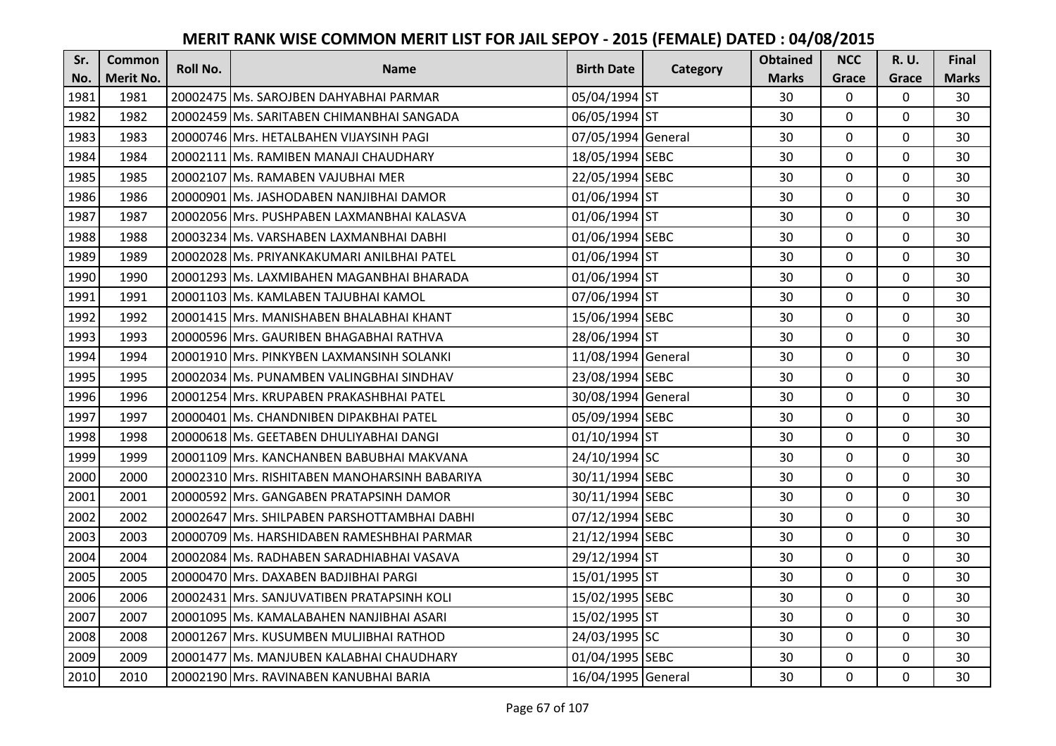| Sr.  | <b>Common</b>    | <b>Roll No.</b> | <b>Name</b>                                   | <b>Birth Date</b>  |          | <b>Obtained</b> | <b>NCC</b>   | <b>R.U.</b> | Final        |
|------|------------------|-----------------|-----------------------------------------------|--------------------|----------|-----------------|--------------|-------------|--------------|
| No.  | <b>Merit No.</b> |                 |                                               |                    | Category | <b>Marks</b>    | Grace        | Grace       | <b>Marks</b> |
| 1981 | 1981             |                 | 20002475 Ms. SAROJBEN DAHYABHAI PARMAR        | 05/04/1994 ST      |          | 30              | 0            | 0           | 30           |
| 1982 | 1982             |                 | 20002459 Ms. SARITABEN CHIMANBHAI SANGADA     | 06/05/1994 ST      |          | 30              | $\mathbf 0$  | $\Omega$    | 30           |
| 1983 | 1983             |                 | 20000746 Mrs. HETALBAHEN VIJAYSINH PAGI       | 07/05/1994 General |          | 30              | $\mathbf 0$  | $\Omega$    | 30           |
| 1984 | 1984             |                 | 20002111 Ms. RAMIBEN MANAJI CHAUDHARY         | 18/05/1994 SEBC    |          | 30              | $\mathbf 0$  | $\Omega$    | 30           |
| 1985 | 1985             |                 | 20002107 Ms. RAMABEN VAJUBHAI MER             | 22/05/1994 SEBC    |          | 30              | $\mathbf{0}$ | $\mathbf 0$ | 30           |
| 1986 | 1986             |                 | 20000901 Ms. JASHODABEN NANJIBHAI DAMOR       | 01/06/1994 ST      |          | 30              | $\Omega$     | $\Omega$    | 30           |
| 1987 | 1987             |                 | 20002056 Mrs. PUSHPABEN LAXMANBHAI KALASVA    | 01/06/1994 ST      |          | 30              | $\mathbf 0$  | $\Omega$    | 30           |
| 1988 | 1988             |                 | 20003234 Ms. VARSHABEN LAXMANBHAI DABHI       | 01/06/1994 SEBC    |          | 30              | $\mathbf 0$  | $\Omega$    | 30           |
| 1989 | 1989             |                 | 20002028   Ms. PRIYANKAKUMARI ANILBHAI PATEL  | 01/06/1994 ST      |          | 30              | 0            | 0           | 30           |
| 1990 | 1990             |                 | 20001293 Ms. LAXMIBAHEN MAGANBHAI BHARADA     | 01/06/1994 ST      |          | 30              | $\mathbf{0}$ | $\mathbf 0$ | 30           |
| 1991 | 1991             |                 | 20001103   Ms. KAMLABEN TAJUBHAI KAMOL        | 07/06/1994 ST      |          | 30              | $\Omega$     | $\Omega$    | 30           |
| 1992 | 1992             |                 | 20001415 Mrs. MANISHABEN BHALABHAI KHANT      | 15/06/1994 SEBC    |          | 30              | $\mathbf 0$  | 0           | 30           |
| 1993 | 1993             |                 | 20000596 Mrs. GAURIBEN BHAGABHAI RATHVA       | 28/06/1994 ST      |          | 30              | $\mathbf{0}$ | $\mathbf 0$ | 30           |
| 1994 | 1994             |                 | 20001910 Mrs. PINKYBEN LAXMANSINH SOLANKI     | 11/08/1994 General |          | 30              | $\mathbf 0$  | 0           | 30           |
| 1995 | 1995             |                 | 20002034 Ms. PUNAMBEN VALINGBHAI SINDHAV      | 23/08/1994 SEBC    |          | 30              | $\mathbf 0$  | 0           | 30           |
| 1996 | 1996             |                 | 20001254 Mrs. KRUPABEN PRAKASHBHAI PATEL      | 30/08/1994 General |          | 30              | $\mathbf{0}$ | $\Omega$    | 30           |
| 1997 | 1997             |                 | 20000401 Ms. CHANDNIBEN DIPAKBHAI PATEL       | 05/09/1994 SEBC    |          | 30              | $\mathbf{0}$ | $\Omega$    | 30           |
| 1998 | 1998             |                 | 20000618 Ms. GEETABEN DHULIYABHAI DANGI       | 01/10/1994 ST      |          | 30              | $\mathbf 0$  | $\Omega$    | 30           |
| 1999 | 1999             |                 | 20001109 IMrs. KANCHANBEN BABUBHAI MAKVANA    | 24/10/1994 SC      |          | 30              | $\mathbf 0$  | $\Omega$    | 30           |
| 2000 | 2000             |                 | 20002310 Mrs. RISHITABEN MANOHARSINH BABARIYA | 30/11/1994 SEBC    |          | 30              | $\mathbf 0$  | 0           | 30           |
| 2001 | 2001             |                 | 20000592 Mrs. GANGABEN PRATAPSINH DAMOR       | 30/11/1994 SEBC    |          | 30              | $\mathbf 0$  | $\Omega$    | 30           |
| 2002 | 2002             |                 | 20002647 Mrs. SHILPABEN PARSHOTTAMBHAI DABHI  | 07/12/1994 SEBC    |          | 30              | $\Omega$     | $\Omega$    | 30           |
| 2003 | 2003             |                 | 20000709 Ms. HARSHIDABEN RAMESHBHAI PARMAR    | 21/12/1994 SEBC    |          | 30              | $\mathbf 0$  | $\Omega$    | 30           |
| 2004 | 2004             |                 | 20002084 Ms. RADHABEN SARADHIABHAI VASAVA     | 29/12/1994 ST      |          | 30              | $\mathbf 0$  | $\mathbf 0$ | 30           |
| 2005 | 2005             |                 | 20000470 Mrs. DAXABEN BADJIBHAI PARGI         | 15/01/1995 ST      |          | 30              | $\mathbf 0$  | 0           | 30           |
| 2006 | 2006             |                 | 20002431 Mrs. SANJUVATIBEN PRATAPSINH KOLI    | 15/02/1995 SEBC    |          | 30              | $\mathbf 0$  | $\Omega$    | 30           |
| 2007 | 2007             |                 | 20001095 Ms. KAMALABAHEN NANJIBHAI ASARI      | 15/02/1995 ST      |          | 30              | $\mathbf 0$  | 0           | 30           |
| 2008 | 2008             |                 | 20001267 Mrs. KUSUMBEN MULJIBHAI RATHOD       | 24/03/1995 SC      |          | 30              | $\Omega$     | $\Omega$    | 30           |
| 2009 | 2009             |                 | 20001477 Ms. MANJUBEN KALABHAI CHAUDHARY      | 01/04/1995 SEBC    |          | 30              | $\mathbf 0$  | 0           | 30           |
| 2010 | 2010             |                 | 20002190 Mrs. RAVINABEN KANUBHAI BARIA        | 16/04/1995 General |          | 30              | $\mathbf{0}$ | $\mathbf 0$ | 30           |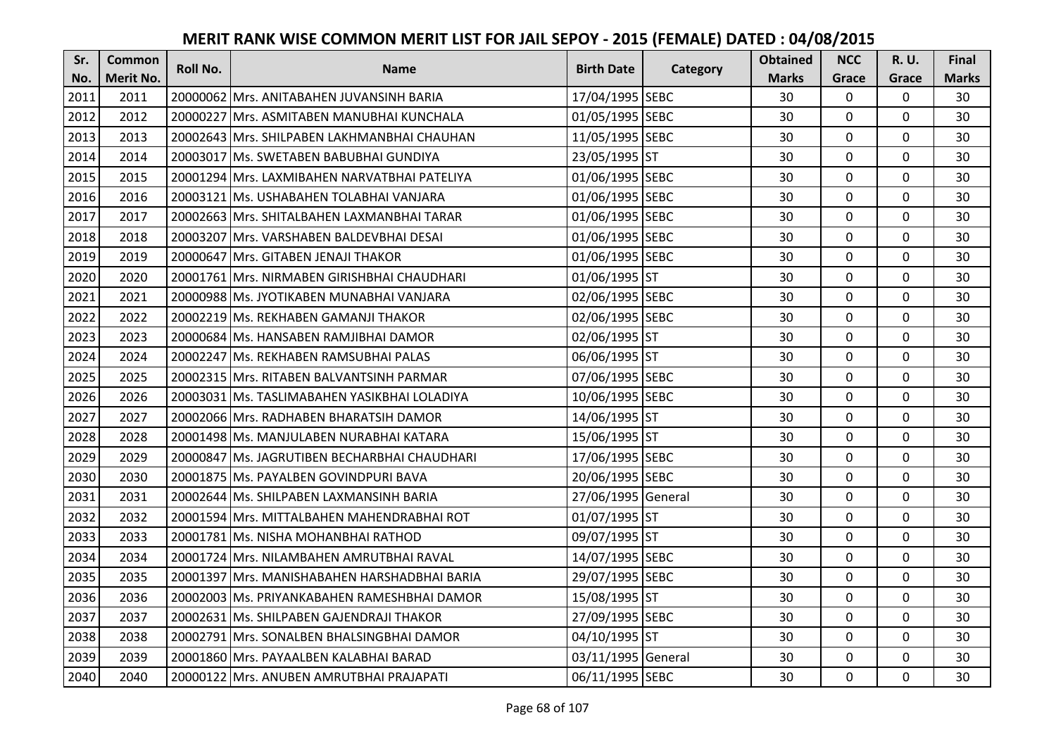| Sr.  | <b>Common</b>    | <b>Roll No.</b> | <b>Name</b>                                   | <b>Birth Date</b>  | Category | <b>Obtained</b> | <b>NCC</b>   | <b>R.U.</b> | Final        |
|------|------------------|-----------------|-----------------------------------------------|--------------------|----------|-----------------|--------------|-------------|--------------|
| No.  | <b>Merit No.</b> |                 |                                               |                    |          | <b>Marks</b>    | Grace        | Grace       | <b>Marks</b> |
| 2011 | 2011             |                 | 20000062 Mrs. ANITABAHEN JUVANSINH BARIA      | 17/04/1995 SEBC    |          | 30              | 0            | 0           | 30           |
| 2012 | 2012             |                 | 20000227 Mrs. ASMITABEN MANUBHAI KUNCHALA     | 01/05/1995 SEBC    |          | 30              | $\mathbf 0$  | $\Omega$    | 30           |
| 2013 | 2013             |                 | 20002643 lMrs. SHILPABEN LAKHMANBHAI CHAUHAN  | 11/05/1995 SEBC    |          | 30              | $\mathbf 0$  | $\Omega$    | 30           |
| 2014 | 2014             |                 | 20003017 Ms. SWETABEN BABUBHAI GUNDIYA        | 23/05/1995 ST      |          | 30              | $\mathbf 0$  | 0           | 30           |
| 2015 | 2015             |                 | 20001294 IMrs. LAXMIBAHEN NARVATBHAI PATELIYA | 01/06/1995 SEBC    |          | 30              | $\mathbf{0}$ | $\mathbf 0$ | 30           |
| 2016 | 2016             |                 | 20003121   Ms. USHABAHEN TOLABHAI VANJARA     | 01/06/1995 SEBC    |          | 30              | $\mathbf 0$  | $\Omega$    | 30           |
| 2017 | 2017             |                 | 20002663 Mrs. SHITALBAHEN LAXMANBHAI TARAR    | 01/06/1995 SEBC    |          | 30              | $\mathbf 0$  | 0           | 30           |
| 2018 | 2018             |                 | 20003207 Mrs. VARSHABEN BALDEVBHAI DESAI      | 01/06/1995 SEBC    |          | 30              | $\mathbf 0$  | 0           | 30           |
| 2019 | 2019             |                 | 20000647 Mrs. GITABEN JENAJI THAKOR           | 01/06/1995 SEBC    |          | 30              | $\mathbf 0$  | 0           | 30           |
| 2020 | 2020             |                 | 20001761 Mrs. NIRMABEN GIRISHBHAI CHAUDHARI   | 01/06/1995 ST      |          | 30              | $\mathbf{0}$ | $\mathbf 0$ | 30           |
| 2021 | 2021             |                 | 20000988 Ms. JYOTIKABEN MUNABHAI VANJARA      | 02/06/1995 SEBC    |          | 30              | $\Omega$     | 0           | 30           |
| 2022 | 2022             |                 | 20002219 Ms. REKHABEN GAMANJI THAKOR          | 02/06/1995 SEBC    |          | 30              | $\mathbf 0$  | 0           | 30           |
| 2023 | 2023             |                 | 20000684 Ms. HANSABEN RAMJIBHAI DAMOR         | 02/06/1995 ST      |          | 30              | 0            | $\mathbf 0$ | 30           |
| 2024 | 2024             |                 | 20002247 Ms. REKHABEN RAMSUBHAI PALAS         | 06/06/1995 ST      |          | 30              | $\mathbf 0$  | 0           | 30           |
| 2025 | 2025             |                 | 20002315 Mrs. RITABEN BALVANTSINH PARMAR      | 07/06/1995 SEBC    |          | 30              | $\mathbf 0$  | 0           | 30           |
| 2026 | 2026             |                 | 20003031 Ms. TASLIMABAHEN YASIKBHAI LOLADIYA  | 10/06/1995 SEBC    |          | 30              | $\mathbf{0}$ | 0           | 30           |
| 2027 | 2027             |                 | 20002066 Mrs. RADHABEN BHARATSIH DAMOR        | 14/06/1995 ST      |          | 30              | $\mathbf{0}$ | 0           | 30           |
| 2028 | 2028             |                 | 20001498 Ms. MANJULABEN NURABHAI KATARA       | 15/06/1995 ST      |          | 30              | $\mathbf 0$  | $\Omega$    | 30           |
| 2029 | 2029             |                 | 20000847 Ms. JAGRUTIBEN BECHARBHAI CHAUDHARI  | 17/06/1995 SEBC    |          | 30              | $\mathbf 0$  | $\Omega$    | 30           |
| 2030 | 2030             |                 | 20001875 Ms. PAYALBEN GOVINDPURI BAVA         | 20/06/1995 SEBC    |          | 30              | $\mathbf 0$  | 0           | 30           |
| 2031 | 2031             |                 | 20002644 Ms. SHILPABEN LAXMANSINH BARIA       | 27/06/1995 General |          | 30              | $\mathbf 0$  | $\Omega$    | 30           |
| 2032 | 2032             |                 | 20001594 Mrs. MITTALBAHEN MAHENDRABHAI ROT    | 01/07/1995 ST      |          | 30              | $\Omega$     | $\Omega$    | 30           |
| 2033 | 2033             |                 | 20001781 Ms. NISHA MOHANBHAI RATHOD           | 09/07/1995 ST      |          | 30              | $\mathbf{0}$ | $\Omega$    | 30           |
| 2034 | 2034             |                 | 20001724 Mrs. NILAMBAHEN AMRUTBHAI RAVAL      | 14/07/1995 SEBC    |          | 30              | $\mathbf 0$  | $\mathbf 0$ | 30           |
| 2035 | 2035             |                 | 20001397 Mrs. MANISHABAHEN HARSHADBHAI BARIA  | 29/07/1995 SEBC    |          | 30              | $\mathbf 0$  | 0           | 30           |
| 2036 | 2036             |                 | 20002003 Ms. PRIYANKABAHEN RAMESHBHAI DAMOR   | 15/08/1995 ST      |          | 30              | $\mathbf 0$  | $\Omega$    | 30           |
| 2037 | 2037             |                 | 20002631 Ms. SHILPABEN GAJENDRAJI THAKOR      | 27/09/1995 SEBC    |          | 30              | $\mathbf 0$  | 0           | 30           |
| 2038 | 2038             |                 | 20002791 Mrs. SONALBEN BHALSINGBHAI DAMOR     | 04/10/1995 ST      |          | 30              | $\Omega$     | 0           | 30           |
| 2039 | 2039             |                 | 20001860 Mrs. PAYAALBEN KALABHAI BARAD        | 03/11/1995 General |          | 30              | 0            | 0           | 30           |
| 2040 | 2040             |                 | 20000122 Mrs. ANUBEN AMRUTBHAI PRAJAPATI      | 06/11/1995 SEBC    |          | 30              | $\mathbf{0}$ | $\mathbf 0$ | 30           |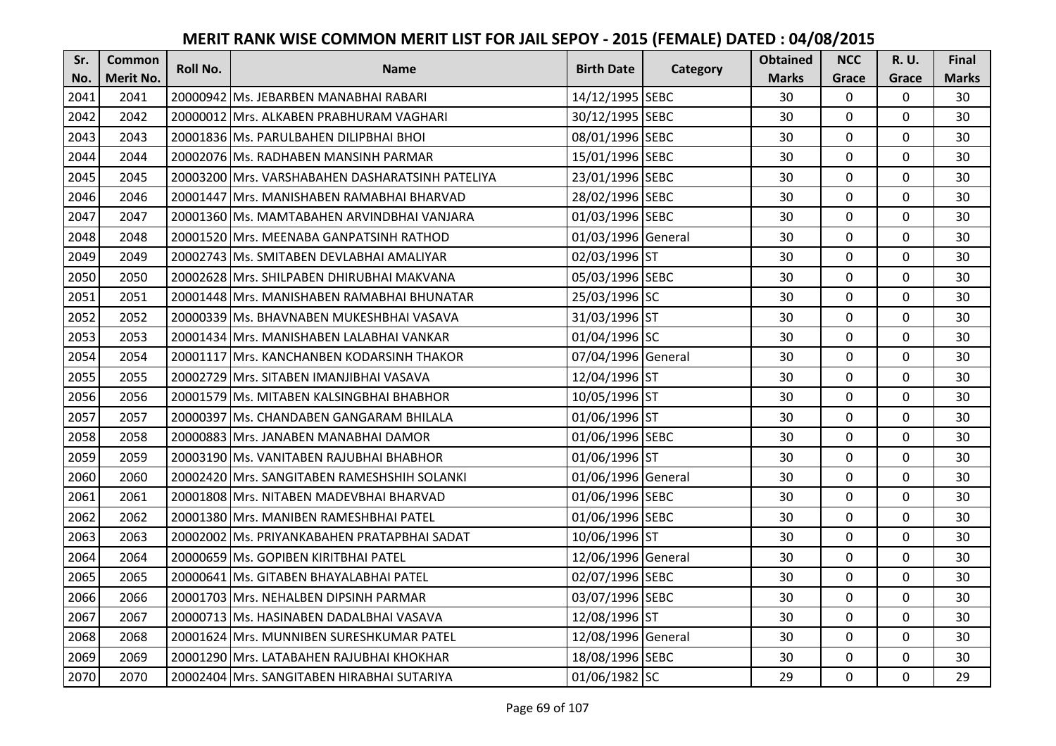| Sr.  | <b>Common</b>    | Roll No. | <b>Name</b>                                      | <b>Birth Date</b>  | Category | <b>Obtained</b> | <b>NCC</b>   | <b>R.U.</b> | Final        |
|------|------------------|----------|--------------------------------------------------|--------------------|----------|-----------------|--------------|-------------|--------------|
| No.  | <b>Merit No.</b> |          |                                                  |                    |          | <b>Marks</b>    | Grace        | Grace       | <b>Marks</b> |
| 2041 | 2041             |          | 20000942 Ms. JEBARBEN MANABHAI RABARI            | 14/12/1995 SEBC    |          | 30              | 0            | 0           | 30           |
| 2042 | 2042             |          | 20000012 Mrs. ALKABEN PRABHURAM VAGHARI          | 30/12/1995 SEBC    |          | 30              | $\mathbf 0$  | $\Omega$    | 30           |
| 2043 | 2043             |          | 20001836 Ms. PARULBAHEN DILIPBHAI BHOI           | 08/01/1996 SEBC    |          | 30              | $\mathbf{0}$ | $\Omega$    | 30           |
| 2044 | 2044             |          | 20002076 Ms. RADHABEN MANSINH PARMAR             | 15/01/1996 SEBC    |          | 30              | $\mathbf 0$  | 0           | 30           |
| 2045 | 2045             |          | 20003200 IMrs. VARSHABAHEN DASHARATSINH PATELIYA | 23/01/1996 SEBC    |          | 30              | $\mathbf{0}$ | $\mathbf 0$ | 30           |
| 2046 | 2046             |          | 20001447 Mrs. MANISHABEN RAMABHAI BHARVAD        | 28/02/1996 SEBC    |          | 30              | $\mathbf 0$  | $\Omega$    | 30           |
| 2047 | 2047             |          | 20001360 Ms. MAMTABAHEN ARVINDBHAI VANJARA       | 01/03/1996 SEBC    |          | 30              | $\mathbf 0$  | 0           | 30           |
| 2048 | 2048             |          | 20001520 Mrs. MEENABA GANPATSINH RATHOD          | 01/03/1996 General |          | 30              | $\mathbf 0$  | $\mathbf 0$ | 30           |
| 2049 | 2049             |          | 20002743 Ms. SMITABEN DEVLABHAI AMALIYAR         | 02/03/1996 ST      |          | 30              | 0            | 0           | 30           |
| 2050 | 2050             |          | 20002628 Mrs. SHILPABEN DHIRUBHAI MAKVANA        | 05/03/1996 SEBC    |          | 30              | $\mathbf{0}$ | $\mathbf 0$ | 30           |
| 2051 | 2051             |          | 20001448 Mrs. MANISHABEN RAMABHAI BHUNATAR       | 25/03/1996 SC      |          | 30              | $\Omega$     | 0           | 30           |
| 2052 | 2052             |          | 20000339 Ms. BHAVNABEN MUKESHBHAI VASAVA         | 31/03/1996 ST      |          | 30              | $\mathbf 0$  | 0           | 30           |
| 2053 | 2053             |          | 20001434 Mrs. MANISHABEN LALABHAI VANKAR         | 01/04/1996 SC      |          | 30              | 0            | $\mathbf 0$ | 30           |
| 2054 | 2054             |          | 20001117 Mrs. KANCHANBEN KODARSINH THAKOR        | 07/04/1996 General |          | 30              | $\mathbf 0$  | 0           | 30           |
| 2055 | 2055             |          | 20002729 Mrs. SITABEN IMANJIBHAI VASAVA          | 12/04/1996 ST      |          | 30              | $\mathbf 0$  | 0           | 30           |
| 2056 | 2056             |          | 20001579 Ms. MITABEN KALSINGBHAI BHABHOR         | 10/05/1996 ST      |          | 30              | $\mathbf{0}$ | $\Omega$    | 30           |
| 2057 | 2057             |          | 20000397 Ms. CHANDABEN GANGARAM BHILALA          | 01/06/1996 ST      |          | 30              | $\mathbf{0}$ | 0           | 30           |
| 2058 | 2058             |          | 20000883 Mrs. JANABEN MANABHAI DAMOR             | 01/06/1996 SEBC    |          | 30              | $\mathbf 0$  | $\Omega$    | 30           |
| 2059 | 2059             |          | 20003190 IMs. VANITABEN RAJUBHAI BHABHOR         | 01/06/1996 ST      |          | 30              | $\mathbf 0$  | $\Omega$    | 30           |
| 2060 | 2060             |          | 20002420 Mrs. SANGITABEN RAMESHSHIH SOLANKI      | 01/06/1996 General |          | 30              | $\mathbf 0$  | 0           | 30           |
| 2061 | 2061             |          | 20001808 Mrs. NITABEN MADEVBHAI BHARVAD          | 01/06/1996 SEBC    |          | 30              | $\mathbf{0}$ | $\Omega$    | 30           |
| 2062 | 2062             |          | 20001380 Mrs. MANIBEN RAMESHBHAI PATEL           | 01/06/1996 SEBC    |          | 30              | $\Omega$     | $\Omega$    | 30           |
| 2063 | 2063             |          | 20002002 Ms. PRIYANKABAHEN PRATAPBHAI SADAT      | 10/06/1996 ST      |          | 30              | $\mathbf 0$  | $\Omega$    | 30           |
| 2064 | 2064             |          | 20000659 Ms. GOPIBEN KIRITBHAI PATEL             | 12/06/1996 General |          | 30              | $\mathbf 0$  | $\mathbf 0$ | 30           |
| 2065 | 2065             |          | 20000641 Ms. GITABEN BHAYALABHAI PATEL           | 02/07/1996 SEBC    |          | 30              | $\mathbf 0$  | 0           | 30           |
| 2066 | 2066             |          | 20001703 Mrs. NEHALBEN DIPSINH PARMAR            | 03/07/1996 SEBC    |          | 30              | $\mathbf{0}$ | 0           | 30           |
| 2067 | 2067             |          | 20000713 Ms. HASINABEN DADALBHAI VASAVA          | 12/08/1996 ST      |          | 30              | $\mathbf 0$  | 0           | 30           |
| 2068 | 2068             |          | 20001624 Mrs. MUNNIBEN SURESHKUMAR PATEL         | 12/08/1996 General |          | 30              | $\Omega$     | 0           | 30           |
| 2069 | 2069             |          | 20001290 Mrs. LATABAHEN RAJUBHAI KHOKHAR         | 18/08/1996 SEBC    |          | 30              | 0            | 0           | 30           |
| 2070 | 2070             |          | 20002404 Mrs. SANGITABEN HIRABHAI SUTARIYA       | 01/06/1982 SC      |          | 29              | $\mathbf{0}$ | 0           | 29           |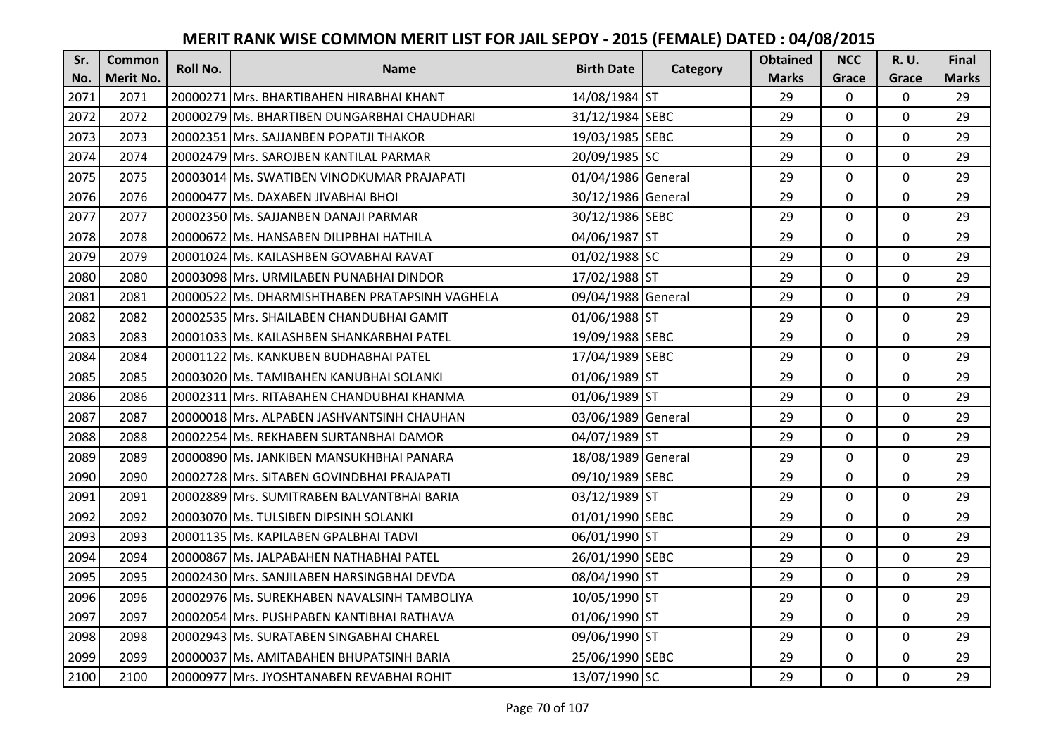| Sr.  | <b>Common</b>    | <b>Roll No.</b> | <b>Name</b>                                    | <b>Birth Date</b>  | Category | <b>Obtained</b> | <b>NCC</b>   | <b>R.U.</b> | Final        |
|------|------------------|-----------------|------------------------------------------------|--------------------|----------|-----------------|--------------|-------------|--------------|
| No.  | <b>Merit No.</b> |                 |                                                |                    |          | <b>Marks</b>    | Grace        | Grace       | <b>Marks</b> |
| 2071 | 2071             |                 | 20000271 Mrs. BHARTIBAHEN HIRABHAI KHANT       | 14/08/1984 ST      |          | 29              | $\mathbf 0$  | 0           | 29           |
| 2072 | 2072             |                 | 20000279 IMs. BHARTIBEN DUNGARBHAI CHAUDHARI   | 31/12/1984 SEBC    |          | 29              | $\mathbf 0$  | $\Omega$    | 29           |
| 2073 | 2073             |                 | 20002351 Mrs. SAJJANBEN POPATJI THAKOR         | 19/03/1985 SEBC    |          | 29              | $\mathbf 0$  | $\Omega$    | 29           |
| 2074 | 2074             |                 | 20002479 Mrs. SAROJBEN KANTILAL PARMAR         | 20/09/1985 SC      |          | 29              | $\mathbf 0$  | 0           | 29           |
| 2075 | 2075             |                 | 20003014 IMs. SWATIBEN VINODKUMAR PRAJAPATI    | 01/04/1986 General |          | 29              | $\mathbf{0}$ | $\mathbf 0$ | 29           |
| 2076 | 2076             |                 | 20000477 Ms. DAXABEN JIVABHAI BHOI             | 30/12/1986 General |          | 29              | $\mathbf 0$  | $\Omega$    | 29           |
| 2077 | 2077             |                 | 20002350 Ms. SAJJANBEN DANAJI PARMAR           | 30/12/1986 SEBC    |          | 29              | $\mathbf{0}$ | 0           | 29           |
| 2078 | 2078             |                 | 20000672 Ms. HANSABEN DILIPBHAI HATHILA        | 04/06/1987 ST      |          | 29              | $\mathbf{0}$ | $\mathbf 0$ | 29           |
| 2079 | 2079             |                 | 20001024 Ms. KAILASHBEN GOVABHAI RAVAT         | 01/02/1988 SC      |          | 29              | $\mathbf 0$  | 0           | 29           |
| 2080 | 2080             |                 | 20003098 Mrs. URMILABEN PUNABHAI DINDOR        | 17/02/1988 ST      |          | 29              | $\mathbf{0}$ | $\mathbf 0$ | 29           |
| 2081 | 2081             |                 | 20000522 Ms. DHARMISHTHABEN PRATAPSINH VAGHELA | 09/04/1988 General |          | 29              | $\Omega$     | 0           | 29           |
| 2082 | 2082             |                 | 20002535 Mrs. SHAILABEN CHANDUBHAI GAMIT       | 01/06/1988 ST      |          | 29              | $\mathbf 0$  | 0           | 29           |
| 2083 | 2083             |                 | 20001033 Ms. KAILASHBEN SHANKARBHAI PATEL      | 19/09/1988 SEBC    |          | 29              | 0            | $\mathbf 0$ | 29           |
| 2084 | 2084             |                 | 20001122 Ms. KANKUBEN BUDHABHAI PATEL          | 17/04/1989 SEBC    |          | 29              | $\mathbf 0$  | 0           | 29           |
| 2085 | 2085             |                 | 20003020 Ms. TAMIBAHEN KANUBHAI SOLANKI        | 01/06/1989 ST      |          | 29              | $\mathbf 0$  | 0           | 29           |
| 2086 | 2086             |                 | 20002311 Mrs. RITABAHEN CHANDUBHAI KHANMA      | 01/06/1989 ST      |          | 29              | $\mathbf{0}$ | $\Omega$    | 29           |
| 2087 | 2087             |                 | 20000018 Mrs. ALPABEN JASHVANTSINH CHAUHAN     | 03/06/1989 General |          | 29              | $\mathbf{0}$ | 0           | 29           |
| 2088 | 2088             |                 | 20002254 Ms. REKHABEN SURTANBHAI DAMOR         | 04/07/1989 ST      |          | 29              | $\mathbf 0$  | $\Omega$    | 29           |
| 2089 | 2089             |                 | 20000890 IMs. JANKIBEN MANSUKHBHAI PANARA      | 18/08/1989 General |          | 29              | $\mathbf 0$  | $\Omega$    | 29           |
| 2090 | 2090             |                 | 20002728 Mrs. SITABEN GOVINDBHAI PRAJAPATI     | 09/10/1989 SEBC    |          | 29              | $\mathbf 0$  | 0           | 29           |
| 2091 | 2091             |                 | 20002889 Mrs. SUMITRABEN BALVANTBHAI BARIA     | 03/12/1989 ST      |          | 29              | $\mathbf 0$  | $\Omega$    | 29           |
| 2092 | 2092             |                 | 20003070 Ms. TULSIBEN DIPSINH SOLANKI          | 01/01/1990 SEBC    |          | 29              | $\mathbf 0$  | $\Omega$    | 29           |
| 2093 | 2093             |                 | 20001135 Ms. KAPILABEN GPALBHAI TADVI          | 06/01/1990 ST      |          | 29              | $\mathbf{0}$ | 0           | 29           |
| 2094 | 2094             |                 | 20000867 Ms. JALPABAHEN NATHABHAI PATEL        | 26/01/1990 SEBC    |          | 29              | $\mathbf 0$  | $\mathbf 0$ | 29           |
| 2095 | 2095             |                 | 20002430 Mrs. SANJILABEN HARSINGBHAI DEVDA     | 08/04/1990 ST      |          | 29              | $\mathbf 0$  | 0           | 29           |
| 2096 | 2096             |                 | 20002976 Ms. SUREKHABEN NAVALSINH TAMBOLIYA    | 10/05/1990 ST      |          | 29              | $\mathbf 0$  | 0           | 29           |
| 2097 | 2097             |                 | 20002054 Mrs. PUSHPABEN KANTIBHAI RATHAVA      | 01/06/1990 ST      |          | 29              | $\mathbf 0$  | 0           | 29           |
| 2098 | 2098             |                 | 20002943 Ms. SURATABEN SINGABHAI CHAREL        | 09/06/1990 ST      |          | 29              | $\Omega$     | 0           | 29           |
| 2099 | 2099             |                 | 20000037 Ms. AMITABAHEN BHUPATSINH BARIA       | 25/06/1990 SEBC    |          | 29              | $\mathbf 0$  | 0           | 29           |
| 2100 | 2100             |                 | 20000977 Mrs. JYOSHTANABEN REVABHAI ROHIT      | 13/07/1990 SC      |          | 29              | $\mathbf{0}$ | 0           | 29           |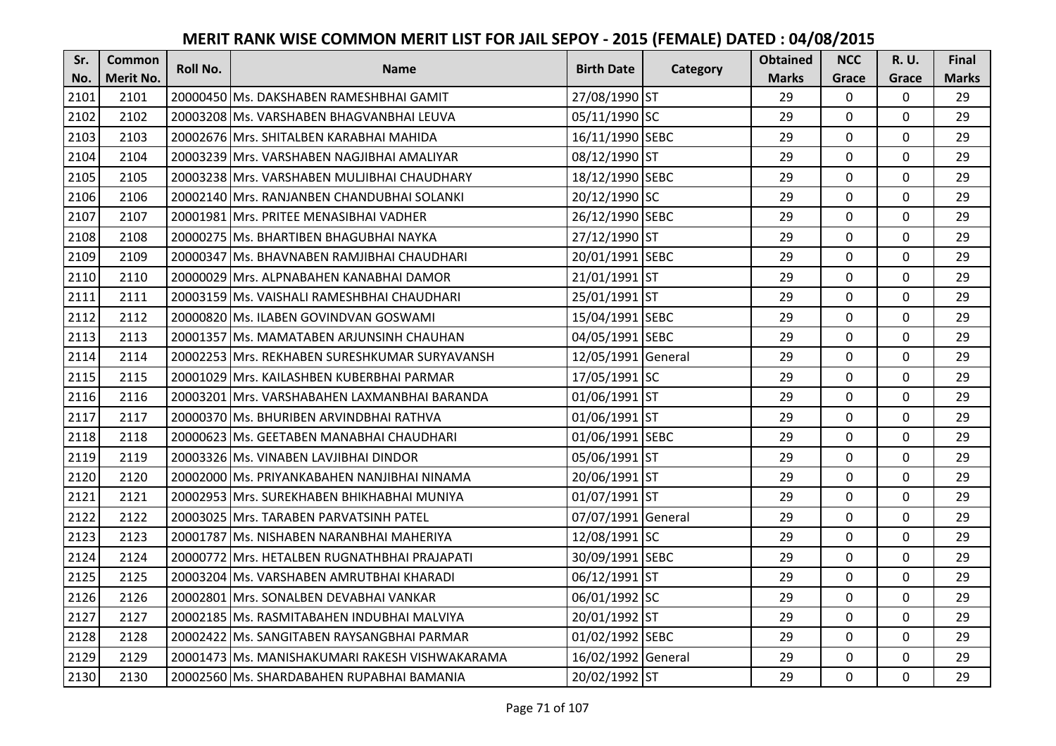| Sr.  | <b>Common</b>    | <b>Roll No.</b> | <b>Name</b>                                      | <b>Birth Date</b>  |          | <b>Obtained</b> | <b>NCC</b>   | <b>R.U.</b> | Final        |
|------|------------------|-----------------|--------------------------------------------------|--------------------|----------|-----------------|--------------|-------------|--------------|
| No.  | <b>Merit No.</b> |                 |                                                  |                    | Category | <b>Marks</b>    | Grace        | Grace       | <b>Marks</b> |
| 2101 | 2101             |                 | 20000450 Ms. DAKSHABEN RAMESHBHAI GAMIT          | 27/08/1990 ST      |          | 29              | 0            | 0           | 29           |
| 2102 | 2102             |                 | 20003208 IMs. VARSHABEN BHAGVANBHAI LEUVA        | 05/11/1990 SC      |          | 29              | $\mathbf 0$  | $\Omega$    | 29           |
| 2103 | 2103             |                 | 20002676  Mrs. SHITALBEN KARABHAI MAHIDA         | 16/11/1990 SEBC    |          | 29              | $\mathbf 0$  | $\Omega$    | 29           |
| 2104 | 2104             |                 | 20003239 Mrs. VARSHABEN NAGJIBHAI AMALIYAR       | 08/12/1990 ST      |          | 29              | $\mathbf 0$  | 0           | 29           |
| 2105 | 2105             |                 | 20003238 IMrs. VARSHABEN MULJIBHAI CHAUDHARY     | 18/12/1990 SEBC    |          | 29              | $\mathbf 0$  | $\mathbf 0$ | 29           |
| 2106 | 2106             |                 | 20002140 Mrs. RANJANBEN CHANDUBHAI SOLANKI       | 20/12/1990 SC      |          | 29              | $\mathbf 0$  | $\Omega$    | 29           |
| 2107 | 2107             |                 | 20001981 Mrs. PRITEE MENASIBHAI VADHER           | 26/12/1990 SEBC    |          | 29              | $\mathbf 0$  | $\Omega$    | 29           |
| 2108 | 2108             |                 | 20000275 Ms. BHARTIBEN BHAGUBHAI NAYKA           | 27/12/1990 ST      |          | 29              | $\mathbf{0}$ | $\mathbf 0$ | 29           |
| 2109 | 2109             |                 | 20000347 Ms. BHAVNABEN RAMJIBHAI CHAUDHARI       | 20/01/1991 SEBC    |          | 29              | $\mathbf 0$  | 0           | 29           |
| 2110 | 2110             |                 | 20000029 Mrs. ALPNABAHEN KANABHAI DAMOR          | 21/01/1991 ST      |          | 29              | $\mathbf{0}$ | 0           | 29           |
| 2111 | 2111             |                 | 20003159 Ms. VAISHALI RAMESHBHAI CHAUDHARI       | 25/01/1991 ST      |          | 29              | $\Omega$     | $\Omega$    | 29           |
| 2112 | 2112             |                 | 20000820 Ms. ILABEN GOVINDVAN GOSWAMI            | 15/04/1991 SEBC    |          | 29              | $\mathbf 0$  | 0           | 29           |
| 2113 | 2113             |                 | 20001357 Ms. MAMATABEN ARJUNSINH CHAUHAN         | 04/05/1991 SEBC    |          | 29              | 0            | $\mathbf 0$ | 29           |
| 2114 | 2114             |                 | 20002253 Mrs. REKHABEN SURESHKUMAR SURYAVANSH    | 12/05/1991 General |          | 29              | $\mathbf 0$  | 0           | 29           |
| 2115 | 2115             |                 | 20001029 Mrs. KAILASHBEN KUBERBHAI PARMAR        | 17/05/1991 SC      |          | 29              | $\mathbf 0$  | 0           | 29           |
| 2116 | 2116             |                 | 20003201 IMrs. VARSHABAHEN LAXMANBHAI BARANDA    | 01/06/1991 ST      |          | 29              | $\mathbf{0}$ | $\Omega$    | 29           |
| 2117 | 2117             |                 | 20000370 lMs. BHURIBEN ARVINDBHAI RATHVA         | 01/06/1991 ST      |          | 29              | $\mathbf{0}$ | 0           | 29           |
| 2118 | 2118             |                 | 20000623 Ms. GEETABEN MANABHAI CHAUDHARI         | 01/06/1991 SEBC    |          | 29              | $\mathbf 0$  | $\Omega$    | 29           |
| 2119 | 2119             |                 | 20003326 Ms. VINABEN LAVJIBHAI DINDOR            | 05/06/1991 ST      |          | 29              | $\mathbf 0$  | $\Omega$    | 29           |
| 2120 | 2120             |                 | 20002000 Ms. PRIYANKABAHEN NANJIBHAI NINAMA      | 20/06/1991 ST      |          | 29              | $\mathbf 0$  | 0           | 29           |
| 2121 | 2121             |                 | 20002953 Mrs. SUREKHABEN BHIKHABHAI MUNIYA       | 01/07/1991 ST      |          | 29              | $\mathbf 0$  | $\Omega$    | 29           |
| 2122 | 2122             |                 | 20003025 Mrs. TARABEN PARVATSINH PATEL           | 07/07/1991 General |          | 29              | $\Omega$     | $\Omega$    | 29           |
| 2123 | 2123             |                 | 20001787 Ms. NISHABEN NARANBHAI MAHERIYA         | 12/08/1991 SC      |          | 29              | $\mathbf 0$  | $\Omega$    | 29           |
| 2124 | 2124             |                 | 20000772 Mrs. HETALBEN RUGNATHBHAI PRAJAPATI     | 30/09/1991 SEBC    |          | 29              | $\mathbf 0$  | $\mathbf 0$ | 29           |
| 2125 | 2125             |                 | 20003204 Ms. VARSHABEN AMRUTBHAI KHARADI         | 06/12/1991 ST      |          | 29              | $\mathbf 0$  | 0           | 29           |
| 2126 | 2126             |                 | 20002801 Mrs. SONALBEN DEVABHAI VANKAR           | 06/01/1992 SC      |          | 29              | $\mathbf{0}$ | 0           | 29           |
| 2127 | 2127             |                 | 20002185   Ms. RASMITABAHEN INDUBHAI MALVIYA     | 20/01/1992 ST      |          | 29              | $\mathbf 0$  | 0           | 29           |
| 2128 | 2128             |                 | 20002422 Ms. SANGITABEN RAYSANGBHAI PARMAR       | 01/02/1992 SEBC    |          | 29              | $\Omega$     | 0           | 29           |
| 2129 | 2129             |                 | 20001473   Ms. MANISHAKUMARI RAKESH VISHWAKARAMA | 16/02/1992 General |          | 29              | $\mathbf 0$  | 0           | 29           |
| 2130 | 2130             |                 | 20002560 Ms. SHARDABAHEN RUPABHAI BAMANIA        | 20/02/1992 ST      |          | 29              | $\mathbf{0}$ | 0           | 29           |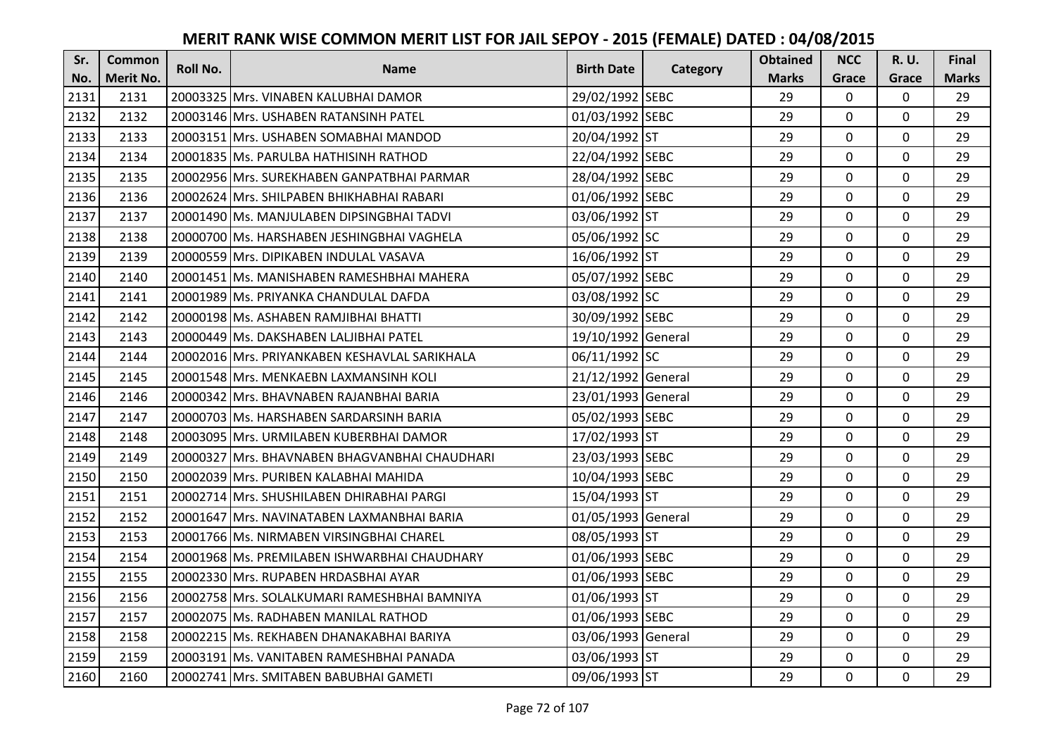| Sr.  | <b>Common</b>    | <b>Roll No.</b> | <b>Name</b>                                    | <b>Birth Date</b>  |          | <b>Obtained</b> | <b>NCC</b>   | <b>R.U.</b> | Final        |
|------|------------------|-----------------|------------------------------------------------|--------------------|----------|-----------------|--------------|-------------|--------------|
| No.  | <b>Merit No.</b> |                 |                                                |                    | Category | <b>Marks</b>    | Grace        | Grace       | <b>Marks</b> |
| 2131 | 2131             |                 | 20003325 Mrs. VINABEN KALUBHAI DAMOR           | 29/02/1992 SEBC    |          | 29              | 0            | 0           | 29           |
| 2132 | 2132             |                 | 20003146 IMrs. USHABEN RATANSINH PATEL         | 01/03/1992 SEBC    |          | 29              | $\mathbf{0}$ | $\Omega$    | 29           |
| 2133 | 2133             |                 | 20003151 lMrs. USHABEN SOMABHAI MANDOD         | 20/04/1992 ST      |          | 29              | $\mathbf 0$  | $\Omega$    | 29           |
| 2134 | 2134             |                 | 20001835 Ms. PARULBA HATHISINH RATHOD          | 22/04/1992 SEBC    |          | 29              | $\mathbf 0$  | 0           | 29           |
| 2135 | 2135             |                 | 20002956 Mrs. SUREKHABEN GANPATBHAI PARMAR     | 28/04/1992 SEBC    |          | 29              | $\mathbf{0}$ | $\mathbf 0$ | 29           |
| 2136 | 2136             |                 | 20002624 Mrs. SHILPABEN BHIKHABHAI RABARI      | 01/06/1992 SEBC    |          | 29              | $\mathbf 0$  | $\Omega$    | 29           |
| 2137 | 2137             |                 | 20001490 Ms. MANJULABEN DIPSINGBHAI TADVI      | 03/06/1992 ST      |          | 29              | $\mathbf 0$  | 0           | 29           |
| 2138 | 2138             |                 | 20000700 Ms. HARSHABEN JESHINGBHAI VAGHELA     | 05/06/1992 SC      |          | 29              | $\mathbf 0$  | $\mathbf 0$ | 29           |
| 2139 | 2139             |                 | 20000559 Mrs. DIPIKABEN INDULAL VASAVA         | 16/06/1992 ST      |          | 29              | $\mathbf 0$  | 0           | 29           |
| 2140 | 2140             |                 | 20001451 Ms. MANISHABEN RAMESHBHAI MAHERA      | 05/07/1992 SEBC    |          | 29              | $\mathbf{0}$ | 0           | 29           |
| 2141 | 2141             |                 | 20001989 Ms. PRIYANKA CHANDULAL DAFDA          | 03/08/1992 SC      |          | 29              | $\Omega$     | 0           | 29           |
| 2142 | 2142             |                 | 20000198 Ms. ASHABEN RAMJIBHAI BHATTI          | 30/09/1992 SEBC    |          | 29              | $\mathbf 0$  | 0           | 29           |
| 2143 | 2143             |                 | 20000449 Ms. DAKSHABEN LALJIBHAI PATEL         | 19/10/1992 General |          | 29              | 0            | $\mathbf 0$ | 29           |
| 2144 | 2144             |                 | 20002016 Mrs. PRIYANKABEN KESHAVLAL SARIKHALA  | 06/11/1992 SC      |          | 29              | $\mathbf 0$  | 0           | 29           |
| 2145 | 2145             |                 | 20001548 Mrs. MENKAEBN LAXMANSINH KOLI         | 21/12/1992 General |          | 29              | $\mathbf 0$  | 0           | 29           |
| 2146 | 2146             |                 | 20000342 Mrs. BHAVNABEN RAJANBHAI BARIA        | 23/01/1993 General |          | 29              | $\mathbf{0}$ | $\Omega$    | 29           |
| 2147 | 2147             |                 | 20000703 lMs. HARSHABEN SARDARSINH BARIA       | 05/02/1993 SEBC    |          | 29              | $\mathbf{0}$ | 0           | 29           |
| 2148 | 2148             |                 | 20003095 Mrs. URMILABEN KUBERBHAI DAMOR        | 17/02/1993 ST      |          | 29              | $\mathbf 0$  | $\Omega$    | 29           |
| 2149 | 2149             |                 | 20000327 IMrs. BHAVNABEN BHAGVANBHAI CHAUDHARI | 23/03/1993 SEBC    |          | 29              | $\mathbf 0$  | $\Omega$    | 29           |
| 2150 | 2150             |                 | 20002039 IMrs. PURIBEN KALABHAI MAHIDA         | 10/04/1993 SEBC    |          | 29              | $\mathbf 0$  | 0           | 29           |
| 2151 | 2151             |                 | 20002714 Mrs. SHUSHILABEN DHIRABHAI PARGI      | 15/04/1993 ST      |          | 29              | $\mathbf 0$  | $\Omega$    | 29           |
| 2152 | 2152             |                 | 20001647 Mrs. NAVINATABEN LAXMANBHAI BARIA     | 01/05/1993 General |          | 29              | $\Omega$     | $\Omega$    | 29           |
| 2153 | 2153             |                 | 20001766 Ms. NIRMABEN VIRSINGBHAI CHAREL       | 08/05/1993 ST      |          | 29              | $\mathbf 0$  | $\Omega$    | 29           |
| 2154 | 2154             |                 | 20001968 Ms. PREMILABEN ISHWARBHAI CHAUDHARY   | 01/06/1993 SEBC    |          | 29              | $\mathbf 0$  | $\mathbf 0$ | 29           |
| 2155 | 2155             |                 | 20002330 Mrs. RUPABEN HRDASBHAI AYAR           | 01/06/1993 SEBC    |          | 29              | $\mathbf 0$  | 0           | 29           |
| 2156 | 2156             |                 | 20002758 Mrs. SOLALKUMARI RAMESHBHAI BAMNIYA   | 01/06/1993 ST      |          | 29              | $\mathbf{0}$ | 0           | 29           |
| 2157 | 2157             |                 | 20002075 Ms. RADHABEN MANILAL RATHOD           | 01/06/1993 SEBC    |          | 29              | $\mathbf 0$  | 0           | 29           |
| 2158 | 2158             |                 | 20002215 Ms. REKHABEN DHANAKABHAI BARIYA       | 03/06/1993 General |          | 29              | $\Omega$     | 0           | 29           |
| 2159 | 2159             |                 | 20003191 Ms. VANITABEN RAMESHBHAI PANADA       | 03/06/1993 ST      |          | 29              | $\mathbf 0$  | 0           | 29           |
| 2160 | 2160             |                 | 20002741 Mrs. SMITABEN BABUBHAI GAMETI         | 09/06/1993 ST      |          | 29              | $\mathbf{0}$ | 0           | 29           |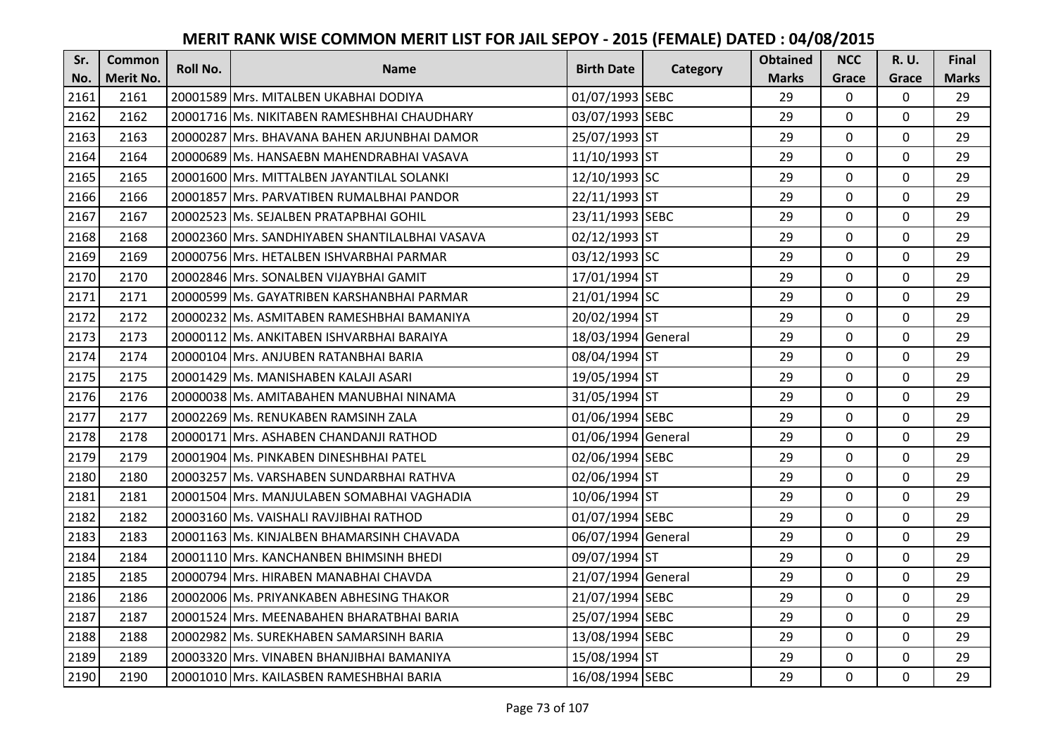| Sr.  | <b>Common</b>    | <b>Roll No.</b> | <b>Name</b>                                    | <b>Birth Date</b>  | Category | <b>Obtained</b> | <b>NCC</b>   | <b>R.U.</b> | Final        |
|------|------------------|-----------------|------------------------------------------------|--------------------|----------|-----------------|--------------|-------------|--------------|
| No.  | <b>Merit No.</b> |                 |                                                |                    |          | <b>Marks</b>    | Grace        | Grace       | <b>Marks</b> |
| 2161 | 2161             |                 | 20001589 Mrs. MITALBEN UKABHAI DODIYA          | 01/07/1993 SEBC    |          | 29              | 0            | 0           | 29           |
| 2162 | 2162             |                 | 20001716 Ms. NIKITABEN RAMESHBHAI CHAUDHARY    | 03/07/1993 SEBC    |          | 29              | $\mathbf 0$  | $\Omega$    | 29           |
| 2163 | 2163             |                 | 20000287 lMrs. BHAVANA BAHEN ARJUNBHAI DAMOR   | 25/07/1993 ST      |          | 29              | $\mathbf 0$  | $\Omega$    | 29           |
| 2164 | 2164             |                 | 20000689 Ms. HANSAEBN MAHENDRABHAI VASAVA      | 11/10/1993 ST      |          | 29              | $\mathbf 0$  | 0           | 29           |
| 2165 | 2165             |                 | 20001600 IMrs. MITTALBEN JAYANTILAL SOLANKI    | 12/10/1993 SC      |          | 29              | $\mathbf{0}$ | $\mathbf 0$ | 29           |
| 2166 | 2166             |                 | 20001857 Mrs. PARVATIBEN RUMALBHAI PANDOR      | 22/11/1993 ST      |          | 29              | $\mathbf 0$  | $\Omega$    | 29           |
| 2167 | 2167             |                 | 20002523 Ms. SEJALBEN PRATAPBHAI GOHIL         | 23/11/1993 SEBC    |          | 29              | $\mathbf 0$  | 0           | 29           |
| 2168 | 2168             |                 | 20002360 Mrs. SANDHIYABEN SHANTILALBHAI VASAVA | 02/12/1993 ST      |          | 29              | $\mathbf 0$  | $\mathbf 0$ | 29           |
| 2169 | 2169             |                 | 20000756 Mrs. HETALBEN ISHVARBHAI PARMAR       | 03/12/1993 SC      |          | 29              | 0            | 0           | 29           |
| 2170 | 2170             |                 | 20002846 Mrs. SONALBEN VIJAYBHAI GAMIT         | 17/01/1994 ST      |          | 29              | $\mathbf{0}$ | 0           | 29           |
| 2171 | 2171             |                 | 20000599 Ms. GAYATRIBEN KARSHANBHAI PARMAR     | 21/01/1994 SC      |          | 29              | $\Omega$     | 0           | 29           |
| 2172 | 2172             |                 | 20000232 Ms. ASMITABEN RAMESHBHAI BAMANIYA     | 20/02/1994 ST      |          | 29              | $\mathbf 0$  | 0           | 29           |
| 2173 | 2173             |                 | 20000112 Ms. ANKITABEN ISHVARBHAI BARAIYA      | 18/03/1994 General |          | 29              | 0            | $\mathbf 0$ | 29           |
| 2174 | 2174             |                 | 20000104 Mrs. ANJUBEN RATANBHAI BARIA          | 08/04/1994 ST      |          | 29              | $\mathbf 0$  | 0           | 29           |
| 2175 | 2175             |                 | 20001429 Ms. MANISHABEN KALAJI ASARI           | 19/05/1994 ST      |          | 29              | $\mathbf 0$  | 0           | 29           |
| 2176 | 2176             |                 | 20000038 IMs. AMITABAHEN MANUBHAI NINAMA       | 31/05/1994 ST      |          | 29              | $\mathbf{0}$ | $\Omega$    | 29           |
| 2177 | 2177             |                 | 20002269 Ms. RENUKABEN RAMSINH ZALA            | 01/06/1994 SEBC    |          | 29              | $\mathbf{0}$ | 0           | 29           |
| 2178 | 2178             |                 | 20000171 Mrs. ASHABEN CHANDANJI RATHOD         | 01/06/1994 General |          | 29              | $\mathbf 0$  | $\Omega$    | 29           |
| 2179 | 2179             |                 | 20001904 IMs. PINKABEN DINESHBHAI PATEL        | 02/06/1994 SEBC    |          | 29              | $\mathbf 0$  | $\Omega$    | 29           |
| 2180 | 2180             |                 | 20003257 Ms. VARSHABEN SUNDARBHAI RATHVA       | 02/06/1994 ST      |          | 29              | $\mathbf 0$  | 0           | 29           |
| 2181 | 2181             |                 | 20001504 Mrs. MANJULABEN SOMABHAI VAGHADIA     | 10/06/1994 ST      |          | 29              | $\mathbf 0$  | $\Omega$    | 29           |
| 2182 | 2182             |                 | 20003160 Ms. VAISHALI RAVJIBHAI RATHOD         | 01/07/1994 SEBC    |          | 29              | $\Omega$     | $\Omega$    | 29           |
| 2183 | 2183             |                 | 20001163 Ms. KINJALBEN BHAMARSINH CHAVADA      | 06/07/1994 General |          | 29              | $\mathbf 0$  | 0           | 29           |
| 2184 | 2184             |                 | 20001110 Mrs. KANCHANBEN BHIMSINH BHEDI        | 09/07/1994 ST      |          | 29              | $\mathbf 0$  | $\mathbf 0$ | 29           |
| 2185 | 2185             |                 | 20000794 Mrs. HIRABEN MANABHAI CHAVDA          | 21/07/1994 General |          | 29              | $\mathbf 0$  | 0           | 29           |
| 2186 | 2186             |                 | 20002006 Ms. PRIYANKABEN ABHESING THAKOR       | 21/07/1994 SEBC    |          | 29              | $\mathbf{0}$ | 0           | 29           |
| 2187 | 2187             |                 | 20001524 Mrs. MEENABAHEN BHARATBHAI BARIA      | 25/07/1994 SEBC    |          | 29              | $\mathbf 0$  | 0           | 29           |
| 2188 | 2188             |                 | 20002982 Ms. SUREKHABEN SAMARSINH BARIA        | 13/08/1994 SEBC    |          | 29              | $\Omega$     | 0           | 29           |
| 2189 | 2189             |                 | 20003320 Mrs. VINABEN BHANJIBHAI BAMANIYA      | 15/08/1994 ST      |          | 29              | $\mathbf 0$  | 0           | 29           |
| 2190 | 2190             |                 | 20001010 Mrs. KAILASBEN RAMESHBHAI BARIA       | 16/08/1994 SEBC    |          | 29              | $\mathbf{0}$ | 0           | 29           |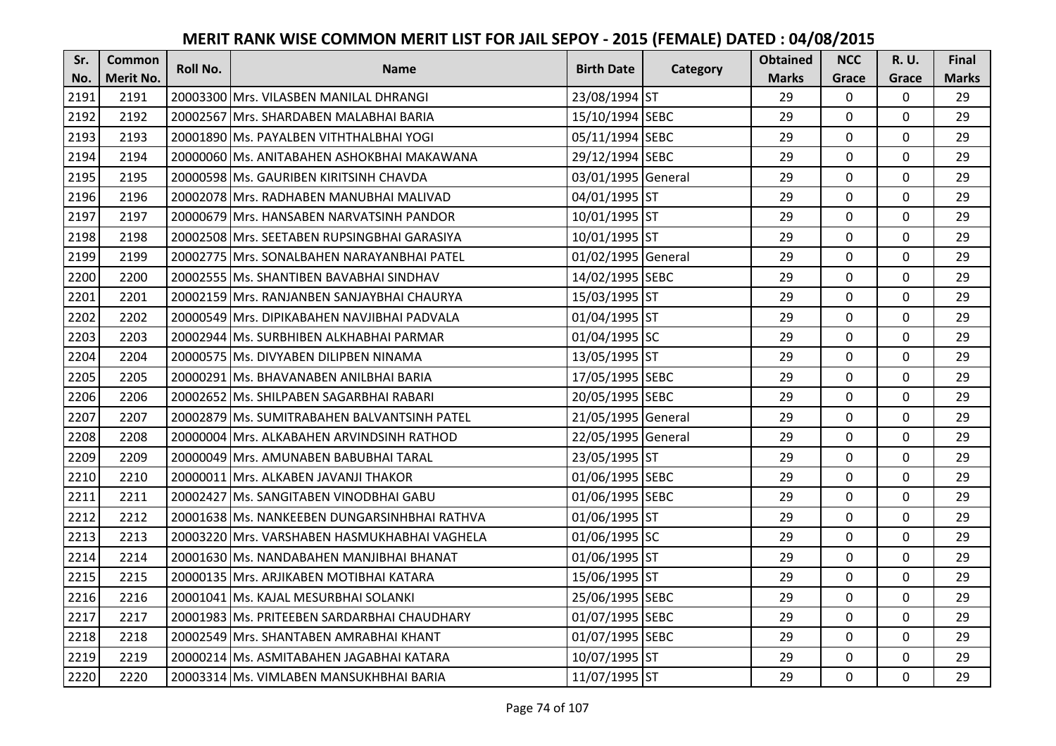| Sr.  | <b>Common</b>    | <b>Roll No.</b> | <b>Name</b>                                   | <b>Birth Date</b>  |          | <b>Obtained</b> | <b>NCC</b>   | <b>R.U.</b> | Final        |
|------|------------------|-----------------|-----------------------------------------------|--------------------|----------|-----------------|--------------|-------------|--------------|
| No.  | <b>Merit No.</b> |                 |                                               |                    | Category | <b>Marks</b>    | Grace        | Grace       | <b>Marks</b> |
| 2191 | 2191             |                 | 20003300 Mrs. VILASBEN MANILAL DHRANGI        | 23/08/1994 ST      |          | 29              | 0            | 0           | 29           |
| 2192 | 2192             |                 | 20002567 IMrs. SHARDABEN MALABHAI BARIA       | 15/10/1994 SEBC    |          | 29              | $\mathbf 0$  | $\Omega$    | 29           |
| 2193 | 2193             |                 | 20001890 lMs. PAYALBEN VITHTHALBHAI YOGI      | 05/11/1994 SEBC    |          | 29              | $\mathbf{0}$ | 0           | 29           |
| 2194 | 2194             |                 | 20000060 Ms. ANITABAHEN ASHOKBHAI MAKAWANA    | 29/12/1994 SEBC    |          | 29              | $\mathbf 0$  | 0           | 29           |
| 2195 | 2195             |                 | 20000598 Ms. GAURIBEN KIRITSINH CHAVDA        | 03/01/1995 General |          | 29              | $\mathbf{0}$ | $\mathbf 0$ | 29           |
| 2196 | 2196             |                 | 20002078 Mrs. RADHABEN MANUBHAI MALIVAD       | 04/01/1995 ST      |          | 29              | $\mathbf 0$  | $\Omega$    | 29           |
| 2197 | 2197             |                 | 20000679 Mrs. HANSABEN NARVATSINH PANDOR      | 10/01/1995 ST      |          | 29              | $\mathbf 0$  | 0           | 29           |
| 2198 | 2198             |                 | 20002508 Mrs. SEETABEN RUPSINGBHAI GARASIYA   | 10/01/1995 ST      |          | 29              | $\mathbf{0}$ | $\mathbf 0$ | 29           |
| 2199 | 2199             |                 | 20002775 Mrs. SONALBAHEN NARAYANBHAI PATEL    | 01/02/1995 General |          | 29              | $\mathbf 0$  | 0           | 29           |
| 2200 | 2200             |                 | 20002555 Ms. SHANTIBEN BAVABHAI SINDHAV       | 14/02/1995 SEBC    |          | 29              | $\mathbf{0}$ | 0           | 29           |
| 2201 | 2201             |                 | 20002159 Mrs. RANJANBEN SANJAYBHAI CHAURYA    | 15/03/1995 ST      |          | 29              | $\Omega$     | 0           | 29           |
| 2202 | 2202             |                 | 20000549 Mrs. DIPIKABAHEN NAVJIBHAI PADVALA   | 01/04/1995 ST      |          | 29              | $\mathbf 0$  | 0           | 29           |
| 2203 | 2203             |                 | 20002944 Ms. SURBHIBEN ALKHABHAI PARMAR       | 01/04/1995 SC      |          | 29              | 0            | $\mathbf 0$ | 29           |
| 2204 | 2204             |                 | 20000575 Ms. DIVYABEN DILIPBEN NINAMA         | 13/05/1995 ST      |          | 29              | $\mathbf 0$  | 0           | 29           |
| 2205 | 2205             |                 | 20000291 Ms. BHAVANABEN ANILBHAI BARIA        | 17/05/1995 SEBC    |          | 29              | $\mathbf 0$  | 0           | 29           |
| 2206 | 2206             |                 | 20002652 Ms. SHILPABEN SAGARBHAI RABARI       | 20/05/1995 SEBC    |          | 29              | $\mathbf{0}$ | $\Omega$    | 29           |
| 2207 | 2207             |                 | 20002879 Ms. SUMITRABAHEN BALVANTSINH PATEL   | 21/05/1995 General |          | 29              | $\mathbf{0}$ | 0           | 29           |
| 2208 | 2208             |                 | 20000004 Mrs. ALKABAHEN ARVINDSINH RATHOD     | 22/05/1995 General |          | 29              | $\mathbf 0$  | $\Omega$    | 29           |
| 2209 | 2209             |                 | 20000049 Mrs. AMUNABEN BABUBHAI TARAL         | 23/05/1995 ST      |          | 29              | $\mathbf 0$  | $\Omega$    | 29           |
| 2210 | 2210             |                 | 20000011 Mrs. ALKABEN JAVANJI THAKOR          | 01/06/1995 SEBC    |          | 29              | $\mathbf 0$  | 0           | 29           |
| 2211 | 2211             |                 | 20002427 Ms. SANGITABEN VINODBHAI GABU        | 01/06/1995 SEBC    |          | 29              | $\mathbf 0$  | $\Omega$    | 29           |
| 2212 | 2212             |                 | 20001638 Ms. NANKEEBEN DUNGARSINHBHAI RATHVA  | 01/06/1995 ST      |          | 29              | $\mathbf 0$  | $\Omega$    | 29           |
| 2213 | 2213             |                 | 20003220 Mrs. VARSHABEN HASMUKHABHAI VAGHELA  | 01/06/1995 SC      |          | 29              | $\mathbf 0$  | 0           | 29           |
| 2214 | 2214             |                 | 20001630 Ms. NANDABAHEN MANJIBHAI BHANAT      | 01/06/1995 ST      |          | 29              | $\mathbf 0$  | $\mathbf 0$ | 29           |
| 2215 | 2215             |                 | 20000135 Mrs. ARJIKABEN MOTIBHAI KATARA       | 15/06/1995 ST      |          | 29              | $\mathbf 0$  | 0           | 29           |
| 2216 | 2216             |                 | 20001041 Ms. KAJAL MESURBHAI SOLANKI          | 25/06/1995 SEBC    |          | 29              | $\mathbf 0$  | 0           | 29           |
| 2217 | 2217             |                 | 20001983   Ms. PRITEEBEN SARDARBHAI CHAUDHARY | 01/07/1995 SEBC    |          | 29              | $\mathbf 0$  | 0           | 29           |
| 2218 | 2218             |                 | 20002549 Mrs. SHANTABEN AMRABHAI KHANT        | 01/07/1995 SEBC    |          | 29              | $\Omega$     | 0           | 29           |
| 2219 | 2219             |                 | 20000214 Ms. ASMITABAHEN JAGABHAI KATARA      | 10/07/1995 ST      |          | 29              | $\mathbf 0$  | 0           | 29           |
| 2220 | 2220             |                 | 20003314 Ms. VIMLABEN MANSUKHBHAI BARIA       | 11/07/1995 ST      |          | 29              | $\mathbf{0}$ | 0           | 29           |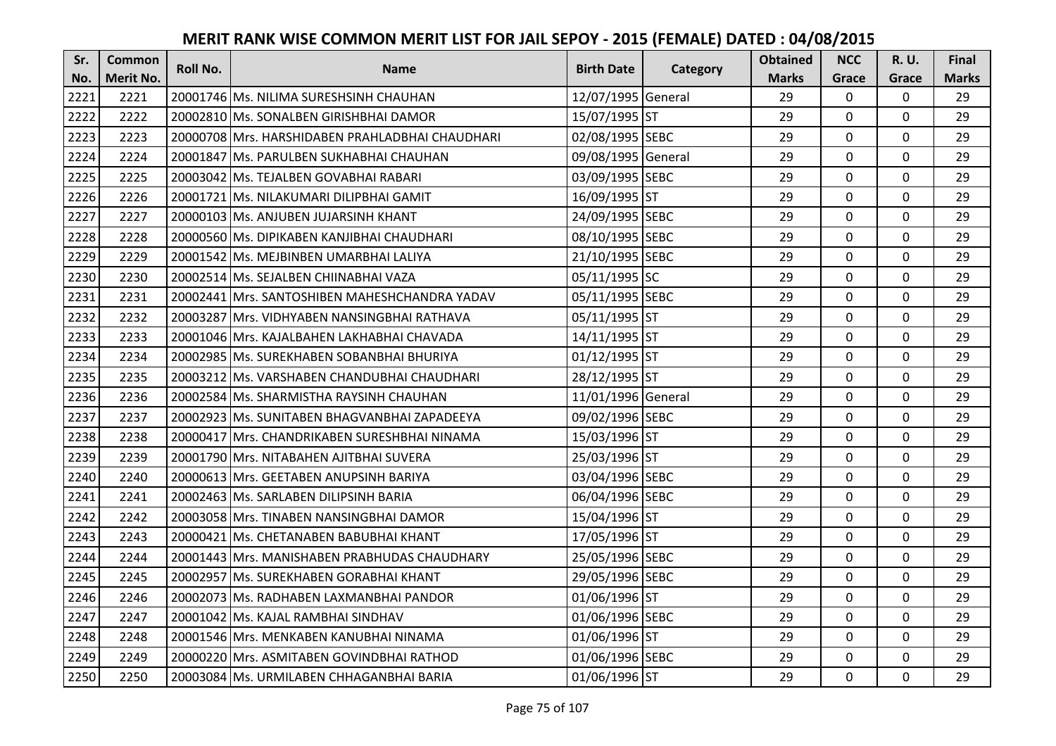| Sr.  | <b>Common</b>    | <b>Roll No.</b> | <b>Name</b>                                       | <b>Birth Date</b>  |          | <b>Obtained</b> | <b>NCC</b>   | <b>R.U.</b> | Final        |
|------|------------------|-----------------|---------------------------------------------------|--------------------|----------|-----------------|--------------|-------------|--------------|
| No.  | <b>Merit No.</b> |                 |                                                   |                    | Category | <b>Marks</b>    | Grace        | Grace       | <b>Marks</b> |
| 2221 | 2221             |                 | 20001746 Ms. NILIMA SURESHSINH CHAUHAN            | 12/07/1995 General |          | 29              | 0            | 0           | 29           |
| 2222 | 2222             |                 | 20002810 Ms. SONALBEN GIRISHBHAI DAMOR            | 15/07/1995 ST      |          | 29              | $\mathbf 0$  | 0           | 29           |
| 2223 | 2223             |                 | 20000708   Mrs. HARSHIDABEN PRAHLADBHAI CHAUDHARI | 02/08/1995 SEBC    |          | 29              | $\mathbf 0$  | $\Omega$    | 29           |
| 2224 | 2224             |                 | 20001847 Ms. PARULBEN SUKHABHAI CHAUHAN           | 09/08/1995 General |          | 29              | $\mathbf 0$  | 0           | 29           |
| 2225 | 2225             |                 | 20003042 Ms. TEJALBEN GOVABHAI RABARI             | 03/09/1995 SEBC    |          | 29              | $\mathbf{0}$ | $\mathbf 0$ | 29           |
| 2226 | 2226             |                 | 20001721 Ms. NILAKUMARI DILIPBHAI GAMIT           | 16/09/1995 ST      |          | 29              | $\mathbf 0$  | $\Omega$    | 29           |
| 2227 | 2227             |                 | 20000103 Ms. ANJUBEN JUJARSINH KHANT              | 24/09/1995 SEBC    |          | 29              | $\mathbf 0$  | 0           | 29           |
| 2228 | 2228             |                 | 20000560 Ms. DIPIKABEN KANJIBHAI CHAUDHARI        | 08/10/1995 SEBC    |          | 29              | $\mathbf{0}$ | $\mathbf 0$ | 29           |
| 2229 | 2229             |                 | 20001542 Ms. MEJBINBEN UMARBHAI LALIYA            | 21/10/1995 SEBC    |          | 29              | $\mathbf 0$  | 0           | 29           |
| 2230 | 2230             |                 | 20002514 Ms. SEJALBEN CHIINABHAI VAZA             | 05/11/1995 SC      |          | 29              | $\mathbf{0}$ | 0           | 29           |
| 2231 | 2231             |                 | 20002441 Mrs. SANTOSHIBEN MAHESHCHANDRA YADAV     | 05/11/1995 SEBC    |          | 29              | $\Omega$     | $\Omega$    | 29           |
| 2232 | 2232             |                 | 20003287 Mrs. VIDHYABEN NANSINGBHAI RATHAVA       | 05/11/1995 ST      |          | 29              | $\mathbf 0$  | 0           | 29           |
| 2233 | 2233             |                 | 20001046 Mrs. KAJALBAHEN LAKHABHAI CHAVADA        | 14/11/1995 ST      |          | 29              | 0            | $\mathbf 0$ | 29           |
| 2234 | 2234             |                 | 20002985 Ms. SUREKHABEN SOBANBHAI BHURIYA         | 01/12/1995 ST      |          | 29              | $\mathbf 0$  | 0           | 29           |
| 2235 | 2235             |                 | 20003212 Ms. VARSHABEN CHANDUBHAI CHAUDHARI       | 28/12/1995 ST      |          | 29              | $\mathbf 0$  | 0           | 29           |
| 2236 | 2236             |                 | 20002584 Ms. SHARMISTHA RAYSINH CHAUHAN           | 11/01/1996 General |          | 29              | $\mathbf{0}$ | $\Omega$    | 29           |
| 2237 | 2237             |                 | 20002923 lMs. SUNITABEN BHAGVANBHAI ZAPADEEYA     | 09/02/1996 SEBC    |          | 29              | $\mathbf{0}$ | 0           | 29           |
| 2238 | 2238             |                 | 20000417 Mrs. CHANDRIKABEN SURESHBHAI NINAMA      | 15/03/1996 ST      |          | 29              | $\mathbf 0$  | $\Omega$    | 29           |
| 2239 | 2239             |                 | 20001790 Mrs. NITABAHEN AJITBHAI SUVERA           | 25/03/1996 ST      |          | 29              | $\mathbf 0$  | $\Omega$    | 29           |
| 2240 | 2240             |                 | 20000613 Mrs. GEETABEN ANUPSINH BARIYA            | 03/04/1996 SEBC    |          | 29              | $\mathbf 0$  | 0           | 29           |
| 2241 | 2241             |                 | 20002463 Ms. SARLABEN DILIPSINH BARIA             | 06/04/1996 SEBC    |          | 29              | $\mathbf 0$  | $\Omega$    | 29           |
| 2242 | 2242             |                 | 20003058 Mrs. TINABEN NANSINGBHAI DAMOR           | 15/04/1996 ST      |          | 29              | $\mathbf 0$  | $\Omega$    | 29           |
| 2243 | 2243             |                 | 20000421 Ms. CHETANABEN BABUBHAI KHANT            | 17/05/1996 ST      |          | 29              | $\mathbf 0$  | $\Omega$    | 29           |
| 2244 | 2244             |                 | 20001443 Mrs. MANISHABEN PRABHUDAS CHAUDHARY      | 25/05/1996 SEBC    |          | 29              | $\mathbf 0$  | $\mathbf 0$ | 29           |
| 2245 | 2245             |                 | 20002957 Ms. SUREKHABEN GORABHAI KHANT            | 29/05/1996 SEBC    |          | 29              | $\mathbf 0$  | 0           | 29           |
| 2246 | 2246             |                 | 20002073 Ms. RADHABEN LAXMANBHAI PANDOR           | 01/06/1996 ST      |          | 29              | $\mathbf{0}$ | 0           | 29           |
| 2247 | 2247             |                 | 20001042 Ms. KAJAL RAMBHAI SINDHAV                | 01/06/1996 SEBC    |          | 29              | $\mathbf 0$  | 0           | 29           |
| 2248 | 2248             |                 | 20001546 Mrs. MENKABEN KANUBHAI NINAMA            | 01/06/1996 ST      |          | 29              | $\Omega$     | 0           | 29           |
| 2249 | 2249             |                 | 20000220 Mrs. ASMITABEN GOVINDBHAI RATHOD         | 01/06/1996 SEBC    |          | 29              | $\mathbf 0$  | 0           | 29           |
| 2250 | 2250             |                 | 20003084 Ms. URMILABEN CHHAGANBHAI BARIA          | 01/06/1996 ST      |          | 29              | $\mathbf{0}$ | 0           | 29           |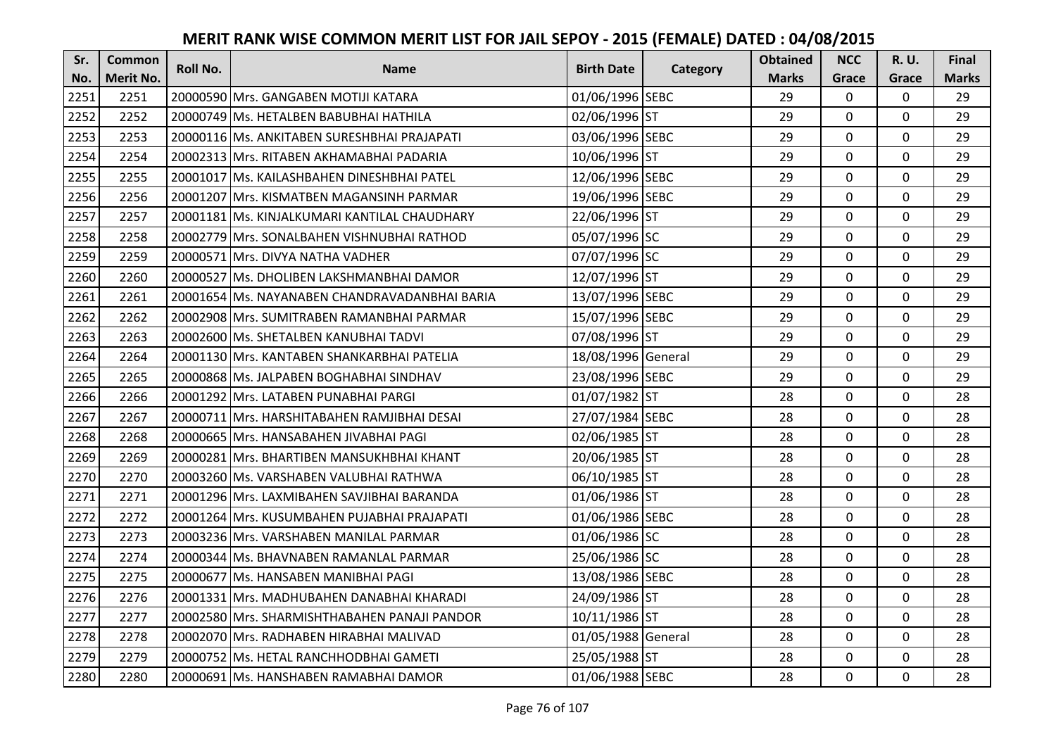| Sr.  | <b>Common</b>    | <b>Roll No.</b> | <b>Name</b>                                   | <b>Birth Date</b>  |          | <b>Obtained</b> | <b>NCC</b>   | <b>R.U.</b> | Final        |
|------|------------------|-----------------|-----------------------------------------------|--------------------|----------|-----------------|--------------|-------------|--------------|
| No.  | <b>Merit No.</b> |                 |                                               |                    | Category | <b>Marks</b>    | Grace        | Grace       | <b>Marks</b> |
| 2251 | 2251             |                 | 20000590 Mrs. GANGABEN MOTIJI KATARA          | 01/06/1996 SEBC    |          | 29              | $\mathbf 0$  | 0           | 29           |
| 2252 | 2252             |                 | 20000749 Ms. HETALBEN BABUBHAI HATHILA        | 02/06/1996 ST      |          | 29              | $\mathbf{0}$ | $\Omega$    | 29           |
| 2253 | 2253             |                 | 20000116 Ms. ANKITABEN SURESHBHAI PRAJAPATI   | 03/06/1996 SEBC    |          | 29              | $\mathbf 0$  | $\Omega$    | 29           |
| 2254 | 2254             |                 | 20002313 Mrs. RITABEN AKHAMABHAI PADARIA      | 10/06/1996 ST      |          | 29              | $\mathbf 0$  | 0           | 29           |
| 2255 | 2255             |                 | 20001017 Ms. KAILASHBAHEN DINESHBHAI PATEL    | 12/06/1996 SEBC    |          | 29              | $\mathbf{0}$ | 0           | 29           |
| 2256 | 2256             |                 | 20001207 Mrs. KISMATBEN MAGANSINH PARMAR      | 19/06/1996 SEBC    |          | 29              | $\mathbf 0$  | $\Omega$    | 29           |
| 2257 | 2257             |                 | 20001181 Ms. KINJALKUMARI KANTILAL CHAUDHARY  | 22/06/1996 ST      |          | 29              | $\mathbf 0$  | 0           | 29           |
| 2258 | 2258             |                 | 20002779 Mrs. SONALBAHEN VISHNUBHAI RATHOD    | 05/07/1996 SC      |          | 29              | $\mathbf 0$  | $\mathbf 0$ | 29           |
| 2259 | 2259             |                 | 20000571 Mrs. DIVYA NATHA VADHER              | 07/07/1996 SC      |          | 29              | 0            | 0           | 29           |
| 2260 | 2260             |                 | 20000527 Ms. DHOLIBEN LAKSHMANBHAI DAMOR      | 12/07/1996 ST      |          | 29              | $\mathbf{0}$ | 0           | 29           |
| 2261 | 2261             |                 | 20001654 Ms. NAYANABEN CHANDRAVADANBHAI BARIA | 13/07/1996 SEBC    |          | 29              | $\Omega$     | 0           | 29           |
| 2262 | 2262             |                 | 20002908 Mrs. SUMITRABEN RAMANBHAI PARMAR     | 15/07/1996 SEBC    |          | 29              | $\mathbf 0$  | 0           | 29           |
| 2263 | 2263             |                 | 20002600 Ms. SHETALBEN KANUBHAI TADVI         | 07/08/1996 ST      |          | 29              | $\mathbf{0}$ | $\mathbf 0$ | 29           |
| 2264 | 2264             |                 | 20001130 Mrs. KANTABEN SHANKARBHAI PATELIA    | 18/08/1996 General |          | 29              | $\mathbf 0$  | 0           | 29           |
| 2265 | 2265             |                 | 20000868 Ms. JALPABEN BOGHABHAI SINDHAV       | 23/08/1996 SEBC    |          | 29              | $\mathbf 0$  | 0           | 29           |
| 2266 | 2266             |                 | 20001292 Mrs. LATABEN PUNABHAI PARGI          | 01/07/1982 ST      |          | 28              | $\mathbf{0}$ | $\Omega$    | 28           |
| 2267 | 2267             |                 | 20000711  Mrs. HARSHITABAHEN RAMJIBHAI DESAI  | 27/07/1984 SEBC    |          | 28              | $\mathbf{0}$ | 0           | 28           |
| 2268 | 2268             |                 | 20000665 Mrs. HANSABAHEN JIVABHAI PAGI        | 02/06/1985 ST      |          | 28              | $\mathbf 0$  | $\Omega$    | 28           |
| 2269 | 2269             |                 | 20000281 IMrs. BHARTIBEN MANSUKHBHAI KHANT    | 20/06/1985 ST      |          | 28              | $\mathbf 0$  | $\Omega$    | 28           |
| 2270 | 2270             |                 | 20003260 Ms. VARSHABEN VALUBHAI RATHWA        | 06/10/1985 ST      |          | 28              | $\mathbf 0$  | 0           | 28           |
| 2271 | 2271             |                 | 20001296 Mrs. LAXMIBAHEN SAVJIBHAI BARANDA    | 01/06/1986 ST      |          | 28              | $\mathbf 0$  | $\Omega$    | 28           |
| 2272 | 2272             |                 | 20001264 Mrs. KUSUMBAHEN PUJABHAI PRAJAPATI   | 01/06/1986 SEBC    |          | 28              | $\mathbf 0$  | $\Omega$    | 28           |
| 2273 | 2273             |                 | 20003236 Mrs. VARSHABEN MANILAL PARMAR        | 01/06/1986 SC      |          | 28              | $\mathbf 0$  | $\mathbf 0$ | 28           |
| 2274 | 2274             |                 | 20000344 Ms. BHAVNABEN RAMANLAL PARMAR        | 25/06/1986 SC      |          | 28              | $\mathbf 0$  | $\mathbf 0$ | 28           |
| 2275 | 2275             |                 | 20000677 Ms. HANSABEN MANIBHAI PAGI           | 13/08/1986 SEBC    |          | 28              | $\mathbf 0$  | 0           | 28           |
| 2276 | 2276             |                 | 20001331 Mrs. MADHUBAHEN DANABHAI KHARADI     | 24/09/1986 ST      |          | 28              | $\mathbf{0}$ | 0           | 28           |
| 2277 | 2277             |                 | 20002580 Mrs. SHARMISHTHABAHEN PANAJI PANDOR  | 10/11/1986 ST      |          | 28              | $\mathbf 0$  | 0           | 28           |
| 2278 | 2278             |                 | 20002070 Mrs. RADHABEN HIRABHAI MALIVAD       | 01/05/1988 General |          | 28              | $\Omega$     | 0           | 28           |
| 2279 | 2279             |                 | 20000752 Ms. HETAL RANCHHODBHAI GAMETI        | 25/05/1988 ST      |          | 28              | $\mathbf 0$  | 0           | 28           |
| 2280 | 2280             |                 | 20000691 Ms. HANSHABEN RAMABHAI DAMOR         | 01/06/1988 SEBC    |          | 28              | $\mathbf{0}$ | 0           | 28           |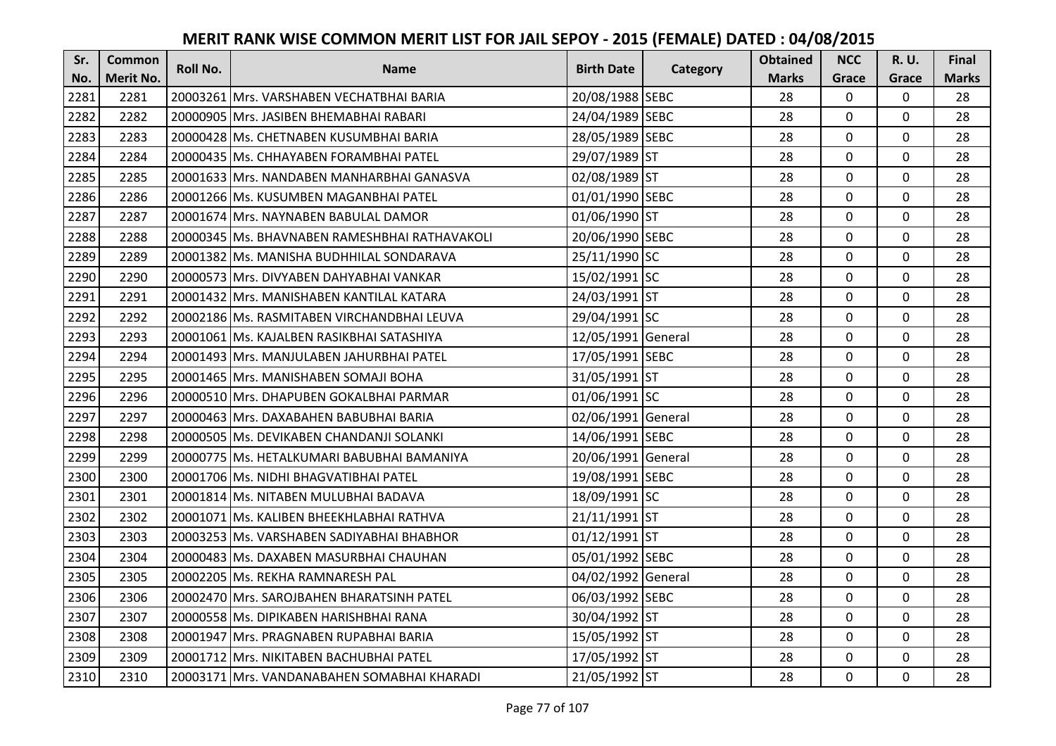| Sr.  | <b>Common</b>    | <b>Roll No.</b> | <b>Name</b>                                   | <b>Birth Date</b>  | Category | <b>Obtained</b> | <b>NCC</b>   | <b>R.U.</b> | Final        |
|------|------------------|-----------------|-----------------------------------------------|--------------------|----------|-----------------|--------------|-------------|--------------|
| No.  | <b>Merit No.</b> |                 |                                               |                    |          | <b>Marks</b>    | Grace        | Grace       | <b>Marks</b> |
| 2281 | 2281             |                 | 20003261 Mrs. VARSHABEN VECHATBHAI BARIA      | 20/08/1988 SEBC    |          | 28              | 0            | 0           | 28           |
| 2282 | 2282             |                 | 20000905 Mrs. JASIBEN BHEMABHAI RABARI        | 24/04/1989 SEBC    |          | 28              | $\mathbf 0$  | $\Omega$    | 28           |
| 2283 | 2283             |                 | 20000428 Ms. CHETNABEN KUSUMBHAI BARIA        | 28/05/1989 SEBC    |          | 28              | $\mathbf 0$  | 0           | 28           |
| 2284 | 2284             |                 | 20000435 Ms. CHHAYABEN FORAMBHAI PATEL        | 29/07/1989 ST      |          | 28              | $\mathbf 0$  | 0           | 28           |
| 2285 | 2285             |                 | 20001633 IMrs. NANDABEN MANHARBHAI GANASVA    | 02/08/1989 ST      |          | 28              | $\mathbf{0}$ | $\mathbf 0$ | 28           |
| 2286 | 2286             |                 | 20001266 Ms. KUSUMBEN MAGANBHAI PATEL         | 01/01/1990 SEBC    |          | 28              | $\mathbf 0$  | $\Omega$    | 28           |
| 2287 | 2287             |                 | 20001674 Mrs. NAYNABEN BABULAL DAMOR          | 01/06/1990 ST      |          | 28              | $\mathbf 0$  | 0           | 28           |
| 2288 | 2288             |                 | 20000345 Ms. BHAVNABEN RAMESHBHAI RATHAVAKOLI | 20/06/1990 SEBC    |          | 28              | $\mathbf{0}$ | $\mathbf 0$ | 28           |
| 2289 | 2289             |                 | 20001382 Ms. MANISHA BUDHHILAL SONDARAVA      | 25/11/1990 SC      |          | 28              | $\mathbf 0$  | 0           | 28           |
| 2290 | 2290             |                 | 20000573 Mrs. DIVYABEN DAHYABHAI VANKAR       | 15/02/1991 SC      |          | 28              | $\mathbf{0}$ | 0           | 28           |
| 2291 | 2291             |                 | 20001432 Mrs. MANISHABEN KANTILAL KATARA      | 24/03/1991 ST      |          | 28              | $\Omega$     | 0           | 28           |
| 2292 | 2292             |                 | 20002186 Ms. RASMITABEN VIRCHANDBHAI LEUVA    | 29/04/1991 SC      |          | 28              | $\mathbf 0$  | 0           | 28           |
| 2293 | 2293             |                 | 20001061   Ms. KAJALBEN RASIKBHAI SATASHIYA   | 12/05/1991 General |          | 28              | 0            | 0           | 28           |
| 2294 | 2294             |                 | 20001493 Mrs. MANJULABEN JAHURBHAI PATEL      | 17/05/1991 SEBC    |          | 28              | $\mathbf 0$  | 0           | 28           |
| 2295 | 2295             |                 | 20001465 Mrs. MANISHABEN SOMAJI BOHA          | 31/05/1991 ST      |          | 28              | $\mathbf 0$  | 0           | 28           |
| 2296 | 2296             |                 | 20000510 Mrs. DHAPUBEN GOKALBHAI PARMAR       | 01/06/1991 SC      |          | 28              | $\mathbf{0}$ | $\Omega$    | 28           |
| 2297 | 2297             |                 | 20000463 Mrs. DAXABAHEN BABUBHAI BARIA        | 02/06/1991 General |          | 28              | $\mathbf{0}$ | 0           | 28           |
| 2298 | 2298             |                 | 20000505 Ms. DEVIKABEN CHANDANJI SOLANKI      | 14/06/1991 SEBC    |          | 28              | $\mathbf 0$  | $\Omega$    | 28           |
| 2299 | 2299             |                 | 20000775 IMs. HETALKUMARI BABUBHAI BAMANIYA   | 20/06/1991 General |          | 28              | $\mathbf 0$  | $\Omega$    | 28           |
| 2300 | 2300             |                 | 20001706 Ms. NIDHI BHAGVATIBHAI PATEL         | 19/08/1991 SEBC    |          | 28              | $\mathbf 0$  | 0           | 28           |
| 2301 | 2301             |                 | 20001814 Ms. NITABEN MULUBHAI BADAVA          | 18/09/1991 SC      |          | 28              | $\mathbf 0$  | $\Omega$    | 28           |
| 2302 | 2302             |                 | 20001071 Ms. KALIBEN BHEEKHLABHAI RATHVA      | 21/11/1991 ST      |          | 28              | $\Omega$     | $\Omega$    | 28           |
| 2303 | 2303             |                 | 20003253 Ms. VARSHABEN SADIYABHAI BHABHOR     | 01/12/1991 ST      |          | 28              | $\mathbf{0}$ | 0           | 28           |
| 2304 | 2304             |                 | 20000483 Ms. DAXABEN MASURBHAI CHAUHAN        | 05/01/1992 SEBC    |          | 28              | $\mathbf 0$  | $\mathbf 0$ | 28           |
| 2305 | 2305             |                 | 20002205 Ms. REKHA RAMNARESH PAL              | 04/02/1992 General |          | 28              | $\mathbf 0$  | 0           | 28           |
| 2306 | 2306             |                 | 20002470 Mrs. SAROJBAHEN BHARATSINH PATEL     | 06/03/1992 SEBC    |          | 28              | $\mathbf{0}$ | 0           | 28           |
| 2307 | 2307             |                 | 20000558 Ms. DIPIKABEN HARISHBHAI RANA        | 30/04/1992 ST      |          | 28              | $\mathbf 0$  | 0           | 28           |
| 2308 | 2308             |                 | 20001947 Mrs. PRAGNABEN RUPABHAI BARIA        | 15/05/1992 ST      |          | 28              | $\Omega$     | 0           | 28           |
| 2309 | 2309             |                 | 20001712 Mrs. NIKITABEN BACHUBHAI PATEL       | 17/05/1992 ST      |          | 28              | $\mathbf 0$  | 0           | 28           |
| 2310 | 2310             |                 | 20003171 Mrs. VANDANABAHEN SOMABHAI KHARADI   | 21/05/1992 ST      |          | 28              | $\mathbf{0}$ | 0           | 28           |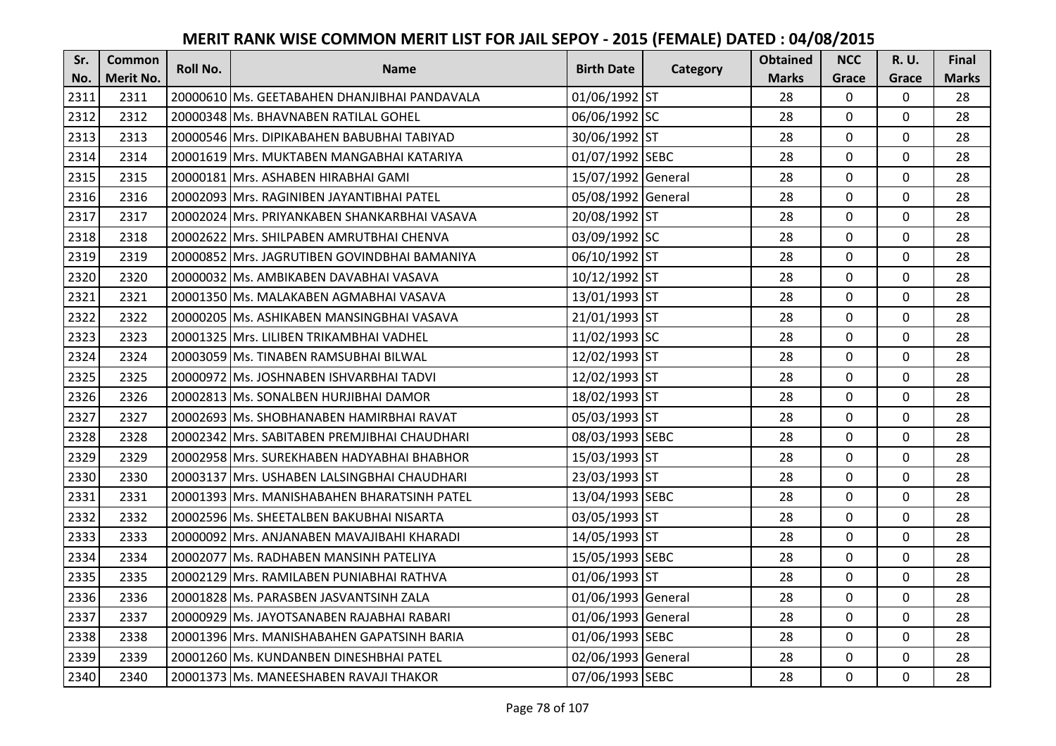| Sr.  | <b>Common</b>    | Roll No. | <b>Name</b>                                  | <b>Birth Date</b>  |          | <b>Obtained</b> | <b>NCC</b>   | R. U.       | Final        |
|------|------------------|----------|----------------------------------------------|--------------------|----------|-----------------|--------------|-------------|--------------|
| No.  | <b>Merit No.</b> |          |                                              |                    | Category | <b>Marks</b>    | Grace        | Grace       | <b>Marks</b> |
| 2311 | 2311             |          | 20000610 Ms. GEETABAHEN DHANJIBHAI PANDAVALA | 01/06/1992 ST      |          | 28              | 0            | 0           | 28           |
| 2312 | 2312             |          | 20000348 Ms. BHAVNABEN RATILAL GOHEL         | 06/06/1992 SC      |          | 28              | 0            | $\mathbf 0$ | 28           |
| 2313 | 2313             |          | 20000546 IMrs. DIPIKABAHEN BABUBHAI TABIYAD  | 30/06/1992 ST      |          | 28              | 0            | 0           | 28           |
| 2314 | 2314             |          | 20001619 Mrs. MUKTABEN MANGABHAI KATARIYA    | 01/07/1992 SEBC    |          | 28              | 0            | $\mathbf 0$ | 28           |
| 2315 | 2315             |          | 20000181 Mrs. ASHABEN HIRABHAI GAMI          | 15/07/1992 General |          | 28              | 0            | $\mathbf 0$ | 28           |
| 2316 | 2316             |          | 20002093 Mrs. RAGINIBEN JAYANTIBHAI PATEL    | 05/08/1992 General |          | 28              | 0            | 0           | 28           |
| 2317 | 2317             |          | 20002024 Mrs. PRIYANKABEN SHANKARBHAI VASAVA | 20/08/1992 ST      |          | 28              | 0            | $\mathbf 0$ | 28           |
| 2318 | 2318             |          | 20002622 Mrs. SHILPABEN AMRUTBHAI CHENVA     | 03/09/1992 SC      |          | 28              | 0            | $\mathbf 0$ | 28           |
| 2319 | 2319             |          | 20000852 Mrs. JAGRUTIBEN GOVINDBHAI BAMANIYA | 06/10/1992 ST      |          | 28              | 0            | 0           | 28           |
| 2320 | 2320             |          | 20000032 Ms. AMBIKABEN DAVABHAI VASAVA       | 10/12/1992 ST      |          | 28              | 0            | $\mathbf 0$ | 28           |
| 2321 | 2321             |          | 20001350 Ms. MALAKABEN AGMABHAI VASAVA       | 13/01/1993 ST      |          | 28              | $\Omega$     | $\mathbf 0$ | 28           |
| 2322 | 2322             |          | 20000205 Ms. ASHIKABEN MANSINGBHAI VASAVA    | 21/01/1993 ST      |          | 28              | 0            | $\mathbf 0$ | 28           |
| 2323 | 2323             |          | 20001325 Mrs. LILIBEN TRIKAMBHAI VADHEL      | 11/02/1993 SC      |          | 28              | 0            | $\mathbf 0$ | 28           |
| 2324 | 2324             |          | 20003059 Ms. TINABEN RAMSUBHAI BILWAL        | 12/02/1993 ST      |          | 28              | 0            | 0           | 28           |
| 2325 | 2325             |          | 20000972 Ms. JOSHNABEN ISHVARBHAI TADVI      | 12/02/1993 ST      |          | 28              | 0            | $\mathbf 0$ | 28           |
| 2326 | 2326             |          | 20002813 Ms. SONALBEN HURJIBHAI DAMOR        | 18/02/1993 ST      |          | 28              | 0            | 0           | 28           |
| 2327 | 2327             |          | 20002693 Ms. SHOBHANABEN HAMIRBHAI RAVAT     | 05/03/1993 ST      |          | 28              | 0            | 0           | 28           |
| 2328 | 2328             |          | 20002342 Mrs. SABITABEN PREMJIBHAI CHAUDHARI | 08/03/1993 SEBC    |          | 28              | $\mathbf 0$  | $\mathbf 0$ | 28           |
| 2329 | 2329             |          | 20002958 IMrs. SUREKHABEN HADYABHAI BHABHOR  | 15/03/1993 ST      |          | 28              | $\mathbf 0$  | $\Omega$    | 28           |
| 2330 | 2330             |          | 20003137 Mrs. USHABEN LALSINGBHAI CHAUDHARI  | 23/03/1993 ST      |          | 28              | 0            | 0           | 28           |
| 2331 | 2331             |          | 20001393 Mrs. MANISHABAHEN BHARATSINH PATEL  | 13/04/1993 SEBC    |          | 28              | $\mathbf 0$  | $\mathbf 0$ | 28           |
| 2332 | 2332             |          | 20002596 Ms. SHEETALBEN BAKUBHAI NISARTA     | 03/05/1993 ST      |          | 28              | $\mathbf{0}$ | $\Omega$    | 28           |
| 2333 | 2333             |          | 20000092 Mrs. ANJANABEN MAVAJIBAHI KHARADI   | 14/05/1993 ST      |          | 28              | 0            | $\mathbf 0$ | 28           |
| 2334 | 2334             | 20002077 | Ms. RADHABEN MANSINH PATELIYA                | 15/05/1993 SEBC    |          | 28              | 0            | $\mathbf 0$ | 28           |
| 2335 | 2335             |          | 20002129 Mrs. RAMILABEN PUNIABHAI RATHVA     | 01/06/1993 ST      |          | 28              | 0            | $\mathbf 0$ | 28           |
| 2336 | 2336             |          | 20001828 Ms. PARASBEN JASVANTSINH ZALA       | 01/06/1993 General |          | 28              | 0            | $\mathbf 0$ | 28           |
| 2337 | 2337             |          | 20000929 Ms. JAYOTSANABEN RAJABHAI RABARI    | 01/06/1993 General |          | 28              | 0            | $\mathbf 0$ | 28           |
| 2338 | 2338             |          | 20001396 Mrs. MANISHABAHEN GAPATSINH BARIA   | 01/06/1993 SEBC    |          | 28              | $\Omega$     | $\mathbf 0$ | 28           |
| 2339 | 2339             |          | 20001260 Ms. KUNDANBEN DINESHBHAI PATEL      | 02/06/1993 General |          | 28              | 0            | $\mathbf 0$ | 28           |
| 2340 | 2340             |          | 20001373 Ms. MANEESHABEN RAVAJI THAKOR       | 07/06/1993 SEBC    |          | 28              | 0            | $\mathbf 0$ | 28           |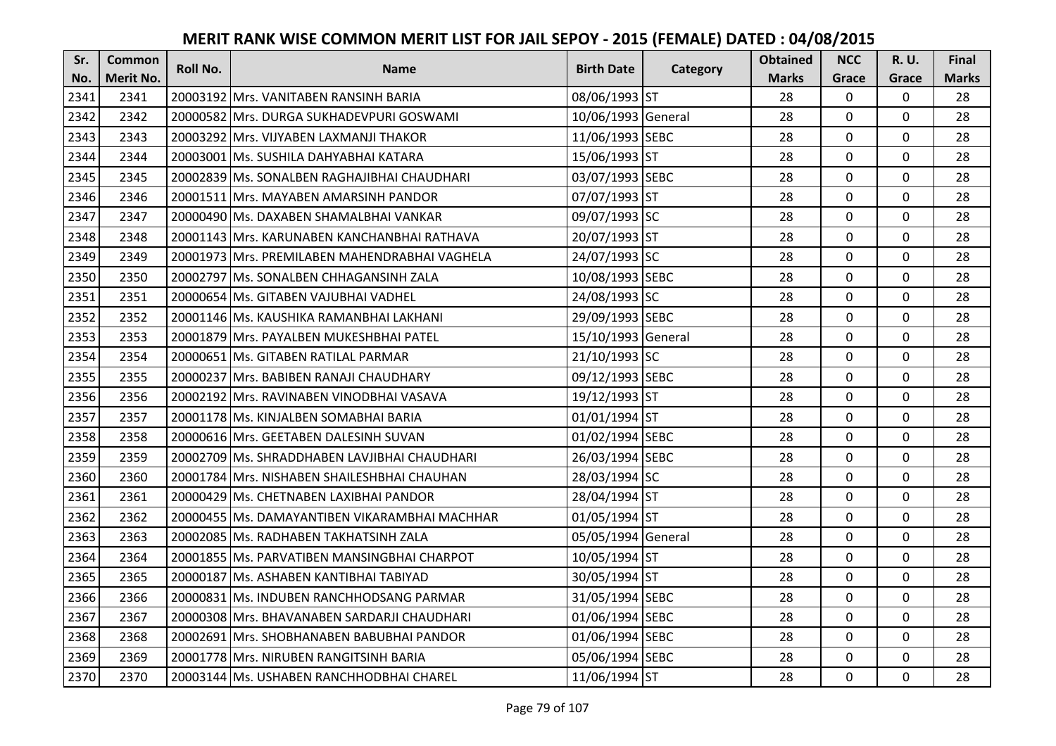| Sr.  | <b>Common</b>    | Roll No. | <b>Name</b>                                   | <b>Birth Date</b>  | <b>Category</b> | <b>Obtained</b> | <b>NCC</b>   | <b>R.U.</b> | <b>Final</b> |
|------|------------------|----------|-----------------------------------------------|--------------------|-----------------|-----------------|--------------|-------------|--------------|
| No.  | <b>Merit No.</b> |          |                                               |                    |                 | <b>Marks</b>    | Grace        | Grace       | <b>Marks</b> |
| 2341 | 2341             |          | 20003192 Mrs. VANITABEN RANSINH BARIA         | 08/06/1993 ST      |                 | 28              | $\mathbf 0$  | 0           | 28           |
| 2342 | 2342             |          | 20000582 Mrs. DURGA SUKHADEVPURI GOSWAMI      | 10/06/1993 General |                 | 28              | $\mathbf{0}$ | $\mathbf 0$ | 28           |
| 2343 | 2343             |          | 20003292 Mrs. VIJYABEN LAXMANJI THAKOR        | 11/06/1993 SEBC    |                 | 28              | $\Omega$     | $\Omega$    | 28           |
| 2344 | 2344             |          | 20003001 Ms. SUSHILA DAHYABHAI KATARA         | 15/06/1993 ST      |                 | 28              | $\mathbf 0$  | $\mathbf 0$ | 28           |
| 2345 | 2345             |          | 20002839 Ms. SONALBEN RAGHAJIBHAI CHAUDHARI   | 03/07/1993 SEBC    |                 | 28              | $\mathbf{0}$ | $\mathbf 0$ | 28           |
| 2346 | 2346             |          | 20001511 Mrs. MAYABEN AMARSINH PANDOR         | 07/07/1993 ST      |                 | 28              | $\mathbf 0$  | 0           | 28           |
| 2347 | 2347             |          | 20000490 Ms. DAXABEN SHAMALBHAI VANKAR        | 09/07/1993 SC      |                 | 28              | $\mathbf 0$  | 0           | 28           |
| 2348 | 2348             |          | 20001143 Mrs. KARUNABEN KANCHANBHAI RATHAVA   | 20/07/1993 ST      |                 | 28              | $\mathbf 0$  | 0           | 28           |
| 2349 | 2349             |          | 20001973 Mrs. PREMILABEN MAHENDRABHAI VAGHELA | 24/07/1993 SC      |                 | 28              | 0            | 0           | 28           |
| 2350 | 2350             |          | 20002797 Ms. SONALBEN CHHAGANSINH ZALA        | 10/08/1993 SEBC    |                 | 28              | $\mathbf{0}$ | 0           | 28           |
| 2351 | 2351             |          | 20000654 Ms. GITABEN VAJUBHAI VADHEL          | 24/08/1993 SC      |                 | 28              | $\mathbf 0$  | 0           | 28           |
| 2352 | 2352             |          | 20001146 Ms. KAUSHIKA RAMANBHAI LAKHANI       | 29/09/1993 SEBC    |                 | 28              | $\mathbf 0$  | 0           | 28           |
| 2353 | 2353             |          | 20001879 Mrs. PAYALBEN MUKESHBHAI PATEL       | 15/10/1993 General |                 | 28              | $\mathbf 0$  | $\Omega$    | 28           |
| 2354 | 2354             |          | 20000651 Ms. GITABEN RATILAL PARMAR           | 21/10/1993 SC      |                 | 28              | $\mathbf 0$  | $\Omega$    | 28           |
| 2355 | 2355             |          | 20000237 Mrs. BABIBEN RANAJI CHAUDHARY        | 09/12/1993 SEBC    |                 | 28              | $\mathbf 0$  | $\Omega$    | 28           |
| 2356 | 2356             |          | 20002192 Mrs. RAVINABEN VINODBHAI VASAVA      | 19/12/1993 ST      |                 | 28              | $\Omega$     | $\Omega$    | 28           |
| 2357 | 2357             |          | 20001178 Ms. KINJALBEN SOMABHAI BARIA         | 01/01/1994 ST      |                 | 28              | $\mathbf 0$  | 0           | 28           |
| 2358 | 2358             |          | 20000616 Mrs. GEETABEN DALESINH SUVAN         | 01/02/1994 SEBC    |                 | 28              | $\mathbf 0$  | 0           | 28           |
| 2359 | 2359             |          | 20002709 Ms. SHRADDHABEN LAVJIBHAI CHAUDHARI  | 26/03/1994 SEBC    |                 | 28              | $\mathbf 0$  | $\Omega$    | 28           |
| 2360 | 2360             |          | 20001784 lMrs. NISHABEN SHAILESHBHAI CHAUHAN  | 28/03/1994 SC      |                 | 28              | $\mathbf 0$  | 0           | 28           |
| 2361 | 2361             |          | 20000429 Ms. CHETNABEN LAXIBHAI PANDOR        | 28/04/1994 ST      |                 | 28              | $\mathbf 0$  | 0           | 28           |
| 2362 | 2362             |          | 20000455 Ms. DAMAYANTIBEN VIKARAMBHAI MACHHAR | 01/05/1994 ST      |                 | 28              | $\mathbf 0$  | $\Omega$    | 28           |
| 2363 | 2363             |          | 20002085 Ms. RADHABEN TAKHATSINH ZALA         | 05/05/1994 General |                 | 28              | $\mathbf 0$  | 0           | 28           |
| 2364 | 2364             |          | 20001855 Ms. PARVATIBEN MANSINGBHAI CHARPOT   | 10/05/1994 ST      |                 | 28              | $\mathbf 0$  | $\mathbf 0$ | 28           |
| 2365 | 2365             |          | 20000187 Ms. ASHABEN KANTIBHAI TABIYAD        | 30/05/1994 ST      |                 | 28              | $\mathbf 0$  | $\Omega$    | 28           |
| 2366 | 2366             |          | 20000831 Ms. INDUBEN RANCHHODSANG PARMAR      | 31/05/1994 SEBC    |                 | 28              | $\mathbf 0$  | 0           | 28           |
| 2367 | 2367             |          | 20000308 Mrs. BHAVANABEN SARDARJI CHAUDHARI   | 01/06/1994 SEBC    |                 | 28              | $\mathbf 0$  | 0           | 28           |
| 2368 | 2368             |          | 20002691 Mrs. SHOBHANABEN BABUBHAI PANDOR     | 01/06/1994 SEBC    |                 | 28              | $\mathbf 0$  | 0           | 28           |
| 2369 | 2369             |          | 20001778 Mrs. NIRUBEN RANGITSINH BARIA        | 05/06/1994 SEBC    |                 | 28              | 0            | 0           | 28           |
| 2370 | 2370             |          | 20003144 Ms. USHABEN RANCHHODBHAI CHAREL      | 11/06/1994 ST      |                 | 28              | $\mathbf{0}$ | 0           | 28           |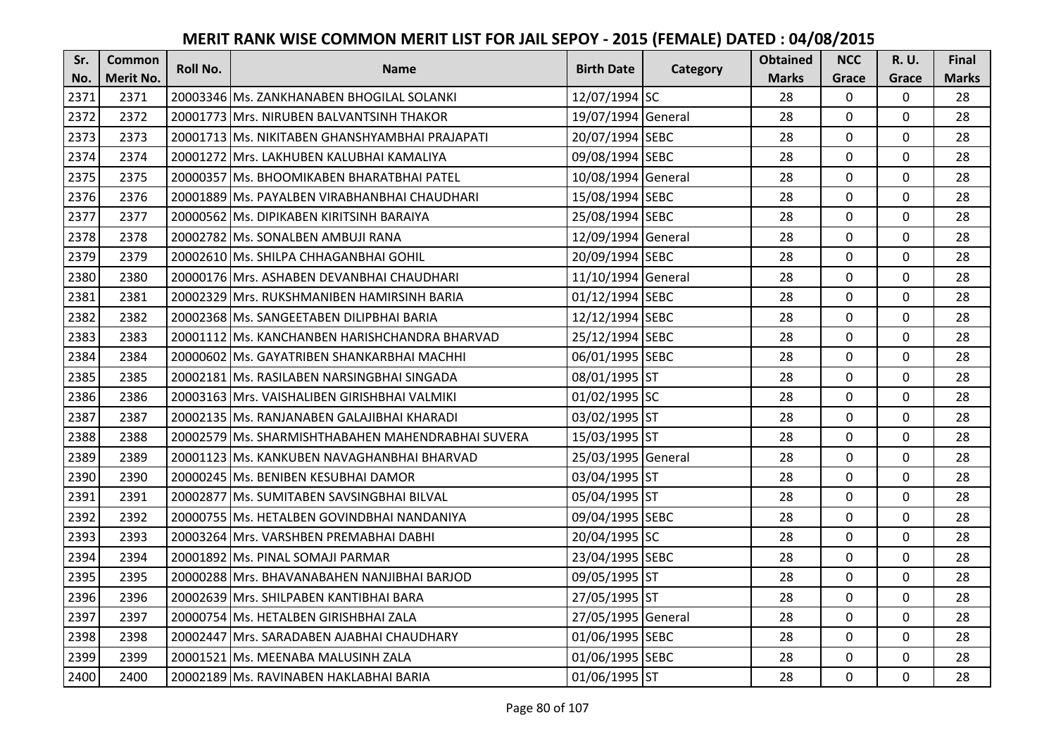| Sr.  | <b>Common</b>    | <b>Roll No.</b> | <b>Name</b>                                       | <b>Birth Date</b>  | Category | <b>Obtained</b> | <b>NCC</b>   | <b>R.U.</b> | Final        |
|------|------------------|-----------------|---------------------------------------------------|--------------------|----------|-----------------|--------------|-------------|--------------|
| No.  | <b>Merit No.</b> |                 |                                                   |                    |          | <b>Marks</b>    | Grace        | Grace       | <b>Marks</b> |
| 2371 | 2371             |                 | 20003346 Ms. ZANKHANABEN BHOGILAL SOLANKI         | 12/07/1994 SC      |          | 28              | 0            | 0           | 28           |
| 2372 | 2372             |                 | 20001773 Mrs. NIRUBEN BALVANTSINH THAKOR          | 19/07/1994 General |          | 28              | $\mathbf 0$  | $\Omega$    | 28           |
| 2373 | 2373             |                 | 20001713 lMs. NIKITABEN GHANSHYAMBHAI PRAJAPATI   | 20/07/1994 SEBC    |          | 28              | $\mathbf 0$  | $\Omega$    | 28           |
| 2374 | 2374             |                 | 20001272 Mrs. LAKHUBEN KALUBHAI KAMALIYA          | 09/08/1994 SEBC    |          | 28              | $\mathbf 0$  | 0           | 28           |
| 2375 | 2375             |                 | 20000357 Ms. BHOOMIKABEN BHARATBHAI PATEL         | 10/08/1994 General |          | 28              | $\mathbf{0}$ | $\mathbf 0$ | 28           |
| 2376 | 2376             |                 | 20001889 Ms. PAYALBEN VIRABHANBHAI CHAUDHARI      | 15/08/1994 SEBC    |          | 28              | $\mathbf 0$  | $\Omega$    | 28           |
| 2377 | 2377             |                 | 20000562 Ms. DIPIKABEN KIRITSINH BARAIYA          | 25/08/1994 SEBC    |          | 28              | $\mathbf 0$  | 0           | 28           |
| 2378 | 2378             |                 | 20002782 Ms. SONALBEN AMBUJI RANA                 | 12/09/1994 General |          | 28              | $\mathbf{0}$ | $\mathbf 0$ | 28           |
| 2379 | 2379             |                 | 20002610 Ms. SHILPA CHHAGANBHAI GOHIL             | 20/09/1994 SEBC    |          | 28              | 0            | 0           | 28           |
| 2380 | 2380             |                 | 20000176 Mrs. ASHABEN DEVANBHAI CHAUDHARI         | 11/10/1994 General |          | 28              | $\mathbf{0}$ | 0           | 28           |
| 2381 | 2381             |                 | 20002329 Mrs. RUKSHMANIBEN HAMIRSINH BARIA        | 01/12/1994 SEBC    |          | 28              | $\Omega$     | 0           | 28           |
| 2382 | 2382             |                 | 20002368 Ms. SANGEETABEN DILIPBHAI BARIA          | 12/12/1994 SEBC    |          | 28              | $\mathbf 0$  | 0           | 28           |
| 2383 | 2383             |                 | 20001112 Ms. KANCHANBEN HARISHCHANDRA BHARVAD     | 25/12/1994 SEBC    |          | 28              | 0            | 0           | 28           |
| 2384 | 2384             |                 | 20000602 Ms. GAYATRIBEN SHANKARBHAI MACHHI        | 06/01/1995 SEBC    |          | 28              | $\mathbf 0$  | 0           | 28           |
| 2385 | 2385             |                 | 20002181 Ms. RASILABEN NARSINGBHAI SINGADA        | 08/01/1995 ST      |          | 28              | $\mathbf 0$  | 0           | 28           |
| 2386 | 2386             |                 | 20003163 Mrs. VAISHALIBEN GIRISHBHAI VALMIKI      | 01/02/1995 SC      |          | 28              | $\mathbf{0}$ | $\Omega$    | 28           |
| 2387 | 2387             |                 | 20002135 Ms. RANJANABEN GALAJIBHAI KHARADI        | 03/02/1995 ST      |          | 28              | $\mathbf{0}$ | 0           | 28           |
| 2388 | 2388             |                 | 20002579 Ms. SHARMISHTHABAHEN MAHENDRABHAI SUVERA | 15/03/1995 ST      |          | 28              | $\mathbf{0}$ | $\Omega$    | 28           |
| 2389 | 2389             |                 | 20001123 IMs. KANKUBEN NAVAGHANBHAI BHARVAD       | 25/03/1995 General |          | 28              | $\mathbf 0$  | $\Omega$    | 28           |
| 2390 | 2390             |                 | 20000245 Ms. BENIBEN KESUBHAI DAMOR               | 03/04/1995 ST      |          | 28              | $\mathbf{0}$ | 0           | 28           |
| 2391 | 2391             |                 | 20002877 Ms. SUMITABEN SAVSINGBHAI BILVAL         | 05/04/1995 ST      |          | 28              | $\mathbf 0$  | $\Omega$    | 28           |
| 2392 | 2392             |                 | 20000755 Ms. HETALBEN GOVINDBHAI NANDANIYA        | 09/04/1995 SEBC    |          | 28              | $\Omega$     | $\Omega$    | 28           |
| 2393 | 2393             |                 | 20003264 Mrs. VARSHBEN PREMABHAI DABHI            | 20/04/1995 SC      |          | 28              | $\mathbf{0}$ | $\Omega$    | 28           |
| 2394 | 2394             |                 | 20001892 Ms. PINAL SOMAJI PARMAR                  | 23/04/1995 SEBC    |          | 28              | $\mathbf 0$  | $\mathbf 0$ | 28           |
| 2395 | 2395             |                 | 20000288 Mrs. BHAVANABAHEN NANJIBHAI BARJOD       | 09/05/1995 ST      |          | 28              | $\mathbf 0$  | 0           | 28           |
| 2396 | 2396             |                 | 20002639 Mrs. SHILPABEN KANTIBHAI BARA            | 27/05/1995 ST      |          | 28              | $\mathbf 0$  | 0           | 28           |
| 2397 | 2397             |                 | 20000754 Ms. HETALBEN GIRISHBHAI ZALA             | 27/05/1995 General |          | 28              | $\mathbf 0$  | 0           | 28           |
| 2398 | 2398             |                 | 20002447 Mrs. SARADABEN AJABHAI CHAUDHARY         | 01/06/1995 SEBC    |          | 28              | $\Omega$     | 0           | 28           |
| 2399 | 2399             |                 | 20001521 Ms. MEENABA MALUSINH ZALA                | 01/06/1995 SEBC    |          | 28              | $\mathbf 0$  | 0           | 28           |
| 2400 | 2400             |                 | 20002189 Ms. RAVINABEN HAKLABHAI BARIA            | 01/06/1995 ST      |          | 28              | $\mathbf{0}$ | 0           | 28           |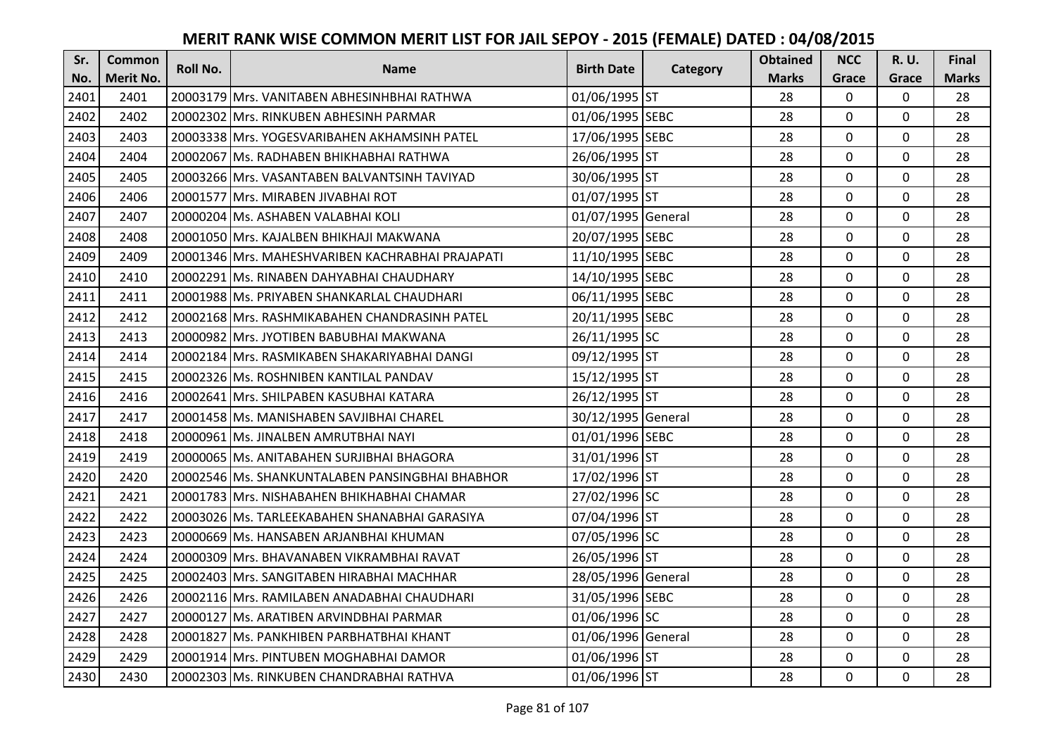| Sr.  | <b>Common</b>    | <b>Roll No.</b> | <b>Name</b>                                      | <b>Birth Date</b>  |          | <b>Obtained</b> | <b>NCC</b>   | <b>R.U.</b> | Final        |
|------|------------------|-----------------|--------------------------------------------------|--------------------|----------|-----------------|--------------|-------------|--------------|
| No.  | <b>Merit No.</b> |                 |                                                  |                    | Category | <b>Marks</b>    | Grace        | Grace       | <b>Marks</b> |
| 2401 | 2401             |                 | 20003179 Mrs. VANITABEN ABHESINHBHAI RATHWA      | 01/06/1995 ST      |          | 28              | 0            | 0           | 28           |
| 2402 | 2402             |                 | 20002302 IMrs. RINKUBEN ABHESINH PARMAR          | 01/06/1995 SEBC    |          | 28              | $\mathbf 0$  | $\Omega$    | 28           |
| 2403 | 2403             |                 | 20003338 Mrs. YOGESVARIBAHEN AKHAMSINH PATEL     | 17/06/1995 SEBC    |          | 28              | $\Omega$     | $\Omega$    | 28           |
| 2404 | 2404             |                 | 20002067 Ms. RADHABEN BHIKHABHAI RATHWA          | 26/06/1995 ST      |          | 28              | $\mathbf 0$  | 0           | 28           |
| 2405 | 2405             |                 | 20003266 Mrs. VASANTABEN BALVANTSINH TAVIYAD     | 30/06/1995 ST      |          | 28              | $\mathbf{0}$ | $\mathbf 0$ | 28           |
| 2406 | 2406             |                 | 20001577 Mrs. MIRABEN JIVABHAI ROT               | 01/07/1995 ST      |          | 28              | $\Omega$     | $\Omega$    | 28           |
| 2407 | 2407             |                 | 20000204 Ms. ASHABEN VALABHAI KOLI               | 01/07/1995 General |          | 28              | $\mathbf 0$  | 0           | 28           |
| 2408 | 2408             |                 | 20001050 Mrs. KAJALBEN BHIKHAJI MAKWANA          | 20/07/1995 SEBC    |          | 28              | $\mathbf 0$  | $\mathbf 0$ | 28           |
| 2409 | 2409             |                 | 20001346 Mrs. MAHESHVARIBEN KACHRABHAI PRAJAPATI | 11/10/1995 SEBC    |          | 28              | $\mathbf 0$  | 0           | 28           |
| 2410 | 2410             |                 | 20002291 Ms. RINABEN DAHYABHAI CHAUDHARY         | 14/10/1995 SEBC    |          | 28              | $\mathbf{0}$ | $\mathbf 0$ | 28           |
| 2411 | 2411             |                 | 20001988 Ms. PRIYABEN SHANKARLAL CHAUDHARI       | 06/11/1995 SEBC    |          | 28              | $\Omega$     | $\Omega$    | 28           |
| 2412 | 2412             |                 | 20002168 Mrs. RASHMIKABAHEN CHANDRASINH PATEL    | 20/11/1995 SEBC    |          | 28              | $\mathbf 0$  | 0           | 28           |
| 2413 | 2413             |                 | 20000982 Mrs. JYOTIBEN BABUBHAI MAKWANA          | 26/11/1995 SC      |          | 28              | 0            | $\mathbf 0$ | 28           |
| 2414 | 2414             |                 | 20002184 Mrs. RASMIKABEN SHAKARIYABHAI DANGI     | 09/12/1995 ST      |          | 28              | $\mathbf 0$  | 0           | 28           |
| 2415 | 2415             |                 | 20002326 Ms. ROSHNIBEN KANTILAL PANDAV           | 15/12/1995 ST      |          | 28              | $\mathbf 0$  | 0           | 28           |
| 2416 | 2416             |                 | 20002641 Mrs. SHILPABEN KASUBHAI KATARA          | 26/12/1995 ST      |          | 28              | $\mathbf{0}$ | $\Omega$    | 28           |
| 2417 | 2417             |                 | 20001458 lMs. MANISHABEN SAVJIBHAI CHAREL        | 30/12/1995 General |          | 28              | $\mathbf{0}$ | 0           | 28           |
| 2418 | 2418             |                 | 20000961 Ms. JINALBEN AMRUTBHAI NAYI             | 01/01/1996 SEBC    |          | 28              | $\mathbf 0$  | $\Omega$    | 28           |
| 2419 | 2419             |                 | 20000065 IMs. ANITABAHEN SURJIBHAI BHAGORA       | 31/01/1996 ST      |          | 28              | $\mathbf 0$  | $\Omega$    | 28           |
| 2420 | 2420             |                 | 20002546 Ms. SHANKUNTALABEN PANSINGBHAI BHABHOR  | 17/02/1996 ST      |          | 28              | $\mathbf 0$  | 0           | 28           |
| 2421 | 2421             |                 | 20001783 Mrs. NISHABAHEN BHIKHABHAI CHAMAR       | 27/02/1996 SC      |          | 28              | $\mathbf 0$  | $\Omega$    | 28           |
| 2422 | 2422             |                 | 20003026 Ms. TARLEEKABAHEN SHANABHAI GARASIYA    | 07/04/1996 ST      |          | 28              | $\Omega$     | $\Omega$    | 28           |
| 2423 | 2423             |                 | 20000669 Ms. HANSABEN ARJANBHAI KHUMAN           | 07/05/1996 SC      |          | 28              | $\mathbf 0$  | $\Omega$    | 28           |
| 2424 | 2424             |                 | 20000309 Mrs. BHAVANABEN VIKRAMBHAI RAVAT        | 26/05/1996 ST      |          | 28              | $\mathbf 0$  | $\mathbf 0$ | 28           |
| 2425 | 2425             |                 | 20002403 Mrs. SANGITABEN HIRABHAI MACHHAR        | 28/05/1996 General |          | 28              | $\mathbf 0$  | 0           | 28           |
| 2426 | 2426             |                 | 20002116 Mrs. RAMILABEN ANADABHAI CHAUDHARI      | 31/05/1996 SEBC    |          | 28              | $\mathbf 0$  | $\mathbf 0$ | 28           |
| 2427 | 2427             |                 | 20000127 Ms. ARATIBEN ARVINDBHAI PARMAR          | 01/06/1996 SC      |          | 28              | $\mathbf 0$  | 0           | 28           |
| 2428 | 2428             |                 | 20001827 Ms. PANKHIBEN PARBHATBHAI KHANT         | 01/06/1996 General |          | 28              | $\Omega$     | 0           | 28           |
| 2429 | 2429             |                 | 20001914 Mrs. PINTUBEN MOGHABHAI DAMOR           | 01/06/1996 ST      |          | 28              | 0            | 0           | 28           |
| 2430 | 2430             |                 | 20002303 Ms. RINKUBEN CHANDRABHAI RATHVA         | 01/06/1996 ST      |          | 28              | $\mathbf{0}$ | $\mathbf 0$ | 28           |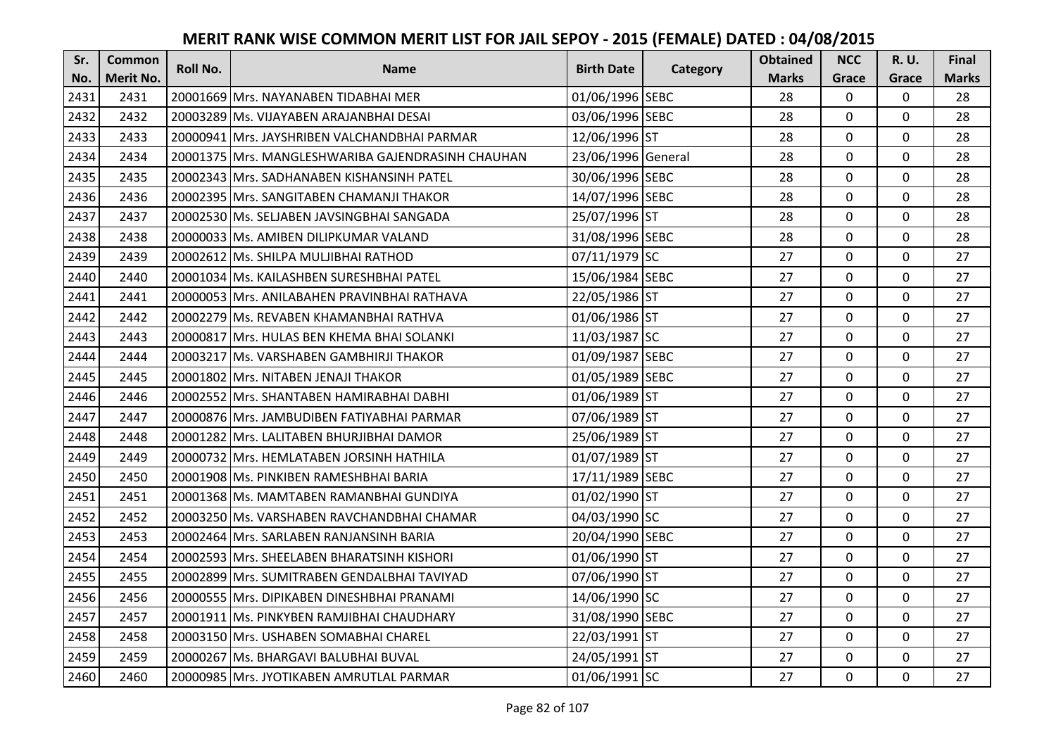| Sr.  | <b>Common</b>    | <b>Roll No.</b> | <b>Name</b>                                       | <b>Birth Date</b>  |          | <b>Obtained</b> | <b>NCC</b>   | <b>R.U.</b> | Final        |
|------|------------------|-----------------|---------------------------------------------------|--------------------|----------|-----------------|--------------|-------------|--------------|
| No.  | <b>Merit No.</b> |                 |                                                   |                    | Category | <b>Marks</b>    | Grace        | Grace       | <b>Marks</b> |
| 2431 | 2431             |                 | 20001669 Mrs. NAYANABEN TIDABHAI MER              | 01/06/1996 SEBC    |          | 28              | 0            | 0           | 28           |
| 2432 | 2432             |                 | 20003289 Ms. VIJAYABEN ARAJANBHAI DESAI           | 03/06/1996 SEBC    |          | 28              | $\mathbf 0$  | $\Omega$    | 28           |
| 2433 | 2433             |                 | 20000941 lMrs. JAYSHRIBEN VALCHANDBHAI PARMAR     | 12/06/1996 ST      |          | 28              | $\mathbf 0$  | $\Omega$    | 28           |
| 2434 | 2434             |                 | 20001375 Mrs. MANGLESHWARIBA GAJENDRASINH CHAUHAN | 23/06/1996 General |          | 28              | $\mathbf 0$  | 0           | 28           |
| 2435 | 2435             |                 | 20002343 IMrs. SADHANABEN KISHANSINH PATEL        | 30/06/1996 SEBC    |          | 28              | $\mathbf{0}$ | $\mathbf 0$ | 28           |
| 2436 | 2436             |                 | 20002395 Mrs. SANGITABEN CHAMANJI THAKOR          | 14/07/1996 SEBC    |          | 28              | $\mathbf 0$  | $\Omega$    | 28           |
| 2437 | 2437             |                 | 20002530 Ms. SELJABEN JAVSINGBHAI SANGADA         | 25/07/1996 ST      |          | 28              | $\mathbf 0$  | 0           | 28           |
| 2438 | 2438             |                 | 20000033 Ms. AMIBEN DILIPKUMAR VALAND             | 31/08/1996 SEBC    |          | 28              | $\mathbf{0}$ | $\mathbf 0$ | 28           |
| 2439 | 2439             |                 | 20002612 Ms. SHILPA MULJIBHAI RATHOD              | 07/11/1979 SC      |          | 27              | 0            | 0           | 27           |
| 2440 | 2440             |                 | 20001034 Ms. KAILASHBEN SURESHBHAI PATEL          | 15/06/1984 SEBC    |          | 27              | $\mathbf{0}$ | 0           | 27           |
| 2441 | 2441             |                 | 20000053 Mrs. ANILABAHEN PRAVINBHAI RATHAVA       | 22/05/1986 ST      |          | 27              | $\Omega$     | 0           | 27           |
| 2442 | 2442             |                 | 20002279 Ms. REVABEN KHAMANBHAI RATHVA            | 01/06/1986 ST      |          | 27              | $\mathbf 0$  | 0           | 27           |
| 2443 | 2443             |                 | 20000817 Mrs. HULAS BEN KHEMA BHAI SOLANKI        | 11/03/1987 SC      |          | 27              | 0            | $\mathbf 0$ | 27           |
| 2444 | 2444             |                 | 20003217 Ms. VARSHABEN GAMBHIRJI THAKOR           | 01/09/1987 SEBC    |          | 27              | $\mathbf 0$  | 0           | 27           |
| 2445 | 2445             |                 | 20001802 Mrs. NITABEN JENAJI THAKOR               | 01/05/1989 SEBC    |          | 27              | $\mathbf 0$  | 0           | 27           |
| 2446 | 2446             |                 | 20002552 Mrs. SHANTABEN HAMIRABHAI DABHI          | 01/06/1989 ST      |          | 27              | $\mathbf{0}$ | $\Omega$    | 27           |
| 2447 | 2447             |                 | 20000876   Mrs. JAMBUDIBEN FATIYABHAI PARMAR      | 07/06/1989 ST      |          | 27              | $\mathbf{0}$ | 0           | 27           |
| 2448 | 2448             |                 | 20001282 Mrs. LALITABEN BHURJIBHAI DAMOR          | 25/06/1989 ST      |          | 27              | $\mathbf 0$  | $\Omega$    | 27           |
| 2449 | 2449             |                 | 20000732 Mrs. HEMLATABEN JORSINH HATHILA          | 01/07/1989 ST      |          | 27              | $\mathbf 0$  | 0           | 27           |
| 2450 | 2450             |                 | 20001908 Ms. PINKIBEN RAMESHBHAI BARIA            | 17/11/1989 SEBC    |          | 27              | $\mathbf 0$  | 0           | 27           |
| 2451 | 2451             |                 | 20001368 Ms. MAMTABEN RAMANBHAI GUNDIYA           | 01/02/1990 ST      |          | 27              | $\mathbf 0$  | $\Omega$    | 27           |
| 2452 | 2452             |                 | 20003250 Ms. VARSHABEN RAVCHANDBHAI CHAMAR        | 04/03/1990 SC      |          | 27              | $\mathbf 0$  | $\Omega$    | 27           |
| 2453 | 2453             |                 | 20002464 Mrs. SARLABEN RANJANSINH BARIA           | 20/04/1990 SEBC    |          | 27              | $\mathbf 0$  | 0           | 27           |
| 2454 | 2454             |                 | 20002593 Mrs. SHEELABEN BHARATSINH KISHORI        | 01/06/1990 ST      |          | 27              | $\mathbf 0$  | 0           | 27           |
| 2455 | 2455             |                 | 20002899 Mrs. SUMITRABEN GENDALBHAI TAVIYAD       | 07/06/1990 ST      |          | 27              | $\mathbf 0$  | 0           | 27           |
| 2456 | 2456             |                 | 20000555 Mrs. DIPIKABEN DINESHBHAI PRANAMI        | 14/06/1990 SC      |          | 27              | $\mathbf{0}$ | 0           | 27           |
| 2457 | 2457             |                 | 20001911   Ms. PINKYBEN RAMJIBHAI CHAUDHARY       | 31/08/1990 SEBC    |          | 27              | $\mathbf 0$  | 0           | 27           |
| 2458 | 2458             |                 | 20003150 Mrs. USHABEN SOMABHAI CHAREL             | 22/03/1991 ST      |          | 27              | $\Omega$     | $\Omega$    | 27           |
| 2459 | 2459             |                 | 20000267 Ms. BHARGAVI BALUBHAI BUVAL              | 24/05/1991 ST      |          | 27              | $\mathbf 0$  | 0           | 27           |
| 2460 | 2460             |                 | 20000985 Mrs. JYOTIKABEN AMRUTLAL PARMAR          | 01/06/1991 SC      |          | 27              | $\mathbf{0}$ | 0           | 27           |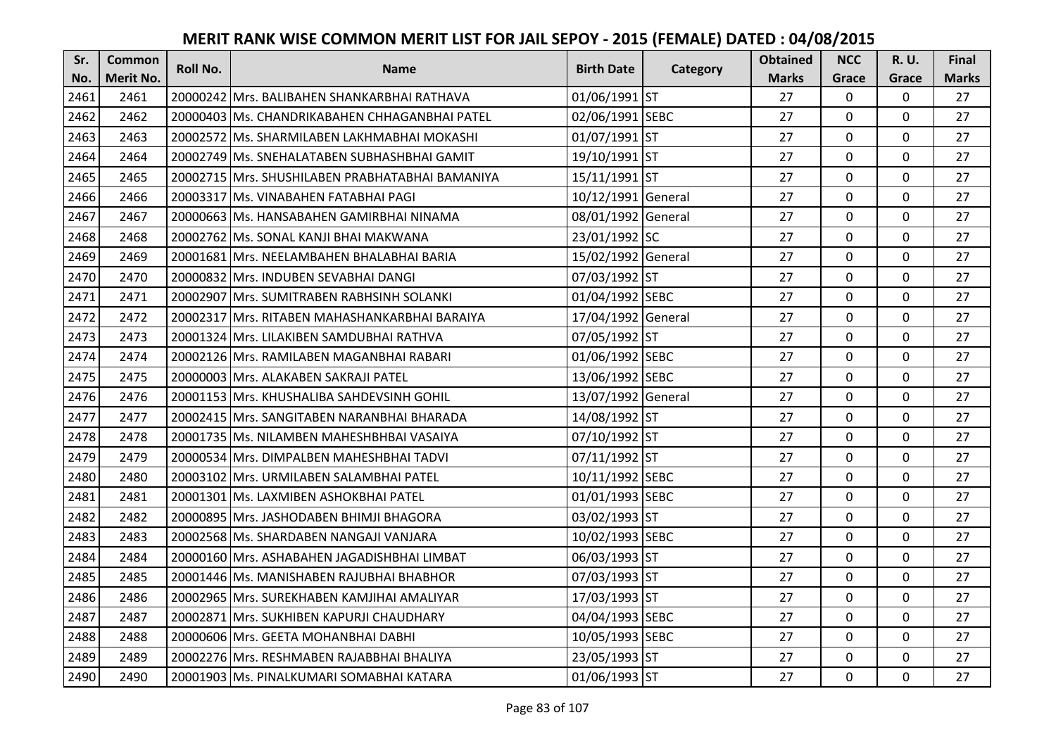| Sr.  | <b>Common</b>    | <b>Roll No.</b> | <b>Name</b>                                       | <b>Birth Date</b>  | Category | <b>Obtained</b> | <b>NCC</b>   | <b>R.U.</b> | Final        |
|------|------------------|-----------------|---------------------------------------------------|--------------------|----------|-----------------|--------------|-------------|--------------|
| No.  | <b>Merit No.</b> |                 |                                                   |                    |          | <b>Marks</b>    | Grace        | Grace       | <b>Marks</b> |
| 2461 | 2461             |                 | 20000242 Mrs. BALIBAHEN SHANKARBHAI RATHAVA       | 01/06/1991 ST      |          | 27              | 0            | 0           | 27           |
| 2462 | 2462             |                 | 20000403 lMs. CHANDRIKABAHEN CHHAGANBHAI PATEL    | 02/06/1991 SEBC    |          | 27              | $\mathbf 0$  | $\Omega$    | 27           |
| 2463 | 2463             |                 | 20002572 lMs. SHARMILABEN LAKHMABHAI MOKASHI      | 01/07/1991 ST      |          | 27              | $\mathbf 0$  | $\Omega$    | 27           |
| 2464 | 2464             |                 | 20002749 Ms. SNEHALATABEN SUBHASHBHAI GAMIT       | 19/10/1991 ST      |          | 27              | $\mathbf 0$  | 0           | 27           |
| 2465 | 2465             |                 | 20002715   Mrs. SHUSHILABEN PRABHATABHAI BAMANIYA | 15/11/1991 ST      |          | 27              | $\mathbf{0}$ | $\mathbf 0$ | 27           |
| 2466 | 2466             |                 | 20003317 Ms. VINABAHEN FATABHAI PAGI              | 10/12/1991 General |          | 27              | $\mathbf 0$  | $\Omega$    | 27           |
| 2467 | 2467             |                 | 20000663 Ms. HANSABAHEN GAMIRBHAI NINAMA          | 08/01/1992 General |          | 27              | $\mathbf 0$  | 0           | 27           |
| 2468 | 2468             |                 | 20002762 Ms. SONAL KANJI BHAI MAKWANA             | 23/01/1992 SC      |          | 27              | $\mathbf{0}$ | $\mathbf 0$ | 27           |
| 2469 | 2469             |                 | 20001681 Mrs. NEELAMBAHEN BHALABHAI BARIA         | 15/02/1992 General |          | 27              | $\mathbf 0$  | 0           | 27           |
| 2470 | 2470             |                 | 20000832 Mrs. INDUBEN SEVABHAI DANGI              | 07/03/1992 ST      |          | 27              | $\mathbf{0}$ | 0           | 27           |
| 2471 | 2471             |                 | 20002907 Mrs. SUMITRABEN RABHSINH SOLANKI         | 01/04/1992 SEBC    |          | 27              | $\Omega$     | 0           | 27           |
| 2472 | 2472             |                 | 20002317 Mrs. RITABEN MAHASHANKARBHAI BARAIYA     | 17/04/1992 General |          | 27              | $\mathbf 0$  | 0           | 27           |
| 2473 | 2473             |                 | 20001324 Mrs. LILAKIBEN SAMDUBHAI RATHVA          | 07/05/1992 ST      |          | 27              | $\mathbf{0}$ | $\mathbf 0$ | 27           |
| 2474 | 2474             |                 | 20002126   Mrs. RAMILABEN MAGANBHAI RABARI        | 01/06/1992 SEBC    |          | 27              | $\mathbf 0$  | 0           | 27           |
| 2475 | 2475             |                 | 20000003 Mrs. ALAKABEN SAKRAJI PATEL              | 13/06/1992 SEBC    |          | 27              | $\mathbf 0$  | 0           | 27           |
| 2476 | 2476             |                 | 20001153 Mrs. KHUSHALIBA SAHDEVSINH GOHIL         | 13/07/1992 General |          | 27              | $\mathbf{0}$ | $\Omega$    | 27           |
| 2477 | 2477             |                 | 20002415 Mrs. SANGITABEN NARANBHAI BHARADA        | 14/08/1992 ST      |          | 27              | $\mathbf{0}$ | 0           | 27           |
| 2478 | 2478             |                 | 20001735 Ms. NILAMBEN MAHESHBHBAI VASAIYA         | 07/10/1992 ST      |          | 27              | $\mathbf 0$  | $\Omega$    | 27           |
| 2479 | 2479             |                 | 20000534 IMrs. DIMPALBEN MAHESHBHAI TADVI         | 07/11/1992 ST      |          | 27              | $\mathbf 0$  | 0           | 27           |
| 2480 | 2480             |                 | 20003102 IMrs. URMILABEN SALAMBHAI PATEL          | 10/11/1992 SEBC    |          | 27              | $\mathbf 0$  | 0           | 27           |
| 2481 | 2481             |                 | 20001301 Ms. LAXMIBEN ASHOKBHAI PATEL             | 01/01/1993 SEBC    |          | 27              | $\mathbf 0$  | 0           | 27           |
| 2482 | 2482             |                 | 20000895 Mrs. JASHODABEN BHIMJI BHAGORA           | 03/02/1993 ST      |          | 27              | $\mathbf 0$  | $\Omega$    | 27           |
| 2483 | 2483             |                 | 20002568 Ms. SHARDABEN NANGAJI VANJARA            | 10/02/1993 SEBC    |          | 27              | $\mathbf 0$  | 0           | 27           |
| 2484 | 2484             |                 | 20000160 Mrs. ASHABAHEN JAGADISHBHAI LIMBAT       | 06/03/1993 ST      |          | 27              | $\mathbf 0$  | $\mathbf 0$ | 27           |
| 2485 | 2485             |                 | 20001446 Ms. MANISHABEN RAJUBHAI BHABHOR          | 07/03/1993 ST      |          | 27              | $\mathbf 0$  | 0           | 27           |
| 2486 | 2486             |                 | 20002965 Mrs. SUREKHABEN KAMJIHAI AMALIYAR        | 17/03/1993 ST      |          | 27              | $\mathbf{0}$ | 0           | 27           |
| 2487 | 2487             |                 | 20002871 Mrs. SUKHIBEN KAPURJI CHAUDHARY          | 04/04/1993 SEBC    |          | 27              | $\mathbf 0$  | 0           | 27           |
| 2488 | 2488             |                 | 20000606 Mrs. GEETA MOHANBHAI DABHI               | 10/05/1993 SEBC    |          | 27              | $\Omega$     | 0           | 27           |
| 2489 | 2489             |                 | 20002276 Mrs. RESHMABEN RAJABBHAI BHALIYA         | 23/05/1993 ST      |          | 27              | $\mathbf 0$  | 0           | 27           |
| 2490 | 2490             |                 | 20001903 Ms. PINALKUMARI SOMABHAI KATARA          | 01/06/1993 ST      |          | 27              | $\mathbf{0}$ | 0           | 27           |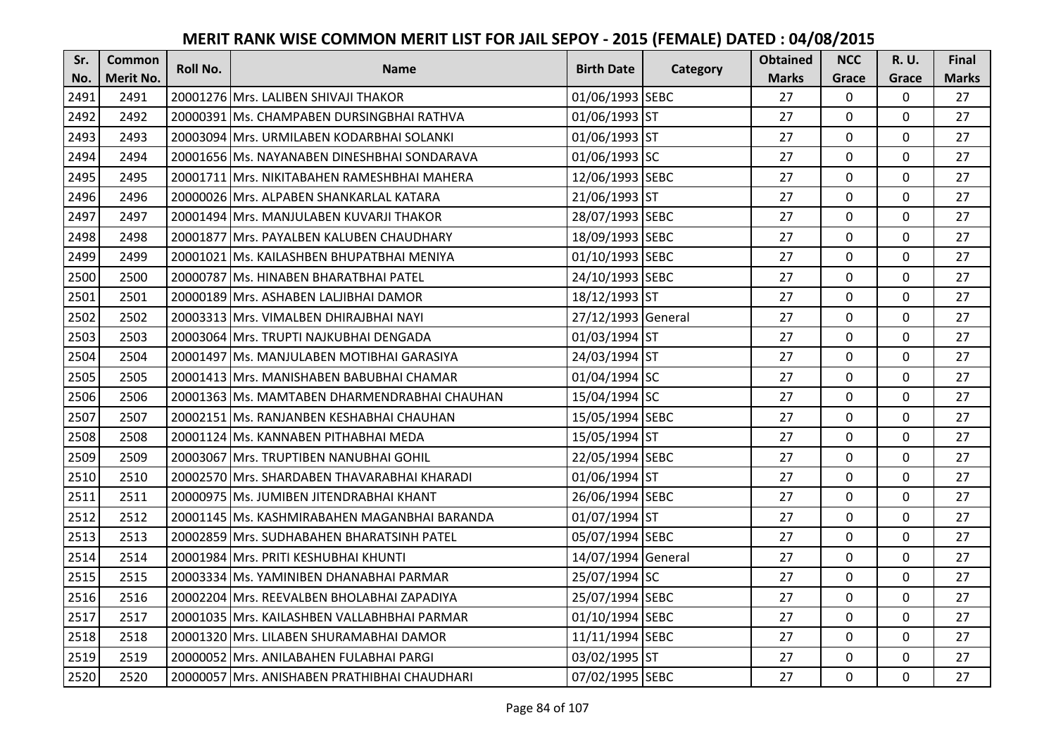| Sr.  | <b>Common</b>    | <b>Roll No.</b> | <b>Name</b>                                   | <b>Birth Date</b>  | Category | <b>Obtained</b> | <b>NCC</b>   | <b>R.U.</b> | Final        |
|------|------------------|-----------------|-----------------------------------------------|--------------------|----------|-----------------|--------------|-------------|--------------|
| No.  | <b>Merit No.</b> |                 |                                               |                    |          | <b>Marks</b>    | Grace        | Grace       | <b>Marks</b> |
| 2491 | 2491             |                 | 20001276 Mrs. LALIBEN SHIVAJI THAKOR          | 01/06/1993 SEBC    |          | 27              | 0            | 0           | 27           |
| 2492 | 2492             |                 | 20000391 IMs. CHAMPABEN DURSINGBHAI RATHVA    | 01/06/1993 ST      |          | 27              | $\mathbf 0$  | $\Omega$    | 27           |
| 2493 | 2493             |                 | 20003094 IMrs. URMILABEN KODARBHAI SOLANKI    | 01/06/1993 ST      |          | 27              | $\mathbf 0$  | $\Omega$    | 27           |
| 2494 | 2494             |                 | 20001656 Ms. NAYANABEN DINESHBHAI SONDARAVA   | 01/06/1993 SC      |          | 27              | $\mathbf 0$  | 0           | 27           |
| 2495 | 2495             |                 | 20001711   Mrs. NIKITABAHEN RAMESHBHAI MAHERA | 12/06/1993 SEBC    |          | 27              | $\mathbf{0}$ | $\mathbf 0$ | 27           |
| 2496 | 2496             |                 | 20000026 Mrs. ALPABEN SHANKARLAL KATARA       | 21/06/1993 ST      |          | 27              | $\mathbf 0$  | $\Omega$    | 27           |
| 2497 | 2497             |                 | 20001494 Mrs. MANJULABEN KUVARJI THAKOR       | 28/07/1993 SEBC    |          | 27              | $\mathbf 0$  | 0           | 27           |
| 2498 | 2498             |                 | 20001877 Mrs. PAYALBEN KALUBEN CHAUDHARY      | 18/09/1993 SEBC    |          | 27              | $\mathbf{0}$ | $\mathbf 0$ | 27           |
| 2499 | 2499             |                 | 20001021 Ms. KAILASHBEN BHUPATBHAI MENIYA     | 01/10/1993 SEBC    |          | 27              | $\mathbf 0$  | 0           | 27           |
| 2500 | 2500             |                 | 20000787 Ms. HINABEN BHARATBHAI PATEL         | 24/10/1993 SEBC    |          | 27              | $\mathbf{0}$ | $\mathbf 0$ | 27           |
| 2501 | 2501             |                 | 20000189 Mrs. ASHABEN LALJIBHAI DAMOR         | 18/12/1993 ST      |          | 27              | $\Omega$     | 0           | 27           |
| 2502 | 2502             |                 | 20003313 Mrs. VIMALBEN DHIRAJBHAI NAYI        | 27/12/1993 General |          | 27              | $\mathbf 0$  | 0           | 27           |
| 2503 | 2503             |                 | 20003064 Mrs. TRUPTI NAJKUBHAI DENGADA        | 01/03/1994 ST      |          | 27              | 0            | 0           | 27           |
| 2504 | 2504             |                 | 20001497 Ms. MANJULABEN MOTIBHAI GARASIYA     | 24/03/1994 ST      |          | 27              | $\mathbf 0$  | 0           | 27           |
| 2505 | 2505             |                 | 20001413 Mrs. MANISHABEN BABUBHAI CHAMAR      | 01/04/1994 SC      |          | 27              | $\mathbf 0$  | 0           | 27           |
| 2506 | 2506             |                 | 20001363 Ms. MAMTABEN DHARMENDRABHAI CHAUHAN  | 15/04/1994 SC      |          | 27              | $\mathbf{0}$ | $\Omega$    | 27           |
| 2507 | 2507             |                 | 20002151 lMs. RANJANBEN KESHABHAI CHAUHAN     | 15/05/1994 SEBC    |          | 27              | $\mathbf{0}$ | 0           | 27           |
| 2508 | 2508             |                 | 20001124 Ms. KANNABEN PITHABHAI MEDA          | 15/05/1994 ST      |          | 27              | $\mathbf 0$  | $\Omega$    | 27           |
| 2509 | 2509             |                 | 20003067 Mrs. TRUPTIBEN NANUBHAI GOHIL        | 22/05/1994 SEBC    |          | 27              | $\mathbf 0$  | $\Omega$    | 27           |
| 2510 | 2510             |                 | 20002570 Mrs. SHARDABEN THAVARABHAI KHARADI   | 01/06/1994 ST      |          | 27              | $\mathbf 0$  | 0           | 27           |
| 2511 | 2511             |                 | 20000975 Ms. JUMIBEN JITENDRABHAI KHANT       | 26/06/1994 SEBC    |          | 27              | $\mathbf 0$  | $\Omega$    | 27           |
| 2512 | 2512             |                 | 20001145 Ms. KASHMIRABAHEN MAGANBHAI BARANDA  | 01/07/1994 ST      |          | 27              | $\mathbf 0$  | $\Omega$    | 27           |
| 2513 | 2513             |                 | 20002859 Mrs. SUDHABAHEN BHARATSINH PATEL     | 05/07/1994 SEBC    |          | 27              | $\mathbf 0$  | 0           | 27           |
| 2514 | 2514             |                 | 20001984 Mrs. PRITI KESHUBHAI KHUNTI          | 14/07/1994 General |          | 27              | $\mathbf 0$  | $\mathbf 0$ | 27           |
| 2515 | 2515             |                 | 20003334 Ms. YAMINIBEN DHANABHAI PARMAR       | 25/07/1994 SC      |          | 27              | $\mathbf 0$  | 0           | 27           |
| 2516 | 2516             |                 | 20002204 Mrs. REEVALBEN BHOLABHAI ZAPADIYA    | 25/07/1994 SEBC    |          | 27              | $\mathbf 0$  | 0           | 27           |
| 2517 | 2517             |                 | 20001035 Mrs. KAILASHBEN VALLABHBHAI PARMAR   | 01/10/1994 SEBC    |          | 27              | $\mathbf 0$  | 0           | 27           |
| 2518 | 2518             |                 | 20001320 Mrs. LILABEN SHURAMABHAI DAMOR       | 11/11/1994 SEBC    |          | 27              | $\Omega$     | 0           | 27           |
| 2519 | 2519             |                 | 20000052 Mrs. ANILABAHEN FULABHAI PARGI       | 03/02/1995 ST      |          | 27              | $\mathbf 0$  | 0           | 27           |
| 2520 | 2520             |                 | 20000057 Mrs. ANISHABEN PRATHIBHAI CHAUDHARI  | 07/02/1995 SEBC    |          | 27              | $\mathbf{0}$ | 0           | 27           |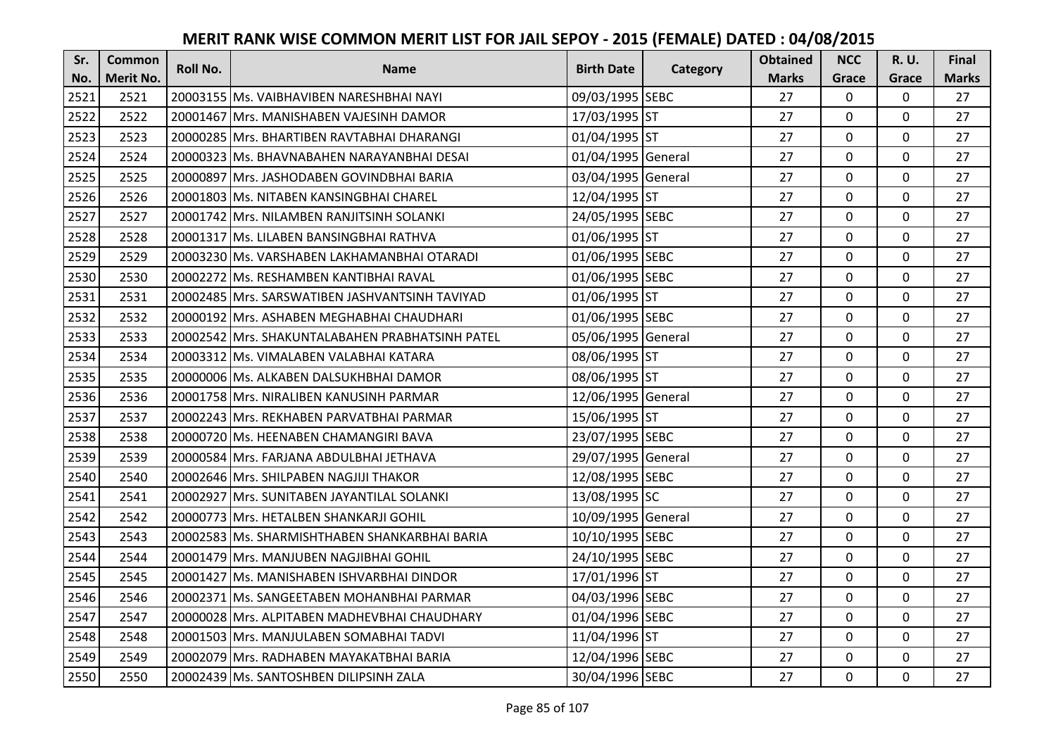| Sr.  | <b>Common</b>    | Roll No. | <b>Name</b>                                     | <b>Birth Date</b>  | Category | <b>Obtained</b> | <b>NCC</b>     | R.U.        | Final        |
|------|------------------|----------|-------------------------------------------------|--------------------|----------|-----------------|----------------|-------------|--------------|
| No.  | <b>Merit No.</b> |          |                                                 |                    |          | <b>Marks</b>    | Grace          | Grace       | <b>Marks</b> |
| 2521 | 2521             |          | 20003155 Ms. VAIBHAVIBEN NARESHBHAI NAYI        | 09/03/1995 SEBC    |          | 27              | 0              | 0           | 27           |
| 2522 | 2522             |          | 20001467 Mrs. MANISHABEN VAJESINH DAMOR         | 17/03/1995 ST      |          | 27              | $\mathbf 0$    | $\Omega$    | 27           |
| 2523 | 2523             |          | 20000285 IMrs. BHARTIBEN RAVTABHAI DHARANGI     | 01/04/1995 ST      |          | 27              | $\mathbf 0$    | 0           | 27           |
| 2524 | 2524             |          | 20000323 Ms. BHAVNABAHEN NARAYANBHAI DESAI      | 01/04/1995 General |          | 27              | $\mathbf 0$    | 0           | 27           |
| 2525 | 2525             |          | 20000897 Mrs. JASHODABEN GOVINDBHAI BARIA       | 03/04/1995 General |          | 27              | $\mathbf{0}$   | $\mathbf 0$ | 27           |
| 2526 | 2526             |          | 20001803 Ms. NITABEN KANSINGBHAI CHAREL         | 12/04/1995 ST      |          | 27              | $\mathbf 0$    | $\Omega$    | 27           |
| 2527 | 2527             |          | 20001742 Mrs. NILAMBEN RANJITSINH SOLANKI       | 24/05/1995 SEBC    |          | 27              | $\mathbf{0}$   | 0           | 27           |
| 2528 | 2528             |          | 20001317 Ms. LILABEN BANSINGBHAI RATHVA         | 01/06/1995 ST      |          | 27              | $\mathbf{0}$   | $\mathbf 0$ | 27           |
| 2529 | 2529             |          | 20003230 Ms. VARSHABEN LAKHAMANBHAI OTARADI     | 01/06/1995 SEBC    |          | 27              | $\mathbf 0$    | 0           | 27           |
| 2530 | 2530             |          | 20002272 Ms. RESHAMBEN KANTIBHAI RAVAL          | 01/06/1995 SEBC    |          | 27              | $\mathbf{0}$   | 0           | 27           |
| 2531 | 2531             |          | 20002485 Mrs. SARSWATIBEN JASHVANTSINH TAVIYAD  | 01/06/1995 ST      |          | 27              | $\Omega$       | 0           | 27           |
| 2532 | 2532             |          | 20000192 Mrs. ASHABEN MEGHABHAI CHAUDHARI       | 01/06/1995 SEBC    |          | 27              | $\mathbf 0$    | 0           | 27           |
| 2533 | 2533             |          | 20002542 Mrs. SHAKUNTALABAHEN PRABHATSINH PATEL | 05/06/1995 General |          | 27              | $\overline{0}$ | 0           | 27           |
| 2534 | 2534             |          | 20003312 Ms. VIMALABEN VALABHAI KATARA          | 08/06/1995 ST      |          | 27              | $\mathbf 0$    | 0           | 27           |
| 2535 | 2535             |          | 20000006 Ms. ALKABEN DALSUKHBHAI DAMOR          | 08/06/1995 ST      |          | 27              | $\mathbf 0$    | 0           | 27           |
| 2536 | 2536             |          | 20001758 Mrs. NIRALIBEN KANUSINH PARMAR         | 12/06/1995 General |          | 27              | $\mathbf{0}$   | $\Omega$    | 27           |
| 2537 | 2537             |          | 20002243 IMrs. REKHABEN PARVATBHAI PARMAR       | 15/06/1995 ST      |          | 27              | $\mathbf{0}$   | 0           | 27           |
| 2538 | 2538             |          | 20000720 Ms. HEENABEN CHAMANGIRI BAVA           | 23/07/1995 SEBC    |          | 27              | $\mathbf 0$    | $\Omega$    | 27           |
| 2539 | 2539             |          | 20000584 lMrs. FARJANA ABDULBHAI JETHAVA        | 29/07/1995 General |          | 27              | $\mathbf 0$    | $\Omega$    | 27           |
| 2540 | 2540             |          | 20002646 Mrs. SHILPABEN NAGJIJI THAKOR          | 12/08/1995 SEBC    |          | 27              | $\mathbf 0$    | 0           | 27           |
| 2541 | 2541             |          | 20002927 Mrs. SUNITABEN JAYANTILAL SOLANKI      | 13/08/1995 SC      |          | 27              | $\mathbf 0$    | $\mathbf 0$ | 27           |
| 2542 | 2542             |          | 20000773 Mrs. HETALBEN SHANKARJI GOHIL          | 10/09/1995 General |          | 27              | $\Omega$       | $\Omega$    | 27           |
| 2543 | 2543             |          | 20002583 Ms. SHARMISHTHABEN SHANKARBHAI BARIA   | 10/10/1995 SEBC    |          | 27              | $\mathbf{0}$   | 0           | 27           |
| 2544 | 2544             |          | 20001479 Mrs. MANJUBEN NAGJIBHAI GOHIL          | 24/10/1995 SEBC    |          | 27              | $\mathbf 0$    | $\mathbf 0$ | 27           |
| 2545 | 2545             |          | 20001427 Ms. MANISHABEN ISHVARBHAI DINDOR       | 17/01/1996 ST      |          | 27              | $\mathbf 0$    | 0           | 27           |
| 2546 | 2546             |          | 20002371 Ms. SANGEETABEN MOHANBHAI PARMAR       | 04/03/1996 SEBC    |          | 27              | $\mathbf{0}$   | 0           | 27           |
| 2547 | 2547             |          | 20000028 Mrs. ALPITABEN MADHEVBHAI CHAUDHARY    | 01/04/1996 SEBC    |          | 27              | $\mathbf 0$    | 0           | 27           |
| 2548 | 2548             |          | 20001503 Mrs. MANJULABEN SOMABHAI TADVI         | 11/04/1996 ST      |          | 27              | $\Omega$       | 0           | 27           |
| 2549 | 2549             |          | 20002079 Mrs. RADHABEN MAYAKATBHAI BARIA        | 12/04/1996 SEBC    |          | 27              | 0              | 0           | 27           |
| 2550 | 2550             |          | 20002439 Ms. SANTOSHBEN DILIPSINH ZALA          | 30/04/1996 SEBC    |          | 27              | $\mathbf{0}$   | 0           | 27           |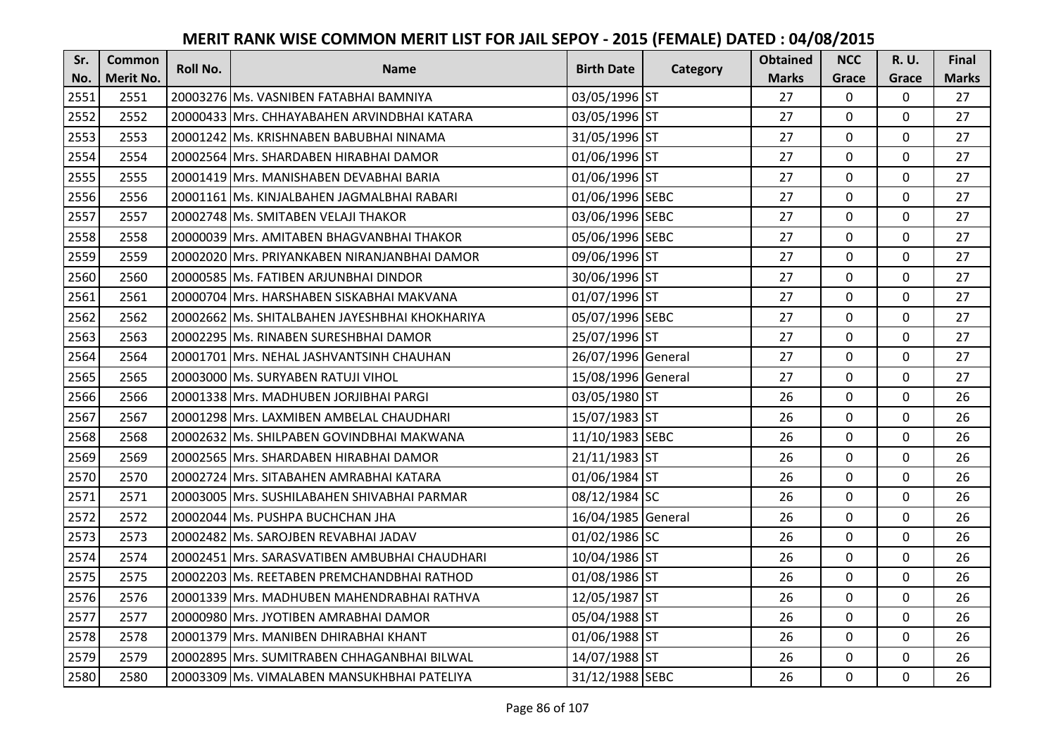| Sr.  | <b>Common</b>    | Roll No. | <b>Name</b>                                    | <b>Birth Date</b>  |          | <b>Obtained</b> | <b>NCC</b>   | <b>R.U.</b> | Final        |
|------|------------------|----------|------------------------------------------------|--------------------|----------|-----------------|--------------|-------------|--------------|
| No.  | <b>Merit No.</b> |          |                                                |                    | Category | <b>Marks</b>    | Grace        | Grace       | <b>Marks</b> |
| 2551 | 2551             |          | 20003276 Ms. VASNIBEN FATABHAI BAMNIYA         | 03/05/1996 ST      |          | 27              | $\mathbf 0$  | 0           | 27           |
| 2552 | 2552             |          | 20000433 IMrs. CHHAYABAHEN ARVINDBHAI KATARA   | 03/05/1996 ST      |          | 27              | $\mathbf 0$  | $\Omega$    | 27           |
| 2553 | 2553             |          | 20001242 Ms. KRISHNABEN BABUBHAI NINAMA        | 31/05/1996 ST      |          | 27              | $\mathbf 0$  | $\Omega$    | 27           |
| 2554 | 2554             |          | 20002564 Mrs. SHARDABEN HIRABHAI DAMOR         | 01/06/1996 ST      |          | 27              | $\mathbf 0$  | 0           | 27           |
| 2555 | 2555             |          | 20001419 Mrs. MANISHABEN DEVABHAI BARIA        | 01/06/1996 ST      |          | 27              | $\mathbf{0}$ | $\mathbf 0$ | 27           |
| 2556 | 2556             |          | 20001161 Ms. KINJALBAHEN JAGMALBHAI RABARI     | 01/06/1996 SEBC    |          | 27              | $\mathbf 0$  | $\Omega$    | 27           |
| 2557 | 2557             |          | 20002748 Ms. SMITABEN VELAJI THAKOR            | 03/06/1996 SEBC    |          | 27              | $\mathbf 0$  | $\mathbf 0$ | 27           |
| 2558 | 2558             |          | 20000039 Mrs. AMITABEN BHAGVANBHAI THAKOR      | 05/06/1996 SEBC    |          | 27              | $\mathbf{0}$ | $\mathbf 0$ | 27           |
| 2559 | 2559             |          | 20002020 Mrs. PRIYANKABEN NIRANJANBHAI DAMOR   | 09/06/1996 ST      |          | 27              | $\mathbf 0$  | 0           | 27           |
| 2560 | 2560             |          | 20000585 Ms. FATIBEN ARJUNBHAI DINDOR          | 30/06/1996 ST      |          | 27              | $\mathbf{0}$ | 0           | 27           |
| 2561 | 2561             |          | 20000704 Mrs. HARSHABEN SISKABHAI MAKVANA      | 01/07/1996 ST      |          | 27              | $\Omega$     | 0           | 27           |
| 2562 | 2562             |          | 20002662 Ms. SHITALBAHEN JAYESHBHAI KHOKHARIYA | 05/07/1996 SEBC    |          | 27              | $\mathbf 0$  | 0           | 27           |
| 2563 | 2563             |          | 20002295 Ms. RINABEN SURESHBHAI DAMOR          | 25/07/1996 ST      |          | 27              | $\mathbf{0}$ | $\mathbf 0$ | 27           |
| 2564 | 2564             |          | 20001701 Mrs. NEHAL JASHVANTSINH CHAUHAN       | 26/07/1996 General |          | 27              | $\mathbf 0$  | 0           | 27           |
| 2565 | 2565             |          | 20003000 Ms. SURYABEN RATUJI VIHOL             | 15/08/1996 General |          | 27              | $\mathbf 0$  | 0           | 27           |
| 2566 | 2566             |          | 20001338 Mrs. MADHUBEN JORJIBHAI PARGI         | 03/05/1980 ST      |          | 26              | $\mathbf{0}$ | $\Omega$    | 26           |
| 2567 | 2567             |          | 20001298 Mrs. LAXMIBEN AMBELAL CHAUDHARI       | 15/07/1983 ST      |          | 26              | $\mathbf{0}$ | 0           | 26           |
| 2568 | 2568             |          | 20002632 Ms. SHILPABEN GOVINDBHAI MAKWANA      | 11/10/1983 SEBC    |          | 26              | $\mathbf 0$  | $\Omega$    | 26           |
| 2569 | 2569             |          | 20002565 IMrs. SHARDABEN HIRABHAI DAMOR        | 21/11/1983 ST      |          | 26              | $\mathbf 0$  | $\Omega$    | 26           |
| 2570 | 2570             |          | 20002724 Mrs. SITABAHEN AMRABHAI KATARA        | 01/06/1984 ST      |          | 26              | $\mathbf 0$  | 0           | 26           |
| 2571 | 2571             |          | 20003005 Mrs. SUSHILABAHEN SHIVABHAI PARMAR    | 08/12/1984 SC      |          | 26              | $\mathbf 0$  | $\Omega$    | 26           |
| 2572 | 2572             |          | 20002044 Ms. PUSHPA BUCHCHAN JHA               | 16/04/1985 General |          | 26              | $\mathbf 0$  | $\Omega$    | 26           |
| 2573 | 2573             |          | 20002482 Ms. SAROJBEN REVABHAI JADAV           | 01/02/1986 SC      |          | 26              | $\mathbf 0$  | 0           | 26           |
| 2574 | 2574             |          | 20002451 Mrs. SARASVATIBEN AMBUBHAI CHAUDHARI  | 10/04/1986 ST      |          | 26              | $\mathbf 0$  | $\mathbf 0$ | 26           |
| 2575 | 2575             |          | 20002203 Ms. REETABEN PREMCHANDBHAI RATHOD     | 01/08/1986 ST      |          | 26              | $\mathbf 0$  | 0           | 26           |
| 2576 | 2576             |          | 20001339 Mrs. MADHUBEN MAHENDRABHAI RATHVA     | 12/05/1987 ST      |          | 26              | $\mathbf{0}$ | 0           | 26           |
| 2577 | 2577             |          | 20000980 Mrs. JYOTIBEN AMRABHAI DAMOR          | 05/04/1988 ST      |          | 26              | $\mathbf 0$  | 0           | 26           |
| 2578 | 2578             |          | 20001379 Mrs. MANIBEN DHIRABHAI KHANT          | 01/06/1988 ST      |          | 26              | $\Omega$     | 0           | 26           |
| 2579 | 2579             |          | 20002895 Mrs. SUMITRABEN CHHAGANBHAI BILWAL    | 14/07/1988 ST      |          | 26              | $\mathbf 0$  | 0           | 26           |
| 2580 | 2580             |          | 20003309 Ms. VIMALABEN MANSUKHBHAI PATELIYA    | 31/12/1988 SEBC    |          | 26              | $\mathbf{0}$ | 0           | 26           |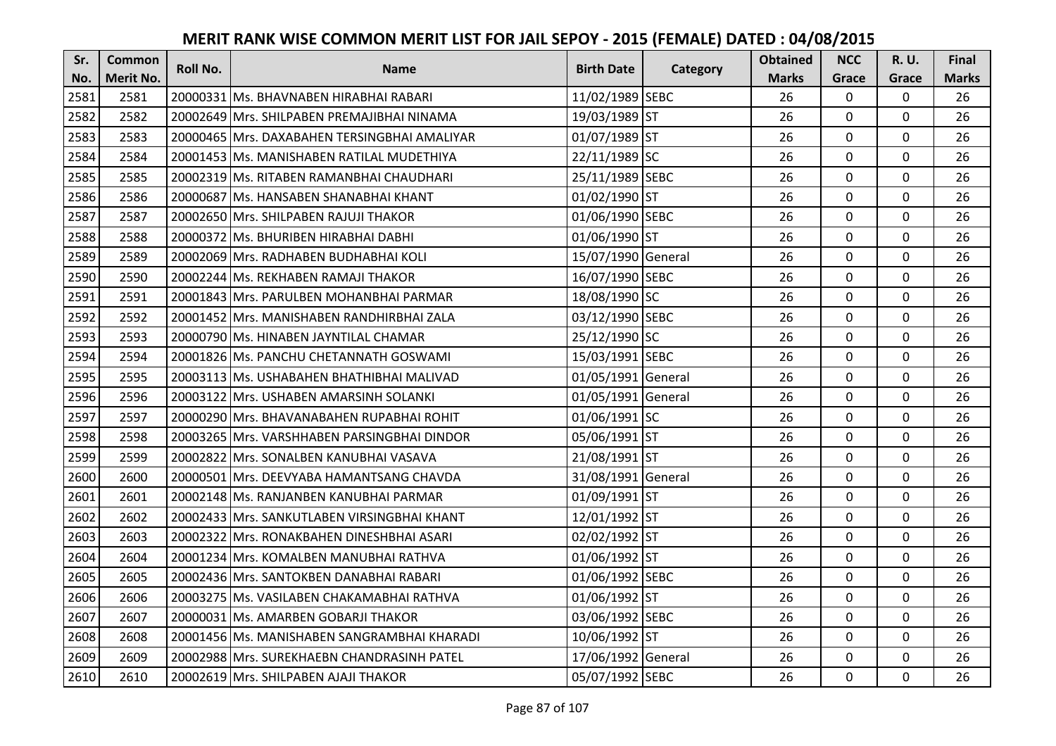| Sr.  | <b>Common</b>    | <b>Roll No.</b> | <b>Name</b>                                   | <b>Birth Date</b>  | Category | <b>Obtained</b> | <b>NCC</b>   | <b>R.U.</b> | Final        |
|------|------------------|-----------------|-----------------------------------------------|--------------------|----------|-----------------|--------------|-------------|--------------|
| No.  | <b>Merit No.</b> |                 |                                               |                    |          | <b>Marks</b>    | Grace        | Grace       | <b>Marks</b> |
| 2581 | 2581             |                 | 20000331 Ms. BHAVNABEN HIRABHAI RABARI        | 11/02/1989 SEBC    |          | 26              | 0            | 0           | 26           |
| 2582 | 2582             |                 | 20002649 IMrs. SHILPABEN PREMAJIBHAI NINAMA   | 19/03/1989 ST      |          | 26              | $\mathbf 0$  | $\Omega$    | 26           |
| 2583 | 2583             |                 | 20000465 lMrs. DAXABAHEN TERSINGBHAI AMALIYAR | 01/07/1989 ST      |          | 26              | $\mathbf 0$  | $\Omega$    | 26           |
| 2584 | 2584             |                 | 20001453 Ms. MANISHABEN RATILAL MUDETHIYA     | 22/11/1989 SC      |          | 26              | $\mathbf 0$  | 0           | 26           |
| 2585 | 2585             |                 | 20002319 IMs. RITABEN RAMANBHAI CHAUDHARI     | 25/11/1989 SEBC    |          | 26              | $\mathbf{0}$ | $\mathbf 0$ | 26           |
| 2586 | 2586             |                 | 20000687 Ms. HANSABEN SHANABHAI KHANT         | 01/02/1990 ST      |          | 26              | $\mathbf 0$  | $\Omega$    | 26           |
| 2587 | 2587             |                 | 20002650 Mrs. SHILPABEN RAJUJI THAKOR         | 01/06/1990 SEBC    |          | 26              | $\mathbf{0}$ | 0           | 26           |
| 2588 | 2588             |                 | 20000372 Ms. BHURIBEN HIRABHAI DABHI          | 01/06/1990 ST      |          | 26              | $\mathbf{0}$ | $\mathbf 0$ | 26           |
| 2589 | 2589             |                 | 20002069 Mrs. RADHABEN BUDHABHAI KOLI         | 15/07/1990 General |          | 26              | $\mathbf 0$  | 0           | 26           |
| 2590 | 2590             |                 | 20002244 Ms. REKHABEN RAMAJI THAKOR           | 16/07/1990 SEBC    |          | 26              | $\mathbf{0}$ | 0           | 26           |
| 2591 | 2591             |                 | 20001843 Mrs. PARULBEN MOHANBHAI PARMAR       | 18/08/1990 SC      |          | 26              | $\Omega$     | 0           | 26           |
| 2592 | 2592             |                 | 20001452 Mrs. MANISHABEN RANDHIRBHAI ZALA     | 03/12/1990 SEBC    |          | 26              | $\mathbf 0$  | 0           | 26           |
| 2593 | 2593             |                 | 20000790 Ms. HINABEN JAYNTILAL CHAMAR         | 25/12/1990 SC      |          | 26              | 0            | 0           | 26           |
| 2594 | 2594             |                 | 20001826 Ms. PANCHU CHETANNATH GOSWAMI        | 15/03/1991 SEBC    |          | 26              | $\mathbf 0$  | 0           | 26           |
| 2595 | 2595             |                 | 20003113 Ms. USHABAHEN BHATHIBHAI MALIVAD     | 01/05/1991 General |          | 26              | $\mathbf 0$  | 0           | 26           |
| 2596 | 2596             |                 | 20003122 Mrs. USHABEN AMARSINH SOLANKI        | 01/05/1991 General |          | 26              | $\mathbf{0}$ | $\Omega$    | 26           |
| 2597 | 2597             |                 | 20000290   Mrs. BHAVANABAHEN RUPABHAI ROHIT   | 01/06/1991 SC      |          | 26              | $\mathbf{0}$ | 0           | 26           |
| 2598 | 2598             |                 | 20003265 Mrs. VARSHHABEN PARSINGBHAI DINDOR   | 05/06/1991 ST      |          | 26              | $\mathbf 0$  | $\Omega$    | 26           |
| 2599 | 2599             |                 | 20002822 Mrs. SONALBEN KANUBHAI VASAVA        | 21/08/1991 ST      |          | 26              | $\mathbf 0$  | $\Omega$    | 26           |
| 2600 | 2600             |                 | 20000501 Mrs. DEEVYABA HAMANTSANG CHAVDA      | 31/08/1991 General |          | 26              | $\mathbf 0$  | 0           | 26           |
| 2601 | 2601             |                 | 20002148 Ms. RANJANBEN KANUBHAI PARMAR        | 01/09/1991 ST      |          | 26              | $\mathbf 0$  | $\Omega$    | 26           |
| 2602 | 2602             |                 | 20002433 Mrs. SANKUTLABEN VIRSINGBHAI KHANT   | 12/01/1992 ST      |          | 26              | $\mathbf 0$  | $\Omega$    | 26           |
| 2603 | 2603             |                 | 20002322 Mrs. RONAKBAHEN DINESHBHAI ASARI     | 02/02/1992 ST      |          | 26              | $\mathbf{0}$ | 0           | 26           |
| 2604 | 2604             |                 | 20001234 Mrs. KOMALBEN MANUBHAI RATHVA        | 01/06/1992 ST      |          | 26              | $\mathbf 0$  | $\mathbf 0$ | 26           |
| 2605 | 2605             |                 | 20002436 Mrs. SANTOKBEN DANABHAI RABARI       | 01/06/1992 SEBC    |          | 26              | $\mathbf 0$  | 0           | 26           |
| 2606 | 2606             |                 | 20003275 Ms. VASILABEN CHAKAMABHAI RATHVA     | 01/06/1992 ST      |          | 26              | $\mathbf{0}$ | 0           | 26           |
| 2607 | 2607             |                 | 20000031 Ms. AMARBEN GOBARJI THAKOR           | 03/06/1992 SEBC    |          | 26              | $\mathbf 0$  | 0           | 26           |
| 2608 | 2608             |                 | 20001456 Ms. MANISHABEN SANGRAMBHAI KHARADI   | 10/06/1992 ST      |          | 26              | $\Omega$     | 0           | 26           |
| 2609 | 2609             |                 | 20002988 Mrs. SUREKHAEBN CHANDRASINH PATEL    | 17/06/1992 General |          | 26              | $\mathbf 0$  | 0           | 26           |
| 2610 | 2610             |                 | 20002619 Mrs. SHILPABEN AJAJI THAKOR          | 05/07/1992 SEBC    |          | 26              | $\mathbf{0}$ | 0           | 26           |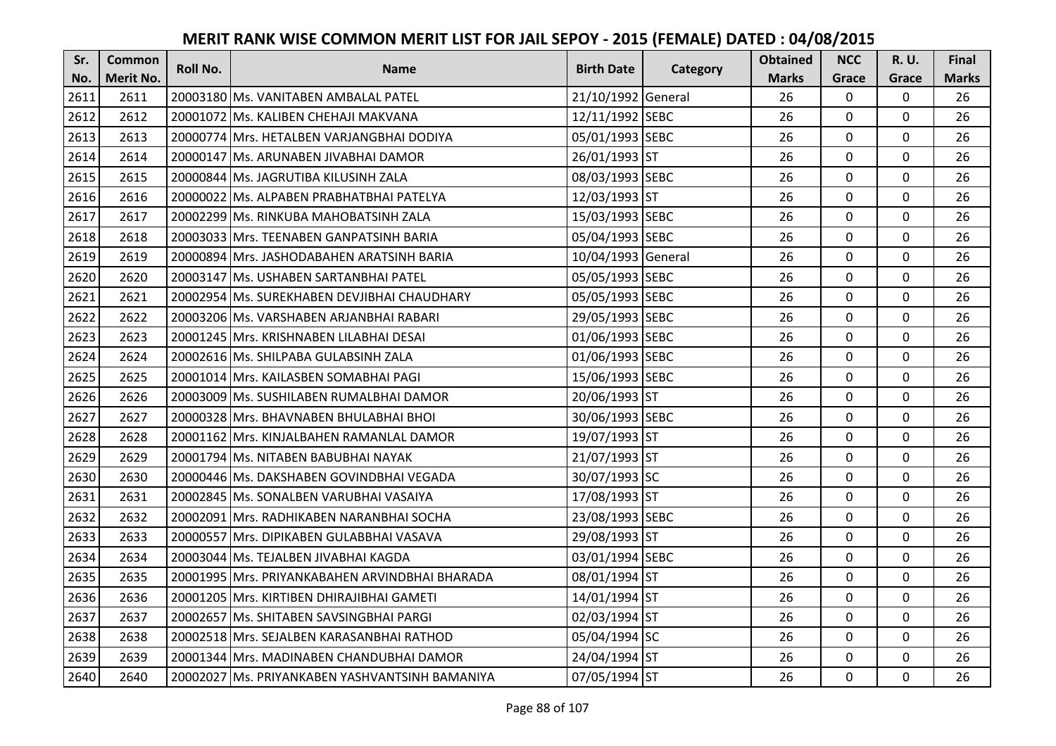| Sr.  | <b>Common</b>    | <b>Roll No.</b> | <b>Name</b>                                    | <b>Birth Date</b>  | Category | <b>Obtained</b> | <b>NCC</b>   | <b>R.U.</b> | Final        |
|------|------------------|-----------------|------------------------------------------------|--------------------|----------|-----------------|--------------|-------------|--------------|
| No.  | <b>Merit No.</b> |                 |                                                |                    |          | <b>Marks</b>    | Grace        | Grace       | <b>Marks</b> |
| 2611 | 2611             |                 | 20003180 Ms. VANITABEN AMBALAL PATEL           | 21/10/1992 General |          | 26              | $\mathbf 0$  | 0           | 26           |
| 2612 | 2612             |                 | 20001072 Ms. KALIBEN CHEHAJI MAKVANA           | 12/11/1992 SEBC    |          | 26              | $\mathbf 0$  | 0           | 26           |
| 2613 | 2613             |                 | 20000774 Mrs. HETALBEN VARJANGBHAI DODIYA      | 05/01/1993 SEBC    |          | 26              | $\mathbf 0$  | 0           | 26           |
| 2614 | 2614             |                 | 20000147 Ms. ARUNABEN JIVABHAI DAMOR           | 26/01/1993 ST      |          | 26              | $\mathbf 0$  | 0           | 26           |
| 2615 | 2615             |                 | 20000844 Ms. JAGRUTIBA KILUSINH ZALA           | 08/03/1993 SEBC    |          | 26              | $\mathbf{0}$ | $\mathbf 0$ | 26           |
| 2616 | 2616             |                 | 20000022 Ms. ALPABEN PRABHATBHAI PATELYA       | 12/03/1993 ST      |          | 26              | $\mathbf 0$  | $\Omega$    | 26           |
| 2617 | 2617             |                 | 20002299 Ms. RINKUBA MAHOBATSINH ZALA          | 15/03/1993 SEBC    |          | 26              | $\mathbf{0}$ | 0           | 26           |
| 2618 | 2618             |                 | 20003033 Mrs. TEENABEN GANPATSINH BARIA        | 05/04/1993 SEBC    |          | 26              | $\mathbf{0}$ | $\mathbf 0$ | 26           |
| 2619 | 2619             |                 | 20000894 Mrs. JASHODABAHEN ARATSINH BARIA      | 10/04/1993 General |          | 26              | $\mathbf 0$  | 0           | 26           |
| 2620 | 2620             |                 | 20003147 Ms. USHABEN SARTANBHAI PATEL          | 05/05/1993 SEBC    |          | 26              | $\mathbf{0}$ | 0           | 26           |
| 2621 | 2621             |                 | 20002954 Ms. SUREKHABEN DEVJIBHAI CHAUDHARY    | 05/05/1993 SEBC    |          | 26              | $\Omega$     | 0           | 26           |
| 2622 | 2622             |                 | 20003206 Ms. VARSHABEN ARJANBHAI RABARI        | 29/05/1993 SEBC    |          | 26              | $\mathbf 0$  | 0           | 26           |
| 2623 | 2623             |                 | 20001245 Mrs. KRISHNABEN LILABHAI DESAI        | 01/06/1993 SEBC    |          | 26              | 0            | 0           | 26           |
| 2624 | 2624             |                 | 20002616 Ms. SHILPABA GULABSINH ZALA           | 01/06/1993 SEBC    |          | 26              | $\mathbf 0$  | 0           | 26           |
| 2625 | 2625             |                 | 20001014 Mrs. KAILASBEN SOMABHAI PAGI          | 15/06/1993 SEBC    |          | 26              | $\mathbf 0$  | 0           | 26           |
| 2626 | 2626             |                 | 20003009 Ms. SUSHILABEN RUMALBHAI DAMOR        | 20/06/1993 ST      |          | 26              | $\mathbf{0}$ | 0           | 26           |
| 2627 | 2627             |                 | 20000328 Mrs. BHAVNABEN BHULABHAI BHOI         | 30/06/1993 SEBC    |          | 26              | $\mathbf{0}$ | 0           | 26           |
| 2628 | 2628             |                 | 20001162 Mrs. KINJALBAHEN RAMANLAL DAMOR       | 19/07/1993 ST      |          | 26              | $\mathbf 0$  | $\Omega$    | 26           |
| 2629 | 2629             |                 | 20001794 Ms. NITABEN BABUBHAI NAYAK            | 21/07/1993 ST      |          | 26              | $\mathbf 0$  | $\Omega$    | 26           |
| 2630 | 2630             |                 | 20000446 Ms. DAKSHABEN GOVINDBHAI VEGADA       | 30/07/1993 SC      |          | 26              | $\mathbf 0$  | 0           | 26           |
| 2631 | 2631             |                 | 20002845 Ms. SONALBEN VARUBHAI VASAIYA         | 17/08/1993 ST      |          | 26              | $\mathbf 0$  | $\Omega$    | 26           |
| 2632 | 2632             |                 | 20002091 Mrs. RADHIKABEN NARANBHAI SOCHA       | 23/08/1993 SEBC    |          | 26              | $\mathbf 0$  | $\Omega$    | 26           |
| 2633 | 2633             |                 | 20000557 Mrs. DIPIKABEN GULABBHAI VASAVA       | 29/08/1993 ST      |          | 26              | $\mathbf{0}$ | 0           | 26           |
| 2634 | 2634             |                 | 20003044 Ms. TEJALBEN JIVABHAI KAGDA           | 03/01/1994 SEBC    |          | 26              | $\mathbf 0$  | $\mathbf 0$ | 26           |
| 2635 | 2635             |                 | 20001995 Mrs. PRIYANKABAHEN ARVINDBHAI BHARADA | 08/01/1994 ST      |          | 26              | $\mathbf 0$  | 0           | 26           |
| 2636 | 2636             |                 | 20001205 Mrs. KIRTIBEN DHIRAJIBHAI GAMETI      | 14/01/1994 ST      |          | 26              | $\mathbf{0}$ | 0           | 26           |
| 2637 | 2637             |                 | 20002657 Ms. SHITABEN SAVSINGBHAI PARGI        | 02/03/1994 ST      |          | 26              | $\mathbf 0$  | 0           | 26           |
| 2638 | 2638             |                 | 20002518 Mrs. SEJALBEN KARASANBHAI RATHOD      | 05/04/1994 SC      |          | 26              | $\Omega$     | 0           | 26           |
| 2639 | 2639             |                 | 20001344 Mrs. MADINABEN CHANDUBHAI DAMOR       | 24/04/1994 ST      |          | 26              | 0            | 0           | 26           |
| 2640 | 2640             |                 | 20002027 Ms. PRIYANKABEN YASHVANTSINH BAMANIYA | 07/05/1994 ST      |          | 26              | $\mathbf{0}$ | 0           | 26           |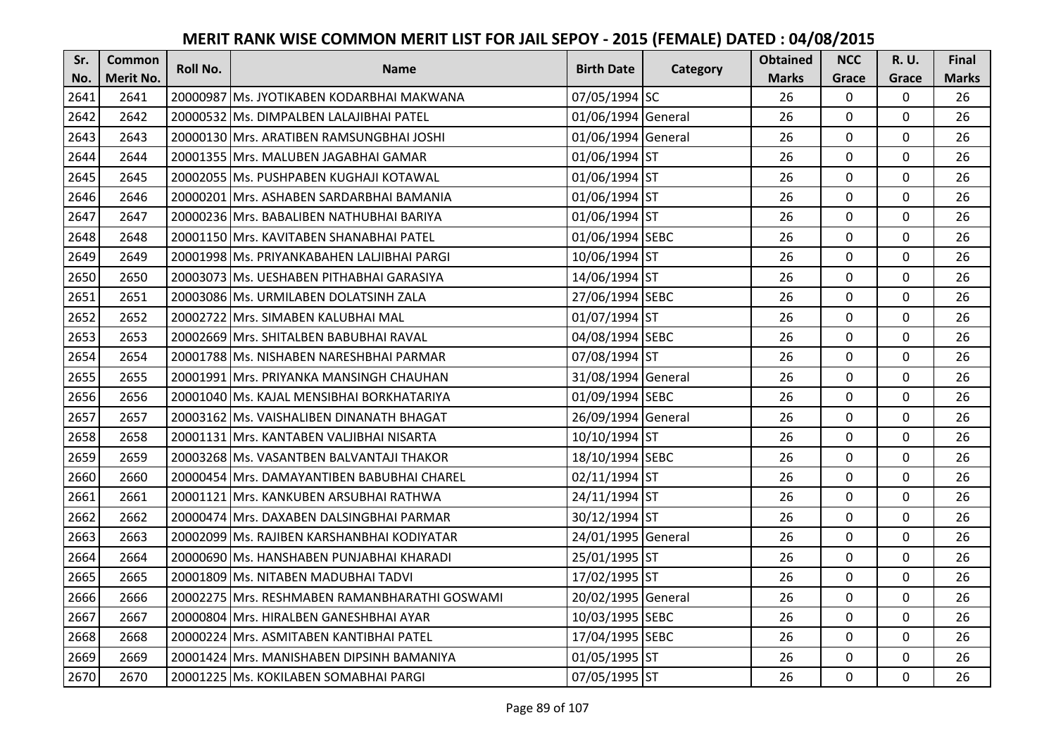| Sr.  | <b>Common</b>    | Roll No. | <b>Name</b>                                   | <b>Birth Date</b>  | Category | <b>Obtained</b> | <b>NCC</b>   | <b>R.U.</b> | Final        |
|------|------------------|----------|-----------------------------------------------|--------------------|----------|-----------------|--------------|-------------|--------------|
| No.  | <b>Merit No.</b> |          |                                               |                    |          | <b>Marks</b>    | Grace        | Grace       | <b>Marks</b> |
| 2641 | 2641             |          | 20000987 Ms. JYOTIKABEN KODARBHAI MAKWANA     | 07/05/1994 SC      |          | 26              | $\mathbf 0$  | 0           | 26           |
| 2642 | 2642             |          | 20000532 Ms. DIMPALBEN LALAJIBHAI PATEL       | 01/06/1994 General |          | 26              | $\mathbf 0$  | $\Omega$    | 26           |
| 2643 | 2643             |          | 20000130 Mrs. ARATIBEN RAMSUNGBHAI JOSHI      | 01/06/1994 General |          | 26              | $\mathbf 0$  | 0           | 26           |
| 2644 | 2644             |          | 20001355 Mrs. MALUBEN JAGABHAI GAMAR          | 01/06/1994 ST      |          | 26              | $\mathbf 0$  | 0           | 26           |
| 2645 | 2645             |          | 20002055 Ms. PUSHPABEN KUGHAJI KOTAWAL        | 01/06/1994 ST      |          | 26              | $\mathbf{0}$ | $\mathbf 0$ | 26           |
| 2646 | 2646             |          | 20000201 Mrs. ASHABEN SARDARBHAI BAMANIA      | 01/06/1994 ST      |          | 26              | $\mathbf 0$  | $\Omega$    | 26           |
| 2647 | 2647             |          | 20000236 Mrs. BABALIBEN NATHUBHAI BARIYA      | 01/06/1994 ST      |          | 26              | $\mathbf{0}$ | 0           | 26           |
| 2648 | 2648             |          | 20001150 Mrs. KAVITABEN SHANABHAI PATEL       | 01/06/1994 SEBC    |          | 26              | $\mathbf{0}$ | $\mathbf 0$ | 26           |
| 2649 | 2649             |          | 20001998 Ms. PRIYANKABAHEN LALJIBHAI PARGI    | 10/06/1994 ST      |          | 26              | $\mathbf 0$  | 0           | 26           |
| 2650 | 2650             |          | 20003073 Ms. UESHABEN PITHABHAI GARASIYA      | 14/06/1994 ST      |          | 26              | $\mathbf{0}$ | 0           | 26           |
| 2651 | 2651             |          | 20003086 Ms. URMILABEN DOLATSINH ZALA         | 27/06/1994 SEBC    |          | 26              | $\Omega$     | 0           | 26           |
| 2652 | 2652             |          | 20002722 Mrs. SIMABEN KALUBHAI MAL            | 01/07/1994 ST      |          | 26              | $\mathbf 0$  | 0           | 26           |
| 2653 | 2653             |          | 20002669 Mrs. SHITALBEN BABUBHAI RAVAL        | 04/08/1994 SEBC    |          | 26              | $\mathbf{0}$ | 0           | 26           |
| 2654 | 2654             |          | 20001788 Ms. NISHABEN NARESHBHAI PARMAR       | 07/08/1994 ST      |          | 26              | $\mathbf 0$  | 0           | 26           |
| 2655 | 2655             |          | 20001991 Mrs. PRIYANKA MANSINGH CHAUHAN       | 31/08/1994 General |          | 26              | $\mathbf 0$  | 0           | 26           |
| 2656 | 2656             |          | 20001040 Ms. KAJAL MENSIBHAI BORKHATARIYA     | 01/09/1994 SEBC    |          | 26              | $\mathbf{0}$ | 0           | 26           |
| 2657 | 2657             |          | 20003162 Ms. VAISHALIBEN DINANATH BHAGAT      | 26/09/1994 General |          | 26              | $\mathbf{0}$ | 0           | 26           |
| 2658 | 2658             |          | 20001131 Mrs. KANTABEN VALJIBHAI NISARTA      | 10/10/1994 ST      |          | 26              | $\mathbf 0$  | $\Omega$    | 26           |
| 2659 | 2659             |          | 20003268 Ms. VASANTBEN BALVANTAJI THAKOR      | 18/10/1994 SEBC    |          | 26              | $\mathbf 0$  | $\Omega$    | 26           |
| 2660 | 2660             |          | 20000454 Mrs. DAMAYANTIBEN BABUBHAI CHAREL    | 02/11/1994 ST      |          | 26              | $\mathbf 0$  | 0           | 26           |
| 2661 | 2661             |          | 20001121 Mrs. KANKUBEN ARSUBHAI RATHWA        | 24/11/1994 ST      |          | 26              | $\mathbf 0$  | $\Omega$    | 26           |
| 2662 | 2662             |          | 20000474 Mrs. DAXABEN DALSINGBHAI PARMAR      | 30/12/1994 ST      |          | 26              | $\mathbf 0$  | $\Omega$    | 26           |
| 2663 | 2663             |          | 20002099 Ms. RAJIBEN KARSHANBHAI KODIYATAR    | 24/01/1995 General |          | 26              | $\mathbf 0$  | 0           | 26           |
| 2664 | 2664             |          | 20000690 Ms. HANSHABEN PUNJABHAI KHARADI      | 25/01/1995 ST      |          | 26              | $\mathbf 0$  | $\mathbf 0$ | 26           |
| 2665 | 2665             |          | 20001809 Ms. NITABEN MADUBHAI TADVI           | 17/02/1995 ST      |          | 26              | $\mathbf 0$  | 0           | 26           |
| 2666 | 2666             |          | 20002275 Mrs. RESHMABEN RAMANBHARATHI GOSWAMI | 20/02/1995 General |          | 26              | $\mathbf{0}$ | 0           | 26           |
| 2667 | 2667             |          | 20000804 Mrs. HIRALBEN GANESHBHAI AYAR        | 10/03/1995 SEBC    |          | 26              | $\mathbf 0$  | 0           | 26           |
| 2668 | 2668             |          | 20000224 Mrs. ASMITABEN KANTIBHAI PATEL       | 17/04/1995 SEBC    |          | 26              | $\Omega$     | 0           | 26           |
| 2669 | 2669             |          | 20001424 Mrs. MANISHABEN DIPSINH BAMANIYA     | 01/05/1995 ST      |          | 26              | $\mathbf 0$  | 0           | 26           |
| 2670 | 2670             |          | 20001225 Ms. KOKILABEN SOMABHAI PARGI         | 07/05/1995 ST      |          | 26              | $\mathbf{0}$ | 0           | 26           |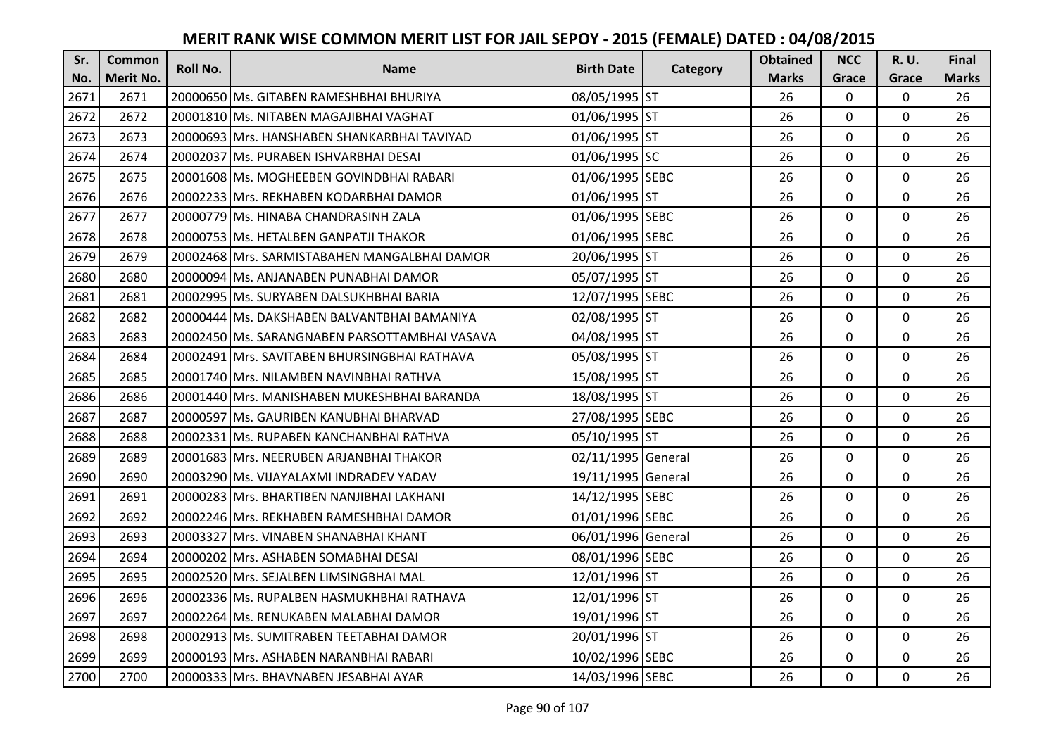| Sr.  | <b>Common</b>    | <b>Roll No.</b> | <b>Name</b>                                   | <b>Birth Date</b>  | Category | <b>Obtained</b> | <b>NCC</b>   | <b>R.U.</b> | Final        |
|------|------------------|-----------------|-----------------------------------------------|--------------------|----------|-----------------|--------------|-------------|--------------|
| No.  | <b>Merit No.</b> |                 |                                               |                    |          | <b>Marks</b>    | Grace        | Grace       | <b>Marks</b> |
| 2671 | 2671             |                 | 20000650 Ms. GITABEN RAMESHBHAI BHURIYA       | 08/05/1995 ST      |          | 26              | 0            | 0           | 26           |
| 2672 | 2672             |                 | 20001810 Ms. NITABEN MAGAJIBHAI VAGHAT        | 01/06/1995 ST      |          | 26              | $\mathbf 0$  | $\Omega$    | 26           |
| 2673 | 2673             |                 | 20000693 Mrs. HANSHABEN SHANKARBHAI TAVIYAD   | 01/06/1995 ST      |          | 26              | $\mathbf 0$  | 0           | 26           |
| 2674 | 2674             |                 | 20002037 Ms. PURABEN ISHVARBHAI DESAI         | 01/06/1995 SC      |          | 26              | $\mathbf{0}$ | 0           | 26           |
| 2675 | 2675             |                 | 20001608 Ms. MOGHEEBEN GOVINDBHAI RABARI      | 01/06/1995 SEBC    |          | 26              | $\mathbf{0}$ | $\mathbf 0$ | 26           |
| 2676 | 2676             |                 | 20002233 Mrs. REKHABEN KODARBHAI DAMOR        | 01/06/1995 ST      |          | 26              | $\mathbf 0$  | $\Omega$    | 26           |
| 2677 | 2677             |                 | 20000779 Ms. HINABA CHANDRASINH ZALA          | 01/06/1995 SEBC    |          | 26              | $\mathbf{0}$ | 0           | 26           |
| 2678 | 2678             |                 | 20000753 Ms. HETALBEN GANPATJI THAKOR         | 01/06/1995 SEBC    |          | 26              | $\mathbf{0}$ | $\mathbf 0$ | 26           |
| 2679 | 2679             |                 | 20002468 Mrs. SARMISTABAHEN MANGALBHAI DAMOR  | 20/06/1995 ST      |          | 26              | $\mathbf 0$  | 0           | 26           |
| 2680 | 2680             |                 | 20000094 Ms. ANJANABEN PUNABHAI DAMOR         | 05/07/1995 ST      |          | 26              | $\mathbf{0}$ | 0           | 26           |
| 2681 | 2681             |                 | 20002995 Ms. SURYABEN DALSUKHBHAI BARIA       | 12/07/1995 SEBC    |          | 26              | $\Omega$     | 0           | 26           |
| 2682 | 2682             |                 | 20000444 Ms. DAKSHABEN BALVANTBHAI BAMANIYA   | 02/08/1995 ST      |          | 26              | $\mathbf 0$  | 0           | 26           |
| 2683 | 2683             |                 | 20002450 Ms. SARANGNABEN PARSOTTAMBHAI VASAVA | 04/08/1995 ST      |          | 26              | 0            | 0           | 26           |
| 2684 | 2684             |                 | 20002491 Mrs. SAVITABEN BHURSINGBHAI RATHAVA  | 05/08/1995 ST      |          | 26              | $\mathbf 0$  | 0           | 26           |
| 2685 | 2685             |                 | 20001740 Mrs. NILAMBEN NAVINBHAI RATHVA       | 15/08/1995 ST      |          | 26              | $\mathbf 0$  | 0           | 26           |
| 2686 | 2686             |                 | 20001440 Mrs. MANISHABEN MUKESHBHAI BARANDA   | 18/08/1995 ST      |          | 26              | $\mathbf{0}$ | $\Omega$    | 26           |
| 2687 | 2687             |                 | 20000597 Ms. GAURIBEN KANUBHAI BHARVAD        | 27/08/1995 SEBC    |          | 26              | $\mathbf{0}$ | 0           | 26           |
| 2688 | 2688             |                 | 20002331 Ms. RUPABEN KANCHANBHAI RATHVA       | 05/10/1995 ST      |          | 26              | $\mathbf 0$  | $\Omega$    | 26           |
| 2689 | 2689             |                 | 20001683 IMrs. NEERUBEN ARJANBHAI THAKOR      | 02/11/1995 General |          | 26              | $\mathbf 0$  | $\Omega$    | 26           |
| 2690 | 2690             |                 | 20003290 Ms. VIJAYALAXMI INDRADEV YADAV       | 19/11/1995 General |          | 26              | $\mathbf 0$  | 0           | 26           |
| 2691 | 2691             |                 | 20000283 Mrs. BHARTIBEN NANJIBHAI LAKHANI     | 14/12/1995 SEBC    |          | 26              | $\mathbf 0$  | $\Omega$    | 26           |
| 2692 | 2692             |                 | 20002246 Mrs. REKHABEN RAMESHBHAI DAMOR       | 01/01/1996 SEBC    |          | 26              | $\mathbf 0$  | $\Omega$    | 26           |
| 2693 | 2693             |                 | 20003327 Mrs. VINABEN SHANABHAI KHANT         | 06/01/1996 General |          | 26              | $\mathbf 0$  | 0           | 26           |
| 2694 | 2694             |                 | 20000202 Mrs. ASHABEN SOMABHAI DESAI          | 08/01/1996 SEBC    |          | 26              | $\mathbf 0$  | $\mathbf 0$ | 26           |
| 2695 | 2695             |                 | 20002520 Mrs. SEJALBEN LIMSINGBHAI MAL        | 12/01/1996 ST      |          | 26              | $\mathbf 0$  | 0           | 26           |
| 2696 | 2696             |                 | 20002336 Ms. RUPALBEN HASMUKHBHAI RATHAVA     | 12/01/1996 ST      |          | 26              | $\mathbf{0}$ | 0           | 26           |
| 2697 | 2697             |                 | 20002264 Ms. RENUKABEN MALABHAI DAMOR         | 19/01/1996 ST      |          | 26              | $\mathbf 0$  | 0           | 26           |
| 2698 | 2698             |                 | 20002913 Ms. SUMITRABEN TEETABHAI DAMOR       | 20/01/1996 ST      |          | 26              | $\Omega$     | 0           | 26           |
| 2699 | 2699             |                 | 20000193 Mrs. ASHABEN NARANBHAI RABARI        | 10/02/1996 SEBC    |          | 26              | 0            | 0           | 26           |
| 2700 | 2700             |                 | 20000333 Mrs. BHAVNABEN JESABHAI AYAR         | 14/03/1996 SEBC    |          | 26              | $\mathbf{0}$ | 0           | 26           |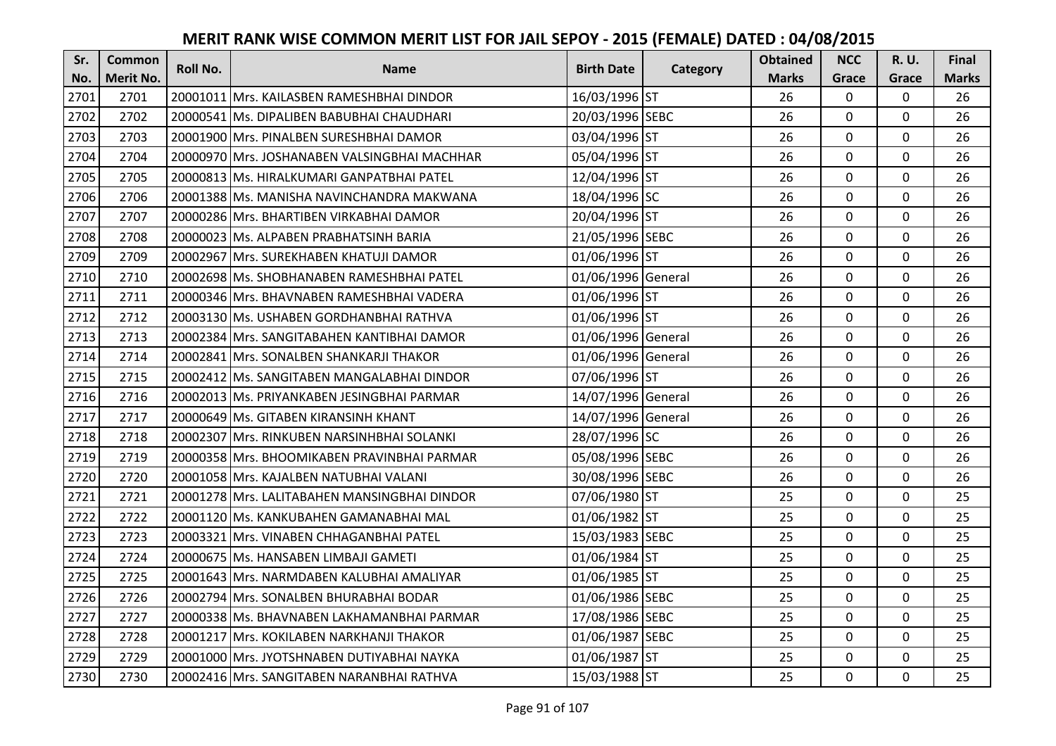| Sr.  | <b>Common</b>    | <b>Roll No.</b> | <b>Name</b>                                  | <b>Birth Date</b>  | Category | <b>Obtained</b> | <b>NCC</b>   | <b>R.U.</b> | Final        |
|------|------------------|-----------------|----------------------------------------------|--------------------|----------|-----------------|--------------|-------------|--------------|
| No.  | <b>Merit No.</b> |                 |                                              |                    |          | <b>Marks</b>    | Grace        | Grace       | <b>Marks</b> |
| 2701 | 2701             |                 | 20001011 Mrs. KAILASBEN RAMESHBHAI DINDOR    | 16/03/1996 ST      |          | 26              | 0            | 0           | 26           |
| 2702 | 2702             |                 | 20000541 Ms. DIPALIBEN BABUBHAI CHAUDHARI    | 20/03/1996 SEBC    |          | 26              | $\mathbf 0$  | $\Omega$    | 26           |
| 2703 | 2703             |                 | 20001900 lMrs. PINALBEN SURESHBHAI DAMOR     | 03/04/1996 ST      |          | 26              | $\mathbf 0$  | $\Omega$    | 26           |
| 2704 | 2704             |                 | 20000970 Mrs. JOSHANABEN VALSINGBHAI MACHHAR | 05/04/1996 ST      |          | 26              | $\mathbf 0$  | 0           | 26           |
| 2705 | 2705             |                 | 20000813 Ms. HIRALKUMARI GANPATBHAI PATEL    | 12/04/1996 ST      |          | 26              | $\mathbf{0}$ | $\mathbf 0$ | 26           |
| 2706 | 2706             |                 | 20001388 Ms. MANISHA NAVINCHANDRA MAKWANA    | 18/04/1996 SC      |          | 26              | $\mathbf 0$  | $\Omega$    | 26           |
| 2707 | 2707             |                 | 20000286 Mrs. BHARTIBEN VIRKABHAI DAMOR      | 20/04/1996 ST      |          | 26              | $\mathbf{0}$ | 0           | 26           |
| 2708 | 2708             |                 | 20000023 Ms. ALPABEN PRABHATSINH BARIA       | 21/05/1996 SEBC    |          | 26              | $\mathbf{0}$ | $\mathbf 0$ | 26           |
| 2709 | 2709             |                 | 20002967 Mrs. SUREKHABEN KHATUJI DAMOR       | 01/06/1996 ST      |          | 26              | $\mathbf 0$  | 0           | 26           |
| 2710 | 2710             |                 | 20002698 Ms. SHOBHANABEN RAMESHBHAI PATEL    | 01/06/1996 General |          | 26              | $\mathbf{0}$ | 0           | 26           |
| 2711 | 2711             |                 | 20000346 Mrs. BHAVNABEN RAMESHBHAI VADERA    | 01/06/1996 ST      |          | 26              | $\Omega$     | 0           | 26           |
| 2712 | 2712             |                 | 20003130 Ms. USHABEN GORDHANBHAI RATHVA      | 01/06/1996 ST      |          | 26              | $\mathbf 0$  | 0           | 26           |
| 2713 | 2713             |                 | 20002384 Mrs. SANGITABAHEN KANTIBHAI DAMOR   | 01/06/1996 General |          | 26              | 0            | 0           | 26           |
| 2714 | 2714             |                 | 20002841 Mrs. SONALBEN SHANKARJI THAKOR      | 01/06/1996 General |          | 26              | $\mathbf 0$  | 0           | 26           |
| 2715 | 2715             |                 | 20002412 Ms. SANGITABEN MANGALABHAI DINDOR   | 07/06/1996 ST      |          | 26              | $\mathbf 0$  | 0           | 26           |
| 2716 | 2716             |                 | 20002013 Ms. PRIYANKABEN JESINGBHAI PARMAR   | 14/07/1996 General |          | 26              | $\mathbf{0}$ | $\Omega$    | 26           |
| 2717 | 2717             |                 | 20000649 Ms. GITABEN KIRANSINH KHANT         | 14/07/1996 General |          | 26              | $\mathbf{0}$ | 0           | 26           |
| 2718 | 2718             |                 | 20002307 Mrs. RINKUBEN NARSINHBHAI SOLANKI   | 28/07/1996 SC      |          | 26              | $\mathbf 0$  | $\Omega$    | 26           |
| 2719 | 2719             |                 | 20000358 IMrs. BHOOMIKABEN PRAVINBHAI PARMAR | 05/08/1996 SEBC    |          | 26              | $\mathbf 0$  | $\Omega$    | 26           |
| 2720 | 2720             |                 | 20001058 Mrs. KAJALBEN NATUBHAI VALANI       | 30/08/1996 SEBC    |          | 26              | $\mathbf 0$  | 0           | 26           |
| 2721 | 2721             |                 | 20001278 Mrs. LALITABAHEN MANSINGBHAI DINDOR | 07/06/1980 ST      |          | 25              | $\mathbf 0$  | $\Omega$    | 25           |
| 2722 | 2722             |                 | 20001120 Ms. KANKUBAHEN GAMANABHAI MAL       | 01/06/1982 ST      |          | 25              | $\mathbf 0$  | $\Omega$    | 25           |
| 2723 | 2723             |                 | 20003321 Mrs. VINABEN CHHAGANBHAI PATEL      | 15/03/1983 SEBC    |          | 25              | $\mathbf 0$  | 0           | 25           |
| 2724 | 2724             |                 | 20000675 Ms. HANSABEN LIMBAJI GAMETI         | 01/06/1984 ST      |          | 25              | $\mathbf 0$  | $\mathbf 0$ | 25           |
| 2725 | 2725             |                 | 20001643 Mrs. NARMDABEN KALUBHAI AMALIYAR    | 01/06/1985 ST      |          | 25              | $\mathbf 0$  | 0           | 25           |
| 2726 | 2726             |                 | 20002794 Mrs. SONALBEN BHURABHAI BODAR       | 01/06/1986 SEBC    |          | 25              | $\mathbf{0}$ | 0           | 25           |
| 2727 | 2727             |                 | 20000338 Ms. BHAVNABEN LAKHAMANBHAI PARMAR   | 17/08/1986 SEBC    |          | 25              | $\mathbf 0$  | 0           | 25           |
| 2728 | 2728             |                 | 20001217 Mrs. KOKILABEN NARKHANJI THAKOR     | 01/06/1987 SEBC    |          | 25              | $\Omega$     | 0           | 25           |
| 2729 | 2729             |                 | 20001000 Mrs. JYOTSHNABEN DUTIYABHAI NAYKA   | 01/06/1987 ST      |          | 25              | $\mathbf 0$  | 0           | 25           |
| 2730 | 2730             |                 | 20002416 Mrs. SANGITABEN NARANBHAI RATHVA    | 15/03/1988 ST      |          | 25              | $\mathbf{0}$ | 0           | 25           |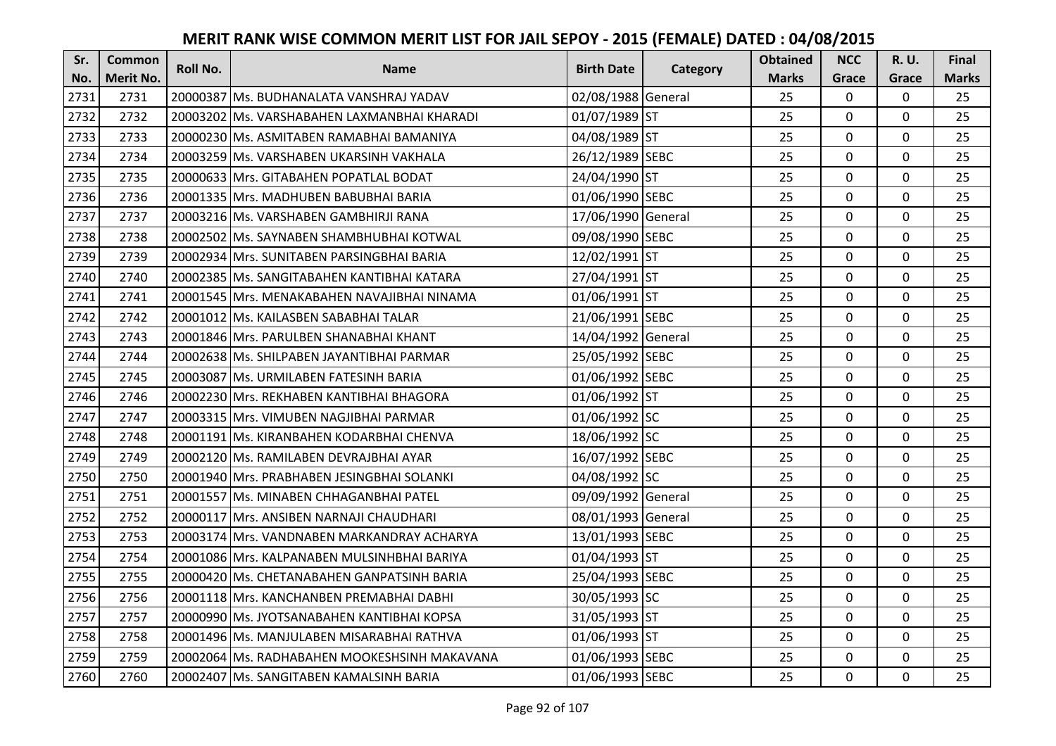| Sr.  | <b>Common</b>    | Roll No. | <b>Name</b>                                  | <b>Birth Date</b>  |          | <b>Obtained</b> | <b>NCC</b>   | <b>R.U.</b> | Final        |
|------|------------------|----------|----------------------------------------------|--------------------|----------|-----------------|--------------|-------------|--------------|
| No.  | <b>Merit No.</b> |          |                                              |                    | Category | <b>Marks</b>    | Grace        | Grace       | <b>Marks</b> |
| 2731 | 2731             |          | 20000387 Ms. BUDHANALATA VANSHRAJ YADAV      | 02/08/1988 General |          | 25              | 0            | 0           | 25           |
| 2732 | 2732             |          | 20003202 IMs. VARSHABAHEN LAXMANBHAI KHARADI | 01/07/1989 ST      |          | 25              | $\mathbf 0$  | $\Omega$    | 25           |
| 2733 | 2733             |          | 20000230 lMs. ASMITABEN RAMABHAI BAMANIYA    | 04/08/1989 ST      |          | 25              | $\mathbf 0$  | $\Omega$    | 25           |
| 2734 | 2734             |          | 20003259 Ms. VARSHABEN UKARSINH VAKHALA      | 26/12/1989 SEBC    |          | 25              | $\mathbf 0$  | 0           | 25           |
| 2735 | 2735             |          | 20000633 Mrs. GITABAHEN POPATLAL BODAT       | 24/04/1990 ST      |          | 25              | $\mathbf{0}$ | $\mathbf 0$ | 25           |
| 2736 | 2736             |          | 20001335 Mrs. MADHUBEN BABUBHAI BARIA        | 01/06/1990 SEBC    |          | 25              | $\mathbf 0$  | $\Omega$    | 25           |
| 2737 | 2737             |          | 20003216 Ms. VARSHABEN GAMBHIRJI RANA        | 17/06/1990 General |          | 25              | $\mathbf 0$  | 0           | 25           |
| 2738 | 2738             |          | 20002502 Ms. SAYNABEN SHAMBHUBHAI KOTWAL     | 09/08/1990 SEBC    |          | 25              | $\mathbf{0}$ | $\mathbf 0$ | 25           |
| 2739 | 2739             |          | 20002934 Mrs. SUNITABEN PARSINGBHAI BARIA    | 12/02/1991 ST      |          | 25              | $\mathbf 0$  | 0           | 25           |
| 2740 | 2740             |          | 20002385 Ms. SANGITABAHEN KANTIBHAI KATARA   | 27/04/1991 ST      |          | 25              | $\mathbf{0}$ | 0           | 25           |
| 2741 | 2741             |          | 20001545 Mrs. MENAKABAHEN NAVAJIBHAI NINAMA  | 01/06/1991 ST      |          | 25              | $\Omega$     | 0           | 25           |
| 2742 | 2742             |          | 20001012 Ms. KAILASBEN SABABHAI TALAR        | 21/06/1991 SEBC    |          | 25              | $\mathbf 0$  | 0           | 25           |
| 2743 | 2743             |          | 20001846 Mrs. PARULBEN SHANABHAI KHANT       | 14/04/1992 General |          | 25              | 0            | $\mathbf 0$ | 25           |
| 2744 | 2744             |          | 20002638 Ms. SHILPABEN JAYANTIBHAI PARMAR    | 25/05/1992 SEBC    |          | 25              | $\mathbf 0$  | 0           | 25           |
| 2745 | 2745             |          | 20003087 Ms. URMILABEN FATESINH BARIA        | 01/06/1992 SEBC    |          | 25              | $\mathbf 0$  | 0           | 25           |
| 2746 | 2746             |          | 20002230 Mrs. REKHABEN KANTIBHAI BHAGORA     | 01/06/1992 ST      |          | 25              | $\mathbf{0}$ | $\Omega$    | 25           |
| 2747 | 2747             |          | 20003315 Mrs. VIMUBEN NAGJIBHAI PARMAR       | 01/06/1992 SC      |          | 25              | $\mathbf{0}$ | 0           | 25           |
| 2748 | 2748             |          | 20001191 Ms. KIRANBAHEN KODARBHAI CHENVA     | 18/06/1992 SC      |          | 25              | $\mathbf 0$  | $\Omega$    | 25           |
| 2749 | 2749             |          | 20002120 Ms. RAMILABEN DEVRAJBHAI AYAR       | 16/07/1992 SEBC    |          | 25              | $\mathbf 0$  | $\Omega$    | 25           |
| 2750 | 2750             |          | 20001940 IMrs. PRABHABEN JESINGBHAI SOLANKI  | 04/08/1992 SC      |          | 25              | $\mathbf 0$  | 0           | 25           |
| 2751 | 2751             |          | 20001557 Ms. MINABEN CHHAGANBHAI PATEL       | 09/09/1992 General |          | 25              | $\mathbf 0$  | $\Omega$    | 25           |
| 2752 | 2752             |          | 20000117 Mrs. ANSIBEN NARNAJI CHAUDHARI      | 08/01/1993 General |          | 25              | $\mathbf 0$  | $\Omega$    | 25           |
| 2753 | 2753             |          | 20003174 Mrs. VANDNABEN MARKANDRAY ACHARYA   | 13/01/1993 SEBC    |          | 25              | $\mathbf 0$  | $\Omega$    | 25           |
| 2754 | 2754             |          | 20001086 Mrs. KALPANABEN MULSINHBHAI BARIYA  | 01/04/1993 ST      |          | 25              | $\mathbf 0$  | $\mathbf 0$ | 25           |
| 2755 | 2755             |          | 20000420 Ms. CHETANABAHEN GANPATSINH BARIA   | 25/04/1993 SEBC    |          | 25              | $\mathbf 0$  | 0           | 25           |
| 2756 | 2756             |          | 20001118 Mrs. KANCHANBEN PREMABHAI DABHI     | 30/05/1993 SC      |          | 25              | $\mathbf{0}$ | 0           | 25           |
| 2757 | 2757             |          | 20000990 Ms. JYOTSANABAHEN KANTIBHAI KOPSA   | 31/05/1993 ST      |          | 25              | $\mathbf 0$  | 0           | 25           |
| 2758 | 2758             |          | 20001496 Ms. MANJULABEN MISARABHAI RATHVA    | 01/06/1993 ST      |          | 25              | $\Omega$     | 0           | 25           |
| 2759 | 2759             |          | 20002064 Ms. RADHABAHEN MOOKESHSINH MAKAVANA | 01/06/1993 SEBC    |          | 25              | $\mathbf 0$  | 0           | 25           |
| 2760 | 2760             |          | 20002407 Ms. SANGITABEN KAMALSINH BARIA      | 01/06/1993 SEBC    |          | 25              | $\mathbf{0}$ | 0           | 25           |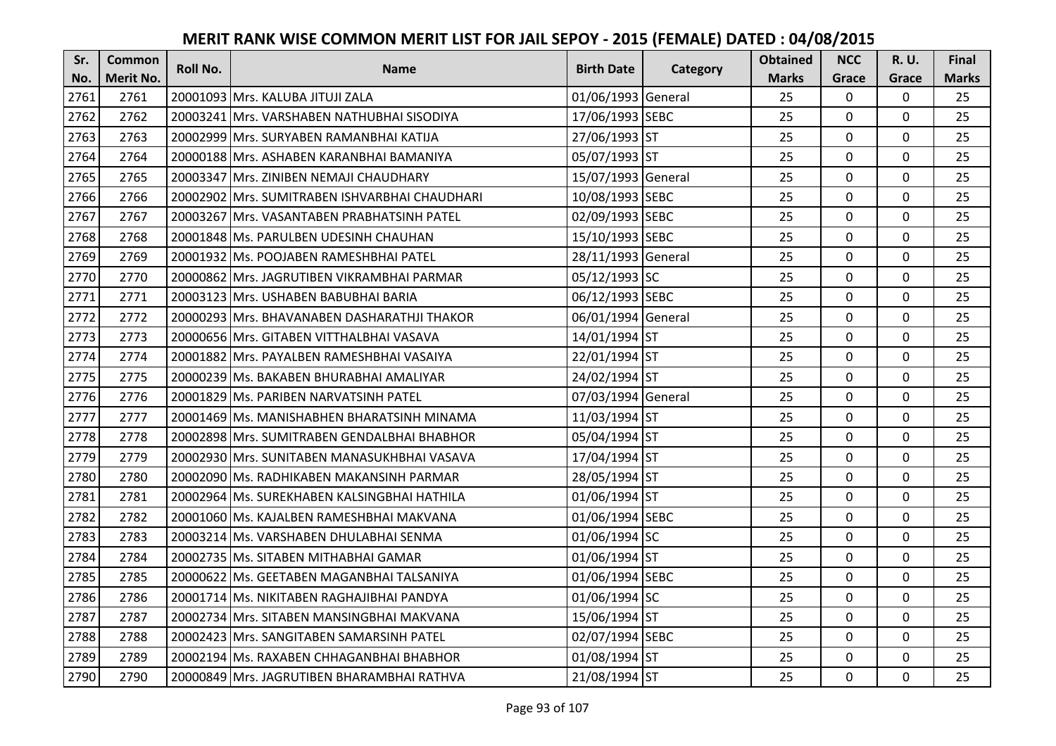| Sr.  | <b>Common</b>    | Roll No. | <b>Name</b>                                   | <b>Birth Date</b>  | Category | <b>Obtained</b> | <b>NCC</b>   | <b>R.U.</b> | Final        |
|------|------------------|----------|-----------------------------------------------|--------------------|----------|-----------------|--------------|-------------|--------------|
| No.  | <b>Merit No.</b> |          |                                               |                    |          | <b>Marks</b>    | Grace        | Grace       | <b>Marks</b> |
| 2761 | 2761             |          | 20001093 Mrs. KALUBA JITUJI ZALA              | 01/06/1993 General |          | 25              | $\mathbf 0$  | 0           | 25           |
| 2762 | 2762             |          | 20003241 Mrs. VARSHABEN NATHUBHAI SISODIYA    | 17/06/1993 SEBC    |          | 25              | $\mathbf 0$  | 0           | 25           |
| 2763 | 2763             |          | 20002999 lMrs. SURYABEN RAMANBHAI KATIJA      | 27/06/1993 ST      |          | 25              | $\mathbf 0$  | $\Omega$    | 25           |
| 2764 | 2764             |          | 20000188 Mrs. ASHABEN KARANBHAI BAMANIYA      | 05/07/1993 ST      |          | 25              | $\mathbf 0$  | 0           | 25           |
| 2765 | 2765             |          | 20003347 Mrs. ZINIBEN NEMAJI CHAUDHARY        | 15/07/1993 General |          | 25              | $\mathbf{0}$ | $\mathbf 0$ | 25           |
| 2766 | 2766             |          | 20002902 Mrs. SUMITRABEN ISHVARBHAI CHAUDHARI | 10/08/1993 SEBC    |          | 25              | $\Omega$     | $\Omega$    | 25           |
| 2767 | 2767             |          | 20003267 Mrs. VASANTABEN PRABHATSINH PATEL    | 02/09/1993 SEBC    |          | 25              | $\mathbf 0$  | 0           | 25           |
| 2768 | 2768             |          | 20001848 Ms. PARULBEN UDESINH CHAUHAN         | 15/10/1993 SEBC    |          | 25              | $\mathbf{0}$ | $\mathbf 0$ | 25           |
| 2769 | 2769             |          | 20001932 Ms. POOJABEN RAMESHBHAI PATEL        | 28/11/1993 General |          | 25              | $\mathbf 0$  | 0           | 25           |
| 2770 | 2770             |          | 20000862 Mrs. JAGRUTIBEN VIKRAMBHAI PARMAR    | 05/12/1993 SC      |          | 25              | $\mathbf{0}$ | 0           | 25           |
| 2771 | 2771             |          | 20003123 Mrs. USHABEN BABUBHAI BARIA          | 06/12/1993 SEBC    |          | 25              | $\Omega$     | 0           | 25           |
| 2772 | 2772             |          | 20000293 Mrs. BHAVANABEN DASHARATHJI THAKOR   | 06/01/1994 General |          | 25              | $\mathbf 0$  | 0           | 25           |
| 2773 | 2773             |          | 20000656 Mrs. GITABEN VITTHALBHAI VASAVA      | 14/01/1994 ST      |          | 25              | $\mathbf{0}$ | 0           | 25           |
| 2774 | 2774             |          | 20001882 Mrs. PAYALBEN RAMESHBHAI VASAIYA     | 22/01/1994 ST      |          | 25              | $\mathbf 0$  | 0           | 25           |
| 2775 | 2775             |          | 20000239 Ms. BAKABEN BHURABHAI AMALIYAR       | 24/02/1994 ST      |          | 25              | $\mathbf 0$  | 0           | 25           |
| 2776 | 2776             |          | 20001829 Ms. PARIBEN NARVATSINH PATEL         | 07/03/1994 General |          | 25              | $\mathbf{0}$ | $\Omega$    | 25           |
| 2777 | 2777             |          | 20001469 Ms. MANISHABHEN BHARATSINH MINAMA    | 11/03/1994 ST      |          | 25              | $\mathbf{0}$ | 0           | 25           |
| 2778 | 2778             |          | 20002898 Mrs. SUMITRABEN GENDALBHAI BHABHOR   | 05/04/1994 ST      |          | 25              | $\mathbf 0$  | $\Omega$    | 25           |
| 2779 | 2779             |          | 20002930 IMrs. SUNITABEN MANASUKHBHAI VASAVA  | 17/04/1994 ST      |          | 25              | $\mathbf 0$  | $\Omega$    | 25           |
| 2780 | 2780             |          | 20002090 Ms. RADHIKABEN MAKANSINH PARMAR      | 28/05/1994 ST      |          | 25              | $\mathbf 0$  | 0           | 25           |
| 2781 | 2781             |          | 20002964 Ms. SUREKHABEN KALSINGBHAI HATHILA   | 01/06/1994 ST      |          | 25              | $\mathbf 0$  | $\Omega$    | 25           |
| 2782 | 2782             |          | 20001060 Ms. KAJALBEN RAMESHBHAI MAKVANA      | 01/06/1994 SEBC    |          | 25              | $\mathbf 0$  | $\Omega$    | 25           |
| 2783 | 2783             |          | 20003214 Ms. VARSHABEN DHULABHAI SENMA        | 01/06/1994 SC      |          | 25              | $\mathbf 0$  | 0           | 25           |
| 2784 | 2784             |          | 20002735 Ms. SITABEN MITHABHAI GAMAR          | 01/06/1994 ST      |          | 25              | $\mathbf 0$  | $\mathbf 0$ | 25           |
| 2785 | 2785             |          | 20000622 Ms. GEETABEN MAGANBHAI TALSANIYA     | 01/06/1994 SEBC    |          | 25              | $\mathbf 0$  | 0           | 25           |
| 2786 | 2786             |          | 20001714 Ms. NIKITABEN RAGHAJIBHAI PANDYA     | 01/06/1994 SC      |          | 25              | $\mathbf{0}$ | 0           | 25           |
| 2787 | 2787             |          | 20002734 Mrs. SITABEN MANSINGBHAI MAKVANA     | 15/06/1994 ST      |          | 25              | $\mathbf 0$  | 0           | 25           |
| 2788 | 2788             |          | 20002423 Mrs. SANGITABEN SAMARSINH PATEL      | 02/07/1994 SEBC    |          | 25              | $\Omega$     | 0           | 25           |
| 2789 | 2789             |          | 20002194 Ms. RAXABEN CHHAGANBHAI BHABHOR      | 01/08/1994 ST      |          | 25              | $\mathbf 0$  | 0           | 25           |
| 2790 | 2790             |          | 20000849 Mrs. JAGRUTIBEN BHARAMBHAI RATHVA    | 21/08/1994 ST      |          | 25              | $\mathbf{0}$ | 0           | 25           |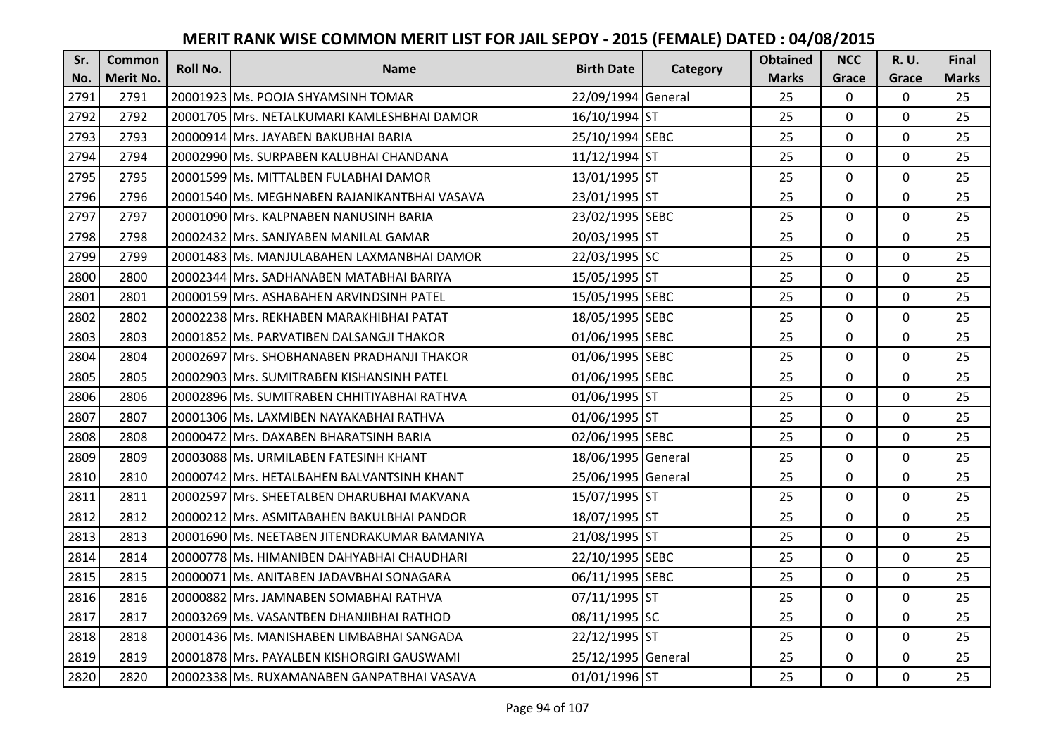| Sr.  | <b>Common</b>    | <b>Roll No.</b> | <b>Name</b>                                  | <b>Birth Date</b>  |          | <b>Obtained</b> | <b>NCC</b>     | R. U.    | Final        |
|------|------------------|-----------------|----------------------------------------------|--------------------|----------|-----------------|----------------|----------|--------------|
| No.  | <b>Merit No.</b> |                 |                                              |                    | Category | <b>Marks</b>    | Grace          | Grace    | <b>Marks</b> |
| 2791 | 2791             |                 | 20001923 Ms. POOJA SHYAMSINH TOMAR           | 22/09/1994 General |          | 25              | 0              | 0        | 25           |
| 2792 | 2792             |                 | 20001705 IMrs. NETALKUMARI KAMLESHBHAI DAMOR | 16/10/1994 ST      |          | 25              | $\mathbf 0$    | 0        | 25           |
| 2793 | 2793             |                 | 20000914 lMrs. JAYABEN BAKUBHAI BARIA        | 25/10/1994 SEBC    |          | 25              | $\mathbf{0}$   | 0        | 25           |
| 2794 | 2794             |                 | 20002990 Ms. SURPABEN KALUBHAI CHANDANA      | 11/12/1994 ST      |          | 25              | $\mathbf{0}$   | 0        | 25           |
| 2795 | 2795             |                 | 20001599 Ms. MITTALBEN FULABHAI DAMOR        | 13/01/1995 ST      |          | 25              | $\mathbf{0}$   | 0        | 25           |
| 2796 | 2796             |                 | 20001540 Ms. MEGHNABEN RAJANIKANTBHAI VASAVA | 23/01/1995 ST      |          | 25              | $\mathbf{0}$   | 0        | 25           |
| 2797 | 2797             |                 | 20001090 Mrs. KALPNABEN NANUSINH BARIA       | 23/02/1995 SEBC    |          | 25              | $\mathbf 0$    | 0        | 25           |
| 2798 | 2798             |                 | 20002432 Mrs. SANJYABEN MANILAL GAMAR        | 20/03/1995 ST      |          | 25              | $\mathbf 0$    | 0        | 25           |
| 2799 | 2799             |                 | 20001483 Ms. MANJULABAHEN LAXMANBHAI DAMOR   | 22/03/1995 SC      |          | 25              | $\mathbf 0$    | 0        | 25           |
| 2800 | 2800             |                 | 20002344 Mrs. SADHANABEN MATABHAI BARIYA     | 15/05/1995 ST      |          | 25              | $\mathbf 0$    | 0        | 25           |
| 2801 | 2801             |                 | 20000159 Mrs. ASHABAHEN ARVINDSINH PATEL     | 15/05/1995 SEBC    |          | 25              | $\Omega$       | 0        | 25           |
| 2802 | 2802             |                 | 20002238 Mrs. REKHABEN MARAKHIBHAI PATAT     | 18/05/1995 SEBC    |          | 25              | $\mathbf 0$    | $\Omega$ | 25           |
| 2803 | 2803             |                 | 20001852 Ms. PARVATIBEN DALSANGJI THAKOR     | 01/06/1995 SEBC    |          | 25              | $\mathbf{0}$   | 0        | 25           |
| 2804 | 2804             |                 | 20002697 Mrs. SHOBHANABEN PRADHANJI THAKOR   | 01/06/1995 SEBC    |          | 25              | $\mathbf 0$    | 0        | 25           |
| 2805 | 2805             |                 | 20002903 Mrs. SUMITRABEN KISHANSINH PATEL    | 01/06/1995 SEBC    |          | 25              | $\mathbf 0$    | 0        | 25           |
| 2806 | 2806             |                 | 20002896 Ms. SUMITRABEN CHHITIYABHAI RATHVA  | 01/06/1995 ST      |          | 25              | $\mathbf 0$    | 0        | 25           |
| 2807 | 2807             |                 | 20001306 lMs. LAXMIBEN NAYAKABHAI RATHVA     | 01/06/1995 ST      |          | 25              | $\mathbf{0}$   | 0        | 25           |
| 2808 | 2808             |                 | 20000472 Mrs. DAXABEN BHARATSINH BARIA       | 02/06/1995 SEBC    |          | 25              | $\mathbf{0}$   | 0        | 25           |
| 2809 | 2809             |                 | 20003088 Ms. URMILABEN FATESINH KHANT        | 18/06/1995 General |          | 25              | $\mathbf 0$    | 0        | 25           |
| 2810 | 2810             |                 | 20000742 Mrs. HETALBAHEN BALVANTSINH KHANT   | 25/06/1995 General |          | 25              | $\mathbf 0$    | 0        | 25           |
| 2811 | 2811             |                 | 20002597 Mrs. SHEETALBEN DHARUBHAI MAKVANA   | 15/07/1995 ST      |          | 25              | $\mathbf 0$    | 0        | 25           |
| 2812 | 2812             |                 | 20000212 Mrs. ASMITABAHEN BAKULBHAI PANDOR   | 18/07/1995 ST      |          | 25              | $\mathbf 0$    | 0        | 25           |
| 2813 | 2813             |                 | 20001690 Ms. NEETABEN JITENDRAKUMAR BAMANIYA | 21/08/1995 ST      |          | 25              | $\mathbf 0$    | 0        | 25           |
| 2814 | 2814             |                 | 20000778 Ms. HIMANIBEN DAHYABHAI CHAUDHARI   | 22/10/1995 SEBC    |          | 25              | $\mathbf 0$    | 0        | 25           |
| 2815 | 2815             |                 | 20000071 Ms. ANITABEN JADAVBHAI SONAGARA     | 06/11/1995 SEBC    |          | 25              | $\mathbf 0$    | 0        | 25           |
| 2816 | 2816             |                 | 20000882 Mrs. JAMNABEN SOMABHAI RATHVA       | 07/11/1995 ST      |          | 25              | $\mathbf 0$    | 0        | 25           |
| 2817 | 2817             |                 | 20003269 Ms. VASANTBEN DHANJIBHAI RATHOD     | 08/11/1995 SC      |          | 25              | $\mathbf 0$    | 0        | 25           |
| 2818 | 2818             |                 | 20001436 Ms. MANISHABEN LIMBABHAI SANGADA    | 22/12/1995 ST      |          | 25              | $\Omega$       | $\Omega$ | 25           |
| 2819 | 2819             |                 | 20001878 Mrs. PAYALBEN KISHORGIRI GAUSWAMI   | 25/12/1995 General |          | 25              | $\mathbf 0$    | 0        | 25           |
| 2820 | 2820             |                 | 20002338 Ms. RUXAMANABEN GANPATBHAI VASAVA   | 01/01/1996 ST      |          | 25              | $\overline{0}$ | 0        | 25           |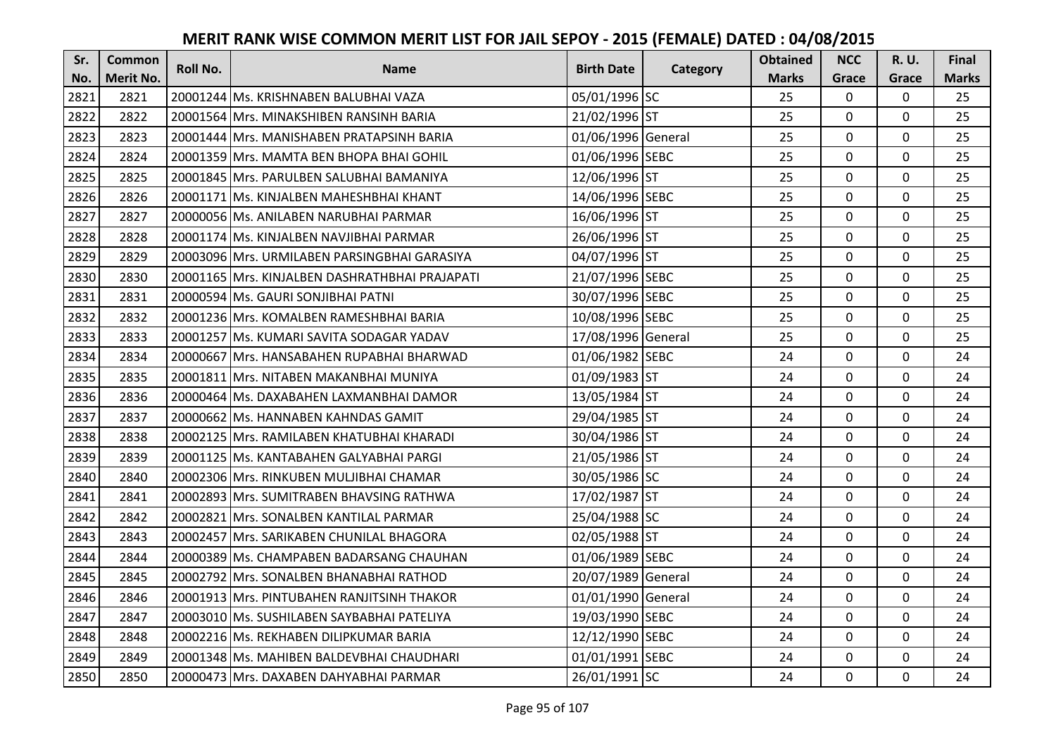| Sr.  | <b>Common</b>    | Roll No. | <b>Name</b>                                    | <b>Birth Date</b>  |          | <b>Obtained</b> | <b>NCC</b>   | <b>R.U.</b> | Final        |
|------|------------------|----------|------------------------------------------------|--------------------|----------|-----------------|--------------|-------------|--------------|
| No.  | <b>Merit No.</b> |          |                                                |                    | Category | <b>Marks</b>    | Grace        | Grace       | <b>Marks</b> |
| 2821 | 2821             |          | 20001244 Ms. KRISHNABEN BALUBHAI VAZA          | 05/01/1996 SC      |          | 25              | 0            | 0           | 25           |
| 2822 | 2822             |          | 20001564 Mrs. MINAKSHIBEN RANSINH BARIA        | 21/02/1996 ST      |          | 25              | $\mathbf 0$  | $\Omega$    | 25           |
| 2823 | 2823             |          | 20001444 Mrs. MANISHABEN PRATAPSINH BARIA      | 01/06/1996 General |          | 25              | $\mathbf 0$  | 0           | 25           |
| 2824 | 2824             |          | 20001359 Mrs. MAMTA BEN BHOPA BHAI GOHIL       | 01/06/1996 SEBC    |          | 25              | $\mathbf 0$  | 0           | 25           |
| 2825 | 2825             |          | 20001845 Mrs. PARULBEN SALUBHAI BAMANIYA       | 12/06/1996 ST      |          | 25              | $\mathbf{0}$ | $\mathbf 0$ | 25           |
| 2826 | 2826             |          | 20001171 Ms. KINJALBEN MAHESHBHAI KHANT        | 14/06/1996 SEBC    |          | 25              | $\mathbf 0$  | $\Omega$    | 25           |
| 2827 | 2827             |          | 20000056 Ms. ANILABEN NARUBHAI PARMAR          | 16/06/1996 ST      |          | 25              | $\mathbf 0$  | 0           | 25           |
| 2828 | 2828             |          | 20001174 Ms. KINJALBEN NAVJIBHAI PARMAR        | 26/06/1996 ST      |          | 25              | $\mathbf{0}$ | $\mathbf 0$ | 25           |
| 2829 | 2829             |          | 20003096 Mrs. URMILABEN PARSINGBHAI GARASIYA   | 04/07/1996 ST      |          | 25              | $\mathbf 0$  | 0           | 25           |
| 2830 | 2830             |          | 20001165 Mrs. KINJALBEN DASHRATHBHAI PRAJAPATI | 21/07/1996 SEBC    |          | 25              | $\mathbf{0}$ | 0           | 25           |
| 2831 | 2831             |          | 20000594 Ms. GAURI SONJIBHAI PATNI             | 30/07/1996 SEBC    |          | 25              | $\mathbf 0$  | 0           | 25           |
| 2832 | 2832             |          | 20001236 Mrs. KOMALBEN RAMESHBHAI BARIA        | 10/08/1996 SEBC    |          | 25              | $\mathbf 0$  | 0           | 25           |
| 2833 | 2833             |          | 20001257 Ms. KUMARI SAVITA SODAGAR YADAV       | 17/08/1996 General |          | 25              | 0            | 0           | 25           |
| 2834 | 2834             |          | 20000667 Mrs. HANSABAHEN RUPABHAI BHARWAD      | 01/06/1982 SEBC    |          | 24              | $\mathbf 0$  | 0           | 24           |
| 2835 | 2835             |          | 20001811 Mrs. NITABEN MAKANBHAI MUNIYA         | 01/09/1983 ST      |          | 24              | $\mathbf 0$  | 0           | 24           |
| 2836 | 2836             |          | 20000464 Ms. DAXABAHEN LAXMANBHAI DAMOR        | 13/05/1984 ST      |          | 24              | $\mathbf{0}$ | $\Omega$    | 24           |
| 2837 | 2837             |          | 20000662 Ms. HANNABEN KAHNDAS GAMIT            | 29/04/1985 ST      |          | 24              | $\mathbf{0}$ | 0           | 24           |
| 2838 | 2838             |          | 20002125 Mrs. RAMILABEN KHATUBHAI KHARADI      | 30/04/1986 ST      |          | 24              | $\mathbf 0$  | $\Omega$    | 24           |
| 2839 | 2839             |          | 20001125 Ms. KANTABAHEN GALYABHAI PARGI        | 21/05/1986 ST      |          | 24              | $\mathbf 0$  | $\Omega$    | 24           |
| 2840 | 2840             |          | 20002306 Mrs. RINKUBEN MULJIBHAI CHAMAR        | 30/05/1986 SC      |          | 24              | $\mathbf 0$  | 0           | 24           |
| 2841 | 2841             |          | 20002893 Mrs. SUMITRABEN BHAVSING RATHWA       | 17/02/1987 ST      |          | 24              | $\mathbf 0$  | $\Omega$    | 24           |
| 2842 | 2842             |          | 20002821 Mrs. SONALBEN KANTILAL PARMAR         | 25/04/1988 SC      |          | 24              | $\mathbf 0$  | $\Omega$    | 24           |
| 2843 | 2843             |          | 20002457 Mrs. SARIKABEN CHUNILAL BHAGORA       | 02/05/1988 ST      |          | 24              | $\mathbf 0$  | 0           | 24           |
| 2844 | 2844             |          | 20000389 Ms. CHAMPABEN BADARSANG CHAUHAN       | 01/06/1989 SEBC    |          | 24              | $\mathbf 0$  | $\mathbf 0$ | 24           |
| 2845 | 2845             |          | 20002792 Mrs. SONALBEN BHANABHAI RATHOD        | 20/07/1989 General |          | 24              | $\mathbf 0$  | 0           | 24           |
| 2846 | 2846             |          | 20001913 Mrs. PINTUBAHEN RANJITSINH THAKOR     | 01/01/1990 General |          | 24              | $\mathbf{0}$ | 0           | 24           |
| 2847 | 2847             |          | 20003010 Ms. SUSHILABEN SAYBABHAI PATELIYA     | 19/03/1990 SEBC    |          | 24              | $\mathbf 0$  | 0           | 24           |
| 2848 | 2848             |          | 20002216 Ms. REKHABEN DILIPKUMAR BARIA         | 12/12/1990 SEBC    |          | 24              | $\Omega$     | 0           | 24           |
| 2849 | 2849             |          | 20001348 Ms. MAHIBEN BALDEVBHAI CHAUDHARI      | 01/01/1991 SEBC    |          | 24              | $\mathbf 0$  | 0           | 24           |
| 2850 | 2850             |          | 20000473 Mrs. DAXABEN DAHYABHAI PARMAR         | 26/01/1991 SC      |          | 24              | $\mathbf{0}$ | 0           | 24           |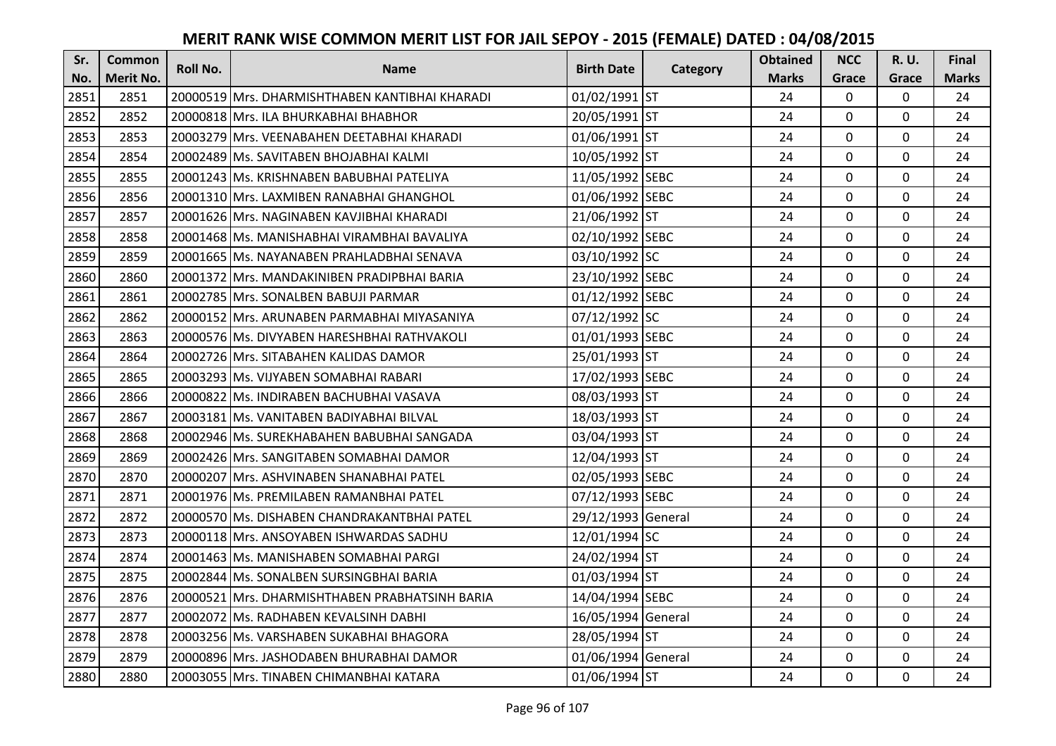| Sr.  | <b>Common</b>    | <b>Roll No.</b> | <b>Name</b>                                    | <b>Birth Date</b>  |          | <b>Obtained</b> | <b>NCC</b>   | <b>R.U.</b> | Final        |
|------|------------------|-----------------|------------------------------------------------|--------------------|----------|-----------------|--------------|-------------|--------------|
| No.  | <b>Merit No.</b> |                 |                                                |                    | Category | <b>Marks</b>    | Grace        | Grace       | <b>Marks</b> |
| 2851 | 2851             |                 | 20000519 Mrs. DHARMISHTHABEN KANTIBHAI KHARADI | 01/02/1991 ST      |          | 24              | $\mathbf 0$  | 0           | 24           |
| 2852 | 2852             |                 | 20000818 Mrs. ILA BHURKABHAI BHABHOR           | 20/05/1991 ST      |          | 24              | $\mathbf 0$  | $\Omega$    | 24           |
| 2853 | 2853             |                 | 20003279 Mrs. VEENABAHEN DEETABHAI KHARADI     | 01/06/1991 ST      |          | 24              | $\mathbf 0$  | $\Omega$    | 24           |
| 2854 | 2854             |                 | 20002489 Ms. SAVITABEN BHOJABHAI KALMI         | 10/05/1992 ST      |          | 24              | $\mathbf 0$  | 0           | 24           |
| 2855 | 2855             |                 | 20001243 Ms. KRISHNABEN BABUBHAI PATELIYA      | 11/05/1992 SEBC    |          | 24              | $\mathbf{0}$ | $\mathbf 0$ | 24           |
| 2856 | 2856             |                 | 20001310 Mrs. LAXMIBEN RANABHAI GHANGHOL       | 01/06/1992 SEBC    |          | 24              | $\mathbf 0$  | $\Omega$    | 24           |
| 2857 | 2857             |                 | 20001626 Mrs. NAGINABEN KAVJIBHAI KHARADI      | 21/06/1992 ST      |          | 24              | $\mathbf{0}$ | 0           | 24           |
| 2858 | 2858             |                 | 20001468 Ms. MANISHABHAI VIRAMBHAI BAVALIYA    | 02/10/1992 SEBC    |          | 24              | $\mathbf{0}$ | $\mathbf 0$ | 24           |
| 2859 | 2859             |                 | 20001665 Ms. NAYANABEN PRAHLADBHAI SENAVA      | 03/10/1992 SC      |          | 24              | $\mathbf 0$  | 0           | 24           |
| 2860 | 2860             |                 | 20001372 Mrs. MANDAKINIBEN PRADIPBHAI BARIA    | 23/10/1992 SEBC    |          | 24              | $\mathbf{0}$ | 0           | 24           |
| 2861 | 2861             |                 | 20002785 Mrs. SONALBEN BABUJI PARMAR           | 01/12/1992 SEBC    |          | 24              | $\Omega$     | 0           | 24           |
| 2862 | 2862             |                 | 20000152 Mrs. ARUNABEN PARMABHAI MIYASANIYA    | 07/12/1992 SC      |          | 24              | $\mathbf 0$  | 0           | 24           |
| 2863 | 2863             |                 | 20000576 Ms. DIVYABEN HARESHBHAI RATHVAKOLI    | 01/01/1993 SEBC    |          | 24              | $\mathbf{0}$ | $\mathbf 0$ | 24           |
| 2864 | 2864             |                 | 20002726 Mrs. SITABAHEN KALIDAS DAMOR          | 25/01/1993 ST      |          | 24              | $\mathbf{0}$ | 0           | 24           |
| 2865 | 2865             |                 | 20003293 Ms. VIJYABEN SOMABHAI RABARI          | 17/02/1993 SEBC    |          | 24              | $\mathbf 0$  | 0           | 24           |
| 2866 | 2866             |                 | 20000822 Ms. INDIRABEN BACHUBHAI VASAVA        | 08/03/1993 ST      |          | 24              | $\mathbf{0}$ | $\Omega$    | 24           |
| 2867 | 2867             |                 | 20003181 Ms. VANITABEN BADIYABHAI BILVAL       | 18/03/1993 ST      |          | 24              | $\mathbf{0}$ | 0           | 24           |
| 2868 | 2868             |                 | 20002946 Ms. SUREKHABAHEN BABUBHAI SANGADA     | 03/04/1993 ST      |          | 24              | $\mathbf 0$  | $\Omega$    | 24           |
| 2869 | 2869             |                 | 20002426 IMrs. SANGITABEN SOMABHAI DAMOR       | 12/04/1993 ST      |          | 24              | $\mathbf 0$  | $\Omega$    | 24           |
| 2870 | 2870             |                 | 20000207 Mrs. ASHVINABEN SHANABHAI PATEL       | 02/05/1993 SEBC    |          | 24              | $\mathbf 0$  | 0           | 24           |
| 2871 | 2871             |                 | 20001976 Ms. PREMILABEN RAMANBHAI PATEL        | 07/12/1993 SEBC    |          | 24              | $\mathbf 0$  | $\Omega$    | 24           |
| 2872 | 2872             |                 | 20000570 Ms. DISHABEN CHANDRAKANTBHAI PATEL    | 29/12/1993 General |          | 24              | $\mathbf 0$  | $\Omega$    | 24           |
| 2873 | 2873             |                 | 20000118 Mrs. ANSOYABEN ISHWARDAS SADHU        | 12/01/1994 SC      |          | 24              | $\mathbf 0$  | 0           | 24           |
| 2874 | 2874             |                 | 20001463 Ms. MANISHABEN SOMABHAI PARGI         | 24/02/1994 ST      |          | 24              | $\mathbf 0$  | $\mathbf 0$ | 24           |
| 2875 | 2875             |                 | 20002844 Ms. SONALBEN SURSINGBHAI BARIA        | 01/03/1994 ST      |          | 24              | $\mathbf 0$  | 0           | 24           |
| 2876 | 2876             |                 | 20000521 Mrs. DHARMISHTHABEN PRABHATSINH BARIA | 14/04/1994 SEBC    |          | 24              | $\mathbf{0}$ | 0           | 24           |
| 2877 | 2877             |                 | 20002072 Ms. RADHABEN KEVALSINH DABHI          | 16/05/1994 General |          | 24              | $\mathbf 0$  | 0           | 24           |
| 2878 | 2878             |                 | 20003256 Ms. VARSHABEN SUKABHAI BHAGORA        | 28/05/1994 ST      |          | 24              | $\Omega$     | 0           | 24           |
| 2879 | 2879             |                 | 20000896 Mrs. JASHODABEN BHURABHAI DAMOR       | 01/06/1994 General |          | 24              | $\mathbf 0$  | 0           | 24           |
| 2880 | 2880             |                 | 20003055 Mrs. TINABEN CHIMANBHAI KATARA        | 01/06/1994 ST      |          | 24              | $\mathbf{0}$ | 0           | 24           |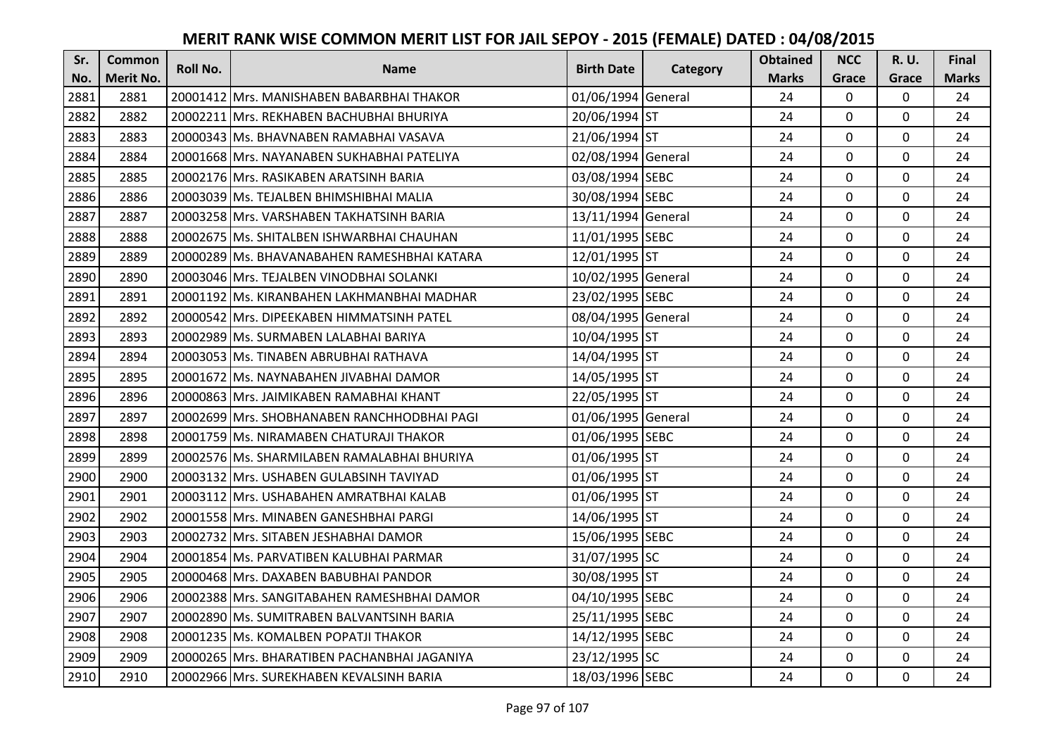| Sr.  | <b>Common</b>    | <b>Roll No.</b> | <b>Name</b>                                  | <b>Birth Date</b>  | Category | <b>Obtained</b> | <b>NCC</b>   | <b>R.U.</b> | Final        |
|------|------------------|-----------------|----------------------------------------------|--------------------|----------|-----------------|--------------|-------------|--------------|
| No.  | <b>Merit No.</b> |                 |                                              |                    |          | <b>Marks</b>    | Grace        | Grace       | <b>Marks</b> |
| 2881 | 2881             |                 | 20001412 Mrs. MANISHABEN BABARBHAI THAKOR    | 01/06/1994 General |          | 24              | $\mathbf 0$  | 0           | 24           |
| 2882 | 2882             |                 | 20002211 IMrs. REKHABEN BACHUBHAI BHURIYA    | 20/06/1994 ST      |          | 24              | $\mathbf 0$  | $\Omega$    | 24           |
| 2883 | 2883             |                 | 20000343 lMs. BHAVNABEN RAMABHAI VASAVA      | 21/06/1994 ST      |          | 24              | $\mathbf 0$  | $\Omega$    | 24           |
| 2884 | 2884             |                 | 20001668 Mrs. NAYANABEN SUKHABHAI PATELIYA   | 02/08/1994 General |          | 24              | $\mathbf 0$  | 0           | 24           |
| 2885 | 2885             |                 | 20002176 Mrs. RASIKABEN ARATSINH BARIA       | 03/08/1994 SEBC    |          | 24              | $\mathbf{0}$ | $\mathbf 0$ | 24           |
| 2886 | 2886             |                 | 20003039 Ms. TEJALBEN BHIMSHIBHAI MALIA      | 30/08/1994 SEBC    |          | 24              | $\Omega$     | $\Omega$    | 24           |
| 2887 | 2887             |                 | 20003258 Mrs. VARSHABEN TAKHATSINH BARIA     | 13/11/1994 General |          | 24              | $\mathbf 0$  | 0           | 24           |
| 2888 | 2888             |                 | 20002675 Ms. SHITALBEN ISHWARBHAI CHAUHAN    | 11/01/1995 SEBC    |          | 24              | $\mathbf 0$  | $\mathbf 0$ | 24           |
| 2889 | 2889             |                 | 20000289 Ms. BHAVANABAHEN RAMESHBHAI KATARA  | 12/01/1995 ST      |          | 24              | $\mathbf 0$  | 0           | 24           |
| 2890 | 2890             |                 | 20003046 Mrs. TEJALBEN VINODBHAI SOLANKI     | 10/02/1995 General |          | 24              | $\mathbf{0}$ | 0           | 24           |
| 2891 | 2891             |                 | 20001192 Ms. KIRANBAHEN LAKHMANBHAI MADHAR   | 23/02/1995 SEBC    |          | 24              | $\Omega$     | 0           | 24           |
| 2892 | 2892             |                 | 20000542 Mrs. DIPEEKABEN HIMMATSINH PATEL    | 08/04/1995 General |          | 24              | $\mathbf 0$  | 0           | 24           |
| 2893 | 2893             |                 | 20002989   Ms. SURMABEN LALABHAI BARIYA      | 10/04/1995 ST      |          | 24              | 0            | 0           | 24           |
| 2894 | 2894             |                 | 20003053 Ms. TINABEN ABRUBHAI RATHAVA        | 14/04/1995 ST      |          | 24              | $\mathbf 0$  | 0           | 24           |
| 2895 | 2895             |                 | 20001672 Ms. NAYNABAHEN JIVABHAI DAMOR       | 14/05/1995 ST      |          | 24              | $\mathbf 0$  | 0           | 24           |
| 2896 | 2896             |                 | 20000863 Mrs. JAIMIKABEN RAMABHAI KHANT      | 22/05/1995 ST      |          | 24              | $\mathbf{0}$ | $\Omega$    | 24           |
| 2897 | 2897             |                 | 20002699 Mrs. SHOBHANABEN RANCHHODBHAI PAGI  | 01/06/1995 General |          | 24              | $\mathbf{0}$ | 0           | 24           |
| 2898 | 2898             |                 | 20001759 Ms. NIRAMABEN CHATURAJI THAKOR      | 01/06/1995 SEBC    |          | 24              | $\mathbf 0$  | $\Omega$    | 24           |
| 2899 | 2899             |                 | 20002576 Ms. SHARMILABEN RAMALABHAI BHURIYA  | 01/06/1995 ST      |          | 24              | $\mathbf 0$  | $\Omega$    | 24           |
| 2900 | 2900             |                 | 20003132 Mrs. USHABEN GULABSINH TAVIYAD      | 01/06/1995 ST      |          | 24              | $\mathbf 0$  | 0           | 24           |
| 2901 | 2901             |                 | 20003112 Mrs. USHABAHEN AMRATBHAI KALAB      | 01/06/1995 ST      |          | 24              | $\mathbf 0$  | $\Omega$    | 24           |
| 2902 | 2902             |                 | 20001558 Mrs. MINABEN GANESHBHAI PARGI       | 14/06/1995 ST      |          | 24              | $\mathbf 0$  | $\Omega$    | 24           |
| 2903 | 2903             |                 | 20002732 Mrs. SITABEN JESHABHAI DAMOR        | 15/06/1995 SEBC    |          | 24              | $\mathbf 0$  | $\mathbf 0$ | 24           |
| 2904 | 2904             |                 | 20001854 Ms. PARVATIBEN KALUBHAI PARMAR      | 31/07/1995 SC      |          | 24              | $\mathbf 0$  | $\mathbf 0$ | 24           |
| 2905 | 2905             |                 | 20000468 Mrs. DAXABEN BABUBHAI PANDOR        | 30/08/1995 ST      |          | 24              | $\mathbf 0$  | 0           | 24           |
| 2906 | 2906             |                 | 20002388 Mrs. SANGITABAHEN RAMESHBHAI DAMOR  | 04/10/1995 SEBC    |          | 24              | $\mathbf{0}$ | 0           | 24           |
| 2907 | 2907             |                 | 20002890 Ms. SUMITRABEN BALVANTSINH BARIA    | 25/11/1995 SEBC    |          | 24              | $\mathbf 0$  | 0           | 24           |
| 2908 | 2908             |                 | 20001235 Ms. KOMALBEN POPATJI THAKOR         | 14/12/1995 SEBC    |          | 24              | $\Omega$     | 0           | 24           |
| 2909 | 2909             |                 | 20000265 Mrs. BHARATIBEN PACHANBHAI JAGANIYA | 23/12/1995 SC      |          | 24              | $\mathbf 0$  | 0           | 24           |
| 2910 | 2910             |                 | 20002966 Mrs. SUREKHABEN KEVALSINH BARIA     | 18/03/1996 SEBC    |          | 24              | $\mathbf{0}$ | 0           | 24           |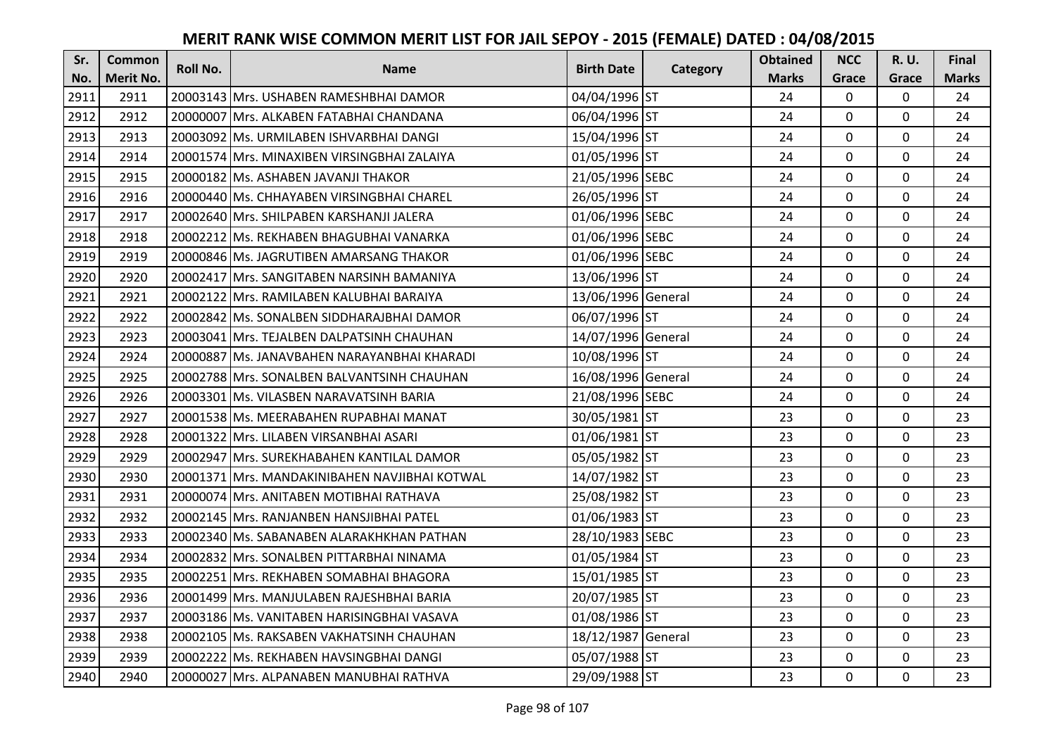| Sr.  | <b>Common</b>    | <b>Roll No.</b> | <b>Name</b>                                   | <b>Birth Date</b>  |          | <b>Obtained</b> | <b>NCC</b>   | <b>R.U.</b> | Final        |
|------|------------------|-----------------|-----------------------------------------------|--------------------|----------|-----------------|--------------|-------------|--------------|
| No.  | <b>Merit No.</b> |                 |                                               |                    | Category | <b>Marks</b>    | Grace        | Grace       | <b>Marks</b> |
| 2911 | 2911             |                 | 20003143 Mrs. USHABEN RAMESHBHAI DAMOR        | 04/04/1996 ST      |          | 24              | 0            | 0           | 24           |
| 2912 | 2912             |                 | 20000007 IMrs. ALKABEN FATABHAI CHANDANA      | 06/04/1996 ST      |          | 24              | $\mathbf 0$  | $\Omega$    | 24           |
| 2913 | 2913             |                 | 20003092 Ms. URMILABEN ISHVARBHAI DANGI       | 15/04/1996 ST      |          | 24              | $\mathbf 0$  | $\Omega$    | 24           |
| 2914 | 2914             |                 | 20001574 Mrs. MINAXIBEN VIRSINGBHAI ZALAIYA   | 01/05/1996 ST      |          | 24              | $\mathbf 0$  | 0           | 24           |
| 2915 | 2915             |                 | 20000182 Ms. ASHABEN JAVANJI THAKOR           | 21/05/1996 SEBC    |          | 24              | $\mathbf{0}$ | $\mathbf 0$ | 24           |
| 2916 | 2916             |                 | 20000440 Ms. CHHAYABEN VIRSINGBHAI CHAREL     | 26/05/1996 ST      |          | 24              | $\Omega$     | 0           | 24           |
| 2917 | 2917             |                 | 20002640 Mrs. SHILPABEN KARSHANJI JALERA      | 01/06/1996 SEBC    |          | 24              | $\mathbf 0$  | 0           | 24           |
| 2918 | 2918             |                 | 20002212 Ms. REKHABEN BHAGUBHAI VANARKA       | 01/06/1996 SEBC    |          | 24              | $\mathbf{0}$ | $\mathbf 0$ | 24           |
| 2919 | 2919             |                 | 20000846 Ms. JAGRUTIBEN AMARSANG THAKOR       | 01/06/1996 SEBC    |          | 24              | $\mathbf 0$  | 0           | 24           |
| 2920 | 2920             |                 | 20002417 Mrs. SANGITABEN NARSINH BAMANIYA     | 13/06/1996 ST      |          | 24              | $\mathbf{0}$ | 0           | 24           |
| 2921 | 2921             |                 | 20002122 Mrs. RAMILABEN KALUBHAI BARAIYA      | 13/06/1996 General |          | 24              | $\Omega$     | 0           | 24           |
| 2922 | 2922             |                 | 20002842 Ms. SONALBEN SIDDHARAJBHAI DAMOR     | 06/07/1996 ST      |          | 24              | $\mathbf 0$  | 0           | 24           |
| 2923 | 2923             |                 | 20003041 Mrs. TEJALBEN DALPATSINH CHAUHAN     | 14/07/1996 General |          | 24              | 0            | 0           | 24           |
| 2924 | 2924             |                 | 20000887 Ms. JANAVBAHEN NARAYANBHAI KHARADI   | 10/08/1996 ST      |          | 24              | $\mathbf 0$  | 0           | 24           |
| 2925 | 2925             |                 | 20002788 Mrs. SONALBEN BALVANTSINH CHAUHAN    | 16/08/1996 General |          | 24              | $\mathbf 0$  | 0           | 24           |
| 2926 | 2926             |                 | 20003301 Ms. VILASBEN NARAVATSINH BARIA       | 21/08/1996 SEBC    |          | 24              | $\mathbf{0}$ | $\Omega$    | 24           |
| 2927 | 2927             |                 | 20001538 Ms. MEERABAHEN RUPABHAI MANAT        | 30/05/1981 ST      |          | 23              | $\mathbf{0}$ | 0           | 23           |
| 2928 | 2928             |                 | 20001322 Mrs. LILABEN VIRSANBHAI ASARI        | 01/06/1981 ST      |          | 23              | $\mathbf{0}$ | $\Omega$    | 23           |
| 2929 | 2929             |                 | 20002947 Mrs. SUREKHABAHEN KANTILAL DAMOR     | 05/05/1982 ST      |          | 23              | $\mathbf 0$  | $\Omega$    | 23           |
| 2930 | 2930             |                 | 20001371 Mrs. MANDAKINIBAHEN NAVJIBHAI KOTWAL | 14/07/1982 ST      |          | 23              | $\mathbf 0$  | 0           | 23           |
| 2931 | 2931             |                 | 20000074 Mrs. ANITABEN MOTIBHAI RATHAVA       | 25/08/1982 ST      |          | 23              | $\mathbf 0$  | $\Omega$    | 23           |
| 2932 | 2932             |                 | 20002145 Mrs. RANJANBEN HANSJIBHAI PATEL      | 01/06/1983 ST      |          | 23              | $\mathbf 0$  | $\Omega$    | 23           |
| 2933 | 2933             |                 | 20002340 Ms. SABANABEN ALARAKHKHAN PATHAN     | 28/10/1983 SEBC    |          | 23              | $\mathbf 0$  | 0           | 23           |
| 2934 | 2934             |                 | 20002832 Mrs. SONALBEN PITTARBHAI NINAMA      | 01/05/1984 ST      |          | 23              | $\mathbf 0$  | $\mathbf 0$ | 23           |
| 2935 | 2935             |                 | 20002251 Mrs. REKHABEN SOMABHAI BHAGORA       | 15/01/1985 ST      |          | 23              | $\mathbf 0$  | 0           | 23           |
| 2936 | 2936             |                 | 20001499 Mrs. MANJULABEN RAJESHBHAI BARIA     | 20/07/1985 ST      |          | 23              | $\mathbf{0}$ | 0           | 23           |
| 2937 | 2937             |                 | 20003186   Ms. VANITABEN HARISINGBHAI VASAVA  | 01/08/1986 ST      |          | 23              | $\mathbf 0$  | 0           | 23           |
| 2938 | 2938             |                 | 20002105 Ms. RAKSABEN VAKHATSINH CHAUHAN      | 18/12/1987 General |          | 23              | $\Omega$     | 0           | 23           |
| 2939 | 2939             |                 | 20002222 Ms. REKHABEN HAVSINGBHAI DANGI       | 05/07/1988 ST      |          | 23              | $\mathbf 0$  | 0           | 23           |
| 2940 | 2940             |                 | 20000027 Mrs. ALPANABEN MANUBHAI RATHVA       | 29/09/1988 ST      |          | 23              | $\mathbf{0}$ | 0           | 23           |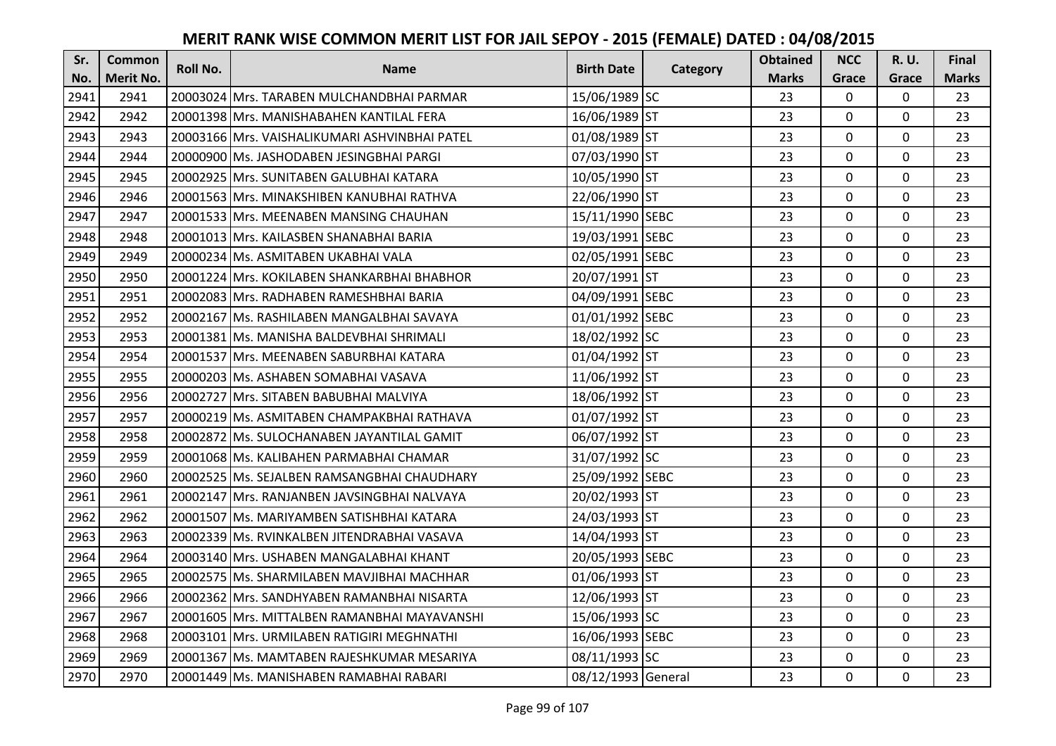| Sr.  | <b>Common</b><br><b>Roll No.</b> | <b>Name</b> | <b>Birth Date</b>                              |                    | <b>Obtained</b> | <b>NCC</b>   | <b>R.U.</b>  | Final       |              |
|------|----------------------------------|-------------|------------------------------------------------|--------------------|-----------------|--------------|--------------|-------------|--------------|
| No.  | <b>Merit No.</b>                 |             |                                                |                    | Category        | <b>Marks</b> | Grace        | Grace       | <b>Marks</b> |
| 2941 | 2941                             |             | 20003024 Mrs. TARABEN MULCHANDBHAI PARMAR      | 15/06/1989 SC      |                 | 23           | 0            | 0           | 23           |
| 2942 | 2942                             |             | 20001398 Mrs. MANISHABAHEN KANTILAL FERA       | 16/06/1989 ST      |                 | 23           | $\mathbf 0$  | $\Omega$    | 23           |
| 2943 | 2943                             |             | 20003166 lMrs. VAISHALIKUMARI ASHVINBHAI PATEL | 01/08/1989 ST      |                 | 23           | $\mathbf 0$  | $\Omega$    | 23           |
| 2944 | 2944                             |             | 20000900 Ms. JASHODABEN JESINGBHAI PARGI       | 07/03/1990 ST      |                 | 23           | $\mathbf 0$  | 0           | 23           |
| 2945 | 2945                             |             | 20002925 Mrs. SUNITABEN GALUBHAI KATARA        | 10/05/1990 ST      |                 | 23           | $\mathbf{0}$ | $\mathbf 0$ | 23           |
| 2946 | 2946                             |             | 20001563 Mrs. MINAKSHIBEN KANUBHAI RATHVA      | 22/06/1990 ST      |                 | 23           | $\mathbf 0$  | $\Omega$    | 23           |
| 2947 | 2947                             |             | 20001533 Mrs. MEENABEN MANSING CHAUHAN         | 15/11/1990 SEBC    |                 | 23           | $\mathbf 0$  | 0           | 23           |
| 2948 | 2948                             |             | 20001013   Mrs. KAILASBEN SHANABHAI BARIA      | 19/03/1991 SEBC    |                 | 23           | $\mathbf{0}$ | $\mathbf 0$ | 23           |
| 2949 | 2949                             |             | 20000234 Ms. ASMITABEN UKABHAI VALA            | 02/05/1991 SEBC    |                 | 23           | $\mathbf 0$  | 0           | 23           |
| 2950 | 2950                             |             | 20001224 Mrs. KOKILABEN SHANKARBHAI BHABHOR    | 20/07/1991 ST      |                 | 23           | $\mathbf{0}$ | 0           | 23           |
| 2951 | 2951                             |             | 20002083 Mrs. RADHABEN RAMESHBHAI BARIA        | 04/09/1991 SEBC    |                 | 23           | $\Omega$     | 0           | 23           |
| 2952 | 2952                             |             | 20002167 Ms. RASHILABEN MANGALBHAI SAVAYA      | 01/01/1992 SEBC    |                 | 23           | $\mathbf 0$  | 0           | 23           |
| 2953 | 2953                             |             | 20001381 Ms. MANISHA BALDEVBHAI SHRIMALI       | 18/02/1992 SC      |                 | 23           | $\mathbf{0}$ | 0           | 23           |
| 2954 | 2954                             |             | 20001537 Mrs. MEENABEN SABURBHAI KATARA        | 01/04/1992 ST      |                 | 23           | $\mathbf 0$  | 0           | 23           |
| 2955 | 2955                             |             | 20000203 Ms. ASHABEN SOMABHAI VASAVA           | 11/06/1992 ST      |                 | 23           | $\mathbf 0$  | 0           | 23           |
| 2956 | 2956                             |             | 20002727 Mrs. SITABEN BABUBHAI MALVIYA         | 18/06/1992 ST      |                 | 23           | $\mathbf{0}$ | $\Omega$    | 23           |
| 2957 | 2957                             |             | 20000219 Ms. ASMITABEN CHAMPAKBHAI RATHAVA     | 01/07/1992 ST      |                 | 23           | $\mathbf{0}$ | 0           | 23           |
| 2958 | 2958                             |             | 20002872 Ms. SULOCHANABEN JAYANTILAL GAMIT     | 06/07/1992 ST      |                 | 23           | $\mathbf 0$  | $\Omega$    | 23           |
| 2959 | 2959                             |             | 20001068 IMs. KALIBAHEN PARMABHAI CHAMAR       | 31/07/1992 SC      |                 | 23           | $\mathbf 0$  | $\Omega$    | 23           |
| 2960 | 2960                             |             | 20002525 Ms. SEJALBEN RAMSANGBHAI CHAUDHARY    | 25/09/1992 SEBC    |                 | 23           | $\mathbf 0$  | 0           | 23           |
| 2961 | 2961                             |             | 20002147 Mrs. RANJANBEN JAVSINGBHAI NALVAYA    | 20/02/1993 ST      |                 | 23           | $\mathbf 0$  | $\Omega$    | 23           |
| 2962 | 2962                             |             | 20001507 Ms. MARIYAMBEN SATISHBHAI KATARA      | 24/03/1993 ST      |                 | 23           | $\mathbf 0$  | $\Omega$    | 23           |
| 2963 | 2963                             |             | 20002339 Ms. RVINKALBEN JITENDRABHAI VASAVA    | 14/04/1993 ST      |                 | 23           | $\mathbf 0$  | 0           | 23           |
| 2964 | 2964                             |             | 20003140 Mrs. USHABEN MANGALABHAI KHANT        | 20/05/1993 SEBC    |                 | 23           | $\mathbf 0$  | $\mathbf 0$ | 23           |
| 2965 | 2965                             |             | 20002575 Ms. SHARMILABEN MAVJIBHAI MACHHAR     | 01/06/1993 ST      |                 | 23           | $\mathbf 0$  | 0           | 23           |
| 2966 | 2966                             |             | 20002362 Mrs. SANDHYABEN RAMANBHAI NISARTA     | 12/06/1993 ST      |                 | 23           | $\mathbf{0}$ | 0           | 23           |
| 2967 | 2967                             |             | 20001605 Mrs. MITTALBEN RAMANBHAI MAYAVANSHI   | 15/06/1993 SC      |                 | 23           | $\mathbf 0$  | 0           | 23           |
| 2968 | 2968                             |             | 20003101 Mrs. URMILABEN RATIGIRI MEGHNATHI     | 16/06/1993 SEBC    |                 | 23           | $\Omega$     | 0           | 23           |
| 2969 | 2969                             |             | 20001367 Ms. MAMTABEN RAJESHKUMAR MESARIYA     | 08/11/1993 SC      |                 | 23           | $\mathbf 0$  | 0           | 23           |
| 2970 | 2970                             |             | 20001449 Ms. MANISHABEN RAMABHAI RABARI        | 08/12/1993 General |                 | 23           | $\mathbf{0}$ | 0           | 23           |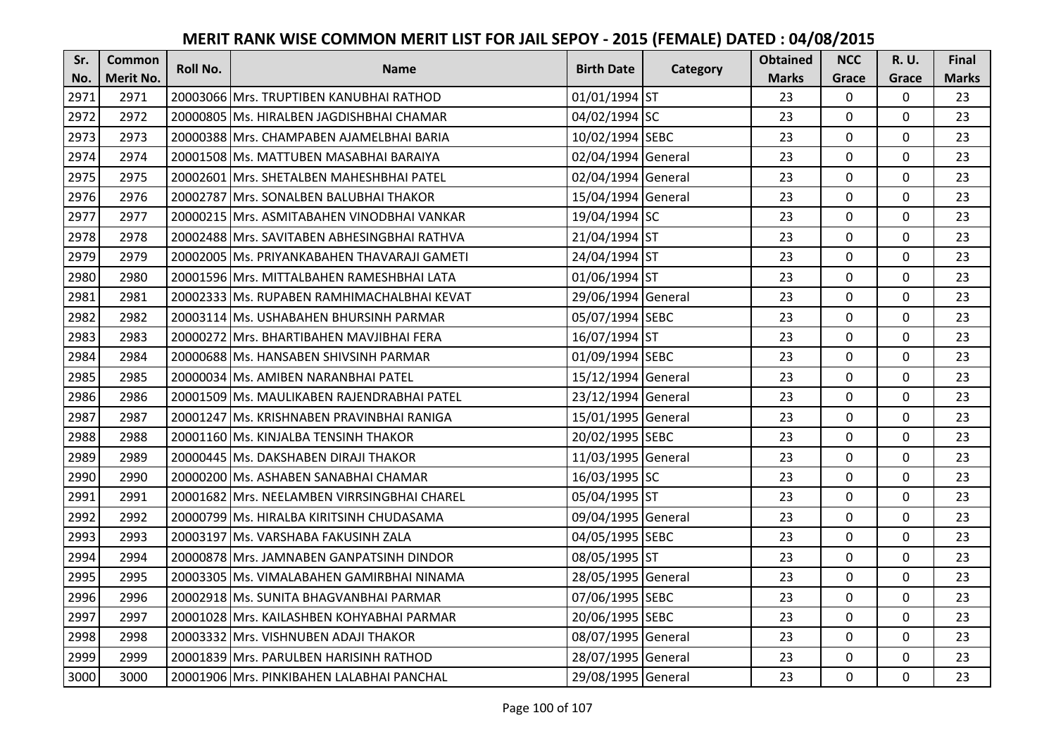| Sr.  | <b>Common</b>    | Roll No. | <b>Name</b>                                 | <b>Birth Date</b>  |          | <b>Obtained</b> | <b>NCC</b>   | <b>R.U.</b> | Final        |
|------|------------------|----------|---------------------------------------------|--------------------|----------|-----------------|--------------|-------------|--------------|
| No.  | <b>Merit No.</b> |          |                                             |                    | Category | <b>Marks</b>    | Grace        | Grace       | <b>Marks</b> |
| 2971 | 2971             |          | 20003066 Mrs. TRUPTIBEN KANUBHAI RATHOD     | 01/01/1994 ST      |          | 23              | $\mathbf 0$  | 0           | 23           |
| 2972 | 2972             |          | 20000805 Ms. HIRALBEN JAGDISHBHAI CHAMAR    | 04/02/1994 SC      |          | 23              | $\mathbf 0$  | 0           | 23           |
| 2973 | 2973             |          | 20000388   Mrs. CHAMPABEN AJAMELBHAI BARIA  | 10/02/1994 SEBC    |          | 23              | $\mathbf 0$  | 0           | 23           |
| 2974 | 2974             |          | 20001508 Ms. MATTUBEN MASABHAI BARAIYA      | 02/04/1994 General |          | 23              | $\mathbf 0$  | 0           | 23           |
| 2975 | 2975             |          | 20002601 Mrs. SHETALBEN MAHESHBHAI PATEL    | 02/04/1994 General |          | 23              | $\mathbf{0}$ | 0           | 23           |
| 2976 | 2976             |          | 20002787 Mrs. SONALBEN BALUBHAI THAKOR      | 15/04/1994 General |          | 23              | $\mathbf 0$  | $\Omega$    | 23           |
| 2977 | 2977             |          | 20000215 Mrs. ASMITABAHEN VINODBHAI VANKAR  | 19/04/1994 SC      |          | 23              | $\mathbf 0$  | 0           | 23           |
| 2978 | 2978             |          | 20002488 Mrs. SAVITABEN ABHESINGBHAI RATHVA | 21/04/1994 ST      |          | 23              | $\mathbf{0}$ | $\mathbf 0$ | 23           |
| 2979 | 2979             |          | 20002005 Ms. PRIYANKABAHEN THAVARAJI GAMETI | 24/04/1994 ST      |          | 23              | $\mathbf 0$  | 0           | 23           |
| 2980 | 2980             |          | 20001596 Mrs. MITTALBAHEN RAMESHBHAI LATA   | 01/06/1994 ST      |          | 23              | $\mathbf{0}$ | 0           | 23           |
| 2981 | 2981             |          | 20002333 Ms. RUPABEN RAMHIMACHALBHAI KEVAT  | 29/06/1994 General |          | 23              | $\mathbf 0$  | 0           | 23           |
| 2982 | 2982             |          | 20003114 Ms. USHABAHEN BHURSINH PARMAR      | 05/07/1994 SEBC    |          | 23              | $\mathbf 0$  | 0           | 23           |
| 2983 | 2983             |          | 20000272 Mrs. BHARTIBAHEN MAVJIBHAI FERA    | 16/07/1994 ST      |          | 23              | $\mathbf{0}$ | 0           | 23           |
| 2984 | 2984             |          | 20000688 Ms. HANSABEN SHIVSINH PARMAR       | 01/09/1994 SEBC    |          | 23              | $\mathbf 0$  | 0           | 23           |
| 2985 | 2985             |          | 20000034 Ms. AMIBEN NARANBHAI PATEL         | 15/12/1994 General |          | 23              | $\mathbf 0$  | 0           | 23           |
| 2986 | 2986             |          | 20001509 Ms. MAULIKABEN RAJENDRABHAI PATEL  | 23/12/1994 General |          | 23              | $\mathbf{0}$ | $\Omega$    | 23           |
| 2987 | 2987             |          | 20001247 Ms. KRISHNABEN PRAVINBHAI RANIGA   | 15/01/1995 General |          | 23              | $\mathbf{0}$ | 0           | 23           |
| 2988 | 2988             |          | 20001160 Ms. KINJALBA TENSINH THAKOR        | 20/02/1995 SEBC    |          | 23              | $\mathbf 0$  | $\Omega$    | 23           |
| 2989 | 2989             |          | 20000445 Ms. DAKSHABEN DIRAJI THAKOR        | 11/03/1995 General |          | 23              | $\mathbf 0$  | $\Omega$    | 23           |
| 2990 | 2990             |          | 20000200 Ms. ASHABEN SANABHAI CHAMAR        | 16/03/1995 SC      |          | 23              | $\mathbf 0$  | 0           | 23           |
| 2991 | 2991             |          | 20001682 Mrs. NEELAMBEN VIRRSINGBHAI CHAREL | 05/04/1995 ST      |          | 23              | $\mathbf 0$  | 0           | 23           |
| 2992 | 2992             |          | 20000799 Ms. HIRALBA KIRITSINH CHUDASAMA    | 09/04/1995 General |          | 23              | $\mathbf 0$  | $\Omega$    | 23           |
| 2993 | 2993             |          | 20003197 Ms. VARSHABA FAKUSINH ZALA         | 04/05/1995 SEBC    |          | 23              | $\mathbf{0}$ | 0           | 23           |
| 2994 | 2994             |          | 20000878 Mrs. JAMNABEN GANPATSINH DINDOR    | 08/05/1995 ST      |          | 23              | $\mathbf 0$  | $\mathbf 0$ | 23           |
| 2995 | 2995             |          | 20003305 Ms. VIMALABAHEN GAMIRBHAI NINAMA   | 28/05/1995 General |          | 23              | $\mathbf 0$  | 0           | 23           |
| 2996 | 2996             |          | 20002918 Ms. SUNITA BHAGVANBHAI PARMAR      | 07/06/1995 SEBC    |          | 23              | $\mathbf{0}$ | 0           | 23           |
| 2997 | 2997             |          | 20001028 Mrs. KAILASHBEN KOHYABHAI PARMAR   | 20/06/1995 SEBC    |          | 23              | $\mathbf 0$  | 0           | 23           |
| 2998 | 2998             |          | 20003332 Mrs. VISHNUBEN ADAJI THAKOR        | 08/07/1995 General |          | 23              | $\mathbf 0$  | 0           | 23           |
| 2999 | 2999             |          | 20001839 Mrs. PARULBEN HARISINH RATHOD      | 28/07/1995 General |          | 23              | $\mathbf 0$  | 0           | 23           |
| 3000 | 3000             |          | 20001906 Mrs. PINKIBAHEN LALABHAI PANCHAL   | 29/08/1995 General |          | 23              | $\mathbf{0}$ | 0           | 23           |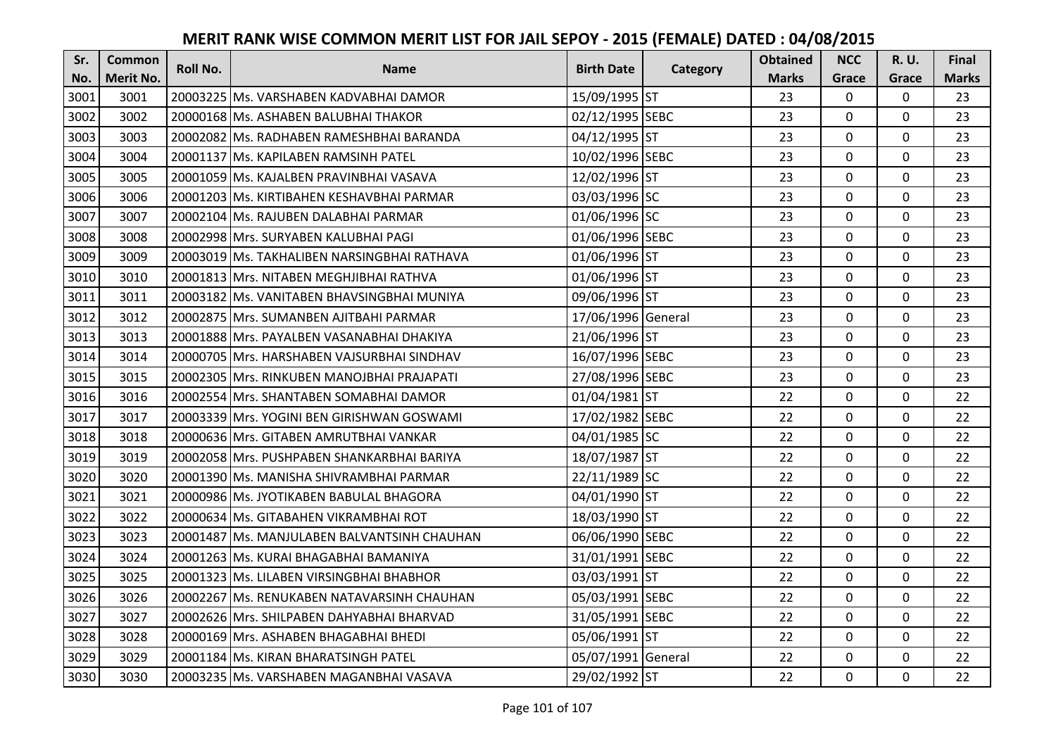| Sr.  | <b>Common</b> | <b>Roll No.</b> | <b>Name</b>                                 | <b>Birth Date</b>  |          | <b>Obtained</b> | <b>NCC</b>   | <b>R.U.</b> | Final        |
|------|---------------|-----------------|---------------------------------------------|--------------------|----------|-----------------|--------------|-------------|--------------|
| No.  | Merit No.     |                 |                                             |                    | Category | <b>Marks</b>    | Grace        | Grace       | <b>Marks</b> |
| 3001 | 3001          |                 | 20003225 Ms. VARSHABEN KADVABHAI DAMOR      | 15/09/1995 ST      |          | 23              | 0            | 0           | 23           |
| 3002 | 3002          |                 | 20000168 Ms. ASHABEN BALUBHAI THAKOR        | 02/12/1995 SEBC    |          | 23              | $\mathbf 0$  | $\Omega$    | 23           |
| 3003 | 3003          |                 | 20002082 Ms. RADHABEN RAMESHBHAI BARANDA    | 04/12/1995 ST      |          | 23              | $\mathbf 0$  | $\Omega$    | 23           |
| 3004 | 3004          |                 | 20001137 Ms. KAPILABEN RAMSINH PATEL        | 10/02/1996 SEBC    |          | 23              | $\mathbf 0$  | 0           | 23           |
| 3005 | 3005          |                 | 20001059 Ms. KAJALBEN PRAVINBHAI VASAVA     | 12/02/1996 ST      |          | 23              | $\mathbf{0}$ | $\mathbf 0$ | 23           |
| 3006 | 3006          |                 | 20001203 Ms. KIRTIBAHEN KESHAVBHAI PARMAR   | 03/03/1996 SC      |          | 23              | $\Omega$     | $\Omega$    | 23           |
| 3007 | 3007          |                 | 20002104 Ms. RAJUBEN DALABHAI PARMAR        | 01/06/1996 SC      |          | 23              | $\mathbf 0$  | 0           | 23           |
| 3008 | 3008          |                 | 20002998 Mrs. SURYABEN KALUBHAI PAGI        | 01/06/1996 SEBC    |          | 23              | $\mathbf{0}$ | $\mathbf 0$ | 23           |
| 3009 | 3009          |                 | 20003019 Ms. TAKHALIBEN NARSINGBHAI RATHAVA | 01/06/1996 ST      |          | 23              | 0            | 0           | 23           |
| 3010 | 3010          |                 | 20001813 Mrs. NITABEN MEGHJIBHAI RATHVA     | 01/06/1996 ST      |          | 23              | $\mathbf{0}$ | $\mathbf 0$ | 23           |
| 3011 | 3011          |                 | 20003182 Ms. VANITABEN BHAVSINGBHAI MUNIYA  | 09/06/1996 ST      |          | 23              | $\Omega$     | $\Omega$    | 23           |
| 3012 | 3012          |                 | 20002875 Mrs. SUMANBEN AJITBAHI PARMAR      | 17/06/1996 General |          | 23              | $\mathbf 0$  | 0           | 23           |
| 3013 | 3013          |                 | 20001888 Mrs. PAYALBEN VASANABHAI DHAKIYA   | 21/06/1996 ST      |          | 23              | $\mathbf{0}$ | $\mathbf 0$ | 23           |
| 3014 | 3014          |                 | 20000705 Mrs. HARSHABEN VAJSURBHAI SINDHAV  | 16/07/1996 SEBC    |          | 23              | $\mathbf 0$  | 0           | 23           |
| 3015 | 3015          |                 | 20002305 Mrs. RINKUBEN MANOJBHAI PRAJAPATI  | 27/08/1996 SEBC    |          | 23              | $\mathbf 0$  | 0           | 23           |
| 3016 | 3016          |                 | 20002554 Mrs. SHANTABEN SOMABHAI DAMOR      | 01/04/1981 ST      |          | 22              | $\mathbf{0}$ | $\Omega$    | 22           |
| 3017 | 3017          |                 | 20003339 Mrs. YOGINI BEN GIRISHWAN GOSWAMI  | 17/02/1982 SEBC    |          | 22              | $\mathbf{0}$ | $\Omega$    | 22           |
| 3018 | 3018          |                 | 20000636 Mrs. GITABEN AMRUTBHAI VANKAR      | 04/01/1985 SC      |          | 22              | $\mathbf 0$  | $\Omega$    | 22           |
| 3019 | 3019          |                 | 20002058 IMrs. PUSHPABEN SHANKARBHAI BARIYA | 18/07/1987 ST      |          | 22              | $\mathbf 0$  | $\Omega$    | 22           |
| 3020 | 3020          |                 | 20001390 Ms. MANISHA SHIVRAMBHAI PARMAR     | 22/11/1989 SC      |          | 22              | $\mathbf 0$  | 0           | 22           |
| 3021 | 3021          |                 | 20000986 Ms. JYOTIKABEN BABULAL BHAGORA     | 04/01/1990 ST      |          | 22              | $\mathbf 0$  | $\Omega$    | 22           |
| 3022 | 3022          |                 | 20000634 Ms. GITABAHEN VIKRAMBHAI ROT       | 18/03/1990 ST      |          | 22              | $\Omega$     | $\Omega$    | 22           |
| 3023 | 3023          |                 | 20001487 Ms. MANJULABEN BALVANTSINH CHAUHAN | 06/06/1990 SEBC    |          | 22              | $\mathbf 0$  | $\mathbf 0$ | 22           |
| 3024 | 3024          |                 | 20001263 Ms. KURAI BHAGABHAI BAMANIYA       | 31/01/1991 SEBC    |          | 22              | $\mathbf 0$  | $\mathbf 0$ | 22           |
| 3025 | 3025          |                 | 20001323 Ms. LILABEN VIRSINGBHAI BHABHOR    | 03/03/1991 ST      |          | 22              | $\mathbf 0$  | 0           | 22           |
| 3026 | 3026          |                 | 20002267 Ms. RENUKABEN NATAVARSINH CHAUHAN  | 05/03/1991 SEBC    |          | 22              | $\mathbf 0$  | $\mathbf 0$ | 22           |
| 3027 | 3027          |                 | 20002626 Mrs. SHILPABEN DAHYABHAI BHARVAD   | 31/05/1991 SEBC    |          | 22              | $\mathbf 0$  | 0           | 22           |
| 3028 | 3028          |                 | 20000169 Mrs. ASHABEN BHAGABHAI BHEDI       | 05/06/1991 ST      |          | 22              | $\Omega$     | 0           | 22           |
| 3029 | 3029          |                 | 20001184 Ms. KIRAN BHARATSINGH PATEL        | 05/07/1991 General |          | 22              | $\mathbf 0$  | 0           | 22           |
| 3030 | 3030          |                 | 20003235 Ms. VARSHABEN MAGANBHAI VASAVA     | 29/02/1992 ST      |          | 22              | $\mathbf{0}$ | 0           | 22           |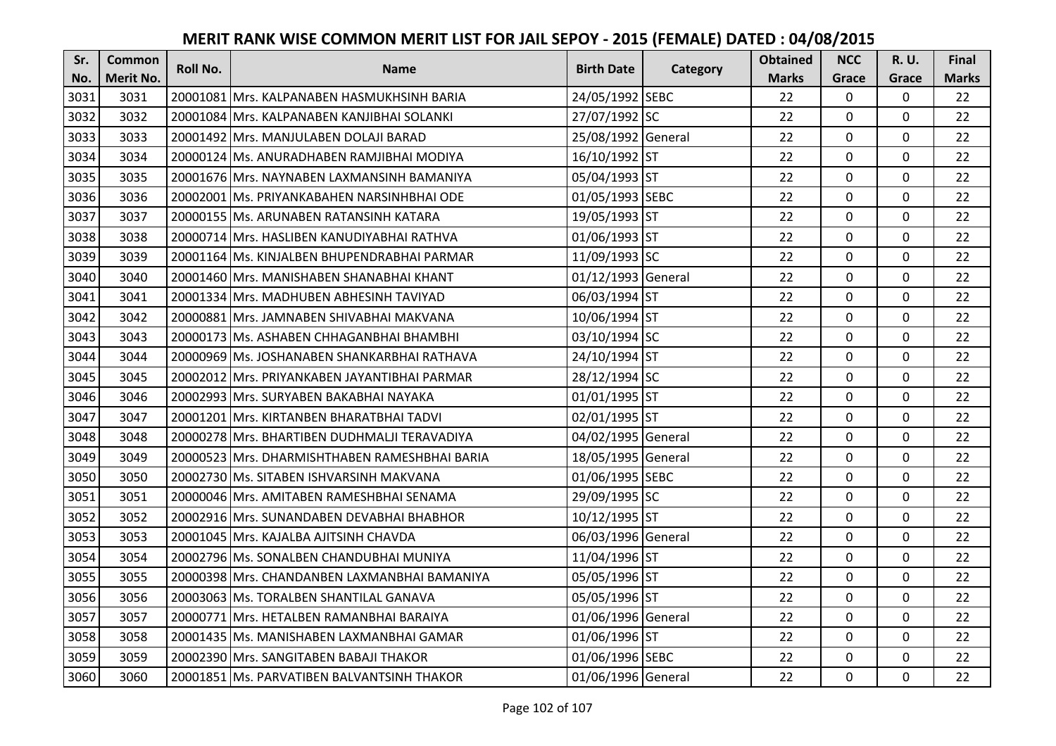| Sr.  | <b>Common</b>    | <b>Roll No.</b> | <b>Name</b>                                    | <b>Birth Date</b>  | Category | <b>Obtained</b> | <b>NCC</b>   | <b>R.U.</b> | Final        |
|------|------------------|-----------------|------------------------------------------------|--------------------|----------|-----------------|--------------|-------------|--------------|
| No.  | <b>Merit No.</b> |                 |                                                |                    |          | <b>Marks</b>    | Grace        | Grace       | <b>Marks</b> |
| 3031 | 3031             |                 | 20001081 Mrs. KALPANABEN HASMUKHSINH BARIA     | 24/05/1992 SEBC    |          | 22              | $\mathbf 0$  | 0           | 22           |
| 3032 | 3032             |                 | 20001084 IMrs. KALPANABEN KANJIBHAI SOLANKI    | 27/07/1992 SC      |          | 22              | $\mathbf 0$  | $\Omega$    | 22           |
| 3033 | 3033             |                 | 20001492  Mrs. MANJULABEN DOLAJI BARAD         | 25/08/1992 General |          | 22              | $\mathbf 0$  | $\Omega$    | 22           |
| 3034 | 3034             |                 | 20000124 Ms. ANURADHABEN RAMJIBHAI MODIYA      | 16/10/1992 ST      |          | 22              | $\mathbf 0$  | 0           | 22           |
| 3035 | 3035             |                 | 20001676 Mrs. NAYNABEN LAXMANSINH BAMANIYA     | 05/04/1993 ST      |          | 22              | $\mathbf{0}$ | $\mathbf 0$ | 22           |
| 3036 | 3036             |                 | 20002001 Ms. PRIYANKABAHEN NARSINHBHAI ODE     | 01/05/1993 SEBC    |          | 22              | $\mathbf 0$  | $\Omega$    | 22           |
| 3037 | 3037             |                 | 20000155 Ms. ARUNABEN RATANSINH KATARA         | 19/05/1993 ST      |          | 22              | $\mathbf 0$  | 0           | 22           |
| 3038 | 3038             |                 | 20000714 Mrs. HASLIBEN KANUDIYABHAI RATHVA     | 01/06/1993 ST      |          | 22              | $\mathbf{0}$ | $\mathbf 0$ | 22           |
| 3039 | 3039             |                 | 20001164 Ms. KINJALBEN BHUPENDRABHAI PARMAR    | 11/09/1993 SC      |          | 22              | $\mathbf 0$  | 0           | 22           |
| 3040 | 3040             |                 | 20001460 Mrs. MANISHABEN SHANABHAI KHANT       | 01/12/1993 General |          | 22              | $\mathbf{0}$ | 0           | 22           |
| 3041 | 3041             |                 | 20001334 Mrs. MADHUBEN ABHESINH TAVIYAD        | 06/03/1994 ST      |          | 22              | $\Omega$     | 0           | 22           |
| 3042 | 3042             |                 | 20000881 Mrs. JAMNABEN SHIVABHAI MAKVANA       | 10/06/1994 ST      |          | 22              | $\mathbf 0$  | 0           | 22           |
| 3043 | 3043             |                 | 20000173 Ms. ASHABEN CHHAGANBHAI BHAMBHI       | 03/10/1994 SC      |          | 22              | 0            | $\mathbf 0$ | 22           |
| 3044 | 3044             |                 | 20000969 Ms. JOSHANABEN SHANKARBHAI RATHAVA    | 24/10/1994 ST      |          | 22              | $\mathbf 0$  | 0           | 22           |
| 3045 | 3045             |                 | 20002012 Mrs. PRIYANKABEN JAYANTIBHAI PARMAR   | 28/12/1994 SC      |          | 22              | $\mathbf 0$  | 0           | 22           |
| 3046 | 3046             |                 | 20002993 Mrs. SURYABEN BAKABHAI NAYAKA         | 01/01/1995 ST      |          | 22              | $\mathbf{0}$ | $\Omega$    | 22           |
| 3047 | 3047             |                 | 20001201 Mrs. KIRTANBEN BHARATBHAI TADVI       | 02/01/1995 ST      |          | 22              | $\mathbf{0}$ | 0           | 22           |
| 3048 | 3048             |                 | 20000278 Mrs. BHARTIBEN DUDHMALJI TERAVADIYA   | 04/02/1995 General |          | 22              | $\mathbf 0$  | $\Omega$    | 22           |
| 3049 | 3049             |                 | 20000523 IMrs. DHARMISHTHABEN RAMESHBHAI BARIA | 18/05/1995 General |          | 22              | $\mathbf 0$  | $\Omega$    | 22           |
| 3050 | 3050             |                 | 20002730 Ms. SITABEN ISHVARSINH MAKVANA        | 01/06/1995 SEBC    |          | 22              | $\mathbf{0}$ | 0           | 22           |
| 3051 | 3051             |                 | 20000046 Mrs. AMITABEN RAMESHBHAI SENAMA       | 29/09/1995 SC      |          | 22              | $\mathbf 0$  | $\Omega$    | 22           |
| 3052 | 3052             |                 | 20002916 Mrs. SUNANDABEN DEVABHAI BHABHOR      | 10/12/1995 ST      |          | 22              | $\mathbf 0$  | $\Omega$    | 22           |
| 3053 | 3053             |                 | 20001045 Mrs. KAJALBA AJITSINH CHAVDA          | 06/03/1996 General |          | 22              | $\mathbf 0$  | $\mathbf 0$ | 22           |
| 3054 | 3054             |                 | 20002796 Ms. SONALBEN CHANDUBHAI MUNIYA        | 11/04/1996 ST      |          | 22              | $\mathbf 0$  | $\mathbf 0$ | 22           |
| 3055 | 3055             |                 | 20000398 Mrs. CHANDANBEN LAXMANBHAI BAMANIYA   | 05/05/1996 ST      |          | 22              | $\mathbf 0$  | 0           | 22           |
| 3056 | 3056             |                 | 20003063 Ms. TORALBEN SHANTILAL GANAVA         | 05/05/1996 ST      |          | 22              | $\mathbf{0}$ | 0           | 22           |
| 3057 | 3057             |                 | 20000771 Mrs. HETALBEN RAMANBHAI BARAIYA       | 01/06/1996 General |          | 22              | $\mathbf 0$  | 0           | 22           |
| 3058 | 3058             |                 | 20001435 Ms. MANISHABEN LAXMANBHAI GAMAR       | 01/06/1996 ST      |          | 22              | $\Omega$     | 0           | 22           |
| 3059 | 3059             |                 | 20002390 Mrs. SANGITABEN BABAJI THAKOR         | 01/06/1996 SEBC    |          | 22              | $\mathbf 0$  | 0           | 22           |
| 3060 | 3060             |                 | 20001851 Ms. PARVATIBEN BALVANTSINH THAKOR     | 01/06/1996 General |          | 22              | $\mathbf{0}$ | 0           | 22           |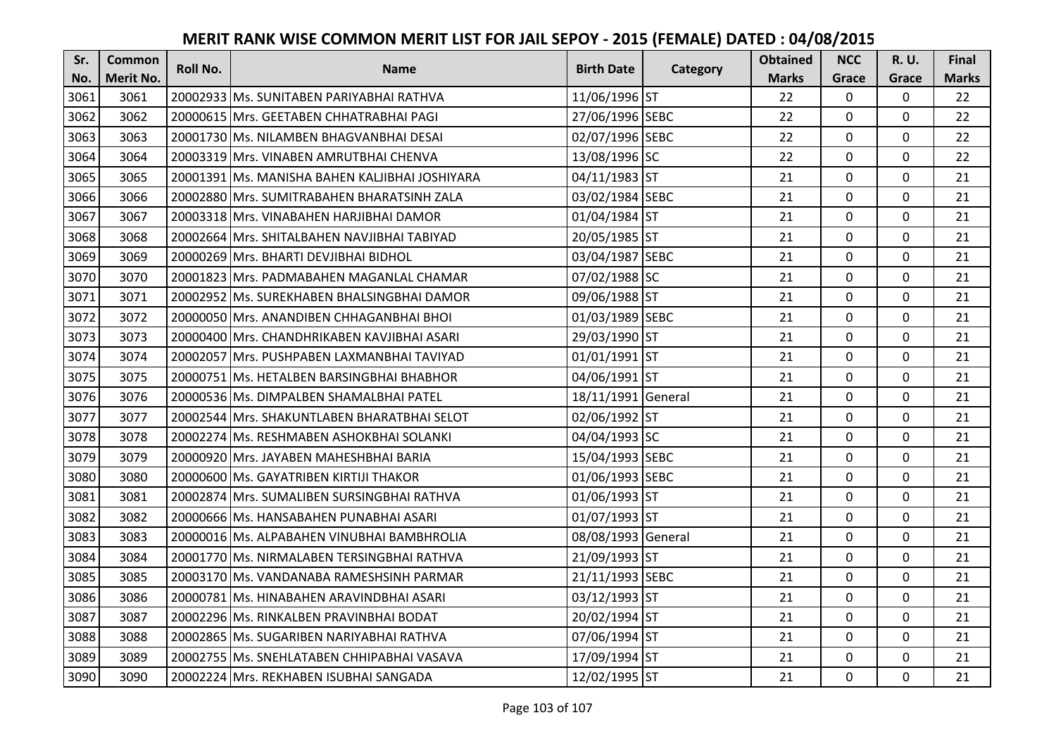| Sr.  | <b>Common</b><br>Roll No. | <b>Name</b> | <b>Birth Date</b>                              | Category           | <b>Obtained</b> | <b>NCC</b>   | <b>R.U.</b>  | Final       |              |
|------|---------------------------|-------------|------------------------------------------------|--------------------|-----------------|--------------|--------------|-------------|--------------|
| No.  | <b>Merit No.</b>          |             |                                                |                    |                 | <b>Marks</b> | Grace        | Grace       | <b>Marks</b> |
| 3061 | 3061                      |             | 20002933 Ms. SUNITABEN PARIYABHAI RATHVA       | 11/06/1996 ST      |                 | 22           | $\mathbf 0$  | 0           | 22           |
| 3062 | 3062                      |             | 20000615 Mrs. GEETABEN CHHATRABHAI PAGI        | 27/06/1996 SEBC    |                 | 22           | $\mathbf 0$  | $\Omega$    | 22           |
| 3063 | 3063                      |             | 20001730 Ms. NILAMBEN BHAGVANBHAI DESAI        | 02/07/1996 SEBC    |                 | 22           | $\mathbf 0$  | $\Omega$    | 22           |
| 3064 | 3064                      |             | 20003319 Mrs. VINABEN AMRUTBHAI CHENVA         | 13/08/1996 SC      |                 | 22           | $\mathbf 0$  | 0           | 22           |
| 3065 | 3065                      |             | 20001391 Ms. MANISHA BAHEN KALJIBHAI JOSHIYARA | 04/11/1983 ST      |                 | 21           | $\mathbf{0}$ | $\mathbf 0$ | 21           |
| 3066 | 3066                      |             | 20002880 Mrs. SUMITRABAHEN BHARATSINH ZALA     | 03/02/1984 SEBC    |                 | 21           | $\mathbf{0}$ | $\Omega$    | 21           |
| 3067 | 3067                      |             | 20003318 Mrs. VINABAHEN HARJIBHAI DAMOR        | 01/04/1984 ST      |                 | 21           | $\mathbf 0$  | 0           | 21           |
| 3068 | 3068                      |             | 20002664 Mrs. SHITALBAHEN NAVJIBHAI TABIYAD    | 20/05/1985 ST      |                 | 21           | $\mathbf{0}$ | $\mathbf 0$ | 21           |
| 3069 | 3069                      |             | 20000269 Mrs. BHARTI DEVJIBHAI BIDHOL          | 03/04/1987 SEBC    |                 | 21           | $\mathbf 0$  | 0           | 21           |
| 3070 | 3070                      |             | 20001823 Mrs. PADMABAHEN MAGANLAL CHAMAR       | 07/02/1988 SC      |                 | 21           | $\mathbf{0}$ | 0           | 21           |
| 3071 | 3071                      |             | 20002952 Ms. SUREKHABEN BHALSINGBHAI DAMOR     | 09/06/1988 ST      |                 | 21           | $\Omega$     | 0           | 21           |
| 3072 | 3072                      |             | 20000050 Mrs. ANANDIBEN CHHAGANBHAI BHOI       | 01/03/1989 SEBC    |                 | 21           | $\mathbf 0$  | 0           | 21           |
| 3073 | 3073                      |             | 20000400 Mrs. CHANDHRIKABEN KAVJIBHAI ASARI    | 29/03/1990 ST      |                 | 21           | 0            | 0           | 21           |
| 3074 | 3074                      |             | 20002057 Mrs. PUSHPABEN LAXMANBHAI TAVIYAD     | 01/01/1991 ST      |                 | 21           | $\mathbf 0$  | 0           | 21           |
| 3075 | 3075                      |             | 20000751 Ms. HETALBEN BARSINGBHAI BHABHOR      | 04/06/1991 ST      |                 | 21           | $\mathbf 0$  | 0           | 21           |
| 3076 | 3076                      |             | 20000536 Ms. DIMPALBEN SHAMALBHAI PATEL        | 18/11/1991 General |                 | 21           | $\mathbf{0}$ | $\Omega$    | 21           |
| 3077 | 3077                      |             | 20002544 Mrs. SHAKUNTLABEN BHARATBHAI SELOT    | 02/06/1992 ST      |                 | 21           | $\mathbf{0}$ | 0           | 21           |
| 3078 | 3078                      |             | 20002274 Ms. RESHMABEN ASHOKBHAI SOLANKI       | 04/04/1993 SC      |                 | 21           | $\mathbf 0$  | $\Omega$    | 21           |
| 3079 | 3079                      |             | 20000920 Mrs. JAYABEN MAHESHBHAI BARIA         | 15/04/1993 SEBC    |                 | 21           | $\mathbf 0$  | $\Omega$    | 21           |
| 3080 | 3080                      |             | 20000600 Ms. GAYATRIBEN KIRTIJI THAKOR         | 01/06/1993 SEBC    |                 | 21           | $\mathbf 0$  | 0           | 21           |
| 3081 | 3081                      |             | 20002874 Mrs. SUMALIBEN SURSINGBHAI RATHVA     | 01/06/1993 ST      |                 | 21           | $\mathbf 0$  | $\Omega$    | 21           |
| 3082 | 3082                      |             | 20000666 Ms. HANSABAHEN PUNABHAI ASARI         | 01/07/1993 ST      |                 | 21           | $\mathbf 0$  | $\Omega$    | 21           |
| 3083 | 3083                      |             | 20000016 Ms. ALPABAHEN VINUBHAI BAMBHROLIA     | 08/08/1993 General |                 | 21           | $\mathbf 0$  | 0           | 21           |
| 3084 | 3084                      |             | 20001770 Ms. NIRMALABEN TERSINGBHAI RATHVA     | 21/09/1993 ST      |                 | 21           | $\mathbf 0$  | $\mathbf 0$ | 21           |
| 3085 | 3085                      |             | 20003170 Ms. VANDANABA RAMESHSINH PARMAR       | 21/11/1993 SEBC    |                 | 21           | $\mathbf 0$  | 0           | 21           |
| 3086 | 3086                      |             | 20000781 Ms. HINABAHEN ARAVINDBHAI ASARI       | 03/12/1993 ST      |                 | 21           | $\mathbf{0}$ | 0           | 21           |
| 3087 | 3087                      |             | 20002296 Ms. RINKALBEN PRAVINBHAI BODAT        | 20/02/1994 ST      |                 | 21           | $\mathbf 0$  | 0           | 21           |
| 3088 | 3088                      |             | 20002865 Ms. SUGARIBEN NARIYABHAI RATHVA       | 07/06/1994 ST      |                 | 21           | $\Omega$     | 0           | 21           |
| 3089 | 3089                      |             | 20002755 Ms. SNEHLATABEN CHHIPABHAI VASAVA     | 17/09/1994 ST      |                 | 21           | 0            | 0           | 21           |
| 3090 | 3090                      |             | 20002224 Mrs. REKHABEN ISUBHAI SANGADA         | 12/02/1995 ST      |                 | 21           | $\mathbf{0}$ | 0           | 21           |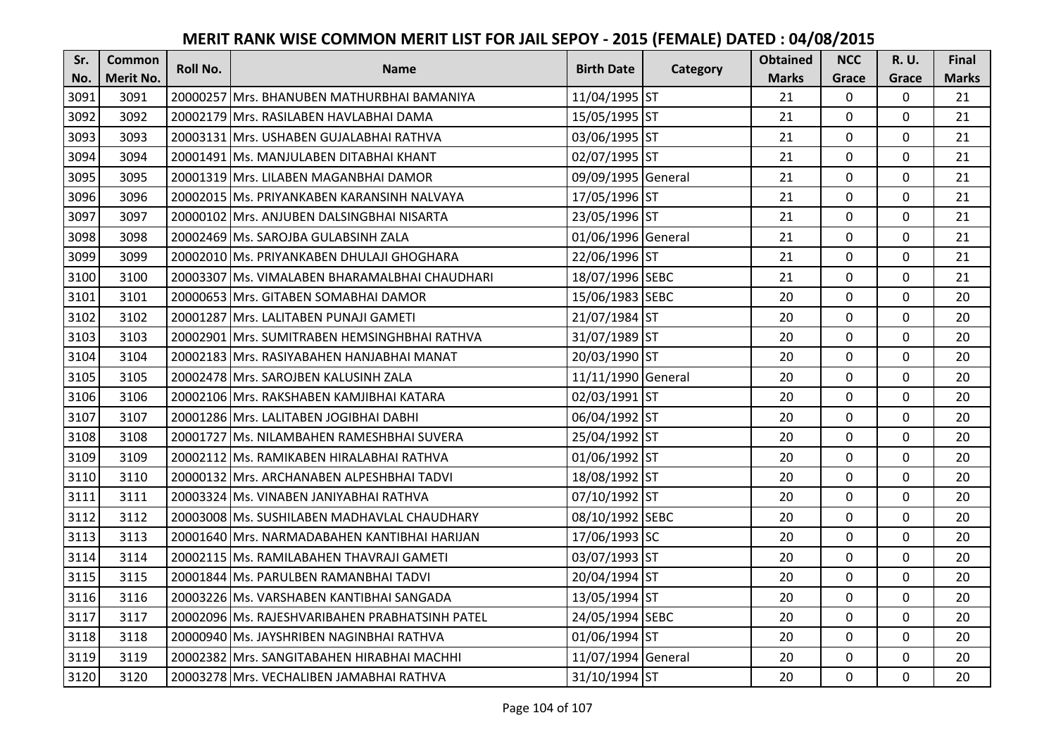| Sr.  | <b>Common</b>    | <b>Roll No.</b> | <b>Name</b>                                    | <b>Birth Date</b>  | Category | <b>Obtained</b> | <b>NCC</b>   | <b>R.U.</b> | Final        |
|------|------------------|-----------------|------------------------------------------------|--------------------|----------|-----------------|--------------|-------------|--------------|
| No.  | <b>Merit No.</b> |                 |                                                |                    |          | <b>Marks</b>    | Grace        | Grace       | <b>Marks</b> |
| 3091 | 3091             |                 | 20000257 Mrs. BHANUBEN MATHURBHAI BAMANIYA     | 11/04/1995 ST      |          | 21              | $\mathbf 0$  | 0           | 21           |
| 3092 | 3092             |                 | 20002179 Mrs. RASILABEN HAVLABHAI DAMA         | 15/05/1995 ST      |          | 21              | $\mathbf 0$  | $\Omega$    | 21           |
| 3093 | 3093             |                 | 20003131 Mrs. USHABEN GUJALABHAI RATHVA        | 03/06/1995 ST      |          | 21              | $\mathbf 0$  | $\Omega$    | 21           |
| 3094 | 3094             |                 | 20001491 Ms. MANJULABEN DITABHAI KHANT         | 02/07/1995 ST      |          | 21              | $\mathbf 0$  | 0           | 21           |
| 3095 | 3095             |                 | 20001319 Mrs. LILABEN MAGANBHAI DAMOR          | 09/09/1995 General |          | 21              | $\mathbf{0}$ | $\mathbf 0$ | 21           |
| 3096 | 3096             |                 | 20002015 Ms. PRIYANKABEN KARANSINH NALVAYA     | 17/05/1996 ST      |          | 21              | $\mathbf 0$  | $\Omega$    | 21           |
| 3097 | 3097             |                 | 20000102 Mrs. ANJUBEN DALSINGBHAI NISARTA      | 23/05/1996 ST      |          | 21              | $\mathbf 0$  | 0           | 21           |
| 3098 | 3098             |                 | 20002469 Ms. SAROJBA GULABSINH ZALA            | 01/06/1996 General |          | 21              | $\mathbf{0}$ | $\mathbf 0$ | 21           |
| 3099 | 3099             |                 | 20002010 Ms. PRIYANKABEN DHULAJI GHOGHARA      | 22/06/1996 ST      |          | 21              | $\mathbf 0$  | 0           | 21           |
| 3100 | 3100             |                 | 20003307 Ms. VIMALABEN BHARAMALBHAI CHAUDHARI  | 18/07/1996 SEBC    |          | 21              | $\mathbf{0}$ | 0           | 21           |
| 3101 | 3101             |                 | 20000653 Mrs. GITABEN SOMABHAI DAMOR           | 15/06/1983 SEBC    |          | 20              | $\Omega$     | 0           | 20           |
| 3102 | 3102             |                 | 20001287 Mrs. LALITABEN PUNAJI GAMETI          | 21/07/1984 ST      |          | 20              | $\mathbf 0$  | 0           | 20           |
| 3103 | 3103             |                 | 20002901 Mrs. SUMITRABEN HEMSINGHBHAI RATHVA   | 31/07/1989 ST      |          | 20              | $\mathbf{0}$ | $\mathbf 0$ | 20           |
| 3104 | 3104             |                 | 20002183 Mrs. RASIYABAHEN HANJABHAI MANAT      | 20/03/1990 ST      |          | 20              | $\mathbf 0$  | 0           | 20           |
| 3105 | 3105             |                 | 20002478 Mrs. SAROJBEN KALUSINH ZALA           | 11/11/1990 General |          | 20              | $\mathbf 0$  | 0           | 20           |
| 3106 | 3106             |                 | 20002106 Mrs. RAKSHABEN KAMJIBHAI KATARA       | 02/03/1991 ST      |          | 20              | $\mathbf{0}$ | $\Omega$    | 20           |
| 3107 | 3107             |                 | 20001286 Mrs. LALITABEN JOGIBHAI DABHI         | 06/04/1992 ST      |          | 20              | $\mathbf{0}$ | 0           | 20           |
| 3108 | 3108             |                 | 20001727 Ms. NILAMBAHEN RAMESHBHAI SUVERA      | 25/04/1992 ST      |          | 20              | $\mathbf 0$  | $\Omega$    | 20           |
| 3109 | 3109             |                 | 20002112 Ms. RAMIKABEN HIRALABHAI RATHVA       | 01/06/1992 ST      |          | 20              | $\mathbf 0$  | $\Omega$    | 20           |
| 3110 | 3110             |                 | 20000132 Mrs. ARCHANABEN ALPESHBHAI TADVI      | 18/08/1992 ST      |          | 20              | $\mathbf 0$  | 0           | 20           |
| 3111 | 3111             |                 | 20003324 Ms. VINABEN JANIYABHAI RATHVA         | 07/10/1992 ST      |          | 20              | $\mathbf 0$  | $\Omega$    | 20           |
| 3112 | 3112             |                 | 20003008 Ms. SUSHILABEN MADHAVLAL CHAUDHARY    | 08/10/1992 SEBC    |          | 20              | $\mathbf 0$  | $\Omega$    | 20           |
| 3113 | 3113             |                 | 20001640 Mrs. NARMADABAHEN KANTIBHAI HARIJAN   | 17/06/1993 SC      |          | 20              | $\mathbf{0}$ | $\mathbf 0$ | 20           |
| 3114 | 3114             |                 | 20002115 Ms. RAMILABAHEN THAVRAJI GAMETI       | 03/07/1993 ST      |          | 20              | $\mathbf{0}$ | $\mathbf 0$ | 20           |
| 3115 | 3115             |                 | 20001844 Ms. PARULBEN RAMANBHAI TADVI          | 20/04/1994 ST      |          | 20              | $\mathbf 0$  | 0           | 20           |
| 3116 | 3116             |                 | 20003226 Ms. VARSHABEN KANTIBHAI SANGADA       | 13/05/1994 ST      |          | 20              | $\mathbf{0}$ | 0           | 20           |
| 3117 | 3117             |                 | 20002096 Ms. RAJESHVARIBAHEN PRABHATSINH PATEL | 24/05/1994 SEBC    |          | 20              | $\mathbf 0$  | 0           | 20           |
| 3118 | 3118             |                 | 20000940 Ms. JAYSHRIBEN NAGINBHAI RATHVA       | 01/06/1994 ST      |          | 20              | $\Omega$     | 0           | 20           |
| 3119 | 3119             |                 | 20002382 Mrs. SANGITABAHEN HIRABHAI MACHHI     | 11/07/1994 General |          | 20              | $\mathbf 0$  | 0           | 20           |
| 3120 | 3120             |                 | 20003278 Mrs. VECHALIBEN JAMABHAI RATHVA       | 31/10/1994 ST      |          | 20              | $\mathbf{0}$ | 0           | 20           |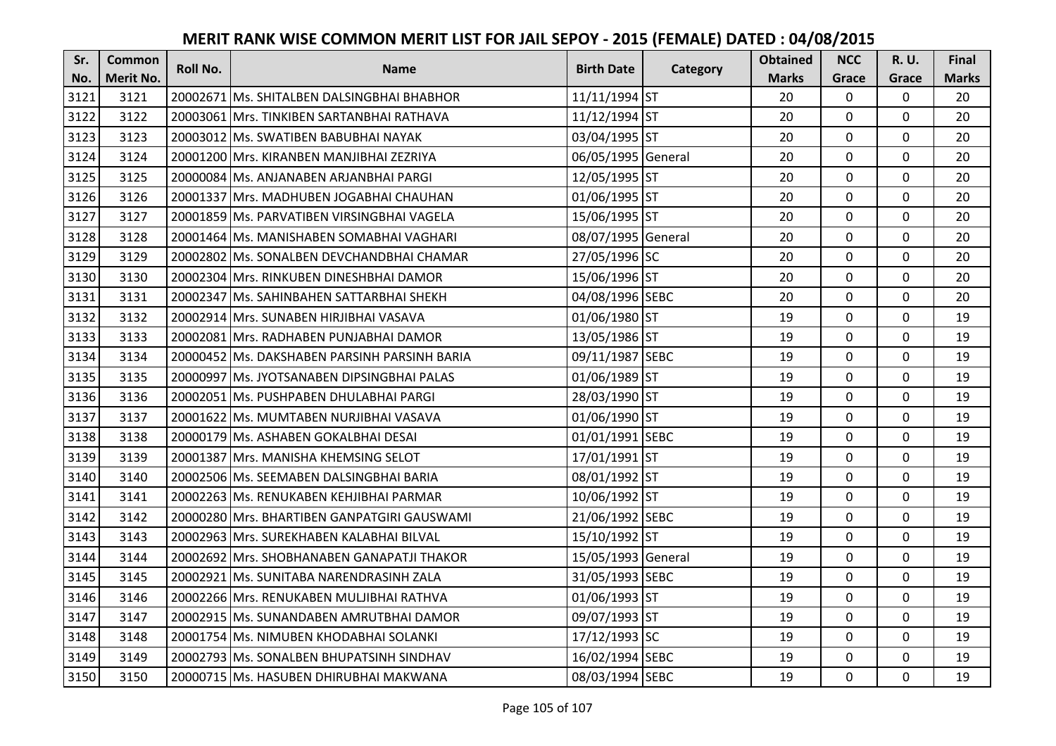| Sr.  | <b>Common</b>    | Roll No. | <b>Name</b>                                  | <b>Birth Date</b>  | Category | <b>Obtained</b> | <b>NCC</b>     | <b>R.U.</b> | Final        |
|------|------------------|----------|----------------------------------------------|--------------------|----------|-----------------|----------------|-------------|--------------|
| No.  | <b>Merit No.</b> |          |                                              |                    |          | <b>Marks</b>    | Grace          | Grace       | <b>Marks</b> |
| 3121 | 3121             |          | 20002671 Ms. SHITALBEN DALSINGBHAI BHABHOR   | 11/11/1994 ST      |          | 20              | 0              | 0           | 20           |
| 3122 | 3122             |          | 20003061 Mrs. TINKIBEN SARTANBHAI RATHAVA    | 11/12/1994 ST      |          | 20              | $\mathbf 0$    | $\Omega$    | 20           |
| 3123 | 3123             |          | 20003012 Ms. SWATIBEN BABUBHAI NAYAK         | 03/04/1995 ST      |          | 20              | 0              | 0           | 20           |
| 3124 | 3124             |          | 20001200 Mrs. KIRANBEN MANJIBHAI ZEZRIYA     | 06/05/1995 General |          | 20              | $\mathbf 0$    | 0           | 20           |
| 3125 | 3125             |          | 20000084 Ms. ANJANABEN ARJANBHAI PARGI       | 12/05/1995 ST      |          | 20              | $\mathbf{0}$   | $\mathbf 0$ | 20           |
| 3126 | 3126             |          | 20001337 Mrs. MADHUBEN JOGABHAI CHAUHAN      | 01/06/1995 ST      |          | 20              | $\mathbf 0$    | $\Omega$    | 20           |
| 3127 | 3127             |          | 20001859 Ms. PARVATIBEN VIRSINGBHAI VAGELA   | 15/06/1995 ST      |          | 20              | $\mathbf{0}$   | 0           | 20           |
| 3128 | 3128             |          | 20001464   Ms. MANISHABEN SOMABHAI VAGHARI   | 08/07/1995 General |          | 20              | $\mathbf{0}$   | $\mathbf 0$ | 20           |
| 3129 | 3129             |          | 20002802 Ms. SONALBEN DEVCHANDBHAI CHAMAR    | 27/05/1996 SC      |          | 20              | $\mathbf 0$    | 0           | 20           |
| 3130 | 3130             |          | 20002304 Mrs. RINKUBEN DINESHBHAI DAMOR      | 15/06/1996 ST      |          | 20              | $\mathbf{0}$   | 0           | 20           |
| 3131 | 3131             |          | 20002347 Ms. SAHINBAHEN SATTARBHAI SHEKH     | 04/08/1996 SEBC    |          | 20              | $\Omega$       | 0           | 20           |
| 3132 | 3132             |          | 20002914 Mrs. SUNABEN HIRJIBHAI VASAVA       | 01/06/1980 ST      |          | 19              | $\mathbf 0$    | 0           | 19           |
| 3133 | 3133             |          | 20002081 Mrs. RADHABEN PUNJABHAI DAMOR       | 13/05/1986 ST      |          | 19              | 0              | 0           | 19           |
| 3134 | 3134             |          | 20000452 Ms. DAKSHABEN PARSINH PARSINH BARIA | 09/11/1987 SEBC    |          | 19              | $\mathbf 0$    | 0           | 19           |
| 3135 | 3135             |          | 20000997 Ms. JYOTSANABEN DIPSINGBHAI PALAS   | 01/06/1989 ST      |          | 19              | $\mathbf 0$    | 0           | 19           |
| 3136 | 3136             |          | 20002051 Ms. PUSHPABEN DHULABHAI PARGI       | 28/03/1990 ST      |          | 19              | $\mathbf{0}$   | $\Omega$    | 19           |
| 3137 | 3137             |          | 20001622 Ms. MUMTABEN NURJIBHAI VASAVA       | 01/06/1990 ST      |          | 19              | $\mathbf 0$    | 0           | 19           |
| 3138 | 3138             |          | 20000179 Ms. ASHABEN GOKALBHAI DESAI         | 01/01/1991 SEBC    |          | 19              | $\mathbf 0$    | 0           | 19           |
| 3139 | 3139             |          | 20001387 Mrs. MANISHA KHEMSING SELOT         | 17/01/1991 ST      |          | 19              | $\mathbf 0$    | 0           | 19           |
| 3140 | 3140             |          | 20002506 Ms. SEEMABEN DALSINGBHAI BARIA      | 08/01/1992 ST      |          | 19              | $\mathbf 0$    | 0           | 19           |
| 3141 | 3141             |          | 20002263 Ms. RENUKABEN KEHJIBHAI PARMAR      | 10/06/1992 ST      |          | 19              | $\mathbf 0$    | $\mathbf 0$ | 19           |
| 3142 | 3142             |          | 20000280 Mrs. BHARTIBEN GANPATGIRI GAUSWAMI  | 21/06/1992 SEBC    |          | 19              | $\mathbf 0$    | $\Omega$    | 19           |
| 3143 | 3143             |          | 20002963 Mrs. SUREKHABEN KALABHAI BILVAL     | 15/10/1992 ST      |          | 19              | $\overline{0}$ | 0           | 19           |
| 3144 | 3144             |          | 20002692 Mrs. SHOBHANABEN GANAPATJI THAKOR   | 15/05/1993 General |          | 19              | $\mathbf 0$    | $\mathbf 0$ | 19           |
| 3145 | 3145             |          | 20002921 Ms. SUNITABA NARENDRASINH ZALA      | 31/05/1993 SEBC    |          | 19              | $\mathbf 0$    | 0           | 19           |
| 3146 | 3146             |          | 20002266 Mrs. RENUKABEN MULJIBHAI RATHVA     | 01/06/1993 ST      |          | 19              | $\overline{0}$ | 0           | 19           |
| 3147 | 3147             |          | 20002915 Ms. SUNANDABEN AMRUTBHAI DAMOR      | 09/07/1993 ST      |          | 19              | $\mathbf 0$    | 0           | 19           |
| 3148 | 3148             |          | 20001754 Ms. NIMUBEN KHODABHAI SOLANKI       | 17/12/1993 SC      |          | 19              | $\Omega$       | 0           | 19           |
| 3149 | 3149             |          | 20002793 Ms. SONALBEN BHUPATSINH SINDHAV     | 16/02/1994 SEBC    |          | 19              | 0              | 0           | 19           |
| 3150 | 3150             |          | 20000715 Ms. HASUBEN DHIRUBHAI MAKWANA       | 08/03/1994 SEBC    |          | 19              | $\mathbf{0}$   | 0           | 19           |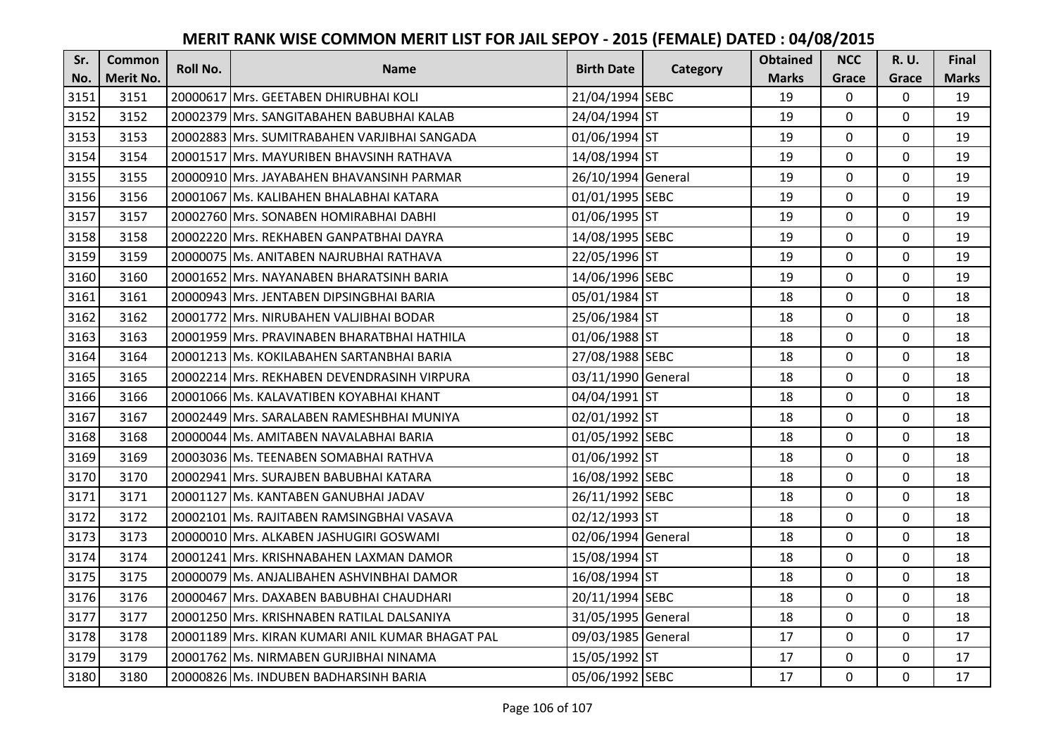| Sr.  | <b>Common</b><br>Roll No. | <b>Name</b> | <b>Birth Date</b>                                | Category           | <b>Obtained</b> | <b>NCC</b>   | R.U.           | Final       |              |
|------|---------------------------|-------------|--------------------------------------------------|--------------------|-----------------|--------------|----------------|-------------|--------------|
| No.  | <b>Merit No.</b>          |             |                                                  |                    |                 | <b>Marks</b> | Grace          | Grace       | <b>Marks</b> |
| 3151 | 3151                      |             | 20000617 Mrs. GEETABEN DHIRUBHAI KOLI            | 21/04/1994 SEBC    |                 | 19           | 0              | 0           | 19           |
| 3152 | 3152                      |             | 20002379 Mrs. SANGITABAHEN BABUBHAI KALAB        | 24/04/1994 ST      |                 | 19           | $\mathbf 0$    | $\Omega$    | 19           |
| 3153 | 3153                      |             | 20002883  Mrs. SUMITRABAHEN VARJIBHAI SANGADA    | 01/06/1994 ST      |                 | 19           | 0              | 0           | 19           |
| 3154 | 3154                      |             | 20001517 Mrs. MAYURIBEN BHAVSINH RATHAVA         | 14/08/1994 ST      |                 | 19           | $\mathbf 0$    | 0           | 19           |
| 3155 | 3155                      |             | 20000910 Mrs. JAYABAHEN BHAVANSINH PARMAR        | 26/10/1994 General |                 | 19           | $\mathbf{0}$   | $\mathbf 0$ | 19           |
| 3156 | 3156                      |             | 20001067 Ms. KALIBAHEN BHALABHAI KATARA          | 01/01/1995 SEBC    |                 | 19           | $\mathbf 0$    | $\Omega$    | 19           |
| 3157 | 3157                      |             | 20002760 Mrs. SONABEN HOMIRABHAI DABHI           | 01/06/1995 ST      |                 | 19           | $\mathbf{0}$   | 0           | 19           |
| 3158 | 3158                      |             | 20002220 Mrs. REKHABEN GANPATBHAI DAYRA          | 14/08/1995 SEBC    |                 | 19           | $\mathbf{0}$   | $\mathbf 0$ | 19           |
| 3159 | 3159                      |             | 20000075 Ms. ANITABEN NAJRUBHAI RATHAVA          | 22/05/1996 ST      |                 | 19           | $\mathbf 0$    | 0           | 19           |
| 3160 | 3160                      |             | 20001652 Mrs. NAYANABEN BHARATSINH BARIA         | 14/06/1996 SEBC    |                 | 19           | $\mathbf{0}$   | 0           | 19           |
| 3161 | 3161                      |             | 20000943 Mrs. JENTABEN DIPSINGBHAI BARIA         | 05/01/1984 ST      |                 | 18           | $\mathbf 0$    | 0           | 18           |
| 3162 | 3162                      |             | 20001772 Mrs. NIRUBAHEN VALJIBHAI BODAR          | 25/06/1984 ST      |                 | 18           | $\mathbf 0$    | 0           | 18           |
| 3163 | 3163                      |             | 20001959 Mrs. PRAVINABEN BHARATBHAI HATHILA      | 01/06/1988 ST      |                 | 18           | 0              | 0           | 18           |
| 3164 | 3164                      |             | 20001213 Ms. KOKILABAHEN SARTANBHAI BARIA        | 27/08/1988 SEBC    |                 | 18           | $\mathbf 0$    | 0           | 18           |
| 3165 | 3165                      |             | 20002214 Mrs. REKHABEN DEVENDRASINH VIRPURA      | 03/11/1990 General |                 | 18           | $\mathbf 0$    | 0           | 18           |
| 3166 | 3166                      |             | 20001066 Ms. KALAVATIBEN KOYABHAI KHANT          | 04/04/1991 ST      |                 | 18           | $\mathbf{0}$   | $\Omega$    | 18           |
| 3167 | 3167                      |             | 20002449   Mrs. SARALABEN RAMESHBHAI MUNIYA      | 02/01/1992 ST      |                 | 18           | $\mathbf{0}$   | 0           | 18           |
| 3168 | 3168                      |             | 20000044 Ms. AMITABEN NAVALABHAI BARIA           | 01/05/1992 SEBC    |                 | 18           | $\mathbf 0$    | 0           | 18           |
| 3169 | 3169                      |             | 20003036 Ms. TEENABEN SOMABHAI RATHVA            | 01/06/1992 ST      |                 | 18           | $\mathbf 0$    | $\Omega$    | 18           |
| 3170 | 3170                      |             | 20002941 Mrs. SURAJBEN BABUBHAI KATARA           | 16/08/1992 SEBC    |                 | 18           | $\mathbf 0$    | 0           | 18           |
| 3171 | 3171                      |             | 20001127 Ms. KANTABEN GANUBHAI JADAV             | 26/11/1992 SEBC    |                 | 18           | $\mathbf 0$    | $\mathbf 0$ | 18           |
| 3172 | 3172                      |             | 20002101 Ms. RAJITABEN RAMSINGBHAI VASAVA        | 02/12/1993 ST      |                 | 18           | $\Omega$       | $\Omega$    | 18           |
| 3173 | 3173                      |             | 20000010 Mrs. ALKABEN JASHUGIRI GOSWAMI          | 02/06/1994 General |                 | 18           | $\overline{0}$ | 0           | 18           |
| 3174 | 3174                      |             | 20001241 Mrs. KRISHNABAHEN LAXMAN DAMOR          | 15/08/1994 ST      |                 | 18           | $\mathbf 0$    | $\mathbf 0$ | 18           |
| 3175 | 3175                      |             | 20000079 Ms. ANJALIBAHEN ASHVINBHAI DAMOR        | 16/08/1994 ST      |                 | 18           | $\mathbf 0$    | 0           | 18           |
| 3176 | 3176                      |             | 20000467 Mrs. DAXABEN BABUBHAI CHAUDHARI         | 20/11/1994 SEBC    |                 | 18           | $\overline{0}$ | 0           | 18           |
| 3177 | 3177                      |             | 20001250 Mrs. KRISHNABEN RATILAL DALSANIYA       | 31/05/1995 General |                 | 18           | $\mathbf 0$    | 0           | 18           |
| 3178 | 3178                      |             | 20001189 Mrs. KIRAN KUMARI ANIL KUMAR BHAGAT PAL | 09/03/1985 General |                 | 17           | $\Omega$       | 0           | 17           |
| 3179 | 3179                      |             | 20001762 Ms. NIRMABEN GURJIBHAI NINAMA           | 15/05/1992 ST      |                 | 17           | 0              | 0           | 17           |
| 3180 | 3180                      |             | 20000826 Ms. INDUBEN BADHARSINH BARIA            | 05/06/1992 SEBC    |                 | 17           | $\mathbf{0}$   | 0           | 17           |